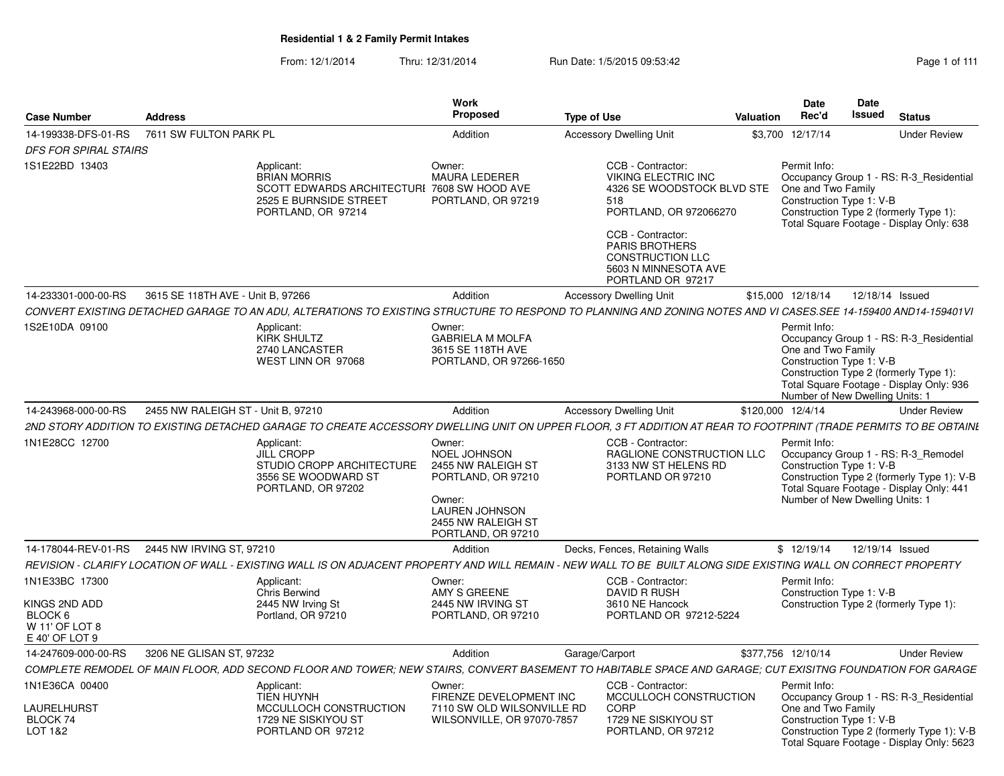| <b>Case Number</b>                                                             | <b>Address</b>                     |                                                                                                                                                                  | Work<br>Proposed                                                                                                                                         | <b>Type of Use</b>                                                                                                                                                                                                                   | <b>Valuation</b> | Date<br>Rec'd                                                                                     | Date<br>Issued  | <b>Status</b>                                                                                                                 |
|--------------------------------------------------------------------------------|------------------------------------|------------------------------------------------------------------------------------------------------------------------------------------------------------------|----------------------------------------------------------------------------------------------------------------------------------------------------------|--------------------------------------------------------------------------------------------------------------------------------------------------------------------------------------------------------------------------------------|------------------|---------------------------------------------------------------------------------------------------|-----------------|-------------------------------------------------------------------------------------------------------------------------------|
| 14-199338-DFS-01-RS                                                            | 7611 SW FULTON PARK PL             |                                                                                                                                                                  | Addition                                                                                                                                                 | <b>Accessory Dwelling Unit</b>                                                                                                                                                                                                       |                  | \$3,700 12/17/14                                                                                  |                 | <b>Under Review</b>                                                                                                           |
| <b>DFS FOR SPIRAL STAIRS</b>                                                   |                                    |                                                                                                                                                                  |                                                                                                                                                          |                                                                                                                                                                                                                                      |                  |                                                                                                   |                 |                                                                                                                               |
| 1S1E22BD 13403                                                                 |                                    | Applicant:<br><b>BRIAN MORRIS</b><br>SCOTT EDWARDS ARCHITECTURI 7608 SW HOOD AVE<br>2525 E BURNSIDE STREET<br>PORTLAND, OR 97214                                 | Owner:<br><b>MAURA LEDERER</b><br>PORTLAND, OR 97219                                                                                                     | CCB - Contractor:<br><b>VIKING ELECTRIC INC</b><br>4326 SE WOODSTOCK BLVD STE<br>518<br>PORTLAND, OR 972066270<br>CCB - Contractor:<br><b>PARIS BROTHERS</b><br><b>CONSTRUCTION LLC</b><br>5603 N MINNESOTA AVE<br>PORTLAND OR 97217 |                  | Permit Info:<br>One and Two Family<br>Construction Type 1: V-B                                    |                 | Occupancy Group 1 - RS: R-3 Residential<br>Construction Type 2 (formerly Type 1):<br>Total Square Footage - Display Only: 638 |
| 14-233301-000-00-RS                                                            | 3615 SE 118TH AVE - Unit B, 97266  |                                                                                                                                                                  | Addition                                                                                                                                                 | <b>Accessory Dwelling Unit</b>                                                                                                                                                                                                       |                  | \$15,000 12/18/14                                                                                 | 12/18/14 Issued |                                                                                                                               |
|                                                                                |                                    | CONVERT EXISTING DETACHED GARAGE TO AN ADU, ALTERATIONS TO EXISTING STRUCTURE TO RESPOND TO PLANNING AND ZONING NOTES AND VI CASES.SEE 14-159400 AND14-159401VI  |                                                                                                                                                          |                                                                                                                                                                                                                                      |                  |                                                                                                   |                 |                                                                                                                               |
| 1S2E10DA 09100                                                                 |                                    | Applicant:<br>KIRK SHULTZ<br>2740 LANCASTER<br>WEST LINN OR 97068                                                                                                | Owner:<br><b>GABRIELA M MOLFA</b><br>3615 SE 118TH AVE<br>PORTLAND, OR 97266-1650                                                                        |                                                                                                                                                                                                                                      |                  | Permit Info:<br>One and Two Family<br>Construction Type 1: V-B<br>Number of New Dwelling Units: 1 |                 | Occupancy Group 1 - RS: R-3 Residential<br>Construction Type 2 (formerly Type 1):<br>Total Square Footage - Display Only: 936 |
| 14-243968-000-00-RS                                                            | 2455 NW RALEIGH ST - Unit B, 97210 |                                                                                                                                                                  | Addition                                                                                                                                                 | <b>Accessory Dwelling Unit</b>                                                                                                                                                                                                       |                  | \$120,000 12/4/14                                                                                 |                 | <b>Under Review</b>                                                                                                           |
|                                                                                |                                    | 2ND STORY ADDITION TO EXISTING DETACHED GARAGE TO CREATE ACCESSORY DWELLING UNIT ON UPPER FLOOR, 3 FT ADDITION AT REAR TO FOOTPRINT (TRADE PERMITS TO BE OBTAINI |                                                                                                                                                          |                                                                                                                                                                                                                                      |                  |                                                                                                   |                 |                                                                                                                               |
| 1N1E28CC 12700                                                                 |                                    | Applicant:<br><b>JILL CROPP</b><br>STUDIO CROPP ARCHITECTURE<br>3556 SE WOODWARD ST<br>PORTLAND, OR 97202                                                        | Owner:<br><b>NOEL JOHNSON</b><br>2455 NW RALEIGH ST<br>PORTLAND, OR 97210<br>Owner:<br><b>LAUREN JOHNSON</b><br>2455 NW RALEIGH ST<br>PORTLAND, OR 97210 | CCB - Contractor:<br>RAGLIONE CONSTRUCTION LLC<br>3133 NW ST HELENS RD<br>PORTLAND OR 97210                                                                                                                                          |                  | Permit Info:<br>Construction Type 1: V-B<br>Number of New Dwelling Units: 1                       |                 | Occupancy Group 1 - RS: R-3_Remodel<br>Construction Type 2 (formerly Type 1): V-B<br>Total Square Footage - Display Only: 441 |
| 14-178044-REV-01-RS                                                            | 2445 NW IRVING ST. 97210           |                                                                                                                                                                  | Addition                                                                                                                                                 | Decks, Fences, Retaining Walls                                                                                                                                                                                                       |                  | \$12/19/14                                                                                        | 12/19/14 Issued |                                                                                                                               |
|                                                                                |                                    | REVISION - CLARIFY LOCATION OF WALL - EXISTING WALL IS ON ADJACENT PROPERTY AND WILL REMAIN - NEW WALL TO BE BUILT ALONG SIDE EXISTING WALL ON CORRECT PROPERTY  |                                                                                                                                                          |                                                                                                                                                                                                                                      |                  |                                                                                                   |                 |                                                                                                                               |
| 1N1E33BC 17300<br>KINGS 2ND ADD<br>BLOCK 6<br>W 11' OF LOT 8<br>E 40' OF LOT 9 |                                    | Applicant:<br><b>Chris Berwind</b><br>2445 NW Irving St<br>Portland, OR 97210                                                                                    | Owner:<br>AMY S GREENE<br>2445 NW IRVING ST<br>PORTLAND, OR 97210                                                                                        | CCB - Contractor:<br>DAVID R RUSH<br>3610 NE Hancock<br>PORTLAND OR 97212-5224                                                                                                                                                       |                  | Permit Info:<br>Construction Type 1: V-B                                                          |                 | Construction Type 2 (formerly Type 1):                                                                                        |
| 14-247609-000-00-RS                                                            | 3206 NE GLISAN ST, 97232           |                                                                                                                                                                  | Addition                                                                                                                                                 | Garage/Carport                                                                                                                                                                                                                       |                  | \$377,756 12/10/14                                                                                |                 | <b>Under Review</b>                                                                                                           |
|                                                                                |                                    | COMPLETE REMODEL OF MAIN FLOOR, ADD SECOND FLOOR AND TOWER; NEW STAIRS, CONVERT BASEMENT TO HABITABLE SPACE AND GARAGE; CUT EXISITNG FOUNDATION FOR GARAGE       |                                                                                                                                                          |                                                                                                                                                                                                                                      |                  |                                                                                                   |                 |                                                                                                                               |
| 1N1E36CA 00400<br><b>LAURELHURST</b>                                           |                                    | Applicant:<br><b>TIEN HUYNH</b><br>MCCULLOCH CONSTRUCTION                                                                                                        | Owner:<br>FIRENZE DEVELOPMENT INC<br>7110 SW OLD WILSONVILLE RD                                                                                          | CCB - Contractor:<br>MCCULLOCH CONSTRUCTION<br><b>CORP</b>                                                                                                                                                                           |                  | Permit Info:<br>One and Two Family                                                                |                 | Occupancy Group 1 - RS: R-3_Residential                                                                                       |
| BLOCK 74<br>LOT 1&2                                                            |                                    | 1729 NE SISKIYOU ST<br>PORTLAND OR 97212                                                                                                                         | WILSONVILLE, OR 97070-7857                                                                                                                               | 1729 NE SISKIYOU ST<br>PORTLAND, OR 97212                                                                                                                                                                                            |                  | Construction Type 1: V-B                                                                          |                 | Construction Type 2 (formerly Type 1): V-B<br>Total Square Footage - Display Only: 5623                                       |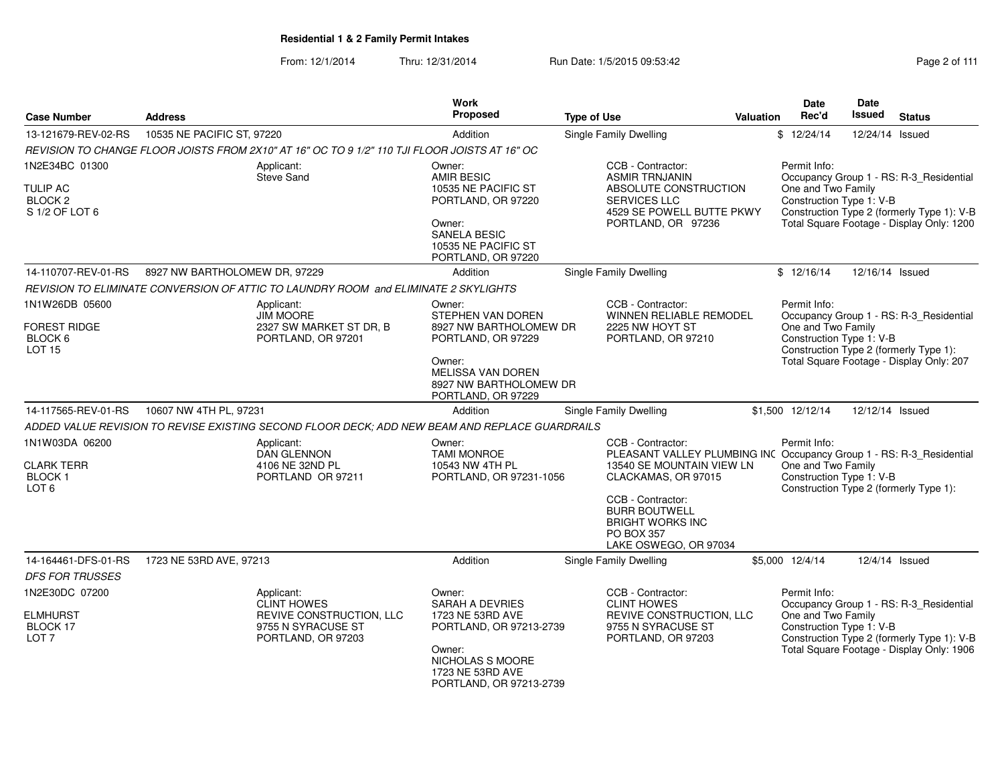| <b>Case Number</b>                                                           | <b>Address</b>                                                                                 |                                                                                            | Work<br><b>Proposed</b>                                                                                                                                    | <b>Type of Use</b>                                                                                                                                                                                                                                           | <b>Valuation</b> | <b>Date</b><br>Rec'd                                           | Date<br><b>Issued</b> | <b>Status</b>                                                                                                                      |
|------------------------------------------------------------------------------|------------------------------------------------------------------------------------------------|--------------------------------------------------------------------------------------------|------------------------------------------------------------------------------------------------------------------------------------------------------------|--------------------------------------------------------------------------------------------------------------------------------------------------------------------------------------------------------------------------------------------------------------|------------------|----------------------------------------------------------------|-----------------------|------------------------------------------------------------------------------------------------------------------------------------|
| 13-121679-REV-02-RS                                                          | 10535 NE PACIFIC ST, 97220                                                                     |                                                                                            | Addition                                                                                                                                                   | Single Family Dwelling                                                                                                                                                                                                                                       |                  | \$12/24/14                                                     | 12/24/14 Issued       |                                                                                                                                    |
|                                                                              | REVISION TO CHANGE FLOOR JOISTS FROM 2X10" AT 16" OC TO 9 1/2" 110 TJI FLOOR JOISTS AT 16" OC  |                                                                                            |                                                                                                                                                            |                                                                                                                                                                                                                                                              |                  |                                                                |                       |                                                                                                                                    |
| 1N2E34BC 01300<br><b>TULIP AC</b><br>BLOCK <sub>2</sub><br>S 1/2 OF LOT 6    | Applicant:<br>Steve Sand                                                                       |                                                                                            | Owner:<br><b>AMIR BESIC</b><br>10535 NE PACIFIC ST<br>PORTLAND, OR 97220<br>Owner:<br><b>SANELA BESIC</b><br>10535 NE PACIFIC ST<br>PORTLAND, OR 97220     | CCB - Contractor:<br><b>ASMIR TRNJANIN</b><br>ABSOLUTE CONSTRUCTION<br><b>SERVICES LLC</b><br>4529 SE POWELL BUTTE PKWY<br>PORTLAND, OR 97236                                                                                                                |                  | Permit Info:<br>One and Two Family<br>Construction Type 1: V-B |                       | Occupancy Group 1 - RS: R-3_Residential<br>Construction Type 2 (formerly Type 1): V-B<br>Total Square Footage - Display Only: 1200 |
| 14-110707-REV-01-RS                                                          | 8927 NW BARTHOLOMEW DR, 97229                                                                  |                                                                                            | Addition                                                                                                                                                   | Single Family Dwelling                                                                                                                                                                                                                                       |                  | \$12/16/14                                                     | 12/16/14 Issued       |                                                                                                                                    |
|                                                                              | REVISION TO ELIMINATE CONVERSION OF ATTIC TO LAUNDRY ROOM and ELIMINATE 2 SKYLIGHTS            |                                                                                            |                                                                                                                                                            |                                                                                                                                                                                                                                                              |                  |                                                                |                       |                                                                                                                                    |
| 1N1W26DB 05600<br><b>FOREST RIDGE</b><br>BLOCK <sub>6</sub><br><b>LOT 15</b> | Applicant:<br><b>JIM MOORE</b>                                                                 | 2327 SW MARKET ST DR, B<br>PORTLAND, OR 97201                                              | Owner:<br>STEPHEN VAN DOREN<br>8927 NW BARTHOLOMEW DR<br>PORTLAND, OR 97229<br>Owner:<br>MELISSA VAN DOREN<br>8927 NW BARTHOLOMEW DR<br>PORTLAND, OR 97229 | CCB - Contractor:<br>WINNEN RELIABLE REMODEL<br>2225 NW HOYT ST<br>PORTLAND, OR 97210                                                                                                                                                                        |                  | Permit Info:<br>One and Two Family<br>Construction Type 1: V-B |                       | Occupancy Group 1 - RS: R-3_Residential<br>Construction Type 2 (formerly Type 1):<br>Total Square Footage - Display Only: 207      |
| 14-117565-REV-01-RS                                                          | 10607 NW 4TH PL, 97231                                                                         |                                                                                            | Addition                                                                                                                                                   | Single Family Dwelling                                                                                                                                                                                                                                       |                  | \$1,500 12/12/14                                               | 12/12/14 Issued       |                                                                                                                                    |
|                                                                              | ADDED VALUE REVISION TO REVISE EXISTING SECOND FLOOR DECK; ADD NEW BEAM AND REPLACE GUARDRAILS |                                                                                            |                                                                                                                                                            |                                                                                                                                                                                                                                                              |                  |                                                                |                       |                                                                                                                                    |
| 1N1W03DA 06200<br><b>CLARK TERR</b><br><b>BLOCK1</b><br>LOT <sub>6</sub>     | Applicant:                                                                                     | <b>DAN GLENNON</b><br>4106 NE 32ND PL<br>PORTLAND OR 97211                                 | Owner:<br><b>TAMI MONROE</b><br>10543 NW 4TH PL<br>PORTLAND, OR 97231-1056                                                                                 | CCB - Contractor:<br>PLEASANT VALLEY PLUMBING INC Occupancy Group 1 - RS: R-3_Residential<br>13540 SE MOUNTAIN VIEW LN<br>CLACKAMAS, OR 97015<br>CCB - Contractor:<br><b>BURR BOUTWELL</b><br><b>BRIGHT WORKS INC</b><br>PO BOX 357<br>LAKE OSWEGO, OR 97034 |                  | Permit Info:<br>One and Two Family<br>Construction Type 1: V-B |                       | Construction Type 2 (formerly Type 1):                                                                                             |
| 14-164461-DFS-01-RS                                                          | 1723 NE 53RD AVE, 97213                                                                        |                                                                                            | Addition                                                                                                                                                   | <b>Single Family Dwelling</b>                                                                                                                                                                                                                                |                  | \$5,000 12/4/14                                                |                       | 12/4/14 Issued                                                                                                                     |
| <b>DFS FOR TRUSSES</b>                                                       |                                                                                                |                                                                                            |                                                                                                                                                            |                                                                                                                                                                                                                                                              |                  |                                                                |                       |                                                                                                                                    |
| 1N2E30DC 07200<br><b>ELMHURST</b><br>BLOCK 17<br>LOT <sub>7</sub>            | Applicant:                                                                                     | <b>CLINT HOWES</b><br>REVIVE CONSTRUCTION, LLC<br>9755 N SYRACUSE ST<br>PORTLAND, OR 97203 | Owner:<br>SARAH A DEVRIES<br>1723 NE 53RD AVE<br>PORTLAND, OR 97213-2739<br>Owner:<br>NICHOLAS S MOORE<br>1723 NE 53RD AVE<br>PORTLAND, OR 97213-2739      | CCB - Contractor:<br><b>CLINT HOWES</b><br>REVIVE CONSTRUCTION, LLC<br>9755 N SYRACUSE ST<br>PORTLAND, OR 97203                                                                                                                                              |                  | Permit Info:<br>One and Two Family<br>Construction Type 1: V-B |                       | Occupancy Group 1 - RS: R-3_Residential<br>Construction Type 2 (formerly Type 1): V-B<br>Total Square Footage - Display Only: 1906 |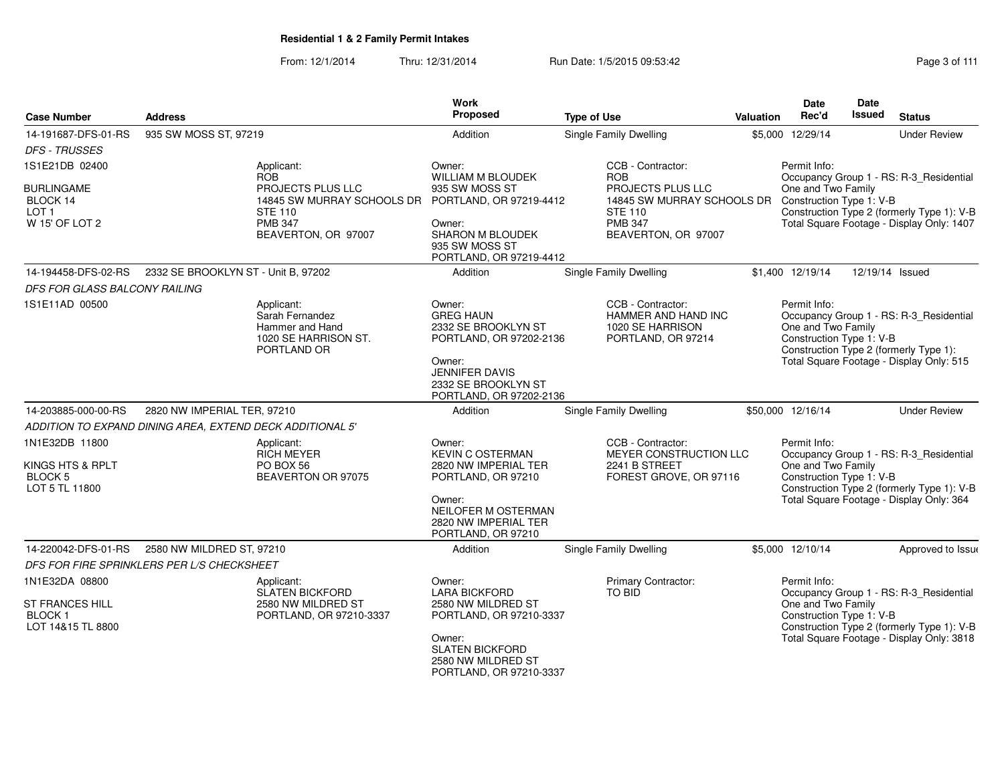From: 12/1/2014Thru: 12/31/2014 Run Date: 1/5/2015 09:53:42 Research 2010 12/31/2014 Page 3 of 111

| <b>Case Number</b>                                                                  | <b>Address</b>                                            |                                                                                                                   | <b>Work</b><br><b>Proposed</b>                                                                                                                                        | <b>Type of Use</b>                                                                                                                         | Valuation | <b>Date</b><br>Rec'd                                           | Date<br>Issued  | <b>Status</b>                                                                                                                      |
|-------------------------------------------------------------------------------------|-----------------------------------------------------------|-------------------------------------------------------------------------------------------------------------------|-----------------------------------------------------------------------------------------------------------------------------------------------------------------------|--------------------------------------------------------------------------------------------------------------------------------------------|-----------|----------------------------------------------------------------|-----------------|------------------------------------------------------------------------------------------------------------------------------------|
|                                                                                     |                                                           |                                                                                                                   |                                                                                                                                                                       |                                                                                                                                            |           |                                                                |                 |                                                                                                                                    |
| 14-191687-DFS-01-RS<br>DFS - TRUSSES                                                | 935 SW MOSS ST, 97219                                     |                                                                                                                   | Addition                                                                                                                                                              | Single Family Dwelling                                                                                                                     |           | \$5,000 12/29/14                                               |                 | <b>Under Review</b>                                                                                                                |
| 1S1E21DB 02400                                                                      |                                                           | Applicant:<br><b>ROB</b>                                                                                          | Owner:<br><b>WILLIAM M BLOUDEK</b>                                                                                                                                    | CCB - Contractor:<br><b>ROB</b>                                                                                                            |           | Permit Info:                                                   |                 | Occupancy Group 1 - RS: R-3_Residential                                                                                            |
| <b>BURLINGAME</b><br>BLOCK 14<br>LOT 1<br>W 15' OF LOT 2                            |                                                           | <b>PROJECTS PLUS LLC</b><br>14845 SW MURRAY SCHOOLS DR<br><b>STE 110</b><br><b>PMB 347</b><br>BEAVERTON, OR 97007 | 935 SW MOSS ST<br>PORTLAND, OR 97219-4412<br>Owner:<br>SHARON M BLOUDEK<br>935 SW MOSS ST<br>PORTLAND, OR 97219-4412                                                  | <b>PROJECTS PLUS LLC</b><br>14845 SW MURRAY SCHOOLS DR Construction Type 1: V-B<br><b>STE 110</b><br><b>PMB 347</b><br>BEAVERTON, OR 97007 |           | One and Two Family                                             |                 | Construction Type 2 (formerly Type 1): V-B<br>Total Square Footage - Display Only: 1407                                            |
| 14-194458-DFS-02-RS                                                                 | 2332 SE BROOKLYN ST - Unit B, 97202                       |                                                                                                                   | Addition                                                                                                                                                              | Single Family Dwelling                                                                                                                     |           | \$1,400 12/19/14                                               | 12/19/14 Issued |                                                                                                                                    |
| DFS FOR GLASS BALCONY RAILING                                                       |                                                           |                                                                                                                   |                                                                                                                                                                       |                                                                                                                                            |           |                                                                |                 |                                                                                                                                    |
| 1S1E11AD 00500                                                                      |                                                           | Applicant:<br>Sarah Fernandez<br>Hammer and Hand<br>1020 SE HARRISON ST.<br>PORTLAND OR                           | Owner:<br><b>GREG HAUN</b><br>2332 SE BROOKLYN ST<br>PORTLAND, OR 97202-2136<br>Owner:<br><b>JENNIFER DAVIS</b><br>2332 SE BROOKLYN ST<br>PORTLAND, OR 97202-2136     | CCB - Contractor:<br>HAMMER AND HAND INC<br>1020 SE HARRISON<br>PORTLAND, OR 97214                                                         |           | Permit Info:<br>One and Two Family<br>Construction Type 1: V-B |                 | Occupancy Group 1 - RS: R-3_Residential<br>Construction Type 2 (formerly Type 1):<br>Total Square Footage - Display Only: 515      |
| 14-203885-000-00-RS                                                                 | 2820 NW IMPERIAL TER, 97210                               |                                                                                                                   | Addition                                                                                                                                                              | Single Family Dwelling                                                                                                                     |           | \$50,000 12/16/14                                              |                 | <b>Under Review</b>                                                                                                                |
|                                                                                     | ADDITION TO EXPAND DINING AREA, EXTEND DECK ADDITIONAL 5' |                                                                                                                   |                                                                                                                                                                       |                                                                                                                                            |           |                                                                |                 |                                                                                                                                    |
| 1N1E32DB 11800<br>KINGS HTS & RPLT<br>BLOCK 5<br>LOT 5 TL 11800                     |                                                           | Applicant:<br><b>RICH MEYER</b><br>PO BOX 56<br>BEAVERTON OR 97075                                                | Owner:<br><b>KEVIN C OSTERMAN</b><br>2820 NW IMPERIAL TER<br>PORTLAND, OR 97210<br>Owner:<br><b>NEILOFER M OSTERMAN</b><br>2820 NW IMPERIAL TER<br>PORTLAND, OR 97210 | CCB - Contractor:<br>MEYER CONSTRUCTION LLC<br>2241 B STREET<br>FOREST GROVE, OR 97116                                                     |           | Permit Info:<br>One and Two Family<br>Construction Type 1: V-B |                 | Occupancy Group 1 - RS: R-3_Residential<br>Construction Type 2 (formerly Type 1): V-B<br>Total Square Footage - Display Only: 364  |
| 14-220042-DFS-01-RS                                                                 | 2580 NW MILDRED ST, 97210                                 |                                                                                                                   | Addition                                                                                                                                                              | Single Family Dwelling                                                                                                                     |           | \$5,000 12/10/14                                               |                 | Approved to Issue                                                                                                                  |
|                                                                                     | DFS FOR FIRE SPRINKLERS PER L/S CHECKSHEET                |                                                                                                                   |                                                                                                                                                                       |                                                                                                                                            |           |                                                                |                 |                                                                                                                                    |
| 1N1E32DA 08800<br><b>ST FRANCES HILL</b><br>BLOCK <sub>1</sub><br>LOT 14&15 TL 8800 |                                                           | Applicant:<br><b>SLATEN BICKFORD</b><br>2580 NW MILDRED ST<br>PORTLAND, OR 97210-3337                             | Owner:<br><b>LARA BICKFORD</b><br>2580 NW MILDRED ST<br>PORTLAND, OR 97210-3337<br>Owner:<br><b>SLATEN BICKFORD</b><br>2580 NW MILDRED ST<br>PORTLAND, OR 97210-3337  | <b>Primary Contractor:</b><br>TO BID                                                                                                       |           | Permit Info:<br>One and Two Family<br>Construction Type 1: V-B |                 | Occupancy Group 1 - RS: R-3_Residential<br>Construction Type 2 (formerly Type 1): V-B<br>Total Square Footage - Display Only: 3818 |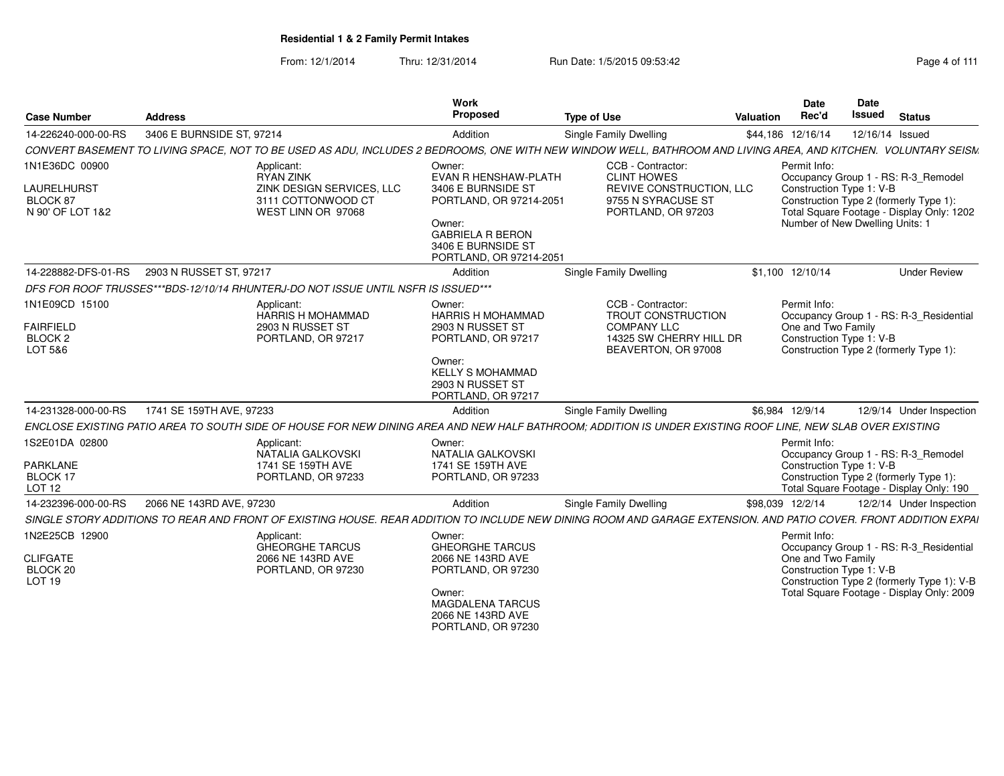| <b>Case Number</b>                                                  | <b>Address</b>                                                                    | Work<br>Proposed                                                                                                                                                                                   | <b>Type of Use</b>                                                                                                     | Valuation | Date<br>Rec'd                                                               | <b>Date</b><br>Issued | <b>Status</b>                                                                                                                      |
|---------------------------------------------------------------------|-----------------------------------------------------------------------------------|----------------------------------------------------------------------------------------------------------------------------------------------------------------------------------------------------|------------------------------------------------------------------------------------------------------------------------|-----------|-----------------------------------------------------------------------------|-----------------------|------------------------------------------------------------------------------------------------------------------------------------|
| 14-226240-000-00-RS                                                 | 3406 E BURNSIDE ST, 97214                                                         | Addition                                                                                                                                                                                           | <b>Single Family Dwelling</b>                                                                                          |           | \$44,186 12/16/14                                                           | 12/16/14 Issued       |                                                                                                                                    |
|                                                                     |                                                                                   | CONVERT BASEMENT TO LIVING SPACE, NOT TO BE USED AS ADU, INCLUDES 2 BEDROOMS, ONE WITH NEW WINDOW WELL, BATHROOM AND LIVING AREA, AND KITCHEN. VOLUNTARY SEISM                                     |                                                                                                                        |           |                                                                             |                       |                                                                                                                                    |
| 1N1E36DC 00900<br>LAURELHURST<br>BLOCK 87<br>N 90' OF LOT 1&2       | Applicant:<br>RYAN ZINK<br>3111 COTTONWOOD CT<br>WEST LINN OR 97068               | Owner:<br>EVAN R HENSHAW-PLATH<br>ZINK DESIGN SERVICES, LLC<br>3406 E BURNSIDE ST<br>PORTLAND, OR 97214-2051<br>Owner:<br><b>GABRIELA R BERON</b><br>3406 E BURNSIDE ST<br>PORTLAND, OR 97214-2051 | CCB - Contractor:<br><b>CLINT HOWES</b><br><b>REVIVE CONSTRUCTION, LLC</b><br>9755 N SYRACUSE ST<br>PORTLAND, OR 97203 |           | Permit Info:<br>Construction Type 1: V-B<br>Number of New Dwelling Units: 1 |                       | Occupancy Group 1 - RS: R-3_Remodel<br>Construction Type 2 (formerly Type 1):<br>Total Square Footage - Display Only: 1202         |
| 14-228882-DFS-01-RS                                                 | 2903 N RUSSET ST, 97217                                                           | Addition                                                                                                                                                                                           | Single Family Dwelling                                                                                                 |           | \$1,100 12/10/14                                                            |                       | <b>Under Review</b>                                                                                                                |
|                                                                     | DFS FOR ROOF TRUSSES***BDS-12/10/14 RHUNTERJ-DO NOT ISSUE UNTIL NSFR IS ISSUED*** |                                                                                                                                                                                                    |                                                                                                                        |           |                                                                             |                       |                                                                                                                                    |
| 1N1E09CD 15100<br><b>FAIRFIELD</b><br>BLOCK <sub>2</sub><br>LOT 5&6 | Applicant:<br>HARRIS H MOHAMMAD<br>2903 N RUSSET ST<br>PORTLAND, OR 97217         | Owner:<br><b>HARRIS H MOHAMMAD</b><br>2903 N RUSSET ST<br>PORTLAND, OR 97217<br>Owner:<br><b>KELLY S MOHAMMAD</b><br>2903 N RUSSET ST<br>PORTLAND, OR 97217                                        | CCB - Contractor:<br>TROUT CONSTRUCTION<br><b>COMPANY LLC</b><br>14325 SW CHERRY HILL DR<br>BEAVERTON, OR 97008        |           | Permit Info:<br>One and Two Family<br>Construction Type 1: V-B              |                       | Occupancy Group 1 - RS: R-3_Residential<br>Construction Type 2 (formerly Type 1):                                                  |
| 14-231328-000-00-RS                                                 | 1741 SE 159TH AVE, 97233                                                          | Addition                                                                                                                                                                                           | Single Family Dwelling                                                                                                 |           | \$6.984 12/9/14                                                             |                       | 12/9/14 Under Inspection                                                                                                           |
|                                                                     |                                                                                   | ENCLOSE EXISTING PATIO AREA TO SOUTH SIDE OF HOUSE FOR NEW DINING AREA AND NEW HALF BATHROOM: ADDITION IS UNDER EXISTING ROOF LINE. NEW SLAB OVER EXISTING                                         |                                                                                                                        |           |                                                                             |                       |                                                                                                                                    |
| 1S2E01DA 02800<br>PARKLANE<br>BLOCK 17<br><b>LOT 12</b>             | Applicant:<br>NATALIA GALKOVSKI<br>1741 SE 159TH AVE<br>PORTLAND, OR 97233        | Owner:<br><b>NATALIA GALKOVSKI</b><br>1741 SE 159TH AVE<br>PORTLAND, OR 97233                                                                                                                      |                                                                                                                        |           | Permit Info:<br>Construction Type 1: V-B                                    |                       | Occupancy Group 1 - RS: R-3_Remodel<br>Construction Type 2 (formerly Type 1):<br>Total Square Footage - Display Only: 190          |
| 14-232396-000-00-RS                                                 | 2066 NE 143RD AVE, 97230                                                          | Addition                                                                                                                                                                                           | Single Family Dwelling                                                                                                 |           | \$98,039 12/2/14                                                            |                       | 12/2/14 Under Inspection                                                                                                           |
|                                                                     |                                                                                   | SINGLE STORY ADDITIONS TO REAR AND FRONT OF EXISTING HOUSE. REAR ADDITION TO INCLUDE NEW DINING ROOM AND GARAGE EXTENSION. AND PATIO COVER. FRONT ADDITION EXPAI                                   |                                                                                                                        |           |                                                                             |                       |                                                                                                                                    |
| 1N2E25CB 12900<br><b>CLIFGATE</b><br>BLOCK 20<br>LOT <sub>19</sub>  | Applicant:<br><b>GHEORGHE TARCUS</b><br>2066 NE 143RD AVE<br>PORTLAND, OR 97230   | Owner:<br><b>GHEORGHE TARCUS</b><br>2066 NE 143RD AVE<br>PORTLAND, OR 97230<br>Owner:<br><b>MAGDALENA TARCUS</b><br>2066 NE 143RD AVE<br>PORTLAND, OR 97230                                        |                                                                                                                        |           | Permit Info:<br>One and Two Family<br>Construction Type 1: V-B              |                       | Occupancy Group 1 - RS: R-3_Residential<br>Construction Type 2 (formerly Type 1): V-B<br>Total Square Footage - Display Only: 2009 |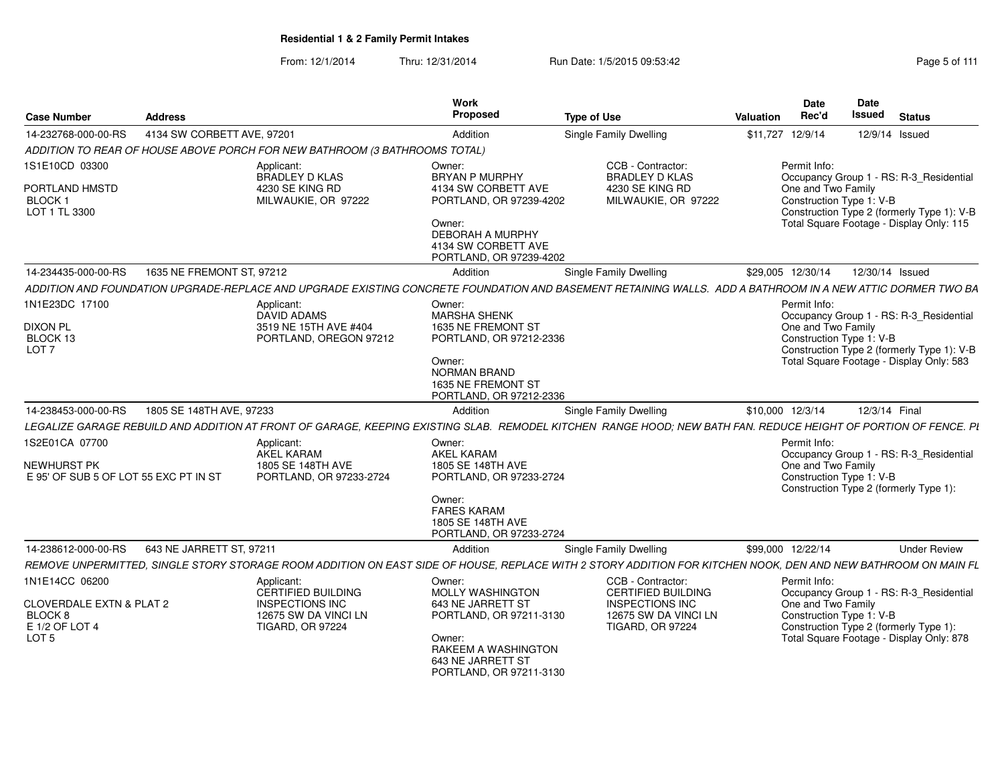| <b>Case Number</b>                                                            | <b>Address</b>             |                                                                                     | Work<br>Proposed                                                                                                                                            | <b>Type of Use</b>                                                                                                                                              | <b>Date</b><br>Rec'd<br>Valuation                              | <b>Date</b><br>Issued<br><b>Status</b>                                                                                            |
|-------------------------------------------------------------------------------|----------------------------|-------------------------------------------------------------------------------------|-------------------------------------------------------------------------------------------------------------------------------------------------------------|-----------------------------------------------------------------------------------------------------------------------------------------------------------------|----------------------------------------------------------------|-----------------------------------------------------------------------------------------------------------------------------------|
| 14-232768-000-00-RS                                                           | 4134 SW CORBETT AVE, 97201 |                                                                                     | Addition                                                                                                                                                    | Single Family Dwelling                                                                                                                                          | \$11,727 12/9/14                                               | 12/9/14 Issued                                                                                                                    |
|                                                                               |                            | ADDITION TO REAR OF HOUSE ABOVE PORCH FOR NEW BATHROOM (3 BATHROOMS TOTAL)          |                                                                                                                                                             |                                                                                                                                                                 |                                                                |                                                                                                                                   |
| 1S1E10CD 03300<br>PORTLAND HMSTD<br><b>BLOCK1</b><br>LOT 1 TL 3300            |                            | Applicant:<br>BRADLEY D KLAS<br>4230 SE KING RD<br>MILWAUKIE, OR 97222              | Owner:<br><b>BRYAN P MURPHY</b><br>4134 SW CORBETT AVE<br>PORTLAND, OR 97239-4202<br>Owner:<br>DEBORAH A MURPHY                                             | CCB - Contractor:<br><b>BRADLEY D KLAS</b><br>4230 SE KING RD<br>MILWAUKIE, OR 97222                                                                            | Permit Info:<br>One and Two Family<br>Construction Type 1: V-B | Occupancy Group 1 - RS: R-3_Residential<br>Construction Type 2 (formerly Type 1): V-B<br>Total Square Footage - Display Only: 115 |
|                                                                               |                            |                                                                                     | 4134 SW CORBETT AVE<br>PORTLAND, OR 97239-4202                                                                                                              |                                                                                                                                                                 |                                                                |                                                                                                                                   |
| 14-234435-000-00-RS                                                           | 1635 NE FREMONT ST. 97212  |                                                                                     | Addition                                                                                                                                                    | <b>Single Family Dwelling</b>                                                                                                                                   | \$29,005 12/30/14                                              | 12/30/14 Issued                                                                                                                   |
|                                                                               |                            |                                                                                     |                                                                                                                                                             | ADDITION AND FOUNDATION UPGRADE-REPLACE AND UPGRADE EXISTING CONCRETE FOUNDATION AND BASEMENT RETAINING WALLS. ADD A BATHROOM IN A NEW ATTIC DORMER TWO BA      |                                                                |                                                                                                                                   |
| 1N1E23DC 17100<br><b>DIXON PL</b><br>BLOCK 13<br>LOT <sub>7</sub>             |                            | Applicant:<br><b>DAVID ADAMS</b><br>3519 NE 15TH AVE #404<br>PORTLAND, OREGON 97212 | Owner:<br><b>MARSHA SHENK</b><br>1635 NE FREMONT ST<br>PORTLAND, OR 97212-2336<br>Owner:<br>NORMAN BRAND<br>1635 NE FREMONT ST<br>PORTLAND, OR 97212-2336   |                                                                                                                                                                 | Permit Info:<br>One and Two Family<br>Construction Type 1: V-B | Occupancy Group 1 - RS: R-3 Residential<br>Construction Type 2 (formerly Type 1): V-B<br>Total Square Footage - Display Only: 583 |
| 14-238453-000-00-RS                                                           | 1805 SE 148TH AVE, 97233   |                                                                                     | Addition                                                                                                                                                    | <b>Single Family Dwelling</b>                                                                                                                                   | \$10,000 12/3/14                                               | 12/3/14 Final                                                                                                                     |
|                                                                               |                            |                                                                                     |                                                                                                                                                             | LEGALIZE GARAGE REBUILD AND ADDITION AT FRONT OF GARAGE, KEEPING EXISTING SLAB. REMODEL KITCHEN RANGE HOOD; NEW BATH FAN. REDUCE HEIGHT OF PORTION OF FENCE. PL |                                                                |                                                                                                                                   |
| 1S2E01CA 07700<br><b>NEWHURST PK</b><br>E 95' OF SUB 5 OF LOT 55 EXC PT IN ST |                            | Applicant:<br>AKEL KARAM<br>1805 SE 148TH AVE<br>PORTLAND, OR 97233-2724            | Owner:<br><b>AKEL KARAM</b><br>1805 SE 148TH AVE<br>PORTLAND, OR 97233-2724<br>Owner:<br><b>FARES KARAM</b><br>1805 SE 148TH AVE<br>PORTLAND, OR 97233-2724 |                                                                                                                                                                 | Permit Info:<br>One and Two Family<br>Construction Type 1: V-B | Occupancy Group 1 - RS: R-3_Residential<br>Construction Type 2 (formerly Type 1):                                                 |
| 14-238612-000-00-RS                                                           | 643 NE JARRETT ST, 97211   |                                                                                     | Addition                                                                                                                                                    | Single Family Dwelling                                                                                                                                          | \$99,000 12/22/14                                              | <b>Under Review</b>                                                                                                               |
|                                                                               |                            |                                                                                     |                                                                                                                                                             | REMOVE UNPERMITTED, SINGLE STORY STORAGE ROOM ADDITION ON EAST SIDE OF HOUSE, REPLACE WITH 2 STORY ADDITION FOR KITCHEN NOOK, DEN AND NEW BATHROOM ON MAIN FL   |                                                                |                                                                                                                                   |
| 1N1E14CC 06200<br><b>CLOVERDALE EXTN &amp; PLAT 2</b>                         |                            | Applicant:<br>CERTIFIED BUILDING<br><b>INSPECTIONS INC</b><br>12675 SW DA VINCI LN  | Owner:<br>MOLLY WASHINGTON<br>643 NE JARRETT ST<br>PORTLAND, OR 97211-3130                                                                                  | CCB - Contractor:<br>CERTIFIED BUILDING<br><b>INSPECTIONS INC</b><br>12675 SW DA VINCI LN                                                                       | Permit Info<br>One and Two Family<br>Construction Type 1: V-B  | Occupancy Group 1 - RS: R-3_Residential                                                                                           |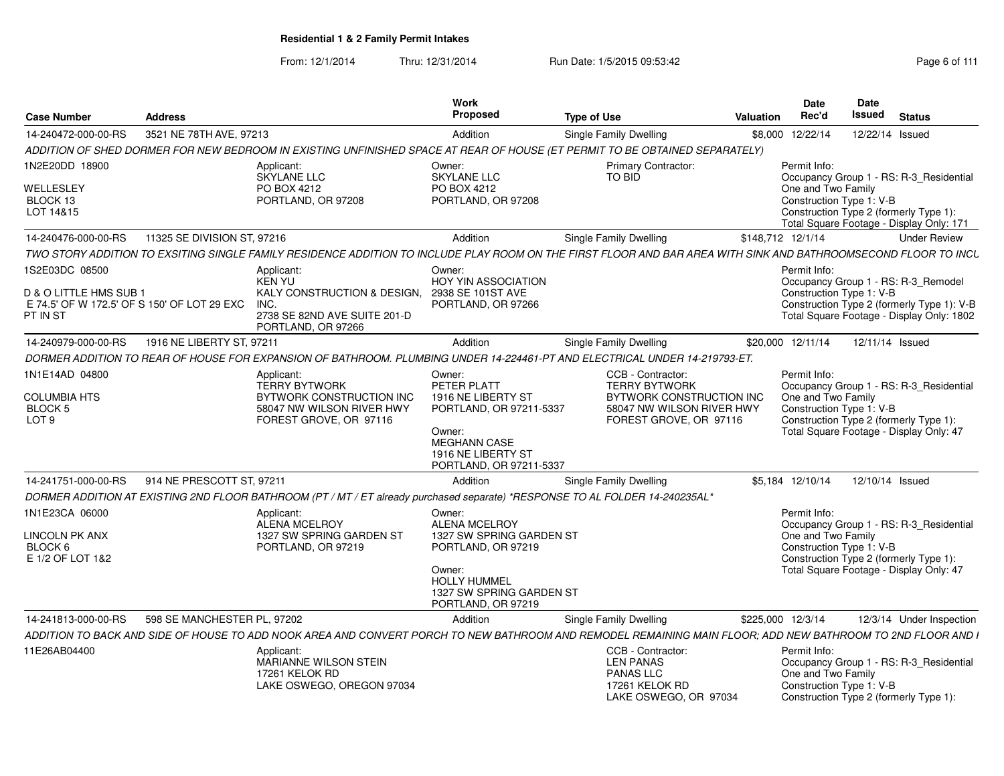| <b>Case Number</b>                                        | <b>Address</b>              |                                                                                                                                                                 | Work<br>Proposed                                                                                                                  | <b>Type of Use</b>                                                                                   | Valuation         | Date<br>Rec'd                                                                                                                                       | Date<br><b>Issued</b> | <b>Status</b> |                          |
|-----------------------------------------------------------|-----------------------------|-----------------------------------------------------------------------------------------------------------------------------------------------------------------|-----------------------------------------------------------------------------------------------------------------------------------|------------------------------------------------------------------------------------------------------|-------------------|-----------------------------------------------------------------------------------------------------------------------------------------------------|-----------------------|---------------|--------------------------|
| 14-240472-000-00-RS                                       | 3521 NE 78TH AVE, 97213     |                                                                                                                                                                 | Addition                                                                                                                          | <b>Single Family Dwelling</b>                                                                        |                   | \$8,000 12/22/14                                                                                                                                    | 12/22/14 Issued       |               |                          |
|                                                           |                             | ADDITION OF SHED DORMER FOR NEW BEDROOM IN EXISTING UNFINISHED SPACE AT REAR OF HOUSE (ET PERMIT TO BE OBTAINED SEPARATELY)                                     |                                                                                                                                   |                                                                                                      |                   |                                                                                                                                                     |                       |               |                          |
| 1N2E20DD 18900                                            |                             | Applicant:<br><b>SKYLANE LLC</b>                                                                                                                                | Owner:<br><b>SKYLANE LLC</b>                                                                                                      | <b>Primary Contractor:</b><br><b>TO BID</b>                                                          |                   | Permit Info:<br>Occupancy Group 1 - RS: R-3_Residential                                                                                             |                       |               |                          |
| WELLESLEY<br>BLOCK 13<br>LOT 14&15                        |                             | PO BOX 4212<br>PORTLAND, OR 97208                                                                                                                               | PO BOX 4212<br>PORTLAND, OR 97208                                                                                                 |                                                                                                      |                   | One and Two Family<br>Construction Type 1: V-B<br>Construction Type 2 (formerly Type 1):<br>Total Square Footage - Display Only: 171                |                       |               |                          |
| 14-240476-000-00-RS                                       | 11325 SE DIVISION ST, 97216 |                                                                                                                                                                 | Addition                                                                                                                          | Single Family Dwelling                                                                               | \$148,712 12/1/14 |                                                                                                                                                     |                       |               | <b>Under Review</b>      |
|                                                           |                             | TWO STORY ADDITION TO EXSITING SINGLE FAMILY RESIDENCE ADDITION TO INCLUDE PLAY ROOM ON THE FIRST FLOOR AND BAR AREA WITH SINK AND BATHROOMSECOND FLOOR TO INCL |                                                                                                                                   |                                                                                                      |                   |                                                                                                                                                     |                       |               |                          |
| 1S2E03DC 08500<br>D & O LITTLE HMS SUB 1                  |                             | Applicant:<br><b>KEN YU</b><br>KALY CONSTRUCTION & DESIGN,                                                                                                      | Owner:<br>HOY YIN ASSOCIATION<br>2938 SE 101ST AVE                                                                                |                                                                                                      |                   | Permit Info:<br>Occupancy Group 1 - RS: R-3 Remodel<br>Construction Type 1: V-B                                                                     |                       |               |                          |
| E 74.5' OF W 172.5' OF S 150' OF LOT 29 EXC<br>PT IN ST   |                             | INC.<br>2738 SE 82ND AVE SUITE 201-D<br>PORTLAND, OR 97266                                                                                                      | PORTLAND, OR 97266                                                                                                                |                                                                                                      |                   | Construction Type 2 (formerly Type 1): V-B<br>Total Square Footage - Display Only: 1802                                                             |                       |               |                          |
| 14-240979-000-00-RS                                       | 1916 NE LIBERTY ST. 97211   |                                                                                                                                                                 | Addition                                                                                                                          | Single Family Dwelling                                                                               |                   | \$20,000 12/11/14                                                                                                                                   | 12/11/14 Issued       |               |                          |
|                                                           |                             | DORMER ADDITION TO REAR OF HOUSE FOR EXPANSION OF BATHROOM. PLUMBING UNDER 14-224461-PT AND ELECTRICAL UNDER 14-219793-ET.                                      |                                                                                                                                   |                                                                                                      |                   |                                                                                                                                                     |                       |               |                          |
| 1N1E14AD 04800                                            |                             | Applicant:<br><b>TERRY BYTWORK</b>                                                                                                                              | Owner:<br>PETER PLATT                                                                                                             | CCB - Contractor:<br><b>TERRY BYTWORK</b>                                                            |                   | Permit Info:<br>Occupancy Group 1 - RS: R-3_Residential                                                                                             |                       |               |                          |
| <b>COLUMBIA HTS</b><br><b>BLOCK 5</b><br>LOT <sub>9</sub> |                             | BYTWORK CONSTRUCTION INC<br>58047 NW WILSON RIVER HWY<br>FOREST GROVE, OR 97116                                                                                 | 1916 NE LIBERTY ST<br>PORTLAND, OR 97211-5337<br>Owner:<br><b>MEGHANN CASE</b><br>1916 NE LIBERTY ST<br>PORTLAND, OR 97211-5337   | BYTWORK CONSTRUCTION INC<br>58047 NW WILSON RIVER HWY<br>FOREST GROVE, OR 97116                      |                   | One and Two Family<br>Construction Type 1: V-B<br>Construction Type 2 (formerly Type 1):<br>Total Square Footage - Display Only: 47                 |                       |               |                          |
| 14-241751-000-00-RS                                       | 914 NE PRESCOTT ST, 97211   |                                                                                                                                                                 | Addition                                                                                                                          | Single Family Dwelling                                                                               |                   | \$5,184 12/10/14                                                                                                                                    | 12/10/14 Issued       |               |                          |
|                                                           |                             | DORMER ADDITION AT EXISTING 2ND FLOOR BATHROOM (PT / MT / ET already purchased separate) *RESPONSE TO AL FOLDER 14-240235AL*                                    |                                                                                                                                   |                                                                                                      |                   |                                                                                                                                                     |                       |               |                          |
| 1N1E23CA 06000                                            |                             | Applicant:<br><b>ALENA MCELROY</b>                                                                                                                              | Owner:<br><b>ALENA MCELROY</b>                                                                                                    |                                                                                                      |                   | Permit Info:<br>Occupancy Group 1 - RS: R-3 Residential                                                                                             |                       |               |                          |
| LINCOLN PK ANX<br>BLOCK 6<br>E 1/2 OF LOT 1&2             |                             | 1327 SW SPRING GARDEN ST<br>PORTLAND, OR 97219                                                                                                                  | 1327 SW SPRING GARDEN ST<br>PORTLAND, OR 97219<br>Owner:<br><b>HOLLY HUMMEL</b><br>1327 SW SPRING GARDEN ST<br>PORTLAND, OR 97219 |                                                                                                      |                   | One and Two Family<br>Construction Type 1: V-B<br>Construction Type 2 (formerly Type 1):<br>Total Square Footage - Display Only: 47                 |                       |               |                          |
| 14-241813-000-00-RS                                       | 598 SE MANCHESTER PL, 97202 |                                                                                                                                                                 | Addition                                                                                                                          | <b>Single Family Dwelling</b>                                                                        | \$225,000 12/3/14 |                                                                                                                                                     |                       |               | 12/3/14 Under Inspection |
|                                                           |                             | ADDITION TO BACK AND SIDE OF HOUSE TO ADD NOOK AREA AND CONVERT PORCH TO NEW BATHROOM AND REMODEL REMAINING MAIN FLOOR: ADD NEW BATHROOM TO 2ND FLOOR AND I     |                                                                                                                                   |                                                                                                      |                   |                                                                                                                                                     |                       |               |                          |
| 11E26AB04400                                              |                             | Applicant:<br><b>MARIANNE WILSON STEIN</b><br>17261 KELOK RD<br>LAKE OSWEGO, OREGON 97034                                                                       |                                                                                                                                   | CCB - Contractor:<br><b>LEN PANAS</b><br><b>PANAS LLC</b><br>17261 KELOK RD<br>LAKE OSWEGO, OR 97034 |                   | Permit Info:<br>Occupancy Group 1 - RS: R-3_Residential<br>One and Two Family<br>Construction Type 1: V-B<br>Construction Type 2 (formerly Type 1): |                       |               |                          |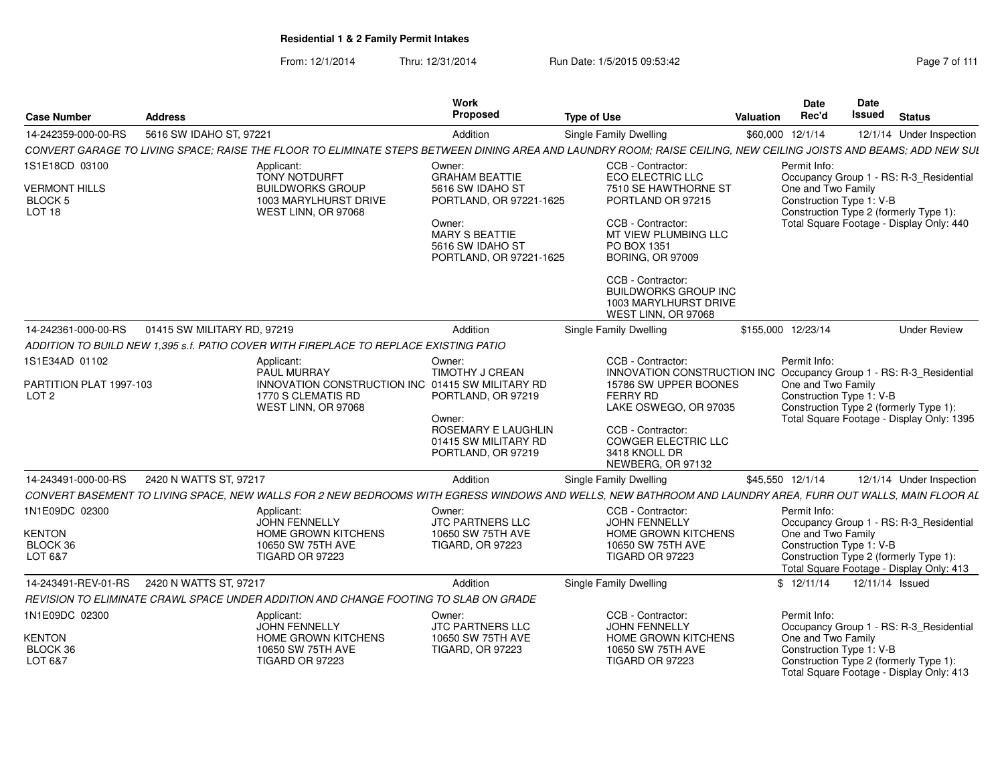From: 12/1/2014Thru: 12/31/2014 Run Date: 1/5/2015 09:53:42 Research 2010 12/31/2014 Page 7 of 111

| <b>Case Number</b>                                      | <b>Address</b>              |                                                                                                                                                                   | <b>Work</b><br><b>Proposed</b>                                                 | <b>Type of Use</b>                                                                                                                | Valuation | <b>Date</b><br>Rec'd                                                                     | Date<br>Issued  | <b>Status</b>                             |
|---------------------------------------------------------|-----------------------------|-------------------------------------------------------------------------------------------------------------------------------------------------------------------|--------------------------------------------------------------------------------|-----------------------------------------------------------------------------------------------------------------------------------|-----------|------------------------------------------------------------------------------------------|-----------------|-------------------------------------------|
| 14-242359-000-00-RS                                     | 5616 SW IDAHO ST, 97221     |                                                                                                                                                                   | Addition                                                                       | Single Family Dwelling                                                                                                            |           | \$60,000 12/1/14                                                                         |                 | 12/1/14 Under Inspection                  |
|                                                         |                             | CONVERT GARAGE TO LIVING SPACE; RAISE THE FLOOR TO ELIMINATE STEPS BETWEEN DINING AREA AND LAUNDRY ROOM; RAISE CEILING, NEW CEILING JOISTS AND BEAMS; ADD NEW SUI |                                                                                |                                                                                                                                   |           |                                                                                          |                 |                                           |
| 1S1E18CD 03100                                          |                             | Applicant:                                                                                                                                                        | Owner:                                                                         | CCB - Contractor:                                                                                                                 |           | Permit Info:                                                                             |                 |                                           |
| <b>VERMONT HILLS</b><br><b>BLOCK 5</b><br><b>LOT 18</b> |                             | <b>TONY NOTDURFT</b><br><b>BUILDWORKS GROUP</b><br>1003 MARYLHURST DRIVE<br>WEST LINN, OR 97068                                                                   | <b>GRAHAM BEATTIE</b><br>5616 SW IDAHO ST<br>PORTLAND, OR 97221-1625           | ECO ELECTRIC LLC<br>7510 SE HAWTHORNE ST<br>PORTLAND OR 97215                                                                     |           | One and Two Family<br>Construction Type 1: V-B<br>Construction Type 2 (formerly Type 1): |                 | Occupancy Group 1 - RS: R-3_Residential   |
|                                                         |                             |                                                                                                                                                                   | Owner:<br><b>MARY S BEATTIE</b><br>5616 SW IDAHO ST<br>PORTLAND, OR 97221-1625 | CCB - Contractor:<br>MT VIEW PLUMBING LLC<br>PO BOX 1351<br><b>BORING, OR 97009</b>                                               |           |                                                                                          |                 | Total Square Footage - Display Only: 440  |
|                                                         |                             |                                                                                                                                                                   |                                                                                | CCB - Contractor:<br><b>BUILDWORKS GROUP INC</b><br>1003 MARYLHURST DRIVE<br>WEST LINN, OR 97068                                  |           |                                                                                          |                 |                                           |
| 14-242361-000-00-RS                                     | 01415 SW MILITARY RD, 97219 |                                                                                                                                                                   | Addition                                                                       | Single Family Dwelling                                                                                                            |           | \$155,000 12/23/14                                                                       |                 | <b>Under Review</b>                       |
|                                                         |                             | ADDITION TO BUILD NEW 1,395 s.f. PATIO COVER WITH FIREPLACE TO REPLACE EXISTING PATIO                                                                             |                                                                                |                                                                                                                                   |           |                                                                                          |                 |                                           |
| 1S1E34AD 01102                                          |                             | Applicant:                                                                                                                                                        | Owner:                                                                         | CCB - Contractor:                                                                                                                 |           | Permit Info:                                                                             |                 |                                           |
| PARTITION PLAT 1997-103<br>LOT <sub>2</sub>             |                             | <b>PAUL MURRAY</b><br>INNOVATION CONSTRUCTION INC 01415 SW MILITARY RD<br>1770 S CLEMATIS RD<br>WEST LINN, OR 97068                                               | TIMOTHY J CREAN<br>PORTLAND, OR 97219                                          | INNOVATION CONSTRUCTION INC Occupancy Group 1 - RS: R-3_Residential<br>15786 SW UPPER BOONES<br>FERRY RD<br>LAKE OSWEGO, OR 97035 |           | One and Two Family<br>Construction Type 1: V-B<br>Construction Type 2 (formerly Type 1): |                 |                                           |
|                                                         |                             |                                                                                                                                                                   | Owner:<br>ROSEMARY E LAUGHLIN<br>01415 SW MILITARY RD<br>PORTLAND, OR 97219    | CCB - Contractor:<br>COWGER ELECTRIC LLC<br>3418 KNOLL DR<br>NEWBERG, OR 97132                                                    |           |                                                                                          |                 | Total Square Footage - Display Only: 1395 |
| 14-243491-000-00-RS                                     | 2420 N WATTS ST, 97217      |                                                                                                                                                                   | Addition                                                                       | Single Family Dwelling                                                                                                            |           | \$45,550 12/1/14                                                                         |                 | 12/1/14 Under Inspection                  |
|                                                         |                             | CONVERT BASEMENT TO LIVING SPACE, NEW WALLS FOR 2 NEW BEDROOMS WITH EGRESS WINDOWS AND WELLS, NEW BATHROOM AND LAUNDRY AREA, FURR OUT WALLS, MAIN FLOOR AL        |                                                                                |                                                                                                                                   |           |                                                                                          |                 |                                           |
| 1N1E09DC 02300<br><b>KENTON</b>                         |                             | Applicant:<br><b>JOHN FENNELLY</b>                                                                                                                                | Owner:<br><b>JTC PARTNERS LLC</b>                                              | CCB - Contractor:<br><b>JOHN FENNELLY</b>                                                                                         |           | Permit Info:<br>One and Two Family                                                       |                 | Occupancy Group 1 - RS: R-3_Residential   |
| BLOCK 36<br>LOT 6&7                                     |                             | HOME GROWN KITCHENS<br>10650 SW 75TH AVE<br><b>TIGARD OR 97223</b>                                                                                                | 10650 SW 75TH AVE<br><b>TIGARD, OR 97223</b>                                   | HOME GROWN KITCHENS<br>10650 SW 75TH AVE<br><b>TIGARD OR 97223</b>                                                                |           | Construction Type 1: V-B<br>Construction Type 2 (formerly Type 1):                       |                 | Total Square Footage - Display Only: 413  |
| 14-243491-REV-01-RS                                     | 2420 N WATTS ST, 97217      |                                                                                                                                                                   | Addition                                                                       | <b>Single Family Dwelling</b>                                                                                                     |           | \$12/11/14                                                                               | 12/11/14 Issued |                                           |
|                                                         |                             | REVISION TO ELIMINATE CRAWL SPACE UNDER ADDITION AND CHANGE FOOTING TO SLAB ON GRADE                                                                              |                                                                                |                                                                                                                                   |           |                                                                                          |                 |                                           |
| 1N1E09DC 02300                                          |                             | Applicant:<br>JOHN FENNELLY                                                                                                                                       | Owner:<br><b>JTC PARTNERS LLC</b>                                              | CCB - Contractor:<br><b>JOHN FENNELLY</b>                                                                                         |           | Permit Info:                                                                             |                 | Occupancy Group 1 - RS: R-3_Residential   |
| <b>KENTON</b><br>BLOCK 36<br>LOT 6&7                    |                             | <b>HOME GROWN KITCHENS</b><br>10650 SW 75TH AVE<br>TIGARD OR 97223                                                                                                | 10650 SW 75TH AVE<br><b>TIGARD, OR 97223</b>                                   | <b>HOME GROWN KITCHENS</b><br>10650 SW 75TH AVE<br>TIGARD OR 97223                                                                |           | One and Two Family<br>Construction Type 1: V-B<br>Construction Type 2 (formerly Type 1): |                 | Total Square Footage - Display Only: 413  |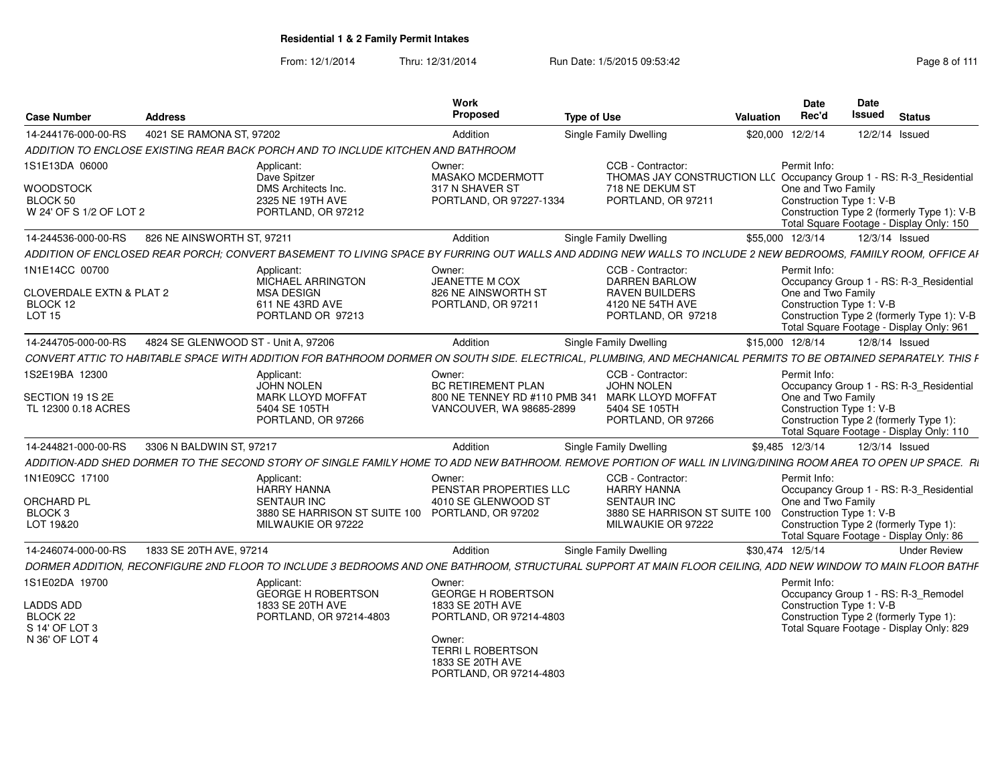| <b>Case Number</b>                                                                 | <b>Address</b>                      |                                                                                                                                                                  | <b>Work</b><br>Proposed                                                                                                                                          | <b>Type of Use</b>                                                                                                                | Valuation        | <b>Date</b><br>Rec'd               | Date<br>Issued           | <b>Status</b>                                                                                                                     |
|------------------------------------------------------------------------------------|-------------------------------------|------------------------------------------------------------------------------------------------------------------------------------------------------------------|------------------------------------------------------------------------------------------------------------------------------------------------------------------|-----------------------------------------------------------------------------------------------------------------------------------|------------------|------------------------------------|--------------------------|-----------------------------------------------------------------------------------------------------------------------------------|
| 14-244176-000-00-RS                                                                | 4021 SE RAMONA ST, 97202            |                                                                                                                                                                  | Addition                                                                                                                                                         | <b>Single Family Dwelling</b>                                                                                                     | \$20,000 12/2/14 |                                    | 12/2/14 Issued           |                                                                                                                                   |
|                                                                                    |                                     | ADDITION TO ENCLOSE EXISTING REAR BACK PORCH AND TO INCLUDE KITCHEN AND BATHROOM                                                                                 |                                                                                                                                                                  |                                                                                                                                   |                  |                                    |                          |                                                                                                                                   |
| 1S1E13DA 06000<br><b>WOODSTOCK</b><br>BLOCK 50<br>W 24' OF S 1/2 OF LOT 2          |                                     | Applicant:<br>Dave Spitzer<br>DMS Architects Inc.<br>2325 NE 19TH AVE<br>PORTLAND, OR 97212                                                                      | Owner:<br><b>MASAKO MCDERMOTT</b><br>317 N SHAVER ST<br>PORTLAND, OR 97227-1334                                                                                  | CCB - Contractor:<br>THOMAS JAY CONSTRUCTION LL( Occupancy Group 1 - RS: R-3_Residential<br>718 NE DEKUM ST<br>PORTLAND, OR 97211 |                  | Permit Info:<br>One and Two Family | Construction Type 1: V-B | Construction Type 2 (formerly Type 1): V-B                                                                                        |
|                                                                                    |                                     |                                                                                                                                                                  |                                                                                                                                                                  |                                                                                                                                   |                  |                                    |                          | Total Square Footage - Display Only: 150                                                                                          |
| 14-244536-000-00-RS                                                                | 826 NE AINSWORTH ST, 97211          |                                                                                                                                                                  | Addition                                                                                                                                                         | <b>Single Family Dwelling</b>                                                                                                     | \$55,000 12/3/14 |                                    | 12/3/14 Issued           |                                                                                                                                   |
|                                                                                    |                                     | ADDITION OF ENCLOSED REAR PORCH: CONVERT BASEMENT TO LIVING SPACE BY FURRING OUT WALLS AND ADDING NEW WALLS TO INCLUDE 2 NEW BEDROOMS, FAMIILY ROOM, OFFICE AF   |                                                                                                                                                                  |                                                                                                                                   |                  |                                    |                          |                                                                                                                                   |
| 1N1E14CC 00700<br><b>CLOVERDALE EXTN &amp; PLAT 2</b><br>BLOCK 12<br><b>LOT 15</b> |                                     | Applicant:<br><b>MICHAEL ARRINGTON</b><br><b>MSA DESIGN</b><br>611 NE 43RD AVE<br>PORTLAND OR 97213                                                              | Owner:<br><b>JEANETTE M COX</b><br>826 NE AINSWORTH ST<br>PORTLAND, OR 97211                                                                                     | CCB - Contractor:<br>DARREN BARLOW<br><b>RAVEN BUILDERS</b><br>4120 NE 54TH AVE<br>PORTLAND, OR 97218                             |                  | Permit Info:<br>One and Two Family | Construction Type 1: V-B | Occupancy Group 1 - RS: R-3 Residential<br>Construction Type 2 (formerly Type 1): V-B<br>Total Square Footage - Display Only: 961 |
| 14-244705-000-00-RS                                                                | 4824 SE GLENWOOD ST - Unit A, 97206 |                                                                                                                                                                  | Addition                                                                                                                                                         | Single Family Dwelling                                                                                                            | \$15,000 12/8/14 |                                    | 12/8/14 Issued           |                                                                                                                                   |
|                                                                                    |                                     | CONVERT ATTIC TO HABITABLE SPACE WITH ADDITION FOR BATHROOM DORMER ON SOUTH SIDE. ELECTRICAL, PLUMBING, AND MECHANICAL PERMITS TO BE OBTAINED SEPARATELY. THIS F |                                                                                                                                                                  |                                                                                                                                   |                  |                                    |                          |                                                                                                                                   |
| 1S2E19BA 12300<br>SECTION 19 1S 2E<br>TL 12300 0.18 ACRES                          |                                     | Applicant:<br><b>JOHN NOLEN</b><br><b>MARK LLOYD MOFFAT</b><br>5404 SE 105TH<br>PORTLAND, OR 97266                                                               | Owner:<br><b>BC RETIREMENT PLAN</b><br>800 NE TENNEY RD #110 PMB 341<br>VANCOUVER, WA 98685-2899                                                                 | CCB - Contractor:<br><b>JOHN NOLEN</b><br>MARK LLOYD MOFFAT<br>5404 SE 105TH<br>PORTLAND, OR 97266                                |                  | Permit Info:<br>One and Two Family | Construction Type 1: V-B | Occupancy Group 1 - RS: R-3_Residential<br>Construction Type 2 (formerly Type 1):<br>Total Square Footage - Display Only: 110     |
| 14-244821-000-00-RS                                                                | 3306 N BALDWIN ST, 97217            |                                                                                                                                                                  | Addition                                                                                                                                                         | Single Family Dwelling                                                                                                            | \$9,485 12/3/14  |                                    | 12/3/14 Issued           |                                                                                                                                   |
|                                                                                    |                                     | ADDITION-ADD SHED DORMER TO THE SECOND STORY OF SINGLE FAMILY HOME TO ADD NEW BATHROOM. REMOVE PORTION OF WALL IN LIVING/DINING ROOM AREA TO OPEN UP SPACE. RI   |                                                                                                                                                                  |                                                                                                                                   |                  |                                    |                          |                                                                                                                                   |
| 1N1E09CC 17100<br>ORCHARD PL<br>BLOCK 3<br>LOT 19&20                               |                                     | Applicant:<br><b>HARRY HANNA</b><br><b>SENTAUR INC</b><br>3880 SE HARRISON ST SUITE 100 PORTLAND, OR 97202<br>MILWAUKIE OR 97222                                 | Owner:<br>PENSTAR PROPERTIES LLC<br>4010 SE GLENWOOD ST                                                                                                          | CCB - Contractor:<br><b>HARRY HANNA</b><br><b>SENTAUR INC</b><br>3880 SE HARRISON ST SUITE 100<br>MILWAUKIE OR 97222              |                  | Permit Info:<br>One and Two Family | Construction Type 1: V-B | Occupancy Group 1 - RS: R-3_Residential<br>Construction Type 2 (formerly Type 1):<br>Total Square Footage - Display Only: 86      |
| 14-246074-000-00-RS                                                                | 1833 SE 20TH AVE, 97214             |                                                                                                                                                                  | Addition                                                                                                                                                         | Single Family Dwelling                                                                                                            | \$30.474 12/5/14 |                                    |                          | <b>Under Review</b>                                                                                                               |
|                                                                                    |                                     | DORMER ADDITION, RECONFIGURE 2ND FLOOR TO INCLUDE 3 BEDROOMS AND ONE BATHROOM, STRUCTURAL SUPPORT AT MAIN FLOOR CEILING, ADD NEW WINDOW TO MAIN FLOOR BATHF      |                                                                                                                                                                  |                                                                                                                                   |                  |                                    |                          |                                                                                                                                   |
| 1S1E02DA 19700<br><b>LADDS ADD</b><br>BLOCK 22<br>S 14' OF LOT 3<br>N 36' OF LOT 4 |                                     | Applicant:<br><b>GEORGE H ROBERTSON</b><br>1833 SE 20TH AVE<br>PORTLAND, OR 97214-4803                                                                           | Owner:<br><b>GEORGE H ROBERTSON</b><br>1833 SE 20TH AVE<br>PORTLAND, OR 97214-4803<br>Owner:<br>TERRI L ROBERTSON<br>1833 SE 20TH AVE<br>PORTLAND, OR 97214-4803 |                                                                                                                                   |                  | Permit Info:                       | Construction Type 1: V-B | Occupancy Group 1 - RS: R-3 Remodel<br>Construction Type 2 (formerly Type 1):<br>Total Square Footage - Display Only: 829         |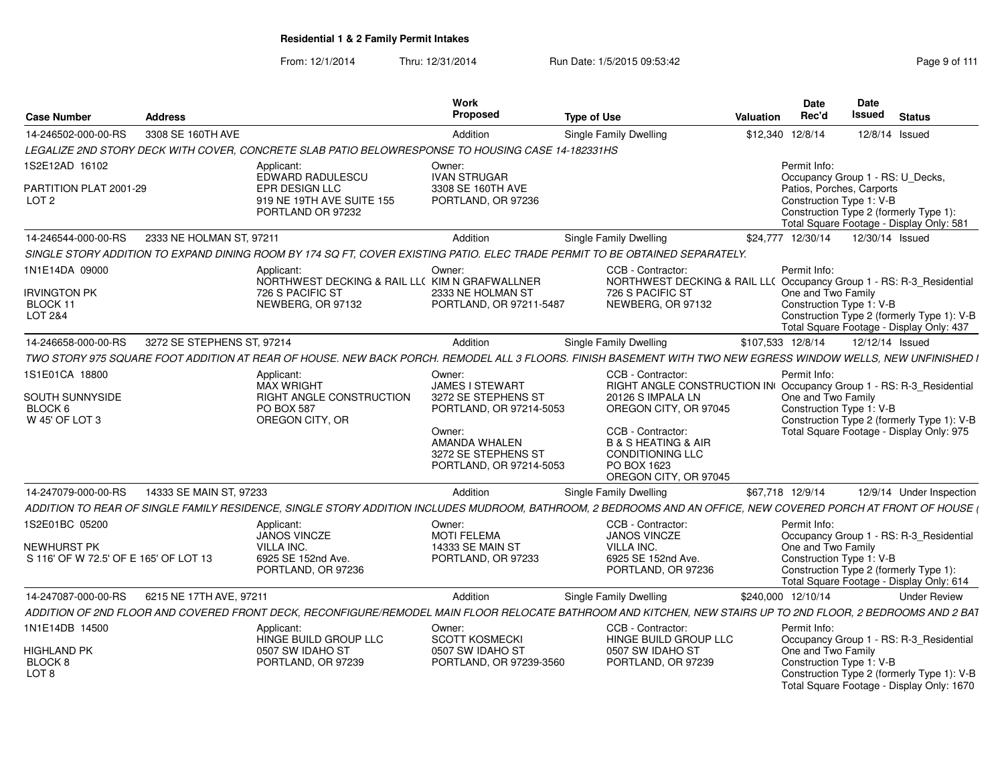| <b>Case Number</b>                                             | <b>Address</b>             |                                                                                                                                                                | Work<br>Proposed                                                                                                                                         | <b>Type of Use</b>                                                                                                                                                                                                                                                   | <b>Valuation</b> | <b>Date</b><br>Rec'd                                           | Date<br>Issued | <b>Status</b>                                                                           |
|----------------------------------------------------------------|----------------------------|----------------------------------------------------------------------------------------------------------------------------------------------------------------|----------------------------------------------------------------------------------------------------------------------------------------------------------|----------------------------------------------------------------------------------------------------------------------------------------------------------------------------------------------------------------------------------------------------------------------|------------------|----------------------------------------------------------------|----------------|-----------------------------------------------------------------------------------------|
| 14-246502-000-00-RS                                            | 3308 SE 160TH AVE          |                                                                                                                                                                | Addition                                                                                                                                                 | <b>Single Family Dwelling</b>                                                                                                                                                                                                                                        | \$12,340         | 12/8/14                                                        |                | 12/8/14 Issued                                                                          |
|                                                                |                            | LEGALIZE 2ND STORY DECK WITH COVER, CONCRETE SLAB PATIO BELOWRESPONSE TO HOUSING CASE 14-182331HS                                                              |                                                                                                                                                          |                                                                                                                                                                                                                                                                      |                  |                                                                |                |                                                                                         |
| 1S2E12AD 16102                                                 |                            | Applicant:<br>EDWARD RADULESCU                                                                                                                                 | Owner:<br><b>IVAN STRUGAR</b>                                                                                                                            |                                                                                                                                                                                                                                                                      |                  | Permit Info:                                                   |                | Occupancy Group 1 - RS: U_Decks,                                                        |
| PARTITION PLAT 2001-29<br>LOT 2                                |                            | EPR DESIGN LLC<br>919 NE 19TH AVE SUITE 155<br>PORTLAND OR 97232                                                                                               | 3308 SE 160TH AVE<br>PORTLAND, OR 97236                                                                                                                  | Patios, Porches, Carports<br>Construction Type 1: V-B<br>Construction Type 2 (formerly Type 1):<br>Total Square Footage - Display Only: 581<br>\$24,777 12/30/14<br>12/30/14 Issued                                                                                  |                  |                                                                |                |                                                                                         |
| 14-246544-000-00-RS                                            | 2333 NE HOLMAN ST, 97211   |                                                                                                                                                                | Addition                                                                                                                                                 | <b>Single Family Dwelling</b>                                                                                                                                                                                                                                        |                  |                                                                |                |                                                                                         |
|                                                                |                            | SINGLE STORY ADDITION TO EXPAND DINING ROOM BY 174 SQ FT, COVER EXISTING PATIO. ELEC TRADE PERMIT TO BE OBTAINED SEPARATELY.                                   |                                                                                                                                                          |                                                                                                                                                                                                                                                                      |                  |                                                                |                |                                                                                         |
| 1N1E14DA 09000                                                 |                            | Applicant:<br>NORTHWEST DECKING & RAIL LL( KIM N GRAFWALLNER                                                                                                   | Owner:                                                                                                                                                   | CCB - Contractor:<br>NORTHWEST DECKING & RAIL LL( Occupancy Group 1 - RS: R-3_Residential                                                                                                                                                                            |                  | Permit Info:                                                   |                |                                                                                         |
| <b>IRVINGTON PK</b><br>BLOCK 11<br>LOT 2&4                     |                            | 726 S PACIFIC ST<br>NEWBERG, OR 97132                                                                                                                          | 2333 NE HOLMAN ST<br>PORTLAND, OR 97211-5487                                                                                                             | 726 S PACIFIC ST<br>NEWBERG, OR 97132                                                                                                                                                                                                                                |                  | One and Two Family<br>Construction Type 1: V-B                 |                | Construction Type 2 (formerly Type 1): V-B<br>Total Square Footage - Display Only: 437  |
| 14-246658-000-00-RS                                            | 3272 SE STEPHENS ST, 97214 |                                                                                                                                                                | Addition                                                                                                                                                 | <b>Single Family Dwelling</b>                                                                                                                                                                                                                                        |                  | \$107,533 12/8/14                                              |                | 12/12/14 Issued                                                                         |
|                                                                |                            | TWO STORY 975 SQUARE FOOT ADDITION AT REAR OF HOUSE. NEW BACK PORCH. REMODEL ALL 3 FLOORS. FINISH BASEMENT WITH TWO NEW EGRESS WINDOW WELLS, NEW UNFINISHED I  |                                                                                                                                                          |                                                                                                                                                                                                                                                                      |                  |                                                                |                |                                                                                         |
| 1S1E01CA 18800<br>SOUTH SUNNYSIDE<br>BLOCK 6<br>W 45' OF LOT 3 |                            | Applicant:<br><b>MAX WRIGHT</b><br>RIGHT ANGLE CONSTRUCTION<br><b>PO BOX 587</b><br>OREGON CITY, OR                                                            | Owner:<br>JAMES I STEWART<br>3272 SE STEPHENS ST<br>PORTLAND, OR 97214-5053<br>Owner:<br>AMANDA WHALEN<br>3272 SE STEPHENS ST<br>PORTLAND, OR 97214-5053 | CCB - Contractor:<br>RIGHT ANGLE CONSTRUCTION IN Occupancy Group 1 - RS: R-3_Residential<br>20126 S IMPALA LN<br>OREGON CITY, OR 97045<br>CCB - Contractor:<br><b>B &amp; S HEATING &amp; AIR</b><br><b>CONDITIONING LLC</b><br>PO BOX 1623<br>OREGON CITY, OR 97045 |                  | Permit Info:<br>One and Two Family<br>Construction Type 1: V-B |                | Construction Type 2 (formerly Type 1): V-B<br>Total Square Footage - Display Only: 975  |
| 14-247079-000-00-RS                                            | 14333 SE MAIN ST, 97233    |                                                                                                                                                                | Addition                                                                                                                                                 | Single Family Dwelling                                                                                                                                                                                                                                               |                  | \$67,718 12/9/14                                               |                | 12/9/14 Under Inspection                                                                |
|                                                                |                            | ADDITION TO REAR OF SINGLE FAMILY RESIDENCE, SINGLE STORY ADDITION INCLUDES MUDROOM, BATHROOM, 2 BEDROOMS AND AN OFFICE, NEW COVERED PORCH AT FRONT OF HOUSE ( |                                                                                                                                                          |                                                                                                                                                                                                                                                                      |                  |                                                                |                |                                                                                         |
| 1S2E01BC 05200                                                 |                            | Applicant:<br>JANOS VINCZE                                                                                                                                     | Owner:<br><b>MOTI FELEMA</b>                                                                                                                             | CCB - Contractor:<br><b>JANOS VINCZE</b>                                                                                                                                                                                                                             |                  | Permit Info:                                                   |                | Occupancy Group 1 - RS: R-3 Residential                                                 |
| NEWHURST PK<br>S 116' OF W 72.5' OF E 165' OF LOT 13           |                            | <b>VILLA INC.</b><br>6925 SE 152nd Ave.<br>PORTLAND, OR 97236                                                                                                  | 14333 SE MAIN ST<br>PORTLAND, OR 97233                                                                                                                   | <b>VILLA INC.</b><br>6925 SE 152nd Ave.<br>PORTLAND, OR 97236                                                                                                                                                                                                        |                  | One and Two Family<br>Construction Type 1: V-B                 |                | Construction Type 2 (formerly Type 1):<br>Total Square Footage - Display Only: 614      |
| 14-247087-000-00-RS                                            | 6215 NE 17TH AVE, 97211    |                                                                                                                                                                | Addition                                                                                                                                                 | <b>Single Family Dwelling</b>                                                                                                                                                                                                                                        |                  | \$240.000 12/10/14                                             |                | <b>Under Review</b>                                                                     |
|                                                                |                            | ADDITION OF 2ND FLOOR AND COVERED FRONT DECK, RECONFIGURE/REMODEL MAIN FLOOR RELOCATE BATHROOM AND KITCHEN, NEW STAIRS UP TO 2ND FLOOR, 2 BEDROOMS AND 2 BA1   |                                                                                                                                                          |                                                                                                                                                                                                                                                                      |                  |                                                                |                |                                                                                         |
| 1N1E14DB 14500                                                 |                            | Applicant:<br>HINGE BUILD GROUP LLC                                                                                                                            | Owner:<br><b>SCOTT KOSMECKI</b>                                                                                                                          | CCB - Contractor:<br>HINGE BUILD GROUP LLC                                                                                                                                                                                                                           |                  | Permit Info:                                                   |                | Occupancy Group 1 - RS: R-3 Residential                                                 |
| <b>HIGHLAND PK</b><br>BLOCK <sub>8</sub><br>LOT 8              |                            | 0507 SW IDAHO ST<br>PORTLAND, OR 97239                                                                                                                         | 0507 SW IDAHO ST<br>PORTLAND, OR 97239-3560                                                                                                              | 0507 SW IDAHO ST<br>PORTLAND, OR 97239                                                                                                                                                                                                                               |                  | One and Two Family<br>Construction Type 1: V-B                 |                | Construction Type 2 (formerly Type 1): V-B<br>Total Square Footage - Display Only: 1670 |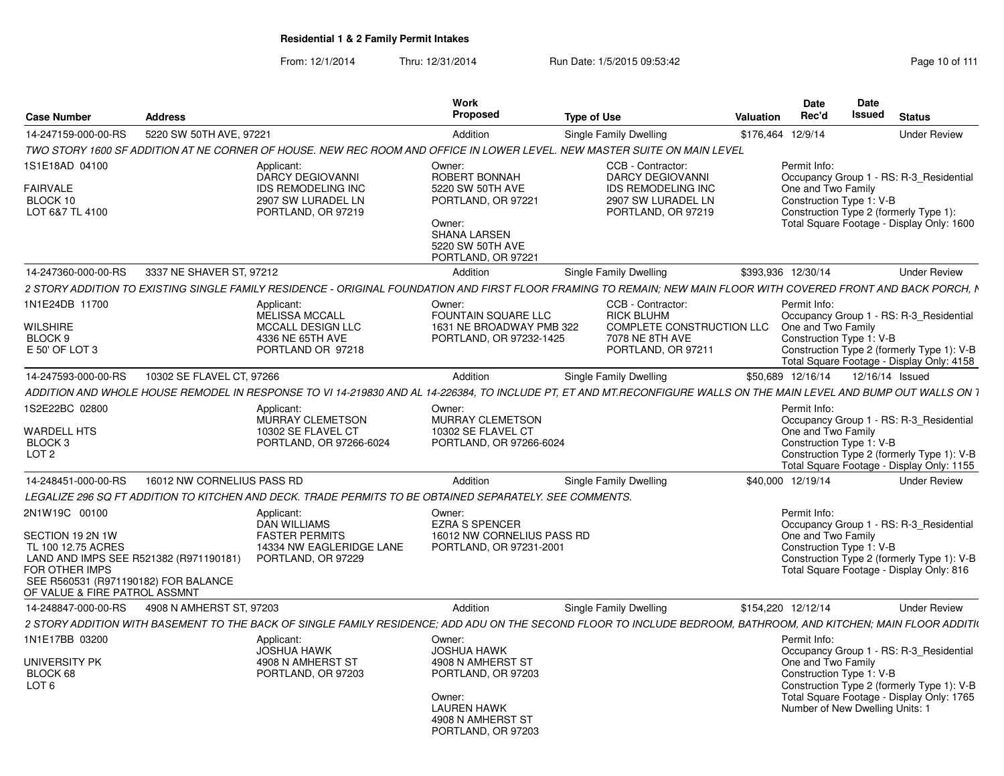| Case Number                                                  | <b>Address</b>             |                                                                                                                                                                     | <b>Work</b><br>Proposed                                                 | <b>Type of Use</b>                           | Date<br>Rec'd<br>Valuation | <b>Date</b><br>Issued<br><b>Status</b>                                              |
|--------------------------------------------------------------|----------------------------|---------------------------------------------------------------------------------------------------------------------------------------------------------------------|-------------------------------------------------------------------------|----------------------------------------------|----------------------------|-------------------------------------------------------------------------------------|
| 14-247159-000-00-RS                                          | 5220 SW 50TH AVE, 97221    |                                                                                                                                                                     | Addition                                                                | Single Family Dwelling                       | \$176,464 12/9/14          | <b>Under Review</b>                                                                 |
|                                                              |                            | TWO STORY 1600 SF ADDITION AT NE CORNER OF HOUSE. NEW REC ROOM AND OFFICE IN LOWER LEVEL. NEW MASTER SUITE ON MAIN LEVEL                                            |                                                                         |                                              |                            |                                                                                     |
| S1E18AD 04100                                                |                            | Applicant:                                                                                                                                                          | Owner:                                                                  | CCB - Contractor:                            | Permit Info:               |                                                                                     |
|                                                              |                            | DARCY DEGIOVANNI                                                                                                                                                    | ROBERT BONNAH                                                           | <b>DARCY DEGIOVANNI</b>                      |                            | Occupancy Group 1 - RS: R-3 Residential                                             |
| <b>FAIRVALE</b>                                              |                            | <b>IDS REMODELING INC</b>                                                                                                                                           | 5220 SW 50TH AVE                                                        | <b>IDS REMODELING INC</b>                    | One and Two Family         |                                                                                     |
| BLOCK 10                                                     |                            | 2907 SW LURADEL LN                                                                                                                                                  | PORTLAND, OR 97221                                                      | 2907 SW LURADEL LN                           | Construction Type 1: V-B   |                                                                                     |
| LOT 6&7 TL 4100                                              |                            | PORTLAND, OR 97219                                                                                                                                                  | Owner:<br><b>SHANA LARSEN</b><br>5220 SW 50TH AVE<br>PORTLAND, OR 97221 | PORTLAND, OR 97219                           |                            | Construction Type 2 (formerly Type 1):<br>Total Square Footage - Display Only: 1600 |
| 14-247360-000-00-RS                                          | 3337 NE SHAVER ST, 97212   |                                                                                                                                                                     | Addition                                                                | Single Family Dwelling                       | \$393,936 12/30/14         | <b>Under Review</b>                                                                 |
|                                                              |                            | 2 STORY ADDITION TO EXISTING SINGLE FAMILY RESIDENCE - ORIGINAL FOUNDATION AND FIRST FLOOR FRAMING TO REMAIN; NEW MAIN FLOOR WITH COVERED FRONT AND BACK PORCH, I   |                                                                         |                                              |                            |                                                                                     |
| N1E24DB 11700                                                |                            | Applicant:                                                                                                                                                          | Owner:                                                                  | CCB - Contractor:                            | Permit Info:               |                                                                                     |
|                                                              |                            | MELISSA MCCALL                                                                                                                                                      | <b>FOUNTAIN SOUARE LLC</b>                                              | <b>RICK BLUHM</b>                            |                            | Occupancy Group 1 - RS: R-3_Residential                                             |
| <b>WILSHIRE</b><br>BLOCK 9                                   |                            | MCCALL DESIGN LLC<br>4336 NE 65TH AVE                                                                                                                               | 1631 NE BROADWAY PMB 322<br>PORTLAND, OR 97232-1425                     | COMPLETE CONSTRUCTION LLC<br>7078 NE 8TH AVE | One and Two Family         | Construction Type 1: V-B                                                            |
| E 50' OF LOT 3                                               |                            | PORTLAND OR 97218                                                                                                                                                   |                                                                         | PORTLAND, OR 97211                           |                            | Construction Type 2 (formerly Type 1): V-B                                          |
|                                                              |                            |                                                                                                                                                                     |                                                                         |                                              |                            | Total Square Footage - Display Only: 4158                                           |
| 14-247593-000-00-RS                                          | 10302 SE FLAVEL CT, 97266  |                                                                                                                                                                     | Addition                                                                | <b>Single Family Dwelling</b>                | \$50.689 12/16/14          | 12/16/14 Issued                                                                     |
|                                                              |                            | ADDITION AND WHOLE HOUSE REMODEL IN RESPONSE TO VI 14-219830 AND AL 14-226384. TO INCLUDE PT. ET AND MT.RECONFIGURE WALLS ON THE MAIN LEVEL AND BUMP OUT WALLS ON 1 |                                                                         |                                              |                            |                                                                                     |
| 1S2E22BC 02800                                               |                            | Applicant:                                                                                                                                                          | Owner:                                                                  |                                              | Permit Info:               |                                                                                     |
|                                                              |                            | MURRAY CLEMETSON                                                                                                                                                    | MURRAY CLEMETSON                                                        |                                              |                            | Occupancy Group 1 - RS: R-3_Residential                                             |
| WARDELL HTS                                                  |                            | 10302 SE FLAVEL CT                                                                                                                                                  | 10302 SE FLAVEL CT                                                      |                                              | One and Two Family         |                                                                                     |
| BLOCK 3<br>LOT <sub>2</sub>                                  |                            | PORTLAND, OR 97266-6024                                                                                                                                             | PORTLAND, OR 97266-6024                                                 |                                              |                            | Construction Type 1: V-B<br>Construction Type 2 (formerly Type 1): V-B              |
|                                                              |                            |                                                                                                                                                                     |                                                                         |                                              |                            | Total Square Footage - Display Only: 1155                                           |
| 14-248451-000-00-RS                                          | 16012 NW CORNELIUS PASS RD |                                                                                                                                                                     | Addition                                                                | Single Family Dwelling                       | \$40,000 12/19/14          | <b>Under Review</b>                                                                 |
|                                                              |                            | LEGALIZE 296 SQ FT ADDITION TO KITCHEN AND DECK. TRADE PERMITS TO BE OBTAINED SEPARATELY. SEE COMMENTS                                                              |                                                                         |                                              |                            |                                                                                     |
| 2N1W19C 00100                                                |                            | Applicant:                                                                                                                                                          | Owner:                                                                  |                                              | Permit Info:               |                                                                                     |
|                                                              |                            | <b>DAN WILLIAMS</b>                                                                                                                                                 | <b>EZRA S SPENCER</b>                                                   |                                              |                            | Occupancy Group 1 - RS: R-3 Residential                                             |
| SECTION 19 2N 1W                                             |                            | <b>FASTER PERMITS</b>                                                                                                                                               | 16012 NW CORNELIUS PASS RD                                              |                                              | One and Two Family         |                                                                                     |
| TL 100 12.75 ACRES<br>LAND AND IMPS SEE R521382 (R971190181) |                            | 14334 NW EAGLERIDGE LANE<br>PORTLAND, OR 97229                                                                                                                      | PORTLAND, OR 97231-2001                                                 |                                              |                            | Construction Type 1: V-B<br>Construction Type 2 (formerly Type 1): V-B              |
| FOR OTHER IMPS                                               |                            |                                                                                                                                                                     |                                                                         |                                              |                            | Total Square Footage - Display Only: 816                                            |
| SEE R560531 (R971190182) FOR BALANCE                         |                            |                                                                                                                                                                     |                                                                         |                                              |                            |                                                                                     |
| OF VALUE & FIRE PATROL ASSMNT                                |                            |                                                                                                                                                                     |                                                                         |                                              |                            |                                                                                     |
| 14-248847-000-00-RS 4908 N AMHERST ST, 97203                 |                            |                                                                                                                                                                     | Addition                                                                | Single Family Dwelling                       | \$154,220 12/12/14         | <b>Under Review</b>                                                                 |
|                                                              |                            | 2 STORY ADDITION WITH BASEMENT TO THE BACK OF SINGLE FAMILY RESIDENCE; ADD ADU ON THE SECOND FLOOR TO INCLUDE BEDROOM, BATHROOM, AND KITCHEN; MAIN FLOOR ADDITI(    |                                                                         |                                              |                            |                                                                                     |
| N1E17BB 03200                                                |                            | Applicant:                                                                                                                                                          | Owner:                                                                  |                                              | Permit Info:               |                                                                                     |
|                                                              |                            | <b>JOSHUA HAWK</b>                                                                                                                                                  | <b>JOSHUA HAWK</b>                                                      |                                              |                            | Occupancy Group 1 - RS: R-3_Residential                                             |
| <b>UNIVERSITY PK</b><br>BLOCK 68                             |                            | 4908 N AMHERST ST<br>PORTLAND, OR 97203                                                                                                                             | 4908 N AMHERST ST<br>PORTLAND, OR 97203                                 |                                              | One and Two Family         | Construction Type 1: V-B                                                            |
| LOT <sub>6</sub>                                             |                            |                                                                                                                                                                     |                                                                         |                                              |                            | Construction Type 2 (formerly Type 1): V-B                                          |
|                                                              |                            |                                                                                                                                                                     | Owner:                                                                  |                                              |                            | Total Square Footage - Display Only: 1765                                           |
|                                                              |                            |                                                                                                                                                                     | <b>LAUREN HAWK</b>                                                      |                                              |                            | Number of New Dwelling Units: 1                                                     |
|                                                              |                            |                                                                                                                                                                     | 4908 N AMHERST ST<br>PORTLAND, OR 97203                                 |                                              |                            |                                                                                     |
|                                                              |                            |                                                                                                                                                                     |                                                                         |                                              |                            |                                                                                     |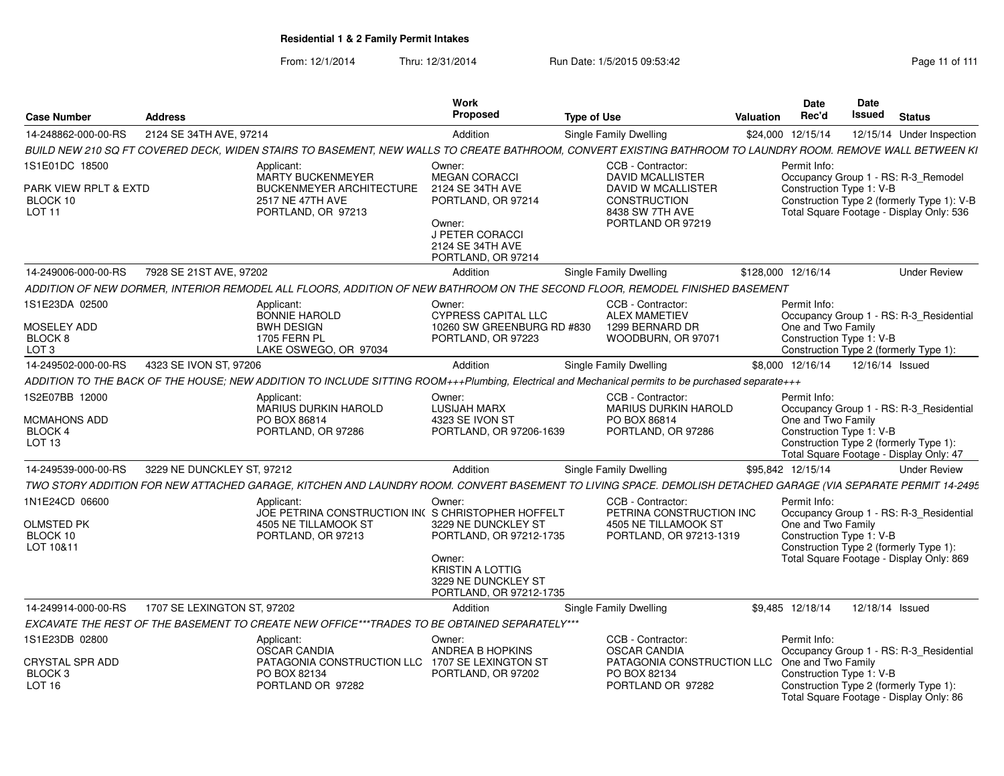|                                                    |                             |                                                                                                                                                               | Work                                                                                                          |                    |                                                                            |                  | <b>Date</b>                                    | Date                                                                              |                                            |
|----------------------------------------------------|-----------------------------|---------------------------------------------------------------------------------------------------------------------------------------------------------------|---------------------------------------------------------------------------------------------------------------|--------------------|----------------------------------------------------------------------------|------------------|------------------------------------------------|-----------------------------------------------------------------------------------|--------------------------------------------|
| <b>Case Number</b>                                 | <b>Address</b>              |                                                                                                                                                               | Proposed                                                                                                      | <b>Type of Use</b> |                                                                            | <b>Valuation</b> | Rec'd                                          | <b>Issued</b><br><b>Status</b>                                                    |                                            |
| 14-248862-000-00-RS                                | 2124 SE 34TH AVE, 97214     |                                                                                                                                                               | Addition                                                                                                      |                    | Single Family Dwelling                                                     |                  | \$24,000 12/15/14                              |                                                                                   | 12/15/14 Under Inspection                  |
|                                                    |                             | BUILD NEW 210 SQ FT COVERED DECK, WIDEN STAIRS TO BASEMENT, NEW WALLS TO CREATE BATHROOM, CONVERT EXISTING BATHROOM TO LAUNDRY ROOM. REMOVE WALL BETWEEN KI   |                                                                                                               |                    |                                                                            |                  |                                                |                                                                                   |                                            |
| 1S1E01DC 18500                                     |                             | Applicant:<br><b>MARTY BUCKENMEYER</b>                                                                                                                        | Owner:<br><b>MEGAN CORACCI</b>                                                                                |                    | CCB - Contractor:<br><b>DAVID MCALLISTER</b>                               |                  | Permit Info:                                   | Occupancy Group 1 - RS: R-3 Remodel                                               |                                            |
| PARK VIEW RPLT & EXTD<br>BLOCK 10<br><b>LOT 11</b> |                             | <b>BUCKENMEYER ARCHITECTURE</b><br>2517 NE 47TH AVE<br>PORTLAND, OR 97213                                                                                     | 2124 SE 34TH AVE<br>PORTLAND, OR 97214<br>Owner:<br>J PETER CORACCI<br>2124 SE 34TH AVE<br>PORTLAND, OR 97214 |                    | DAVID W MCALLISTER<br>CONSTRUCTION<br>8438 SW 7TH AVE<br>PORTLAND OR 97219 |                  | Construction Type 1: V-B                       | Total Square Footage - Display Only: 536                                          | Construction Type 2 (formerly Type 1): V-B |
| 14-249006-000-00-RS                                | 7928 SE 21ST AVE, 97202     |                                                                                                                                                               | Addition                                                                                                      |                    | <b>Single Family Dwelling</b>                                              |                  | \$128,000 12/16/14                             |                                                                                   | <b>Under Review</b>                        |
|                                                    |                             | ADDITION OF NEW DORMER. INTERIOR REMODEL ALL FLOORS. ADDITION OF NEW BATHROOM ON THE SECOND FLOOR. REMODEL FINISHED BASEMENT                                  |                                                                                                               |                    |                                                                            |                  |                                                |                                                                                   |                                            |
| 1S1E23DA 02500                                     |                             | Applicant:<br><b>BONNIE HAROLD</b>                                                                                                                            | Owner:<br><b>CYPRESS CAPITAL LLC</b>                                                                          |                    | CCB - Contractor:<br><b>ALEX MAMETIEV</b>                                  |                  | Permit Info:                                   | Occupancy Group 1 - RS: R-3_Residential                                           |                                            |
| MOSELEY ADD                                        |                             | <b>BWH DESIGN</b>                                                                                                                                             | 10260 SW GREENBURG RD #830                                                                                    |                    | 1299 BERNARD DR                                                            |                  | One and Two Family                             |                                                                                   |                                            |
| BLOCK <sub>8</sub><br>LOT <sub>3</sub>             |                             | 1705 FERN PL<br>LAKE OSWEGO, OR 97034                                                                                                                         | PORTLAND, OR 97223                                                                                            |                    | WOODBURN, OR 97071                                                         |                  | Construction Type 1: V-B                       | Construction Type 2 (formerly Type 1):                                            |                                            |
| 14-249502-000-00-RS                                | 4323 SE IVON ST, 97206      |                                                                                                                                                               | Addition                                                                                                      |                    | Single Family Dwelling                                                     |                  | \$8,000 12/16/14                               | 12/16/14 Issued                                                                   |                                            |
|                                                    |                             | ADDITION TO THE BACK OF THE HOUSE; NEW ADDITION TO INCLUDE SITTING ROOM+++Plumbing, Electrical and Mechanical permits to be purchased separate+++             |                                                                                                               |                    |                                                                            |                  |                                                |                                                                                   |                                            |
| 1S2E07BB 12000                                     |                             | Applicant:                                                                                                                                                    | Owner:                                                                                                        |                    | CCB - Contractor:                                                          |                  | Permit Info:                                   |                                                                                   |                                            |
|                                                    |                             | MARIUS DURKIN HAROLD                                                                                                                                          | <b>LUSIJAH MARX</b>                                                                                           |                    | MARIUS DURKIN HAROLD                                                       |                  |                                                | Occupancy Group 1 - RS: R-3_Residential                                           |                                            |
| MCMAHONS ADD<br>BLOCK 4                            |                             | PO BOX 86814<br>PORTLAND, OR 97286                                                                                                                            | 4323 SE IVON ST<br>PORTLAND, OR 97206-1639                                                                    |                    | PO BOX 86814<br>PORTLAND, OR 97286                                         |                  | One and Two Family<br>Construction Type 1: V-B |                                                                                   |                                            |
| LOT <sub>13</sub>                                  |                             |                                                                                                                                                               |                                                                                                               |                    |                                                                            |                  |                                                | Construction Type 2 (formerly Type 1):<br>Total Square Footage - Display Only: 47 |                                            |
| 14-249539-000-00-RS                                | 3229 NE DUNCKLEY ST, 97212  |                                                                                                                                                               | Addition                                                                                                      |                    | <b>Single Family Dwelling</b>                                              |                  | \$95,842 12/15/14                              |                                                                                   | <b>Under Review</b>                        |
|                                                    |                             | TWO STORY ADDITION FOR NEW ATTACHED GARAGE, KITCHEN AND LAUNDRY ROOM. CONVERT BASEMENT TO LIVING SPACE. DEMOLISH DETACHED GARAGE (VIA SEPARATE PERMIT 14-2495 |                                                                                                               |                    |                                                                            |                  |                                                |                                                                                   |                                            |
| 1N1E24CD 06600                                     |                             | Applicant:<br>JOE PETRINA CONSTRUCTION IN( S CHRISTOPHER HOFFELT                                                                                              | Owner:                                                                                                        |                    | CCB - Contractor:<br>PETRINA CONSTRUCTION INC                              |                  | Permit Info:                                   | Occupancy Group 1 - RS: R-3_Residential                                           |                                            |
| <b>OLMSTED PK</b><br>BLOCK 10                      |                             | 4505 NE TILLAMOOK ST<br>PORTLAND, OR 97213                                                                                                                    | 3229 NE DUNCKLEY ST<br>PORTLAND, OR 97212-1735                                                                |                    | 4505 NE TILLAMOOK ST<br>PORTLAND, OR 97213-1319                            |                  | One and Two Family<br>Construction Type 1: V-B |                                                                                   |                                            |
| LOT 10&11                                          |                             |                                                                                                                                                               |                                                                                                               |                    |                                                                            |                  |                                                | Construction Type 2 (formerly Type 1):                                            |                                            |
|                                                    |                             |                                                                                                                                                               | Owner:<br><b>KRISTIN A LOTTIG</b><br>3229 NE DUNCKLEY ST<br>PORTLAND, OR 97212-1735                           |                    |                                                                            |                  |                                                | Total Square Footage - Display Only: 869                                          |                                            |
| 14-249914-000-00-RS                                | 1707 SE LEXINGTON ST, 97202 |                                                                                                                                                               | Addition                                                                                                      |                    | Single Family Dwelling                                                     |                  | \$9,485 12/18/14                               | 12/18/14 Issued                                                                   |                                            |
|                                                    |                             | EXCAVATE THE REST OF THE BASEMENT TO CREATE NEW OFFICE***TRADES TO BE OBTAINED SEPARATELY***                                                                  |                                                                                                               |                    |                                                                            |                  |                                                |                                                                                   |                                            |
| 1S1E23DB 02800                                     |                             | Applicant:<br><b>OSCAR CANDIA</b>                                                                                                                             | Owner:<br>ANDREA B HOPKINS                                                                                    |                    | CCB - Contractor:<br><b>OSCAR CANDIA</b>                                   |                  | Permit Info:                                   |                                                                                   | Occupancy Group 1 - RS: R-3_Residential    |
| CRYSTAL SPR ADD                                    |                             | PATAGONIA CONSTRUCTION LLC                                                                                                                                    | 1707 SE LEXINGTON ST                                                                                          |                    | PATAGONIA CONSTRUCTION LLC                                                 |                  | One and Two Family                             |                                                                                   |                                            |
| BLOCK <sub>3</sub><br>LOT <sub>16</sub>            |                             | PO BOX 82134<br>PORTLAND OR 97282                                                                                                                             | PORTLAND, OR 97202                                                                                            |                    | PO BOX 82134<br>PORTLAND OR 97282                                          |                  | Construction Type 1: V-B                       | Construction Type 2 (formerly Type 1):                                            |                                            |
|                                                    |                             |                                                                                                                                                               |                                                                                                               |                    |                                                                            |                  |                                                | Total Square Footage - Display Only: 86                                           |                                            |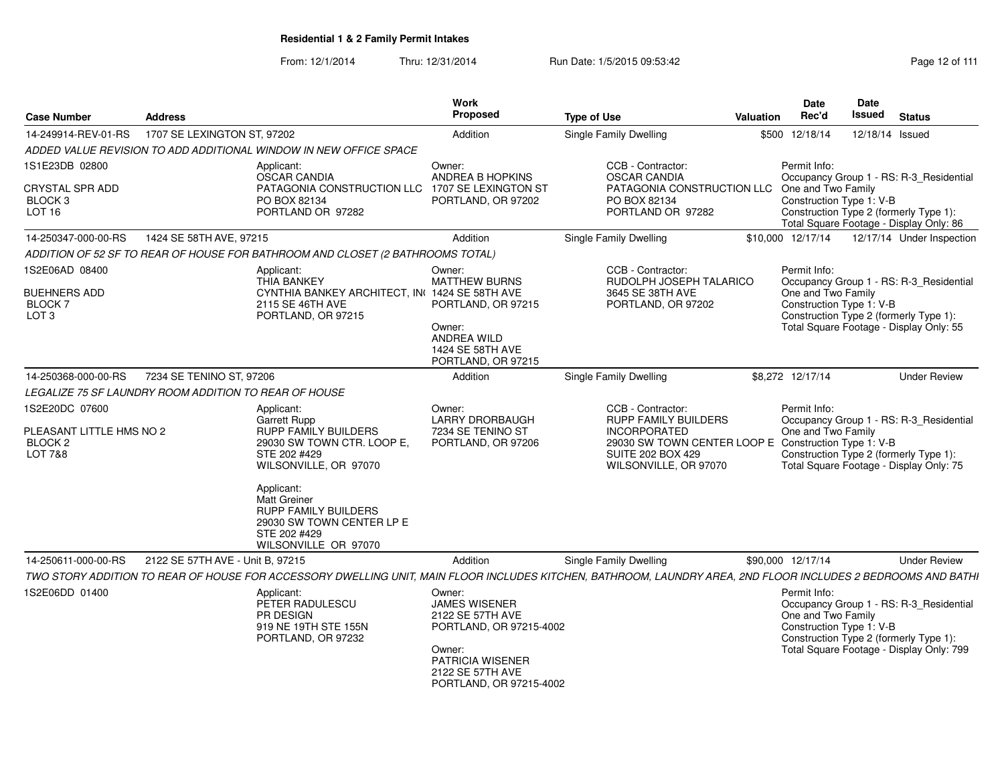| <b>Case Number</b>                                                                     | <b>Address</b>                   |                                                                                                                                                                                                                                                                    | Work<br><b>Proposed</b>                                                                                                                                    | <b>Type of Use</b> |                                                                                                                                                                               | Valuation | Date<br>Rec'd                                                                                                                                                                                  | <b>Date</b><br><b>Issued</b> | <b>Status</b>                                                                                                                 |
|----------------------------------------------------------------------------------------|----------------------------------|--------------------------------------------------------------------------------------------------------------------------------------------------------------------------------------------------------------------------------------------------------------------|------------------------------------------------------------------------------------------------------------------------------------------------------------|--------------------|-------------------------------------------------------------------------------------------------------------------------------------------------------------------------------|-----------|------------------------------------------------------------------------------------------------------------------------------------------------------------------------------------------------|------------------------------|-------------------------------------------------------------------------------------------------------------------------------|
| 14-249914-REV-01-RS                                                                    | 1707 SE LEXINGTON ST, 97202      |                                                                                                                                                                                                                                                                    | Addition                                                                                                                                                   |                    | Single Family Dwelling                                                                                                                                                        |           | \$500 12/18/14                                                                                                                                                                                 |                              | 12/18/14 Issued                                                                                                               |
|                                                                                        |                                  | ADDED VALUE REVISION TO ADD ADDITIONAL WINDOW IN NEW OFFICE SPACE                                                                                                                                                                                                  |                                                                                                                                                            |                    |                                                                                                                                                                               |           |                                                                                                                                                                                                |                              |                                                                                                                               |
| 1S1E23DB 02800<br><b>CRYSTAL SPR ADD</b><br>BLOCK 3<br>LOT <sub>16</sub>               |                                  | Applicant:<br><b>OSCAR CANDIA</b><br>PATAGONIA CONSTRUCTION LLC<br>PO BOX 82134<br>PORTLAND OR 97282                                                                                                                                                               | Owner:<br>ANDREA B HOPKINS<br>1707 SE LEXINGTON ST<br>PORTLAND, OR 97202                                                                                   |                    | CCB - Contractor:<br><b>OSCAR CANDIA</b><br>PATAGONIA CONSTRUCTION LLC<br>PO BOX 82134<br>PORTLAND OR 97282                                                                   |           | Permit Info:<br>Occupancy Group 1 - RS: R-3_Residential<br>One and Two Family<br>Construction Type 1: V-B<br>Construction Type 2 (formerly Type 1):<br>Total Square Footage - Display Only: 86 |                              |                                                                                                                               |
| 14-250347-000-00-RS                                                                    | 1424 SE 58TH AVE, 97215          |                                                                                                                                                                                                                                                                    | Addition                                                                                                                                                   |                    | <b>Single Family Dwelling</b>                                                                                                                                                 |           | \$10,000 12/17/14                                                                                                                                                                              |                              | 12/17/14 Under Inspection                                                                                                     |
|                                                                                        |                                  | ADDITION OF 52 SF TO REAR OF HOUSE FOR BATHROOM AND CLOSET (2 BATHROOMS TOTAL)                                                                                                                                                                                     |                                                                                                                                                            |                    |                                                                                                                                                                               |           |                                                                                                                                                                                                |                              |                                                                                                                               |
| 1S2E06AD 08400<br><b>BUEHNERS ADD</b><br><b>BLOCK 7</b><br>LOT <sub>3</sub>            |                                  | Applicant:<br>THIA BANKEY<br>CYNTHIA BANKEY ARCHITECT, IN( 1424 SE 58TH AVE<br>2115 SE 46TH AVE<br>PORTLAND, OR 97215                                                                                                                                              | Owner:<br><b>MATTHEW BURNS</b><br>PORTLAND, OR 97215<br>Owner:<br>ANDREA WILD<br>1424 SE 58TH AVE<br>PORTLAND, OR 97215                                    |                    | CCB - Contractor:<br>RUDOLPH JOSEPH TALARICO<br>3645 SE 38TH AVE<br>PORTLAND, OR 97202                                                                                        |           | Permit Info:<br>One and Two Family<br>Construction Type 1: V-B                                                                                                                                 |                              | Occupancy Group 1 - RS: R-3 Residential<br>Construction Type 2 (formerly Type 1):<br>Total Square Footage - Display Only: 55  |
| 14-250368-000-00-RS                                                                    | 7234 SE TENINO ST. 97206         |                                                                                                                                                                                                                                                                    | Addition                                                                                                                                                   |                    | Single Family Dwelling                                                                                                                                                        |           | \$8,272 12/17/14                                                                                                                                                                               |                              | <b>Under Review</b>                                                                                                           |
| LEGALIZE 75 SF LAUNDRY ROOM ADDITION TO REAR OF HOUSE                                  |                                  |                                                                                                                                                                                                                                                                    |                                                                                                                                                            |                    |                                                                                                                                                                               |           |                                                                                                                                                                                                |                              |                                                                                                                               |
| 1S2E20DC 07600<br>PLEASANT LITTLE HMS NO 2<br>BLOCK <sub>2</sub><br><b>LOT 7&amp;8</b> |                                  | Applicant:<br>Garrett Rupp<br><b>RUPP FAMILY BUILDERS</b><br>29030 SW TOWN CTR. LOOP E.<br>STE 202 #429<br>WILSONVILLE, OR 97070<br>Applicant:<br><b>Matt Greiner</b><br>RUPP FAMILY BUILDERS<br>29030 SW TOWN CENTER LP E<br>STE 202 #429<br>WILSONVILLE OR 97070 | Owner:<br><b>LARRY DRORBAUGH</b><br>7234 SE TENINO ST<br>PORTLAND, OR 97206                                                                                |                    | CCB - Contractor:<br>RUPP FAMILY BUILDERS<br><b>INCORPORATED</b><br>29030 SW TOWN CENTER LOOP E Construction Type 1: V-B<br><b>SUITE 202 BOX 429</b><br>WILSONVILLE, OR 97070 |           | Permit Info:<br>One and Two Family                                                                                                                                                             |                              | Occupancy Group 1 - RS: R-3_Residential<br>Construction Type 2 (formerly Type 1):<br>Total Square Footage - Display Only: 75  |
| 14-250611-000-00-RS                                                                    | 2122 SE 57TH AVE - Unit B, 97215 |                                                                                                                                                                                                                                                                    | Addition                                                                                                                                                   |                    | <b>Single Family Dwelling</b>                                                                                                                                                 |           | \$90,000 12/17/14                                                                                                                                                                              |                              | <b>Under Review</b>                                                                                                           |
|                                                                                        |                                  | TWO STORY ADDITION TO REAR OF HOUSE FOR ACCESSORY DWELLING UNIT, MAIN FLOOR INCLUDES KITCHEN, BATHROOM, LAUNDRY AREA, 2ND FLOOR INCLUDES 2 BEDROOMS AND BATHI                                                                                                      |                                                                                                                                                            |                    |                                                                                                                                                                               |           |                                                                                                                                                                                                |                              |                                                                                                                               |
| 1S2E06DD 01400                                                                         |                                  | Applicant:<br>PETER RADULESCU<br>PR DESIGN<br>919 NE 19TH STE 155N<br>PORTLAND, OR 97232                                                                                                                                                                           | Owner:<br><b>JAMES WISENER</b><br>2122 SE 57TH AVE<br>PORTLAND, OR 97215-4002<br>Owner:<br>PATRICIA WISENER<br>2122 SE 57TH AVE<br>PORTLAND, OR 97215-4002 |                    |                                                                                                                                                                               |           | Permit Info:<br>One and Two Family<br>Construction Type 1: V-B                                                                                                                                 |                              | Occupancy Group 1 - RS: R-3_Residential<br>Construction Type 2 (formerly Type 1):<br>Total Square Footage - Display Only: 799 |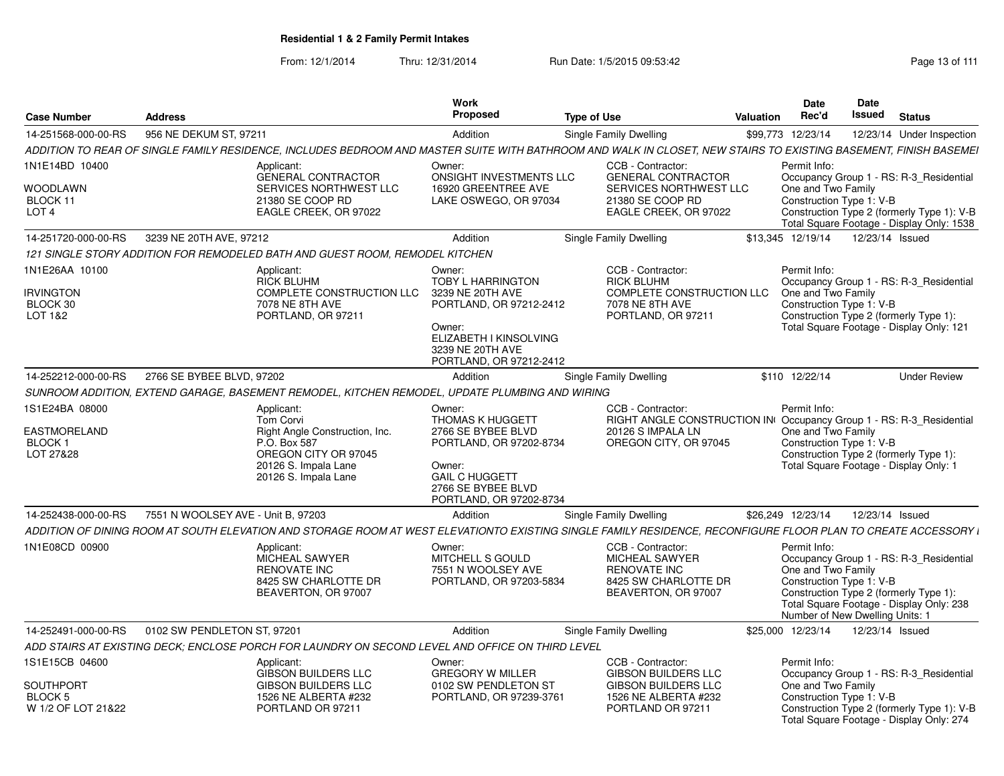| <b>Case Number</b>                                                  | <b>Address</b>                     |                                                                                                                                                                  | Work<br>Proposed                                                                                                                                                     |                                                                                                                                        | <b>Valuation</b> | Date<br>Rec'd                                                                                     | <b>Date</b><br>Issued | <b>Status</b>                                                                                                                      |
|---------------------------------------------------------------------|------------------------------------|------------------------------------------------------------------------------------------------------------------------------------------------------------------|----------------------------------------------------------------------------------------------------------------------------------------------------------------------|----------------------------------------------------------------------------------------------------------------------------------------|------------------|---------------------------------------------------------------------------------------------------|-----------------------|------------------------------------------------------------------------------------------------------------------------------------|
|                                                                     | 956 NE DEKUM ST, 97211             |                                                                                                                                                                  |                                                                                                                                                                      | <b>Type of Use</b>                                                                                                                     |                  |                                                                                                   |                       |                                                                                                                                    |
| 14-251568-000-00-RS                                                 |                                    | ADDITION TO REAR OF SINGLE FAMILY RESIDENCE, INCLUDES BEDROOM AND MASTER SUITE WITH BATHROOM AND WALK IN CLOSET, NEW STAIRS TO EXISTING BASEMENT, FINISH BASEMEI | Addition                                                                                                                                                             | Single Family Dwelling                                                                                                                 |                  | \$99,773 12/23/14                                                                                 |                       | 12/23/14 Under Inspection                                                                                                          |
| 1N1E14BD 10400<br>WOODLAWN<br>BLOCK 11<br>LOT 4                     |                                    | Applicant:<br><b>GENERAL CONTRACTOR</b><br>SERVICES NORTHWEST LLC<br>21380 SE COOP RD<br>EAGLE CREEK, OR 97022                                                   | Owner:<br>ONSIGHT INVESTMENTS LLC<br>16920 GREENTREE AVE<br>LAKE OSWEGO, OR 97034                                                                                    | CCB - Contractor:<br><b>GENERAL CONTRACTOR</b><br>SERVICES NORTHWEST LLC<br>21380 SE COOP RD<br>EAGLE CREEK, OR 97022                  |                  | Permit Info:<br>One and Two Family<br>Construction Type 1: V-B                                    |                       | Occupancy Group 1 - RS: R-3 Residential<br>Construction Type 2 (formerly Type 1): V-B<br>Total Square Footage - Display Only: 1538 |
| 14-251720-000-00-RS                                                 | 3239 NE 20TH AVE, 97212            |                                                                                                                                                                  | Addition                                                                                                                                                             | Single Family Dwelling                                                                                                                 |                  | \$13.345 12/19/14                                                                                 | 12/23/14 Issued       |                                                                                                                                    |
|                                                                     |                                    | 121 SINGLE STORY ADDITION FOR REMODELED BATH AND GUEST ROOM, REMODEL KITCHEN                                                                                     |                                                                                                                                                                      |                                                                                                                                        |                  |                                                                                                   |                       |                                                                                                                                    |
| 1N1E26AA 10100<br><b>IRVINGTON</b><br>BLOCK 30<br>LOT 1&2           |                                    | Applicant:<br><b>RICK BLUHM</b><br>COMPLETE CONSTRUCTION LLC<br>7078 NE 8TH AVE<br>PORTLAND, OR 97211                                                            | Owner:<br><b>TOBY L HARRINGTON</b><br>3239 NE 20TH AVE<br>PORTLAND, OR 97212-2412<br>Owner:<br>ELIZABETH I KINSOLVING<br>3239 NE 20TH AVE<br>PORTLAND, OR 97212-2412 | CCB - Contractor:<br><b>RICK BLUHM</b><br>COMPLETE CONSTRUCTION LLC<br>7078 NE 8TH AVE<br>PORTLAND, OR 97211                           |                  | Permit Info:<br>One and Two Family<br>Construction Type 1: V-B                                    |                       | Occupancy Group 1 - RS: R-3 Residential<br>Construction Type 2 (formerly Type 1):<br>Total Square Footage - Display Only: 121      |
| 14-252212-000-00-RS                                                 | 2766 SE BYBEE BLVD, 97202          |                                                                                                                                                                  | Addition                                                                                                                                                             | Single Family Dwelling                                                                                                                 |                  | \$110 12/22/14                                                                                    |                       | <b>Under Review</b>                                                                                                                |
|                                                                     |                                    | SUNROOM ADDITION, EXTEND GARAGE, BASEMENT REMODEL, KITCHEN REMODEL, UPDATE PLUMBING AND WIRING                                                                   |                                                                                                                                                                      |                                                                                                                                        |                  |                                                                                                   |                       |                                                                                                                                    |
| 1S1E24BA 08000<br>EASTMORELAND<br><b>BLOCK1</b><br>LOT 27&28        |                                    | Applicant:<br>Tom Corvi<br>Right Angle Construction, Inc.<br>P.O. Box 587<br>OREGON CITY OR 97045<br>20126 S. Impala Lane<br>20126 S. Impala Lane                | Owner:<br>THOMAS K HUGGETT<br>2766 SE BYBEE BLVD<br>PORTLAND, OR 97202-8734<br>Owner:<br><b>GAIL C HUGGETT</b><br>2766 SE BYBEE BLVD<br>PORTLAND, OR 97202-8734      | CCB - Contractor:<br>RIGHT ANGLE CONSTRUCTION IN Occupancy Group 1 - RS: R-3 Residential<br>20126 S IMPALA LN<br>OREGON CITY, OR 97045 |                  | Permit Info:<br>One and Two Family<br>Construction Type 1: V-B                                    |                       | Construction Type 2 (formerly Type 1):<br>Total Square Footage - Display Only: 1                                                   |
| 14-252438-000-00-RS                                                 | 7551 N WOOLSEY AVE - Unit B, 97203 |                                                                                                                                                                  | Addition                                                                                                                                                             | Single Family Dwelling                                                                                                                 |                  | \$26,249 12/23/14                                                                                 | 12/23/14 Issued       |                                                                                                                                    |
|                                                                     |                                    | ADDITION OF DINING ROOM AT SOUTH ELEVATION AND STORAGE ROOM AT WEST ELEVATIONTO EXISTING SINGLE FAMILY RESIDENCE. RECONFIGURE FLOOR PLAN TO CREATE ACCESSORY I   |                                                                                                                                                                      |                                                                                                                                        |                  |                                                                                                   |                       |                                                                                                                                    |
| 1N1E08CD 00900                                                      |                                    | Applicant:<br><b>MICHEAL SAWYER</b><br><b>RENOVATE INC</b><br>8425 SW CHARLOTTE DR<br>BEAVERTON, OR 97007                                                        | Owner:<br>MITCHELL S GOULD<br>7551 N WOOLSEY AVE<br>PORTLAND, OR 97203-5834                                                                                          | CCB - Contractor:<br><b>MICHEAL SAWYER</b><br><b>RENOVATE INC</b><br>8425 SW CHARLOTTE DR<br>BEAVERTON, OR 97007                       |                  | Permit Info:<br>One and Two Family<br>Construction Type 1: V-B<br>Number of New Dwelling Units: 1 |                       | Occupancy Group 1 - RS: R-3 Residential<br>Construction Type 2 (formerly Type 1):<br>Total Square Footage - Display Only: 238      |
| 14-252491-000-00-RS                                                 | 0102 SW PENDLETON ST, 97201        |                                                                                                                                                                  | Addition                                                                                                                                                             | Single Family Dwelling                                                                                                                 |                  | \$25,000 12/23/14                                                                                 | 12/23/14 Issued       |                                                                                                                                    |
|                                                                     |                                    | ADD STAIRS AT EXISTING DECK: ENCLOSE PORCH FOR LAUNDRY ON SECOND LEVEL AND OFFICE ON THIRD LEVEL                                                                 |                                                                                                                                                                      |                                                                                                                                        |                  |                                                                                                   |                       |                                                                                                                                    |
| 1S1E15CB 04600<br><b>SOUTHPORT</b><br>BLOCK 5<br>W 1/2 OF LOT 21&22 |                                    | Applicant:<br><b>GIBSON BUILDERS LLC</b><br><b>GIBSON BUILDERS LLC</b><br>1526 NE ALBERTA #232<br>PORTLAND OR 97211                                              | Owner:<br><b>GREGORY W MILLER</b><br>0102 SW PENDLETON ST<br>PORTLAND, OR 97239-3761                                                                                 | CCB - Contractor:<br><b>GIBSON BUILDERS LLC</b><br><b>GIBSON BUILDERS LLC</b><br>1526 NE ALBERTA #232<br>PORTLAND OR 97211             |                  | Permit Info:<br>One and Two Family<br>Construction Type 1: V-B                                    |                       | Occupancy Group 1 - RS: R-3 Residential<br>Construction Type 2 (formerly Type 1): V-B<br>Total Square Footage - Display Only: 274  |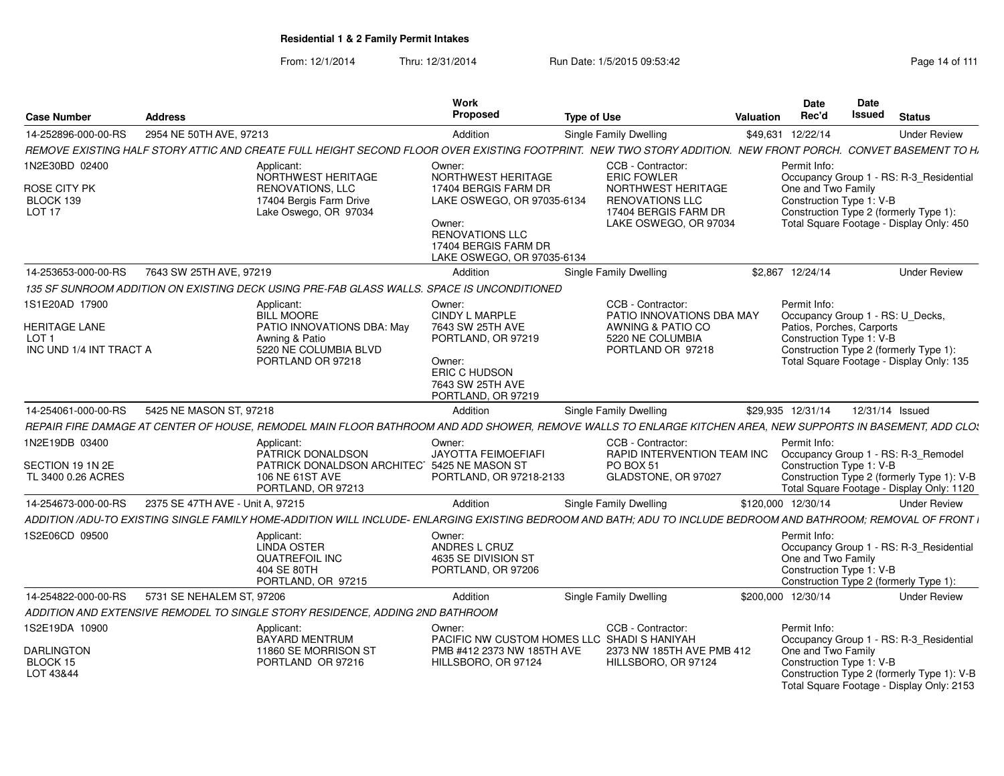| Case Number                                                                           | <b>Address</b>                   |                                                                                                                                                                  | <b>Work</b><br><b>Proposed</b>                                                                                                          | <b>Type of Use</b>                                                                                                                       | Valuation | <b>Date</b><br>Rec'd                                                                                                                                                                            | <b>Date</b><br><b>Issued</b> | <b>Status</b>                                                                                                                      |
|---------------------------------------------------------------------------------------|----------------------------------|------------------------------------------------------------------------------------------------------------------------------------------------------------------|-----------------------------------------------------------------------------------------------------------------------------------------|------------------------------------------------------------------------------------------------------------------------------------------|-----------|-------------------------------------------------------------------------------------------------------------------------------------------------------------------------------------------------|------------------------------|------------------------------------------------------------------------------------------------------------------------------------|
| 14-252896-000-00-RS                                                                   | 2954 NE 50TH AVE, 97213          |                                                                                                                                                                  | Addition                                                                                                                                | <b>Single Family Dwelling</b>                                                                                                            |           | \$49,631 12/22/14                                                                                                                                                                               |                              | <b>Under Review</b>                                                                                                                |
|                                                                                       |                                  | REMOVE EXISTING HALF STORY ATTIC AND CREATE FULL HEIGHT SECOND FLOOR OVER EXISTING FOOTPRINT. NEW TWO STORY ADDITION. NEW FRONT PORCH. CONVET BASEMENT TO H      |                                                                                                                                         |                                                                                                                                          |           |                                                                                                                                                                                                 |                              |                                                                                                                                    |
| 1N2E30BD 02400<br>ROSE CITY PK<br>BLOCK 139<br>LOT <sub>17</sub>                      |                                  | Applicant:<br>NORTHWEST HERITAGE<br>RENOVATIONS, LLC<br>17404 Bergis Farm Drive<br>Lake Oswego, OR 97034                                                         | Owner:<br>NORTHWEST HERITAGE<br>17404 BERGIS FARM DR<br>LAKE OSWEGO, OR 97035-6134<br>Owner:<br><b>RENOVATIONS LLC</b>                  | CCB - Contractor:<br><b>ERIC FOWLER</b><br>NORTHWEST HERITAGE<br><b>RENOVATIONS LLC</b><br>17404 BERGIS FARM DR<br>LAKE OSWEGO, OR 97034 |           | Permit Info:<br>One and Two Family<br>Construction Type 1: V-B<br>Construction Type 2 (formerly Type 1):                                                                                        |                              | Occupancy Group 1 - RS: R-3_Residential<br>Total Square Footage - Display Only: 450                                                |
|                                                                                       |                                  |                                                                                                                                                                  | 17404 BERGIS FARM DR<br>LAKE OSWEGO, OR 97035-6134                                                                                      |                                                                                                                                          |           |                                                                                                                                                                                                 |                              |                                                                                                                                    |
| 14-253653-000-00-RS                                                                   | 7643 SW 25TH AVE, 97219          |                                                                                                                                                                  | Addition                                                                                                                                | Single Family Dwelling                                                                                                                   |           | \$2,867 12/24/14                                                                                                                                                                                |                              | <b>Under Review</b>                                                                                                                |
|                                                                                       |                                  | 135 SF SUNROOM ADDITION ON EXISTING DECK USING PRE-FAB GLASS WALLS. SPACE IS UNCONDITIONED                                                                       |                                                                                                                                         |                                                                                                                                          |           |                                                                                                                                                                                                 |                              |                                                                                                                                    |
| 1S1E20AD 17900<br><b>HERITAGE LANE</b><br>LOT <sub>1</sub><br>INC UND 1/4 INT TRACT A |                                  | Applicant:<br><b>BILL MOORE</b><br>PATIO INNOVATIONS DBA: May<br>Awning & Patio<br>5220 NE COLUMBIA BLVD<br>PORTLAND OR 97218                                    | Owner:<br>CINDY L MARPLE<br>7643 SW 25TH AVE<br>PORTLAND, OR 97219<br>Owner:<br>ERIC C HUDSON<br>7643 SW 25TH AVE<br>PORTLAND, OR 97219 | CCB - Contractor:<br>PATIO INNOVATIONS DBA MAY<br>AWNING & PATIO CO<br>5220 NE COLUMBIA<br>PORTLAND OR 97218                             |           | Permit Info:<br>Occupancy Group 1 - RS: U Decks,<br>Patios, Porches, Carports<br>Construction Type 1: V-B<br>Construction Type 2 (formerly Type 1):<br>Total Square Footage - Display Only: 135 |                              |                                                                                                                                    |
| 14-254061-000-00-RS                                                                   | 5425 NE MASON ST, 97218          |                                                                                                                                                                  | Addition                                                                                                                                | Single Family Dwelling                                                                                                                   |           | \$29.935 12/31/14                                                                                                                                                                               | 12/31/14 Issued              |                                                                                                                                    |
|                                                                                       |                                  | REPAIR FIRE DAMAGE AT CENTER OF HOUSE, REMODEL MAIN FLOOR BATHROOM AND ADD SHOWER, REMOVE WALLS TO ENLARGE KITCHEN AREA, NEW SUPPORTS IN BASEMENT, ADD CLO.      |                                                                                                                                         |                                                                                                                                          |           |                                                                                                                                                                                                 |                              |                                                                                                                                    |
| 1N2E19DB 03400<br>SECTION 19 1N 2E<br>TL 3400 0.26 ACRES                              |                                  | Applicant:<br>PATRICK DONALDSON<br>PATRICK DONALDSON ARCHITEC 5425 NE MASON ST<br><b>106 NE 61ST AVE</b><br>PORTLAND, OR 97213                                   | Owner:<br><b>JAYOTTA FEIMOEFIAFI</b><br>PORTLAND, OR 97218-2133                                                                         | CCB - Contractor:<br>RAPID INTERVENTION TEAM INC<br>PO BOX 51<br>GLADSTONE, OR 97027                                                     |           | Permit Info:<br>Occupancy Group 1 - RS: R-3_Remodel<br>Construction Type 1: V-B                                                                                                                 |                              | Construction Type 2 (formerly Type 1): V-B<br>Total Square Footage - Display Only: 1120                                            |
| 14-254673-000-00-RS                                                                   | 2375 SE 47TH AVE - Unit A. 97215 |                                                                                                                                                                  | Addition                                                                                                                                | Single Family Dwelling                                                                                                                   |           | \$120,000 12/30/14                                                                                                                                                                              |                              | <b>Under Review</b>                                                                                                                |
|                                                                                       |                                  | ADDITION /ADU-TO EXISTING SINGLE FAMILY HOME-ADDITION WILL INCLUDE- ENLARGING EXISTING BEDROOM AND BATH: ADU TO INCLUDE BEDROOM AND BATHROOM: REMOVAL OF FRONT I |                                                                                                                                         |                                                                                                                                          |           |                                                                                                                                                                                                 |                              |                                                                                                                                    |
| 1S2E06CD 09500                                                                        |                                  | Applicant:<br><b>LINDA OSTER</b><br><b>QUATREFOIL INC</b><br>404 SE 80TH<br>PORTLAND, OR 97215                                                                   | Owner:<br>ANDRES L CRUZ<br>4635 SE DIVISION ST<br>PORTLAND, OR 97206                                                                    |                                                                                                                                          |           | Permit Info:<br>One and Two Family<br>Construction Type 1: V-B<br>Construction Type 2 (formerly Type 1):                                                                                        |                              | Occupancy Group 1 - RS: R-3_Residential                                                                                            |
| 14-254822-000-00-RS                                                                   | 5731 SE NEHALEM ST, 97206        |                                                                                                                                                                  | Addition                                                                                                                                | <b>Single Family Dwelling</b>                                                                                                            |           | \$200,000 12/30/14                                                                                                                                                                              |                              | <b>Under Review</b>                                                                                                                |
|                                                                                       |                                  | ADDITION AND EXTENSIVE REMODEL TO SINGLE STORY RESIDENCE. ADDING 2ND BATHROOM                                                                                    |                                                                                                                                         |                                                                                                                                          |           |                                                                                                                                                                                                 |                              |                                                                                                                                    |
| 1S2E19DA 10900<br><b>DARLINGTON</b><br>BLOCK 15<br>LOT 43&44                          |                                  | Applicant:<br>BAYARD MENTRUM<br>11860 SE MORRISON ST<br>PORTLAND OR 97216                                                                                        | Owner:<br>PMB #412 2373 NW 185TH AVE<br>HILLSBORO, OR 97124                                                                             | CCB - Contractor:<br>PACIFIC NW CUSTOM HOMES LLC SHADI S HANIYAH<br>2373 NW 185TH AVE PMB 412<br>HILLSBORO, OR 97124                     |           | Permit Info:<br>One and Two Family<br>Construction Type 1: V-B                                                                                                                                  |                              | Occupancy Group 1 - RS: R-3_Residential<br>Construction Type 2 (formerly Type 1): V-B<br>Total Square Footage - Display Only: 2153 |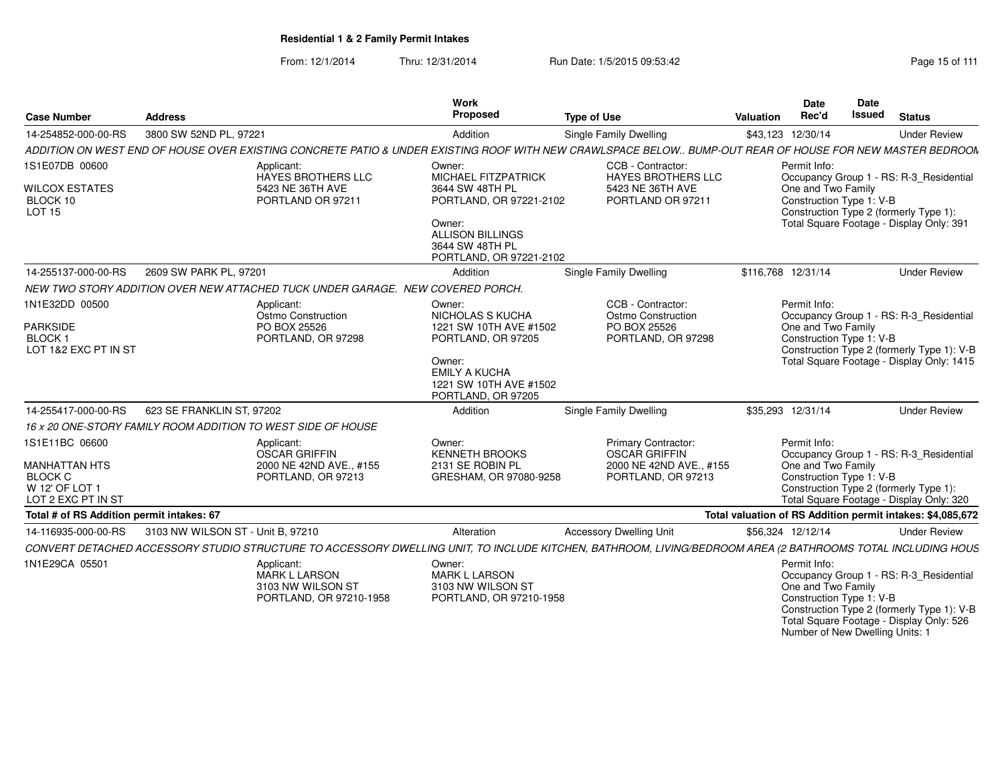From: 12/1/2014Thru: 12/31/2014 Run Date: 1/5/2015 09:53:42 Run Date: 1/5/2015 09:53:42

| <b>Case Number</b>                                                                               | <b>Address</b>                    |                                                                                     | <b>Work</b><br>Proposed                                                                                                                                        | <b>Type of Use</b>                                                                                                                                          | Valuation | Date<br>Rec'd                                                  | <b>Date</b><br><b>Issued</b> | <b>Status</b>                                                                                                                      |
|--------------------------------------------------------------------------------------------------|-----------------------------------|-------------------------------------------------------------------------------------|----------------------------------------------------------------------------------------------------------------------------------------------------------------|-------------------------------------------------------------------------------------------------------------------------------------------------------------|-----------|----------------------------------------------------------------|------------------------------|------------------------------------------------------------------------------------------------------------------------------------|
| 14-254852-000-00-RS                                                                              | 3800 SW 52ND PL, 97221            |                                                                                     | Addition                                                                                                                                                       | Single Family Dwelling                                                                                                                                      |           | \$43,123 12/30/14                                              |                              | <b>Under Review</b>                                                                                                                |
|                                                                                                  |                                   |                                                                                     |                                                                                                                                                                | ADDITION ON WEST END OF HOUSE OVER EXISTING CONCRETE PATIO & UNDER EXISTING ROOF WITH NEW CRAWLSPACE BELOW BUMP-OUT REAR OF HOUSE FOR NEW MASTER BEDROON    |           |                                                                |                              |                                                                                                                                    |
| 1S1E07DB 00600<br><b>WILCOX ESTATES</b><br>BLOCK 10<br>LOT <sub>15</sub>                         |                                   | Applicant:<br>HAYES BROTHERS LLC<br>5423 NE 36TH AVE<br>PORTLAND OR 97211           | Owner:<br>MICHAEL FITZPATRICK<br>3644 SW 48TH PL<br>PORTLAND, OR 97221-2102<br>Owner:<br><b>ALLISON BILLINGS</b><br>3644 SW 48TH PL<br>PORTLAND, OR 97221-2102 | CCB - Contractor:<br><b>HAYES BROTHERS LLC</b><br>5423 NE 36TH AVE<br>PORTLAND OR 97211                                                                     |           | Permit Info:<br>One and Two Family<br>Construction Type 1: V-B |                              | Occupancy Group 1 - RS: R-3 Residential<br>Construction Type 2 (formerly Type 1):<br>Total Square Footage - Display Only: 391      |
| 14-255137-000-00-RS                                                                              | 2609 SW PARK PL, 97201            |                                                                                     | Addition                                                                                                                                                       | <b>Single Family Dwelling</b>                                                                                                                               |           | \$116,768 12/31/14                                             |                              | <b>Under Review</b>                                                                                                                |
|                                                                                                  |                                   | NEW TWO STORY ADDITION OVER NEW ATTACHED TUCK UNDER GARAGE. NEW COVERED PORCH.      |                                                                                                                                                                |                                                                                                                                                             |           |                                                                |                              |                                                                                                                                    |
| 1N1E32DD 00500<br><b>PARKSIDE</b><br>BLOCK <sub>1</sub><br>LOT 1&2 EXC PT IN ST                  |                                   | Applicant:<br>Ostmo Construction<br>PO BOX 25526<br>PORTLAND, OR 97298              | Owner:<br>NICHOLAS S KUCHA<br>1221 SW 10TH AVE #1502<br>PORTLAND, OR 97205<br>Owner:<br><b>EMILY A KUCHA</b><br>1221 SW 10TH AVE #1502<br>PORTLAND, OR 97205   | CCB - Contractor:<br><b>Ostmo Construction</b><br>PO BOX 25526<br>PORTLAND, OR 97298                                                                        |           | Permit Info:<br>One and Two Family<br>Construction Type 1: V-B |                              | Occupancy Group 1 - RS: R-3 Residential<br>Construction Type 2 (formerly Type 1): V-B<br>Total Square Footage - Display Only: 1415 |
| 14-255417-000-00-RS                                                                              | 623 SE FRANKLIN ST, 97202         |                                                                                     | Addition                                                                                                                                                       | <b>Single Family Dwelling</b>                                                                                                                               |           | \$35,293 12/31/14                                              |                              | <b>Under Review</b>                                                                                                                |
|                                                                                                  |                                   | 16 x 20 ONE-STORY FAMILY ROOM ADDITION TO WEST SIDE OF HOUSE                        |                                                                                                                                                                |                                                                                                                                                             |           |                                                                |                              |                                                                                                                                    |
| 1S1E11BC 06600<br><b>MANHATTAN HTS</b><br><b>BLOCK C</b><br>W 12' OF LOT 1<br>LOT 2 EXC PT IN ST |                                   | Applicant:<br><b>OSCAR GRIFFIN</b><br>2000 NE 42ND AVE., #155<br>PORTLAND, OR 97213 | Owner:<br><b>KENNETH BROOKS</b><br>2131 SE ROBIN PL<br>GRESHAM, OR 97080-9258                                                                                  | <b>Primary Contractor:</b><br>OSCAR GRIFFIN<br>2000 NE 42ND AVE., #155<br>PORTLAND, OR 97213                                                                |           | Permit Info:<br>One and Two Family<br>Construction Type 1: V-B |                              | Occupancy Group 1 - RS: R-3_Residential<br>Construction Type 2 (formerly Type 1):<br>Total Square Footage - Display Only: 320      |
| Total # of RS Addition permit intakes: 67                                                        |                                   |                                                                                     |                                                                                                                                                                |                                                                                                                                                             |           |                                                                |                              | Total valuation of RS Addition permit intakes: \$4,085,672                                                                         |
| 14-116935-000-00-RS                                                                              | 3103 NW WILSON ST - Unit B, 97210 |                                                                                     | Alteration                                                                                                                                                     | <b>Accessory Dwelling Unit</b>                                                                                                                              |           | \$56,324 12/12/14                                              |                              | <b>Under Review</b>                                                                                                                |
|                                                                                                  |                                   |                                                                                     |                                                                                                                                                                | CONVERT DETACHED ACCESSORY STUDIO STRUCTURE TO ACCESSORY DWELLING UNIT, TO INCLUDE KITCHEN, BATHROOM, LIVING/BEDROOM AREA (2 BATHROOMS TOTAL INCLUDING HOUS |           |                                                                |                              |                                                                                                                                    |
| 1N1E29CA 05501                                                                                   |                                   | Applicant:<br><b>MARK L LARSON</b><br>3103 NW WILSON ST<br>PORTLAND, OR 97210-1958  | Owner:<br><b>MARK L LARSON</b><br>3103 NW WILSON ST<br>PORTLAND, OR 97210-1958                                                                                 |                                                                                                                                                             |           | Permit Info:<br>One and Two Family<br>Construction Type 1: V-B |                              | Occupancy Group 1 - RS: R-3_Residential<br>Construction Type 2 (formerly Type 1): V-B                                              |

Construction Type 2 (formerly Type 1): V-B Total Square Footage - Display Only: 526 Number of New Dwelling Units: 1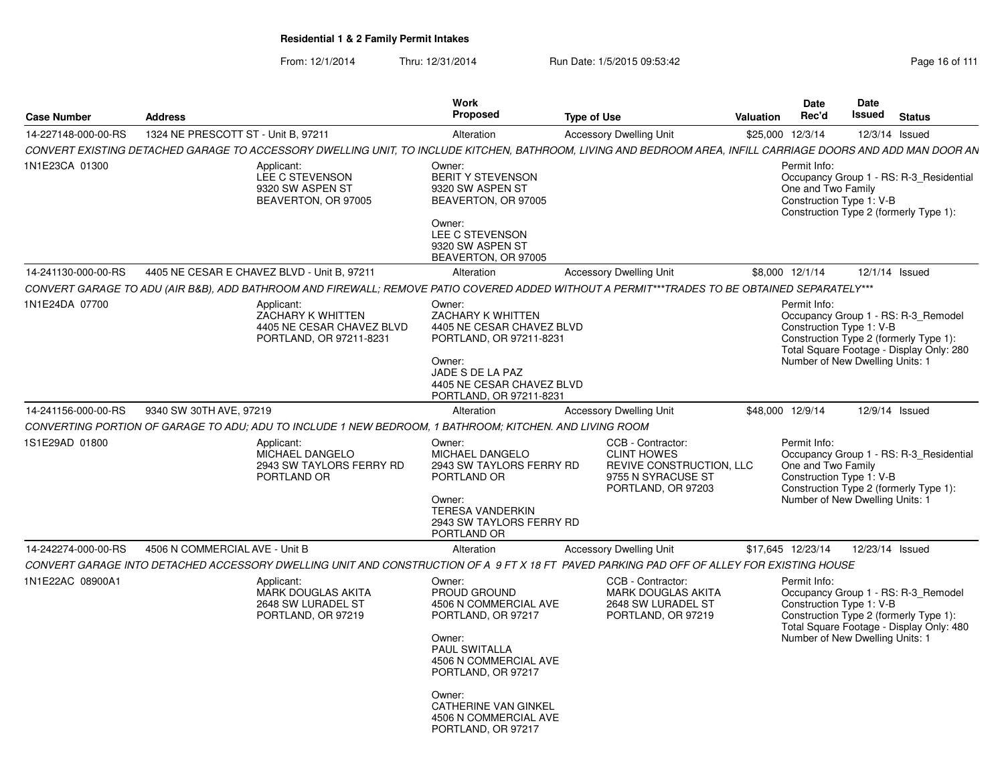| <b>Case Number</b>  | <b>Address</b>                                                                                                                                                | <b>Work</b><br><b>Proposed</b>                                                                                                                                                                                                          | <b>Type of Use</b>                                                                                              | Valuation | <b>Date</b><br>Rec'd               | <b>Date</b><br>Issued                                       | <b>Status</b>                                                                                                             |
|---------------------|---------------------------------------------------------------------------------------------------------------------------------------------------------------|-----------------------------------------------------------------------------------------------------------------------------------------------------------------------------------------------------------------------------------------|-----------------------------------------------------------------------------------------------------------------|-----------|------------------------------------|-------------------------------------------------------------|---------------------------------------------------------------------------------------------------------------------------|
| 14-227148-000-00-RS | 1324 NE PRESCOTT ST - Unit B, 97211                                                                                                                           | Alteration                                                                                                                                                                                                                              | <b>Accessory Dwelling Unit</b>                                                                                  |           | \$25,000 12/3/14                   |                                                             | 12/3/14 Issued                                                                                                            |
|                     | CONVERT EXISTING DETACHED GARAGE TO ACCESSORY DWELLING UNIT, TO INCLUDE KITCHEN, BATHROOM, LIVING AND BEDROOM AREA, INFILL CARRIAGE DOORS AND ADD MAN DOOR AN |                                                                                                                                                                                                                                         |                                                                                                                 |           |                                    |                                                             |                                                                                                                           |
| 1N1E23CA 01300      | Applicant:<br>LEE C STEVENSON<br>9320 SW ASPEN ST<br>BEAVERTON, OR 97005                                                                                      | Owner:<br>BERIT Y STEVENSON<br>9320 SW ASPEN ST<br>BEAVERTON, OR 97005<br>Owner:<br>LEE C STEVENSON<br>9320 SW ASPEN ST<br>BEAVERTON, OR 97005                                                                                          |                                                                                                                 |           | Permit Info:<br>One and Two Family | Construction Type 1: V-B                                    | Occupancy Group 1 - RS: R-3_Residential<br>Construction Type 2 (formerly Type 1):                                         |
| 14-241130-000-00-RS | 4405 NE CESAR E CHAVEZ BLVD - Unit B, 97211                                                                                                                   | Alteration                                                                                                                                                                                                                              | <b>Accessory Dwelling Unit</b>                                                                                  |           | \$8,000 12/1/14                    |                                                             | 12/1/14 Issued                                                                                                            |
|                     | CONVERT GARAGE TO ADU (AIR B&B), ADD BATHROOM AND FIREWALL; REMOVE PATIO COVERED ADDED WITHOUT A PERMIT***TRADES TO BE OBTAINED SEPARATELY***                 |                                                                                                                                                                                                                                         |                                                                                                                 |           |                                    |                                                             |                                                                                                                           |
| 1N1E24DA 07700      | Applicant:<br>ZACHARY K WHITTEN<br>4405 NE CESAR CHAVEZ BLVD<br>PORTLAND, OR 97211-8231                                                                       | Owner:<br>ZACHARY K WHITTEN<br>4405 NE CESAR CHAVEZ BLVD<br>PORTLAND, OR 97211-8231<br>Owner:<br>JADE S DE LA PAZ<br>4405 NE CESAR CHAVEZ BLVD<br>PORTLAND, OR 97211-8231                                                               |                                                                                                                 |           | Permit Info:                       | Construction Type 1: V-B<br>Number of New Dwelling Units: 1 | Occupancy Group 1 - RS: R-3_Remodel<br>Construction Type 2 (formerly Type 1):<br>Total Square Footage - Display Only: 280 |
| 14-241156-000-00-RS | 9340 SW 30TH AVE, 97219                                                                                                                                       | Alteration                                                                                                                                                                                                                              | <b>Accessory Dwelling Unit</b>                                                                                  |           | \$48,000 12/9/14                   |                                                             | 12/9/14 Issued                                                                                                            |
|                     | CONVERTING PORTION OF GARAGE TO ADU: ADU TO INCLUDE 1 NEW BEDROOM, 1 BATHROOM; KITCHEN. AND LIVING ROOM                                                       |                                                                                                                                                                                                                                         |                                                                                                                 |           |                                    |                                                             |                                                                                                                           |
| 1S1E29AD 01800      | Applicant:<br>MICHAEL DANGELO<br>2943 SW TAYLORS FERRY RD<br>PORTLAND OR                                                                                      | Owner:<br>MICHAEL DANGELO<br>2943 SW TAYLORS FERRY RD<br>PORTLAND OR<br>Owner:<br><b>TERESA VANDERKIN</b><br>2943 SW TAYLORS FERRY RD<br>PORTLAND OR                                                                                    | CCB - Contractor:<br><b>CLINT HOWES</b><br>REVIVE CONSTRUCTION, LLC<br>9755 N SYRACUSE ST<br>PORTLAND, OR 97203 |           | Permit Info:<br>One and Two Family | Construction Type 1: V-B<br>Number of New Dwelling Units: 1 | Occupancy Group 1 - RS: R-3_Residential<br>Construction Type 2 (formerly Type 1):                                         |
| 14-242274-000-00-RS | 4506 N COMMERCIAL AVE - Unit B                                                                                                                                | Alteration                                                                                                                                                                                                                              | <b>Accessory Dwelling Unit</b>                                                                                  |           | \$17,645 12/23/14                  |                                                             | 12/23/14 Issued                                                                                                           |
|                     | CONVERT GARAGE INTO DETACHED ACCESSORY DWELLING UNIT AND CONSTRUCTION OF A 9 FT X 18 FT PAVED PARKING PAD OFF OF ALLEY FOR EXISTING HOUSE                     |                                                                                                                                                                                                                                         |                                                                                                                 |           |                                    |                                                             |                                                                                                                           |
| 1N1E22AC 08900A1    | Applicant:<br><b>MARK DOUGLAS AKITA</b><br>2648 SW LURADEL ST<br>PORTLAND, OR 97219                                                                           | Owner:<br>PROUD GROUND<br>4506 N COMMERCIAL AVE<br>PORTLAND, OR 97217<br>Owner:<br>PAUL SWITALLA<br>4506 N COMMERCIAL AVE<br>PORTLAND, OR 97217<br>Owner:<br><b>CATHERINE VAN GINKEL</b><br>4506 N COMMERCIAL AVE<br>PORTLAND, OR 97217 | CCB - Contractor:<br><b>MARK DOUGLAS AKITA</b><br>2648 SW LURADEL ST<br>PORTLAND, OR 97219                      |           | Permit Info:                       | Construction Type 1: V-B<br>Number of New Dwelling Units: 1 | Occupancy Group 1 - RS: R-3_Remodel<br>Construction Type 2 (formerly Type 1):<br>Total Square Footage - Display Only: 480 |
|                     |                                                                                                                                                               |                                                                                                                                                                                                                                         |                                                                                                                 |           |                                    |                                                             |                                                                                                                           |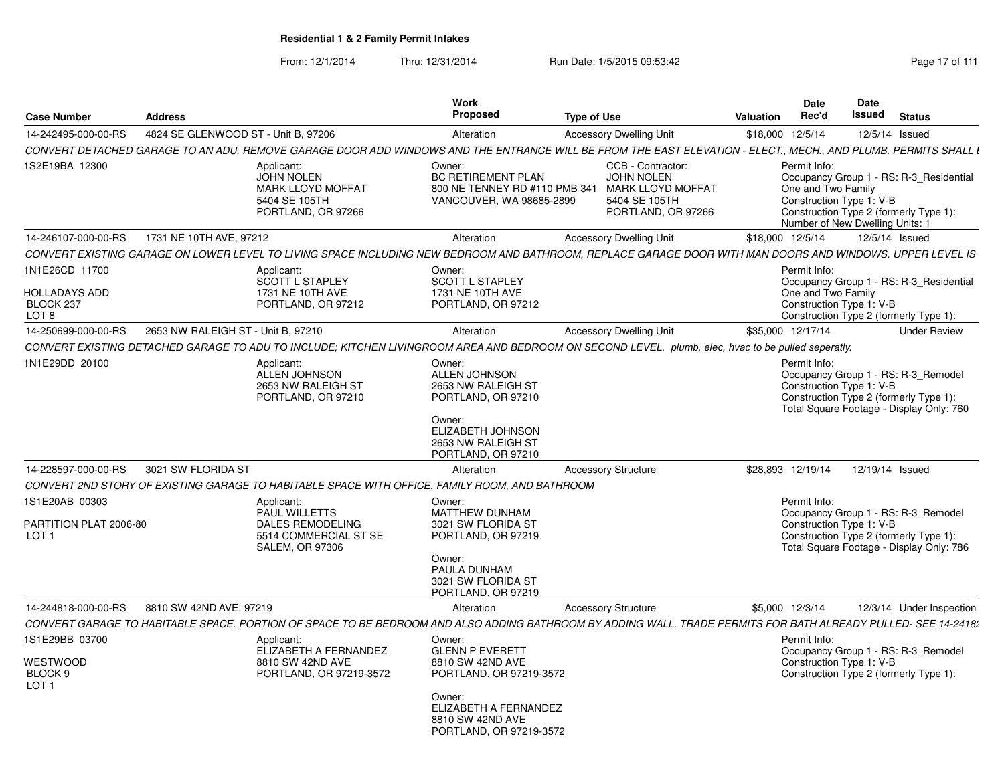| <b>Case Number</b>                                                      | Address                             |                                                                                                           | Work<br><b>Proposed</b>                                                                                                                                      | <b>Type of Use</b>                                                                                                                                             | Valuation        | <b>Date</b><br>Rec'd               | Date<br>Issued                                              | <b>Status</b>                                                                                                             |
|-------------------------------------------------------------------------|-------------------------------------|-----------------------------------------------------------------------------------------------------------|--------------------------------------------------------------------------------------------------------------------------------------------------------------|----------------------------------------------------------------------------------------------------------------------------------------------------------------|------------------|------------------------------------|-------------------------------------------------------------|---------------------------------------------------------------------------------------------------------------------------|
| 14-242495-000-00-RS                                                     | 4824 SE GLENWOOD ST - Unit B. 97206 |                                                                                                           | Alteration                                                                                                                                                   | <b>Accessory Dwelling Unit</b>                                                                                                                                 | \$18,000 12/5/14 |                                    |                                                             | 12/5/14 Issued                                                                                                            |
|                                                                         |                                     |                                                                                                           |                                                                                                                                                              | CONVERT DETACHED GARAGE TO AN ADU. REMOVE GARAGE DOOR ADD WINDOWS AND THE ENTRANCE WILL BE FROM THE EAST ELEVATION - ELECT MECH AND PLUMB. PERMITS SHALL I     |                  |                                    |                                                             |                                                                                                                           |
| 1S2E19BA 12300                                                          |                                     | Applicant:<br><b>JOHN NOLEN</b><br><b>MARK LLOYD MOFFAT</b><br>5404 SE 105TH<br>PORTLAND, OR 97266        | Owner:<br><b>BC RETIREMENT PLAN</b><br>800 NE TENNEY RD #110 PMB 341<br>VANCOUVER, WA 98685-2899                                                             | CCB - Contractor:<br><b>JOHN NOLEN</b><br><b>MARK LLOYD MOFFAT</b><br>5404 SE 105TH<br>PORTLAND, OR 97266                                                      |                  | Permit Info:<br>One and Two Family | Construction Type 1: V-B<br>Number of New Dwelling Units: 1 | Occupancy Group 1 - RS: R-3 Residential<br>Construction Type 2 (formerly Type 1):                                         |
| 14-246107-000-00-RS                                                     | 1731 NE 10TH AVE, 97212             |                                                                                                           | Alteration                                                                                                                                                   | <b>Accessory Dwelling Unit</b>                                                                                                                                 | \$18,000 12/5/14 |                                    |                                                             | 12/5/14 Issued                                                                                                            |
|                                                                         |                                     |                                                                                                           |                                                                                                                                                              | CONVERT EXISTING GARAGE ON LOWER LEVEL TO LIVING SPACE INCLUDING NEW BEDROOM AND BATHROOM, REPLACE GARAGE DOOR WITH MAN DOORS AND WINDOWS. UPPER LEVEL IS      |                  |                                    |                                                             |                                                                                                                           |
| 1N1E26CD 11700<br><b>HOLLADAYS ADD</b><br>BLOCK 237<br>LOT <sub>8</sub> |                                     | Applicant:<br><b>SCOTT L STAPLEY</b><br>1731 NE 10TH AVE<br>PORTLAND, OR 97212                            | Owner:<br>SCOTT L STAPLEY<br>1731 NE 10TH AVE<br>PORTLAND, OR 97212                                                                                          |                                                                                                                                                                |                  | Permit Info:<br>One and Two Family | Construction Type 1: V-B                                    | Occupancy Group 1 - RS: R-3_Residential<br>Construction Type 2 (formerly Type 1):                                         |
| 14-250699-000-00-RS                                                     | 2653 NW RALEIGH ST - Unit B, 97210  |                                                                                                           | Alteration                                                                                                                                                   | <b>Accessory Dwelling Unit</b>                                                                                                                                 |                  | \$35,000 12/17/14                  |                                                             | <b>Under Review</b>                                                                                                       |
|                                                                         |                                     |                                                                                                           |                                                                                                                                                              | CONVERT EXISTING DETACHED GARAGE TO ADU TO INCLUDE; KITCHEN LIVINGROOM AREA AND BEDROOM ON SECOND LEVEL. plumb, elec, hvac to be pulled seperatly.             |                  |                                    |                                                             |                                                                                                                           |
| 1N1E29DD 20100<br>14-228597-000-00-RS                                   | 3021 SW FLORIDA ST                  | Applicant:<br><b>ALLEN JOHNSON</b><br>2653 NW RALEIGH ST<br>PORTLAND, OR 97210                            | Owner:<br>ALLEN JOHNSON<br>2653 NW RALEIGH ST<br>PORTLAND, OR 97210<br>Owner:<br>ELIZABETH JOHNSON<br>2653 NW RALEIGH ST<br>PORTLAND, OR 97210<br>Alteration | <b>Accessory Structure</b>                                                                                                                                     |                  | Permit Info:<br>\$28.893 12/19/14  | Construction Type 1: V-B<br>12/19/14 Issued                 | Occupancy Group 1 - RS: R-3 Remodel<br>Construction Type 2 (formerly Type 1):<br>Total Square Footage - Display Only: 760 |
|                                                                         |                                     |                                                                                                           | CONVERT 2ND STORY OF EXISTING GARAGE TO HABITABLE SPACE WITH OFFICE, FAMILY ROOM, AND BATHROOM                                                               |                                                                                                                                                                |                  |                                    |                                                             |                                                                                                                           |
| 1S1E20AB 00303<br>PARTITION PLAT 2006-80<br>LOT <sub>1</sub>            |                                     | Applicant:<br>PAUL WILLETTS<br><b>DALES REMODELING</b><br>5514 COMMERCIAL ST SE<br><b>SALEM, OR 97306</b> | Owner:<br>MATTHEW DUNHAM<br>3021 SW FLORIDA ST<br>PORTLAND, OR 97219<br>Owner:<br>PAULA DUNHAM<br>3021 SW FLORIDA ST<br>PORTLAND, OR 97219                   |                                                                                                                                                                |                  | Permit Info:                       | Construction Type 1: V-B                                    | Occupancy Group 1 - RS: R-3 Remodel<br>Construction Type 2 (formerly Type 1):<br>Total Square Footage - Display Only: 786 |
| 14-244818-000-00-RS                                                     | 8810 SW 42ND AVE, 97219             |                                                                                                           | Alteration                                                                                                                                                   | <b>Accessory Structure</b>                                                                                                                                     |                  | \$5,000 12/3/14                    |                                                             | 12/3/14 Under Inspection                                                                                                  |
|                                                                         |                                     |                                                                                                           |                                                                                                                                                              | CONVERT GARAGE TO HABITABLE SPACE. PORTION OF SPACE TO BE BEDROOM AND ALSO ADDING BATHROOM BY ADDING WALL. TRADE PERMITS FOR BATH ALREADY PULLED- SEE 14-2418. |                  |                                    |                                                             |                                                                                                                           |
| 1S1E29BB 03700<br>WESTWOOD<br>BLOCK 9<br>LOT <sub>1</sub>               |                                     | Applicant:<br>ELIZABETH A FERNANDEZ<br>8810 SW 42ND AVE<br>PORTLAND, OR 97219-3572                        | Owner:<br><b>GLENN P EVERETT</b><br>8810 SW 42ND AVE<br>PORTLAND, OR 97219-3572<br>Owner:                                                                    |                                                                                                                                                                |                  | Permit Info:                       | Construction Type 1: V-B                                    | Occupancy Group 1 - RS: R-3 Remodel<br>Construction Type 2 (formerly Type 1):                                             |
|                                                                         |                                     |                                                                                                           | ELIZABETH A FERNANDEZ<br>8810 SW 42ND AVE<br>PORTLAND, OR 97219-3572                                                                                         |                                                                                                                                                                |                  |                                    |                                                             |                                                                                                                           |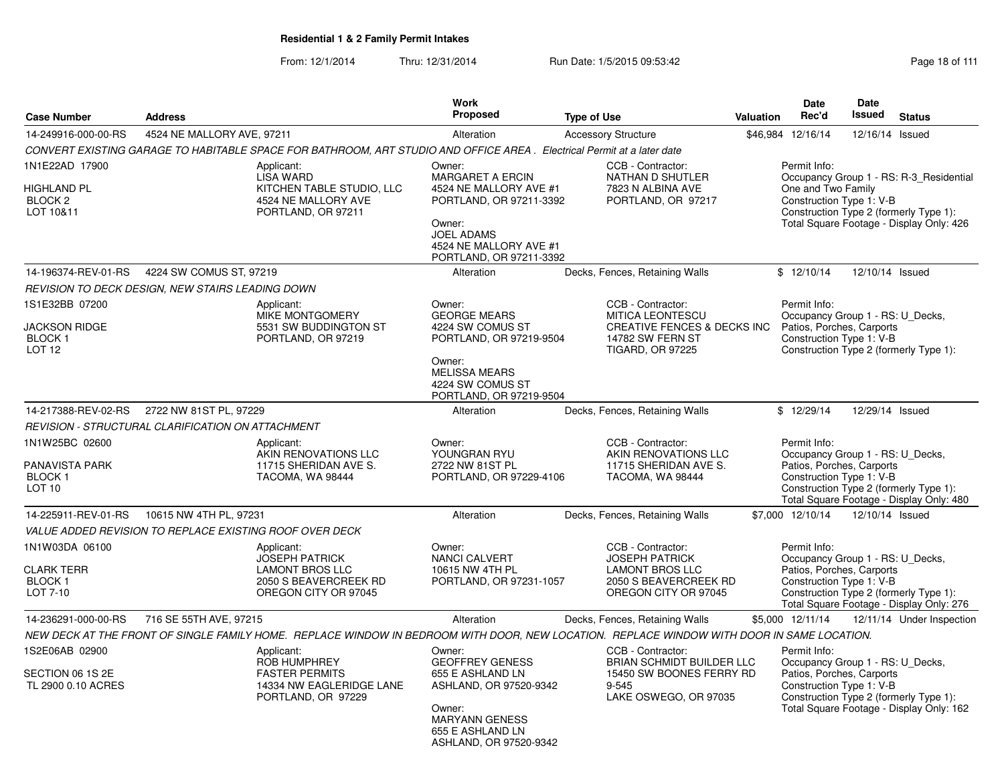|                                                                         |                                                                                                                                            | <b>Work</b>                                                                                                                                                                |                                                                                                                                       |                  | <b>Date</b>                                                                                               | Date            |                                                                                                                               |
|-------------------------------------------------------------------------|--------------------------------------------------------------------------------------------------------------------------------------------|----------------------------------------------------------------------------------------------------------------------------------------------------------------------------|---------------------------------------------------------------------------------------------------------------------------------------|------------------|-----------------------------------------------------------------------------------------------------------|-----------------|-------------------------------------------------------------------------------------------------------------------------------|
| <b>Case Number</b>                                                      | <b>Address</b>                                                                                                                             | Proposed                                                                                                                                                                   | <b>Type of Use</b>                                                                                                                    | <b>Valuation</b> | Rec'd                                                                                                     | <b>Issued</b>   | <b>Status</b>                                                                                                                 |
| 14-249916-000-00-RS                                                     | 4524 NE MALLORY AVE, 97211                                                                                                                 | Alteration                                                                                                                                                                 | <b>Accessory Structure</b>                                                                                                            |                  | \$46,984 12/16/14                                                                                         | 12/16/14 Issued |                                                                                                                               |
|                                                                         | CONVERT EXISTING GARAGE TO HABITABLE SPACE FOR BATHROOM, ART STUDIO AND OFFICE AREA. Electrical Permit at a later date                     |                                                                                                                                                                            |                                                                                                                                       |                  |                                                                                                           |                 |                                                                                                                               |
| 1N1E22AD 17900<br><b>HIGHLAND PL</b><br>BLOCK <sub>2</sub><br>LOT 10&11 | Applicant:<br><b>LISA WARD</b><br>KITCHEN TABLE STUDIO, LLC<br>4524 NE MALLORY AVE<br>PORTLAND, OR 97211                                   | Owner:<br><b>MARGARET A ERCIN</b><br>4524 NE MALLORY AVE #1<br>PORTLAND, OR 97211-3392<br>Owner:<br><b>JOEL ADAMS</b><br>4524 NE MALLORY AVE #1<br>PORTLAND, OR 97211-3392 | CCB - Contractor:<br>NATHAN D SHUTLER<br>7823 N ALBINA AVE<br>PORTLAND, OR 97217                                                      |                  | Permit Info:<br>One and Two Family<br>Construction Type 1: V-B                                            |                 | Occupancy Group 1 - RS: R-3_Residential<br>Construction Type 2 (formerly Type 1):<br>Total Square Footage - Display Only: 426 |
| 14-196374-REV-01-RS                                                     | 4224 SW COMUS ST, 97219                                                                                                                    | Alteration                                                                                                                                                                 | Decks, Fences, Retaining Walls                                                                                                        |                  | \$12/10/14                                                                                                | 12/10/14 Issued |                                                                                                                               |
|                                                                         | REVISION TO DECK DESIGN, NEW STAIRS LEADING DOWN                                                                                           |                                                                                                                                                                            |                                                                                                                                       |                  |                                                                                                           |                 |                                                                                                                               |
| 1S1E32BB 07200<br><b>JACKSON RIDGE</b><br>BLOCK 1<br>LOT <sub>12</sub>  | Applicant:<br><b>MIKE MONTGOMERY</b><br>5531 SW BUDDINGTON ST<br>PORTLAND, OR 97219                                                        | Owner:<br><b>GEORGE MEARS</b><br>4224 SW COMUS ST<br>PORTLAND, OR 97219-9504<br>Owner:<br><b>MELISSA MEARS</b><br>4224 SW COMUS ST<br>PORTLAND, OR 97219-9504              | CCB - Contractor:<br><b>MITICA LEONTESCU</b><br><b>CREATIVE FENCES &amp; DECKS INC</b><br>14782 SW FERN ST<br><b>TIGARD, OR 97225</b> |                  | Permit Info:<br>Occupancy Group 1 - RS: U_Decks,<br>Patios, Porches, Carports<br>Construction Type 1: V-B |                 | Construction Type 2 (formerly Type 1):                                                                                        |
| 14-217388-REV-02-RS                                                     | 2722 NW 81ST PL, 97229                                                                                                                     | Alteration                                                                                                                                                                 | Decks, Fences, Retaining Walls                                                                                                        |                  | \$12/29/14                                                                                                | 12/29/14 Issued |                                                                                                                               |
|                                                                         | <b>REVISION - STRUCTURAL CLARIFICATION ON ATTACHMENT</b>                                                                                   |                                                                                                                                                                            |                                                                                                                                       |                  |                                                                                                           |                 |                                                                                                                               |
| 1N1W25BC 02600<br>PANAVISTA PARK<br><b>BLOCK1</b><br>LOT <sub>10</sub>  | Applicant:<br>AKIN RENOVATIONS LLC<br>11715 SHERIDAN AVE S.<br>TACOMA, WA 98444                                                            | Owner:<br>YOUNGRAN RYU<br>2722 NW 81ST PL<br>PORTLAND, OR 97229-4106                                                                                                       | CCB - Contractor:<br>AKIN RENOVATIONS LLC<br>11715 SHERIDAN AVE S.<br>TACOMA, WA 98444                                                |                  | Permit Info:<br>Occupancy Group 1 - RS: U_Decks,<br>Patios, Porches, Carports<br>Construction Type 1: V-B |                 | Construction Type 2 (formerly Type 1):<br>Total Square Footage - Display Only: 480                                            |
| 14-225911-REV-01-RS                                                     | 10615 NW 4TH PL, 97231                                                                                                                     | Alteration                                                                                                                                                                 | Decks, Fences, Retaining Walls                                                                                                        |                  | \$7,000 12/10/14                                                                                          | 12/10/14 Issued |                                                                                                                               |
|                                                                         | VALUE ADDED REVISION TO REPLACE EXISTING ROOF OVER DECK                                                                                    |                                                                                                                                                                            |                                                                                                                                       |                  |                                                                                                           |                 |                                                                                                                               |
| 1N1W03DA 06100<br><b>CLARK TERR</b><br><b>BLOCK1</b><br>LOT 7-10        | Applicant:<br><b>JOSEPH PATRICK</b><br><b>LAMONT BROS LLC</b><br>2050 S BEAVERCREEK RD<br>OREGON CITY OR 97045                             | Owner:<br>NANCI CALVERT<br>10615 NW 4TH PL<br>PORTLAND, OR 97231-1057                                                                                                      | CCB - Contractor:<br><b>JOSEPH PATRICK</b><br><b>LAMONT BROS LLC</b><br>2050 S BEAVERCREEK RD<br>OREGON CITY OR 97045                 |                  | Permit Info:<br>Occupancy Group 1 - RS: U_Decks,<br>Patios, Porches, Carports<br>Construction Type 1: V-B |                 | Construction Type 2 (formerly Type 1):<br>Total Square Footage - Display Only: 276                                            |
| 14-236291-000-00-RS                                                     | 716 SE 55TH AVE, 97215                                                                                                                     | Alteration                                                                                                                                                                 | Decks, Fences, Retaining Walls                                                                                                        |                  | \$5,000 12/11/14                                                                                          |                 | 12/11/14 Under Inspection                                                                                                     |
|                                                                         | NEW DECK AT THE FRONT OF SINGLE FAMILY HOME. REPLACE WINDOW IN BEDROOM WITH DOOR, NEW LOCATION. REPLACE WINDOW WITH DOOR IN SAME LOCATION. |                                                                                                                                                                            |                                                                                                                                       |                  |                                                                                                           |                 |                                                                                                                               |
| 1S2E06AB 02900<br>SECTION 06 1S 2E<br>TL 2900 0.10 ACRES                | Applicant:<br>ROB HUMPHREY<br><b>FASTER PERMITS</b><br>14334 NW EAGLERIDGE LANE<br>PORTLAND, OR 97229                                      | Owner:<br><b>GEOFFREY GENESS</b><br>655 E ASHLAND LN<br>ASHLAND, OR 97520-9342<br>Owner:<br><b>MARYANN GENESS</b><br>655 E ASHLAND LN<br>ASHLAND, OR 97520-9342            | CCB - Contractor:<br>BRIAN SCHMIDT BUILDER LLC<br>15450 SW BOONES FERRY RD<br>$9 - 545$<br>LAKE OSWEGO, OR 97035                      |                  | Permit Info:<br>Occupancy Group 1 - RS: U_Decks,<br>Patios, Porches, Carports<br>Construction Type 1: V-B |                 | Construction Type 2 (formerly Type 1):<br>Total Square Footage - Display Only: 162                                            |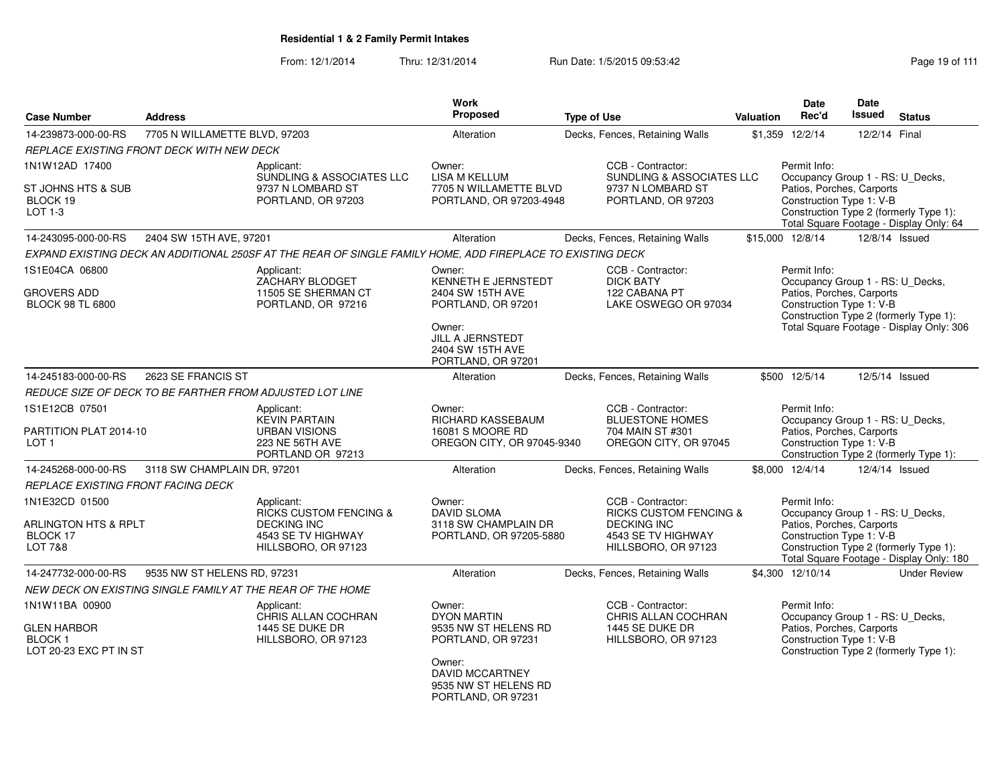| <b>Case Number</b>                                                        | <b>Address</b>                          |                                                                                                            | <b>Work</b><br><b>Proposed</b>                                                  | <b>Type of Use</b>                                                                                                        | <b>Valuation</b> | <b>Date</b><br>Rec'd                                                                                      | Date<br><b>Issued</b>                                                             | <b>Status</b>                                                                      |
|---------------------------------------------------------------------------|-----------------------------------------|------------------------------------------------------------------------------------------------------------|---------------------------------------------------------------------------------|---------------------------------------------------------------------------------------------------------------------------|------------------|-----------------------------------------------------------------------------------------------------------|-----------------------------------------------------------------------------------|------------------------------------------------------------------------------------|
| 14-239873-000-00-RS                                                       | 7705 N WILLAMETTE BLVD, 97203           |                                                                                                            | Alteration                                                                      | Decks, Fences, Retaining Walls                                                                                            |                  | \$1,359 12/2/14                                                                                           | 12/2/14 Final                                                                     |                                                                                    |
| REPLACE EXISTING FRONT DECK WITH NEW DECK                                 |                                         |                                                                                                            |                                                                                 |                                                                                                                           |                  |                                                                                                           |                                                                                   |                                                                                    |
| 1N1W12AD 17400                                                            |                                         | Applicant:<br>SUNDLING & ASSOCIATES LLC                                                                    | Owner:<br><b>LISA M KELLUM</b>                                                  | CCB - Contractor:<br><b>SUNDLING &amp; ASSOCIATES LLC</b>                                                                 |                  | Permit Info:<br>Occupancy Group 1 - RS: U_Decks,                                                          |                                                                                   |                                                                                    |
| ST JOHNS HTS & SUB<br>BLOCK 19<br>LOT 1-3                                 | 9737 N LOMBARD ST<br>PORTLAND, OR 97203 |                                                                                                            | 7705 N WILLAMETTE BLVD<br>PORTLAND, OR 97203-4948                               | 9737 N LOMBARD ST<br>PORTLAND, OR 97203                                                                                   |                  | Patios, Porches, Carports<br>Construction Type 1: V-B                                                     | Construction Type 2 (formerly Type 1):<br>Total Square Footage - Display Only: 64 |                                                                                    |
| 14-243095-000-00-RS                                                       | 2404 SW 15TH AVE, 97201                 |                                                                                                            | Alteration                                                                      | Decks, Fences, Retaining Walls                                                                                            |                  | \$15,000 12/8/14                                                                                          |                                                                                   | 12/8/14 Issued                                                                     |
|                                                                           |                                         | EXPAND EXISTING DECK AN ADDITIONAL 250SF AT THE REAR OF SINGLE FAMILY HOME, ADD FIREPLACE TO EXISTING DECK |                                                                                 |                                                                                                                           |                  |                                                                                                           |                                                                                   |                                                                                    |
| 1S1E04CA 06800                                                            |                                         | Applicant:<br>ZACHARY BLODGET                                                                              | Owner:<br>KENNETH E JERNSTEDT                                                   | CCB - Contractor:<br><b>DICK BATY</b>                                                                                     |                  | Permit Info:<br>Occupancy Group 1 - RS: U_Decks,                                                          |                                                                                   |                                                                                    |
| <b>GROVERS ADD</b><br><b>BLOCK 98 TL 6800</b>                             |                                         | 11505 SE SHERMAN CT<br>PORTLAND, OR 97216                                                                  | 2404 SW 15TH AVE<br>PORTLAND, OR 97201<br>Owner:                                | 122 CABANA PT<br>LAKE OSWEGO OR 97034                                                                                     |                  | Patios, Porches, Carports<br>Construction Type 1: V-B                                                     |                                                                                   | Construction Type 2 (formerly Type 1):<br>Total Square Footage - Display Only: 306 |
|                                                                           |                                         |                                                                                                            | JILL A JERNSTEDT<br>2404 SW 15TH AVE<br>PORTLAND, OR 97201                      |                                                                                                                           |                  |                                                                                                           |                                                                                   |                                                                                    |
| 14-245183-000-00-RS                                                       | 2623 SE FRANCIS ST                      |                                                                                                            | Alteration                                                                      | Decks, Fences, Retaining Walls                                                                                            |                  | \$500 12/5/14                                                                                             |                                                                                   | 12/5/14 Issued                                                                     |
|                                                                           |                                         | REDUCE SIZE OF DECK TO BE FARTHER FROM ADJUSTED LOT LINE                                                   |                                                                                 |                                                                                                                           |                  |                                                                                                           |                                                                                   |                                                                                    |
| 1S1E12CB 07501                                                            |                                         | Applicant:<br><b>KEVIN PARTAIN</b>                                                                         | Owner:<br>RICHARD KASSEBAUM                                                     | CCB - Contractor:<br><b>BLUESTONE HOMES</b>                                                                               |                  | Permit Info:<br>Occupancy Group 1 - RS: U_Decks,                                                          |                                                                                   |                                                                                    |
| PARTITION PLAT 2014-10<br>LOT <sub>1</sub>                                |                                         | <b>URBAN VISIONS</b><br>223 NE 56TH AVE<br>PORTLAND OR 97213                                               | 16081 S MOORE RD<br>OREGON CITY, OR 97045-9340                                  | 704 MAIN ST #301<br>OREGON CITY, OR 97045                                                                                 |                  | Patios, Porches, Carports<br>Construction Type 1: V-B                                                     |                                                                                   | Construction Type 2 (formerly Type 1):                                             |
| 14-245268-000-00-RS                                                       | 3118 SW CHAMPLAIN DR, 97201             |                                                                                                            | Alteration                                                                      | Decks, Fences, Retaining Walls                                                                                            |                  | \$8,000 12/4/14                                                                                           |                                                                                   | 12/4/14 Issued                                                                     |
| <b>REPLACE EXISTING FRONT FACING DECK</b>                                 |                                         |                                                                                                            |                                                                                 |                                                                                                                           |                  |                                                                                                           |                                                                                   |                                                                                    |
| 1N1E32CD 01500<br><b>ARLINGTON HTS &amp; RPLT</b><br>BLOCK 17<br>LOT 7&8  |                                         | Applicant:<br>RICKS CUSTOM FENCING &<br><b>DECKING INC</b><br>4543 SE TV HIGHWAY<br>HILLSBORO, OR 97123    | Owner:<br><b>DAVID SLOMA</b><br>3118 SW CHAMPLAIN DR<br>PORTLAND, OR 97205-5880 | CCB - Contractor:<br><b>RICKS CUSTOM FENCING &amp;</b><br><b>DECKING INC</b><br>4543 SE TV HIGHWAY<br>HILLSBORO, OR 97123 |                  | Permit Info:<br>Occupancy Group 1 - RS: U_Decks,<br>Patios, Porches, Carports<br>Construction Type 1: V-B |                                                                                   | Construction Type 2 (formerly Type 1):                                             |
|                                                                           |                                         |                                                                                                            |                                                                                 |                                                                                                                           |                  |                                                                                                           |                                                                                   | Total Square Footage - Display Only: 180                                           |
| 14-247732-000-00-RS                                                       | 9535 NW ST HELENS RD, 97231             |                                                                                                            | Alteration                                                                      | Decks, Fences, Retaining Walls                                                                                            |                  | \$4,300 12/10/14                                                                                          |                                                                                   | <b>Under Review</b>                                                                |
|                                                                           |                                         | NEW DECK ON EXISTING SINGLE FAMILY AT THE REAR OF THE HOME                                                 |                                                                                 |                                                                                                                           |                  |                                                                                                           |                                                                                   |                                                                                    |
| 1N1W11BA 00900<br><b>GLEN HARBOR</b><br>BLOCK 1<br>LOT 20-23 EXC PT IN ST |                                         | Applicant:<br>CHRIS ALLAN COCHRAN<br>1445 SE DUKE DR<br>HILLSBORO, OR 97123                                | Owner:<br><b>DYON MARTIN</b><br>9535 NW ST HELENS RD<br>PORTLAND, OR 97231      | CCB - Contractor:<br>CHRIS ALLAN COCHRAN<br>1445 SE DUKE DR<br>HILLSBORO, OR 97123                                        |                  | Permit Info:<br>Occupancy Group 1 - RS: U_Decks,<br>Patios, Porches, Carports<br>Construction Type 1: V-B |                                                                                   | Construction Type 2 (formerly Type 1):                                             |
|                                                                           |                                         |                                                                                                            | Owner:<br><b>DAVID MCCARTNEY</b><br>9535 NW ST HELENS RD<br>PORTLAND, OR 97231  |                                                                                                                           |                  |                                                                                                           |                                                                                   |                                                                                    |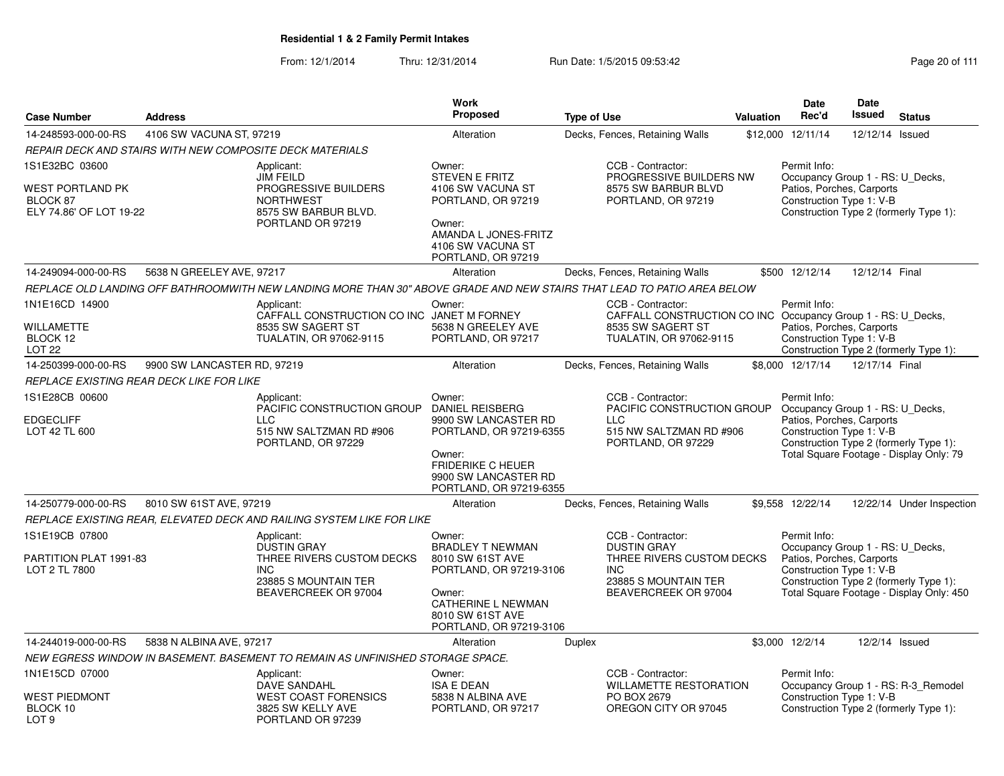| <b>Case Number</b>                                                               | <b>Address</b>              |                                                                                                                             | Work<br><b>Proposed</b>                                                                                                                                                      | <b>Type of Use</b> |                                                                                                                                    | <b>Valuation</b> | <b>Date</b><br>Rec'd                                                                                                                                | <b>Date</b><br>Issued | <b>Status</b>                                                                      |
|----------------------------------------------------------------------------------|-----------------------------|-----------------------------------------------------------------------------------------------------------------------------|------------------------------------------------------------------------------------------------------------------------------------------------------------------------------|--------------------|------------------------------------------------------------------------------------------------------------------------------------|------------------|-----------------------------------------------------------------------------------------------------------------------------------------------------|-----------------------|------------------------------------------------------------------------------------|
| 14-248593-000-00-RS                                                              | 4106 SW VACUNA ST, 97219    |                                                                                                                             | Alteration                                                                                                                                                                   |                    | Decks, Fences, Retaining Walls                                                                                                     |                  | \$12,000 12/11/14                                                                                                                                   | 12/12/14 Issued       |                                                                                    |
|                                                                                  |                             | REPAIR DECK AND STAIRS WITH NEW COMPOSITE DECK MATERIALS                                                                    |                                                                                                                                                                              |                    |                                                                                                                                    |                  |                                                                                                                                                     |                       |                                                                                    |
| 1S1E32BC 03600<br><b>WEST PORTLAND PK</b><br>BLOCK 87<br>ELY 74.86' OF LOT 19-22 |                             | Applicant:<br><b>JIM FEILD</b><br>PROGRESSIVE BUILDERS<br><b>NORTHWEST</b><br>8575 SW BARBUR BLVD.<br>PORTLAND OR 97219     | Owner:<br><b>STEVEN E FRITZ</b><br>4106 SW VACUNA ST<br>PORTLAND, OR 97219<br>Owner:<br>AMANDA L JONES-FRITZ<br>4106 SW VACUNA ST<br>PORTLAND, OR 97219                      |                    | CCB - Contractor:<br>PROGRESSIVE BUILDERS NW<br>8575 SW BARBUR BLVD<br>PORTLAND, OR 97219                                          |                  | Permit Info:<br>Occupancy Group 1 - RS: U_Decks,<br>Patios, Porches, Carports<br>Construction Type 1: V-B<br>Construction Type 2 (formerly Type 1): |                       |                                                                                    |
| 14-249094-000-00-RS                                                              | 5638 N GREELEY AVE, 97217   |                                                                                                                             | Alteration                                                                                                                                                                   |                    | Decks, Fences, Retaining Walls                                                                                                     |                  | \$500 12/12/14                                                                                                                                      | 12/12/14 Final        |                                                                                    |
|                                                                                  |                             | REPLACE OLD LANDING OFF BATHROOMWITH NEW LANDING MORE THAN 30" ABOVE GRADE AND NEW STAIRS THAT LEAD TO PATIO AREA BELOW     |                                                                                                                                                                              |                    |                                                                                                                                    |                  |                                                                                                                                                     |                       |                                                                                    |
| 1N1E16CD 14900<br><b>WILLAMETTE</b><br>BLOCK 12<br><b>LOT 22</b>                 |                             | Applicant:<br>CAFFALL CONSTRUCTION CO INC JANET M FORNEY<br>8535 SW SAGERT ST<br>TUALATIN, OR 97062-9115                    | Owner:<br>5638 N GREELEY AVE<br>PORTLAND, OR 97217                                                                                                                           |                    | CCB - Contractor:<br>CAFFALL CONSTRUCTION CO INC Occupancy Group 1 - RS: U_Decks,<br>8535 SW SAGERT ST<br>TUALATIN, OR 97062-9115  |                  | Permit Info:<br>Patios, Porches, Carports<br>Construction Type 1: V-B                                                                               |                       | Construction Type 2 (formerly Type 1):                                             |
| 14-250399-000-00-RS                                                              | 9900 SW LANCASTER RD, 97219 |                                                                                                                             | Alteration                                                                                                                                                                   |                    | Decks, Fences, Retaining Walls                                                                                                     |                  | \$8,000 12/17/14                                                                                                                                    | 12/17/14 Final        |                                                                                    |
| REPLACE EXISTING REAR DECK LIKE FOR LIKE                                         |                             |                                                                                                                             |                                                                                                                                                                              |                    |                                                                                                                                    |                  |                                                                                                                                                     |                       |                                                                                    |
| 1S1E28CB 00600<br><b>EDGECLIFF</b><br>LOT 42 TL 600                              |                             | Applicant:<br>PACIFIC CONSTRUCTION GROUP<br><b>LLC</b><br>515 NW SALTZMAN RD #906<br>PORTLAND, OR 97229                     | Owner:<br><b>DANIEL REISBERG</b><br>9900 SW LANCASTER RD<br>PORTLAND, OR 97219-6355<br>Owner:<br><b>FRIDERIKE C HEUER</b><br>9900 SW LANCASTER RD<br>PORTLAND, OR 97219-6355 |                    | CCB - Contractor:<br>PACIFIC CONSTRUCTION GROUP<br><b>LLC</b><br>515 NW SALTZMAN RD #906<br>PORTLAND, OR 97229                     |                  | Permit Info:<br>Occupancy Group 1 - RS: U Decks,<br>Patios, Porches, Carports<br>Construction Type 1: V-B                                           |                       | Construction Type 2 (formerly Type 1):<br>Total Square Footage - Display Only: 79  |
| 14-250779-000-00-RS                                                              | 8010 SW 61ST AVE, 97219     |                                                                                                                             | Alteration                                                                                                                                                                   |                    | Decks, Fences, Retaining Walls                                                                                                     |                  | \$9,558 12/22/14                                                                                                                                    |                       | 12/22/14 Under Inspection                                                          |
|                                                                                  |                             | REPLACE EXISTING REAR, ELEVATED DECK AND RAILING SYSTEM LIKE FOR LIKE                                                       |                                                                                                                                                                              |                    |                                                                                                                                    |                  |                                                                                                                                                     |                       |                                                                                    |
| 1S1E19CB 07800<br>PARTITION PLAT 1991-83<br>LOT 2 TL 7800                        |                             | Applicant:<br><b>DUSTIN GRAY</b><br>THREE RIVERS CUSTOM DECKS<br><b>INC</b><br>23885 S MOUNTAIN TER<br>BEAVERCREEK OR 97004 | Owner:<br><b>BRADLEY T NEWMAN</b><br>8010 SW 61ST AVE<br>PORTLAND, OR 97219-3106<br>Owner:<br><b>CATHERINE L NEWMAN</b><br>8010 SW 61ST AVE<br>PORTLAND, OR 97219-3106       |                    | CCB - Contractor:<br><b>DUSTIN GRAY</b><br>THREE RIVERS CUSTOM DECKS<br><b>INC</b><br>23885 S MOUNTAIN TER<br>BEAVERCREEK OR 97004 |                  | Permit Info:<br>Occupancy Group 1 - RS: U_Decks,<br>Patios, Porches, Carports<br>Construction Type 1: V-B                                           |                       | Construction Type 2 (formerly Type 1):<br>Total Square Footage - Display Only: 450 |
| 14-244019-000-00-RS                                                              | 5838 N ALBINA AVE, 97217    |                                                                                                                             | Alteration                                                                                                                                                                   | <b>Duplex</b>      |                                                                                                                                    |                  | \$3,000 12/2/14                                                                                                                                     | 12/2/14 Issued        |                                                                                    |
|                                                                                  |                             | NEW EGRESS WINDOW IN BASEMENT. BASEMENT TO REMAIN AS UNFINISHED STORAGE SPACE.                                              |                                                                                                                                                                              |                    |                                                                                                                                    |                  |                                                                                                                                                     |                       |                                                                                    |
| 1N1E15CD 07000<br>WEST PIEDMONT<br>BLOCK 10<br>LOT <sub>9</sub>                  |                             | Applicant:<br>DAVE SANDAHL<br><b>WEST COAST FORENSICS</b><br>3825 SW KELLY AVE<br>PORTLAND OR 97239                         | Owner:<br><b>ISA E DEAN</b><br>5838 N ALBINA AVE<br>PORTLAND, OR 97217                                                                                                       |                    | CCB - Contractor:<br><b>WILLAMETTE RESTORATION</b><br>PO BOX 2679<br>OREGON CITY OR 97045                                          |                  | Permit Info:<br>Construction Type 1: V-B<br>Construction Type 2 (formerly Type 1):                                                                  |                       | Occupancy Group 1 - RS: R-3_Remodel                                                |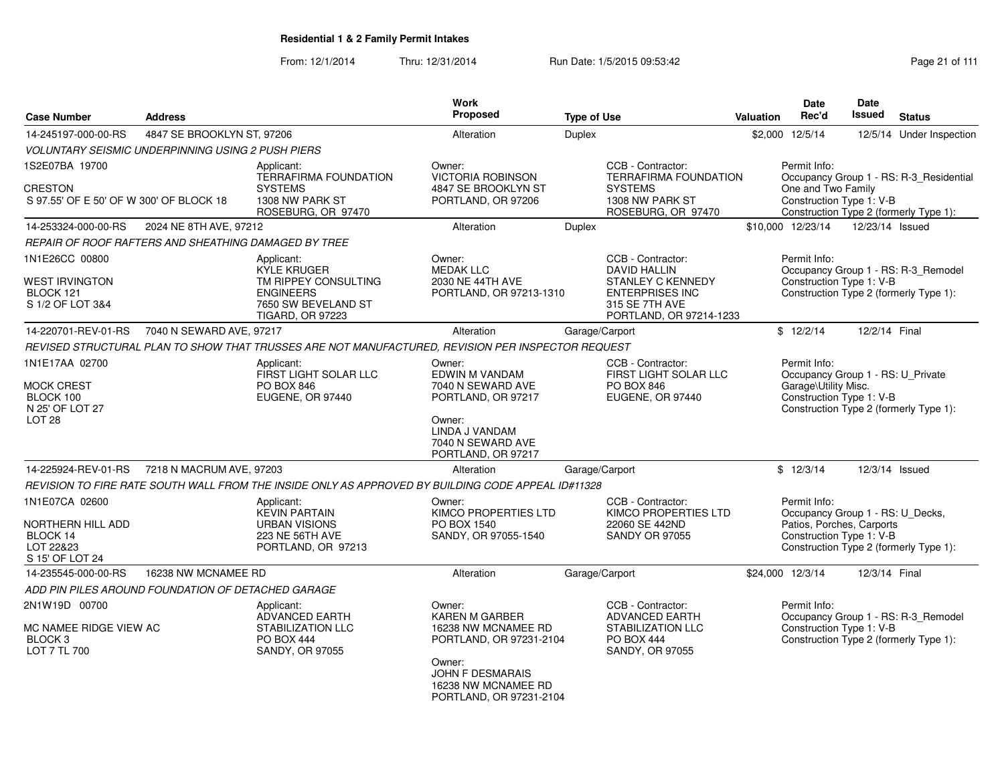From: 12/1/2014

| <b>Case Number</b>                                                                     | <b>Address</b>                                           |                                                                                                                                | Work<br><b>Proposed</b>                                                                                                                                                  | <b>Type of Use</b> |                                                                                                                                             | Valuation | <b>Date</b><br>Rec'd                                                                                                                | <b>Date</b><br>Issued | <b>Status</b>                                                                 |
|----------------------------------------------------------------------------------------|----------------------------------------------------------|--------------------------------------------------------------------------------------------------------------------------------|--------------------------------------------------------------------------------------------------------------------------------------------------------------------------|--------------------|---------------------------------------------------------------------------------------------------------------------------------------------|-----------|-------------------------------------------------------------------------------------------------------------------------------------|-----------------------|-------------------------------------------------------------------------------|
| 14-245197-000-00-RS                                                                    | 4847 SE BROOKLYN ST, 97206                               |                                                                                                                                | Alteration                                                                                                                                                               | <b>Duplex</b>      |                                                                                                                                             |           | \$2,000 12/5/14                                                                                                                     |                       | 12/5/14 Under Inspection                                                      |
|                                                                                        | <b>VOLUNTARY SEISMIC UNDERPINNING USING 2 PUSH PIERS</b> |                                                                                                                                |                                                                                                                                                                          |                    |                                                                                                                                             |           |                                                                                                                                     |                       |                                                                               |
| 1S2E07BA 19700                                                                         |                                                          | Applicant:                                                                                                                     | Owner:                                                                                                                                                                   |                    | CCB - Contractor:                                                                                                                           |           | Permit Info:                                                                                                                        |                       |                                                                               |
| <b>CRESTON</b><br>S 97.55' OF E 50' OF W 300' OF BLOCK 18                              |                                                          | <b>TERRAFIRMA FOUNDATION</b><br><b>SYSTEMS</b><br>1308 NW PARK ST<br>ROSEBURG, OR 97470                                        | <b>VICTORIA ROBINSON</b><br>4847 SE BROOKLYN ST<br>PORTLAND, OR 97206                                                                                                    |                    | <b>TERRAFIRMA FOUNDATION</b><br><b>SYSTEMS</b><br>1308 NW PARK ST<br>ROSEBURG, OR 97470                                                     |           | Occupancy Group 1 - RS: R-3_Residential<br>One and Two Family<br>Construction Type 1: V-B<br>Construction Type 2 (formerly Type 1): |                       |                                                                               |
| 14-253324-000-00-RS                                                                    | 2024 NE 8TH AVE, 97212                                   |                                                                                                                                | Alteration                                                                                                                                                               | <b>Duplex</b>      |                                                                                                                                             |           | \$10,000 12/23/14                                                                                                                   | 12/23/14 Issued       |                                                                               |
|                                                                                        | REPAIR OF ROOF RAFTERS AND SHEATHING DAMAGED BY TREE     |                                                                                                                                |                                                                                                                                                                          |                    |                                                                                                                                             |           |                                                                                                                                     |                       |                                                                               |
| 1N1E26CC 00800<br><b>WEST IRVINGTON</b><br>BLOCK 121<br>S 1/2 OF LOT 3&4               |                                                          | Applicant:<br><b>KYLE KRUGER</b><br>TM RIPPEY CONSULTING<br><b>ENGINEERS</b><br>7650 SW BEVELAND ST<br><b>TIGARD, OR 97223</b> | Owner:<br><b>MEDAK LLC</b><br>2030 NE 44TH AVE<br>PORTLAND, OR 97213-1310                                                                                                |                    | CCB - Contractor:<br><b>DAVID HALLIN</b><br><b>STANLEY C KENNEDY</b><br><b>ENTERPRISES INC</b><br>315 SE 7TH AVE<br>PORTLAND, OR 97214-1233 |           | Permit Info:<br>Construction Type 1: V-B                                                                                            |                       | Occupancy Group 1 - RS: R-3_Remodel<br>Construction Type 2 (formerly Type 1): |
| 14-220701-REV-01-RS                                                                    | 7040 N SEWARD AVE, 97217                                 |                                                                                                                                | Alteration                                                                                                                                                               |                    | Garage/Carport                                                                                                                              |           | \$12/2/14                                                                                                                           | 12/2/14 Final         |                                                                               |
|                                                                                        |                                                          | REVISED STRUCTURAL PLAN TO SHOW THAT TRUSSES ARE NOT MANUFACTURED, REVISION PER INSPECTOR REQUEST                              |                                                                                                                                                                          |                    |                                                                                                                                             |           |                                                                                                                                     |                       |                                                                               |
| 1N1E17AA 02700<br>MOCK CREST<br>BLOCK 100<br>N 25' OF LOT 27<br>LOT <sub>28</sub>      |                                                          | Applicant:<br>FIRST LIGHT SOLAR LLC<br><b>PO BOX 846</b><br>EUGENE, OR 97440                                                   | Owner:<br>EDWIN M VANDAM<br>7040 N SEWARD AVE<br>PORTLAND, OR 97217<br>Owner:<br>LINDA J VANDAM<br>7040 N SEWARD AVE<br>PORTLAND, OR 97217                               |                    | CCB - Contractor:<br>FIRST LIGHT SOLAR LLC<br>PO BOX 846<br>EUGENE, OR 97440                                                                |           | Permit Info:<br>Occupancy Group 1 - RS: U_Private<br>Garage\Utility Misc.<br>Construction Type 1: V-B                               |                       | Construction Type 2 (formerly Type 1):                                        |
| 14-225924-REV-01-RS                                                                    | 7218 N MACRUM AVE, 97203                                 |                                                                                                                                | Alteration                                                                                                                                                               |                    | Garage/Carport                                                                                                                              |           | \$12/3/14                                                                                                                           |                       | 12/3/14 Issued                                                                |
|                                                                                        |                                                          | REVISION TO FIRE RATE SOUTH WALL FROM THE INSIDE ONLY AS APPROVED BY BUILDING CODE APPEAL ID#11328                             |                                                                                                                                                                          |                    |                                                                                                                                             |           |                                                                                                                                     |                       |                                                                               |
| 1N1E07CA 02600<br><b>NORTHERN HILL ADD</b><br>BLOCK 14<br>LOT 22&23<br>S 15' OF LOT 24 |                                                          | Applicant:<br><b>KEVIN PARTAIN</b><br><b>URBAN VISIONS</b><br>223 NE 56TH AVE<br>PORTLAND, OR 97213                            | Owner:<br>KIMCO PROPERTIES LTD<br>PO BOX 1540<br>SANDY, OR 97055-1540                                                                                                    |                    | CCB - Contractor:<br>KIMCO PROPERTIES LTD<br>22060 SE 442ND<br><b>SANDY OR 97055</b>                                                        |           | Permit Info:<br>Occupancy Group 1 - RS: U_Decks,<br>Patios, Porches, Carports<br>Construction Type 1: V-B                           |                       | Construction Type 2 (formerly Type 1):                                        |
| 14-235545-000-00-RS                                                                    | 16238 NW MCNAMEE RD                                      |                                                                                                                                | Alteration                                                                                                                                                               |                    | Garage/Carport                                                                                                                              |           | \$24,000 12/3/14                                                                                                                    | 12/3/14 Final         |                                                                               |
|                                                                                        | ADD PIN PILES AROUND FOUNDATION OF DETACHED GARAGE       |                                                                                                                                |                                                                                                                                                                          |                    |                                                                                                                                             |           |                                                                                                                                     |                       |                                                                               |
| 2N1W19D 00700<br>MC NAMEE RIDGE VIEW AC<br>BLOCK <sub>3</sub><br>LOT 7 TL 700          |                                                          | Applicant:<br><b>ADVANCED EARTH</b><br><b>STABILIZATION LLC</b><br><b>PO BOX 444</b><br>SANDY, OR 97055                        | Owner:<br><b>KAREN M GARBER</b><br>16238 NW MCNAMEE RD<br>PORTLAND, OR 97231-2104<br>Owner:<br><b>JOHN F DESMARAIS</b><br>16238 NW MCNAMEE RD<br>PORTLAND, OR 97231-2104 |                    | CCB - Contractor:<br><b>ADVANCED EARTH</b><br><b>STABILIZATION LLC</b><br><b>PO BOX 444</b><br><b>SANDY, OR 97055</b>                       |           | Permit Info:<br>Construction Type 1: V-B                                                                                            |                       | Occupancy Group 1 - RS: R-3_Remodel<br>Construction Type 2 (formerly Type 1): |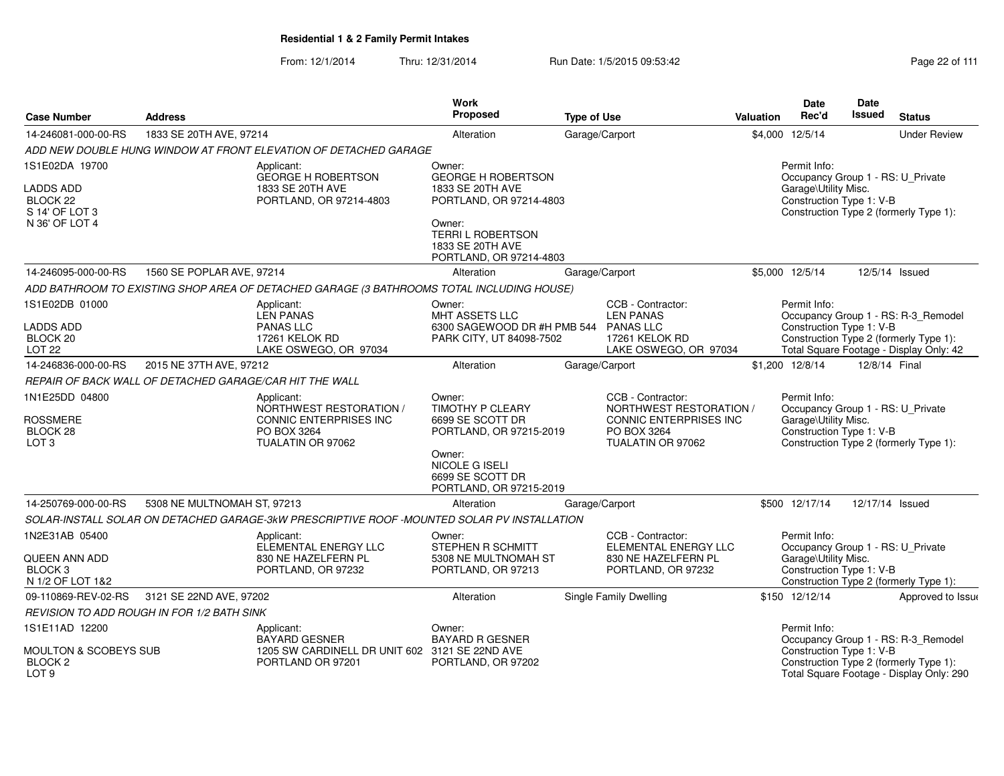From: 12/1/2014Thru: 12/31/2014 Run Date: 1/5/2015 09:53:42 Research 2010 12/31/2014 Page 22 of 111

|                                         |                                                         |                                                                                             | Work                                                              |                               |                                                    |                  | Date                                                      | Date          |                                          |
|-----------------------------------------|---------------------------------------------------------|---------------------------------------------------------------------------------------------|-------------------------------------------------------------------|-------------------------------|----------------------------------------------------|------------------|-----------------------------------------------------------|---------------|------------------------------------------|
| <b>Case Number</b>                      | <b>Address</b>                                          |                                                                                             | Proposed                                                          | <b>Type of Use</b>            |                                                    | <b>Valuation</b> | Rec'd                                                     | <b>Issued</b> | <b>Status</b>                            |
| 14-246081-000-00-RS                     | 1833 SE 20TH AVE, 97214                                 |                                                                                             | Alteration                                                        | Garage/Carport                |                                                    |                  | \$4,000 12/5/14                                           |               | <b>Under Review</b>                      |
|                                         |                                                         | ADD NEW DOUBLE HUNG WINDOW AT FRONT ELEVATION OF DETACHED GARAGE                            |                                                                   |                               |                                                    |                  |                                                           |               |                                          |
| 1S1E02DA 19700                          |                                                         | Applicant:                                                                                  | Owner:                                                            |                               |                                                    |                  | Permit Info:                                              |               |                                          |
| <b>LADDS ADD</b>                        |                                                         | <b>GEORGE H ROBERTSON</b><br>1833 SE 20TH AVE                                               | <b>GEORGE H ROBERTSON</b><br>1833 SE 20TH AVE                     |                               |                                                    |                  | Occupancy Group 1 - RS: U_Private<br>Garage\Utility Misc. |               |                                          |
| BLOCK <sub>22</sub>                     |                                                         | PORTLAND, OR 97214-4803                                                                     | PORTLAND, OR 97214-4803                                           |                               |                                                    |                  | Construction Type 1: V-B                                  |               |                                          |
| S 14' OF LOT 3                          |                                                         |                                                                                             |                                                                   |                               |                                                    |                  |                                                           |               | Construction Type 2 (formerly Type 1):   |
| N 36' OF LOT 4                          |                                                         |                                                                                             | Owner:                                                            |                               |                                                    |                  |                                                           |               |                                          |
|                                         |                                                         |                                                                                             | <b>TERRI L ROBERTSON</b><br>1833 SE 20TH AVE                      |                               |                                                    |                  |                                                           |               |                                          |
|                                         |                                                         |                                                                                             | PORTLAND, OR 97214-4803                                           |                               |                                                    |                  |                                                           |               |                                          |
| 14-246095-000-00-RS                     | 1560 SE POPLAR AVE, 97214                               |                                                                                             | Alteration                                                        | Garage/Carport                |                                                    |                  | \$5,000 12/5/14                                           |               | 12/5/14 Issued                           |
|                                         |                                                         | ADD BATHROOM TO EXISTING SHOP AREA OF DETACHED GARAGE (3 BATHROOMS TOTAL INCLUDING HOUSE)   |                                                                   |                               |                                                    |                  |                                                           |               |                                          |
| 1S1E02DB 01000                          |                                                         | Applicant:                                                                                  | Owner:                                                            |                               | CCB - Contractor:                                  |                  | Permit Info:                                              |               |                                          |
|                                         |                                                         | <b>LEN PANAS</b>                                                                            | MHT ASSETS LLC                                                    |                               | <b>LEN PANAS</b>                                   |                  |                                                           |               | Occupancy Group 1 - RS: R-3_Remodel      |
| <b>LADDS ADD</b><br>BLOCK <sub>20</sub> |                                                         | <b>PANAS LLC</b><br>17261 KELOK RD                                                          | 6300 SAGEWOOD DR #H PMB 544 PANAS LLC<br>PARK CITY, UT 84098-7502 |                               | 17261 KELOK RD                                     |                  | Construction Type 1: V-B                                  |               | Construction Type 2 (formerly Type 1):   |
| <b>LOT 22</b>                           |                                                         | LAKE OSWEGO, OR 97034                                                                       |                                                                   |                               | LAKE OSWEGO, OR 97034                              |                  |                                                           |               | Total Square Footage - Display Only: 42  |
| 14-246836-000-00-RS                     | 2015 NE 37TH AVE, 97212                                 |                                                                                             | Alteration                                                        | Garage/Carport                |                                                    |                  | \$1,200 12/8/14                                           | 12/8/14 Final |                                          |
|                                         | REPAIR OF BACK WALL OF DETACHED GARAGE/CAR HIT THE WALL |                                                                                             |                                                                   |                               |                                                    |                  |                                                           |               |                                          |
| 1N1E25DD 04800                          |                                                         | Applicant:                                                                                  | Owner:                                                            |                               | CCB - Contractor:                                  |                  | Permit Info:                                              |               |                                          |
|                                         |                                                         | NORTHWEST RESTORATION /                                                                     | TIMOTHY P CLEARY                                                  |                               | NORTHWEST RESTORATION /                            |                  | Occupancy Group 1 - RS: U_Private                         |               |                                          |
| <b>ROSSMERE</b><br>BLOCK 28             |                                                         | CONNIC ENTERPRISES INC<br>PO BOX 3264                                                       | 6699 SE SCOTT DR<br>PORTLAND, OR 97215-2019                       |                               | CONNIC ENTERPRISES INC<br>PO BOX 3264              |                  | Garage\Utility Misc.<br>Construction Type 1: V-B          |               |                                          |
| LOT <sub>3</sub>                        |                                                         | TUALATIN OR 97062                                                                           |                                                                   |                               | TUALATIN OR 97062                                  |                  |                                                           |               | Construction Type 2 (formerly Type 1):   |
|                                         |                                                         |                                                                                             | Owner:                                                            |                               |                                                    |                  |                                                           |               |                                          |
|                                         |                                                         |                                                                                             | NICOLE G ISELI<br>6699 SE SCOTT DR                                |                               |                                                    |                  |                                                           |               |                                          |
|                                         |                                                         |                                                                                             | PORTLAND, OR 97215-2019                                           |                               |                                                    |                  |                                                           |               |                                          |
| 14-250769-000-00-RS                     | 5308 NE MULTNOMAH ST, 97213                             |                                                                                             | Alteration                                                        | Garage/Carport                |                                                    |                  | \$500 12/17/14                                            |               | 12/17/14 Issued                          |
|                                         |                                                         | SOLAR-INSTALL SOLAR ON DETACHED GARAGE-3kW PRESCRIPTIVE ROOF -MOUNTED SOLAR PV INSTALLATION |                                                                   |                               |                                                    |                  |                                                           |               |                                          |
| 1N2E31AB 05400                          |                                                         | Applicant:                                                                                  | Owner:                                                            |                               | CCB - Contractor:                                  |                  | Permit Info:                                              |               |                                          |
| <b>QUEEN ANN ADD</b>                    |                                                         | ELEMENTAL ENERGY LLC<br>830 NE HAZELFERN PL                                                 | STEPHEN R SCHMITT<br>5308 NE MULTNOMAH ST                         |                               | <b>ELEMENTAL ENERGY LLC</b><br>830 NE HAZELFERN PL |                  | Occupancy Group 1 - RS: U Private<br>Garage\Utility Misc. |               |                                          |
| BLOCK <sub>3</sub>                      |                                                         | PORTLAND, OR 97232                                                                          | PORTLAND, OR 97213                                                |                               | PORTLAND, OR 97232                                 |                  | Construction Type 1: V-B                                  |               |                                          |
| N 1/2 OF LOT 1&2                        |                                                         |                                                                                             |                                                                   |                               |                                                    |                  |                                                           |               | Construction Type 2 (formerly Type 1):   |
| 09-110869-REV-02-RS                     | 3121 SE 22ND AVE, 97202                                 |                                                                                             | Alteration                                                        | <b>Single Family Dwelling</b> |                                                    |                  | \$150 12/12/14                                            |               | Approved to Issue                        |
|                                         | REVISION TO ADD ROUGH IN FOR 1/2 BATH SINK              |                                                                                             |                                                                   |                               |                                                    |                  |                                                           |               |                                          |
| 1S1E11AD 12200                          |                                                         | Applicant:                                                                                  | Owner:                                                            |                               |                                                    |                  | Permit Info:                                              |               |                                          |
| MOULTON & SCOBEYS SUB                   |                                                         | <b>BAYARD GESNER</b>                                                                        | <b>BAYARD R GESNER</b>                                            |                               |                                                    |                  | Construction Type 1: V-B                                  |               | Occupancy Group 1 - RS: R-3_Remodel      |
| BLOCK <sub>2</sub>                      |                                                         | 1205 SW CARDINELL DR UNIT 602 3121 SE 22ND AVE<br>PORTLAND OR 97201                         | PORTLAND, OR 97202                                                |                               |                                                    |                  |                                                           |               | Construction Type 2 (formerly Type 1):   |
| LOT <sub>9</sub>                        |                                                         |                                                                                             |                                                                   |                               |                                                    |                  |                                                           |               | Total Square Footage - Display Only: 290 |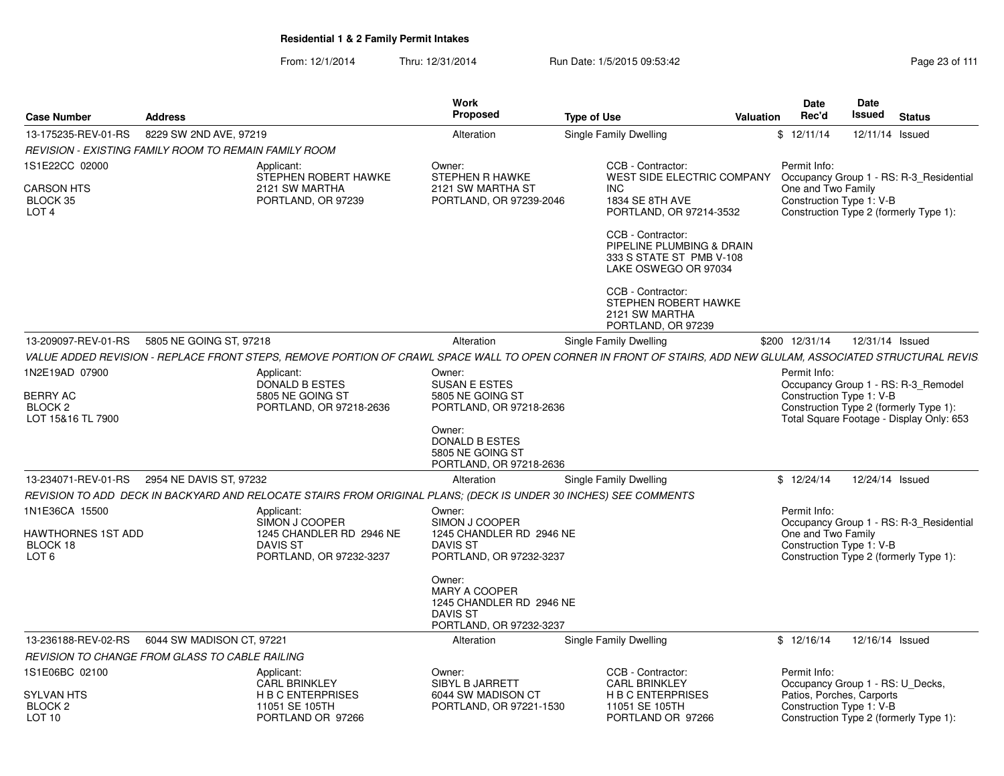From: 12/1/2014Thru: 12/31/2014 Run Date: 1/5/2015 09:53:42 Research 2010 12/31/2014 Page 23 of 111

| <b>Case Number</b>                                        | <b>Address</b>                                               |                                                                                                                                                               | <b>Work</b><br>Proposed                                                                                  | <b>Type of Use</b>                                                                                 | Valuation      | Date<br>Date<br>Rec'd<br>Issued                                                                 | <b>Status</b>                            |
|-----------------------------------------------------------|--------------------------------------------------------------|---------------------------------------------------------------------------------------------------------------------------------------------------------------|----------------------------------------------------------------------------------------------------------|----------------------------------------------------------------------------------------------------|----------------|-------------------------------------------------------------------------------------------------|------------------------------------------|
| 13-175235-REV-01-RS                                       | 8229 SW 2ND AVE, 97219                                       |                                                                                                                                                               | Alteration                                                                                               | Single Family Dwelling                                                                             | \$12/11/14     |                                                                                                 | 12/11/14 Issued                          |
|                                                           | <b>REVISION - EXISTING FAMILY ROOM TO REMAIN FAMILY ROOM</b> |                                                                                                                                                               |                                                                                                          |                                                                                                    |                |                                                                                                 |                                          |
| 1S1E22CC 02000                                            |                                                              | Applicant:<br>STEPHEN ROBERT HAWKE                                                                                                                            | Owner:<br><b>STEPHEN R HAWKE</b>                                                                         | CCB - Contractor:<br>WEST SIDE ELECTRIC COMPANY                                                    |                | Permit Info:                                                                                    | Occupancy Group 1 - RS: R-3_Residential  |
| <b>CARSON HTS</b><br>BLOCK 35<br>LOT <sub>4</sub>         |                                                              | 2121 SW MARTHA<br>PORTLAND, OR 97239                                                                                                                          | 2121 SW MARTHA ST<br>PORTLAND, OR 97239-2046                                                             | <b>INC</b><br>1834 SE 8TH AVE<br>PORTLAND, OR 97214-3532                                           |                | One and Two Family<br>Construction Type 1: V-B<br>Construction Type 2 (formerly Type 1):        |                                          |
|                                                           |                                                              |                                                                                                                                                               |                                                                                                          | CCB - Contractor:<br>PIPELINE PLUMBING & DRAIN<br>333 S STATE ST PMB V-108<br>LAKE OSWEGO OR 97034 |                |                                                                                                 |                                          |
|                                                           |                                                              |                                                                                                                                                               |                                                                                                          | CCB - Contractor:<br>STEPHEN ROBERT HAWKE<br>2121 SW MARTHA<br>PORTLAND, OR 97239                  |                |                                                                                                 |                                          |
| 13-209097-REV-01-RS                                       | 5805 NE GOING ST, 97218                                      |                                                                                                                                                               | Alteration                                                                                               | Single Family Dwelling                                                                             | \$200 12/31/14 |                                                                                                 | 12/31/14 Issued                          |
|                                                           |                                                              | VALUE ADDED REVISION - REPLACE FRONT STEPS, REMOVE PORTION OF CRAWL SPACE WALL TO OPEN CORNER IN FRONT OF STAIRS, ADD NEW GLULAM, ASSOCIATED STRUCTURAL REVIS |                                                                                                          |                                                                                                    |                |                                                                                                 |                                          |
| 1N2E19AD 07900                                            |                                                              | Applicant:<br><b>DONALD B ESTES</b>                                                                                                                           | Owner:<br>SUSAN E ESTES                                                                                  |                                                                                                    |                | Permit Info:                                                                                    | Occupancy Group 1 - RS: R-3 Remodel      |
| BERRY AC<br>BLOCK <sub>2</sub><br>LOT 15&16 TL 7900       |                                                              | 5805 NE GOING ST<br>PORTLAND, OR 97218-2636                                                                                                                   | 5805 NE GOING ST<br>PORTLAND, OR 97218-2636                                                              |                                                                                                    |                | Construction Type 1: V-B<br>Construction Type 2 (formerly Type 1):                              | Total Square Footage - Display Only: 653 |
|                                                           |                                                              |                                                                                                                                                               | Owner:<br><b>DONALD B ESTES</b><br>5805 NE GOING ST<br>PORTLAND, OR 97218-2636                           |                                                                                                    |                |                                                                                                 |                                          |
| 13-234071-REV-01-RS                                       | 2954 NE DAVIS ST, 97232                                      |                                                                                                                                                               | Alteration                                                                                               | <b>Single Family Dwelling</b>                                                                      | \$12/24/14     |                                                                                                 | 12/24/14 Issued                          |
|                                                           |                                                              | REVISION TO ADD DECK IN BACKYARD AND RELOCATE STAIRS FROM ORIGINAL PLANS; (DECK IS UNDER 30 INCHES) SEE COMMENTS                                              |                                                                                                          |                                                                                                    |                |                                                                                                 |                                          |
| 1N1E36CA 15500                                            |                                                              | Applicant:                                                                                                                                                    | Owner:                                                                                                   |                                                                                                    |                | Permit Info:                                                                                    |                                          |
| <b>HAWTHORNES 1ST ADD</b><br>BLOCK 18<br>LOT <sub>6</sub> |                                                              | SIMON J COOPER<br>1245 CHANDLER RD 2946 NE<br><b>DAVIS ST</b><br>PORTLAND, OR 97232-3237                                                                      | SIMON J COOPER<br>1245 CHANDLER RD 2946 NE<br><b>DAVIS ST</b><br>PORTLAND, OR 97232-3237                 |                                                                                                    |                | One and Two Family<br>Construction Type 1: V-B<br>Construction Type 2 (formerly Type 1):        | Occupancy Group 1 - RS: R-3 Residential  |
|                                                           |                                                              |                                                                                                                                                               | Owner:<br><b>MARY A COOPER</b><br>1245 CHANDLER RD 2946 NE<br><b>DAVIS ST</b><br>PORTLAND, OR 97232-3237 |                                                                                                    |                |                                                                                                 |                                          |
| 13-236188-REV-02-RS                                       | 6044 SW MADISON CT, 97221                                    |                                                                                                                                                               | Alteration                                                                                               | Single Family Dwelling                                                                             | \$12/16/14     |                                                                                                 | 12/16/14 Issued                          |
|                                                           | REVISION TO CHANGE FROM GLASS TO CABLE RAILING               |                                                                                                                                                               |                                                                                                          |                                                                                                    |                |                                                                                                 |                                          |
| 1S1E06BC 02100                                            |                                                              | Applicant:<br><b>CARL BRINKLEY</b>                                                                                                                            | Owner:<br>SIBYL B JARRETT                                                                                | CCB - Contractor:<br><b>CARL BRINKLEY</b>                                                          |                | Permit Info:<br>Occupancy Group 1 - RS: U_Decks,                                                |                                          |
| SYLVAN HTS<br><b>BLOCK 2</b><br>LOT 10                    |                                                              | <b>H B C ENTERPRISES</b><br>11051 SE 105TH<br>PORTLAND OR 97266                                                                                               | 6044 SW MADISON CT<br>PORTLAND, OR 97221-1530                                                            | <b>H B C ENTERPRISES</b><br>11051 SE 105TH<br>PORTLAND OR 97266                                    |                | Patios, Porches, Carports<br>Construction Type 1: V-B<br>Construction Type 2 (formerly Type 1): |                                          |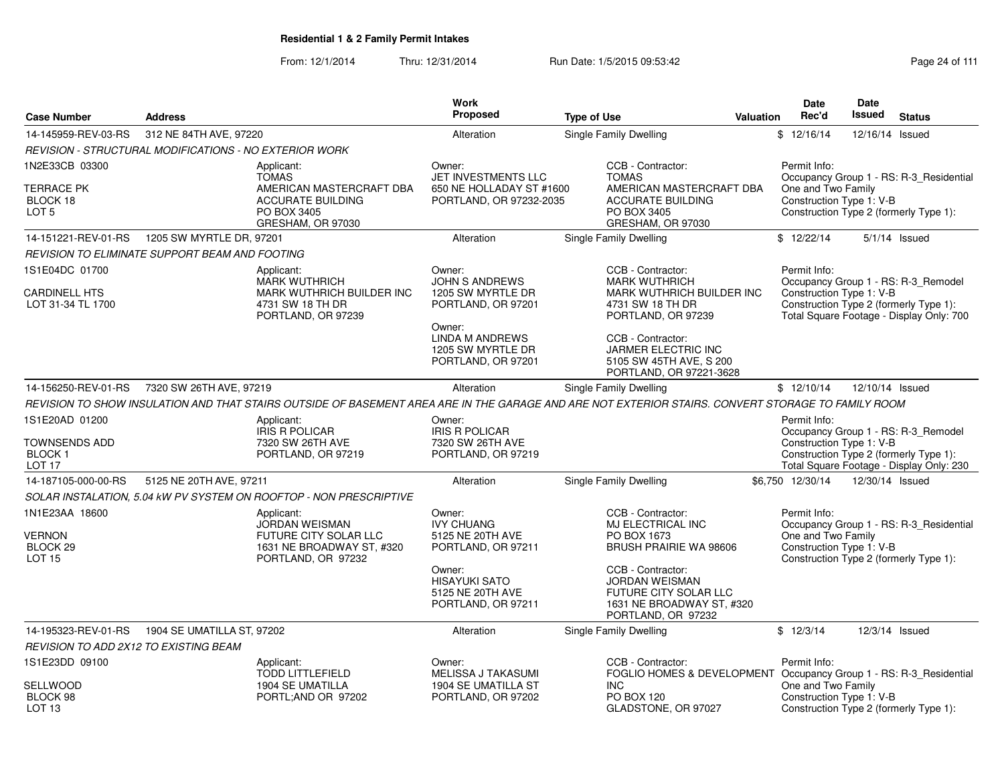From: 12/1/2014Thru: 12/31/2014 Run Date: 1/5/2015 09:53:42 Research 2010 12:43 Rage 24 of 111

|                                                                         |                            |                                                                                                                                                    | <b>Work</b>                                                                 |                                                                                                                               |           | Date                                                               | Date            |                                                                                    |
|-------------------------------------------------------------------------|----------------------------|----------------------------------------------------------------------------------------------------------------------------------------------------|-----------------------------------------------------------------------------|-------------------------------------------------------------------------------------------------------------------------------|-----------|--------------------------------------------------------------------|-----------------|------------------------------------------------------------------------------------|
| <b>Case Number</b>                                                      | <b>Address</b>             |                                                                                                                                                    | <b>Proposed</b>                                                             | <b>Type of Use</b>                                                                                                            | Valuation | Rec'd                                                              | <b>Issued</b>   | <b>Status</b>                                                                      |
| 14-145959-REV-03-RS                                                     | 312 NE 84TH AVE, 97220     |                                                                                                                                                    | Alteration                                                                  | <b>Single Family Dwelling</b>                                                                                                 |           | \$12/16/14                                                         | 12/16/14        | Issued                                                                             |
| <b>REVISION - STRUCTURAL MODIFICATIONS - NO EXTERIOR WORK</b>           |                            |                                                                                                                                                    |                                                                             |                                                                                                                               |           |                                                                    |                 |                                                                                    |
| 1N2E33CB 03300                                                          |                            | Applicant:<br><b>TOMAS</b>                                                                                                                         | Owner:<br>JET INVESTMENTS LLC                                               | CCB - Contractor:<br><b>TOMAS</b>                                                                                             |           | Permit Info:                                                       |                 | Occupancy Group 1 - RS: R-3_Residential                                            |
| <b>TERRACE PK</b><br>BLOCK 18<br>LOT <sub>5</sub>                       |                            | AMERICAN MASTERCRAFT DBA<br><b>ACCURATE BUILDING</b><br>PO BOX 3405<br>GRESHAM, OR 97030                                                           | 650 NE HOLLADAY ST #1600<br>PORTLAND, OR 97232-2035                         | AMERICAN MASTERCRAFT DBA<br><b>ACCURATE BUILDING</b><br>PO BOX 3405<br>GRESHAM, OR 97030                                      |           | One and Two Family<br>Construction Type 1: V-B                     |                 | Construction Type 2 (formerly Type 1):                                             |
| 14-151221-REV-01-RS                                                     | 1205 SW MYRTLE DR, 97201   |                                                                                                                                                    | Alteration                                                                  | Single Family Dwelling                                                                                                        |           | \$12/22/14                                                         |                 | $5/1/14$ Issued                                                                    |
| REVISION TO ELIMINATE SUPPORT BEAM AND FOOTING                          |                            |                                                                                                                                                    |                                                                             |                                                                                                                               |           |                                                                    |                 |                                                                                    |
| 1S1E04DC 01700                                                          |                            | Applicant:<br><b>MARK WUTHRICH</b>                                                                                                                 | Owner:<br><b>JOHN S ANDREWS</b>                                             | CCB - Contractor:<br><b>MARK WUTHRICH</b>                                                                                     |           | Permit Info:                                                       |                 | Occupancy Group 1 - RS: R-3_Remodel                                                |
| <b>CARDINELL HTS</b><br>LOT 31-34 TL 1700                               |                            | <b>MARK WUTHRICH BUILDER INC</b><br>4731 SW 18 TH DR<br>PORTLAND, OR 97239                                                                         | 1205 SW MYRTLE DR<br>PORTLAND, OR 97201                                     | <b>MARK WUTHRICH BUILDER INC</b><br>4731 SW 18 TH DR<br>PORTLAND, OR 97239                                                    |           | Construction Type 1: V-B                                           |                 | Construction Type 2 (formerly Type 1):<br>Total Square Footage - Display Only: 700 |
|                                                                         |                            |                                                                                                                                                    | Owner:<br><b>LINDA M ANDREWS</b><br>1205 SW MYRTLE DR<br>PORTLAND, OR 97201 | CCB - Contractor:<br>JARMER ELECTRIC INC<br>5105 SW 45TH AVE, S 200<br>PORTLAND, OR 97221-3628                                |           |                                                                    |                 |                                                                                    |
| 14-156250-REV-01-RS                                                     | 7320 SW 26TH AVE, 97219    |                                                                                                                                                    | Alteration                                                                  | <b>Single Family Dwelling</b>                                                                                                 |           | \$12/10/14                                                         | 12/10/14 Issued |                                                                                    |
|                                                                         |                            | REVISION TO SHOW INSULATION AND THAT STAIRS OUTSIDE OF BASEMENT AREA ARE IN THE GARAGE AND ARE NOT EXTERIOR STAIRS. CONVERT STORAGE TO FAMILY ROOM |                                                                             |                                                                                                                               |           |                                                                    |                 |                                                                                    |
| 1S1E20AD 01200                                                          |                            | Applicant:                                                                                                                                         | Owner:                                                                      |                                                                                                                               |           | Permit Info:                                                       |                 |                                                                                    |
| TOWNSENDS ADD<br><b>BLOCK1</b><br>LOT <sub>17</sub>                     |                            | <b>IRIS R POLICAR</b><br>7320 SW 26TH AVE<br>PORTLAND, OR 97219                                                                                    | <b>IRIS R POLICAR</b><br>7320 SW 26TH AVE<br>PORTLAND, OR 97219             |                                                                                                                               |           | Construction Type 1: V-B<br>Construction Type 2 (formerly Type 1): |                 | Occupancy Group 1 - RS: R-3_Remodel<br>Total Square Footage - Display Only: 230    |
| 14-187105-000-00-RS                                                     | 5125 NE 20TH AVE, 97211    |                                                                                                                                                    | Alteration                                                                  | Single Family Dwelling                                                                                                        |           | \$6.750 12/30/14                                                   | 12/30/14 Issued |                                                                                    |
|                                                                         |                            | SOLAR INSTALATION, 5.04 kW PV SYSTEM ON ROOFTOP - NON PRESCRIPTIVE                                                                                 |                                                                             |                                                                                                                               |           |                                                                    |                 |                                                                                    |
| 1N1E23AA 18600<br><b>VERNON</b><br>BLOCK <sub>29</sub><br><b>LOT 15</b> |                            | Applicant:<br><b>JORDAN WEISMAN</b><br>FUTURE CITY SOLAR LLC<br>1631 NE BROADWAY ST, #320<br>PORTLAND, OR 97232                                    | Owner:<br><b>IVY CHUANG</b><br>5125 NE 20TH AVE<br>PORTLAND, OR 97211       | CCB - Contractor:<br>MJ ELECTRICAL INC<br>PO BOX 1673<br>BRUSH PRAIRIE WA 98606                                               |           | Permit Info:<br>One and Two Family<br>Construction Type 1: V-B     |                 | Occupancy Group 1 - RS: R-3_Residential<br>Construction Type 2 (formerly Type 1):  |
|                                                                         |                            |                                                                                                                                                    | Owner:<br><b>HISAYUKI SATO</b><br>5125 NE 20TH AVE<br>PORTLAND, OR 97211    | CCB - Contractor:<br><b>JORDAN WEISMAN</b><br><b>FUTURE CITY SOLAR LLC</b><br>1631 NE BROADWAY ST, #320<br>PORTLAND, OR 97232 |           |                                                                    |                 |                                                                                    |
| 14-195323-REV-01-RS                                                     | 1904 SE UMATILLA ST, 97202 |                                                                                                                                                    | Alteration                                                                  | Single Family Dwelling                                                                                                        |           | \$12/3/14                                                          | 12/3/14 Issued  |                                                                                    |
| REVISION TO ADD 2X12 TO EXISTING BEAM                                   |                            |                                                                                                                                                    |                                                                             |                                                                                                                               |           |                                                                    |                 |                                                                                    |
| 1S1E23DD 09100                                                          |                            | Applicant:<br><b>TODD LITTLEFIELD</b>                                                                                                              | Owner:<br>MELISSA J TAKASUMI                                                | CCB - Contractor:<br>FOGLIO HOMES & DEVELOPMENT                                                                               |           | Permit Info:                                                       |                 | Occupancy Group 1 - RS: R-3_Residential                                            |
| <b>SELLWOOD</b><br>BLOCK 98<br>LOT <sub>13</sub>                        |                            | <b>1904 SE UMATILLA</b><br>PORTL;AND OR 97202                                                                                                      | 1904 SE UMATILLA ST<br>PORTLAND, OR 97202                                   | <b>INC</b><br><b>PO BOX 120</b><br>GLADSTONE, OR 97027                                                                        |           | One and Two Family<br>Construction Type 1: V-B                     |                 | Construction Type 2 (formerly Type 1):                                             |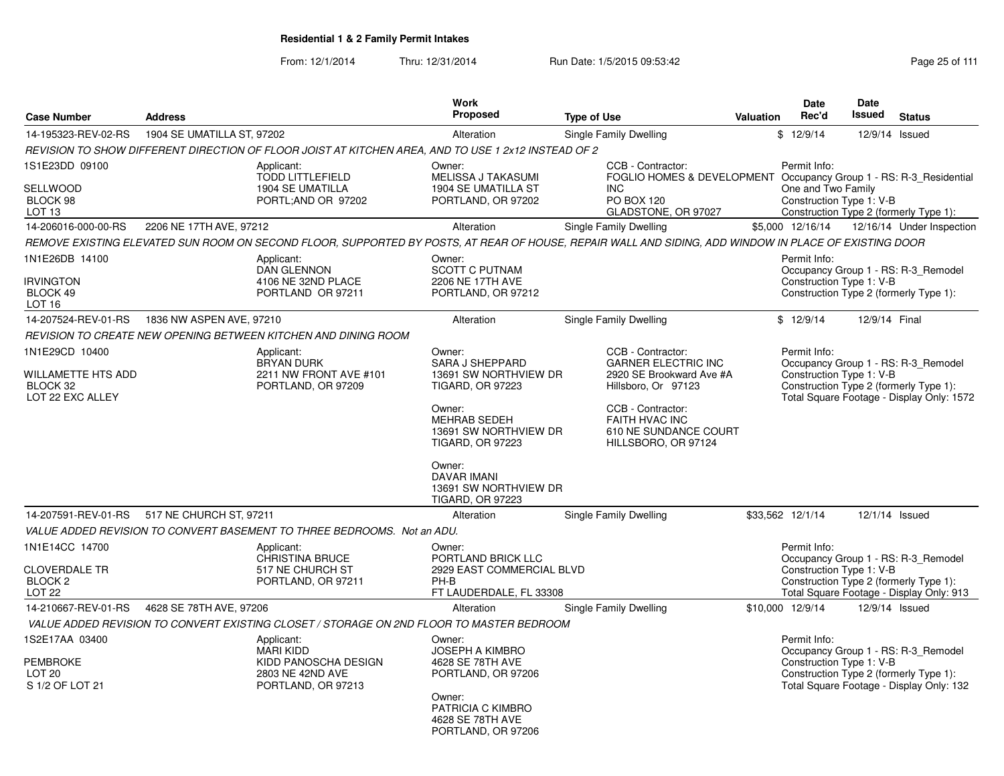From: 12/1/2014Thru: 12/31/2014 Run Date: 1/5/2015 09:53:42 Research 2010 12/31/2014 Page 25 of 111

| <b>Case Number</b>                                                            | <b>Address</b>             |                                                                                                     | <b>Work</b><br>Proposed                                                                                                                                                                                                                                       | <b>Type of Use</b>                                                                                                                                                                               | <b>Valuation</b> | Date<br>Rec'd                                                  | Date<br>Issued | <b>Status</b>                                                                                                              |
|-------------------------------------------------------------------------------|----------------------------|-----------------------------------------------------------------------------------------------------|---------------------------------------------------------------------------------------------------------------------------------------------------------------------------------------------------------------------------------------------------------------|--------------------------------------------------------------------------------------------------------------------------------------------------------------------------------------------------|------------------|----------------------------------------------------------------|----------------|----------------------------------------------------------------------------------------------------------------------------|
| 14-195323-REV-02-RS                                                           | 1904 SE UMATILLA ST. 97202 |                                                                                                     | Alteration                                                                                                                                                                                                                                                    | Single Family Dwelling                                                                                                                                                                           |                  | \$12/9/14                                                      |                | 12/9/14 Issued                                                                                                             |
|                                                                               |                            | REVISION TO SHOW DIFFERENT DIRECTION OF FLOOR JOIST AT KITCHEN AREA, AND TO USE 1 2x12 INSTEAD OF 2 |                                                                                                                                                                                                                                                               |                                                                                                                                                                                                  |                  |                                                                |                |                                                                                                                            |
| 1S1E23DD 09100<br><b>SELLWOOD</b><br>BLOCK 98<br>LOT <sub>13</sub>            |                            | Applicant:<br><b>TODD LITTLEFIELD</b><br><b>1904 SE UMATILLA</b><br>PORTL;AND OR 97202              | Owner:<br>MELISSA J TAKASUMI<br>1904 SE UMATILLA ST<br>PORTLAND, OR 97202                                                                                                                                                                                     | CCB - Contractor:<br>FOGLIO HOMES & DEVELOPMENT Occupancy Group 1 - RS: R-3 Residential<br><b>INC</b><br>PO BOX 120<br>GLADSTONE, OR 97027                                                       |                  | Permit Info:<br>One and Two Family<br>Construction Type 1: V-B |                | Construction Type 2 (formerly Type 1):                                                                                     |
| 14-206016-000-00-RS                                                           | 2206 NE 17TH AVE, 97212    |                                                                                                     | Alteration                                                                                                                                                                                                                                                    | Single Family Dwelling                                                                                                                                                                           |                  | \$5,000 12/16/14                                               |                | 12/16/14 Under Inspection                                                                                                  |
|                                                                               |                            |                                                                                                     |                                                                                                                                                                                                                                                               | REMOVE EXISTING ELEVATED SUN ROOM ON SECOND FLOOR, SUPPORTED BY POSTS, AT REAR OF HOUSE, REPAIR WALL AND SIDING, ADD WINDOW IN PLACE OF EXISTING DOOR                                            |                  |                                                                |                |                                                                                                                            |
| 1N1E26DB 14100<br><b>IRVINGTON</b><br>BLOCK 49<br><b>LOT 16</b>               |                            | Applicant:<br><b>DAN GLENNON</b><br>4106 NE 32ND PLACE<br>PORTLAND OR 97211                         | Owner:<br><b>SCOTT C PUTNAM</b><br>2206 NE 17TH AVE<br>PORTLAND, OR 97212                                                                                                                                                                                     |                                                                                                                                                                                                  |                  | Permit Info:<br>Construction Type 1: V-B                       |                | Occupancy Group 1 - RS: R-3 Remodel<br>Construction Type 2 (formerly Type 1):                                              |
| 14-207524-REV-01-RS                                                           | 1836 NW ASPEN AVE, 97210   |                                                                                                     | Alteration                                                                                                                                                                                                                                                    | Single Family Dwelling                                                                                                                                                                           |                  | \$12/9/14                                                      | 12/9/14 Final  |                                                                                                                            |
|                                                                               |                            | REVISION TO CREATE NEW OPENING BETWEEN KITCHEN AND DINING ROOM                                      |                                                                                                                                                                                                                                                               |                                                                                                                                                                                                  |                  |                                                                |                |                                                                                                                            |
| 1N1E29CD 10400<br>WILLAMETTE HTS ADD<br>BLOCK 32<br>LOT 22 EXC ALLEY          |                            | Applicant:<br><b>BRYAN DURK</b><br>2211 NW FRONT AVE #101<br>PORTLAND, OR 97209                     | Owner:<br><b>SARA J SHEPPARD</b><br>13691 SW NORTHVIEW DR<br><b>TIGARD, OR 97223</b><br>Owner:<br><b>MEHRAB SEDEH</b><br>13691 SW NORTHVIEW DR<br><b>TIGARD, OR 97223</b><br>Owner:<br><b>DAVAR IMANI</b><br>13691 SW NORTHVIEW DR<br><b>TIGARD, OR 97223</b> | CCB - Contractor:<br><b>GARNER ELECTRIC INC</b><br>2920 SE Brookward Ave #A<br>Hillsboro, Or 97123<br>CCB - Contractor:<br><b>FAITH HVAC INC</b><br>610 NE SUNDANCE COURT<br>HILLSBORO, OR 97124 |                  | Permit Info:<br>Construction Type 1: V-B                       |                | Occupancy Group 1 - RS: R-3 Remodel<br>Construction Type 2 (formerly Type 1):<br>Total Square Footage - Display Only: 1572 |
| 14-207591-REV-01-RS                                                           | 517 NE CHURCH ST, 97211    |                                                                                                     | Alteration                                                                                                                                                                                                                                                    | Single Family Dwelling                                                                                                                                                                           |                  | \$33,562 12/1/14                                               |                | 12/1/14 Issued                                                                                                             |
|                                                                               |                            | VALUE ADDED REVISION TO CONVERT BASEMENT TO THREE BEDROOMS. Not an ADU.                             |                                                                                                                                                                                                                                                               |                                                                                                                                                                                                  |                  |                                                                |                |                                                                                                                            |
| 1N1E14CC 14700<br><b>CLOVERDALE TR</b><br><b>BLOCK 2</b><br>LOT <sub>22</sub> |                            | Applicant:<br><b>CHRISTINA BRUCE</b><br>517 NE CHURCH ST<br>PORTLAND, OR 97211                      | Owner:<br>PORTLAND BRICK LLC<br>2929 EAST COMMERCIAL BLVD<br>PH-B<br>FT LAUDERDALE, FL 33308                                                                                                                                                                  |                                                                                                                                                                                                  |                  | Permit Info:<br>Construction Type 1: V-B                       |                | Occupancy Group 1 - RS: R-3 Remodel<br>Construction Type 2 (formerly Type 1):<br>Total Square Footage - Display Only: 913  |
| 14-210667-REV-01-RS                                                           | 4628 SE 78TH AVE, 97206    |                                                                                                     | Alteration                                                                                                                                                                                                                                                    | Single Family Dwelling                                                                                                                                                                           |                  | \$10,000 12/9/14                                               | 12/9/14 Issued |                                                                                                                            |
|                                                                               |                            | VALUE ADDED REVISION TO CONVERT EXISTING CLOSET / STORAGE ON 2ND FLOOR TO MASTER BEDROOM            |                                                                                                                                                                                                                                                               |                                                                                                                                                                                                  |                  |                                                                |                |                                                                                                                            |
| 1S2E17AA 03400<br><b>PEMBROKE</b><br>LOT <sub>20</sub><br>S 1/2 OF LOT 21     |                            | Applicant:<br><b>MARI KIDD</b><br>KIDD PANOSCHA DESIGN<br>2803 NE 42ND AVE<br>PORTLAND, OR 97213    | Owner:<br><b>JOSEPH A KIMBRO</b><br>4628 SE 78TH AVE<br>PORTLAND, OR 97206<br>Owner:<br>PATRICIA C KIMBRO<br>4628 SE 78TH AVE<br>PORTLAND, OR 97206                                                                                                           |                                                                                                                                                                                                  |                  | Permit Info:<br>Construction Type 1: V-B                       |                | Occupancy Group 1 - RS: R-3 Remodel<br>Construction Type 2 (formerly Type 1):<br>Total Square Footage - Display Only: 132  |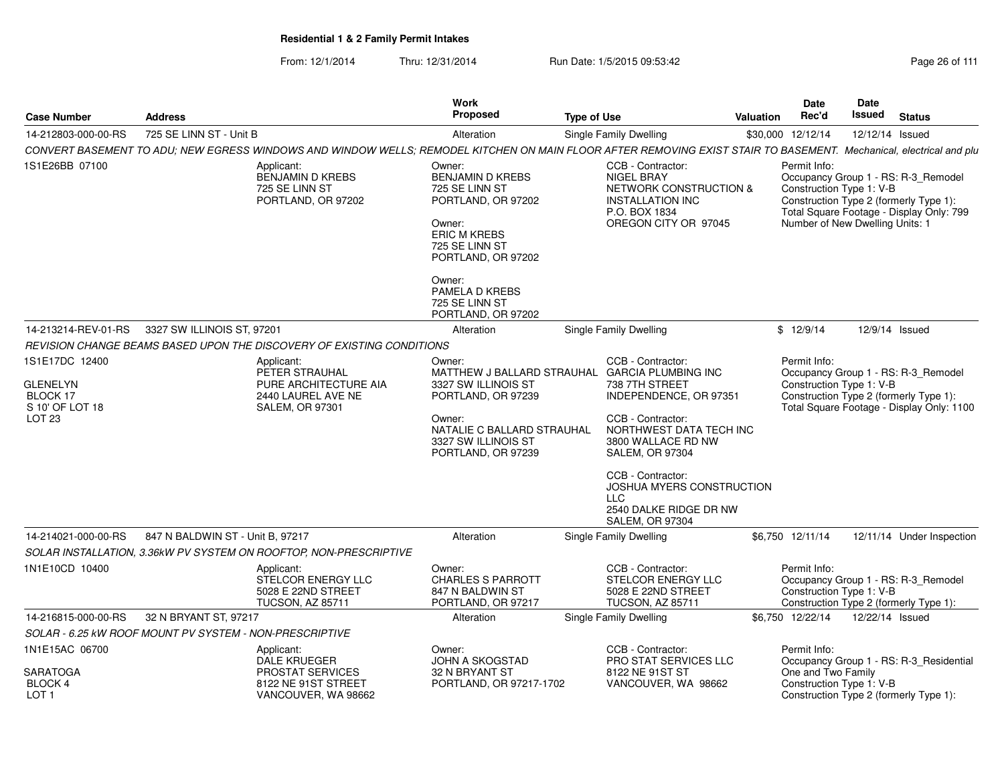From: 12/1/2014Thru: 12/31/2014 Run Date: 1/5/2015 09:53:42 Research 2010 12/31/2014 Page 26 of 111

| <b>Case Number</b>                                                  | <b>Address</b>                                                                                                                                                     | Work<br><b>Proposed</b>                                                                                                                                      | <b>Type of Use</b> |                                                                                                                                                                        | Valuation | Date<br>Rec'd                                                                                                         | Date<br><b>Issued</b> | <b>Status</b>                                                                    |
|---------------------------------------------------------------------|--------------------------------------------------------------------------------------------------------------------------------------------------------------------|--------------------------------------------------------------------------------------------------------------------------------------------------------------|--------------------|------------------------------------------------------------------------------------------------------------------------------------------------------------------------|-----------|-----------------------------------------------------------------------------------------------------------------------|-----------------------|----------------------------------------------------------------------------------|
| 14-212803-000-00-RS                                                 | 725 SE LINN ST - Unit B                                                                                                                                            | Alteration                                                                                                                                                   |                    | Single Family Dwelling                                                                                                                                                 |           | \$30,000 12/12/14                                                                                                     | 12/12/14 Issued       |                                                                                  |
|                                                                     | CONVERT BASEMENT TO ADU; NEW EGRESS WINDOWS AND WINDOW WELLS; REMODEL KITCHEN ON MAIN FLOOR AFTER REMOVING EXIST STAIR TO BASEMENT. Mechanical, electrical and plu |                                                                                                                                                              |                    |                                                                                                                                                                        |           |                                                                                                                       |                       |                                                                                  |
| 1S1E26BB 07100                                                      | Applicant:<br><b>BENJAMIN D KREBS</b><br>725 SE LINN ST<br>PORTLAND, OR 97202                                                                                      | Owner:<br><b>BENJAMIN D KREBS</b><br>725 SE LINN ST<br>PORTLAND, OR 97202<br>Owner:<br><b>ERIC M KREBS</b><br>725 SE LINN ST<br>PORTLAND, OR 97202           |                    | CCB - Contractor:<br>NIGEL BRAY<br>NETWORK CONSTRUCTION &<br><b>INSTALLATION INC</b><br>P.O. BOX 1834<br>OREGON CITY OR 97045                                          |           | Permit Info:<br>Construction Type 1: V-B<br>Construction Type 2 (formerly Type 1):<br>Number of New Dwelling Units: 1 |                       | Occupancy Group 1 - RS: R-3_Remodel<br>Total Square Footage - Display Only: 799  |
|                                                                     |                                                                                                                                                                    | Owner:<br>PAMELA D KREBS<br>725 SE LINN ST<br>PORTLAND, OR 97202                                                                                             |                    |                                                                                                                                                                        |           |                                                                                                                       |                       |                                                                                  |
| 14-213214-REV-01-RS                                                 | 3327 SW ILLINOIS ST, 97201                                                                                                                                         | Alteration                                                                                                                                                   |                    | Single Family Dwelling                                                                                                                                                 |           | \$12/9/14                                                                                                             | 12/9/14 Issued        |                                                                                  |
|                                                                     | REVISION CHANGE BEAMS BASED UPON THE DISCOVERY OF EXISTING CONDITIONS                                                                                              |                                                                                                                                                              |                    |                                                                                                                                                                        |           |                                                                                                                       |                       |                                                                                  |
| 1S1E17DC 12400                                                      | Applicant:                                                                                                                                                         | Owner:                                                                                                                                                       |                    | CCB - Contractor:                                                                                                                                                      |           | Permit Info:                                                                                                          |                       |                                                                                  |
| <b>GLENELYN</b><br>BLOCK 17<br>S 10' OF LOT 18<br>LOT <sub>23</sub> | PETER STRAUHAL<br>PURE ARCHITECTURE AIA<br>2440 LAUREL AVE NE<br><b>SALEM, OR 97301</b>                                                                            | MATTHEW J BALLARD STRAUHAL<br>3327 SW ILLINOIS ST<br>PORTLAND, OR 97239<br>Owner:<br>NATALIE C BALLARD STRAUHAL<br>3327 SW ILLINOIS ST<br>PORTLAND, OR 97239 |                    | <b>GARCIA PLUMBING INC</b><br>738 7TH STREET<br>INDEPENDENCE, OR 97351<br>CCB - Contractor:<br>NORTHWEST DATA TECH INC<br>3800 WALLACE RD NW<br><b>SALEM, OR 97304</b> |           | Construction Type 1: V-B<br>Construction Type 2 (formerly Type 1):                                                    |                       | Occupancy Group 1 - RS: R-3_Remodel<br>Total Square Footage - Display Only: 1100 |
|                                                                     |                                                                                                                                                                    |                                                                                                                                                              |                    | CCB - Contractor:<br>JOSHUA MYERS CONSTRUCTION<br><b>LLC</b><br>2540 DALKE RIDGE DR NW<br><b>SALEM, OR 97304</b>                                                       |           |                                                                                                                       |                       |                                                                                  |
| 14-214021-000-00-RS                                                 | 847 N BALDWIN ST - Unit B, 97217                                                                                                                                   | Alteration                                                                                                                                                   |                    | Single Family Dwelling                                                                                                                                                 |           | \$6,750 12/11/14                                                                                                      |                       | 12/11/14 Under Inspection                                                        |
|                                                                     | SOLAR INSTALLATION, 3.36kW PV SYSTEM ON ROOFTOP, NON-PRESCRIPTIVE                                                                                                  |                                                                                                                                                              |                    |                                                                                                                                                                        |           |                                                                                                                       |                       |                                                                                  |
| 1N1E10CD 10400                                                      | Applicant:<br>STELCOR ENERGY LLC<br>5028 E 22ND STREET<br><b>TUCSON, AZ 85711</b>                                                                                  | Owner:<br><b>CHARLES S PARROTT</b><br>847 N BALDWIN ST<br>PORTLAND, OR 97217                                                                                 |                    | CCB - Contractor:<br>STELCOR ENERGY LLC<br>5028 E 22ND STREET<br><b>TUCSON, AZ 85711</b>                                                                               |           | Permit Info:<br>Construction Type 1: V-B<br>Construction Type 2 (formerly Type 1):                                    |                       | Occupancy Group 1 - RS: R-3_Remodel                                              |
| 14-216815-000-00-RS                                                 | 32 N BRYANT ST, 97217                                                                                                                                              | Alteration                                                                                                                                                   |                    | Single Family Dwelling                                                                                                                                                 |           | \$6,750 12/22/14                                                                                                      | 12/22/14 Issued       |                                                                                  |
|                                                                     | SOLAR - 6.25 KW ROOF MOUNT PV SYSTEM - NON-PRESCRIPTIVE                                                                                                            |                                                                                                                                                              |                    |                                                                                                                                                                        |           |                                                                                                                       |                       |                                                                                  |
| 1N1E15AC 06700                                                      | Applicant:<br><b>DALE KRUEGER</b>                                                                                                                                  | Owner:<br>JOHN A SKOGSTAD                                                                                                                                    |                    | CCB - Contractor:<br>PRO STAT SERVICES LLC                                                                                                                             |           | Permit Info:                                                                                                          |                       | Occupancy Group 1 - RS: R-3_Residential                                          |
| <b>SARATOGA</b><br><b>BLOCK 4</b><br>LOT <sub>1</sub>               | <b>PROSTAT SERVICES</b><br>8122 NE 91ST STREET<br>VANCOUVER, WA 98662                                                                                              | 32 N BRYANT ST<br>PORTLAND, OR 97217-1702                                                                                                                    |                    | 8122 NE 91ST ST<br>VANCOUVER, WA 98662                                                                                                                                 |           | One and Two Family<br>Construction Type 1: V-B<br>Construction Type 2 (formerly Type 1):                              |                       |                                                                                  |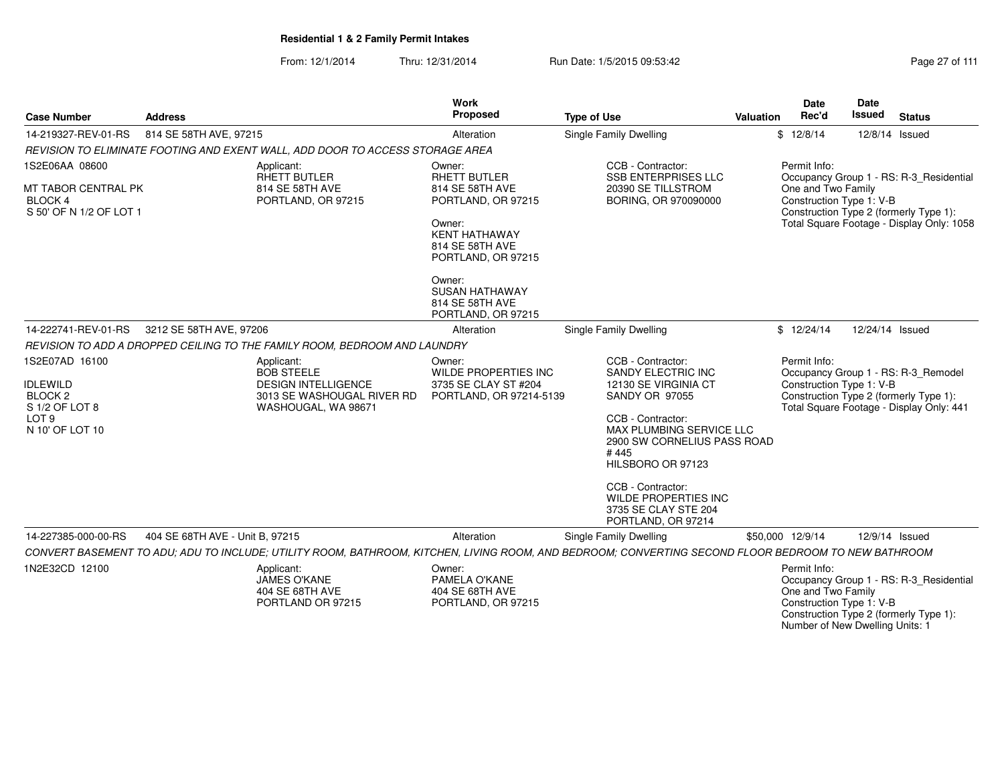From: 12/1/2014Thru: 12/31/2014 Run Date: 1/5/2015 09:53:42 Run Date: 1/5/2015 09:53:42

| <b>Case Number</b><br><b>Address</b>                                                                             |                                 |                                                                                                                    | <b>Work</b><br><b>Proposed</b>                                                                                                                                                                          | <b>Type of Use</b>                                                                                                                                                                                                                                                                                      | <b>Valuation</b> | Date<br>Rec'd                                                  | <b>Date</b><br><b>Issued</b> | <b>Status</b>                                                                                                                  |
|------------------------------------------------------------------------------------------------------------------|---------------------------------|--------------------------------------------------------------------------------------------------------------------|---------------------------------------------------------------------------------------------------------------------------------------------------------------------------------------------------------|---------------------------------------------------------------------------------------------------------------------------------------------------------------------------------------------------------------------------------------------------------------------------------------------------------|------------------|----------------------------------------------------------------|------------------------------|--------------------------------------------------------------------------------------------------------------------------------|
| 14-219327-REV-01-RS                                                                                              | 814 SE 58TH AVE, 97215          |                                                                                                                    | Alteration                                                                                                                                                                                              | Single Family Dwelling                                                                                                                                                                                                                                                                                  |                  | \$12/8/14                                                      |                              | 12/8/14 Issued                                                                                                                 |
|                                                                                                                  |                                 | REVISION TO ELIMINATE FOOTING AND EXENT WALL, ADD DOOR TO ACCESS STORAGE AREA                                      |                                                                                                                                                                                                         |                                                                                                                                                                                                                                                                                                         |                  |                                                                |                              |                                                                                                                                |
| 1S2E06AA 08600<br>MT TABOR CENTRAL PK<br><b>BLOCK 4</b><br>S 50' OF N 1/2 OF LOT 1                               |                                 | Applicant:<br><b>RHETT BUTLER</b><br>814 SE 58TH AVE<br>PORTLAND, OR 97215                                         | Owner:<br><b>RHETT BUTLER</b><br>814 SE 58TH AVE<br>PORTLAND, OR 97215<br>Owner:<br><b>KENT HATHAWAY</b><br>814 SE 58TH AVE<br>PORTLAND, OR 97215<br>Owner:<br><b>SUSAN HATHAWAY</b><br>814 SE 58TH AVE | CCB - Contractor:<br><b>SSB ENTERPRISES LLC</b><br>20390 SE TILLSTROM<br>BORING, OR 970090000                                                                                                                                                                                                           |                  | Permit Info:<br>One and Two Family<br>Construction Type 1: V-B |                              | Occupancy Group 1 - RS: R-3_Residential<br>Construction Type 2 (formerly Type 1):<br>Total Square Footage - Display Only: 1058 |
|                                                                                                                  |                                 |                                                                                                                    | PORTLAND, OR 97215                                                                                                                                                                                      |                                                                                                                                                                                                                                                                                                         |                  |                                                                |                              |                                                                                                                                |
| 14-222741-REV-01-RS                                                                                              | 3212 SE 58TH AVE, 97206         |                                                                                                                    | Alteration                                                                                                                                                                                              | Single Family Dwelling                                                                                                                                                                                                                                                                                  |                  | \$12/24/14                                                     | 12/24/14 Issued              |                                                                                                                                |
|                                                                                                                  |                                 | REVISION TO ADD A DROPPED CEILING TO THE FAMILY ROOM, BEDROOM AND LAUNDRY                                          |                                                                                                                                                                                                         |                                                                                                                                                                                                                                                                                                         |                  |                                                                |                              |                                                                                                                                |
| 1S2E07AD 16100<br><b>IDLEWILD</b><br>BLOCK <sub>2</sub><br>S 1/2 OF LOT 8<br>LOT <sub>9</sub><br>N 10' OF LOT 10 |                                 | Applicant:<br><b>BOB STEELE</b><br><b>DESIGN INTELLIGENCE</b><br>3013 SE WASHOUGAL RIVER RD<br>WASHOUGAL, WA 98671 | Owner:<br>WILDE PROPERTIES INC<br>3735 SE CLAY ST #204<br>PORTLAND, OR 97214-5139                                                                                                                       | CCB - Contractor:<br>SANDY ELECTRIC INC<br>12130 SE VIRGINIA CT<br><b>SANDY OR 97055</b><br>CCB - Contractor:<br>MAX PLUMBING SERVICE LLC<br>2900 SW CORNELIUS PASS ROAD<br>#445<br>HILSBORO OR 97123<br>CCB - Contractor:<br><b>WILDE PROPERTIES INC</b><br>3735 SE CLAY STE 204<br>PORTLAND, OR 97214 |                  | Permit Info:<br>Construction Type 1: V-B                       |                              | Occupancy Group 1 - RS: R-3 Remodel<br>Construction Type 2 (formerly Type 1):<br>Total Square Footage - Display Only: 441      |
| 14-227385-000-00-RS                                                                                              | 404 SE 68TH AVE - Unit B, 97215 |                                                                                                                    | Alteration                                                                                                                                                                                              | Single Family Dwelling                                                                                                                                                                                                                                                                                  |                  | \$50,000 12/9/14                                               |                              | 12/9/14 Issued                                                                                                                 |
|                                                                                                                  |                                 |                                                                                                                    |                                                                                                                                                                                                         | CONVERT BASEMENT TO ADU; ADU TO INCLUDE; UTILITY ROOM, BATHROOM, KITCHEN, LIVING ROOM, AND BEDROOM; CONVERTING SECOND FLOOR BEDROOM TO NEW BATHROOM                                                                                                                                                     |                  |                                                                |                              |                                                                                                                                |
| 1N2E32CD 12100                                                                                                   |                                 | Applicant:<br><b>JAMES O'KANE</b><br>404 SE 68TH AVE<br>PORTLAND OR 97215                                          | Owner:<br>PAMELA O'KANE<br>404 SE 68TH AVE<br>PORTLAND, OR 97215                                                                                                                                        |                                                                                                                                                                                                                                                                                                         |                  | Permit Info:<br>One and Two Family<br>Construction Type 1: V-B |                              | Occupancy Group 1 - RS: R-3 Residential<br>$\mathbf{r}$ and $\mathbf{r}$                                                       |

Construction Type 1: V-B Construction Type 2 (formerly Type 1): Number of New Dwelling Units: 1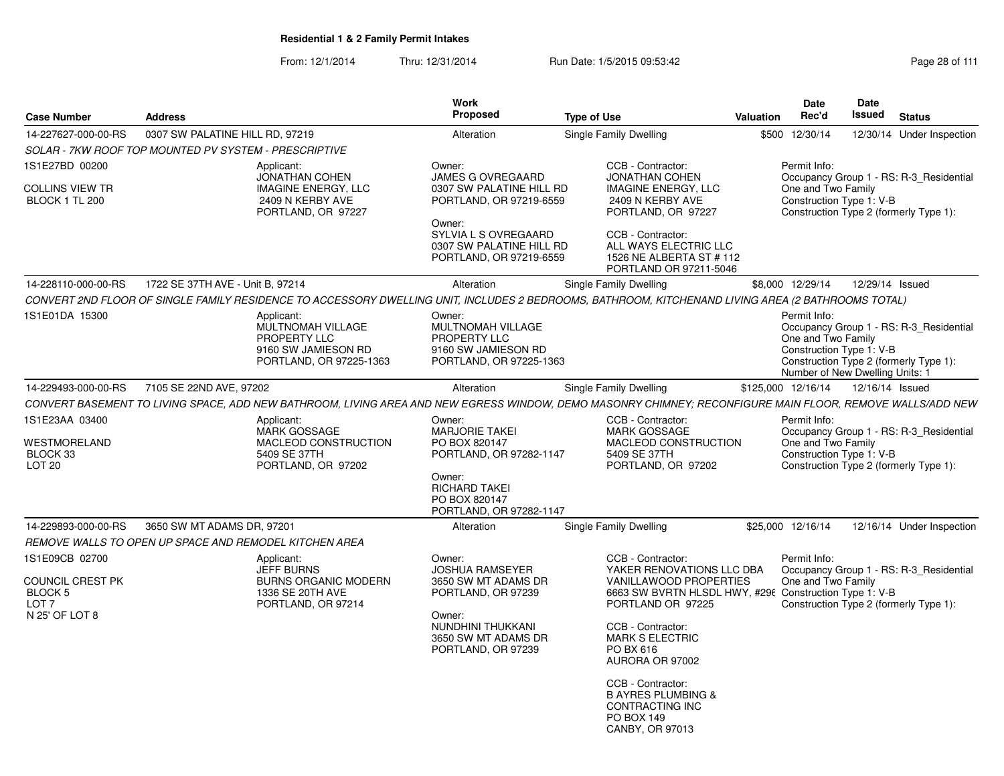From: 12/1/2014Thru: 12/31/2014 Run Date: 1/5/2015 09:53:42 Research 2010 12/31/2014 Page 28 of 111

| 0307 SW PALATINE HILL RD, 97219<br>Single Family Dwelling<br>\$500 12/30/14<br>12/30/14 Under Inspection<br>Alteration<br>SOLAR - 7KW ROOF TOP MOUNTED PV SYSTEM - PRESCRIPTIVE<br>CCB - Contractor:<br>Permit Info:<br>Applicant:<br>Owner:<br><b>JONATHAN COHEN</b><br><b>JAMES G OVREGAARD</b><br>JONATHAN COHEN<br>Occupancy Group 1 - RS: R-3_Residential<br>One and Two Family<br><b>IMAGINE ENERGY, LLC</b><br>0307 SW PALATINE HILL RD<br><b>IMAGINE ENERGY, LLC</b><br>Construction Type 1: V-B<br>2409 N KERBY AVE<br>PORTLAND, OR 97219-6559<br>2409 N KERBY AVE<br>Construction Type 2 (formerly Type 1):<br>PORTLAND, OR 97227<br>PORTLAND, OR 97227<br>Owner:<br>SYLVIA L S OVREGAARD<br>CCB - Contractor:<br>0307 SW PALATINE HILL RD<br>ALL WAYS ELECTRIC LLC<br>PORTLAND, OR 97219-6559<br>1526 NE ALBERTA ST # 112<br>PORTLAND OR 97211-5046<br>1722 SE 37TH AVE - Unit B, 97214<br>\$8,000 12/29/14<br>12/29/14 Issued<br>Alteration<br>Single Family Dwelling<br>CONVERT 2ND FLOOR OF SINGLE FAMILY RESIDENCE TO ACCESSORY DWELLING UNIT, INCLUDES 2 BEDROOMS, BATHROOM, KITCHENAND LIVING AREA (2 BATHROOMS TOTAL)<br>Permit Info:<br>Applicant:<br>Owner:<br>MULTNOMAH VILLAGE<br>MULTNOMAH VILLAGE<br>Occupancy Group 1 - RS: R-3_Residential<br>PROPERTY LLC<br>PROPERTY LLC<br>One and Two Family<br>9160 SW JAMIESON RD<br>Construction Type 1: V-B<br>9160 SW JAMIESON RD<br>Construction Type 2 (formerly Type 1):<br>PORTLAND, OR 97225-1363<br>PORTLAND, OR 97225-1363<br>Number of New Dwelling Units: 1<br>7105 SE 22ND AVE, 97202<br>Single Family Dwelling<br>\$125,000 12/16/14<br>12/16/14 Issued<br>Alteration<br>CONVERT BASEMENT TO LIVING SPACE, ADD NEW BATHROOM, LIVING AREA AND NEW EGRESS WINDOW, DEMO MASONRY CHIMNEY; RECONFIGURE MAIN FLOOR, REMOVE WALLS/ADD NEW<br>CCB - Contractor:<br>Permit Info:<br>Applicant:<br>Owner:<br><b>MARJORIE TAKEI</b><br>MARK GOSSAGE<br>MARK GOSSAGE<br>Occupancy Group 1 - RS: R-3_Residential<br>MACLEOD CONSTRUCTION<br>MACLEOD CONSTRUCTION<br>One and Two Family<br>PO BOX 820147<br>Construction Type 1: V-B<br>5409 SE 37TH<br>PORTLAND, OR 97282-1147<br>5409 SE 37TH<br>Construction Type 2 (formerly Type 1):<br>PORTLAND, OR 97202<br>PORTLAND, OR 97202<br>Owner:<br>RICHARD TAKEI<br>PO BOX 820147<br>PORTLAND, OR 97282-1147<br>3650 SW MT ADAMS DR, 97201<br>Single Family Dwelling<br>\$25,000 12/16/14<br>12/16/14 Under Inspection<br>Alteration<br>REMOVE WALLS TO OPEN UP SPACE AND REMODEL KITCHEN AREA<br>1S1E09CB 02700<br>Applicant:<br>Owner:<br>CCB - Contractor:<br>Permit Info:<br><b>JEFF BURNS</b><br><b>JOSHUA RAMSEYER</b><br>YAKER RENOVATIONS LLC DBA<br>Occupancy Group 1 - RS: R-3_Residential<br>One and Two Family<br><b>BURNS ORGANIC MODERN</b><br>3650 SW MT ADAMS DR<br>VANILLAWOOD PROPERTIES<br>6663 SW BVRTN HLSDL HWY, #296 Construction Type 1: V-B<br>1336 SE 20TH AVE<br>PORTLAND, OR 97239<br>PORTLAND OR 97225<br>Construction Type 2 (formerly Type 1):<br>LOT 7<br>PORTLAND, OR 97214<br>Owner:<br>NUNDHINI THUKKANI<br>CCB - Contractor:<br>3650 SW MT ADAMS DR<br><b>MARK S ELECTRIC</b><br>PO BX 616<br>PORTLAND, OR 97239<br>AURORA OR 97002<br>CCB - Contractor:<br><b>B AYRES PLUMBING &amp;</b><br>CONTRACTING INC<br><b>PO BOX 149</b><br>CANBY, OR 97013 | <b>Case Number</b><br><b>Address</b>                        |  |  | <b>Work</b><br>Proposed | <b>Type of Use</b> | Valuation | <b>Date</b><br>Rec'd | <b>Date</b><br>Issued | <b>Status</b> |  |
|----------------------------------------------------------------------------------------------------------------------------------------------------------------------------------------------------------------------------------------------------------------------------------------------------------------------------------------------------------------------------------------------------------------------------------------------------------------------------------------------------------------------------------------------------------------------------------------------------------------------------------------------------------------------------------------------------------------------------------------------------------------------------------------------------------------------------------------------------------------------------------------------------------------------------------------------------------------------------------------------------------------------------------------------------------------------------------------------------------------------------------------------------------------------------------------------------------------------------------------------------------------------------------------------------------------------------------------------------------------------------------------------------------------------------------------------------------------------------------------------------------------------------------------------------------------------------------------------------------------------------------------------------------------------------------------------------------------------------------------------------------------------------------------------------------------------------------------------------------------------------------------------------------------------------------------------------------------------------------------------------------------------------------------------------------------------------------------------------------------------------------------------------------------------------------------------------------------------------------------------------------------------------------------------------------------------------------------------------------------------------------------------------------------------------------------------------------------------------------------------------------------------------------------------------------------------------------------------------------------------------------------------------------------------------------------------------------------------------------------------------------------------------------------------------------------------------------------------------------------------------------------------------------------------------------------------------------------------------------------------------------------------------------------------------------------------------------------------------------------------------------------------------------------------------------------------------------------------------------------------------------------------------------------------------------|-------------------------------------------------------------|--|--|-------------------------|--------------------|-----------|----------------------|-----------------------|---------------|--|
|                                                                                                                                                                                                                                                                                                                                                                                                                                                                                                                                                                                                                                                                                                                                                                                                                                                                                                                                                                                                                                                                                                                                                                                                                                                                                                                                                                                                                                                                                                                                                                                                                                                                                                                                                                                                                                                                                                                                                                                                                                                                                                                                                                                                                                                                                                                                                                                                                                                                                                                                                                                                                                                                                                                                                                                                                                                                                                                                                                                                                                                                                                                                                                                                                                                                                                          | 14-227627-000-00-RS                                         |  |  |                         |                    |           |                      |                       |               |  |
|                                                                                                                                                                                                                                                                                                                                                                                                                                                                                                                                                                                                                                                                                                                                                                                                                                                                                                                                                                                                                                                                                                                                                                                                                                                                                                                                                                                                                                                                                                                                                                                                                                                                                                                                                                                                                                                                                                                                                                                                                                                                                                                                                                                                                                                                                                                                                                                                                                                                                                                                                                                                                                                                                                                                                                                                                                                                                                                                                                                                                                                                                                                                                                                                                                                                                                          |                                                             |  |  |                         |                    |           |                      |                       |               |  |
|                                                                                                                                                                                                                                                                                                                                                                                                                                                                                                                                                                                                                                                                                                                                                                                                                                                                                                                                                                                                                                                                                                                                                                                                                                                                                                                                                                                                                                                                                                                                                                                                                                                                                                                                                                                                                                                                                                                                                                                                                                                                                                                                                                                                                                                                                                                                                                                                                                                                                                                                                                                                                                                                                                                                                                                                                                                                                                                                                                                                                                                                                                                                                                                                                                                                                                          | 1S1E27BD 00200<br><b>COLLINS VIEW TR</b><br>BLOCK 1 TL 200  |  |  |                         |                    |           |                      |                       |               |  |
|                                                                                                                                                                                                                                                                                                                                                                                                                                                                                                                                                                                                                                                                                                                                                                                                                                                                                                                                                                                                                                                                                                                                                                                                                                                                                                                                                                                                                                                                                                                                                                                                                                                                                                                                                                                                                                                                                                                                                                                                                                                                                                                                                                                                                                                                                                                                                                                                                                                                                                                                                                                                                                                                                                                                                                                                                                                                                                                                                                                                                                                                                                                                                                                                                                                                                                          |                                                             |  |  |                         |                    |           |                      |                       |               |  |
|                                                                                                                                                                                                                                                                                                                                                                                                                                                                                                                                                                                                                                                                                                                                                                                                                                                                                                                                                                                                                                                                                                                                                                                                                                                                                                                                                                                                                                                                                                                                                                                                                                                                                                                                                                                                                                                                                                                                                                                                                                                                                                                                                                                                                                                                                                                                                                                                                                                                                                                                                                                                                                                                                                                                                                                                                                                                                                                                                                                                                                                                                                                                                                                                                                                                                                          | 14-228110-000-00-RS                                         |  |  |                         |                    |           |                      |                       |               |  |
|                                                                                                                                                                                                                                                                                                                                                                                                                                                                                                                                                                                                                                                                                                                                                                                                                                                                                                                                                                                                                                                                                                                                                                                                                                                                                                                                                                                                                                                                                                                                                                                                                                                                                                                                                                                                                                                                                                                                                                                                                                                                                                                                                                                                                                                                                                                                                                                                                                                                                                                                                                                                                                                                                                                                                                                                                                                                                                                                                                                                                                                                                                                                                                                                                                                                                                          |                                                             |  |  |                         |                    |           |                      |                       |               |  |
|                                                                                                                                                                                                                                                                                                                                                                                                                                                                                                                                                                                                                                                                                                                                                                                                                                                                                                                                                                                                                                                                                                                                                                                                                                                                                                                                                                                                                                                                                                                                                                                                                                                                                                                                                                                                                                                                                                                                                                                                                                                                                                                                                                                                                                                                                                                                                                                                                                                                                                                                                                                                                                                                                                                                                                                                                                                                                                                                                                                                                                                                                                                                                                                                                                                                                                          | 1S1E01DA 15300                                              |  |  |                         |                    |           |                      |                       |               |  |
|                                                                                                                                                                                                                                                                                                                                                                                                                                                                                                                                                                                                                                                                                                                                                                                                                                                                                                                                                                                                                                                                                                                                                                                                                                                                                                                                                                                                                                                                                                                                                                                                                                                                                                                                                                                                                                                                                                                                                                                                                                                                                                                                                                                                                                                                                                                                                                                                                                                                                                                                                                                                                                                                                                                                                                                                                                                                                                                                                                                                                                                                                                                                                                                                                                                                                                          | 14-229493-000-00-RS                                         |  |  |                         |                    |           |                      |                       |               |  |
|                                                                                                                                                                                                                                                                                                                                                                                                                                                                                                                                                                                                                                                                                                                                                                                                                                                                                                                                                                                                                                                                                                                                                                                                                                                                                                                                                                                                                                                                                                                                                                                                                                                                                                                                                                                                                                                                                                                                                                                                                                                                                                                                                                                                                                                                                                                                                                                                                                                                                                                                                                                                                                                                                                                                                                                                                                                                                                                                                                                                                                                                                                                                                                                                                                                                                                          |                                                             |  |  |                         |                    |           |                      |                       |               |  |
|                                                                                                                                                                                                                                                                                                                                                                                                                                                                                                                                                                                                                                                                                                                                                                                                                                                                                                                                                                                                                                                                                                                                                                                                                                                                                                                                                                                                                                                                                                                                                                                                                                                                                                                                                                                                                                                                                                                                                                                                                                                                                                                                                                                                                                                                                                                                                                                                                                                                                                                                                                                                                                                                                                                                                                                                                                                                                                                                                                                                                                                                                                                                                                                                                                                                                                          | 1S1E23AA 03400<br>WESTMORELAND<br>BLOCK 33<br><b>LOT 20</b> |  |  |                         |                    |           |                      |                       |               |  |
|                                                                                                                                                                                                                                                                                                                                                                                                                                                                                                                                                                                                                                                                                                                                                                                                                                                                                                                                                                                                                                                                                                                                                                                                                                                                                                                                                                                                                                                                                                                                                                                                                                                                                                                                                                                                                                                                                                                                                                                                                                                                                                                                                                                                                                                                                                                                                                                                                                                                                                                                                                                                                                                                                                                                                                                                                                                                                                                                                                                                                                                                                                                                                                                                                                                                                                          |                                                             |  |  |                         |                    |           |                      |                       |               |  |
|                                                                                                                                                                                                                                                                                                                                                                                                                                                                                                                                                                                                                                                                                                                                                                                                                                                                                                                                                                                                                                                                                                                                                                                                                                                                                                                                                                                                                                                                                                                                                                                                                                                                                                                                                                                                                                                                                                                                                                                                                                                                                                                                                                                                                                                                                                                                                                                                                                                                                                                                                                                                                                                                                                                                                                                                                                                                                                                                                                                                                                                                                                                                                                                                                                                                                                          | 14-229893-000-00-RS                                         |  |  |                         |                    |           |                      |                       |               |  |
|                                                                                                                                                                                                                                                                                                                                                                                                                                                                                                                                                                                                                                                                                                                                                                                                                                                                                                                                                                                                                                                                                                                                                                                                                                                                                                                                                                                                                                                                                                                                                                                                                                                                                                                                                                                                                                                                                                                                                                                                                                                                                                                                                                                                                                                                                                                                                                                                                                                                                                                                                                                                                                                                                                                                                                                                                                                                                                                                                                                                                                                                                                                                                                                                                                                                                                          |                                                             |  |  |                         |                    |           |                      |                       |               |  |
|                                                                                                                                                                                                                                                                                                                                                                                                                                                                                                                                                                                                                                                                                                                                                                                                                                                                                                                                                                                                                                                                                                                                                                                                                                                                                                                                                                                                                                                                                                                                                                                                                                                                                                                                                                                                                                                                                                                                                                                                                                                                                                                                                                                                                                                                                                                                                                                                                                                                                                                                                                                                                                                                                                                                                                                                                                                                                                                                                                                                                                                                                                                                                                                                                                                                                                          | <b>COUNCIL CREST PK</b><br>BLOCK 5                          |  |  |                         |                    |           |                      |                       |               |  |
|                                                                                                                                                                                                                                                                                                                                                                                                                                                                                                                                                                                                                                                                                                                                                                                                                                                                                                                                                                                                                                                                                                                                                                                                                                                                                                                                                                                                                                                                                                                                                                                                                                                                                                                                                                                                                                                                                                                                                                                                                                                                                                                                                                                                                                                                                                                                                                                                                                                                                                                                                                                                                                                                                                                                                                                                                                                                                                                                                                                                                                                                                                                                                                                                                                                                                                          | N 25' OF LOT 8                                              |  |  |                         |                    |           |                      |                       |               |  |
|                                                                                                                                                                                                                                                                                                                                                                                                                                                                                                                                                                                                                                                                                                                                                                                                                                                                                                                                                                                                                                                                                                                                                                                                                                                                                                                                                                                                                                                                                                                                                                                                                                                                                                                                                                                                                                                                                                                                                                                                                                                                                                                                                                                                                                                                                                                                                                                                                                                                                                                                                                                                                                                                                                                                                                                                                                                                                                                                                                                                                                                                                                                                                                                                                                                                                                          |                                                             |  |  |                         |                    |           |                      |                       |               |  |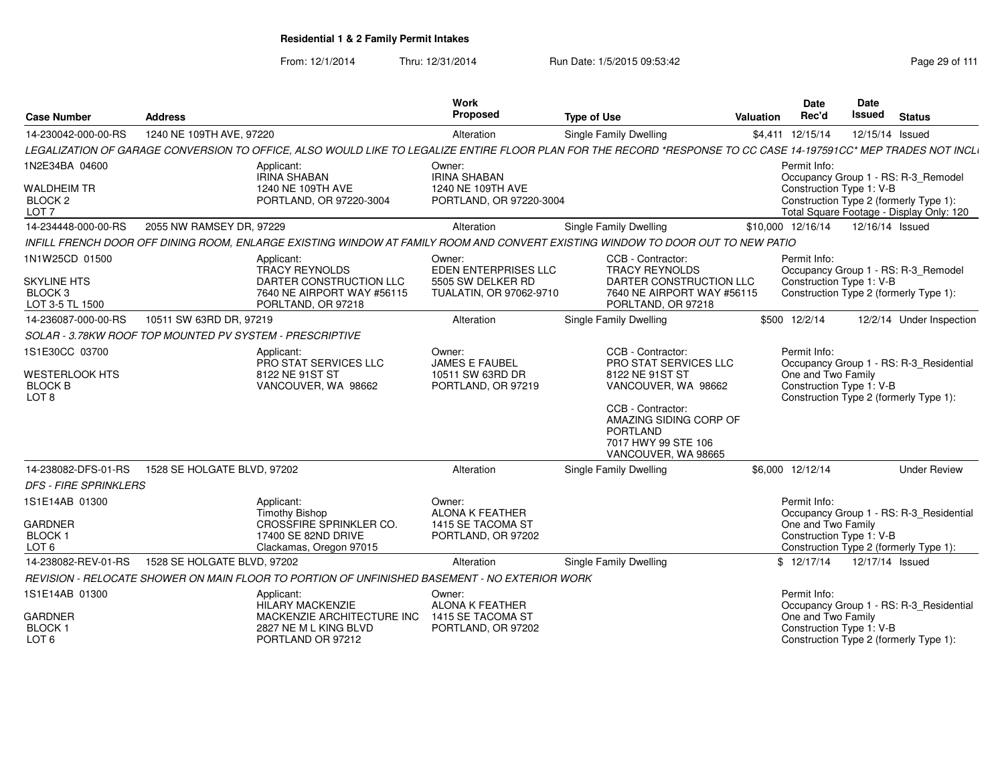From: 12/1/2014Thru: 12/31/2014 Run Date: 1/5/2015 09:53:42 Research 2010 12/31/2014 Page 29 of 111

| <b>Case Number</b>                                                             | <b>Address</b>                                           |                                                                                                                                                                  | Work<br>Proposed                                                                      | <b>Type of Use</b>                                                                                                                                                                                   | <b>Valuation</b> | <b>Date</b><br>Rec'd                                           | Date<br><b>Issued</b> | <b>Status</b>                                                                                                             |
|--------------------------------------------------------------------------------|----------------------------------------------------------|------------------------------------------------------------------------------------------------------------------------------------------------------------------|---------------------------------------------------------------------------------------|------------------------------------------------------------------------------------------------------------------------------------------------------------------------------------------------------|------------------|----------------------------------------------------------------|-----------------------|---------------------------------------------------------------------------------------------------------------------------|
| 14-230042-000-00-RS                                                            | 1240 NE 109TH AVE, 97220                                 |                                                                                                                                                                  | Alteration                                                                            | Single Family Dwelling                                                                                                                                                                               |                  | \$4,411 12/15/14                                               | 12/15/14 Issued       |                                                                                                                           |
|                                                                                |                                                          | LEGALIZATION OF GARAGE CONVERSION TO OFFICE, ALSO WOULD LIKE TO LEGALIZE ENTIRE FLOOR PLAN FOR THE RECORD *RESPONSE TO CC CASE 14-197591CC* MEP TRADES NOT INCLI |                                                                                       |                                                                                                                                                                                                      |                  |                                                                |                       |                                                                                                                           |
| 1N2E34BA 04600<br><b>WALDHEIM TR</b><br>BLOCK <sub>2</sub><br>LOT <sub>7</sub> |                                                          | Applicant:<br><b>IRINA SHABAN</b><br>1240 NE 109TH AVE<br>PORTLAND, OR 97220-3004                                                                                | Owner:<br><b>IRINA SHABAN</b><br>1240 NE 109TH AVE<br>PORTLAND, OR 97220-3004         |                                                                                                                                                                                                      |                  | Permit Info:<br>Construction Type 1: V-B                       |                       | Occupancy Group 1 - RS: R-3_Remodel<br>Construction Type 2 (formerly Type 1):<br>Total Square Footage - Display Only: 120 |
| 14-234448-000-00-RS                                                            | 2055 NW RAMSEY DR, 97229                                 |                                                                                                                                                                  | Alteration                                                                            | Single Family Dwelling                                                                                                                                                                               |                  | \$10,000 12/16/14                                              | 12/16/14 Issued       |                                                                                                                           |
|                                                                                |                                                          | INFILL FRENCH DOOR OFF DINING ROOM. ENLARGE EXISTING WINDOW AT FAMILY ROOM AND CONVERT EXISTING WINDOW TO DOOR OUT TO NEW PATIO                                  |                                                                                       |                                                                                                                                                                                                      |                  |                                                                |                       |                                                                                                                           |
| 1N1W25CD 01500<br><b>SKYLINE HTS</b><br>BLOCK <sub>3</sub><br>LOT 3-5 TL 1500  |                                                          | Applicant:<br><b>TRACY REYNOLDS</b><br>DARTER CONSTRUCTION LLC<br>7640 NE AIRPORT WAY #56115<br>PORLTAND, OR 97218                                               | Owner:<br><b>EDEN ENTERPRISES LLC</b><br>5505 SW DELKER RD<br>TUALATIN, OR 97062-9710 | CCB - Contractor:<br><b>TRACY REYNOLDS</b><br>DARTER CONSTRUCTION LLC<br>7640 NE AIRPORT WAY #56115<br>PORLTAND, OR 97218                                                                            |                  | Permit Info:<br>Construction Type 1: V-B                       |                       | Occupancy Group 1 - RS: R-3 Remodel<br>Construction Type 2 (formerly Type 1):                                             |
| 14-236087-000-00-RS                                                            | 10511 SW 63RD DR, 97219                                  |                                                                                                                                                                  | Alteration                                                                            | Single Family Dwelling                                                                                                                                                                               |                  | \$500 12/2/14                                                  |                       | 12/2/14 Under Inspection                                                                                                  |
|                                                                                | SOLAR - 3.78KW ROOF TOP MOUNTED PV SYSTEM - PRESCRIPTIVE |                                                                                                                                                                  |                                                                                       |                                                                                                                                                                                                      |                  |                                                                |                       |                                                                                                                           |
| 1S1E30CC 03700<br><b>WESTERLOOK HTS</b><br><b>BLOCK B</b><br>LOT <sub>8</sub>  |                                                          | Applicant:<br>PRO STAT SERVICES LLC<br>8122 NE 91ST ST<br>VANCOUVER, WA 98662                                                                                    | Owner:<br><b>JAMES E FAUBEL</b><br>10511 SW 63RD DR<br>PORTLAND, OR 97219             | CCB - Contractor:<br>PRO STAT SERVICES LLC<br>8122 NE 91ST ST<br>VANCOUVER, WA 98662<br>CCB - Contractor:<br>AMAZING SIDING CORP OF<br><b>PORTLAND</b><br>7017 HWY 99 STE 106<br>VANCOUVER, WA 98665 |                  | Permit Info:<br>One and Two Family<br>Construction Type 1: V-B |                       | Occupancy Group 1 - RS: R-3_Residential<br>Construction Type 2 (formerly Type 1):                                         |
| 14-238082-DFS-01-RS                                                            | 1528 SE HOLGATE BLVD, 97202                              |                                                                                                                                                                  | Alteration                                                                            | Single Family Dwelling                                                                                                                                                                               |                  | \$6.000 12/12/14                                               |                       | <b>Under Review</b>                                                                                                       |
| <b>DFS - FIRE SPRINKLERS</b>                                                   |                                                          |                                                                                                                                                                  |                                                                                       |                                                                                                                                                                                                      |                  |                                                                |                       |                                                                                                                           |
| 1S1E14AB 01300<br><b>GARDNER</b><br><b>BLOCK1</b><br>LOT <sub>6</sub>          |                                                          | Applicant:<br><b>Timothy Bishop</b><br>CROSSFIRE SPRINKLER CO.<br>17400 SE 82ND DRIVE<br>Clackamas, Oregon 97015                                                 | Owner:<br><b>ALONA K FEATHER</b><br>1415 SE TACOMA ST<br>PORTLAND, OR 97202           |                                                                                                                                                                                                      |                  | Permit Info:<br>One and Two Family<br>Construction Type 1: V-B |                       | Occupancy Group 1 - RS: R-3_Residential<br>Construction Type 2 (formerly Type 1):                                         |
| 14-238082-REV-01-RS                                                            | 1528 SE HOLGATE BLVD, 97202                              |                                                                                                                                                                  | Alteration                                                                            | <b>Single Family Dwelling</b>                                                                                                                                                                        |                  | \$12/17/14                                                     | 12/17/14 Issued       |                                                                                                                           |
|                                                                                |                                                          | REVISION - RELOCATE SHOWER ON MAIN FLOOR TO PORTION OF UNFINISHED BASEMENT - NO EXTERIOR WORK                                                                    |                                                                                       |                                                                                                                                                                                                      |                  |                                                                |                       |                                                                                                                           |
| 1S1E14AB 01300<br><b>GARDNER</b><br>BLOCK 1<br>LOT <sub>6</sub>                |                                                          | Applicant:<br><b>HILARY MACKENZIE</b><br>MACKENZIE ARCHITECTURE INC<br>2827 NE M L KING BLVD<br>PORTLAND OR 97212                                                | Owner:<br><b>ALONA K FEATHER</b><br>1415 SE TACOMA ST<br>PORTLAND, OR 97202           |                                                                                                                                                                                                      |                  | Permit Info:<br>One and Two Family<br>Construction Type 1: V-B |                       | Occupancy Group 1 - RS: R-3_Residential<br>Construction Type 2 (formerly Type 1):                                         |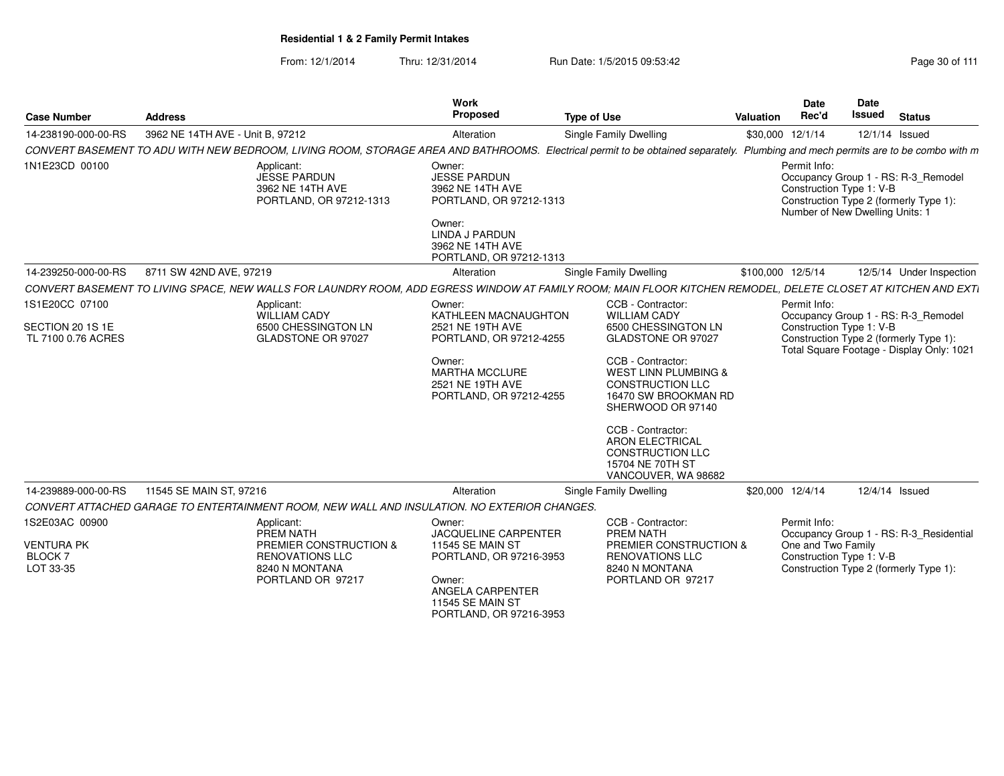| <b>Case Number</b>                                   | <b>Address</b>                                                                               |                                                             | Work<br>Proposed                                                                                                                                        | <b>Type of Use</b>                                                                                                                                                               | Date<br>Rec'd<br>Valuation         | <b>Date</b><br><b>Issued</b><br><b>Status</b>                                                                                                |
|------------------------------------------------------|----------------------------------------------------------------------------------------------|-------------------------------------------------------------|---------------------------------------------------------------------------------------------------------------------------------------------------------|----------------------------------------------------------------------------------------------------------------------------------------------------------------------------------|------------------------------------|----------------------------------------------------------------------------------------------------------------------------------------------|
| 14-238190-000-00-RS                                  | 3962 NE 14TH AVE - Unit B, 97212                                                             |                                                             | Alteration                                                                                                                                              | <b>Single Family Dwelling</b>                                                                                                                                                    | \$30,000 12/1/14                   | 12/1/14 Issued                                                                                                                               |
|                                                      |                                                                                              |                                                             |                                                                                                                                                         | CONVERT BASEMENT TO ADU WITH NEW BEDROOM, LIVING ROOM, STORAGE AREA AND BATHROOMS. Electrical permit to be obtained separately. Plumbing and mech permits are to be combo with m |                                    |                                                                                                                                              |
| 1N1E23CD 00100                                       | Applicant:                                                                                   | JESSE PARDUN<br>3962 NE 14TH AVE<br>PORTLAND, OR 97212-1313 | Owner:<br>JESSE PARDUN<br>3962 NE 14TH AVE<br>PORTLAND, OR 97212-1313<br>Owner:<br><b>LINDA J PARDUN</b><br>3962 NE 14TH AVE<br>PORTLAND, OR 97212-1313 |                                                                                                                                                                                  | Permit Info:                       | Occupancy Group 1 - RS: R-3_Remodel<br>Construction Type 1: V-B<br>Construction Type 2 (formerly Type 1):<br>Number of New Dwelling Units: 1 |
| 14-239250-000-00-RS                                  | 8711 SW 42ND AVE, 97219                                                                      |                                                             | Alteration                                                                                                                                              | <b>Single Family Dwelling</b>                                                                                                                                                    | \$100,000 12/5/14                  | 12/5/14 Under Inspection                                                                                                                     |
|                                                      |                                                                                              |                                                             |                                                                                                                                                         | CONVERT BASEMENT TO LIVING SPACE, NEW WALLS FOR LAUNDRY ROOM, ADD EGRESS WINDOW AT FAMILY ROOM; MAIN FLOOR KITCHEN REMODEL, DELETE CLOSET AT KITCHEN AND EXTI                    |                                    |                                                                                                                                              |
| 1S1E20CC 07100                                       | Applicant:                                                                                   | WILLIAM CADY                                                | Owner:<br>KATHLEEN MACNAUGHTON                                                                                                                          | CCB - Contractor:<br><b>WILLIAM CADY</b>                                                                                                                                         | Permit Info:                       | Occupancy Group 1 - RS: R-3_Remodel                                                                                                          |
| SECTION 20 1S 1E<br>TL 7100 0.76 ACRES               |                                                                                              | 6500 CHESSINGTON LN<br>GLADSTONE OR 97027                   | 2521 NE 19TH AVE<br>PORTLAND, OR 97212-4255                                                                                                             | 6500 CHESSINGTON LN<br>GLADSTONE OR 97027                                                                                                                                        |                                    | Construction Type 1: V-B<br>Construction Type 2 (formerly Type 1):<br>Total Square Footage - Display Only: 1021                              |
|                                                      |                                                                                              |                                                             | Owner:<br>MARTHA MCCLURE<br>2521 NE 19TH AVE<br>PORTLAND, OR 97212-4255                                                                                 | CCB - Contractor:<br><b>WEST LINN PLUMBING &amp;</b><br>CONSTRUCTION LLC<br>16470 SW BROOKMAN RD<br>SHERWOOD OR 97140                                                            |                                    |                                                                                                                                              |
|                                                      |                                                                                              |                                                             |                                                                                                                                                         | CCB - Contractor:<br><b>ARON ELECTRICAL</b><br><b>CONSTRUCTION LLC</b><br>15704 NE 70TH ST<br>VANCOUVER, WA 98682                                                                |                                    |                                                                                                                                              |
| 14-239889-000-00-RS                                  | 11545 SE MAIN ST, 97216                                                                      |                                                             | Alteration                                                                                                                                              | <b>Single Family Dwelling</b>                                                                                                                                                    | \$20,000 12/4/14                   | 12/4/14 Issued                                                                                                                               |
|                                                      | CONVERT ATTACHED GARAGE TO ENTERTAINMENT ROOM, NEW WALL AND INSULATION. NO EXTERIOR CHANGES. |                                                             |                                                                                                                                                         |                                                                                                                                                                                  |                                    |                                                                                                                                              |
| 1S2E03AC 00900<br><b>VENTURA PK</b><br><b>BLOCK7</b> | Applicant:<br>PREM NATH                                                                      | PREMIER CONSTRUCTION &<br><b>RENOVATIONS LLC</b>            | Owner:<br><b>JACQUELINE CARPENTER</b><br><b>11545 SE MAIN ST</b><br>PORTLAND, OR 97216-3953                                                             | CCB - Contractor:<br>PREM NATH<br>PREMIER CONSTRUCTION &<br><b>RENOVATIONS LLC</b>                                                                                               | Permit Info:<br>One and Two Family | Occupancy Group 1 - RS: R-3 Residential<br>Construction Type 1: V-B                                                                          |
| LOT 33-35                                            |                                                                                              | 8240 N MONTANA<br>PORTLAND OR 97217                         | Owner:<br>ANGELA CARPENTER<br><b>11545 SE MAIN ST</b><br>PORTLAND, OR 97216-3953                                                                        | 8240 N MONTANA<br>PORTLAND OR 97217                                                                                                                                              |                                    | Construction Type 2 (formerly Type 1):                                                                                                       |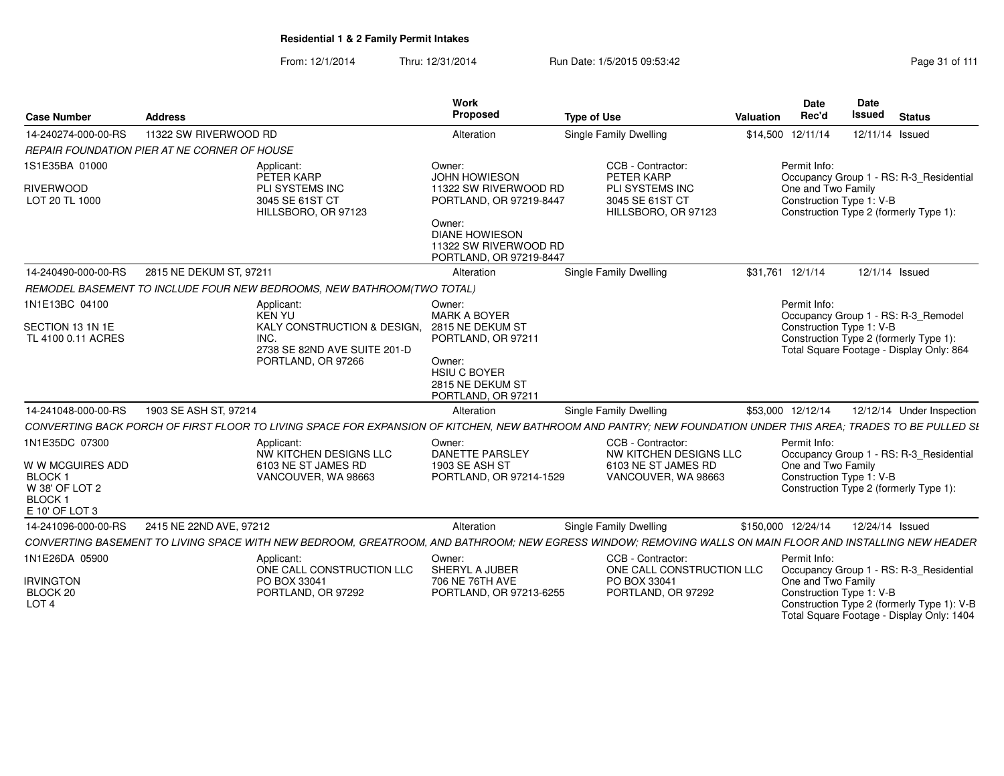|                                                                                       |                         |                                                                                                            | <b>Work</b>                                                                                                                             |                                                                                                                                                                | Date               | Date                                                                                                                                                           |
|---------------------------------------------------------------------------------------|-------------------------|------------------------------------------------------------------------------------------------------------|-----------------------------------------------------------------------------------------------------------------------------------------|----------------------------------------------------------------------------------------------------------------------------------------------------------------|--------------------|----------------------------------------------------------------------------------------------------------------------------------------------------------------|
| <b>Case Number</b>                                                                    | <b>Address</b>          |                                                                                                            | Proposed                                                                                                                                | <b>Type of Use</b>                                                                                                                                             | Rec'd<br>Valuation | Issued<br><b>Status</b>                                                                                                                                        |
| 14-240274-000-00-RS                                                                   | 11322 SW RIVERWOOD RD   |                                                                                                            | Alteration                                                                                                                              | <b>Single Family Dwelling</b>                                                                                                                                  | \$14,500 12/11/14  | 12/11/14 Issued                                                                                                                                                |
| REPAIR FOUNDATION PIER AT NE CORNER OF HOUSE                                          |                         |                                                                                                            |                                                                                                                                         |                                                                                                                                                                |                    |                                                                                                                                                                |
| 1S1E35BA 01000                                                                        |                         | Applicant:<br>PETER KARP                                                                                   | Owner:<br>JOHN HOWIESON                                                                                                                 | CCB - Contractor:<br>PETER KARP                                                                                                                                | Permit Info:       | Occupancy Group 1 - RS: R-3_Residential                                                                                                                        |
| <b>RIVERWOOD</b><br>LOT 20 TL 1000                                                    |                         | PLI SYSTEMS INC<br>3045 SE 61ST CT<br>HILLSBORO, OR 97123                                                  | 11322 SW RIVERWOOD RD<br>PORTLAND, OR 97219-8447<br>Owner:<br><b>DIANE HOWIESON</b><br>11322 SW RIVERWOOD RD<br>PORTLAND, OR 97219-8447 | PLI SYSTEMS INC<br>3045 SE 61ST CT<br>HILLSBORO, OR 97123                                                                                                      | One and Two Family | Construction Type 1: V-B<br>Construction Type 2 (formerly Type 1):                                                                                             |
| 14-240490-000-00-RS                                                                   | 2815 NE DEKUM ST, 97211 |                                                                                                            | Alteration                                                                                                                              | <b>Single Family Dwelling</b>                                                                                                                                  | \$31,761 12/1/14   | 12/1/14 Issued                                                                                                                                                 |
|                                                                                       |                         | REMODEL BASEMENT TO INCLUDE FOUR NEW BEDROOMS, NEW BATHROOM(TWO TOTAL)                                     |                                                                                                                                         |                                                                                                                                                                |                    |                                                                                                                                                                |
| 1N1E13BC 04100                                                                        |                         | Applicant:<br>KEN YU                                                                                       | Owner:<br><b>MARK A BOYER</b>                                                                                                           |                                                                                                                                                                | Permit Info:       | Occupancy Group 1 - RS: R-3_Remodel                                                                                                                            |
| SECTION 13 1N 1E<br>TL 4100 0.11 ACRES                                                |                         | KALY CONSTRUCTION & DESIGN, 2815 NE DEKUM ST<br>INC.<br>2738 SE 82ND AVE SUITE 201-D<br>PORTLAND, OR 97266 | PORTLAND, OR 97211<br>Owner:                                                                                                            |                                                                                                                                                                |                    | Construction Type 1: V-B<br>Construction Type 2 (formerly Type 1):<br>Total Square Footage - Display Only: 864                                                 |
|                                                                                       |                         |                                                                                                            | HSIU C BOYER<br>2815 NE DEKUM ST<br>PORTLAND, OR 97211                                                                                  |                                                                                                                                                                |                    |                                                                                                                                                                |
| 14-241048-000-00-RS                                                                   | 1903 SE ASH ST, 97214   |                                                                                                            | Alteration                                                                                                                              | <b>Single Family Dwelling</b>                                                                                                                                  | \$53,000 12/12/14  | 12/12/14 Under Inspection                                                                                                                                      |
|                                                                                       |                         |                                                                                                            |                                                                                                                                         | CONVERTING BACK PORCH OF FIRST FLOOR TO LIVING SPACE FOR EXPANSION OF KITCHEN, NEW BATHROOM AND PANTRY; NEW FOUNDATION UNDER THIS AREA; TRADES TO BE PULLED SI |                    |                                                                                                                                                                |
| 1N1E35DC 07300                                                                        |                         | Applicant:<br>NW KITCHEN DESIGNS LLC                                                                       | Owner:<br><b>DANETTE PARSLEY</b>                                                                                                        | CCB - Contractor:<br>NW KITCHEN DESIGNS LLC                                                                                                                    | Permit Info:       | Occupancy Group 1 - RS: R-3_Residential                                                                                                                        |
| W W MCGUIRES ADD<br><b>BLOCK1</b><br>W 38' OF LOT 2<br><b>BLOCK</b><br>E 10' OF LOT 3 |                         | 6103 NE ST JAMES RD<br>VANCOUVER, WA 98663                                                                 | 1903 SE ASH ST<br>PORTLAND, OR 97214-1529                                                                                               | 6103 NE ST JAMES RD<br>VANCOUVER, WA 98663                                                                                                                     | One and Two Family | Construction Type 1: V-B<br>Construction Type 2 (formerly Type 1):                                                                                             |
| 14-241096-000-00-RS                                                                   | 2415 NE 22ND AVE, 97212 |                                                                                                            | Alteration                                                                                                                              | Single Family Dwelling                                                                                                                                         | \$150,000 12/24/14 | 12/24/14 Issued                                                                                                                                                |
|                                                                                       |                         |                                                                                                            |                                                                                                                                         | CONVERTING BASEMENT TO LIVING SPACE WITH NEW BEDROOM. GREATROOM. AND BATHROOM: NEW EGRESS WINDOW: REMOVING WALLS ON MAIN FLOOR AND INSTALLING NEW HEADER       |                    |                                                                                                                                                                |
| 1N1E26DA 05900                                                                        |                         | Applicant:                                                                                                 | Owner:                                                                                                                                  | CCB - Contractor:                                                                                                                                              | Permit Info:       |                                                                                                                                                                |
| <b>IRVINGTON</b><br>BLOCK 20<br>LOT <sub>4</sub>                                      |                         | ONE CALL CONSTRUCTION LLC<br>PO BOX 33041<br>PORTLAND, OR 97292                                            | SHERYL A JUBER<br>706 NE 76TH AVE<br>PORTLAND, OR 97213-6255                                                                            | ONE CALL CONSTRUCTION LLC<br>PO BOX 33041<br>PORTLAND, OR 97292                                                                                                | One and Two Family | Occupancy Group 1 - RS: R-3_Residential<br>Construction Type 1: V-B<br>Construction Type 2 (formerly Type 1): V-B<br>Total Square Footage - Display Only: 1404 |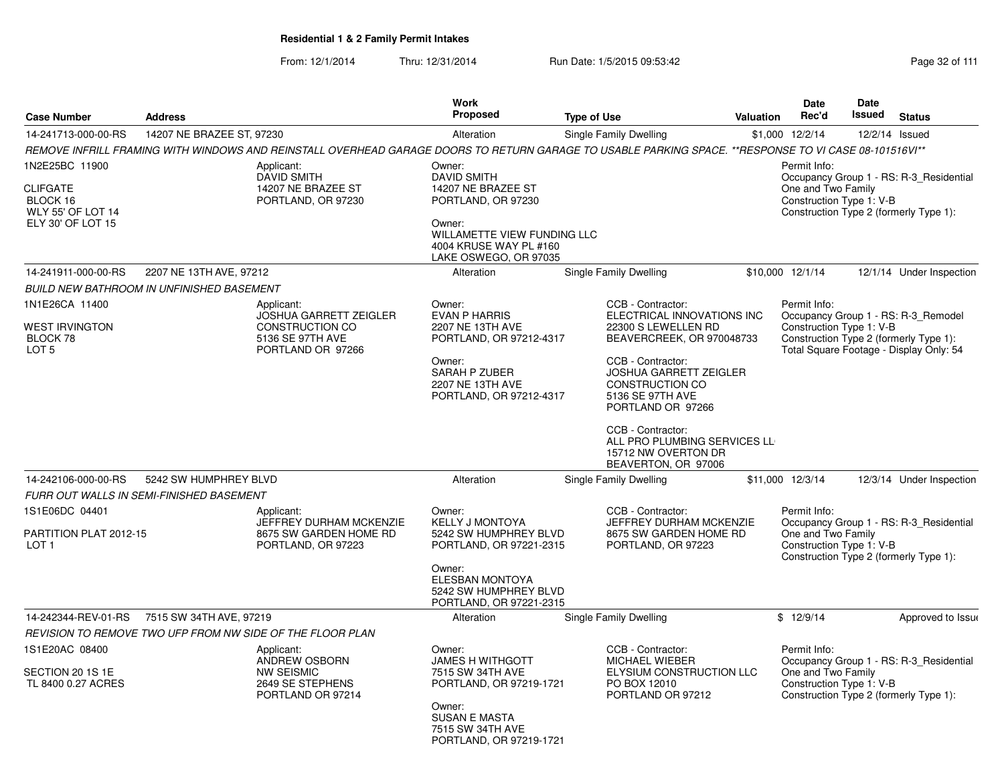From: 12/1/2014Thru: 12/31/2014 Run Date: 1/5/2015 09:53:42 Research 2010 12/31/2014 Page 32 of 111

|                                                                                                |                                                  |                                                                                                                                                       | Work                                                                                                                                                                 |                                                                                                                                                                                                                                                                                                                          |                  | <b>Date</b>                                                    | Date          |                                                                                                                          |
|------------------------------------------------------------------------------------------------|--------------------------------------------------|-------------------------------------------------------------------------------------------------------------------------------------------------------|----------------------------------------------------------------------------------------------------------------------------------------------------------------------|--------------------------------------------------------------------------------------------------------------------------------------------------------------------------------------------------------------------------------------------------------------------------------------------------------------------------|------------------|----------------------------------------------------------------|---------------|--------------------------------------------------------------------------------------------------------------------------|
| <b>Case Number</b>                                                                             | <b>Address</b>                                   |                                                                                                                                                       | Proposed                                                                                                                                                             | <b>Type of Use</b>                                                                                                                                                                                                                                                                                                       | <b>Valuation</b> | Rec'd                                                          | <b>Issued</b> | <b>Status</b>                                                                                                            |
| 14-241713-000-00-RS                                                                            | 14207 NE BRAZEE ST, 97230                        |                                                                                                                                                       | Alteration                                                                                                                                                           | Single Family Dwelling                                                                                                                                                                                                                                                                                                   |                  | \$1,000 12/2/14                                                |               | 12/2/14 Issued                                                                                                           |
|                                                                                                |                                                  | REMOVE INFRILL FRAMING WITH WINDOWS AND REINSTALL OVERHEAD GARAGE DOORS TO RETURN GARAGE TO USABLE PARKING SPACE. **RESPONSE TO VI CASE 08-101516VI** |                                                                                                                                                                      |                                                                                                                                                                                                                                                                                                                          |                  |                                                                |               |                                                                                                                          |
| 1N2E25BC 11900<br><b>CLIFGATE</b><br>BLOCK 16<br><b>WLY 55' OF LOT 14</b><br>ELY 30' OF LOT 15 |                                                  | Applicant:<br><b>DAVID SMITH</b><br>14207 NE BRAZEE ST<br>PORTLAND, OR 97230                                                                          | Owner:<br><b>DAVID SMITH</b><br>14207 NE BRAZEE ST<br>PORTLAND, OR 97230<br>Owner:<br>WILLAMETTE VIEW FUNDING LLC<br>4004 KRUSE WAY PL #160<br>LAKE OSWEGO, OR 97035 |                                                                                                                                                                                                                                                                                                                          |                  | Permit Info:<br>One and Two Family<br>Construction Type 1: V-B |               | Occupancy Group 1 - RS: R-3_Residential<br>Construction Type 2 (formerly Type 1):                                        |
| 14-241911-000-00-RS                                                                            | 2207 NE 13TH AVE, 97212                          |                                                                                                                                                       | Alteration                                                                                                                                                           | Single Family Dwelling                                                                                                                                                                                                                                                                                                   |                  | \$10,000 12/1/14                                               |               | 12/1/14 Under Inspection                                                                                                 |
|                                                                                                | <b>BUILD NEW BATHROOM IN UNFINISHED BASEMENT</b> |                                                                                                                                                       |                                                                                                                                                                      |                                                                                                                                                                                                                                                                                                                          |                  |                                                                |               |                                                                                                                          |
| 1N1E26CA 11400<br><b>WEST IRVINGTON</b><br>BLOCK 78<br>LOT <sub>5</sub>                        |                                                  | Applicant:<br><b>JOSHUA GARRETT ZEIGLER</b><br><b>CONSTRUCTION CO</b><br>5136 SE 97TH AVE<br>PORTLAND OR 97266                                        | Owner:<br><b>EVAN P HARRIS</b><br>2207 NE 13TH AVE<br>PORTLAND, OR 97212-4317<br>Owner:<br>SARAH P ZUBER<br>2207 NE 13TH AVE<br>PORTLAND, OR 97212-4317              | CCB - Contractor:<br>ELECTRICAL INNOVATIONS INC<br>22300 S LEWELLEN RD<br>BEAVERCREEK, OR 970048733<br>CCB - Contractor:<br><b>JOSHUA GARRETT ZEIGLER</b><br>CONSTRUCTION CO<br>5136 SE 97TH AVE<br>PORTLAND OR 97266<br>CCB - Contractor:<br>ALL PRO PLUMBING SERVICES LL<br>15712 NW OVERTON DR<br>BEAVERTON, OR 97006 |                  | Permit Info:<br>Construction Type 1: V-B                       |               | Occupancy Group 1 - RS: R-3_Remodel<br>Construction Type 2 (formerly Type 1):<br>Total Square Footage - Display Only: 54 |
| 14-242106-000-00-RS                                                                            | 5242 SW HUMPHREY BLVD                            |                                                                                                                                                       | Alteration                                                                                                                                                           | Single Family Dwelling                                                                                                                                                                                                                                                                                                   |                  | \$11,000 12/3/14                                               |               | 12/3/14 Under Inspection                                                                                                 |
|                                                                                                | FURR OUT WALLS IN SEMI-FINISHED BASEMENT         |                                                                                                                                                       |                                                                                                                                                                      |                                                                                                                                                                                                                                                                                                                          |                  |                                                                |               |                                                                                                                          |
| 1S1E06DC 04401<br>PARTITION PLAT 2012-15                                                       |                                                  | Applicant:<br>JEFFREY DURHAM MCKENZIE<br>8675 SW GARDEN HOME RD                                                                                       | Owner:<br><b>KELLY J MONTOYA</b><br>5242 SW HUMPHREY BLVD                                                                                                            | CCB - Contractor:<br>JEFFREY DURHAM MCKENZIE<br>8675 SW GARDEN HOME RD                                                                                                                                                                                                                                                   |                  | Permit Info:<br>One and Two Family                             |               | Occupancy Group 1 - RS: R-3_Residential                                                                                  |
| LOT <sub>1</sub>                                                                               |                                                  | PORTLAND, OR 97223                                                                                                                                    | PORTLAND, OR 97221-2315<br>Owner:<br><b>ELESBAN MONTOYA</b><br>5242 SW HUMPHREY BLVD<br>PORTLAND, OR 97221-2315                                                      | PORTLAND, OR 97223                                                                                                                                                                                                                                                                                                       |                  | Construction Type 1: V-B                                       |               | Construction Type 2 (formerly Type 1):                                                                                   |
| 14-242344-REV-01-RS                                                                            | 7515 SW 34TH AVE, 97219                          |                                                                                                                                                       | Alteration                                                                                                                                                           | Single Family Dwelling                                                                                                                                                                                                                                                                                                   |                  | \$12/9/14                                                      |               | Approved to Issue                                                                                                        |
|                                                                                                |                                                  | REVISION TO REMOVE TWO UFP FROM NW SIDE OF THE FLOOR PLAN                                                                                             |                                                                                                                                                                      |                                                                                                                                                                                                                                                                                                                          |                  |                                                                |               |                                                                                                                          |
| 1S1E20AC 08400<br>SECTION 20 1S 1E<br>TL 8400 0.27 ACRES                                       |                                                  | Applicant:<br>ANDREW OSBORN<br><b>NW SEISMIC</b><br>2649 SE STEPHENS<br>PORTLAND OR 97214                                                             | Owner:<br><b>JAMES H WITHGOTT</b><br>7515 SW 34TH AVE<br>PORTLAND, OR 97219-1721                                                                                     | CCB - Contractor:<br><b>MICHAEL WIEBER</b><br>ELYSIUM CONSTRUCTION LLC<br>PO BOX 12010<br>PORTLAND OR 97212                                                                                                                                                                                                              |                  | Permit Info:<br>One and Two Family<br>Construction Type 1: V-B |               | Occupancy Group 1 - RS: R-3_Residential<br>Construction Type 2 (formerly Type 1):                                        |
|                                                                                                |                                                  |                                                                                                                                                       | Owner:<br><b>SUSAN E MASTA</b><br>7515 SW 34TH AVE<br>PORTLAND, OR 97219-1721                                                                                        |                                                                                                                                                                                                                                                                                                                          |                  |                                                                |               |                                                                                                                          |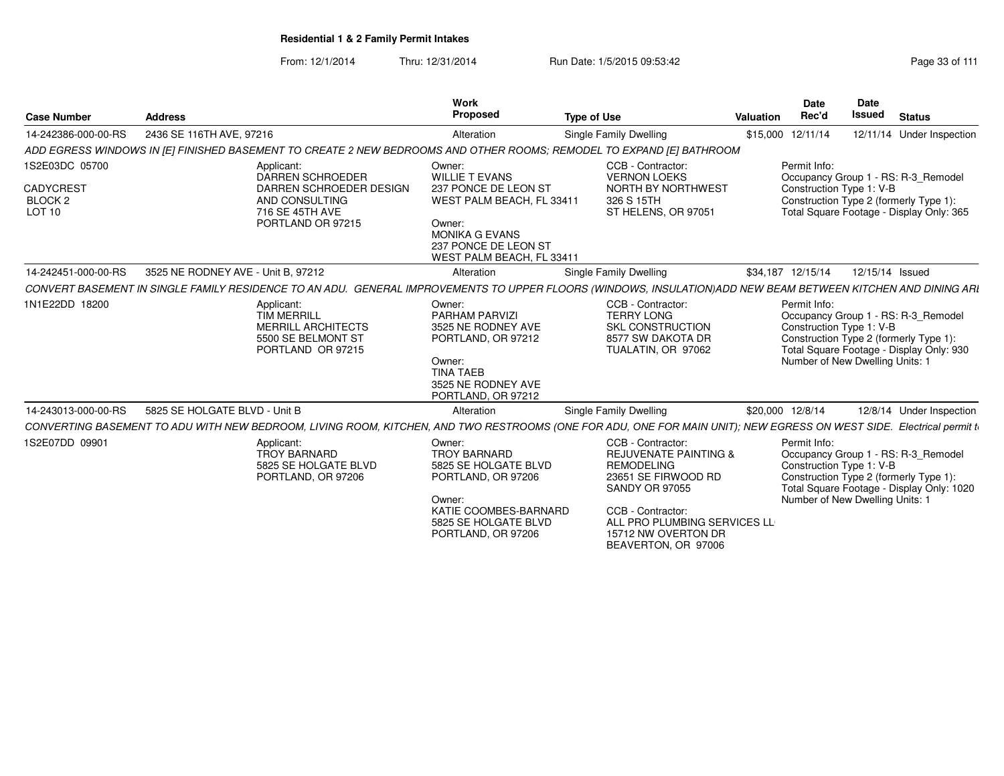From: 12/1/2014Thru: 12/31/2014 Run Date: 1/5/2015 09:53:42 Research 2010 12/31/2014 Page 33 of 111

| <b>Case Number</b>                                                 | <b>Address</b>                     |                                                                                                                                                                      | Work<br>Proposed                                                                                                                                                             | <b>Type of Use</b> |                                                                                                                                                                                                                               | <b>Valuation</b> | Date<br>Rec'd                                                               | <b>Date</b><br><b>Issued</b> | <b>Status</b>                                                                                                              |
|--------------------------------------------------------------------|------------------------------------|----------------------------------------------------------------------------------------------------------------------------------------------------------------------|------------------------------------------------------------------------------------------------------------------------------------------------------------------------------|--------------------|-------------------------------------------------------------------------------------------------------------------------------------------------------------------------------------------------------------------------------|------------------|-----------------------------------------------------------------------------|------------------------------|----------------------------------------------------------------------------------------------------------------------------|
| 14-242386-000-00-RS                                                | 2436 SE 116TH AVE, 97216           |                                                                                                                                                                      | Alteration                                                                                                                                                                   |                    | Single Family Dwelling                                                                                                                                                                                                        |                  | \$15,000 12/11/14                                                           |                              | 12/11/14 Under Inspection                                                                                                  |
|                                                                    |                                    | ADD EGRESS WINDOWS IN [E] FINISHED BASEMENT TO CREATE 2 NEW BEDROOMS AND OTHER ROOMS; REMODEL TO EXPAND [E] BATHROOM                                                 |                                                                                                                                                                              |                    |                                                                                                                                                                                                                               |                  |                                                                             |                              |                                                                                                                            |
| 1S2E03DC 05700<br><b>CADYCREST</b><br>BLOCK <sub>2</sub><br>LOT 10 |                                    | Applicant:<br><b>DARREN SCHROEDER</b><br>DARREN SCHROEDER DESIGN<br>AND CONSULTING<br>716 SE 45TH AVE<br>PORTLAND OR 97215                                           | Owner:<br><b>WILLIE T EVANS</b><br>237 PONCE DE LEON ST<br>WEST PALM BEACH, FL 33411<br>Owner:<br><b>MONIKA G EVANS</b><br>237 PONCE DE LEON ST<br>WEST PALM BEACH, FL 33411 |                    | CCB - Contractor:<br><b>VERNON LOEKS</b><br>NORTH BY NORTHWEST<br>326 S 15TH<br>ST HELENS, OR 97051                                                                                                                           |                  | Permit Info:<br>Construction Type 1: V-B                                    |                              | Occupancy Group 1 - RS: R-3_Remodel<br>Construction Type 2 (formerly Type 1):<br>Total Square Footage - Display Only: 365  |
| 14-242451-000-00-RS                                                | 3525 NE RODNEY AVE - Unit B. 97212 |                                                                                                                                                                      | Alteration                                                                                                                                                                   |                    | Single Family Dwelling                                                                                                                                                                                                        |                  | \$34,187 12/15/14                                                           |                              | 12/15/14 Issued                                                                                                            |
|                                                                    |                                    | CONVERT BASEMENT IN SINGLE FAMILY RESIDENCE TO AN ADU. GENERAL IMPROVEMENTS TO UPPER FLOORS (WINDOWS, INSULATION)ADD NEW BEAM BETWEEN KITCHEN AND DINING ARI         |                                                                                                                                                                              |                    |                                                                                                                                                                                                                               |                  |                                                                             |                              |                                                                                                                            |
| 1N1E22DD 18200                                                     |                                    | Applicant:<br><b>TIM MERRILL</b><br><b>MERRILL ARCHITECTS</b><br>5500 SE BELMONT ST<br>PORTLAND OR 97215                                                             | Owner:<br>PARHAM PARVIZI<br>3525 NE RODNEY AVE<br>PORTLAND, OR 97212<br>Owner:<br><b>TINA TAEB</b><br>3525 NE RODNEY AVE<br>PORTLAND, OR 97212                               |                    | CCB - Contractor:<br><b>TERRY LONG</b><br><b>SKL CONSTRUCTION</b><br>8577 SW DAKOTA DR<br>TUALATIN, OR 97062                                                                                                                  |                  | Permit Info:<br>Construction Type 1: V-B<br>Number of New Dwelling Units: 1 |                              | Occupancy Group 1 - RS: R-3_Remodel<br>Construction Type 2 (formerly Type 1):<br>Total Square Footage - Display Only: 930  |
| 14-243013-000-00-RS                                                | 5825 SE HOLGATE BLVD - Unit B      |                                                                                                                                                                      | Alteration                                                                                                                                                                   |                    | Single Family Dwelling                                                                                                                                                                                                        | \$20,000 12/8/14 |                                                                             |                              | 12/8/14 Under Inspection                                                                                                   |
|                                                                    |                                    | CONVERTING BASEMENT TO ADU WITH NEW BEDROOM, LIVING ROOM, KITCHEN, AND TWO RESTROOMS (ONE FOR ADU, ONE FOR MAIN UNIT); NEW EGRESS ON WEST SIDE. Electrical permit to |                                                                                                                                                                              |                    |                                                                                                                                                                                                                               |                  |                                                                             |                              |                                                                                                                            |
| 1S2E07DD 09901                                                     |                                    | Applicant:<br><b>TROY BARNARD</b><br>5825 SE HOLGATE BLVD<br>PORTLAND, OR 97206                                                                                      | Owner:<br><b>TROY BARNARD</b><br>5825 SE HOLGATE BLVD<br>PORTLAND, OR 97206<br>Owner:<br>KATIE COOMBES-BARNARD<br>5825 SE HOLGATE BLVD<br>PORTLAND, OR 97206                 |                    | CCB - Contractor:<br><b>REJUVENATE PAINTING &amp;</b><br><b>REMODELING</b><br>23651 SE FIRWOOD RD<br><b>SANDY OR 97055</b><br>CCB - Contractor:<br>ALL PRO PLUMBING SERVICES LL<br>15712 NW OVERTON DR<br>BEAVERTON, OR 97006 |                  | Permit Info:<br>Construction Type 1: V-B<br>Number of New Dwelling Units: 1 |                              | Occupancy Group 1 - RS: R-3_Remodel<br>Construction Type 2 (formerly Type 1):<br>Total Square Footage - Display Only: 1020 |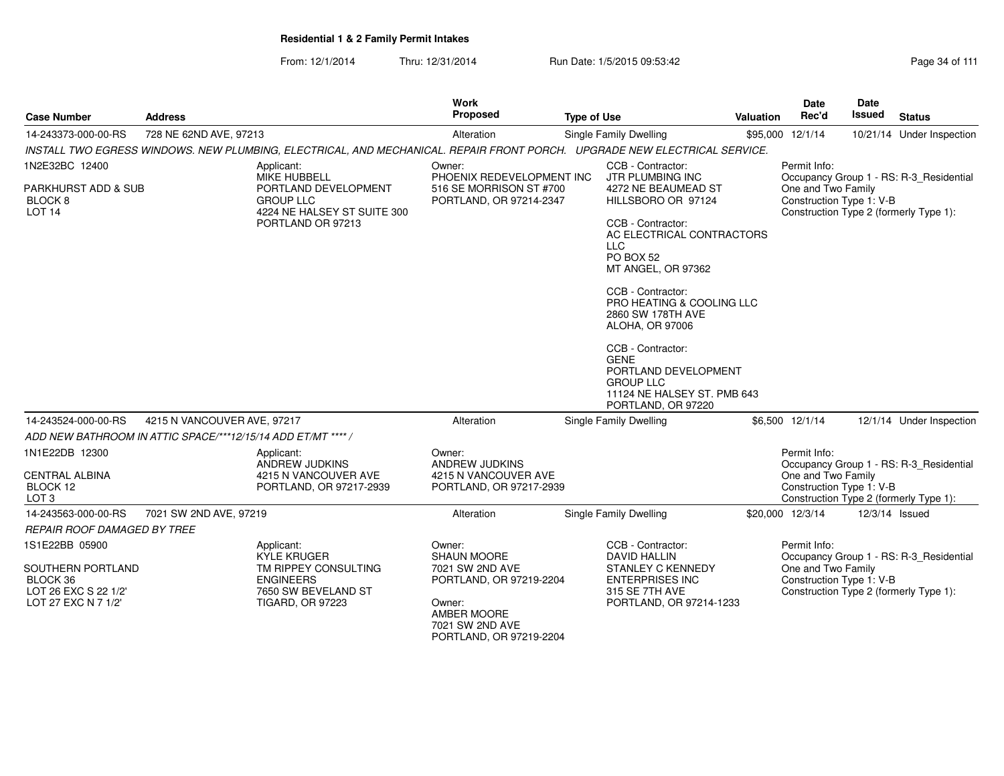From: 12/1/2014Thru: 12/31/2014 Run Date: 1/5/2015 09:53:42 Research 2010 12/31/2014 Page 34 of 111

| <b>Case Number</b>                                                           | <b>Address</b>              |                                                                                                                           | <b>Work</b><br>Proposed                                                    | <b>Type of Use</b> |                                                                                                                                   | Valuation | Date<br>Rec'd                                  | <b>Date</b><br><b>Issued</b> | <b>Status</b>                                                                     |
|------------------------------------------------------------------------------|-----------------------------|---------------------------------------------------------------------------------------------------------------------------|----------------------------------------------------------------------------|--------------------|-----------------------------------------------------------------------------------------------------------------------------------|-----------|------------------------------------------------|------------------------------|-----------------------------------------------------------------------------------|
| 14-243373-000-00-RS                                                          | 728 NE 62ND AVE, 97213      |                                                                                                                           | Alteration                                                                 |                    | Single Family Dwelling                                                                                                            |           | \$95,000 12/1/14                               |                              | 10/21/14 Under Inspection                                                         |
|                                                                              |                             | INSTALL TWO EGRESS WINDOWS. NEW PLUMBING, ELECTRICAL, AND MECHANICAL. REPAIR FRONT PORCH. UPGRADE NEW ELECTRICAL SERVICE. |                                                                            |                    |                                                                                                                                   |           |                                                |                              |                                                                                   |
| 1N2E32BC 12400                                                               |                             | Applicant:<br><b>MIKE HUBBELL</b>                                                                                         | Owner:<br>PHOENIX REDEVELOPMENT INC                                        |                    | CCB - Contractor:<br>JTR PLUMBING INC                                                                                             |           | Permit Info:                                   |                              | Occupancy Group 1 - RS: R-3 Residential                                           |
| PARKHURST ADD & SUB<br>BLOCK 8<br>LOT <sub>14</sub>                          |                             | PORTLAND DEVELOPMENT<br><b>GROUP LLC</b><br>4224 NE HALSEY ST SUITE 300                                                   | 516 SE MORRISON ST #700<br>PORTLAND, OR 97214-2347                         |                    | 4272 NE BEAUMEAD ST<br>HILLSBORO OR 97124                                                                                         |           | One and Two Family<br>Construction Type 1: V-B |                              | Construction Type 2 (formerly Type 1):                                            |
|                                                                              |                             | PORTLAND OR 97213                                                                                                         |                                                                            |                    | CCB - Contractor:<br>AC ELECTRICAL CONTRACTORS<br><b>LLC</b><br>PO BOX 52<br>MT ANGEL, OR 97362                                   |           |                                                |                              |                                                                                   |
|                                                                              |                             |                                                                                                                           |                                                                            |                    | CCB - Contractor:<br><b>PRO HEATING &amp; COOLING LLC</b><br>2860 SW 178TH AVE<br>ALOHA, OR 97006                                 |           |                                                |                              |                                                                                   |
|                                                                              |                             |                                                                                                                           |                                                                            |                    | CCB - Contractor:<br><b>GENE</b><br>PORTLAND DEVELOPMENT<br><b>GROUP LLC</b><br>11124 NE HALSEY ST. PMB 643<br>PORTLAND, OR 97220 |           |                                                |                              |                                                                                   |
| 14-243524-000-00-RS                                                          | 4215 N VANCOUVER AVE, 97217 |                                                                                                                           | Alteration                                                                 |                    | Single Family Dwelling                                                                                                            |           | \$6,500 12/1/14                                |                              | 12/1/14 Under Inspection                                                          |
| ADD NEW BATHROOM IN ATTIC SPACE/***12/15/14 ADD ET/MT **** /                 |                             |                                                                                                                           |                                                                            |                    |                                                                                                                                   |           |                                                |                              |                                                                                   |
| 1N1E22DB 12300<br><b>CENTRAL ALBINA</b>                                      |                             | Applicant:<br><b>ANDREW JUDKINS</b><br>4215 N VANCOUVER AVE                                                               | Owner:<br><b>ANDREW JUDKINS</b><br>4215 N VANCOUVER AVE                    |                    |                                                                                                                                   |           | Permit Info:<br>One and Two Family             |                              | Occupancy Group 1 - RS: R-3 Residential                                           |
| BLOCK 12<br>LOT <sub>3</sub>                                                 |                             | PORTLAND, OR 97217-2939                                                                                                   | PORTLAND, OR 97217-2939                                                    |                    |                                                                                                                                   |           | Construction Type 1: V-B                       |                              | Construction Type 2 (formerly Type 1):                                            |
| 14-243563-000-00-RS                                                          | 7021 SW 2ND AVE, 97219      |                                                                                                                           | Alteration                                                                 |                    | Single Family Dwelling                                                                                                            |           | \$20,000 12/3/14                               |                              | 12/3/14 Issued                                                                    |
| REPAIR ROOF DAMAGED BY TREE                                                  |                             |                                                                                                                           |                                                                            |                    |                                                                                                                                   |           |                                                |                              |                                                                                   |
| 1S1E22BB 05900                                                               |                             | Applicant:                                                                                                                | Owner:                                                                     |                    | CCB - Contractor:                                                                                                                 |           | Permit Info:                                   |                              |                                                                                   |
| SOUTHERN PORTLAND<br>BLOCK 36<br>LOT 26 EXC S 22 1/2'<br>LOT 27 EXC N 7 1/2' |                             | <b>KYLE KRUGER</b><br>TM RIPPEY CONSULTING<br><b>ENGINEERS</b><br>7650 SW BEVELAND ST<br><b>TIGARD, OR 97223</b>          | <b>SHAUN MOORE</b><br>7021 SW 2ND AVE<br>PORTLAND, OR 97219-2204<br>Owner: |                    | <b>DAVID HALLIN</b><br><b>STANLEY C KENNEDY</b><br><b>ENTERPRISES INC</b><br>315 SE 7TH AVE<br>PORTLAND, OR 97214-1233            |           | One and Two Family<br>Construction Type 1: V-B |                              | Occupancy Group 1 - RS: R-3_Residential<br>Construction Type 2 (formerly Type 1): |
|                                                                              |                             |                                                                                                                           | AMBER MOORE<br>7021 SW 2ND AVE<br>PORTLAND, OR 97219-2204                  |                    |                                                                                                                                   |           |                                                |                              |                                                                                   |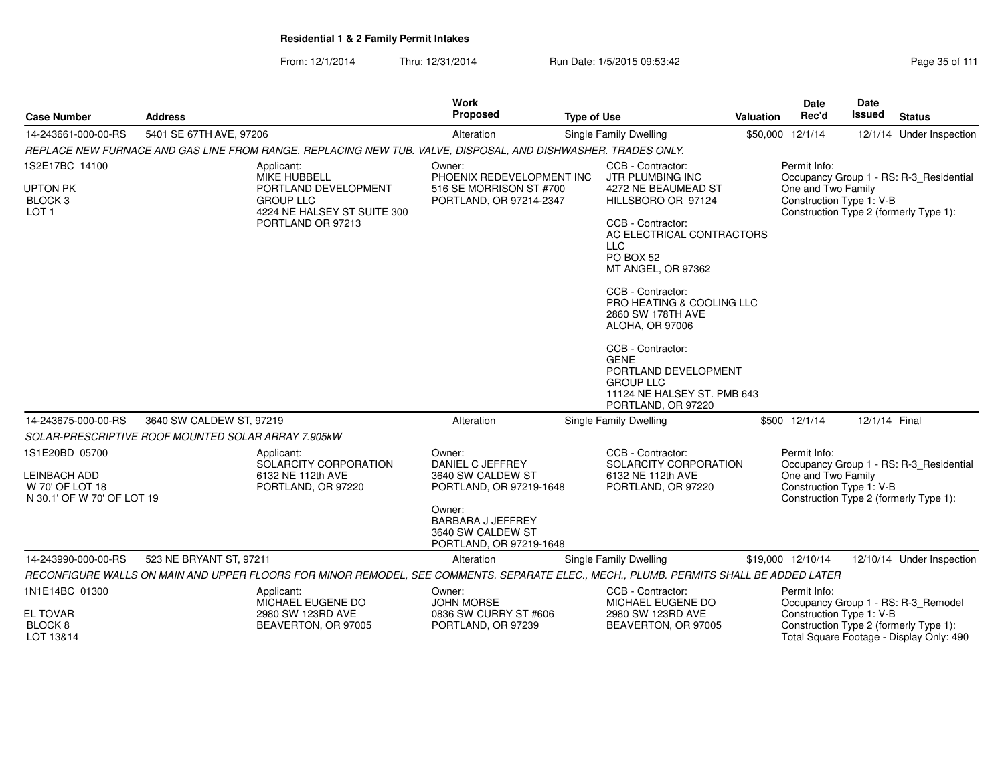| <b>Case Number</b>                                                              | <b>Address</b>                                                                                                                         |                                                                          | <b>Work</b><br>Proposed                                                                                                                                          | <b>Type of Use</b>     |                                                                                                                                                                                                                                                                                                                                                          | Valuation | <b>Date</b><br>Rec'd                                                                                     | <b>Date</b><br>Issued | <b>Status</b>                            |
|---------------------------------------------------------------------------------|----------------------------------------------------------------------------------------------------------------------------------------|--------------------------------------------------------------------------|------------------------------------------------------------------------------------------------------------------------------------------------------------------|------------------------|----------------------------------------------------------------------------------------------------------------------------------------------------------------------------------------------------------------------------------------------------------------------------------------------------------------------------------------------------------|-----------|----------------------------------------------------------------------------------------------------------|-----------------------|------------------------------------------|
| 14-243661-000-00-RS                                                             | 5401 SE 67TH AVE, 97206                                                                                                                |                                                                          | Alteration                                                                                                                                                       | Single Family Dwelling |                                                                                                                                                                                                                                                                                                                                                          |           | \$50,000 12/1/14                                                                                         |                       | 12/1/14 Under Inspection                 |
|                                                                                 | REPLACE NEW FURNACE AND GAS LINE FROM RANGE. REPLACING NEW TUB. VALVE, DISPOSAL, AND DISHWASHER. TRADES ONLY.                          |                                                                          |                                                                                                                                                                  |                        |                                                                                                                                                                                                                                                                                                                                                          |           |                                                                                                          |                       |                                          |
| 1S2E17BC 14100<br><b>UPTON PK</b><br>BLOCK <sub>3</sub><br>LOT <sub>1</sub>     | Applicant:<br><b>MIKE HUBBELL</b><br><b>GROUP LLC</b>                                                                                  | PORTLAND DEVELOPMENT<br>4224 NE HALSEY ST SUITE 300<br>PORTLAND OR 97213 | Owner:<br>PHOENIX REDEVELOPMENT INC<br>516 SE MORRISON ST #700<br>PORTLAND, OR 97214-2347                                                                        | <b>LLC</b>             | CCB - Contractor:<br>JTR PLUMBING INC<br>4272 NE BEAUMEAD ST<br>HILLSBORO OR 97124<br>CCB - Contractor:<br>AC ELECTRICAL CONTRACTORS<br>PO BOX 52<br>MT ANGEL, OR 97362<br>CCB - Contractor:<br>PRO HEATING & COOLING LLC<br>2860 SW 178TH AVE<br><b>ALOHA, OR 97006</b><br>CCB - Contractor:<br><b>GENE</b><br>PORTLAND DEVELOPMENT<br><b>GROUP LLC</b> |           | Permit Info:<br>One and Two Family<br>Construction Type 1: V-B<br>Construction Type 2 (formerly Type 1): |                       | Occupancy Group 1 - RS: R-3 Residential  |
|                                                                                 |                                                                                                                                        |                                                                          |                                                                                                                                                                  |                        | 11124 NE HALSEY ST. PMB 643<br>PORTLAND, OR 97220                                                                                                                                                                                                                                                                                                        |           |                                                                                                          |                       |                                          |
| 14-243675-000-00-RS                                                             | 3640 SW CALDEW ST, 97219                                                                                                               |                                                                          | Alteration                                                                                                                                                       | Single Family Dwelling |                                                                                                                                                                                                                                                                                                                                                          |           | \$500 12/1/14                                                                                            | 12/1/14 Final         |                                          |
|                                                                                 | SOLAR-PRESCRIPTIVE ROOF MOUNTED SOLAR ARRAY 7.905kW                                                                                    |                                                                          |                                                                                                                                                                  |                        |                                                                                                                                                                                                                                                                                                                                                          |           |                                                                                                          |                       |                                          |
| 1S1E20BD 05700<br>LEINBACH ADD<br>W 70' OF LOT 18<br>N 30.1' OF W 70' OF LOT 19 | Applicant:                                                                                                                             | SOLARCITY CORPORATION<br>6132 NE 112th AVE<br>PORTLAND, OR 97220         | Owner:<br>DANIEL C JEFFREY<br>3640 SW CALDEW ST<br>PORTLAND, OR 97219-1648<br>Owner:<br><b>BARBARA J JEFFREY</b><br>3640 SW CALDEW ST<br>PORTLAND, OR 97219-1648 |                        | CCB - Contractor:<br>SOLARCITY CORPORATION<br>6132 NE 112th AVE<br>PORTLAND, OR 97220                                                                                                                                                                                                                                                                    |           | Permit Info:<br>One and Two Family<br>Construction Type 1: V-B<br>Construction Type 2 (formerly Type 1): |                       | Occupancy Group 1 - RS: R-3_Residential  |
| 14-243990-000-00-RS                                                             | 523 NE BRYANT ST, 97211                                                                                                                |                                                                          | Alteration                                                                                                                                                       | Single Family Dwelling |                                                                                                                                                                                                                                                                                                                                                          |           | \$19,000 12/10/14                                                                                        |                       | 12/10/14 Under Inspection                |
|                                                                                 | RECONFIGURE WALLS ON MAIN AND UPPER FLOORS FOR MINOR REMODEL, SEE COMMENTS. SEPARATE ELEC., MECH., PLUMB. PERMITS SHALL BE ADDED LATER |                                                                          |                                                                                                                                                                  |                        |                                                                                                                                                                                                                                                                                                                                                          |           |                                                                                                          |                       |                                          |
| 1N1E14BC 01300                                                                  | Applicant:                                                                                                                             | MICHAEL EUGENE DO                                                        | Owner:<br><b>JOHN MORSE</b>                                                                                                                                      |                        | CCB - Contractor:<br>MICHAEL EUGENE DO                                                                                                                                                                                                                                                                                                                   |           | Permit Info:                                                                                             |                       | Occupancy Group 1 - RS: R-3_Remodel      |
| <b>EL TOVAR</b><br>BLOCK <sub>8</sub><br>LOT 13&14                              |                                                                                                                                        | 2980 SW 123RD AVE<br>BEAVERTON, OR 97005                                 | 0836 SW CURRY ST #606<br>PORTLAND, OR 97239                                                                                                                      |                        | 2980 SW 123RD AVE<br>BEAVERTON, OR 97005                                                                                                                                                                                                                                                                                                                 |           | Construction Type 1: V-B<br>Construction Type 2 (formerly Type 1):                                       |                       | Total Square Footage - Display Only: 490 |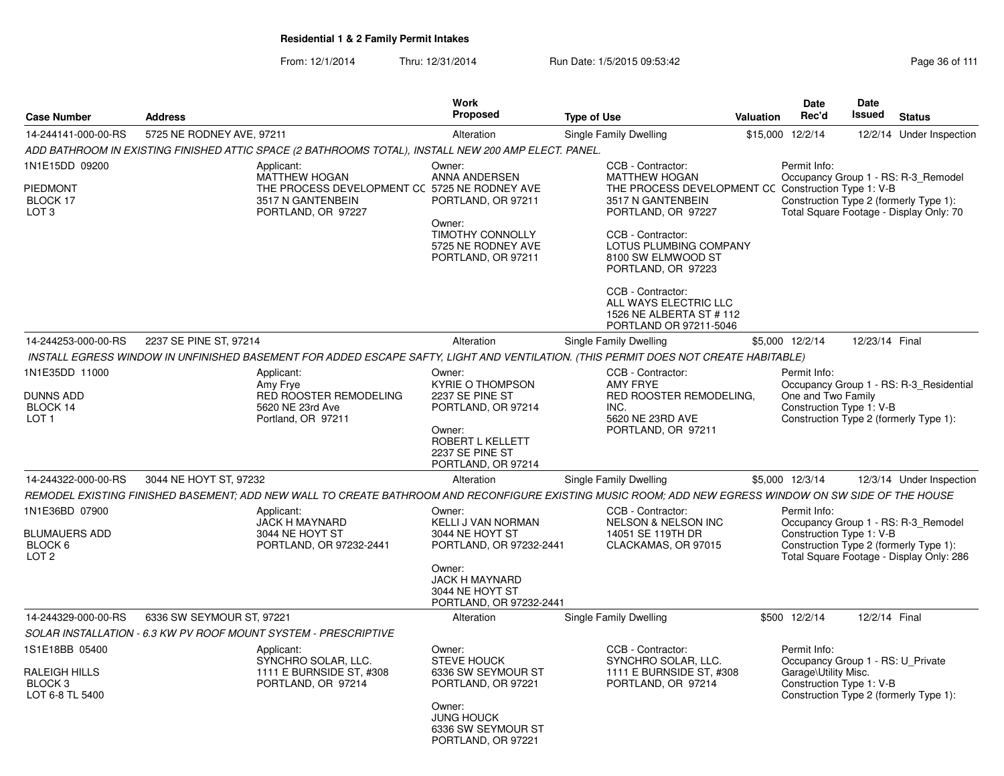|                                                                          |                                                                                                                                                                                                                                             | <b>Work</b>                                                                                                                                                 |                                                                                                                                                                                                                                                                                                                                     |           | <b>Date</b>                                                                                                                                     | <b>Date</b>    |                                                                                                                           |
|--------------------------------------------------------------------------|---------------------------------------------------------------------------------------------------------------------------------------------------------------------------------------------------------------------------------------------|-------------------------------------------------------------------------------------------------------------------------------------------------------------|-------------------------------------------------------------------------------------------------------------------------------------------------------------------------------------------------------------------------------------------------------------------------------------------------------------------------------------|-----------|-------------------------------------------------------------------------------------------------------------------------------------------------|----------------|---------------------------------------------------------------------------------------------------------------------------|
| <b>Case Number</b>                                                       | <b>Address</b>                                                                                                                                                                                                                              | <b>Proposed</b>                                                                                                                                             | <b>Type of Use</b>                                                                                                                                                                                                                                                                                                                  | Valuation | Rec'd                                                                                                                                           | <b>Issued</b>  | <b>Status</b>                                                                                                             |
| 14-244141-000-00-RS                                                      | 5725 NE RODNEY AVE, 97211                                                                                                                                                                                                                   | Alteration                                                                                                                                                  | Single Family Dwelling                                                                                                                                                                                                                                                                                                              |           | \$15,000 12/2/14                                                                                                                                |                | 12/2/14 Under Inspection                                                                                                  |
|                                                                          | ADD BATHROOM IN EXISTING FINISHED ATTIC SPACE (2 BATHROOMS TOTAL), INSTALL NEW 200 AMP ELECT. PANEL.                                                                                                                                        |                                                                                                                                                             |                                                                                                                                                                                                                                                                                                                                     |           | Permit Info:                                                                                                                                    |                |                                                                                                                           |
| 1N1E15DD 09200<br><b>PIEDMONT</b><br>BLOCK 17<br>LOT <sub>3</sub>        | Applicant:<br><b>MATTHEW HOGAN</b><br>3517 N GANTENBEIN<br>PORTLAND, OR 97227                                                                                                                                                               | Owner:<br>ANNA ANDERSEN<br>THE PROCESS DEVELOPMENT CC 5725 NE RODNEY AVE<br>Owner:                                                                          | CCB - Contractor:<br><b>MATTHEW HOGAN</b><br>THE PROCESS DEVELOPMENT CC Construction Type 1: V-B<br>PORTLAND, OR 97211<br>3517 N GANTENBEIN<br>PORTLAND, OR 97227<br><b>TIMOTHY CONNOLLY</b><br>CCB - Contractor:<br>5725 NE RODNEY AVE<br>LOTUS PLUMBING COMPANY<br>PORTLAND, OR 97211<br>8100 SW ELMWOOD ST<br>PORTLAND, OR 97223 |           |                                                                                                                                                 |                | Occupancy Group 1 - RS: R-3 Remodel<br>Construction Type 2 (formerly Type 1):<br>Total Square Footage - Display Only: 70  |
|                                                                          |                                                                                                                                                                                                                                             |                                                                                                                                                             | CCB - Contractor:<br>ALL WAYS ELECTRIC LLC<br>1526 NE ALBERTA ST # 112<br>PORTLAND OR 97211-5046                                                                                                                                                                                                                                    |           |                                                                                                                                                 |                |                                                                                                                           |
| 14-244253-000-00-RS                                                      | 2237 SE PINE ST, 97214                                                                                                                                                                                                                      | Alteration                                                                                                                                                  | Single Family Dwelling                                                                                                                                                                                                                                                                                                              |           | \$5,000 12/2/14                                                                                                                                 | 12/23/14 Final |                                                                                                                           |
|                                                                          | INSTALL EGRESS WINDOW IN UNFINISHED BASEMENT FOR ADDED ESCAPE SAFTY, LIGHT AND VENTILATION. (THIS PERMIT DOES NOT CREATE HABITABLE)                                                                                                         |                                                                                                                                                             |                                                                                                                                                                                                                                                                                                                                     |           |                                                                                                                                                 |                |                                                                                                                           |
| 1N1E35DD 11000<br>DUNNS ADD<br>BLOCK 14<br>LOT <sub>1</sub>              | Applicant:<br>Amy Frye<br>RED ROOSTER REMODELING<br>5620 NE 23rd Ave<br>Portland, OR 97211                                                                                                                                                  | Owner:<br><b>KYRIE O THOMPSON</b><br>2237 SE PINE ST<br>PORTLAND, OR 97214<br>Owner:<br>ROBERT L KELLETT<br>2237 SE PINE ST<br>PORTLAND, OR 97214           | CCB - Contractor:<br><b>AMY FRYE</b><br>RED ROOSTER REMODELING,<br>INC.<br>5620 NE 23RD AVE<br>PORTLAND, OR 97211                                                                                                                                                                                                                   |           | Permit Info:<br>One and Two Family<br>Construction Type 1: V-B                                                                                  |                | Occupancy Group 1 - RS: R-3_Residential<br>Construction Type 2 (formerly Type 1):                                         |
| 14-244322-000-00-RS                                                      | 3044 NE HOYT ST, 97232                                                                                                                                                                                                                      | Alteration                                                                                                                                                  | Single Family Dwelling                                                                                                                                                                                                                                                                                                              |           | \$5,000 12/3/14                                                                                                                                 |                | 12/3/14 Under Inspection                                                                                                  |
| 1N1E36BD 07900<br><b>BLUMAUERS ADD</b><br>BLOCK 6<br>LOT <sub>2</sub>    | REMODEL EXISTING FINISHED BASEMENT; ADD NEW WALL TO CREATE BATHROOM AND RECONFIGURE EXISTING MUSIC ROOM; ADD NEW EGRESS WINDOW ON SW SIDE OF THE HOUSE<br>Applicant:<br><b>JACK H MAYNARD</b><br>3044 NE HOYT ST<br>PORTLAND, OR 97232-2441 | Owner:<br>KELLI J VAN NORMAN<br>3044 NE HOYT ST<br>PORTLAND, OR 97232-2441<br>Owner:<br><b>JACK H MAYNARD</b><br>3044 NE HOYT ST<br>PORTLAND, OR 97232-2441 | CCB - Contractor:<br><b>NELSON &amp; NELSON INC</b><br>14051 SE 119TH DR<br>CLACKAMAS, OR 97015                                                                                                                                                                                                                                     |           | Permit Info:<br>Construction Type 1: V-B                                                                                                        |                | Occupancy Group 1 - RS: R-3_Remodel<br>Construction Type 2 (formerly Type 1):<br>Total Square Footage - Display Only: 286 |
| 14-244329-000-00-RS                                                      | 6336 SW SEYMOUR ST, 97221                                                                                                                                                                                                                   | Alteration                                                                                                                                                  | Single Family Dwelling                                                                                                                                                                                                                                                                                                              |           | \$500 12/2/14                                                                                                                                   | 12/2/14 Final  |                                                                                                                           |
|                                                                          | SOLAR INSTALLATION - 6.3 KW PV ROOF MOUNT SYSTEM - PRESCRIPTIVE                                                                                                                                                                             |                                                                                                                                                             |                                                                                                                                                                                                                                                                                                                                     |           |                                                                                                                                                 |                |                                                                                                                           |
| 1S1E18BB 05400<br>RALEIGH HILLS<br>BLOCK <sub>3</sub><br>LOT 6-8 TL 5400 | Applicant:<br>SYNCHRO SOLAR, LLC.<br>1111 E BURNSIDE ST, #308<br>PORTLAND, OR 97214                                                                                                                                                         | Owner:<br><b>STEVE HOUCK</b><br>6336 SW SEYMOUR ST<br>PORTLAND, OR 97221<br>Owner:<br><b>JUNG HOUCK</b><br>6336 SW SEYMOUR ST<br>PORTLAND, OR 97221         | CCB - Contractor:<br>SYNCHRO SOLAR, LLC.<br>1111 E BURNSIDE ST, #308<br>PORTLAND, OR 97214                                                                                                                                                                                                                                          |           | Permit Info:<br>Occupancy Group 1 - RS: U Private<br>Garage\Utility Misc.<br>Construction Type 1: V-B<br>Construction Type 2 (formerly Type 1): |                |                                                                                                                           |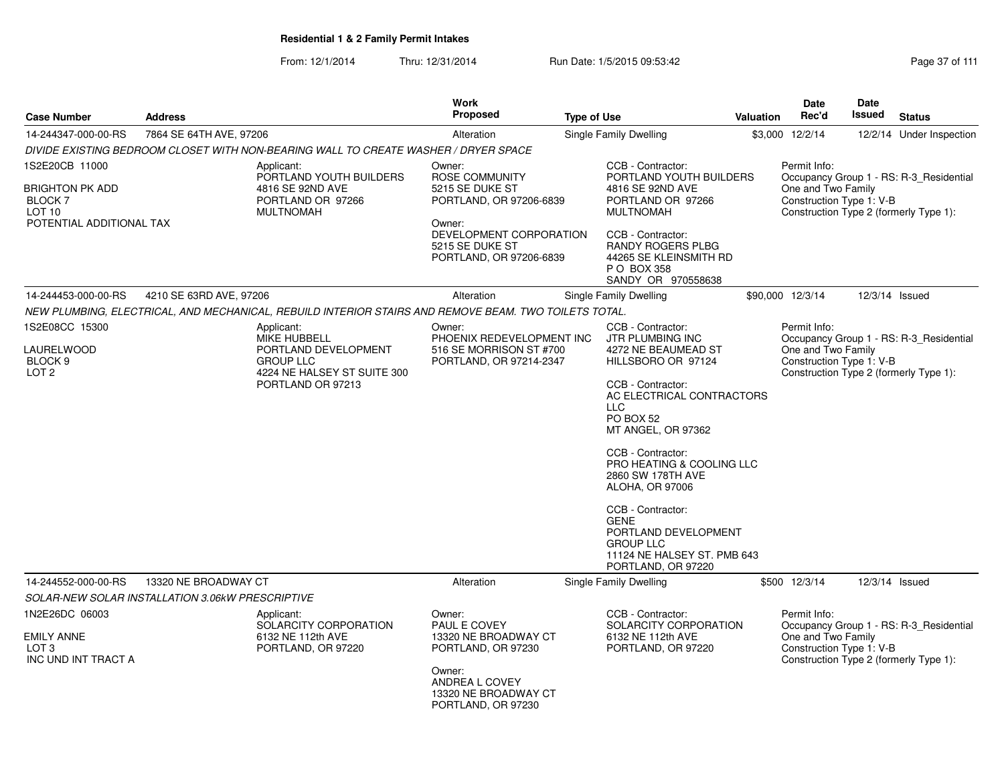From: 12/1/2014Thru: 12/31/2014 Run Date: 1/5/2015 09:53:42 Research 2010 12/31/2014 Page 37 of 111

| <b>Case Number</b>                                                                               | <b>Address</b>          |                                                                                                                                   | Work<br><b>Proposed</b>                                                                                                                                          | <b>Type of Use</b>                                                                                                                                                                                                                                                                                                                 | <b>Valuation</b>                                                                                 | <b>Date</b><br>Rec'd                                           | Date<br><b>Issued</b> | <b>Status</b>                                                                     |
|--------------------------------------------------------------------------------------------------|-------------------------|-----------------------------------------------------------------------------------------------------------------------------------|------------------------------------------------------------------------------------------------------------------------------------------------------------------|------------------------------------------------------------------------------------------------------------------------------------------------------------------------------------------------------------------------------------------------------------------------------------------------------------------------------------|--------------------------------------------------------------------------------------------------|----------------------------------------------------------------|-----------------------|-----------------------------------------------------------------------------------|
| 14-244347-000-00-RS                                                                              | 7864 SE 64TH AVE, 97206 |                                                                                                                                   | Alteration                                                                                                                                                       | Single Family Dwelling                                                                                                                                                                                                                                                                                                             |                                                                                                  | \$3,000 12/2/14                                                |                       | 12/2/14 Under Inspection                                                          |
|                                                                                                  |                         | DIVIDE EXISTING BEDROOM CLOSET WITH NON-BEARING WALL TO CREATE WASHER / DRYER SPACE                                               |                                                                                                                                                                  |                                                                                                                                                                                                                                                                                                                                    |                                                                                                  |                                                                |                       |                                                                                   |
| 1S2E20CB 11000<br><b>BRIGHTON PK ADD</b><br><b>BLOCK 7</b><br>LOT 10<br>POTENTIAL ADDITIONAL TAX |                         | Applicant:<br>PORTLAND YOUTH BUILDERS<br>4816 SE 92ND AVE<br>PORTLAND OR 97266<br><b>MULTNOMAH</b>                                | Owner:<br><b>ROSE COMMUNITY</b><br>5215 SE DUKE ST<br>PORTLAND, OR 97206-6839<br>Owner:<br>DEVELOPMENT CORPORATION<br>5215 SE DUKE ST<br>PORTLAND, OR 97206-6839 | CCB - Contractor:<br>4816 SE 92ND AVE<br>PORTLAND OR 97266<br><b>MULTNOMAH</b><br>CCB - Contractor:<br>RANDY ROGERS PLBG<br>44265 SE KLEINSMITH RD<br>P O BOX 358<br>SANDY OR 970558638                                                                                                                                            | PORTLAND YOUTH BUILDERS                                                                          | Permit Info:<br>One and Two Family<br>Construction Type 1: V-B |                       | Occupancy Group 1 - RS: R-3_Residential<br>Construction Type 2 (formerly Type 1): |
| 14-244453-000-00-RS                                                                              | 4210 SE 63RD AVE, 97206 |                                                                                                                                   | Alteration                                                                                                                                                       | Single Family Dwelling                                                                                                                                                                                                                                                                                                             |                                                                                                  | \$90,000 12/3/14                                               |                       | 12/3/14 Issued                                                                    |
|                                                                                                  |                         | NEW PLUMBING, ELECTRICAL, AND MECHANICAL, REBUILD INTERIOR STAIRS AND REMOVE BEAM. TWO TOILETS TOTAL.                             |                                                                                                                                                                  |                                                                                                                                                                                                                                                                                                                                    |                                                                                                  |                                                                |                       |                                                                                   |
| 1S2E08CC 15300<br><b>LAURELWOOD</b><br>BLOCK <sub>9</sub><br>LOT <sub>2</sub>                    |                         | Applicant:<br><b>MIKE HUBBELL</b><br>PORTLAND DEVELOPMENT<br><b>GROUP LLC</b><br>4224 NE HALSEY ST SUITE 300<br>PORTLAND OR 97213 | Owner:<br>PHOENIX REDEVELOPMENT INC<br>516 SE MORRISON ST #700<br>PORTLAND, OR 97214-2347                                                                        | CCB - Contractor:<br><b>JTR PLUMBING INC</b><br>4272 NE BEAUMEAD ST<br>HILLSBORO OR 97124<br>CCB - Contractor:<br><b>LLC</b><br>PO BOX 52<br>MT ANGEL, OR 97362<br>CCB - Contractor:<br>2860 SW 178TH AVE<br>ALOHA, OR 97006<br>CCB - Contractor:<br><b>GENE</b><br>PORTLAND DEVELOPMENT<br><b>GROUP LLC</b><br>PORTLAND, OR 97220 | AC ELECTRICAL CONTRACTORS<br><b>PRO HEATING &amp; COOLING LLC</b><br>11124 NE HALSEY ST. PMB 643 | Permit Info:<br>One and Two Family<br>Construction Type 1: V-B |                       | Occupancy Group 1 - RS: R-3_Residential<br>Construction Type 2 (formerly Type 1): |
| 14-244552-000-00-RS                                                                              | 13320 NE BROADWAY CT    |                                                                                                                                   | Alteration                                                                                                                                                       | Single Family Dwelling                                                                                                                                                                                                                                                                                                             |                                                                                                  | \$500 12/3/14                                                  | 12/3/14 Issued        |                                                                                   |
| SOLAR-NEW SOLAR INSTALLATION 3.06kW PRESCRIPTIVE                                                 |                         |                                                                                                                                   |                                                                                                                                                                  |                                                                                                                                                                                                                                                                                                                                    |                                                                                                  |                                                                |                       |                                                                                   |
| 1N2E26DC 06003<br><b>EMILY ANNE</b><br>LOT <sub>3</sub><br>INC UND INT TRACT A                   |                         | Applicant:<br>SOLARCITY CORPORATION<br>6132 NE 112th AVE<br>PORTLAND, OR 97220                                                    | Owner:<br>PAUL E COVEY<br>13320 NE BROADWAY CT<br>PORTLAND, OR 97230<br>Owner:<br>ANDREA L COVEY<br>13320 NE BROADWAY CT<br>PORTLAND, OR 97230                   | CCB - Contractor:<br>SOLARCITY CORPORATION<br>6132 NE 112th AVE<br>PORTLAND, OR 97220                                                                                                                                                                                                                                              |                                                                                                  | Permit Info:<br>One and Two Family<br>Construction Type 1: V-B |                       | Occupancy Group 1 - RS: R-3_Residential<br>Construction Type 2 (formerly Type 1): |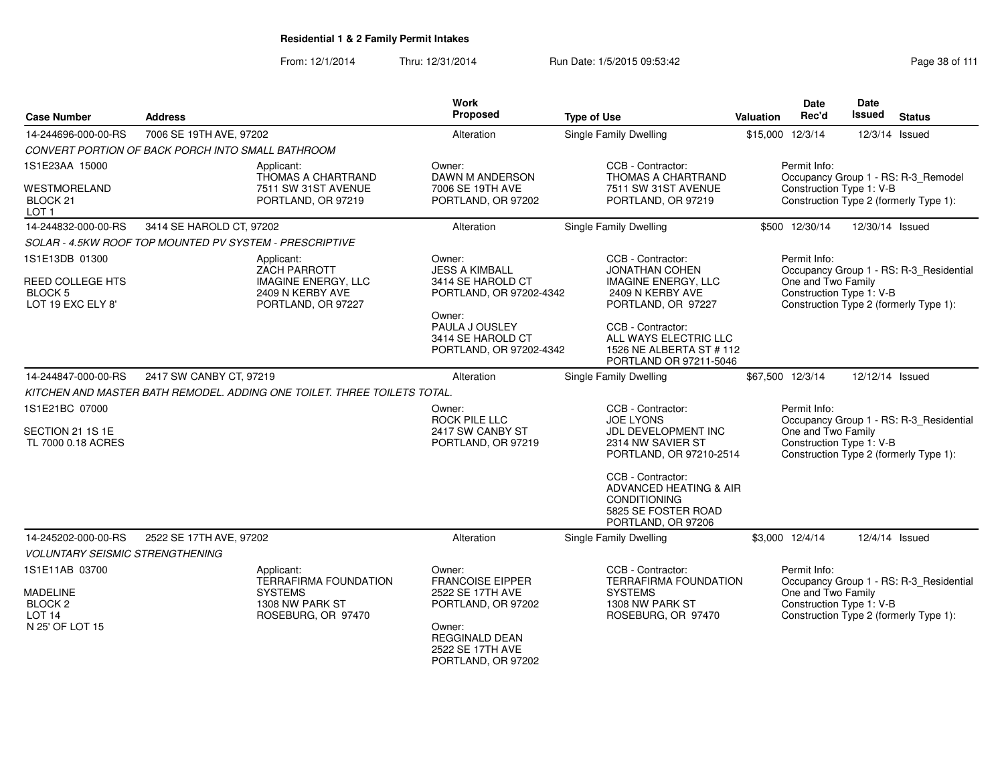From: 12/1/2014Thru: 12/31/2014 Run Date: 1/5/2015 09:53:42 Run Date: 1/5/2015 09:53:42

| <b>Case Number</b>                                             | <b>Address</b>                                          |                                                                          | <b>Work</b><br>Proposed                                                  | <b>Type of Use</b>                                                                                              | <b>Valuation</b> | <b>Date</b><br>Rec'd                           | Date<br><b>Issued</b> | <b>Status</b>                           |
|----------------------------------------------------------------|---------------------------------------------------------|--------------------------------------------------------------------------|--------------------------------------------------------------------------|-----------------------------------------------------------------------------------------------------------------|------------------|------------------------------------------------|-----------------------|-----------------------------------------|
| 14-244696-000-00-RS                                            | 7006 SE 19TH AVE, 97202                                 |                                                                          | Alteration                                                               | <b>Single Family Dwelling</b>                                                                                   |                  | \$15,000 12/3/14                               |                       | 12/3/14 Issued                          |
|                                                                | CONVERT PORTION OF BACK PORCH INTO SMALL BATHROOM       |                                                                          |                                                                          |                                                                                                                 |                  |                                                |                       |                                         |
| 1S1E23AA 15000                                                 |                                                         | Applicant:<br>THOMAS A CHARTRAND                                         | Owner:<br><b>DAWN M ANDERSON</b>                                         | CCB - Contractor:<br><b>THOMAS A CHARTRAND</b>                                                                  |                  | Permit Info:                                   |                       | Occupancy Group 1 - RS: R-3_Remodel     |
| <b>WESTMORELAND</b><br>BLOCK <sub>21</sub><br>LOT <sub>1</sub> |                                                         | 7511 SW 31ST AVENUE<br>PORTLAND, OR 97219                                | 7006 SE 19TH AVE<br>PORTLAND, OR 97202                                   | 7511 SW 31ST AVENUE<br>PORTLAND, OR 97219                                                                       |                  | Construction Type 1: V-B                       |                       | Construction Type 2 (formerly Type 1):  |
| 14-244832-000-00-RS                                            | 3414 SE HAROLD CT, 97202                                |                                                                          | Alteration                                                               | Single Family Dwelling                                                                                          |                  | \$500 12/30/14                                 | 12/30/14 Issued       |                                         |
|                                                                | SOLAR - 4.5KW ROOF TOP MOUNTED PV SYSTEM - PRESCRIPTIVE |                                                                          |                                                                          |                                                                                                                 |                  |                                                |                       |                                         |
| 1S1E13DB 01300                                                 |                                                         | Applicant:<br><b>ZACH PARROTT</b>                                        | Owner:<br><b>JESS A KIMBALL</b>                                          | CCB - Contractor:<br><b>JONATHAN COHEN</b>                                                                      |                  | Permit Info:                                   |                       | Occupancy Group 1 - RS: R-3 Residential |
| <b>REED COLLEGE HTS</b><br><b>BLOCK 5</b><br>LOT 19 EXC ELY 8' |                                                         | <b>IMAGINE ENERGY, LLC</b><br>2409 N KERBY AVE<br>PORTLAND, OR 97227     | 3414 SE HAROLD CT<br>PORTLAND, OR 97202-4342                             | <b>IMAGINE ENERGY, LLC</b><br>2409 N KERBY AVE<br>PORTLAND, OR 97227                                            |                  | One and Two Family<br>Construction Type 1: V-B |                       | Construction Type 2 (formerly Type 1):  |
|                                                                |                                                         |                                                                          | Owner:<br>PAULA J OUSLEY<br>3414 SE HAROLD CT<br>PORTLAND, OR 97202-4342 | CCB - Contractor:<br>ALL WAYS ELECTRIC LLC<br>1526 NE ALBERTA ST # 112<br>PORTLAND OR 97211-5046                |                  |                                                |                       |                                         |
| 14-244847-000-00-RS                                            | 2417 SW CANBY CT, 97219                                 |                                                                          | Alteration                                                               | Single Family Dwelling                                                                                          |                  | \$67,500 12/3/14                               | 12/12/14 Issued       |                                         |
|                                                                |                                                         | KITCHEN AND MASTER BATH REMODEL. ADDING ONE TOILET. THREE TOILETS TOTAL. |                                                                          |                                                                                                                 |                  |                                                |                       |                                         |
| 1S1E21BC 07000                                                 |                                                         |                                                                          | Owner:<br>ROCK PILE LLC                                                  | CCB - Contractor:<br><b>JOE LYONS</b>                                                                           |                  | Permit Info:                                   |                       | Occupancy Group 1 - RS: R-3 Residential |
| SECTION 21 1S 1E<br>TL 7000 0.18 ACRES                         |                                                         |                                                                          | 2417 SW CANBY ST<br>PORTLAND, OR 97219                                   | JDL DEVELOPMENT INC<br>2314 NW SAVIER ST<br>PORTLAND, OR 97210-2514                                             |                  | One and Two Family<br>Construction Type 1: V-B |                       | Construction Type 2 (formerly Type 1):  |
|                                                                |                                                         |                                                                          |                                                                          | CCB - Contractor:<br>ADVANCED HEATING & AIR<br><b>CONDITIONING</b><br>5825 SE FOSTER ROAD<br>PORTLAND, OR 97206 |                  |                                                |                       |                                         |
| 14-245202-000-00-RS                                            | 2522 SE 17TH AVE, 97202                                 |                                                                          | Alteration                                                               | Single Family Dwelling                                                                                          |                  | \$3,000 12/4/14                                |                       | 12/4/14 Issued                          |
| <b>VOLUNTARY SEISMIC STRENGTHENING</b>                         |                                                         |                                                                          |                                                                          |                                                                                                                 |                  |                                                |                       |                                         |
| 1S1E11AB 03700                                                 |                                                         | Applicant:<br><b>TERRAFIRMA FOUNDATION</b>                               | Owner:<br><b>FRANCOISE EIPPER</b>                                        | CCB - Contractor:<br><b>TERRAFIRMA FOUNDATION</b>                                                               |                  | Permit Info:                                   |                       | Occupancy Group 1 - RS: R-3_Residential |
| <b>MADELINE</b>                                                |                                                         | <b>SYSTEMS</b>                                                           | 2522 SE 17TH AVE                                                         | <b>SYSTEMS</b>                                                                                                  |                  | One and Two Family                             |                       |                                         |
| BLOCK <sub>2</sub><br>LOT <sub>14</sub>                        |                                                         | 1308 NW PARK ST<br>ROSEBURG, OR 97470                                    | PORTLAND, OR 97202                                                       | 1308 NW PARK ST<br>ROSEBURG, OR 97470                                                                           |                  | Construction Type 1: V-B                       |                       | Construction Type 2 (formerly Type 1):  |
| N 25' OF LOT 15                                                |                                                         |                                                                          | Owner:<br><b>REGGINALD DEAN</b><br>2522 SE 17TH AVE                      |                                                                                                                 |                  |                                                |                       |                                         |

PORTLAND, OR 97202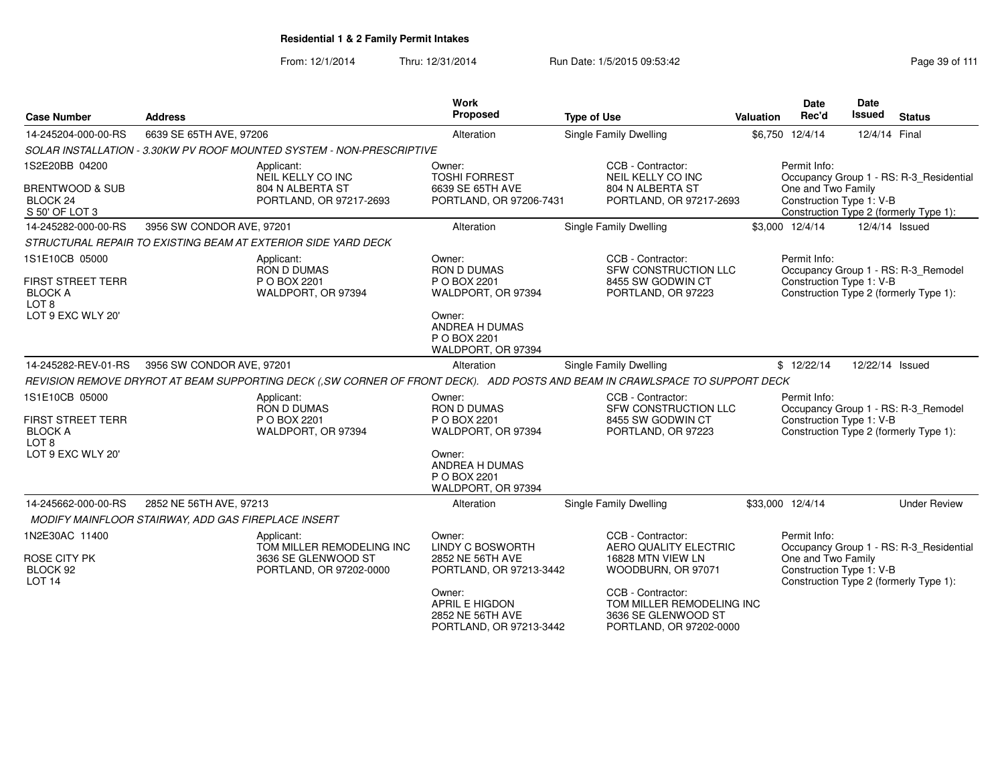| <b>Case Number</b>                                                                                    | <b>Address</b>                                                                                                              | <b>Work</b><br><b>Proposed</b>                                                                                                       | <b>Type of Use</b>                                                                                                                      | <b>Date</b><br>Rec'd<br>Valuation | <b>Date</b><br><b>Issued</b><br><b>Status</b>                                                                                       |
|-------------------------------------------------------------------------------------------------------|-----------------------------------------------------------------------------------------------------------------------------|--------------------------------------------------------------------------------------------------------------------------------------|-----------------------------------------------------------------------------------------------------------------------------------------|-----------------------------------|-------------------------------------------------------------------------------------------------------------------------------------|
| 14-245204-000-00-RS                                                                                   | 6639 SE 65TH AVE, 97206                                                                                                     | Alteration                                                                                                                           | Single Family Dwelling                                                                                                                  | \$6,750 12/4/14                   | 12/4/14 Final                                                                                                                       |
|                                                                                                       | SOLAR INSTALLATION - 3.30KW PV ROOF MOUNTED SYSTEM - NON-PRESCRIPTIVE                                                       |                                                                                                                                      |                                                                                                                                         |                                   |                                                                                                                                     |
| 1S2E20BB 04200<br><b>BRENTWOOD &amp; SUB</b><br>BLOCK <sub>24</sub><br>S 50' OF LOT 3                 | Applicant:<br>NEIL KELLY CO INC<br>804 N ALBERTA ST<br>PORTLAND, OR 97217-2693                                              | Owner:<br><b>TOSHI FORREST</b><br>6639 SE 65TH AVE<br>PORTLAND, OR 97206-7431                                                        | CCB - Contractor:<br>NEIL KELLY CO INC<br>804 N ALBERTA ST<br>PORTLAND, OR 97217-2693                                                   | Permit Info:                      | Occupancy Group 1 - RS: R-3_Residential<br>One and Two Family<br>Construction Type 1: V-B<br>Construction Type 2 (formerly Type 1): |
| 14-245282-000-00-RS                                                                                   | 3956 SW CONDOR AVE, 97201                                                                                                   | Alteration                                                                                                                           | Single Family Dwelling                                                                                                                  | \$3,000 12/4/14                   | 12/4/14 Issued                                                                                                                      |
|                                                                                                       | STRUCTURAL REPAIR TO EXISTING BEAM AT EXTERIOR SIDE YARD DECK                                                               |                                                                                                                                      |                                                                                                                                         |                                   |                                                                                                                                     |
| 1S1E10CB 05000<br><b>FIRST STREET TERR</b><br><b>BLOCK A</b><br>LOT <sub>8</sub><br>LOT 9 EXC WLY 20' | Applicant:<br>RON D DUMAS<br>P O BOX 2201<br>WALDPORT, OR 97394                                                             | Owner:<br><b>RON D DUMAS</b><br>P O BOX 2201<br>WALDPORT, OR 97394<br>Owner:<br><b>ANDREA H DUMAS</b>                                | CCB - Contractor:<br>SFW CONSTRUCTION LLC<br>8455 SW GODWIN CT<br>PORTLAND, OR 97223                                                    | Permit Info:                      | Occupancy Group 1 - RS: R-3_Remodel<br>Construction Type 1: V-B<br>Construction Type 2 (formerly Type 1):                           |
| 14-245282-REV-01-RS                                                                                   | 3956 SW CONDOR AVE, 97201                                                                                                   | P O BOX 2201<br>WALDPORT, OR 97394<br>Alteration                                                                                     | Single Family Dwelling                                                                                                                  | \$12/22/14                        | 12/22/14 Issued                                                                                                                     |
|                                                                                                       | REVISION REMOVE DRYROT AT BEAM SUPPORTING DECK (.SW CORNER OF FRONT DECK). ADD POSTS AND BEAM IN CRAWLSPACE TO SUPPORT DECK |                                                                                                                                      |                                                                                                                                         |                                   |                                                                                                                                     |
| 1S1E10CB 05000<br>FIRST STREET TERR<br><b>BLOCK A</b><br>LOT <sub>8</sub><br>LOT 9 EXC WLY 20"        | Applicant:<br><b>RON D DUMAS</b><br>P O BOX 2201<br>WALDPORT, OR 97394                                                      | Owner:<br><b>RON D DUMAS</b><br>P O BOX 2201<br>WALDPORT, OR 97394<br>Owner:<br>ANDREA H DUMAS<br>P O BOX 2201<br>WALDPORT, OR 97394 | CCB - Contractor:<br><b>SFW CONSTRUCTION LLC</b><br>8455 SW GODWIN CT<br>PORTLAND, OR 97223                                             | Permit Info:                      | Occupancy Group 1 - RS: R-3_Remodel<br>Construction Type 1: V-B<br>Construction Type 2 (formerly Type 1):                           |
| 14-245662-000-00-RS                                                                                   | 2852 NE 56TH AVE, 97213                                                                                                     | Alteration                                                                                                                           | Single Family Dwelling                                                                                                                  | \$33,000 12/4/14                  | <b>Under Review</b>                                                                                                                 |
|                                                                                                       | MODIFY MAINFLOOR STAIRWAY, ADD GAS FIREPLACE INSERT                                                                         |                                                                                                                                      |                                                                                                                                         |                                   |                                                                                                                                     |
| 1N2E30AC 11400<br><b>ROSE CITY PK</b><br>BLOCK 92<br><b>LOT 14</b>                                    | Applicant:<br>TOM MILLER REMODELING INC<br>3636 SE GLENWOOD ST<br>PORTLAND, OR 97202-0000                                   | Owner:<br><b>LINDY C BOSWORTH</b><br>2852 NE 56TH AVE<br>PORTLAND, OR 97213-3442<br>Owner:<br><b>APRIL E HIGDON</b>                  | CCB - Contractor:<br>AERO QUALITY ELECTRIC<br>16828 MTN VIEW LN<br>WOODBURN, OR 97071<br>CCB - Contractor:<br>TOM MILLER REMODELING INC | Permit Info:                      | Occupancy Group 1 - RS: R-3_Residential<br>One and Two Family<br>Construction Type 1: V-B<br>Construction Type 2 (formerly Type 1): |
|                                                                                                       |                                                                                                                             | 2852 NE 56TH AVE<br>PORTLAND, OR 97213-3442                                                                                          | 3636 SE GLENWOOD ST<br>PORTLAND, OR 97202-0000                                                                                          |                                   |                                                                                                                                     |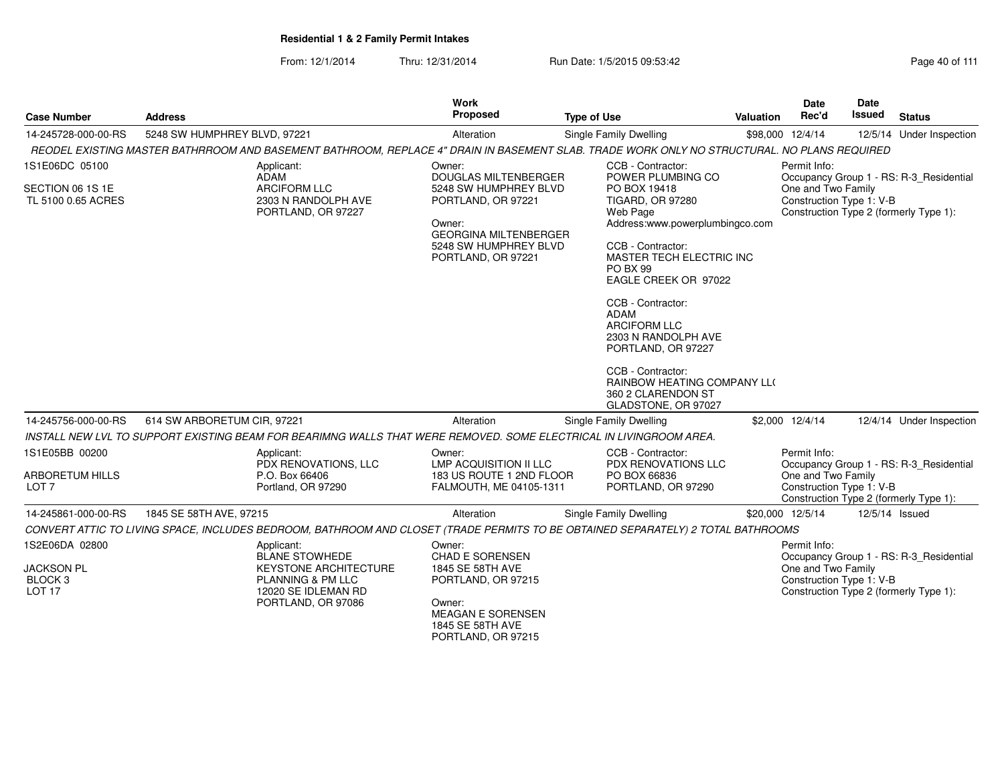| <b>Case Number</b>                                                             | <b>Address</b>                                                                                                                              | Work<br>Proposed                                                                                                                                                              | <b>Type of Use</b>                                                                                                                                                                                                                                                                                                                                                                                      | <b>Valuation</b> | Date<br>Rec'd                      | <b>Date</b><br>Issued    | <b>Status</b>                                                                     |
|--------------------------------------------------------------------------------|---------------------------------------------------------------------------------------------------------------------------------------------|-------------------------------------------------------------------------------------------------------------------------------------------------------------------------------|---------------------------------------------------------------------------------------------------------------------------------------------------------------------------------------------------------------------------------------------------------------------------------------------------------------------------------------------------------------------------------------------------------|------------------|------------------------------------|--------------------------|-----------------------------------------------------------------------------------|
| 14-245728-000-00-RS                                                            | 5248 SW HUMPHREY BLVD, 97221                                                                                                                | Alteration                                                                                                                                                                    | Single Family Dwelling                                                                                                                                                                                                                                                                                                                                                                                  |                  | \$98,000 12/4/14                   |                          | 12/5/14 Under Inspection                                                          |
|                                                                                | REODEL EXISTING MASTER BATHRROOM AND BASEMENT BATHROOM, REPLACE 4" DRAIN IN BASEMENT SLAB. TRADE WORK ONLY NO STRUCTURAL. NO PLANS REQUIRED |                                                                                                                                                                               |                                                                                                                                                                                                                                                                                                                                                                                                         |                  |                                    |                          |                                                                                   |
| 1S1E06DC 05100<br>SECTION 06 1S 1E<br>TL 5100 0.65 ACRES                       | Applicant:<br><b>ADAM</b><br><b>ARCIFORM LLC</b><br>2303 N RANDOLPH AVE<br>PORTLAND, OR 97227                                               | Owner:<br><b>DOUGLAS MILTENBERGER</b><br>5248 SW HUMPHREY BLVD<br>PORTLAND, OR 97221<br>Owner:<br><b>GEORGINA MILTENBERGER</b><br>5248 SW HUMPHREY BLVD<br>PORTLAND, OR 97221 | CCB - Contractor:<br>POWER PLUMBING CO<br>PO BOX 19418<br><b>TIGARD, OR 97280</b><br>Web Page<br>Address:www.powerplumbingco.com<br>CCB - Contractor:<br>MASTER TECH ELECTRIC INC<br>PO BX 99<br>EAGLE CREEK OR 97022<br>CCB - Contractor:<br><b>ADAM</b><br><b>ARCIFORM LLC</b><br>2303 N RANDOLPH AVE<br>PORTLAND, OR 97227<br>CCB - Contractor:<br>RAINBOW HEATING COMPANY LLO<br>360 2 CLARENDON ST |                  | Permit Info:<br>One and Two Family | Construction Type 1: V-B | Occupancy Group 1 - RS: R-3_Residential<br>Construction Type 2 (formerly Type 1): |
| 14-245756-000-00-RS                                                            | 614 SW ARBORETUM CIR, 97221                                                                                                                 | Alteration                                                                                                                                                                    | GLADSTONE, OR 97027                                                                                                                                                                                                                                                                                                                                                                                     |                  | \$2,000 12/4/14                    |                          | 12/4/14 Under Inspection                                                          |
|                                                                                | INSTALL NEW LVL TO SUPPORT EXISTING BEAM FOR BEARIMNG WALLS THAT WERE REMOVED. SOME ELECTRICAL IN LIVINGROOM AREA.                          |                                                                                                                                                                               | Single Family Dwelling                                                                                                                                                                                                                                                                                                                                                                                  |                  |                                    |                          |                                                                                   |
| 1S1E05BB 00200<br><b>ARBORETUM HILLS</b><br>LOT <sub>7</sub>                   | Applicant:<br>PDX RENOVATIONS, LLC<br>P.O. Box 66406<br>Portland, OR 97290                                                                  | Owner:<br>LMP ACQUISITION II LLC<br>183 US ROUTE 1 2ND FLOOR<br>FALMOUTH, ME 04105-1311                                                                                       | CCB - Contractor:<br><b>PDX RENOVATIONS LLC</b><br>PO BOX 66836<br>PORTLAND, OR 97290                                                                                                                                                                                                                                                                                                                   |                  | Permit Info:<br>One and Two Family | Construction Type 1: V-B | Occupancy Group 1 - RS: R-3 Residential<br>Construction Type 2 (formerly Type 1): |
| 14-245861-000-00-RS                                                            | 1845 SE 58TH AVE, 97215                                                                                                                     | Alteration                                                                                                                                                                    | <b>Single Family Dwelling</b>                                                                                                                                                                                                                                                                                                                                                                           |                  | \$20,000 12/5/14                   | 12/5/14 Issued           |                                                                                   |
|                                                                                | CONVERT ATTIC TO LIVING SPACE, INCLUDES BEDROOM, BATHROOM AND CLOSET (TRADE PERMITS TO BE OBTAINED SEPARATELY) 2 TOTAL BATHROOMS            |                                                                                                                                                                               |                                                                                                                                                                                                                                                                                                                                                                                                         |                  |                                    |                          |                                                                                   |
| 1S2E06DA 02800<br><b>JACKSON PL</b><br>BLOCK <sub>3</sub><br>LOT <sub>17</sub> | Applicant:<br><b>BLANE STOWHEDE</b><br><b>KEYSTONE ARCHITECTURE</b><br>PLANNING & PM LLC<br>12020 SE IDLEMAN RD<br>PORTLAND, OR 97086       | Owner:<br><b>CHAD E SORENSEN</b><br>1845 SE 58TH AVE<br>PORTLAND, OR 97215<br>Owner:<br><b>MEAGAN E SORENSEN</b><br>1845 SE 58TH AVE<br>PORTLAND, OR 97215                    |                                                                                                                                                                                                                                                                                                                                                                                                         |                  | Permit Info:<br>One and Two Family | Construction Type 1: V-B | Occupancy Group 1 - RS: R-3 Residential<br>Construction Type 2 (formerly Type 1): |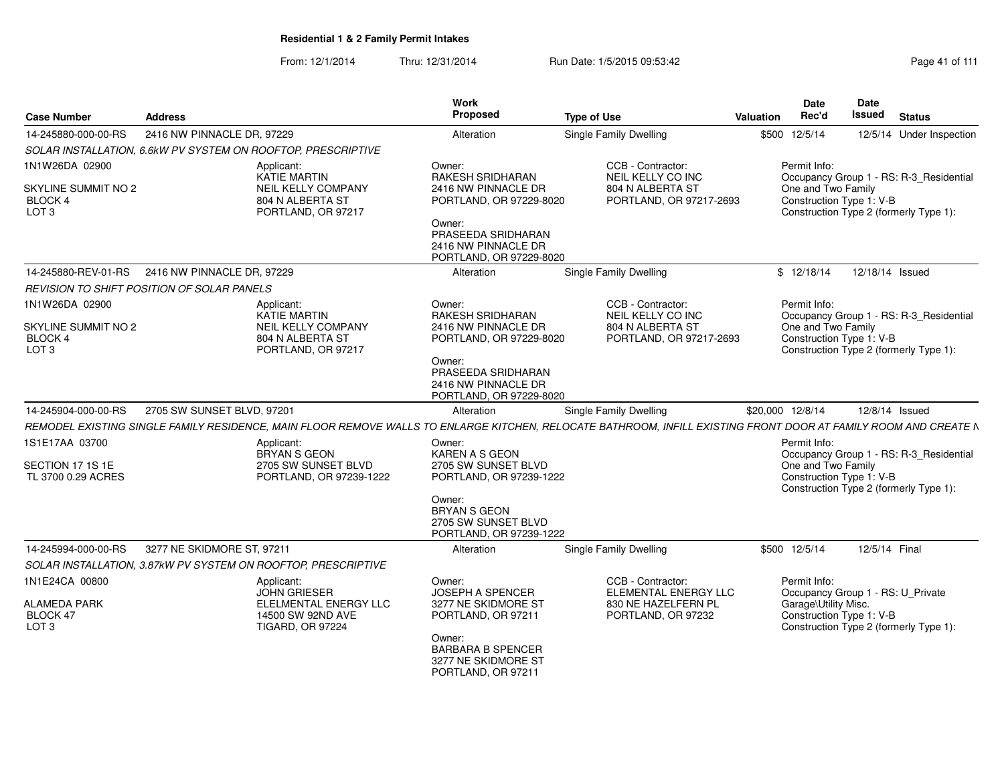| <b>Case Number</b>                                                          | <b>Address</b>                                    |                                                                                                   | <b>Work</b><br>Proposed                                                                                                           | <b>Type of Use</b>                                                                                                                                              | Valuation        | <b>Date</b><br>Rec'd               | Date<br><b>Issued</b><br><b>Status</b>                                                                        |
|-----------------------------------------------------------------------------|---------------------------------------------------|---------------------------------------------------------------------------------------------------|-----------------------------------------------------------------------------------------------------------------------------------|-----------------------------------------------------------------------------------------------------------------------------------------------------------------|------------------|------------------------------------|---------------------------------------------------------------------------------------------------------------|
| 14-245880-000-00-RS                                                         | 2416 NW PINNACLE DR, 97229                        |                                                                                                   | Alteration                                                                                                                        | Single Family Dwelling                                                                                                                                          | \$500 12/5/14    |                                    | 12/5/14 Under Inspection                                                                                      |
|                                                                             |                                                   | SOLAR INSTALLATION, 6.6kW PV SYSTEM ON ROOFTOP, PRESCRIPTIVE                                      |                                                                                                                                   |                                                                                                                                                                 |                  |                                    |                                                                                                               |
| 1N1W26DA 02900<br><b>SKYLINE SUMMIT NO 2</b>                                |                                                   | Applicant:<br>KATIE MARTIN<br>NEIL KELLY COMPANY                                                  | Owner:<br>RAKESH SRIDHARAN<br>2416 NW PINNACLE DR                                                                                 | CCB - Contractor:<br>NEIL KELLY CO INC<br>804 N ALBERTA ST                                                                                                      |                  | Permit Info:<br>One and Two Family | Occupancy Group 1 - RS: R-3_Residential                                                                       |
| BLOCK 4<br>LOT <sub>3</sub>                                                 |                                                   | 804 N ALBERTA ST<br>PORTLAND, OR 97217                                                            | PORTLAND, OR 97229-8020<br>Owner:                                                                                                 | PORTLAND, OR 97217-2693                                                                                                                                         |                  |                                    | Construction Type 1: V-B<br>Construction Type 2 (formerly Type 1):                                            |
|                                                                             |                                                   |                                                                                                   | PRASEEDA SRIDHARAN<br>2416 NW PINNACLE DR<br>PORTLAND, OR 97229-8020                                                              |                                                                                                                                                                 |                  |                                    |                                                                                                               |
|                                                                             | 14-245880-REV-01-RS 2416 NW PINNACLE DR, 97229    |                                                                                                   | Alteration                                                                                                                        | <b>Single Family Dwelling</b>                                                                                                                                   |                  | \$12/18/14                         | 12/18/14 Issued                                                                                               |
|                                                                             | <b>REVISION TO SHIFT POSITION OF SOLAR PANELS</b> |                                                                                                   |                                                                                                                                   |                                                                                                                                                                 |                  |                                    |                                                                                                               |
| 1N1W26DA 02900<br><b>SKYLINE SUMMIT NO 2</b><br>BLOCK 4<br>LOT <sub>3</sub> |                                                   | Applicant:<br>KATIE MARTIN<br><b>NEIL KELLY COMPANY</b><br>804 N ALBERTA ST<br>PORTLAND, OR 97217 | Owner:<br>RAKESH SRIDHARAN<br>2416 NW PINNACLE DR<br>PORTLAND, OR 97229-8020                                                      | CCB - Contractor:<br>NEIL KELLY CO INC<br>804 N ALBERTA ST<br>PORTLAND, OR 97217-2693                                                                           |                  | Permit Info:<br>One and Two Family | Occupancy Group 1 - RS: R-3 Residential<br>Construction Type 1: V-B<br>Construction Type 2 (formerly Type 1): |
|                                                                             |                                                   |                                                                                                   | Owner:<br>PRASEEDA SRIDHARAN<br>2416 NW PINNACLE DR<br>PORTLAND, OR 97229-8020                                                    |                                                                                                                                                                 |                  |                                    |                                                                                                               |
| 14-245904-000-00-RS                                                         | 2705 SW SUNSET BLVD, 97201                        |                                                                                                   | Alteration                                                                                                                        | Single Family Dwelling                                                                                                                                          | \$20,000 12/8/14 |                                    | 12/8/14 Issued                                                                                                |
|                                                                             |                                                   |                                                                                                   |                                                                                                                                   | REMODEL EXISTING SINGLE FAMILY RESIDENCE, MAIN FLOOR REMOVE WALLS TO ENLARGE KITCHEN, RELOCATE BATHROOM, INFILL EXISTING FRONT DOOR AT FAMILY ROOM AND CREATE N |                  |                                    |                                                                                                               |
| 1S1E17AA 03700                                                              |                                                   | Applicant:<br>BRYAN S GEON                                                                        | Owner:<br>KAREN A S GEON                                                                                                          |                                                                                                                                                                 |                  | Permit Info:                       | Occupancy Group 1 - RS: R-3_Residential                                                                       |
| SECTION 17 1S 1E<br>TL 3700 0.29 ACRES                                      |                                                   | 2705 SW SUNSET BLVD<br>PORTLAND, OR 97239-1222                                                    | 2705 SW SUNSET BLVD<br>PORTLAND, OR 97239-1222<br>Owner:<br><b>BRYAN S GEON</b><br>2705 SW SUNSET BLVD<br>PORTLAND, OR 97239-1222 |                                                                                                                                                                 |                  | One and Two Family                 | Construction Type 1: V-B<br>Construction Type 2 (formerly Type 1):                                            |
| 14-245994-000-00-RS                                                         | 3277 NE SKIDMORE ST, 97211                        |                                                                                                   | Alteration                                                                                                                        | Single Family Dwelling                                                                                                                                          | \$500 12/5/14    |                                    | 12/5/14 Final                                                                                                 |
|                                                                             |                                                   | SOLAR INSTALLATION, 3.87kW PV SYSTEM ON ROOFTOP, PRESCRIPTIVE                                     |                                                                                                                                   |                                                                                                                                                                 |                  |                                    |                                                                                                               |
| 1N1E24CA 00800                                                              |                                                   | Applicant:                                                                                        | Owner:                                                                                                                            | CCB - Contractor:                                                                                                                                               |                  | Permit Info:                       |                                                                                                               |
| <b>ALAMEDA PARK</b><br>BLOCK 47<br>LOT <sub>3</sub>                         |                                                   | JOHN GRIESER<br>ELELMENTAL ENERGY LLC<br>14500 SW 92ND AVE<br><b>TIGARD, OR 97224</b>             | <b>JOSEPH A SPENCER</b><br>3277 NE SKIDMORE ST<br>PORTLAND, OR 97211                                                              | <b>ELEMENTAL ENERGY LLC</b><br>830 NE HAZELFERN PL<br>PORTLAND, OR 97232                                                                                        |                  | Garage\Utility Misc.               | Occupancy Group 1 - RS: U_Private<br>Construction Type 1: V-B<br>Construction Type 2 (formerly Type 1):       |
|                                                                             |                                                   |                                                                                                   | Owner:<br><b>BARBARA B SPENCER</b><br>3277 NE SKIDMORE ST<br>PORTLAND, OR 97211                                                   |                                                                                                                                                                 |                  |                                    |                                                                                                               |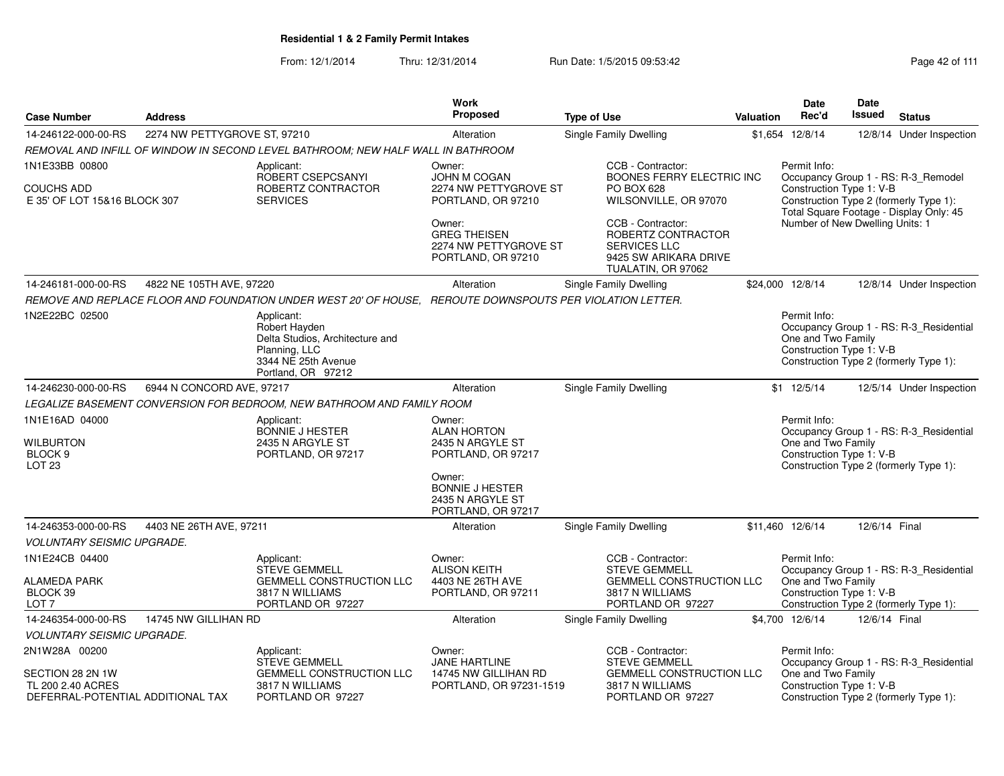|                                                                            |                              |                                                                                                                              | <b>Work</b>                                                                  |                                                                                                               |                  | Date                                                           | Date          |                                                                                   |
|----------------------------------------------------------------------------|------------------------------|------------------------------------------------------------------------------------------------------------------------------|------------------------------------------------------------------------------|---------------------------------------------------------------------------------------------------------------|------------------|----------------------------------------------------------------|---------------|-----------------------------------------------------------------------------------|
| <b>Case Number</b>                                                         | <b>Address</b>               |                                                                                                                              | Proposed                                                                     | <b>Type of Use</b>                                                                                            | <b>Valuation</b> | Rec'd                                                          | Issued        | <b>Status</b>                                                                     |
| 14-246122-000-00-RS                                                        | 2274 NW PETTYGROVE ST, 97210 |                                                                                                                              | Alteration                                                                   | <b>Single Family Dwelling</b>                                                                                 |                  | \$1,654 12/8/14                                                | 12/8/14       | Under Inspection                                                                  |
|                                                                            |                              | REMOVAL AND INFILL OF WINDOW IN SECOND LEVEL BATHROOM; NEW HALF WALL IN BATHROOM                                             |                                                                              |                                                                                                               |                  |                                                                |               |                                                                                   |
| 1N1E33BB 00800                                                             |                              | Applicant:<br>ROBERT CSEPCSANYI                                                                                              | Owner:<br><b>JOHN M COGAN</b>                                                | CCB - Contractor:<br>BOONES FERRY ELECTRIC INC                                                                |                  | Permit Info:                                                   |               | Occupancy Group 1 - RS: R-3_Remodel                                               |
| COUCHS ADD<br>E 35' OF LOT 15&16 BLOCK 307                                 |                              | ROBERTZ CONTRACTOR<br><b>SERVICES</b>                                                                                        | 2274 NW PETTYGROVE ST<br>PORTLAND, OR 97210                                  | <b>PO BOX 628</b><br>WILSONVILLE, OR 97070                                                                    |                  | Construction Type 1: V-B                                       |               | Construction Type 2 (formerly Type 1):<br>Total Square Footage - Display Only: 45 |
|                                                                            |                              |                                                                                                                              | Owner:<br><b>GREG THEISEN</b><br>2274 NW PETTYGROVE ST<br>PORTLAND, OR 97210 | CCB - Contractor:<br>ROBERTZ CONTRACTOR<br><b>SERVICES LLC</b><br>9425 SW ARIKARA DRIVE<br>TUALATIN, OR 97062 |                  | Number of New Dwelling Units: 1                                |               |                                                                                   |
| 14-246181-000-00-RS                                                        | 4822 NE 105TH AVE, 97220     |                                                                                                                              | Alteration                                                                   | Single Family Dwelling                                                                                        |                  | \$24,000 12/8/14                                               |               | 12/8/14 Under Inspection                                                          |
|                                                                            |                              | REMOVE AND REPLACE FLOOR AND FOUNDATION UNDER WEST 20' OF HOUSE, REROUTE DOWNSPOUTS PER VIOLATION LETTER.                    |                                                                              |                                                                                                               |                  |                                                                |               |                                                                                   |
| 1N2E22BC 02500                                                             |                              | Applicant:<br>Robert Hayden<br>Delta Studios, Architecture and<br>Planning, LLC<br>3344 NE 25th Avenue<br>Portland, OR 97212 |                                                                              |                                                                                                               |                  | Permit Info:<br>One and Two Family<br>Construction Type 1: V-B |               | Occupancy Group 1 - RS: R-3_Residential<br>Construction Type 2 (formerly Type 1): |
| 14-246230-000-00-RS                                                        | 6944 N CONCORD AVE, 97217    |                                                                                                                              | Alteration                                                                   | Single Family Dwelling                                                                                        |                  | \$1 12/5/14                                                    |               | 12/5/14 Under Inspection                                                          |
|                                                                            |                              | LEGALIZE BASEMENT CONVERSION FOR BEDROOM, NEW BATHROOM AND FAMILY ROOM                                                       |                                                                              |                                                                                                               |                  |                                                                |               |                                                                                   |
| 1N1E16AD 04000<br>Wilburton<br>BLOCK <sub>9</sub>                          |                              | Applicant:<br><b>BONNIE J HESTER</b><br>2435 N ARGYLE ST<br>PORTLAND, OR 97217                                               | Owner:<br><b>ALAN HORTON</b><br>2435 N ARGYLE ST<br>PORTLAND, OR 97217       |                                                                                                               |                  | Permit Info:<br>One and Two Family<br>Construction Type 1: V-B |               | Occupancy Group 1 - RS: R-3 Residential                                           |
| LOT <sub>23</sub>                                                          |                              |                                                                                                                              | Owner:<br><b>BONNIE J HESTER</b><br>2435 N ARGYLE ST<br>PORTLAND, OR 97217   |                                                                                                               |                  |                                                                |               | Construction Type 2 (formerly Type 1):                                            |
| 14-246353-000-00-RS                                                        | 4403 NE 26TH AVE, 97211      |                                                                                                                              | Alteration                                                                   | Single Family Dwelling                                                                                        |                  | \$11,460 12/6/14                                               | 12/6/14 Final |                                                                                   |
| <b>VOLUNTARY SEISMIC UPGRADE.</b>                                          |                              |                                                                                                                              |                                                                              |                                                                                                               |                  |                                                                |               |                                                                                   |
| 1N1E24CB 04400                                                             |                              | Applicant:<br><b>STEVE GEMMELL</b>                                                                                           | Owner:<br><b>ALISON KEITH</b>                                                | CCB - Contractor:<br><b>STEVE GEMMELL</b>                                                                     |                  | Permit Info:                                                   |               | Occupancy Group 1 - RS: R-3_Residential                                           |
| ALAMEDA PARK<br>BLOCK 39<br>LOT <sub>7</sub>                               |                              | <b>GEMMELL CONSTRUCTION LLC</b><br>3817 N WILLIAMS<br>PORTLAND OR 97227                                                      | 4403 NE 26TH AVE<br>PORTLAND, OR 97211                                       | <b>GEMMELL CONSTRUCTION LLC</b><br>3817 N WILLIAMS<br>PORTLAND OR 97227                                       |                  | One and Two Family<br>Construction Type 1: V-B                 |               | Construction Type 2 (formerly Type 1):                                            |
| 14-246354-000-00-RS                                                        | 14745 NW GILLIHAN RD         |                                                                                                                              | Alteration                                                                   | Single Family Dwelling                                                                                        |                  | \$4,700 12/6/14                                                | 12/6/14 Final |                                                                                   |
| <b>VOLUNTARY SEISMIC UPGRADE.</b>                                          |                              |                                                                                                                              |                                                                              |                                                                                                               |                  |                                                                |               |                                                                                   |
| 2N1W28A 00200                                                              |                              | Applicant:<br><b>STEVE GEMMELL</b>                                                                                           | Owner:<br><b>JANE HARTLINE</b>                                               | CCB - Contractor:<br><b>STEVE GEMMELL</b>                                                                     |                  | Permit Info:                                                   |               | Occupancy Group 1 - RS: R-3_Residential                                           |
| SECTION 28 2N 1W<br>TL 200 2.40 ACRES<br>DEFERRAL-POTENTIAL ADDITIONAL TAX |                              | <b>GEMMELL CONSTRUCTION LLC</b><br>3817 N WILLIAMS<br>PORTLAND OR 97227                                                      | 14745 NW GILLIHAN RD<br>PORTLAND, OR 97231-1519                              | <b>GEMMELL CONSTRUCTION LLC</b><br>3817 N WILLIAMS<br>PORTLAND OR 97227                                       |                  | One and Two Family<br>Construction Type 1: V-B                 |               | Construction Type 2 (formerly Type 1):                                            |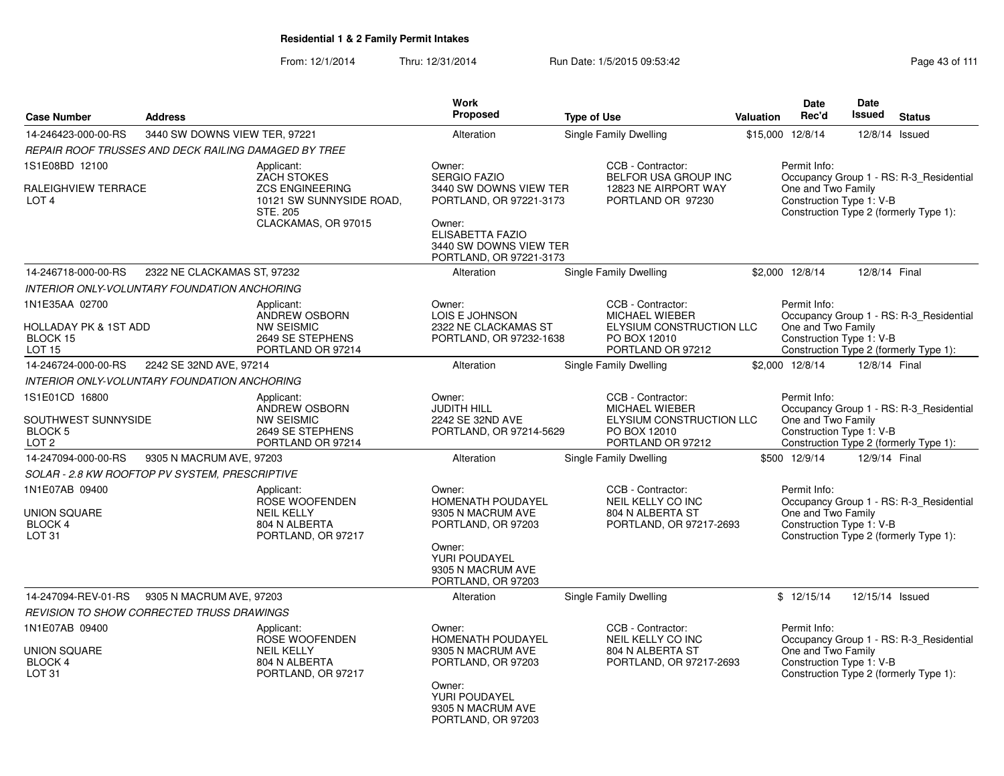|                                                               |                                                      |                                                                | Work                                                                            |                                                               |           | Date                                           | Date            |                                         |
|---------------------------------------------------------------|------------------------------------------------------|----------------------------------------------------------------|---------------------------------------------------------------------------------|---------------------------------------------------------------|-----------|------------------------------------------------|-----------------|-----------------------------------------|
| <b>Case Number</b>                                            | <b>Address</b>                                       |                                                                | Proposed                                                                        | <b>Type of Use</b>                                            | Valuation | Rec'd                                          | <b>Issued</b>   | <b>Status</b>                           |
| 14-246423-000-00-RS                                           | 3440 SW DOWNS VIEW TER, 97221                        |                                                                | Alteration                                                                      | Single Family Dwelling                                        |           | \$15,000 12/8/14                               |                 | 12/8/14 Issued                          |
|                                                               | REPAIR ROOF TRUSSES AND DECK RAILING DAMAGED BY TREE |                                                                |                                                                                 |                                                               |           |                                                |                 |                                         |
| 1S1E08BD 12100                                                |                                                      | Applicant:<br><b>ZACH STOKES</b>                               | Owner:<br><b>SERGIO FAZIO</b>                                                   | CCB - Contractor:<br>BELFOR USA GROUP INC                     |           | Permit Info:                                   |                 | Occupancy Group 1 - RS: R-3_Residential |
| RALEIGHVIEW TERRACE<br>LOT <sub>4</sub>                       |                                                      | <b>ZCS ENGINEERING</b><br>10121 SW SUNNYSIDE ROAD,<br>STE, 205 | 3440 SW DOWNS VIEW TER<br>PORTLAND, OR 97221-3173                               | 12823 NE AIRPORT WAY<br>PORTLAND OR 97230                     |           | One and Two Family<br>Construction Type 1: V-B |                 | Construction Type 2 (formerly Type 1):  |
|                                                               |                                                      | CLACKAMAS, OR 97015                                            | Owner:<br>ELISABETTA FAZIO<br>3440 SW DOWNS VIEW TER<br>PORTLAND, OR 97221-3173 |                                                               |           |                                                |                 |                                         |
| 14-246718-000-00-RS                                           | 2322 NE CLACKAMAS ST, 97232                          |                                                                | Alteration                                                                      | Single Family Dwelling                                        |           | \$2,000 12/8/14                                | 12/8/14 Final   |                                         |
|                                                               | INTERIOR ONLY-VOLUNTARY FOUNDATION ANCHORING         |                                                                |                                                                                 |                                                               |           |                                                |                 |                                         |
| 1N1E35AA 02700                                                |                                                      | Applicant:<br>ANDREW OSBORN                                    | Owner:<br>LOIS E JOHNSON                                                        | CCB - Contractor:<br><b>MICHAEL WIEBER</b>                    |           | Permit Info:                                   |                 | Occupancy Group 1 - RS: R-3_Residential |
| <b>HOLLADAY PK &amp; 1ST ADD</b><br>BLOCK 15<br><b>LOT 15</b> |                                                      | <b>NW SEISMIC</b><br>2649 SE STEPHENS<br>PORTLAND OR 97214     | 2322 NE CLACKAMAS ST<br>PORTLAND, OR 97232-1638                                 | ELYSIUM CONSTRUCTION LLC<br>PO BOX 12010<br>PORTLAND OR 97212 |           | One and Two Family<br>Construction Type 1: V-B |                 | Construction Type 2 (formerly Type 1):  |
| 14-246724-000-00-RS                                           | 2242 SE 32ND AVE, 97214                              |                                                                | Alteration                                                                      | Single Family Dwelling                                        |           | \$2,000 12/8/14                                | 12/8/14 Final   |                                         |
|                                                               | INTERIOR ONLY-VOLUNTARY FOUNDATION ANCHORING         |                                                                |                                                                                 |                                                               |           |                                                |                 |                                         |
| 1S1E01CD 16800                                                |                                                      | Applicant:                                                     | Owner:                                                                          | CCB - Contractor:                                             |           | Permit Info:                                   |                 |                                         |
| SOUTHWEST SUNNYSIDE                                           |                                                      | ANDREW OSBORN<br><b>NW SEISMIC</b>                             | <b>JUDITH HILL</b><br>2242 SE 32ND AVE                                          | <b>MICHAEL WIEBER</b><br>ELYSIUM CONSTRUCTION LLC             |           | One and Two Family                             |                 | Occupancy Group 1 - RS: R-3_Residential |
| BLOCK 5<br>LOT <sub>2</sub>                                   |                                                      | 2649 SE STEPHENS<br>PORTLAND OR 97214                          | PORTLAND, OR 97214-5629                                                         | PO BOX 12010<br>PORTLAND OR 97212                             |           | Construction Type 1: V-B                       |                 | Construction Type 2 (formerly Type 1):  |
| 14-247094-000-00-RS                                           | 9305 N MACRUM AVE, 97203                             |                                                                | Alteration                                                                      | Single Family Dwelling                                        |           | \$500 12/9/14                                  | 12/9/14 Final   |                                         |
|                                                               | SOLAR - 2.8 KW ROOFTOP PV SYSTEM, PRESCRIPTIVE       |                                                                |                                                                                 |                                                               |           |                                                |                 |                                         |
| 1N1E07AB 09400                                                |                                                      | Applicant:<br>ROSE WOOFENDEN                                   | Owner:<br>HOMENATH POUDAYEL                                                     | CCB - Contractor:<br>NEIL KELLY CO INC                        |           | Permit Info:                                   |                 | Occupancy Group 1 - RS: R-3_Residential |
| <b>UNION SQUARE</b><br>BLOCK 4                                |                                                      | <b>NEIL KELLY</b><br>804 N ALBERTA                             | 9305 N MACRUM AVE<br>PORTLAND, OR 97203                                         | 804 N ALBERTA ST<br>PORTLAND, OR 97217-2693                   |           | One and Two Family<br>Construction Type 1: V-B |                 |                                         |
| LOT <sub>31</sub>                                             |                                                      | PORTLAND, OR 97217                                             | Owner:<br>YURI POUDAYEL<br>9305 N MACRUM AVE<br>PORTLAND, OR 97203              |                                                               |           |                                                |                 | Construction Type 2 (formerly Type 1):  |
| 14-247094-REV-01-RS                                           | 9305 N MACRUM AVE, 97203                             |                                                                | Alteration                                                                      | <b>Single Family Dwelling</b>                                 |           | \$12/15/14                                     | 12/15/14 Issued |                                         |
|                                                               | REVISION TO SHOW CORRECTED TRUSS DRAWINGS            |                                                                |                                                                                 |                                                               |           |                                                |                 |                                         |
| 1N1E07AB 09400                                                |                                                      | Applicant:<br>ROSE WOOFENDEN                                   | Owner:<br>HOMENATH POUDAYEL                                                     | CCB - Contractor:<br>NEIL KELLY CO INC                        |           | Permit Info:                                   |                 | Occupancy Group 1 - RS: R-3 Residential |
| <b>UNION SQUARE</b>                                           |                                                      | <b>NEIL KELLY</b>                                              | 9305 N MACRUM AVE                                                               | 804 N ALBERTA ST                                              |           | One and Two Family                             |                 |                                         |
| <b>BLOCK 4</b><br>LOT <sub>31</sub>                           |                                                      | 804 N ALBERTA<br>PORTLAND, OR 97217                            | PORTLAND, OR 97203<br>Owner:                                                    | PORTLAND, OR 97217-2693                                       |           | Construction Type 1: V-B                       |                 | Construction Type 2 (formerly Type 1):  |
|                                                               |                                                      |                                                                | YURI POUDAYEL<br>9305 N MACRUM AVE<br>PORTLAND, OR 97203                        |                                                               |           |                                                |                 |                                         |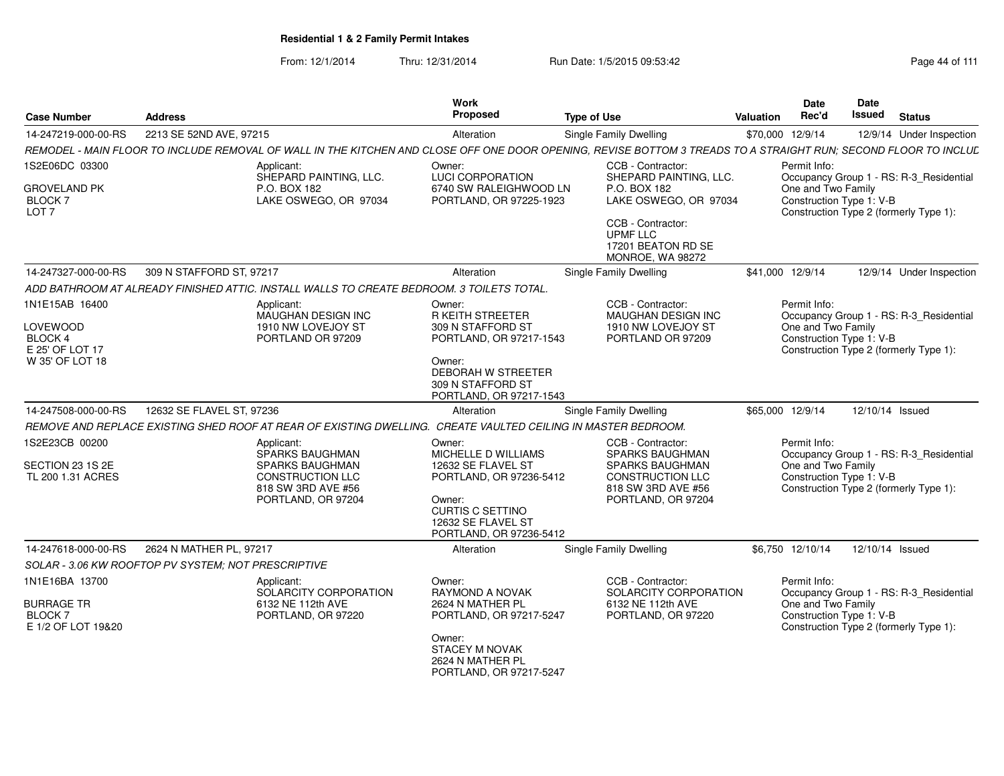| <b>Case Number</b>                                                                        | <b>Address</b>                                      |                                                                                                                                | Work<br>Proposed                                                                                                                                                  | <b>Type of Use</b>                                                                                                                                              | Valuation | <b>Date</b><br>Rec'd               | <b>Date</b><br>Issued    | <b>Status</b>                                                                     |
|-------------------------------------------------------------------------------------------|-----------------------------------------------------|--------------------------------------------------------------------------------------------------------------------------------|-------------------------------------------------------------------------------------------------------------------------------------------------------------------|-----------------------------------------------------------------------------------------------------------------------------------------------------------------|-----------|------------------------------------|--------------------------|-----------------------------------------------------------------------------------|
| 14-247219-000-00-RS                                                                       | 2213 SE 52ND AVE, 97215                             |                                                                                                                                | Alteration                                                                                                                                                        | Single Family Dwelling                                                                                                                                          |           | \$70,000 12/9/14                   |                          | 12/9/14 Under Inspection                                                          |
|                                                                                           |                                                     |                                                                                                                                |                                                                                                                                                                   | REMODEL - MAIN FLOOR TO INCLUDE REMOVAL OF WALL IN THE KITCHEN AND CLOSE OFF ONE DOOR OPENING, REVISE BOTTOM 3 TREADS TO A STRAIGHT RUN; SECOND FLOOR TO INCLUL |           |                                    |                          |                                                                                   |
| 1S2E06DC 03300<br><b>GROVELAND PK</b><br><b>BLOCK7</b><br>LOT <sub>7</sub>                |                                                     | Applicant:<br>SHEPARD PAINTING, LLC.<br>P.O. BOX 182<br>LAKE OSWEGO, OR 97034                                                  | Owner:<br><b>LUCI CORPORATION</b><br>6740 SW RALEIGHWOOD LN<br>PORTLAND, OR 97225-1923                                                                            | CCB - Contractor:<br>SHEPARD PAINTING, LLC.<br>P.O. BOX 182<br>LAKE OSWEGO, OR 97034<br>CCB - Contractor:<br>UPMF LLC<br>17201 BEATON RD SE<br>MONROE, WA 98272 |           | Permit Info:<br>One and Two Family | Construction Type 1: V-B | Occupancy Group 1 - RS: R-3_Residential<br>Construction Type 2 (formerly Type 1): |
| 14-247327-000-00-RS                                                                       | 309 N STAFFORD ST, 97217                            |                                                                                                                                | Alteration                                                                                                                                                        | Single Family Dwelling                                                                                                                                          |           | \$41,000 12/9/14                   |                          | 12/9/14 Under Inspection                                                          |
|                                                                                           |                                                     | ADD BATHROOM AT ALREADY FINISHED ATTIC. INSTALL WALLS TO CREATE BEDROOM. 3 TOILETS TOTAL                                       |                                                                                                                                                                   |                                                                                                                                                                 |           |                                    |                          |                                                                                   |
| 1N1E15AB 16400<br><b>LOVEWOOD</b><br><b>BLOCK 4</b><br>E 25' OF LOT 17<br>W 35' OF LOT 18 |                                                     | Applicant:<br>MAUGHAN DESIGN INC<br>1910 NW LOVEJOY ST<br>PORTLAND OR 97209                                                    | Owner:<br><b>R KEITH STREETER</b><br>309 N STAFFORD ST<br>PORTLAND, OR 97217-1543<br>Owner:<br>DEBORAH W STREETER<br>309 N STAFFORD ST<br>PORTLAND, OR 97217-1543 | CCB - Contractor:<br>MAUGHAN DESIGN INC<br>1910 NW LOVEJOY ST<br>PORTLAND OR 97209                                                                              |           | Permit Info:<br>One and Two Family | Construction Type 1: V-B | Occupancy Group 1 - RS: R-3_Residential<br>Construction Type 2 (formerly Type 1): |
| 14-247508-000-00-RS                                                                       | 12632 SE FLAVEL ST. 97236                           |                                                                                                                                | Alteration                                                                                                                                                        | Single Family Dwelling                                                                                                                                          |           | \$65,000 12/9/14                   | 12/10/14 Issued          |                                                                                   |
|                                                                                           |                                                     | REMOVE AND REPLACE EXISTING SHED ROOF AT REAR OF EXISTING DWELLING. CREATE VAULTED CEILING IN MASTER BEDROOM.                  |                                                                                                                                                                   |                                                                                                                                                                 |           |                                    |                          |                                                                                   |
| 1S2E23CB 00200<br>SECTION 23 1S 2E<br>TL 200 1.31 ACRES                                   |                                                     | Applicant:<br>SPARKS BAUGHMAN<br><b>SPARKS BAUGHMAN</b><br><b>CONSTRUCTION LLC</b><br>818 SW 3RD AVE #56<br>PORTLAND, OR 97204 | Owner:<br>MICHELLE D WILLIAMS<br>12632 SE FLAVEL ST<br>PORTLAND, OR 97236-5412<br>Owner:<br>CURTIS C SETTINO<br>12632 SE FLAVEL ST<br>PORTLAND, OR 97236-5412     | CCB - Contractor:<br><b>SPARKS BAUGHMAN</b><br><b>SPARKS BAUGHMAN</b><br><b>CONSTRUCTION LLC</b><br>818 SW 3RD AVE #56<br>PORTLAND, OR 97204                    |           | Permit Info:<br>One and Two Family | Construction Type 1: V-B | Occupancy Group 1 - RS: R-3_Residential<br>Construction Type 2 (formerly Type 1): |
| 14-247618-000-00-RS                                                                       | 2624 N MATHER PL, 97217                             |                                                                                                                                | Alteration                                                                                                                                                        | Single Family Dwelling                                                                                                                                          |           | \$6,750 12/10/14                   | 12/10/14 Issued          |                                                                                   |
|                                                                                           | SOLAR - 3.06 KW ROOFTOP PV SYSTEM: NOT PRESCRIPTIVE |                                                                                                                                |                                                                                                                                                                   |                                                                                                                                                                 |           |                                    |                          |                                                                                   |
| 1N1E16BA 13700<br><b>BURRAGE TR</b><br><b>BLOCK7</b><br>E 1/2 OF LOT 19&20                |                                                     | Applicant:<br>SOLARCITY CORPORATION<br>6132 NE 112th AVE<br>PORTLAND, OR 97220                                                 | Owner:<br>RAYMOND A NOVAK<br>2624 N MATHER PL<br>PORTLAND, OR 97217-5247<br>Owner:<br><b>STACEY M NOVAK</b><br>2624 N MATHER PL<br>PORTLAND, OR 97217-5247        | CCB - Contractor:<br>SOLARCITY CORPORATION<br>6132 NE 112th AVE<br>PORTLAND, OR 97220                                                                           |           | Permit Info:<br>One and Two Family | Construction Type 1: V-B | Occupancy Group 1 - RS: R-3_Residential<br>Construction Type 2 (formerly Type 1): |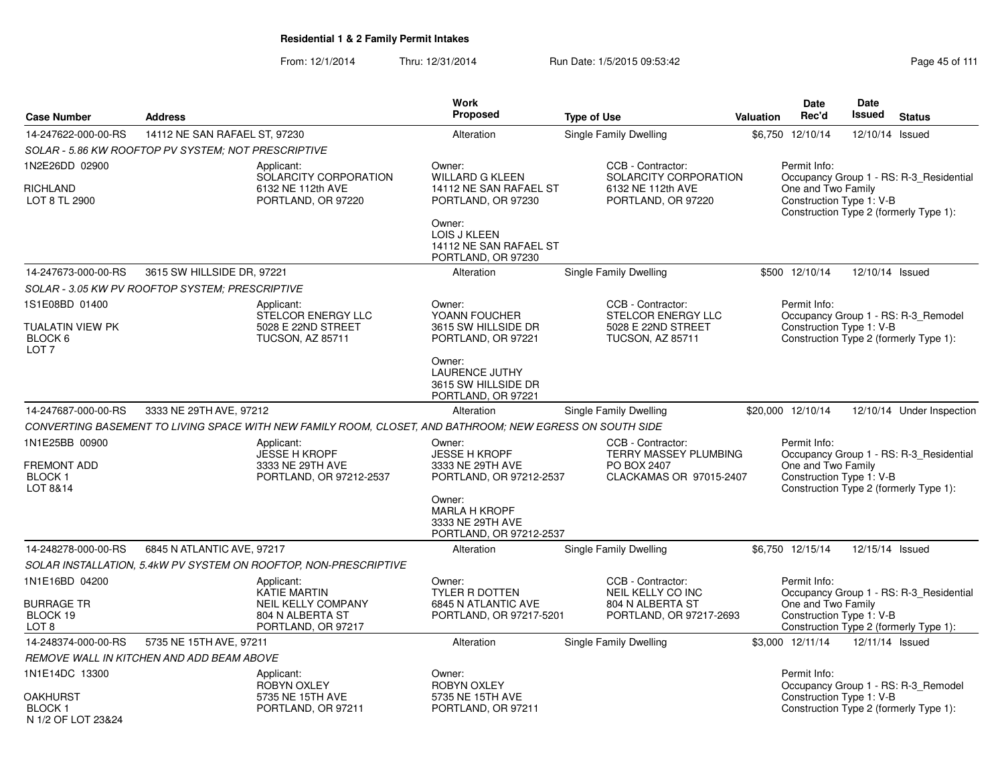From: 12/1/2014Thru: 12/31/2014 Run Date: 1/5/2015 09:53:42 Research 2010 12/31/2014 Page 45 of 111

|                                                        |                                                     |                                                                                                          | Work                                                                             |                                                                                       |                  | <b>Date</b>                                                    | Date            |                                                                                   |
|--------------------------------------------------------|-----------------------------------------------------|----------------------------------------------------------------------------------------------------------|----------------------------------------------------------------------------------|---------------------------------------------------------------------------------------|------------------|----------------------------------------------------------------|-----------------|-----------------------------------------------------------------------------------|
| <b>Case Number</b>                                     | <b>Address</b>                                      |                                                                                                          | <b>Proposed</b>                                                                  | <b>Type of Use</b>                                                                    | <b>Valuation</b> | Rec'd                                                          | <b>Issued</b>   | <b>Status</b>                                                                     |
| 14-247622-000-00-RS                                    | 14112 NE SAN RAFAEL ST, 97230                       |                                                                                                          | Alteration                                                                       | Single Family Dwelling                                                                |                  | \$6,750 12/10/14                                               | 12/10/14        | Issued                                                                            |
|                                                        | SOLAR - 5.86 KW ROOFTOP PV SYSTEM; NOT PRESCRIPTIVE |                                                                                                          |                                                                                  |                                                                                       |                  |                                                                |                 |                                                                                   |
| 1N2E26DD 02900<br><b>RICHLAND</b><br>LOT 8 TL 2900     |                                                     | Applicant:<br>SOLARCITY CORPORATION<br>6132 NE 112th AVE<br>PORTLAND, OR 97220                           | Owner:<br><b>WILLARD G KLEEN</b><br>14112 NE SAN RAFAEL ST<br>PORTLAND, OR 97230 | CCB - Contractor:<br>SOLARCITY CORPORATION<br>6132 NE 112th AVE<br>PORTLAND, OR 97220 |                  | Permit Info:<br>One and Two Family<br>Construction Type 1: V-B |                 | Occupancy Group 1 - RS: R-3 Residential<br>Construction Type 2 (formerly Type 1): |
|                                                        |                                                     |                                                                                                          | Owner:<br>LOIS J KLEEN<br>14112 NE SAN RAFAEL ST<br>PORTLAND, OR 97230           |                                                                                       |                  |                                                                |                 |                                                                                   |
| 14-247673-000-00-RS                                    | 3615 SW HILLSIDE DR, 97221                          |                                                                                                          | Alteration                                                                       | <b>Single Family Dwelling</b>                                                         |                  | \$500 12/10/14                                                 | 12/10/14 Issued |                                                                                   |
|                                                        | SOLAR - 3.05 KW PV ROOFTOP SYSTEM: PRESCRIPTIVE     |                                                                                                          |                                                                                  |                                                                                       |                  |                                                                |                 |                                                                                   |
| 1S1E08BD 01400                                         |                                                     | Applicant:                                                                                               | Owner:                                                                           | CCB - Contractor:                                                                     |                  | Permit Info:                                                   |                 |                                                                                   |
| TUALATIN VIEW PK<br>BLOCK 6<br>LOT <sub>7</sub>        |                                                     | STELCOR ENERGY LLC<br>5028 E 22ND STREET<br><b>TUCSON, AZ 85711</b>                                      | YOANN FOUCHER<br>3615 SW HILLSIDE DR<br>PORTLAND, OR 97221                       | STELCOR ENERGY LLC<br>5028 E 22ND STREET<br><b>TUCSON, AZ 85711</b>                   |                  | Construction Type 1: V-B                                       |                 | Occupancy Group 1 - RS: R-3 Remodel<br>Construction Type 2 (formerly Type 1):     |
|                                                        |                                                     |                                                                                                          | Owner:<br><b>LAURENCE JUTHY</b><br>3615 SW HILLSIDE DR<br>PORTLAND, OR 97221     |                                                                                       |                  |                                                                |                 |                                                                                   |
| 14-247687-000-00-RS                                    | 3333 NE 29TH AVE, 97212                             |                                                                                                          | Alteration                                                                       | <b>Single Family Dwelling</b>                                                         |                  | \$20,000 12/10/14                                              |                 | 12/10/14 Under Inspection                                                         |
|                                                        |                                                     | CONVERTING BASEMENT TO LIVING SPACE WITH NEW FAMILY ROOM, CLOSET, AND BATHROOM; NEW EGRESS ON SOUTH SIDE |                                                                                  |                                                                                       |                  |                                                                |                 |                                                                                   |
| 1N1E25BB 00900<br><b>FREMONT ADD</b><br><b>BLOCK1</b>  |                                                     | Applicant:<br>JESSE H KROPF<br>3333 NE 29TH AVE<br>PORTLAND, OR 97212-2537                               | Owner:<br><b>JESSE H KROPF</b><br>3333 NE 29TH AVE<br>PORTLAND, OR 97212-2537    | CCB - Contractor:<br>TERRY MASSEY PLUMBING<br>PO BOX 2407<br>CLACKAMAS OR 97015-2407  |                  | Permit Info:<br>One and Two Family<br>Construction Type 1: V-B |                 | Occupancy Group 1 - RS: R-3_Residential                                           |
| LOT 8&14                                               |                                                     |                                                                                                          | Owner:<br><b>MARLA H KROPF</b><br>3333 NE 29TH AVE<br>PORTLAND, OR 97212-2537    |                                                                                       |                  |                                                                |                 | Construction Type 2 (formerly Type 1):                                            |
| 14-248278-000-00-RS                                    | 6845 N ATLANTIC AVE, 97217                          |                                                                                                          | Alteration                                                                       | Single Family Dwelling                                                                |                  | \$6,750 12/15/14                                               | 12/15/14 Issued |                                                                                   |
|                                                        |                                                     | SOLAR INSTALLATION, 5.4kW PV SYSTEM ON ROOFTOP, NON-PRESCRIPTIVE                                         |                                                                                  |                                                                                       |                  |                                                                |                 |                                                                                   |
| 1N1E16BD 04200                                         |                                                     | Applicant:<br><b>KATIE MARTIN</b>                                                                        | Owner:<br><b>TYLER R DOTTEN</b>                                                  | CCB - Contractor:<br>NEIL KELLY CO INC                                                |                  | Permit Info:                                                   |                 | Occupancy Group 1 - RS: R-3 Residential                                           |
| <b>BURRAGE TR</b><br>BLOCK 19<br>LOT 8                 |                                                     | NEIL KELLY COMPANY<br>804 N ALBERTA ST<br>PORTLAND, OR 97217                                             | 6845 N ATLANTIC AVE<br>PORTLAND, OR 97217-5201                                   | 804 N ALBERTA ST<br>PORTLAND, OR 97217-2693                                           |                  | One and Two Family<br>Construction Type 1: V-B                 |                 | Construction Type 2 (formerly Type 1):                                            |
| 14-248374-000-00-RS                                    | 5735 NE 15TH AVE, 97211                             |                                                                                                          | Alteration                                                                       | Single Family Dwelling                                                                |                  | \$3,000 12/11/14                                               | 12/11/14 Issued |                                                                                   |
|                                                        | <b>REMOVE WALL IN KITCHEN AND ADD BEAM ABOVE</b>    |                                                                                                          |                                                                                  |                                                                                       |                  |                                                                |                 |                                                                                   |
| 1N1E14DC 13300                                         |                                                     | Applicant:<br><b>ROBYN OXLEY</b>                                                                         | Owner:<br>ROBYN OXLEY                                                            |                                                                                       |                  | Permit Info:                                                   |                 | Occupancy Group 1 - RS: R-3 Remodel                                               |
| <b>OAKHURST</b><br><b>BLOCK1</b><br>N 1/2 OF LOT 23&24 |                                                     | 5735 NE 15TH AVE<br>PORTLAND, OR 97211                                                                   | 5735 NE 15TH AVE<br>PORTLAND, OR 97211                                           |                                                                                       |                  | Construction Type 1: V-B                                       |                 | Construction Type 2 (formerly Type 1):                                            |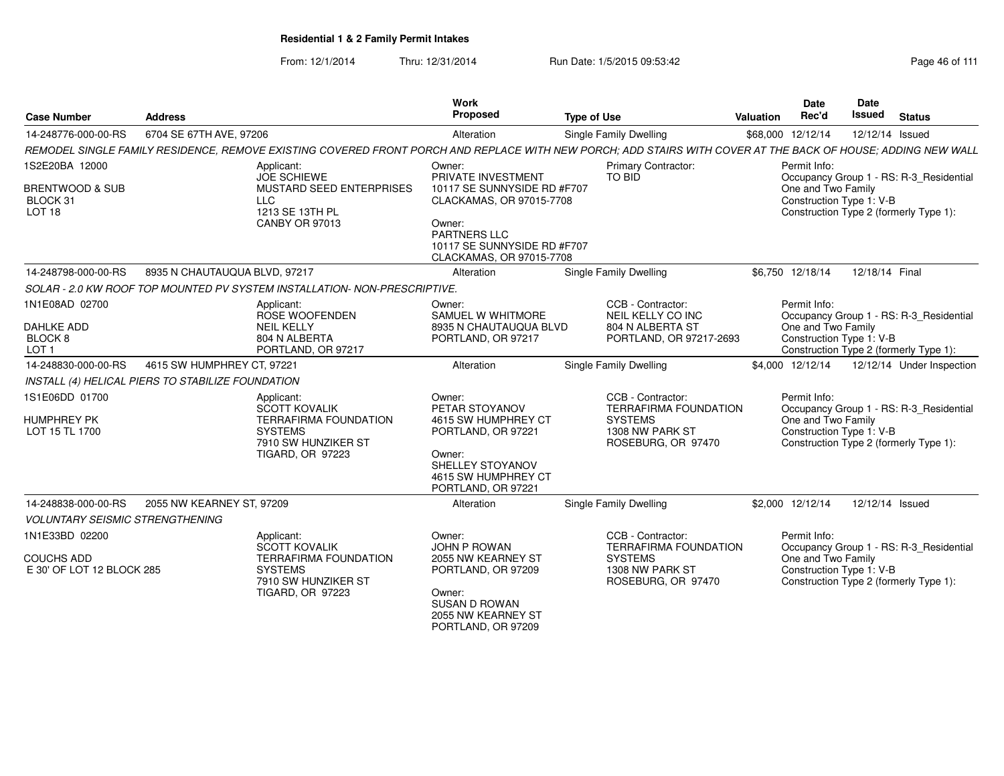| <b>Case Number</b>                                               | <b>Address</b>                                    |                                                                                                                                 | Work<br>Proposed                                                                                                                                 | <b>Type of Use</b>                                                                                                                                           | Date<br>Rec'd<br><b>Valuation</b>                              | Date<br><b>Issued</b><br><b>Status</b>                                            |
|------------------------------------------------------------------|---------------------------------------------------|---------------------------------------------------------------------------------------------------------------------------------|--------------------------------------------------------------------------------------------------------------------------------------------------|--------------------------------------------------------------------------------------------------------------------------------------------------------------|----------------------------------------------------------------|-----------------------------------------------------------------------------------|
| 14-248776-000-00-RS                                              | 6704 SE 67TH AVE, 97206                           |                                                                                                                                 | Alteration                                                                                                                                       | Single Family Dwelling                                                                                                                                       | \$68,000 12/12/14                                              | 12/12/14 Issued                                                                   |
|                                                                  |                                                   |                                                                                                                                 |                                                                                                                                                  | REMODEL SINGLE FAMILY RESIDENCE. REMOVE EXISTING COVERED FRONT PORCH AND REPLACE WITH NEW PORCH: ADD STAIRS WITH COVER AT THE BACK OF HOUSE: ADDING NEW WALL |                                                                |                                                                                   |
| 1S2E20BA 12000<br><b>BRENTWOOD &amp; SUB</b>                     |                                                   | Applicant:<br><b>JOE SCHIEWE</b><br>MUSTARD SEED ENTERPRISES                                                                    | Owner:<br>PRIVATE INVESTMENT<br>10117 SE SUNNYSIDE RD #F707                                                                                      | <b>Primary Contractor:</b><br>TO BID                                                                                                                         | Permit Info:<br>One and Two Family                             | Occupancy Group 1 - RS: R-3_Residential                                           |
| BLOCK 31<br>LOT <sub>18</sub>                                    | LLC                                               | 1213 SE 13TH PL<br><b>CANBY OR 97013</b>                                                                                        | CLACKAMAS, OR 97015-7708<br>Owner:                                                                                                               |                                                                                                                                                              | Construction Type 1: V-B                                       | Construction Type 2 (formerly Type 1):                                            |
|                                                                  |                                                   |                                                                                                                                 | PARTNERS LLC<br>10117 SE SUNNYSIDE RD #F707<br>CLACKAMAS, OR 97015-7708                                                                          |                                                                                                                                                              |                                                                |                                                                                   |
|                                                                  | 14-248798-000-00-RS 8935 N CHAUTAUQUA BLVD, 97217 |                                                                                                                                 | Alteration                                                                                                                                       | <b>Single Family Dwelling</b>                                                                                                                                | \$6,750 12/18/14                                               | 12/18/14 Final                                                                    |
|                                                                  |                                                   | SOLAR - 2.0 KW ROOF TOP MOUNTED PV SYSTEM INSTALLATION- NON-PRESCRIPTIVE                                                        |                                                                                                                                                  |                                                                                                                                                              |                                                                |                                                                                   |
| 1N1E08AD 02700                                                   |                                                   | Applicant:<br>ROSE WOOFENDEN                                                                                                    | Owner:<br>SAMUEL W WHITMORE                                                                                                                      | CCB - Contractor:<br>NEIL KELLY CO INC                                                                                                                       | Permit Info:                                                   | Occupancy Group 1 - RS: R-3_Residential                                           |
| DAHLKE ADD<br>BLOCK 8<br>LOT <sub>1</sub>                        |                                                   | <b>NEIL KELLY</b><br>804 N ALBERTA<br>PORTLAND, OR 97217                                                                        | 8935 N CHAUTAUQUA BLVD<br>PORTLAND, OR 97217                                                                                                     | 804 N ALBERTA ST<br>PORTLAND, OR 97217-2693                                                                                                                  | One and Two Family<br>Construction Type 1: V-B                 | Construction Type 2 (formerly Type 1):                                            |
| 14-248830-000-00-RS                                              | 4615 SW HUMPHREY CT. 97221                        |                                                                                                                                 | Alteration                                                                                                                                       | Single Family Dwelling                                                                                                                                       | \$4,000 12/12/14                                               | 12/12/14 Under Inspection                                                         |
|                                                                  | INSTALL (4) HELICAL PIERS TO STABILIZE FOUNDATION |                                                                                                                                 |                                                                                                                                                  |                                                                                                                                                              |                                                                |                                                                                   |
| 1S1E06DD 01700<br><b>HUMPHREY PK</b><br>LOT 15 TL 1700           |                                                   | Applicant:<br>SCOTT KOVALIK<br><b>TERRAFIRMA FOUNDATION</b><br><b>SYSTEMS</b><br>7910 SW HUNZIKER ST<br><b>TIGARD, OR 97223</b> | Owner:<br>PETAR STOYANOV<br>4615 SW HUMPHREY CT<br>PORTLAND, OR 97221<br>Owner:<br>SHELLEY STOYANOV<br>4615 SW HUMPHREY CT<br>PORTLAND, OR 97221 | CCB - Contractor:<br><b>TERRAFIRMA FOUNDATION</b><br><b>SYSTEMS</b><br>1308 NW PARK ST<br>ROSEBURG, OR 97470                                                 | Permit Info:<br>One and Two Family<br>Construction Type 1: V-B | Occupancy Group 1 - RS: R-3_Residential<br>Construction Type 2 (formerly Type 1): |
| <b>VOLUNTARY SEISMIC STRENGTHENING</b>                           | 14-248838-000-00-RS   2055 NW KEARNEY ST, 97209   |                                                                                                                                 | Alteration                                                                                                                                       | Single Family Dwelling                                                                                                                                       | \$2,000 12/12/14                                               | 12/12/14 Issued                                                                   |
| 1N1E33BD 02200<br><b>COUCHS ADD</b><br>E 30' OF LOT 12 BLOCK 285 |                                                   | Applicant:<br><b>SCOTT KOVALIK</b><br><b>TERRAFIRMA FOUNDATION</b><br>SYSTEMS<br>7910 SW HUNZIKER ST<br>TIGARD, OR 97223        | Owner:<br>JOHN P ROWAN<br>2055 NW KEARNEY ST<br>PORTLAND, OR 97209<br>Owner:<br>SUSAN D ROWAN<br>2055 NW KEARNEY ST<br>PORTLAND, OR 97209        | CCB - Contractor:<br><b>TERRAFIRMA FOUNDATION</b><br><b>SYSTEMS</b><br>1308 NW PARK ST<br>ROSEBURG, OR 97470                                                 | Permit Info:<br>One and Two Family<br>Construction Type 1: V-B | Occupancy Group 1 - RS: R-3 Residential<br>Construction Type 2 (formerly Type 1): |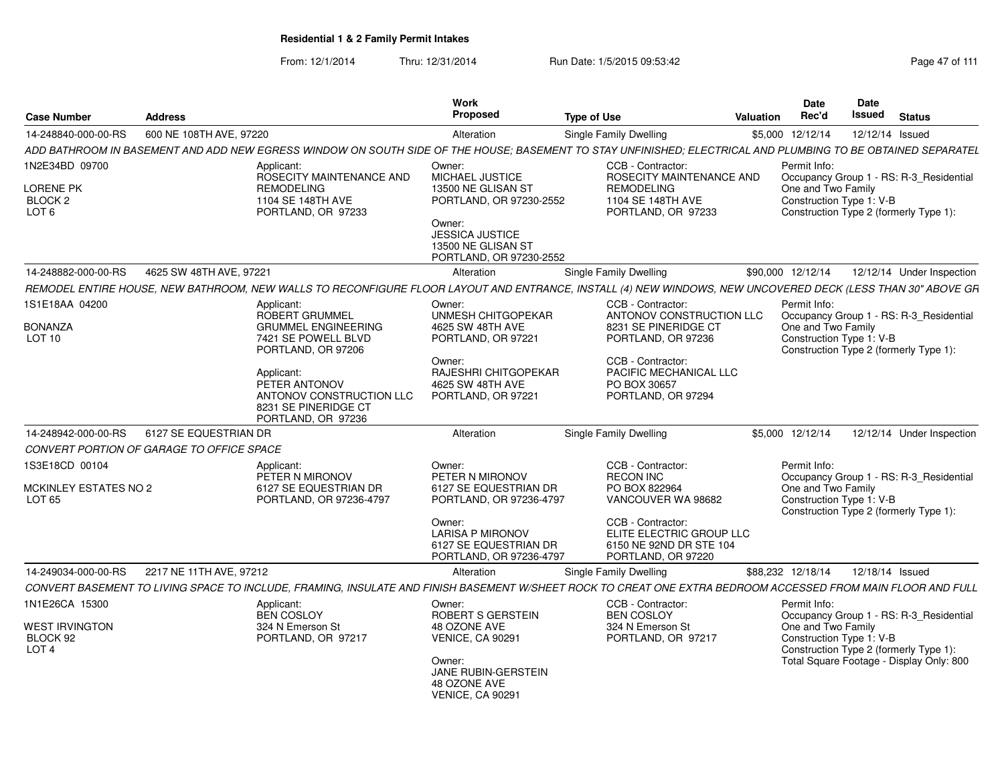| <b>Case Number</b>                                    | <b>Address</b>                            |                                                                                                                                                              | Work<br>Proposed                                                                      | <b>Type of Use</b>                                                                             | <b>Valuation</b> | <b>Date</b><br>Rec'd                           | Date<br>Issued | <b>Status</b>                            |
|-------------------------------------------------------|-------------------------------------------|--------------------------------------------------------------------------------------------------------------------------------------------------------------|---------------------------------------------------------------------------------------|------------------------------------------------------------------------------------------------|------------------|------------------------------------------------|----------------|------------------------------------------|
| 14-248840-000-00-RS                                   | 600 NE 108TH AVE, 97220                   |                                                                                                                                                              | Alteration                                                                            | <b>Single Family Dwelling</b>                                                                  | \$5,000          | 12/12/14                                       |                | 12/12/14 Issued                          |
|                                                       |                                           | ADD BATHROOM IN BASEMENT AND ADD NEW EGRESS WINDOW ON SOUTH SIDE OF THE HOUSE; BASEMENT TO STAY UNFINISHED; ELECTRICAL AND PLUMBING TO BE OBTAINED SEPARATEL |                                                                                       |                                                                                                |                  |                                                |                |                                          |
| 1N2E34BD 09700                                        |                                           | Applicant:<br>ROSECITY MAINTENANCE AND                                                                                                                       | Owner:<br><b>MICHAEL JUSTICE</b>                                                      | CCB - Contractor:<br>ROSECITY MAINTENANCE AND                                                  |                  | Permit Info:                                   |                | Occupancy Group 1 - RS: R-3_Residential  |
| LORENE PK<br>BLOCK <sub>2</sub><br>LOT <sub>6</sub>   |                                           | <b>REMODELING</b><br>1104 SE 148TH AVE<br>PORTLAND, OR 97233                                                                                                 | 13500 NE GLISAN ST<br>PORTLAND, OR 97230-2552<br>Owner:<br><b>JESSICA JUSTICE</b>     | <b>REMODELING</b><br>1104 SE 148TH AVE<br>PORTLAND, OR 97233                                   |                  | One and Two Family<br>Construction Type 1: V-B |                | Construction Type 2 (formerly Type 1):   |
|                                                       |                                           |                                                                                                                                                              | 13500 NE GLISAN ST<br>PORTLAND, OR 97230-2552                                         |                                                                                                |                  |                                                |                |                                          |
| 14-248882-000-00-RS                                   | 4625 SW 48TH AVE, 97221                   |                                                                                                                                                              | Alteration                                                                            | <b>Single Family Dwelling</b>                                                                  |                  | \$90,000 12/12/14                              |                | 12/12/14 Under Inspection                |
|                                                       |                                           | REMODEL ENTIRE HOUSE, NEW BATHROOM, NEW WALLS TO RECONFIGURE FLOOR LAYOUT AND ENTRANCE, INSTALL (4) NEW WINDOWS, NEW UNCOVERED DECK (LESS THAN 30" ABOVE GR  |                                                                                       |                                                                                                |                  |                                                |                |                                          |
| 1S1E18AA 04200                                        |                                           | Applicant:<br>ROBERT GRUMMEL                                                                                                                                 | Owner:<br>UNMESH CHITGOPEKAR                                                          | CCB - Contractor:<br>ANTONOV CONSTRUCTION LLC                                                  |                  | Permit Info:                                   |                | Occupancy Group 1 - RS: R-3_Residential  |
| <b>BONANZA</b><br>LOT 10                              |                                           | <b>GRUMMEL ENGINEERING</b><br>7421 SE POWELL BLVD<br>PORTLAND, OR 97206                                                                                      | 4625 SW 48TH AVE<br>PORTLAND, OR 97221                                                | 8231 SE PINERIDGE CT<br>PORTLAND, OR 97236                                                     |                  | One and Two Family<br>Construction Type 1: V-B |                | Construction Type 2 (formerly Type 1):   |
|                                                       |                                           | Applicant:<br>PETER ANTONOV<br>ANTONOV CONSTRUCTION LLC<br>8231 SE PINERIDGE CT<br>PORTLAND, OR 97236                                                        | Owner:<br>RAJESHRI CHITGOPEKAR<br>4625 SW 48TH AVE<br>PORTLAND, OR 97221              | CCB - Contractor:<br>PACIFIC MECHANICAL LLC<br>PO BOX 30657<br>PORTLAND, OR 97294              |                  |                                                |                |                                          |
| 14-248942-000-00-RS                                   | 6127 SE EQUESTRIAN DR                     |                                                                                                                                                              | Alteration                                                                            | Single Family Dwelling                                                                         |                  | \$5,000 12/12/14                               |                | 12/12/14 Under Inspection                |
|                                                       | CONVERT PORTION OF GARAGE TO OFFICE SPACE |                                                                                                                                                              |                                                                                       |                                                                                                |                  |                                                |                |                                          |
| 1S3E18CD 00104                                        |                                           | Applicant:<br>PETER N MIRONOV                                                                                                                                | Owner:<br>PETER N MIRONOV                                                             | CCB - Contractor:<br><b>RECON INC</b>                                                          |                  | Permit Info:                                   |                | Occupancy Group 1 - RS: R-3_Residential  |
| MCKINLEY ESTATES NO 2<br>LOT <sub>65</sub>            |                                           | 6127 SE EQUESTRIAN DR<br>PORTLAND, OR 97236-4797                                                                                                             | 6127 SE EQUESTRIAN DR<br>PORTLAND, OR 97236-4797                                      | PO BOX 822964<br>VANCOUVER WA 98682                                                            |                  | One and Two Family<br>Construction Type 1: V-B |                | Construction Type 2 (formerly Type 1):   |
|                                                       |                                           |                                                                                                                                                              | Owner:<br><b>LARISA P MIRONOV</b><br>6127 SE EQUESTRIAN DR<br>PORTLAND, OR 97236-4797 | CCB - Contractor:<br>ELITE ELECTRIC GROUP LLC<br>6150 NE 92ND DR STE 104<br>PORTLAND, OR 97220 |                  |                                                |                |                                          |
| 14-249034-000-00-RS                                   | 2217 NE 11TH AVE, 97212                   |                                                                                                                                                              | Alteration                                                                            | Single Family Dwelling                                                                         |                  | \$88,232 12/18/14                              |                | 12/18/14 Issued                          |
|                                                       |                                           | CONVERT BASEMENT TO LIVING SPACE TO INCLUDE, FRAMING, INSULATE AND FINISH BASEMENT W/SHEET ROCK TO CREAT ONE EXTRA BEDROOM ACCESSED FROM MAIN FLOOR AND FULL |                                                                                       |                                                                                                |                  |                                                |                |                                          |
| 1N1E26CA 15300                                        |                                           | Applicant:<br><b>BEN COSLOY</b>                                                                                                                              | Owner:<br>ROBERT S GERSTEIN                                                           | CCB - Contractor:<br><b>BEN COSLOY</b>                                                         |                  | Permit Info:                                   |                | Occupancy Group 1 - RS: R-3 Residential  |
| <b>WEST IRVINGTON</b><br>BLOCK 92<br>LOT <sub>4</sub> |                                           | 324 N Emerson St<br>PORTLAND, OR 97217                                                                                                                       | 48 OZONE AVE<br><b>VENICE, CA 90291</b>                                               | 324 N Emerson St<br>PORTLAND, OR 97217                                                         |                  | One and Two Family<br>Construction Type 1: V-B |                | Construction Type 2 (formerly Type 1):   |
|                                                       |                                           |                                                                                                                                                              | Owner:<br><b>JANE RUBIN-GERSTEIN</b><br>48 OZONE AVE<br><b>VENICE, CA 90291</b>       |                                                                                                |                  |                                                |                | Total Square Footage - Display Only: 800 |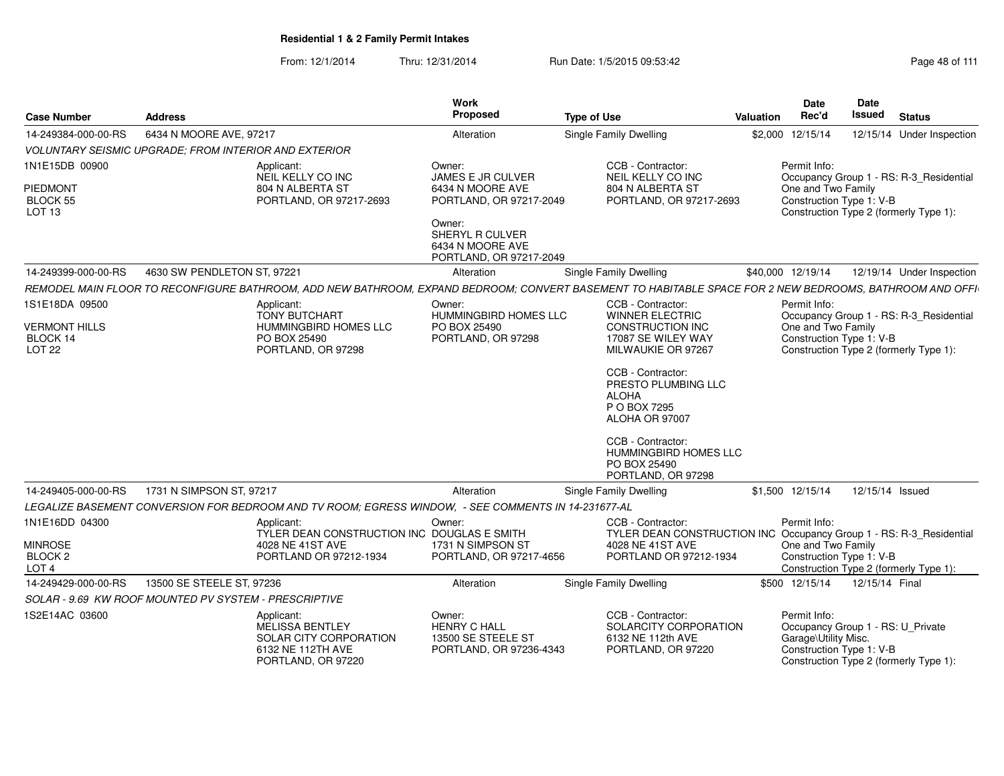| <b>Case Number</b>                                       | <b>Address</b>                                                                                                                                          | <b>Work</b><br>Proposed                                                        | <b>Type of Use</b>                                                                         | <b>Valuation</b> | Date<br>Rec'd                                                                                         | Date<br>Issued  | <b>Status</b>                           |
|----------------------------------------------------------|---------------------------------------------------------------------------------------------------------------------------------------------------------|--------------------------------------------------------------------------------|--------------------------------------------------------------------------------------------|------------------|-------------------------------------------------------------------------------------------------------|-----------------|-----------------------------------------|
| 14-249384-000-00-RS                                      | 6434 N MOORE AVE, 97217                                                                                                                                 | Alteration                                                                     | <b>Single Family Dwelling</b>                                                              |                  | \$2,000 12/15/14                                                                                      |                 | 12/15/14 Under Inspection               |
|                                                          | <b>VOLUNTARY SEISMIC UPGRADE: FROM INTERIOR AND EXTERIOR</b>                                                                                            |                                                                                |                                                                                            |                  |                                                                                                       |                 |                                         |
| 1N1E15DB 00900                                           | Applicant:<br>NEIL KELLY CO INC                                                                                                                         | Owner:<br><b>JAMES E JR CULVER</b>                                             | CCB - Contractor:<br>NEIL KELLY CO INC                                                     |                  | Permit Info:                                                                                          |                 | Occupancy Group 1 - RS: R-3_Residential |
| <b>PIEDMONT</b><br><b>BLOCK 55</b><br>LOT <sub>13</sub>  | 804 N ALBERTA ST<br>PORTLAND, OR 97217-2693                                                                                                             | 6434 N MOORE AVE<br>PORTLAND, OR 97217-2049                                    | 804 N ALBERTA ST<br>PORTLAND, OR 97217-2693                                                |                  | One and Two Family<br>Construction Type 1: V-B                                                        |                 | Construction Type 2 (formerly Type 1):  |
|                                                          |                                                                                                                                                         | Owner:<br>SHERYL R CULVER<br>6434 N MOORE AVE<br>PORTLAND, OR 97217-2049       |                                                                                            |                  |                                                                                                       |                 |                                         |
| 14-249399-000-00-RS                                      | 4630 SW PENDLETON ST, 97221                                                                                                                             | Alteration                                                                     | Single Family Dwelling                                                                     |                  | \$40,000 12/19/14                                                                                     |                 | 12/19/14 Under Inspection               |
|                                                          | REMODEL MAIN FLOOR TO RECONFIGURE BATHROOM, ADD NEW BATHROOM, EXPAND BEDROOM; CONVERT BASEMENT TO HABITABLE SPACE FOR 2 NEW BEDROOMS, BATHROOM AND OFFI |                                                                                |                                                                                            |                  |                                                                                                       |                 |                                         |
| 1S1E18DA 09500                                           | Applicant:<br><b>TONY BUTCHART</b>                                                                                                                      | Owner:<br><b>HUMMINGBIRD HOMES LLC</b>                                         | CCB - Contractor:<br><b>WINNER ELECTRIC</b>                                                |                  | Permit Info:                                                                                          |                 | Occupancy Group 1 - RS: R-3_Residential |
| <b>VERMONT HILLS</b><br>BLOCK 14<br><b>LOT 22</b>        | HUMMINGBIRD HOMES LLC<br>PO BOX 25490<br>PORTLAND, OR 97298                                                                                             | PO BOX 25490<br>PORTLAND, OR 97298                                             | CONSTRUCTION INC<br>17087 SE WILEY WAY<br>MILWAUKIE OR 97267                               |                  | One and Two Family<br>Construction Type 1: V-B                                                        |                 | Construction Type 2 (formerly Type 1):  |
|                                                          |                                                                                                                                                         |                                                                                | CCB - Contractor:<br>PRESTO PLUMBING LLC<br><b>ALOHA</b><br>P O BOX 7295<br>ALOHA OR 97007 |                  |                                                                                                       |                 |                                         |
|                                                          |                                                                                                                                                         |                                                                                | CCB - Contractor:<br><b>HUMMINGBIRD HOMES LLC</b><br>PO BOX 25490<br>PORTLAND, OR 97298    |                  |                                                                                                       |                 |                                         |
| 14-249405-000-00-RS                                      | 1731 N SIMPSON ST, 97217                                                                                                                                | Alteration                                                                     | Single Family Dwelling                                                                     |                  | \$1.500 12/15/14                                                                                      | 12/15/14 Issued |                                         |
|                                                          | LEGALIZE BASEMENT CONVERSION FOR BEDROOM AND TV ROOM; EGRESS WINDOW, - SEE COMMENTS IN 14-231677-AL                                                     |                                                                                |                                                                                            |                  |                                                                                                       |                 |                                         |
| 1N1E16DD 04300                                           | Applicant:<br>TYLER DEAN CONSTRUCTION INC DOUGLAS E SMITH                                                                                               | Owner:                                                                         | CCB - Contractor:<br>TYLER DEAN CONSTRUCTION INC Occupancy Group 1 - RS: R-3_Residential   |                  | Permit Info:                                                                                          |                 |                                         |
| <b>MINROSE</b><br>BLOCK <sub>2</sub><br>LOT <sub>4</sub> | 4028 NE 41ST AVE<br>PORTLAND OR 97212-1934                                                                                                              | 1731 N SIMPSON ST<br>PORTLAND, OR 97217-4656                                   | 4028 NE 41ST AVE<br>PORTLAND OR 97212-1934                                                 |                  | One and Two Family<br>Construction Type 1: V-B                                                        |                 | Construction Type 2 (formerly Type 1):  |
| 14-249429-000-00-RS                                      | 13500 SE STEELE ST, 97236                                                                                                                               | Alteration                                                                     | <b>Single Family Dwelling</b>                                                              |                  | \$500 12/15/14                                                                                        | 12/15/14 Final  |                                         |
|                                                          | SOLAR - 9.69 KW ROOF MOUNTED PV SYSTEM - PRESCRIPTIVE                                                                                                   |                                                                                |                                                                                            |                  |                                                                                                       |                 |                                         |
| 1S2E14AC 03600                                           | Applicant:<br>MELISSA BENTLEY<br>SOLAR CITY CORPORATION<br>6132 NE 112TH AVE<br>PORTLAND, OR 97220                                                      | Owner:<br><b>HENRY C HALL</b><br>13500 SE STEELE ST<br>PORTLAND, OR 97236-4343 | CCB - Contractor:<br>SOLARCITY CORPORATION<br>6132 NE 112th AVE<br>PORTLAND, OR 97220      |                  | Permit Info:<br>Occupancy Group 1 - RS: U_Private<br>Garage\Utility Misc.<br>Construction Type 1: V-B |                 | Construction Type 2 (formerly Type 1):  |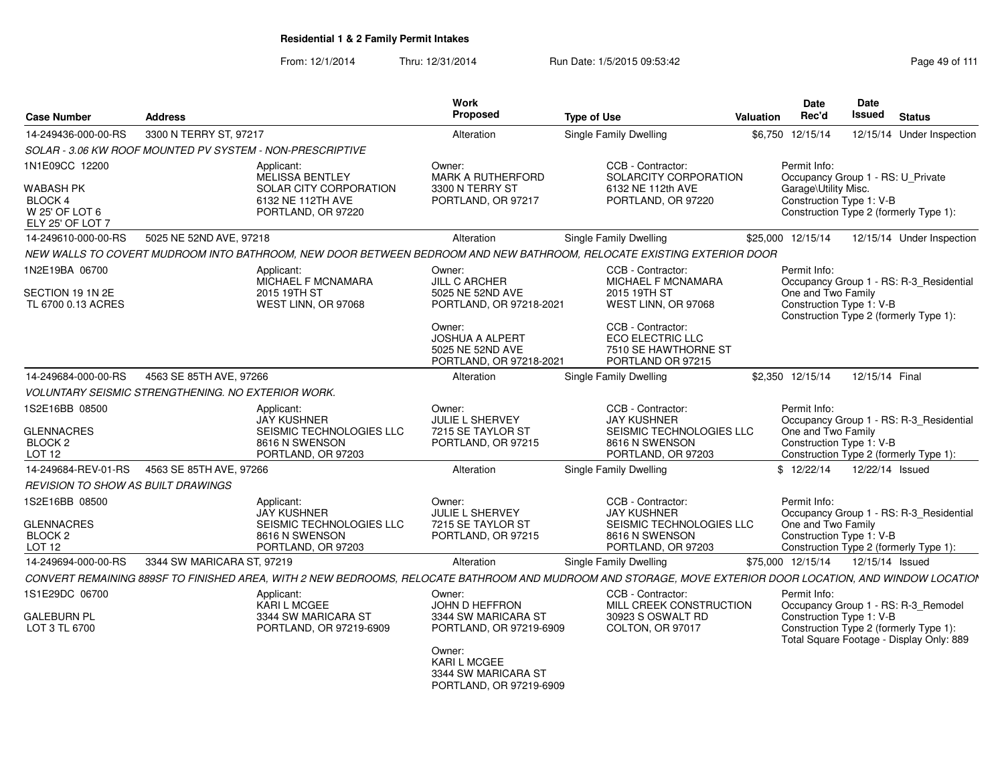| <b>Case Number</b>                                                             | <b>Address</b>                                            |                                                                                                      | Work<br>Proposed                                                            | <b>Type of Use</b>                                                                                                                                         | Valuation | <b>Date</b><br>Rec'd                                                                                     | Date<br>Issued | <b>Status</b>   |                                                                                 |
|--------------------------------------------------------------------------------|-----------------------------------------------------------|------------------------------------------------------------------------------------------------------|-----------------------------------------------------------------------------|------------------------------------------------------------------------------------------------------------------------------------------------------------|-----------|----------------------------------------------------------------------------------------------------------|----------------|-----------------|---------------------------------------------------------------------------------|
| 14-249436-000-00-RS                                                            | 3300 N TERRY ST, 97217                                    |                                                                                                      | Alteration                                                                  | Single Family Dwelling                                                                                                                                     | \$6,750   | 12/15/14                                                                                                 |                |                 | 12/15/14 Under Inspection                                                       |
|                                                                                |                                                           | SOLAR - 3.06 KW ROOF MOUNTED PV SYSTEM - NON-PRESCRIPTIVE                                            |                                                                             |                                                                                                                                                            |           |                                                                                                          |                |                 |                                                                                 |
| 1N1E09CC 12200                                                                 |                                                           | Applicant:<br>MELISSA BENTLEY                                                                        | Owner:<br>MARK A RUTHERFORD                                                 | CCB - Contractor:<br>SOLARCITY CORPORATION                                                                                                                 |           | Permit Info:<br>Occupancy Group 1 - RS: U_Private                                                        |                |                 |                                                                                 |
| <b>WABASH PK</b><br>BLOCK 4<br>W 25' OF LOT 6<br>ELY 25' OF LOT 7              |                                                           | SOLAR CITY CORPORATION<br>6132 NE 112TH AVE<br>PORTLAND, OR 97220                                    | 3300 N TERRY ST<br>PORTLAND, OR 97217                                       | 6132 NE 112th AVE<br>PORTLAND, OR 97220                                                                                                                    |           | Garage\Utility Misc.<br>Construction Type 1: V-B<br>Construction Type 2 (formerly Type 1):               |                |                 |                                                                                 |
| 14-249610-000-00-RS                                                            | 5025 NE 52ND AVE, 97218                                   |                                                                                                      | Alteration                                                                  | <b>Single Family Dwelling</b>                                                                                                                              |           | \$25,000 12/15/14                                                                                        |                |                 | 12/15/14 Under Inspection                                                       |
|                                                                                |                                                           |                                                                                                      |                                                                             | NEW WALLS TO COVERT MUDROOM INTO BATHROOM, NEW DOOR BETWEEN BEDROOM AND NEW BATHROOM, RELOCATE EXISTING EXTERIOR DOOR                                      |           |                                                                                                          |                |                 |                                                                                 |
| 1N2E19BA 06700                                                                 |                                                           | Applicant:<br><b>MICHAEL F MCNAMARA</b>                                                              | Owner:<br><b>JILL C ARCHER</b>                                              | CCB - Contractor:<br><b>MICHAEL F MCNAMARA</b>                                                                                                             |           | Permit Info:                                                                                             |                |                 | Occupancy Group 1 - RS: R-3_Residential                                         |
| SECTION 19 1N 2E<br>TL 6700 0.13 ACRES                                         |                                                           | 2015 19TH ST<br>WEST LINN, OR 97068                                                                  | 5025 NE 52ND AVE<br>PORTLAND, OR 97218-2021                                 | 2015 19TH ST<br>WEST LINN, OR 97068                                                                                                                        |           | One and Two Family<br>Construction Type 1: V-B<br>Construction Type 2 (formerly Type 1):                 |                |                 |                                                                                 |
|                                                                                |                                                           |                                                                                                      | Owner:<br>JOSHUA A ALPERT<br>5025 NE 52ND AVE<br>PORTLAND, OR 97218-2021    | CCB - Contractor:<br>ECO ELECTRIC LLC<br>7510 SE HAWTHORNE ST<br>PORTLAND OR 97215                                                                         |           |                                                                                                          |                |                 |                                                                                 |
| 14-249684-000-00-RS                                                            | 4563 SE 85TH AVE, 97266                                   |                                                                                                      | Alteration                                                                  | <b>Single Family Dwelling</b>                                                                                                                              |           | \$2.350 12/15/14                                                                                         |                | 12/15/14 Final  |                                                                                 |
|                                                                                | <b>VOLUNTARY SEISMIC STRENGTHENING. NO EXTERIOR WORK.</b> |                                                                                                      |                                                                             |                                                                                                                                                            |           |                                                                                                          |                |                 |                                                                                 |
| 1S2E16BB 08500<br><b>GLENNACRES</b><br>BLOCK <sub>2</sub><br>LOT <sub>12</sub> |                                                           | Applicant:<br><b>JAY KUSHNER</b><br>SEISMIC TECHNOLOGIES LLC<br>8616 N SWENSON<br>PORTLAND, OR 97203 | Owner:<br><b>JULIE L SHERVEY</b><br>7215 SE TAYLOR ST<br>PORTLAND, OR 97215 | CCB - Contractor:<br><b>JAY KUSHNER</b><br>SEISMIC TECHNOLOGIES LLC<br>8616 N SWENSON<br>PORTLAND, OR 97203                                                |           | Permit Info:<br>One and Two Family<br>Construction Type 1: V-B<br>Construction Type 2 (formerly Type 1): |                |                 | Occupancy Group 1 - RS: R-3 Residential                                         |
| 14-249684-REV-01-RS                                                            | 4563 SE 85TH AVE, 97266                                   |                                                                                                      | Alteration                                                                  | Single Family Dwelling                                                                                                                                     |           | \$12/22/14                                                                                               |                | 12/22/14 Issued |                                                                                 |
| REVISION TO SHOW AS BUILT DRAWINGS                                             |                                                           |                                                                                                      |                                                                             |                                                                                                                                                            |           |                                                                                                          |                |                 |                                                                                 |
| 1S2E16BB 08500                                                                 |                                                           | Applicant:<br><b>JAY KUSHNER</b>                                                                     | Owner:<br><b>JULIE L SHERVEY</b>                                            | CCB - Contractor:<br><b>JAY KUSHNER</b>                                                                                                                    |           | Permit Info:                                                                                             |                |                 | Occupancy Group 1 - RS: R-3_Residential                                         |
| <b>GLENNACRES</b><br>BLOCK <sub>2</sub><br>LOT <sub>12</sub>                   |                                                           | SEISMIC TECHNOLOGIES LLC<br>8616 N SWENSON<br>PORTLAND, OR 97203                                     | 7215 SE TAYLOR ST<br>PORTLAND, OR 97215                                     | SEISMIC TECHNOLOGIES LLC<br>8616 N SWENSON<br>PORTLAND, OR 97203                                                                                           |           | One and Two Family<br>Construction Type 1: V-B<br>Construction Type 2 (formerly Type 1):                 |                |                 |                                                                                 |
| 14-249694-000-00-RS                                                            | 3344 SW MARICARA ST, 97219                                |                                                                                                      | Alteration                                                                  | Single Family Dwelling                                                                                                                                     |           | \$75,000 12/15/14                                                                                        |                | 12/15/14 Issued |                                                                                 |
|                                                                                |                                                           |                                                                                                      |                                                                             | CONVERT REMAINING 889SF TO FINISHED AREA, WITH 2 NEW BEDROOMS, RELOCATE BATHROOM AND MUDROOM AND STORAGE, MOVE EXTERIOR DOOR LOCATION, AND WINDOW LOCATIOI |           |                                                                                                          |                |                 |                                                                                 |
| 1S1E29DC 06700                                                                 |                                                           | Applicant:                                                                                           | Owner:                                                                      | CCB - Contractor:                                                                                                                                          |           | Permit Info:                                                                                             |                |                 |                                                                                 |
| <b>GALEBURN PL</b><br>LOT 3 TL 6700                                            |                                                           | <b>KARI L MCGEE</b><br>3344 SW MARICARA ST<br>PORTLAND, OR 97219-6909                                | JOHN D HEFFRON<br>3344 SW MARICARA ST<br>PORTLAND, OR 97219-6909            | MILL CREEK CONSTRUCTION<br>30923 S OSWALT RD<br>COLTON, OR 97017                                                                                           |           | Construction Type 1: V-B<br>Construction Type 2 (formerly Type 1):                                       |                |                 | Occupancy Group 1 - RS: R-3_Remodel<br>Total Square Footage - Display Only: 889 |
|                                                                                |                                                           |                                                                                                      | Owner:<br>KARI L MCGEE<br>3344 SW MARICARA ST<br>PORTLAND, OR 97219-6909    |                                                                                                                                                            |           |                                                                                                          |                |                 |                                                                                 |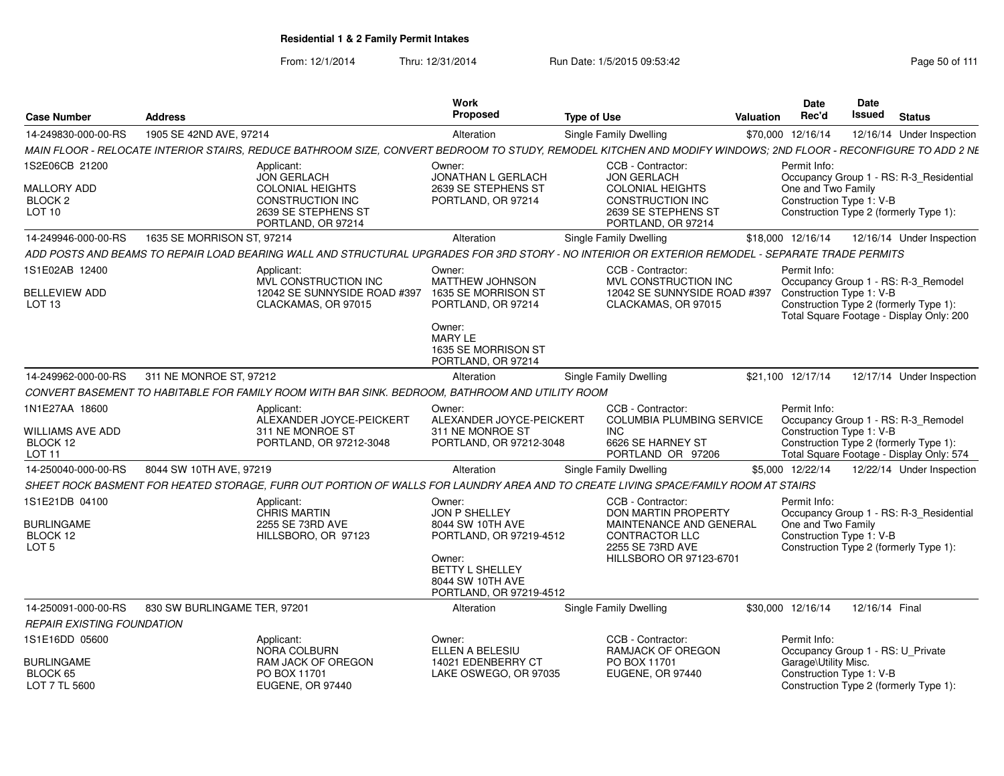| <b>Case Number</b>                                                     | <b>Address</b>               |                                                                                                                                                                | Work<br>Proposed                                                                  | <b>Type of Use</b>     |                                                                                                 | Valuation | <b>Date</b><br>Rec'd                                                                     | <b>Date</b><br>Issued | <b>Status</b>                                                                   |
|------------------------------------------------------------------------|------------------------------|----------------------------------------------------------------------------------------------------------------------------------------------------------------|-----------------------------------------------------------------------------------|------------------------|-------------------------------------------------------------------------------------------------|-----------|------------------------------------------------------------------------------------------|-----------------------|---------------------------------------------------------------------------------|
| 14-249830-000-00-RS                                                    | 1905 SE 42ND AVE, 97214      |                                                                                                                                                                | Alteration                                                                        | Single Family Dwelling |                                                                                                 |           | \$70,000 12/16/14                                                                        |                       | 12/16/14 Under Inspection                                                       |
|                                                                        |                              | MAIN FLOOR - RELOCATE INTERIOR STAIRS, REDUCE BATHROOM SIZE, CONVERT BEDROOM TO STUDY, REMODEL KITCHEN AND MODIFY WINDOWS; 2ND FLOOR - RECONFIGURE TO ADD 2 NE |                                                                                   |                        |                                                                                                 |           |                                                                                          |                       |                                                                                 |
| 1S2E06CB 21200                                                         |                              | Applicant:<br><b>JON GERLACH</b>                                                                                                                               | Owner:<br>JONATHAN L GERLACH                                                      |                        | CCB - Contractor:<br><b>JON GERLACH</b>                                                         |           | Permit Info:                                                                             |                       | Occupancy Group 1 - RS: R-3_Residential                                         |
| <b>MALLORY ADD</b><br>BLOCK <sub>2</sub><br><b>LOT 10</b>              |                              | <b>COLONIAL HEIGHTS</b><br><b>CONSTRUCTION INC</b><br>2639 SE STEPHENS ST<br>PORTLAND, OR 97214                                                                | 2639 SE STEPHENS ST<br>PORTLAND, OR 97214                                         |                        | <b>COLONIAL HEIGHTS</b><br>CONSTRUCTION INC<br>2639 SE STEPHENS ST<br>PORTLAND, OR 97214        |           | One and Two Family<br>Construction Type 1: V-B<br>Construction Type 2 (formerly Type 1): |                       |                                                                                 |
| 14-249946-000-00-RS                                                    | 1635 SE MORRISON ST, 97214   |                                                                                                                                                                | Alteration                                                                        | Single Family Dwelling |                                                                                                 |           | \$18,000 12/16/14                                                                        |                       | 12/16/14 Under Inspection                                                       |
|                                                                        |                              | ADD POSTS AND BEAMS TO REPAIR LOAD BEARING WALL AND STRUCTURAL UPGRADES FOR 3RD STORY - NO INTERIOR OR EXTERIOR REMODEL - SEPARATE TRADE PERMITS               |                                                                                   |                        |                                                                                                 |           |                                                                                          |                       |                                                                                 |
| 1S1E02AB 12400                                                         |                              | Applicant:<br>MVL CONSTRUCTION INC                                                                                                                             | Owner:<br>MATTHEW JOHNSON                                                         |                        | CCB - Contractor:<br>MVL CONSTRUCTION INC                                                       |           | Permit Info:                                                                             |                       | Occupancy Group 1 - RS: R-3_Remodel                                             |
| <b>BELLEVIEW ADD</b><br>LOT <sub>13</sub>                              |                              | 12042 SE SUNNYSIDE ROAD #397<br>CLACKAMAS, OR 97015                                                                                                            | 1635 SE MORRISON ST<br>PORTLAND, OR 97214                                         |                        | 12042 SE SUNNYSIDE ROAD #397<br>CLACKAMAS, OR 97015                                             |           | Construction Type 1: V-B<br>Construction Type 2 (formerly Type 1):                       |                       | Total Square Footage - Display Only: 200                                        |
|                                                                        |                              |                                                                                                                                                                | Owner:<br><b>MARY LE</b><br>1635 SE MORRISON ST<br>PORTLAND, OR 97214             |                        |                                                                                                 |           |                                                                                          |                       |                                                                                 |
| 14-249962-000-00-RS                                                    | 311 NE MONROE ST, 97212      |                                                                                                                                                                | Alteration                                                                        | Single Family Dwelling |                                                                                                 |           | \$21.100 12/17/14                                                                        |                       | 12/17/14 Under Inspection                                                       |
|                                                                        |                              | CONVERT BASEMENT TO HABITABLE FOR FAMILY ROOM WITH BAR SINK. BEDROOM. BATHROOM AND UTILITY ROOM                                                                |                                                                                   |                        |                                                                                                 |           |                                                                                          |                       |                                                                                 |
| 1N1E27AA 18600<br><b>WILLIAMS AVE ADD</b><br>BLOCK 12<br><b>LOT 11</b> |                              | Applicant:<br>ALEXANDER JOYCE-PEICKERT<br>311 NE MONROE ST<br>PORTLAND, OR 97212-3048                                                                          | Owner:<br>ALEXANDER JOYCE-PEICKERT<br>311 NE MONROE ST<br>PORTLAND, OR 97212-3048 | <b>INC</b>             | CCB - Contractor:<br><b>COLUMBIA PLUMBING SERVICE</b><br>6626 SE HARNEY ST<br>PORTLAND OR 97206 |           | Permit Info:<br>Construction Type 1: V-B<br>Construction Type 2 (formerly Type 1):       |                       | Occupancy Group 1 - RS: R-3_Remodel<br>Total Square Footage - Display Only: 574 |
| 14-250040-000-00-RS                                                    | 8044 SW 10TH AVE, 97219      |                                                                                                                                                                | Alteration                                                                        | Single Family Dwelling |                                                                                                 |           | \$5,000 12/22/14                                                                         |                       | 12/22/14 Under Inspection                                                       |
|                                                                        |                              | SHEET ROCK BASMENT FOR HEATED STORAGE, FURR OUT PORTION OF WALLS FOR LAUNDRY AREA AND TO CREATE LIVING SPACE/FAMILY ROOM AT STAIRS                             |                                                                                   |                        |                                                                                                 |           |                                                                                          |                       |                                                                                 |
| 1S1E21DB 04100                                                         |                              | Applicant:<br><b>CHRIS MARTIN</b>                                                                                                                              | Owner:<br><b>JON P SHELLEY</b>                                                    |                        | CCB - Contractor:<br><b>DON MARTIN PROPERTY</b>                                                 |           | Permit Info:                                                                             |                       | Occupancy Group 1 - RS: R-3_Residential                                         |
| <b>BURLINGAME</b><br>BLOCK 12                                          |                              | 2255 SE 73RD AVE<br>HILLSBORO, OR 97123                                                                                                                        | 8044 SW 10TH AVE<br>PORTLAND, OR 97219-4512                                       |                        | MAINTENANCE AND GENERAL<br><b>CONTRACTOR LLC</b>                                                |           | One and Two Family<br>Construction Type 1: V-B                                           |                       |                                                                                 |
| LOT <sub>5</sub>                                                       |                              |                                                                                                                                                                | Owner:<br><b>BETTY L SHELLEY</b><br>8044 SW 10TH AVE<br>PORTLAND, OR 97219-4512   |                        | 2255 SE 73RD AVE<br>HILLSBORO OR 97123-6701                                                     |           | Construction Type 2 (formerly Type 1):                                                   |                       |                                                                                 |
| 14-250091-000-00-RS                                                    | 830 SW BURLINGAME TER, 97201 |                                                                                                                                                                | Alteration                                                                        | Single Family Dwelling |                                                                                                 |           | \$30,000 12/16/14                                                                        | 12/16/14 Final        |                                                                                 |
| <b>REPAIR EXISTING FOUNDATION</b>                                      |                              |                                                                                                                                                                |                                                                                   |                        |                                                                                                 |           |                                                                                          |                       |                                                                                 |
| 1S1E16DD 05600                                                         |                              | Applicant:<br><b>NORA COLBURN</b>                                                                                                                              | Owner:<br>ELLEN A BELESIU                                                         |                        | CCB - Contractor:<br>RAMJACK OF OREGON                                                          |           | Permit Info:<br>Occupancy Group 1 - RS: U Private                                        |                       |                                                                                 |
| <b>BURLINGAME</b><br>BLOCK 65                                          |                              | <b>RAM JACK OF OREGON</b><br>PO BOX 11701                                                                                                                      | 14021 EDENBERRY CT<br>LAKE OSWEGO, OR 97035                                       |                        | PO BOX 11701<br><b>EUGENE, OR 97440</b>                                                         |           | Garage\Utility Misc.<br>Construction Type 1: V-B                                         |                       |                                                                                 |
| LOT 7 TL 5600                                                          |                              | <b>EUGENE, OR 97440</b>                                                                                                                                        |                                                                                   |                        |                                                                                                 |           | Construction Type 2 (formerly Type 1):                                                   |                       |                                                                                 |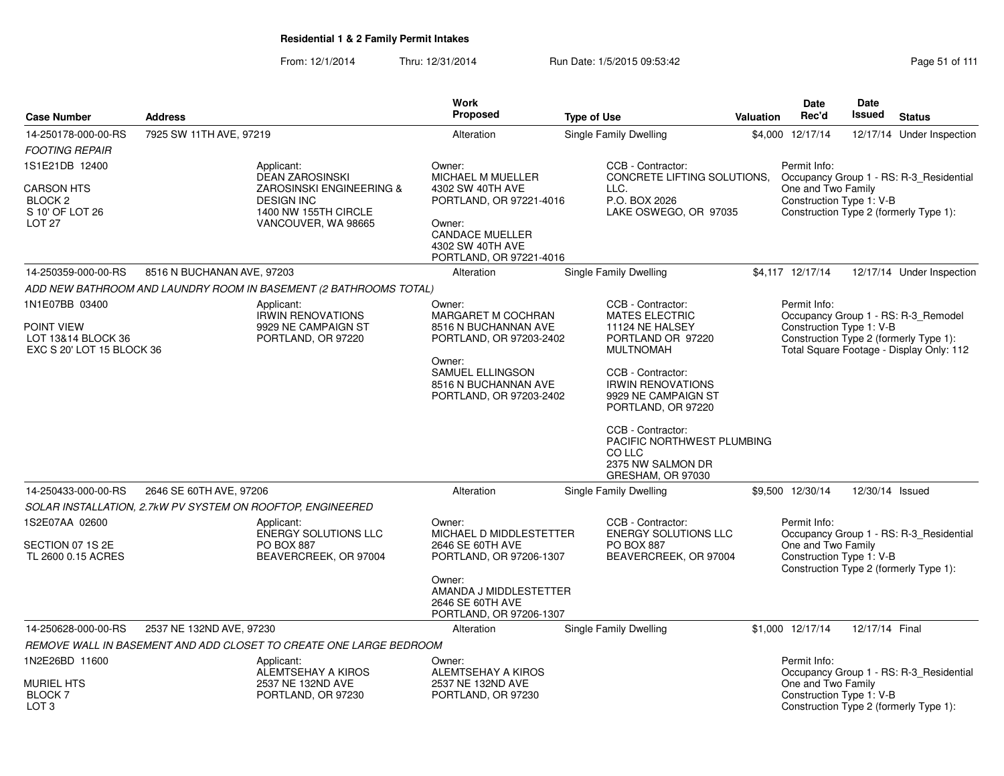7925 SW 11TH AVE, 97219 **Alteration** Alteration Single Family Dwelling

**Work Proposed**

**Case Number**

14-250178-000-00-RS

**Address**

From: 12/1/2014Thru: 12/31/2014 Run Date: 1/5/2015 09:53:42 Page 51 of 111

**Type of Use**

| <b>FOOTING REPAIR</b>                                                           |                                                                                                               |                                                                                  |                                                                                                        |                                                                                                                                                                       |
|---------------------------------------------------------------------------------|---------------------------------------------------------------------------------------------------------------|----------------------------------------------------------------------------------|--------------------------------------------------------------------------------------------------------|-----------------------------------------------------------------------------------------------------------------------------------------------------------------------|
| 1S1E21DB 12400<br><b>CARSON HTS</b><br>BLOCK <sub>2</sub><br>S 10' OF LOT 26    | Applicant:<br><b>DEAN ZAROSINSKI</b><br>ZAROSINSKI ENGINEERING &<br><b>DESIGN INC</b><br>1400 NW 155TH CIRCLE | Owner:<br>MICHAEL M MUELLER<br>4302 SW 40TH AVE<br>PORTLAND, OR 97221-4016       | CCB - Contractor:<br>CONCRETE LIFTING SOLUTIONS.<br>LLC.<br>P.O. BOX 2026<br>LAKE OSWEGO, OR 97035     | Permit Info:<br>Occupancy Group 1 - RS: R-3_Residential<br>One and Two Family<br>Construction Type 1: V-B<br>Construction Type 2 (formerly Type 1):                   |
| LOT <sub>27</sub>                                                               | VANCOUVER, WA 98665                                                                                           | Owner:<br><b>CANDACE MUELLER</b><br>4302 SW 40TH AVE<br>PORTLAND, OR 97221-4016  |                                                                                                        |                                                                                                                                                                       |
| 14-250359-000-00-RS<br>8516 N BUCHANAN AVE, 97203                               |                                                                                                               | Alteration                                                                       | <b>Single Family Dwelling</b>                                                                          | \$4,117 12/17/14<br>12/17/14 Under Inspection                                                                                                                         |
| ADD NEW BATHROOM AND LAUNDRY ROOM IN BASEMENT (2 BATHROOMS TOTAL)               |                                                                                                               |                                                                                  |                                                                                                        |                                                                                                                                                                       |
| 1N1E07BB 03400<br>POINT VIEW<br>LOT 13&14 BLOCK 36<br>EXC S 20' LOT 15 BLOCK 36 | Applicant:<br><b>IRWIN RENOVATIONS</b><br>9929 NE CAMPAIGN ST<br>PORTLAND, OR 97220                           | Owner:<br>MARGARET M COCHRAN<br>8516 N BUCHANNAN AVE<br>PORTLAND, OR 97203-2402  | CCB - Contractor:<br><b>MATES ELECTRIC</b><br>11124 NE HALSEY<br>PORTLAND OR 97220<br><b>MULTNOMAH</b> | Permit Info:<br>Occupancy Group 1 - RS: R-3_Remodel<br>Construction Type 1: V-B<br>Construction Type 2 (formerly Type 1):<br>Total Square Footage - Display Only: 112 |
|                                                                                 |                                                                                                               | Owner:<br>SAMUEL ELLINGSON<br>8516 N BUCHANNAN AVE<br>PORTLAND, OR 97203-2402    | CCB - Contractor:<br><b>IRWIN RENOVATIONS</b><br>9929 NE CAMPAIGN ST<br>PORTLAND, OR 97220             |                                                                                                                                                                       |
|                                                                                 |                                                                                                               |                                                                                  | CCB - Contractor:<br>PACIFIC NORTHWEST PLUMBING<br>CO LLC<br>2375 NW SALMON DR<br>GRESHAM, OR 97030    |                                                                                                                                                                       |
| 14-250433-000-00-RS<br>2646 SE 60TH AVE, 97206                                  |                                                                                                               | Alteration                                                                       | Single Family Dwelling                                                                                 | \$9,500 12/30/14<br>12/30/14 Issued                                                                                                                                   |
| SOLAR INSTALLATION, 2.7kW PV SYSTEM ON ROOFTOP, ENGINEERED                      |                                                                                                               |                                                                                  |                                                                                                        |                                                                                                                                                                       |
| 1S2E07AA 02600<br>SECTION 07 1S 2E<br>TL 2600 0.15 ACRES                        | Applicant:<br><b>ENERGY SOLUTIONS LLC</b><br><b>PO BOX 887</b><br>BEAVERCREEK, OR 97004                       | Owner:<br>MICHAEL D MIDDLESTETTER<br>2646 SE 60TH AVE<br>PORTLAND, OR 97206-1307 | CCB - Contractor:<br><b>ENERGY SOLUTIONS LLC</b><br>PO BOX 887<br>BEAVERCREEK, OR 97004                | Permit Info:<br>Occupancy Group 1 - RS: R-3_Residential<br>One and Two Family<br>Construction Type 1: V-B<br>Construction Type 2 (formerly Type 1):                   |
|                                                                                 |                                                                                                               | Owner:<br>AMANDA J MIDDLESTETTER<br>2646 SE 60TH AVE<br>PORTLAND, OR 97206-1307  |                                                                                                        |                                                                                                                                                                       |
| 2537 NE 132ND AVE, 97230<br>14-250628-000-00-RS                                 |                                                                                                               | Alteration                                                                       | <b>Single Family Dwelling</b>                                                                          | \$1,000 12/17/14<br>12/17/14 Final                                                                                                                                    |
| REMOVE WALL IN BASEMENT AND ADD CLOSET TO CREATE ONE LARGE BEDROOM              |                                                                                                               |                                                                                  |                                                                                                        |                                                                                                                                                                       |
| 1N2E26BD 11600<br><b>MURIEL HTS</b><br><b>BLOCK7</b><br>LOT 3                   | Applicant:<br>ALEMTSEHAY A KIROS<br>2537 NE 132ND AVE<br>PORTLAND, OR 97230                                   | Owner:<br><b>ALEMTSEHAY A KIROS</b><br>2537 NE 132ND AVE<br>PORTLAND, OR 97230   |                                                                                                        | Permit Info:<br>Occupancy Group 1 - RS: R-3_Residential<br>One and Two Family<br>Construction Type 1: V-B<br>Construction Type 2 (formerly Type 1):                   |

**Status**12/17/14 Under Inspection

**Date**Issued

**DateRec'd Issued**

\$4,000 12/17/14

**Valuation**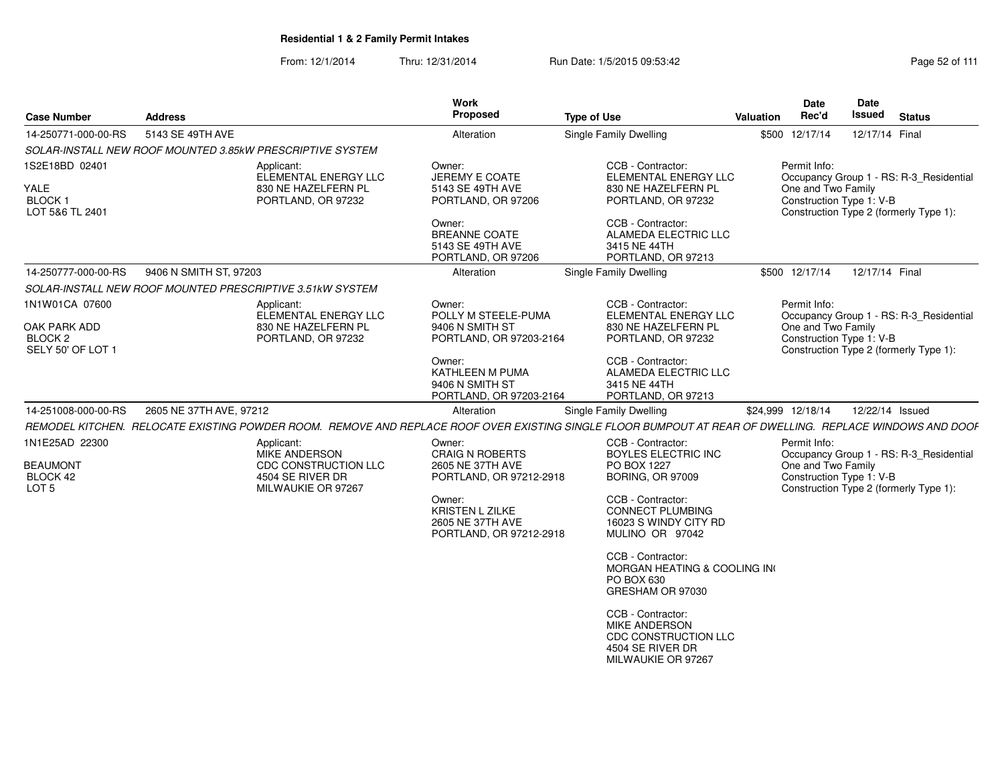From: 12/1/2014Thru: 12/31/2014 Run Date: 1/5/2015 09:53:42 Research 2010 12/31/2014 Page 52 of 111

| <b>Case Number</b>                                      | <b>Address</b>                                                                                                                                           | Work<br>Proposed                                                                | <b>Type of Use</b>                                                                                          | Date<br>Rec'd<br>Valuation                     | Date<br><b>Issued</b><br><b>Status</b>  |
|---------------------------------------------------------|----------------------------------------------------------------------------------------------------------------------------------------------------------|---------------------------------------------------------------------------------|-------------------------------------------------------------------------------------------------------------|------------------------------------------------|-----------------------------------------|
| 14-250771-000-00-RS                                     | 5143 SE 49TH AVE                                                                                                                                         | Alteration                                                                      | Single Family Dwelling                                                                                      | \$500 12/17/14                                 | 12/17/14 Final                          |
|                                                         | SOLAR-INSTALL NEW ROOF MOUNTED 3.85kW PRESCRIPTIVE SYSTEM                                                                                                |                                                                                 |                                                                                                             |                                                |                                         |
| 1S2E18BD 02401                                          | Applicant:<br>ELEMENTAL ENERGY LLC                                                                                                                       | Owner:<br>JEREMY E COATE                                                        | CCB - Contractor:<br>ELEMENTAL ENERGY LLC                                                                   | Permit Info:                                   | Occupancy Group 1 - RS: R-3_Residential |
| YALE<br><b>BLOCK1</b><br>LOT 5&6 TL 2401                | 830 NE HAZELFERN PL<br>PORTLAND, OR 97232                                                                                                                | 5143 SE 49TH AVE<br>PORTLAND, OR 97206                                          | 830 NE HAZELFERN PL<br>PORTLAND, OR 97232                                                                   | One and Two Family<br>Construction Type 1: V-B | Construction Type 2 (formerly Type 1):  |
|                                                         |                                                                                                                                                          | Owner:<br><b>BREANNE COATE</b><br>5143 SE 49TH AVE<br>PORTLAND, OR 97206        | CCB - Contractor:<br>ALAMEDA ELECTRIC LLC<br>3415 NE 44TH<br>PORTLAND, OR 97213                             |                                                |                                         |
| 14-250777-000-00-RS                                     | 9406 N SMITH ST, 97203                                                                                                                                   | Alteration                                                                      | Single Family Dwelling                                                                                      | \$500 12/17/14                                 | 12/17/14 Final                          |
|                                                         | SOLAR-INSTALL NEW ROOF MOUNTED PRESCRIPTIVE 3.51kW SYSTEM                                                                                                |                                                                                 |                                                                                                             |                                                |                                         |
| 1N1W01CA 07600                                          | Applicant:<br>ELEMENTAL ENERGY LLC                                                                                                                       | Owner:<br>POLLY M STEELE-PUMA                                                   | CCB - Contractor:<br>ELEMENTAL ENERGY LLC                                                                   | Permit Info:                                   | Occupancy Group 1 - RS: R-3_Residential |
| OAK PARK ADD<br>BLOCK <sub>2</sub><br>SELY 50' OF LOT 1 | 830 NE HAZELFERN PL<br>PORTLAND, OR 97232                                                                                                                | 9406 N SMITH ST<br>PORTLAND, OR 97203-2164                                      | 830 NE HAZELFERN PL<br>PORTLAND, OR 97232                                                                   | One and Two Family<br>Construction Type 1: V-B | Construction Type 2 (formerly Type 1):  |
|                                                         |                                                                                                                                                          | Owner:<br>KATHLEEN M PUMA<br>9406 N SMITH ST<br>PORTLAND, OR 97203-2164         | CCB - Contractor:<br>ALAMEDA ELECTRIC LLC<br>3415 NE 44TH<br>PORTLAND, OR 97213                             |                                                |                                         |
| 14-251008-000-00-RS                                     | 2605 NE 37TH AVE, 97212                                                                                                                                  | Alteration                                                                      | Single Family Dwelling                                                                                      | \$24,999 12/18/14                              | 12/22/14 Issued                         |
|                                                         | REMODEL KITCHEN. RELOCATE EXISTING POWDER ROOM. REMOVE AND REPLACE ROOF OVER EXISTING SINGLE FLOOR BUMPOUT AT REAR OF DWELLING. REPLACE WINDOWS AND DOOF |                                                                                 |                                                                                                             |                                                |                                         |
| 1N1E25AD 22300                                          | Applicant:<br><b>MIKE ANDERSON</b>                                                                                                                       | Owner:<br><b>CRAIG N ROBERTS</b>                                                | CCB - Contractor:<br><b>BOYLES ELECTRIC INC</b>                                                             | Permit Info:                                   | Occupancy Group 1 - RS: R-3_Residential |
| <b>BEAUMONT</b><br>BLOCK 42<br>LOT <sub>5</sub>         | CDC CONSTRUCTION LLC<br>4504 SE RIVER DR<br>MILWAUKIE OR 97267                                                                                           | 2605 NE 37TH AVE<br>PORTLAND, OR 97212-2918                                     | PO BOX 1227<br><b>BORING, OR 97009</b>                                                                      | One and Two Family<br>Construction Type 1: V-B | Construction Type 2 (formerly Type 1):  |
|                                                         |                                                                                                                                                          | Owner:<br><b>KRISTEN L ZILKE</b><br>2605 NE 37TH AVE<br>PORTLAND, OR 97212-2918 | CCB - Contractor:<br><b>CONNECT PLUMBING</b><br>16023 S WINDY CITY RD<br>MULINO OR 97042                    |                                                |                                         |
|                                                         |                                                                                                                                                          |                                                                                 | CCB - Contractor:<br>MORGAN HEATING & COOLING INC<br>PO BOX 630<br>GRESHAM OR 97030                         |                                                |                                         |
|                                                         |                                                                                                                                                          |                                                                                 | CCB - Contractor:<br><b>MIKE ANDERSON</b><br>CDC CONSTRUCTION LLC<br>4504 SE RIVER DR<br>MILWAUKIE OR 97267 |                                                |                                         |
|                                                         |                                                                                                                                                          |                                                                                 |                                                                                                             |                                                |                                         |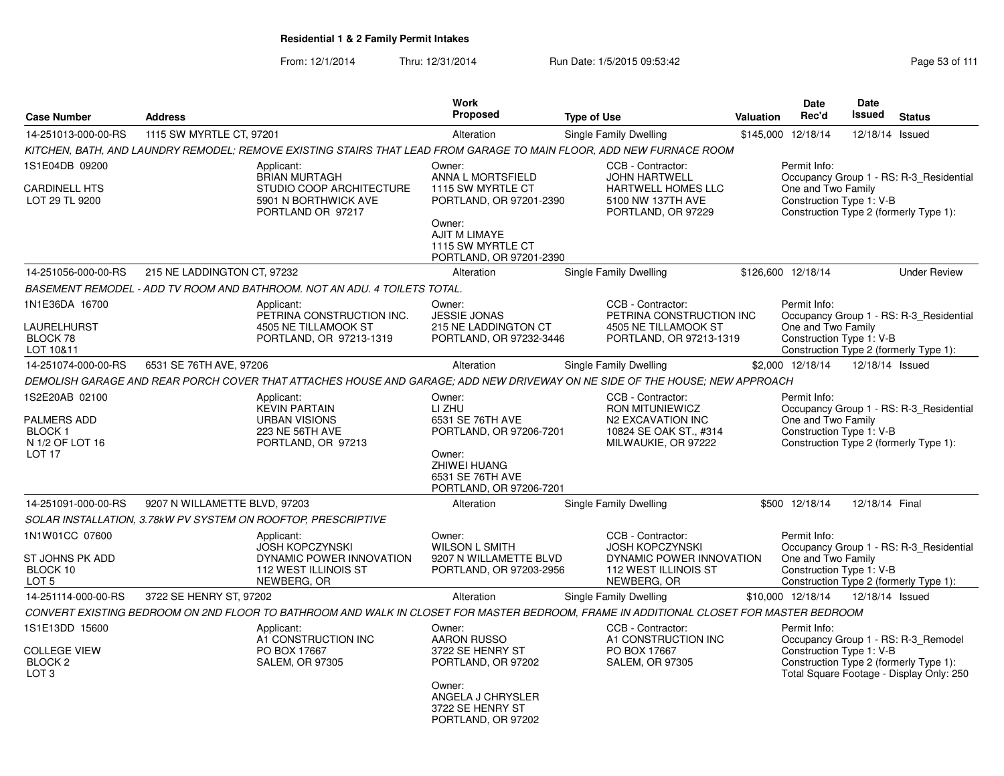| <b>Case Number</b>                                                                            | <b>Address</b>                |                                                                                                                                        | <b>Work</b><br><b>Proposed</b>                                                                                                                  | <b>Type of Use</b>                                                                                                | Valuation | <b>Date</b><br>Rec'd                                                                                     | <b>Date</b><br>Issued | <b>Status</b>                                                                                                             |
|-----------------------------------------------------------------------------------------------|-------------------------------|----------------------------------------------------------------------------------------------------------------------------------------|-------------------------------------------------------------------------------------------------------------------------------------------------|-------------------------------------------------------------------------------------------------------------------|-----------|----------------------------------------------------------------------------------------------------------|-----------------------|---------------------------------------------------------------------------------------------------------------------------|
| 14-251013-000-00-RS                                                                           | 1115 SW MYRTLE CT, 97201      |                                                                                                                                        | Alteration                                                                                                                                      | Single Family Dwelling                                                                                            | \$145,000 | 12/18/14                                                                                                 | 12/18/14 Issued       |                                                                                                                           |
|                                                                                               |                               | KITCHEN, BATH, AND LAUNDRY REMODEL; REMOVE EXISTING STAIRS THAT LEAD FROM GARAGE TO MAIN FLOOR, ADD NEW FURNACE ROOM                   |                                                                                                                                                 |                                                                                                                   |           |                                                                                                          |                       |                                                                                                                           |
| 1S1E04DB 09200<br><b>CARDINELL HTS</b><br>LOT 29 TL 9200                                      |                               | Applicant:<br><b>BRIAN MURTAGH</b><br>STUDIO COOP ARCHITECTURE<br>5901 N BORTHWICK AVE<br>PORTLAND OR 97217                            | Owner:<br>ANNA L MORTSFIELD<br>1115 SW MYRTLE CT<br>PORTLAND, OR 97201-2390<br>Owner:                                                           | CCB - Contractor:<br><b>JOHN HARTWELL</b><br><b>HARTWELL HOMES LLC</b><br>5100 NW 137TH AVE<br>PORTLAND, OR 97229 |           | Permit Info:<br>One and Two Family<br>Construction Type 1: V-B                                           |                       | Occupancy Group 1 - RS: R-3 Residential<br>Construction Type 2 (formerly Type 1):                                         |
|                                                                                               |                               |                                                                                                                                        | <b>AJIT M LIMAYE</b><br>1115 SW MYRTLE CT<br>PORTLAND, OR 97201-2390                                                                            |                                                                                                                   |           |                                                                                                          |                       |                                                                                                                           |
| 14-251056-000-00-RS                                                                           | 215 NE LADDINGTON CT, 97232   |                                                                                                                                        | Alteration                                                                                                                                      | <b>Single Family Dwelling</b>                                                                                     |           | \$126,600 12/18/14                                                                                       |                       | <b>Under Review</b>                                                                                                       |
|                                                                                               |                               | BASEMENT REMODEL - ADD TV ROOM AND BATHROOM. NOT AN ADU. 4 TOILETS TOTAL.                                                              |                                                                                                                                                 |                                                                                                                   |           |                                                                                                          |                       |                                                                                                                           |
| 1N1E36DA 16700<br>LAURELHURST                                                                 |                               | Applicant:<br>PETRINA CONSTRUCTION INC.<br>4505 NE TILLAMOOK ST                                                                        | Owner:<br><b>JESSIE JONAS</b><br>215 NE LADDINGTON CT                                                                                           | CCB - Contractor:<br>PETRINA CONSTRUCTION INC<br>4505 NE TILLAMOOK ST                                             |           | Permit Info:<br>One and Two Family                                                                       |                       | Occupancy Group 1 - RS: R-3 Residential                                                                                   |
| BLOCK 78<br>LOT 10&11                                                                         |                               | PORTLAND, OR 97213-1319                                                                                                                | PORTLAND, OR 97232-3446                                                                                                                         | PORTLAND, OR 97213-1319                                                                                           |           | Construction Type 1: V-B                                                                                 |                       | Construction Type 2 (formerly Type 1):                                                                                    |
| 14-251074-000-00-RS                                                                           | 6531 SE 76TH AVE, 97206       |                                                                                                                                        | Alteration                                                                                                                                      | Single Family Dwelling                                                                                            |           | \$2,000 12/18/14                                                                                         | 12/18/14 Issued       |                                                                                                                           |
|                                                                                               |                               | DEMOLISH GARAGE AND REAR PORCH COVER THAT ATTACHES HOUSE AND GARAGE; ADD NEW DRIVEWAY ON NE SIDE OF THE HOUSE; NEW APPROACH            |                                                                                                                                                 |                                                                                                                   |           |                                                                                                          |                       |                                                                                                                           |
| 1S2E20AB 02100<br><b>PALMERS ADD</b><br><b>BLOCK1</b><br>N 1/2 OF LOT 16<br>LOT <sub>17</sub> |                               | Applicant:<br><b>KEVIN PARTAIN</b><br><b>URBAN VISIONS</b><br>223 NE 56TH AVE<br>PORTLAND, OR 97213                                    | Owner:<br>LI ZHU<br>6531 SE 76TH AVE<br>PORTLAND, OR 97206-7201<br>Owner:<br><b>ZHIWEI HUANG</b><br>6531 SE 76TH AVE<br>PORTLAND, OR 97206-7201 | CCB - Contractor:<br>RON MITUNIEWICZ<br>N2 EXCAVATION INC<br>10824 SE OAK ST., #314<br>MILWAUKIE, OR 97222        |           | Permit Info:<br>One and Two Family<br>Construction Type 1: V-B<br>Construction Type 2 (formerly Type 1): |                       | Occupancy Group 1 - RS: R-3 Residential                                                                                   |
| 14-251091-000-00-RS                                                                           | 9207 N WILLAMETTE BLVD, 97203 |                                                                                                                                        | Alteration                                                                                                                                      | Single Family Dwelling                                                                                            |           | \$500 12/18/14                                                                                           | 12/18/14 Final        |                                                                                                                           |
|                                                                                               |                               | SOLAR INSTALLATION, 3.78kW PV SYSTEM ON ROOFTOP, PRESCRIPTIVE                                                                          |                                                                                                                                                 |                                                                                                                   |           |                                                                                                          |                       |                                                                                                                           |
| 1N1W01CC 07600<br>ST JOHNS PK ADD<br>BLOCK 10<br>LOT <sub>5</sub>                             |                               | Applicant:<br><b>JOSH KOPCZYNSKI</b><br>DYNAMIC POWER INNOVATION<br>112 WEST ILLINOIS ST<br>NEWBERG, OR                                | Owner:<br><b>WILSON L SMITH</b><br>9207 N WILLAMETTE BLVD<br>PORTLAND, OR 97203-2956                                                            | CCB - Contractor:<br><b>JOSH KOPCZYNSKI</b><br>DYNAMIC POWER INNOVATION<br>112 WEST ILLINOIS ST<br>NEWBERG, OR    |           | Permit Info:<br>One and Two Family<br>Construction Type 1: V-B                                           |                       | Occupancy Group 1 - RS: R-3 Residential<br>Construction Type 2 (formerly Type 1):                                         |
| 14-251114-000-00-RS                                                                           | 3722 SE HENRY ST, 97202       |                                                                                                                                        | Alteration                                                                                                                                      | Single Family Dwelling                                                                                            |           | \$10,000 12/18/14                                                                                        | 12/18/14 Issued       |                                                                                                                           |
|                                                                                               |                               | CONVERT EXISTING BEDROOM ON 2ND FLOOR TO BATHROOM AND WALK IN CLOSET FOR MASTER BEDROOM. FRAME IN ADDITIONAL CLOSET FOR MASTER BEDROOM |                                                                                                                                                 |                                                                                                                   |           |                                                                                                          |                       |                                                                                                                           |
| 1S1E13DD 15600<br><b>COLLEGE VIEW</b><br>BLOCK <sub>2</sub><br>LOT <sub>3</sub>               |                               | Applicant:<br>A1 CONSTRUCTION INC<br>PO BOX 17667<br><b>SALEM, OR 97305</b>                                                            | Owner:<br><b>AARON RUSSO</b><br>3722 SE HENRY ST<br>PORTLAND, OR 97202<br>Owner:                                                                | CCB - Contractor:<br>A1 CONSTRUCTION INC<br>PO BOX 17667<br><b>SALEM, OR 97305</b>                                |           | Permit Info:<br>Construction Type 1: V-B                                                                 |                       | Occupancy Group 1 - RS: R-3 Remodel<br>Construction Type 2 (formerly Type 1):<br>Total Square Footage - Display Only: 250 |
|                                                                                               |                               |                                                                                                                                        | ANGELA J CHRYSLER<br>3722 SE HENRY ST<br>PORTLAND, OR 97202                                                                                     |                                                                                                                   |           |                                                                                                          |                       |                                                                                                                           |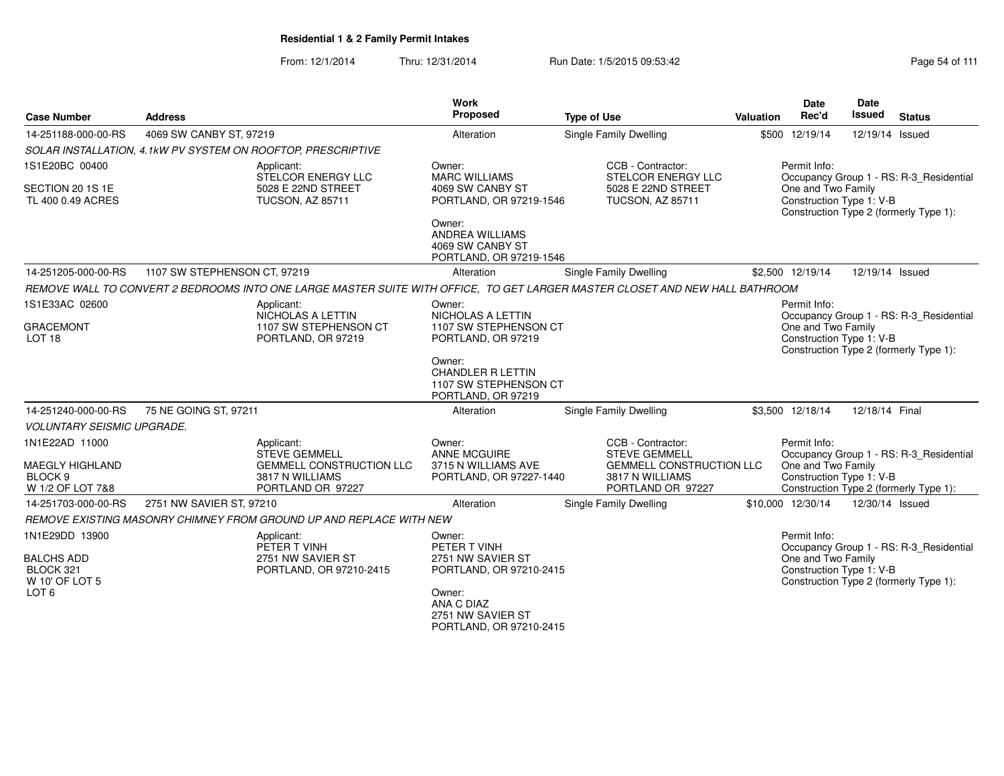From: 12/1/2014Thru: 12/31/2014 Run Date: 1/5/2015 09:53:42 Research 2010 12:43 Rage 54 of 111

|                                                                  |                                                                                                                              | Work                                                                              |                                                                         |           | Date                                           | Date            |                                         |
|------------------------------------------------------------------|------------------------------------------------------------------------------------------------------------------------------|-----------------------------------------------------------------------------------|-------------------------------------------------------------------------|-----------|------------------------------------------------|-----------------|-----------------------------------------|
| <b>Case Number</b>                                               | <b>Address</b>                                                                                                               | Proposed                                                                          | <b>Type of Use</b>                                                      | Valuation | Rec'd                                          | <b>Issued</b>   | <b>Status</b>                           |
| 14-251188-000-00-RS                                              | 4069 SW CANBY ST, 97219                                                                                                      | Alteration                                                                        | Single Family Dwelling                                                  |           | \$500 12/19/14                                 | 12/19/14 Issued |                                         |
|                                                                  | SOLAR INSTALLATION, 4.1kW PV SYSTEM ON ROOFTOP, PRESCRIPTIVE                                                                 |                                                                                   |                                                                         |           |                                                |                 |                                         |
| 1S1E20BC 00400                                                   | Applicant:<br>STELCOR ENERGY LLC                                                                                             | Owner:<br><b>MARC WILLIAMS</b>                                                    | CCB - Contractor:<br>STELCOR ENERGY LLC                                 |           | Permit Info:                                   |                 | Occupancy Group 1 - RS: R-3_Residential |
| SECTION 20 1S 1E<br>TL 400 0.49 ACRES                            | 5028 E 22ND STREET<br>TUCSON, AZ 85711                                                                                       | 4069 SW CANBY ST<br>PORTLAND, OR 97219-1546                                       | 5028 E 22ND STREET<br><b>TUCSON, AZ 85711</b>                           |           | One and Two Family<br>Construction Type 1: V-B |                 | Construction Type 2 (formerly Type 1):  |
|                                                                  |                                                                                                                              | Owner:<br><b>ANDREA WILLIAMS</b><br>4069 SW CANBY ST<br>PORTLAND, OR 97219-1546   |                                                                         |           |                                                |                 |                                         |
| 14-251205-000-00-RS                                              | 1107 SW STEPHENSON CT, 97219                                                                                                 | Alteration                                                                        | <b>Single Family Dwelling</b>                                           |           | \$2,500 12/19/14                               | 12/19/14 Issued |                                         |
|                                                                  | REMOVE WALL TO CONVERT 2 BEDROOMS INTO ONE LARGE MASTER SUITE WITH OFFICE, TO GET LARGER MASTER CLOSET AND NEW HALL BATHROOM |                                                                                   |                                                                         |           |                                                |                 |                                         |
| 1S1E33AC 02600                                                   | Applicant:<br>NICHOLAS A LETTIN                                                                                              | Owner:<br><b>NICHOLAS A LETTIN</b>                                                |                                                                         |           | Permit Info:                                   |                 | Occupancy Group 1 - RS: R-3_Residential |
| <b>GRACEMONT</b><br>LOT <sub>18</sub>                            | 1107 SW STEPHENSON CT<br>PORTLAND, OR 97219                                                                                  | 1107 SW STEPHENSON CT<br>PORTLAND, OR 97219                                       |                                                                         |           | One and Two Family<br>Construction Type 1: V-B |                 | Construction Type 2 (formerly Type 1):  |
|                                                                  |                                                                                                                              | Owner:<br><b>CHANDLER R LETTIN</b><br>1107 SW STEPHENSON CT<br>PORTLAND, OR 97219 |                                                                         |           |                                                |                 |                                         |
| 14-251240-000-00-RS                                              | 75 NE GOING ST, 97211                                                                                                        | Alteration                                                                        | <b>Single Family Dwelling</b>                                           |           | \$3,500 12/18/14                               | 12/18/14 Final  |                                         |
| <b>VOLUNTARY SEISMIC UPGRADE.</b>                                |                                                                                                                              |                                                                                   |                                                                         |           |                                                |                 |                                         |
| 1N1E22AD 11000                                                   | Applicant:<br><b>STEVE GEMMELL</b>                                                                                           | Owner:<br><b>ANNE MCGUIRE</b>                                                     | CCB - Contractor:<br><b>STEVE GEMMELL</b>                               |           | Permit Info:                                   |                 | Occupancy Group 1 - RS: R-3_Residential |
| <b>MAEGLY HIGHLAND</b><br>BLOCK <sub>9</sub><br>W 1/2 OF LOT 7&8 | GEMMELL CONSTRUCTION LLC<br>3817 N WILLIAMS<br>PORTLAND OR 97227                                                             | 3715 N WILLIAMS AVE<br>PORTLAND, OR 97227-1440                                    | <b>GEMMELL CONSTRUCTION LLC</b><br>3817 N WILLIAMS<br>PORTLAND OR 97227 |           | One and Two Family<br>Construction Type 1: V-B |                 | Construction Type 2 (formerly Type 1):  |
| 14-251703-000-00-RS                                              | 2751 NW SAVIER ST, 97210                                                                                                     | Alteration                                                                        | Single Family Dwelling                                                  |           | \$10,000 12/30/14                              | 12/30/14 Issued |                                         |
|                                                                  | REMOVE EXISTING MASONRY CHIMNEY FROM GROUND UP AND REPLACE WITH NEW                                                          |                                                                                   |                                                                         |           |                                                |                 |                                         |
| 1N1E29DD 13900                                                   | Applicant:<br>PETER T VINH                                                                                                   | Owner:<br>PETER T VINH                                                            |                                                                         |           | Permit Info:                                   |                 | Occupancy Group 1 - RS: R-3_Residential |
| <b>BALCHS ADD</b><br>BLOCK 321<br>W 10' OF LOT 5                 | 2751 NW SAVIER ST<br>PORTLAND, OR 97210-2415                                                                                 | 2751 NW SAVIER ST<br>PORTLAND, OR 97210-2415                                      |                                                                         |           | One and Two Family<br>Construction Type 1: V-B |                 | Construction Type 2 (formerly Type 1):  |
| LOT <sub>6</sub>                                                 |                                                                                                                              | Owner:<br>ANA C DIAZ<br>2751 NW SAVIER ST<br>PORTLAND, OR 97210-2415              |                                                                         |           |                                                |                 |                                         |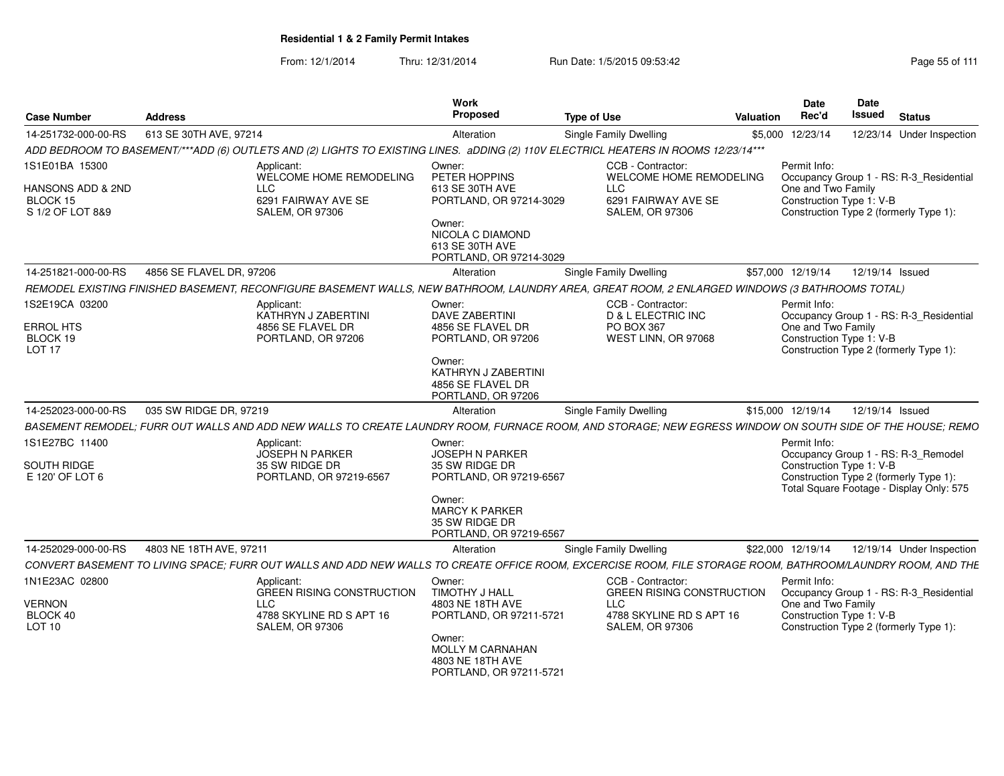From: 12/1/2014Thru: 12/31/2014 Run Date: 1/5/2015 09:53:42 Research 2010 12/31/2014 Page 55 of 111

| <b>Case Number</b>                                | <b>Address</b>                                                                                                                                              | Work<br><b>Proposed</b>                                                                     | <b>Type of Use</b>                                          | <b>Valuation</b> | Date<br>Rec'd                                  | <b>Date</b><br>Issued | <b>Status</b>                                                                                                             |  |
|---------------------------------------------------|-------------------------------------------------------------------------------------------------------------------------------------------------------------|---------------------------------------------------------------------------------------------|-------------------------------------------------------------|------------------|------------------------------------------------|-----------------------|---------------------------------------------------------------------------------------------------------------------------|--|
| 14-251732-000-00-RS                               | 613 SE 30TH AVE, 97214                                                                                                                                      | Alteration                                                                                  | Single Family Dwelling                                      | \$5,000          | 12/23/14                                       |                       | 12/23/14 Under Inspection                                                                                                 |  |
|                                                   | ADD BEDROOM TO BASEMENT/***ADD (6) OUTLETS AND (2) LIGHTS TO EXISTING LINES. aDDING (2) 110V ELECTRICL HEATERS IN ROOMS 12/23/14***                         |                                                                                             |                                                             |                  |                                                |                       |                                                                                                                           |  |
| 1S1E01BA 15300                                    | Applicant:<br>WELCOME HOME REMODELING                                                                                                                       | Owner:<br>PETER HOPPINS                                                                     | CCB - Contractor:<br>WELCOME HOME REMODELING                |                  | Permit Info:                                   |                       | Occupancy Group 1 - RS: R-3 Residential                                                                                   |  |
| HANSONS ADD & 2ND<br>BLOCK 15<br>S 1/2 OF LOT 8&9 | LLC<br>6291 FAIRWAY AVE SE<br><b>SALEM, OR 97306</b>                                                                                                        | 613 SE 30TH AVE<br>PORTLAND, OR 97214-3029<br>Owner:<br>NICOLA C DIAMOND<br>613 SE 30TH AVE | <b>LLC</b><br>6291 FAIRWAY AVE SE<br><b>SALEM, OR 97306</b> |                  | One and Two Family<br>Construction Type 1: V-B |                       | Construction Type 2 (formerly Type 1):                                                                                    |  |
|                                                   |                                                                                                                                                             | PORTLAND, OR 97214-3029                                                                     |                                                             |                  |                                                |                       |                                                                                                                           |  |
| 14-251821-000-00-RS                               | 4856 SE FLAVEL DR, 97206                                                                                                                                    | Alteration                                                                                  | Single Family Dwelling                                      |                  | \$57,000 12/19/14                              |                       | 12/19/14 Issued                                                                                                           |  |
|                                                   | REMODEL EXISTING FINISHED BASEMENT, RECONFIGURE BASEMENT WALLS, NEW BATHROOM, LAUNDRY AREA, GREAT ROOM, 2 ENLARGED WINDOWS (3 BATHROOMS TOTAL)              |                                                                                             |                                                             |                  |                                                |                       |                                                                                                                           |  |
| 1S2E19CA 03200                                    | Applicant:<br>KATHRYN J ZABERTINI                                                                                                                           | Owner:<br><b>DAVE ZABERTINI</b>                                                             | CCB - Contractor:<br><b>D &amp; L ELECTRIC INC</b>          |                  | Permit Info:                                   |                       | Occupancy Group 1 - RS: R-3_Residential                                                                                   |  |
| ERROL HTS<br>BLOCK 19<br>LOT <sub>17</sub>        | 4856 SE FLAVEL DR<br>PORTLAND, OR 97206                                                                                                                     | 4856 SE FLAVEL DR<br>PORTLAND, OR 97206                                                     | PO BOX 367<br>WEST LINN, OR 97068                           |                  | One and Two Family<br>Construction Type 1: V-B |                       | Construction Type 2 (formerly Type 1):                                                                                    |  |
|                                                   |                                                                                                                                                             | Owner:<br>KATHRYN J ZABERTINI<br>4856 SE FLAVEL DR<br>PORTLAND, OR 97206                    |                                                             |                  |                                                |                       |                                                                                                                           |  |
| 14-252023-000-00-RS                               | 035 SW RIDGE DR, 97219                                                                                                                                      | Alteration                                                                                  | Single Family Dwelling                                      |                  | \$15,000 12/19/14                              |                       | 12/19/14 Issued                                                                                                           |  |
|                                                   | BASEMENT REMODEL; FURR OUT WALLS AND ADD NEW WALLS TO CREATE LAUNDRY ROOM, FURNACE ROOM, AND STORAGE; NEW EGRESS WINDOW ON SOUTH SIDE OF THE HOUSE; REMO    |                                                                                             |                                                             |                  |                                                |                       |                                                                                                                           |  |
| 1S1E27BC 11400<br>SOUTH RIDGE<br>E 120' OF LOT 6  | Applicant:<br><b>JOSEPH N PARKER</b><br>35 SW RIDGE DR<br>PORTLAND, OR 97219-6567                                                                           | Owner:<br><b>JOSEPH N PARKER</b><br>35 SW RIDGE DR<br>PORTLAND, OR 97219-6567               |                                                             |                  | Permit Info:<br>Construction Type 1: V-B       |                       | Occupancy Group 1 - RS: R-3_Remodel<br>Construction Type 2 (formerly Type 1):<br>Total Square Footage - Display Only: 575 |  |
|                                                   |                                                                                                                                                             | Owner:<br><b>MARCY K PARKER</b><br>35 SW RIDGE DR<br>PORTLAND, OR 97219-6567                |                                                             |                  |                                                |                       |                                                                                                                           |  |
| 14-252029-000-00-RS                               | 4803 NE 18TH AVE, 97211                                                                                                                                     | Alteration                                                                                  | <b>Single Family Dwelling</b>                               |                  | \$22,000 12/19/14                              |                       | 12/19/14 Under Inspection                                                                                                 |  |
|                                                   | CONVERT BASEMENT TO LIVING SPACE: FURR OUT WALLS AND ADD NEW WALLS TO CREATE OFFICE ROOM. EXCERCISE ROOM. FILE STORAGE ROOM. BATHROOM/LAUNDRY ROOM. AND THE |                                                                                             |                                                             |                  |                                                |                       |                                                                                                                           |  |
| 1N1E23AC 02800                                    | Applicant:<br><b>GREEN RISING CONSTRUCTION</b>                                                                                                              | Owner:<br><b>TIMOTHY J HALL</b>                                                             | CCB - Contractor:<br><b>GREEN RISING CONSTRUCTION</b>       |                  | Permit Info:                                   |                       | Occupancy Group 1 - RS: R-3 Residential                                                                                   |  |
| VERNON                                            | LLC                                                                                                                                                         | 4803 NE 18TH AVE                                                                            | <b>LLC</b>                                                  |                  | One and Two Family                             |                       |                                                                                                                           |  |
| BLOCK 40<br>LOT 10                                | 4788 SKYLINE RD S APT 16<br><b>SALEM, OR 97306</b>                                                                                                          | PORTLAND, OR 97211-5721<br>Owner:<br><b>MOLLY M CARNAHAN</b><br>4803 NE 18TH AVE            | 4788 SKYLINE RD S APT 16<br><b>SALEM, OR 97306</b>          |                  | Construction Type 1: V-B                       |                       | Construction Type 2 (formerly Type 1):                                                                                    |  |
|                                                   |                                                                                                                                                             | PORTLAND, OR 97211-5721                                                                     |                                                             |                  |                                                |                       |                                                                                                                           |  |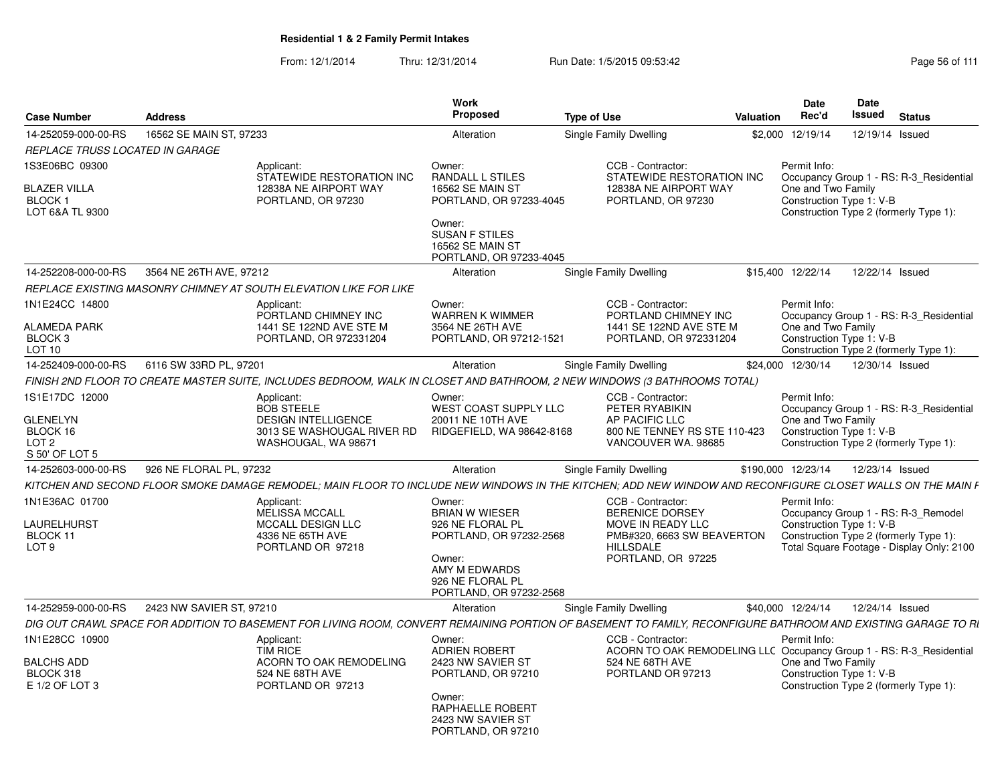From: 12/1/2014Thru: 12/31/2014 Run Date: 1/5/2015 09:53:42 Research 2010 12:43 Rage 56 of 111

| <b>Case Number</b>                        | <b>Address</b>                                                                                                                                                | Work<br><b>Proposed</b>                                                               | <b>Type of Use</b>                                                                     | Valuation          | <b>Date</b><br>Rec'd | Date<br>Issued                                 | <b>Status</b>                                                                       |
|-------------------------------------------|---------------------------------------------------------------------------------------------------------------------------------------------------------------|---------------------------------------------------------------------------------------|----------------------------------------------------------------------------------------|--------------------|----------------------|------------------------------------------------|-------------------------------------------------------------------------------------|
| 14-252059-000-00-RS                       | 16562 SE MAIN ST, 97233                                                                                                                                       | Alteration                                                                            | Single Family Dwelling                                                                 | \$2,000 12/19/14   |                      |                                                | 12/19/14 Issued                                                                     |
| REPLACE TRUSS LOCATED IN GARAGE           |                                                                                                                                                               |                                                                                       |                                                                                        |                    |                      |                                                |                                                                                     |
| 1S3E06BC 09300<br><b>BLAZER VILLA</b>     | Applicant:<br>STATEWIDE RESTORATION INC<br>12838A NE AIRPORT WAY                                                                                              | Owner:<br><b>RANDALL L STILES</b><br>16562 SE MAIN ST                                 | CCB - Contractor:<br>STATEWIDE RESTORATION INC<br>12838A NE AIRPORT WAY                | Permit Info:       |                      | One and Two Family                             | Occupancy Group 1 - RS: R-3 Residential                                             |
| <b>BLOCK1</b><br>LOT 6&A TL 9300          | PORTLAND, OR 97230                                                                                                                                            | PORTLAND, OR 97233-4045<br>Owner:<br><b>SUSAN F STILES</b><br><b>16562 SE MAIN ST</b> | PORTLAND, OR 97230                                                                     |                    |                      | Construction Type 1: V-B                       | Construction Type 2 (formerly Type 1):                                              |
|                                           |                                                                                                                                                               | PORTLAND, OR 97233-4045                                                               |                                                                                        |                    |                      |                                                |                                                                                     |
| 14-252208-000-00-RS                       | 3564 NE 26TH AVE, 97212                                                                                                                                       | Alteration                                                                            | Single Family Dwelling                                                                 | \$15,400 12/22/14  |                      |                                                | 12/22/14 Issued                                                                     |
|                                           | REPLACE EXISTING MASONRY CHIMNEY AT SOUTH ELEVATION LIKE FOR LIKE                                                                                             |                                                                                       |                                                                                        |                    |                      |                                                |                                                                                     |
| 1N1E24CC 14800                            | Applicant:<br>PORTLAND CHIMNEY INC                                                                                                                            | Owner:<br><b>WARREN K WIMMER</b>                                                      | CCB - Contractor:<br>PORTLAND CHIMNEY INC                                              | Permit Info:       |                      |                                                | Occupancy Group 1 - RS: R-3 Residential                                             |
| <b>ALAMEDA PARK</b><br>BLOCK <sub>3</sub> | 1441 SE 122ND AVE STE M<br>PORTLAND, OR 972331204                                                                                                             | 3564 NE 26TH AVE<br>PORTLAND, OR 97212-1521                                           | 1441 SE 122ND AVE STE M<br>PORTLAND, OR 972331204                                      |                    |                      | One and Two Family<br>Construction Type 1: V-B |                                                                                     |
| <b>LOT 10</b>                             |                                                                                                                                                               |                                                                                       |                                                                                        |                    |                      |                                                | Construction Type 2 (formerly Type 1):                                              |
| 14-252409-000-00-RS                       | 6116 SW 33RD PL, 97201                                                                                                                                        | Alteration                                                                            | Single Family Dwelling                                                                 | \$24,000 12/30/14  |                      |                                                | 12/30/14 Issued                                                                     |
|                                           | FINISH 2ND FLOOR TO CREATE MASTER SUITE. INCLUDES BEDROOM. WALK IN CLOSET AND BATHROOM. 2 NEW WINDOWS (3 BATHROOMS TOTAL)                                     |                                                                                       |                                                                                        |                    |                      |                                                |                                                                                     |
| 1S1E17DC 12000                            | Applicant:<br><b>BOB STEELE</b>                                                                                                                               | Owner:<br><b>WEST COAST SUPPLY LLC</b>                                                | CCB - Contractor:<br>PETER RYABIKIN                                                    | Permit Info:       |                      |                                                | Occupancy Group 1 - RS: R-3_Residential                                             |
| <b>GLENELYN</b>                           | <b>DESIGN INTELLIGENCE</b>                                                                                                                                    | 20011 NE 10TH AVE                                                                     | AP PACIFIC LLC                                                                         |                    |                      | One and Two Family                             |                                                                                     |
| BLOCK 16<br>LOT <sub>2</sub>              | 3013 SE WASHOUGAL RIVER RD<br>WASHOUGAL, WA 98671                                                                                                             | RIDGEFIELD, WA 98642-8168                                                             | 800 NE TENNEY RS STE 110-423<br>VANCOUVER WA, 98685                                    |                    |                      | Construction Type 1: V-B                       | Construction Type 2 (formerly Type 1):                                              |
| S 50' OF LOT 5                            |                                                                                                                                                               |                                                                                       |                                                                                        |                    |                      |                                                |                                                                                     |
| 14-252603-000-00-RS                       | 926 NE FLORAL PL. 97232                                                                                                                                       | Alteration                                                                            | Single Family Dwelling                                                                 | \$190,000 12/23/14 |                      |                                                | 12/23/14 Issued                                                                     |
|                                           | KITCHEN AND SECOND FLOOR SMOKE DAMAGE REMODEL: MAIN FLOOR TO INCLUDE NEW WINDOWS IN THE KITCHEN: ADD NEW WINDOW AND RECONFIGURE CLOSET WALLS ON THE MAIN F    |                                                                                       |                                                                                        |                    |                      |                                                |                                                                                     |
| 1N1E36AC 01700                            | Applicant:<br>MELISSA MCCALL                                                                                                                                  | Owner:<br><b>BRIAN W WIESER</b>                                                       | CCB - Contractor:<br><b>BERENICE DORSEY</b>                                            |                    | Permit Info:         |                                                | Occupancy Group 1 - RS: R-3_Remodel                                                 |
| LAURELHURST                               | <b>MCCALL DESIGN LLC</b>                                                                                                                                      | 926 NE FLORAL PL                                                                      | MOVE IN READY LLC                                                                      |                    |                      | Construction Type 1: V-B                       |                                                                                     |
| BLOCK 11<br>LOT <sub>9</sub>              | 4336 NE 65TH AVE<br>PORTLAND OR 97218                                                                                                                         | PORTLAND, OR 97232-2568<br>Owner:                                                     | PMB#320, 6663 SW BEAVERTON<br><b>HILLSDALE</b><br>PORTLAND, OR 97225                   |                    |                      |                                                | Construction Type 2 (formerly Type 1):<br>Total Square Footage - Display Only: 2100 |
|                                           |                                                                                                                                                               | AMY M EDWARDS<br>926 NE FLORAL PL<br>PORTLAND, OR 97232-2568                          |                                                                                        |                    |                      |                                                |                                                                                     |
| 14-252959-000-00-RS                       | 2423 NW SAVIER ST, 97210                                                                                                                                      | Alteration                                                                            | Single Family Dwelling                                                                 | \$40,000 12/24/14  |                      |                                                | 12/24/14 Issued                                                                     |
|                                           | DIG OUT CRAWL SPACE FOR ADDITION TO BASEMENT FOR LIVING ROOM, CONVERT REMAINING PORTION OF BASEMENT TO FAMILY, RECONFIGURE BATHROOM AND EXISTING GARAGE TO RI |                                                                                       |                                                                                        |                    |                      |                                                |                                                                                     |
| 1N1E28CC 10900                            | Applicant:                                                                                                                                                    | Owner:                                                                                | CCB - Contractor:                                                                      | Permit Info:       |                      |                                                |                                                                                     |
| <b>BALCHS ADD</b>                         | <b>TIM RICE</b><br>ACORN TO OAK REMODELING                                                                                                                    | <b>ADRIEN ROBERT</b><br>2423 NW SAVIER ST                                             | ACORN TO OAK REMODELING LLC Occupancy Group 1 - RS: R-3_Residential<br>524 NE 68TH AVE |                    |                      | One and Two Family                             |                                                                                     |
| BLOCK 318                                 | 524 NE 68TH AVE                                                                                                                                               | PORTLAND, OR 97210                                                                    | PORTLAND OR 97213                                                                      |                    |                      | Construction Type 1: V-B                       |                                                                                     |
| E 1/2 OF LOT 3                            | PORTLAND OR 97213                                                                                                                                             |                                                                                       |                                                                                        |                    |                      |                                                | Construction Type 2 (formerly Type 1):                                              |
|                                           |                                                                                                                                                               | Owner:<br>RAPHAELLE ROBERT<br>2423 NW SAVIER ST<br>PORTLAND, OR 97210                 |                                                                                        |                    |                      |                                                |                                                                                     |
|                                           |                                                                                                                                                               |                                                                                       |                                                                                        |                    |                      |                                                |                                                                                     |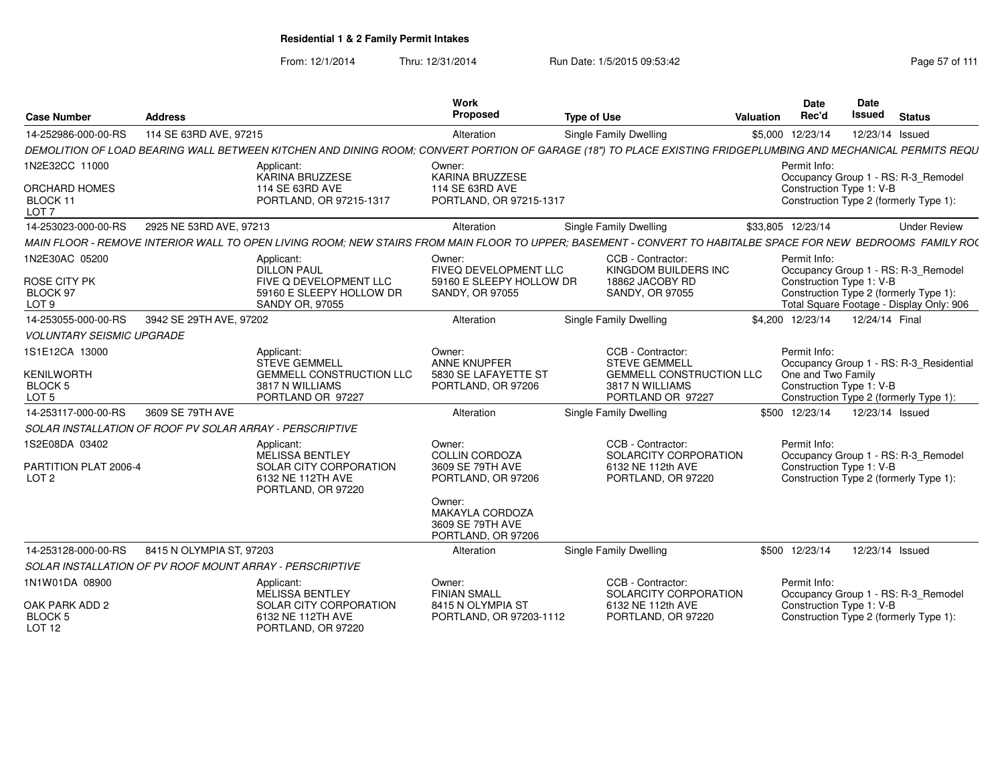| <b>Case Number</b>                                      | <b>Address</b>                                           |                                                                                                                                                                 | <b>Work</b><br>Proposed                                                    | <b>Type of Use</b> |                                                                         | Valuation | <b>Date</b><br>Rec'd                           | <b>Date</b><br><b>Issued</b> | <b>Status</b>                                                                      |
|---------------------------------------------------------|----------------------------------------------------------|-----------------------------------------------------------------------------------------------------------------------------------------------------------------|----------------------------------------------------------------------------|--------------------|-------------------------------------------------------------------------|-----------|------------------------------------------------|------------------------------|------------------------------------------------------------------------------------|
| 14-252986-000-00-RS                                     | 114 SE 63RD AVE, 97215                                   |                                                                                                                                                                 | Alteration                                                                 |                    | <b>Single Family Dwelling</b>                                           |           | \$5,000 12/23/14                               | 12/23/14 Issued              |                                                                                    |
|                                                         |                                                          | DEMOLITION OF LOAD BEARING WALL BETWEEN KITCHEN AND DINING ROOM; CONVERT PORTION OF GARAGE (18") TO PLACE EXISTING FRIDGEPLUMBING AND MECHANICAL PERMITS REQU   |                                                                            |                    |                                                                         |           |                                                |                              |                                                                                    |
| 1N2E32CC 11000                                          |                                                          | Applicant:<br>KARINA BRUZZESE                                                                                                                                   | Owner:<br><b>KARINA BRUZZESE</b>                                           |                    |                                                                         |           | Permit Info:                                   |                              | Occupancy Group 1 - RS: R-3_Remodel                                                |
| <b>ORCHARD HOMES</b><br>BLOCK 11<br>LOT <sub>7</sub>    |                                                          | 114 SE 63RD AVE<br>PORTLAND, OR 97215-1317                                                                                                                      | 114 SE 63RD AVE<br>PORTLAND, OR 97215-1317                                 |                    |                                                                         |           | Construction Type 1: V-B                       |                              | Construction Type 2 (formerly Type 1):                                             |
| 14-253023-000-00-RS                                     | 2925 NE 53RD AVE, 97213                                  |                                                                                                                                                                 | Alteration                                                                 |                    | Single Family Dwelling                                                  |           | \$33,805 12/23/14                              |                              | <b>Under Review</b>                                                                |
|                                                         |                                                          | MAIN FLOOR - REMOVE INTERIOR WALL TO OPEN LIVING ROOM: NEW STAIRS FROM MAIN FLOOR TO UPPER: BASEMENT - CONVERT TO HABITALBE SPACE FOR NEW  BEDROOMS  FAMILY RO( |                                                                            |                    |                                                                         |           |                                                |                              |                                                                                    |
| 1N2E30AC 05200                                          |                                                          | Applicant:<br><b>DILLON PAUL</b>                                                                                                                                | Owner:<br>FIVEQ DEVELOPMENT LLC                                            |                    | CCB - Contractor:<br>KINGDOM BUILDERS INC                               |           | Permit Info:                                   |                              | Occupancy Group 1 - RS: R-3_Remodel                                                |
| ROSE CITY PK<br>BLOCK 97<br>LOT <sub>9</sub>            |                                                          | FIVE Q DEVELOPMENT LLC<br>59160 E SLEEPY HOLLOW DR<br><b>SANDY OR, 97055</b>                                                                                    | 59160 E SLEEPY HOLLOW DR<br>SANDY, OR 97055                                |                    | 18862 JACOBY RD<br><b>SANDY, OR 97055</b>                               |           | Construction Type 1: V-B                       |                              | Construction Type 2 (formerly Type 1):<br>Total Square Footage - Display Only: 906 |
| 14-253055-000-00-RS                                     | 3942 SE 29TH AVE, 97202                                  |                                                                                                                                                                 | Alteration                                                                 |                    | <b>Single Family Dwelling</b>                                           |           | \$4.200 12/23/14                               | 12/24/14 Final               |                                                                                    |
| <b>VOLUNTARY SEISMIC UPGRADE</b>                        |                                                          |                                                                                                                                                                 |                                                                            |                    |                                                                         |           |                                                |                              |                                                                                    |
| 1S1E12CA 13000                                          |                                                          | Applicant:<br><b>STEVE GEMMELL</b>                                                                                                                              | Owner:<br><b>ANNE KNUPFER</b>                                              |                    | CCB - Contractor:<br><b>STEVE GEMMELL</b>                               |           | Permit Info:                                   |                              | Occupancy Group 1 - RS: R-3 Residential                                            |
| <b>KENILWORTH</b><br><b>BLOCK 5</b><br>LOT <sub>5</sub> |                                                          | <b>GEMMELL CONSTRUCTION LLC</b><br>3817 N WILLIAMS<br>PORTLAND OR 97227                                                                                         | 5830 SE LAFAYETTE ST<br>PORTLAND, OR 97206                                 |                    | <b>GEMMELL CONSTRUCTION LLC</b><br>3817 N WILLIAMS<br>PORTLAND OR 97227 |           | One and Two Family<br>Construction Type 1: V-B |                              | Construction Type 2 (formerly Type 1):                                             |
| 14-253117-000-00-RS                                     | 3609 SE 79TH AVE                                         |                                                                                                                                                                 | Alteration                                                                 |                    | Single Family Dwelling                                                  |           | \$500 12/23/14                                 | 12/23/14 Issued              |                                                                                    |
|                                                         | SOLAR INSTALLATION OF ROOF PV SOLAR ARRAY - PERSCRIPTIVE |                                                                                                                                                                 |                                                                            |                    |                                                                         |           |                                                |                              |                                                                                    |
| 1S2E08DA 03402                                          |                                                          | Applicant:<br>MELISSA BENTLEY                                                                                                                                   | Owner:<br><b>COLLIN CORDOZA</b>                                            |                    | CCB - Contractor:<br>SOLARCITY CORPORATION                              |           | Permit Info:                                   |                              | Occupancy Group 1 - RS: R-3_Remodel                                                |
| PARTITION PLAT 2006-4<br>LOT <sub>2</sub>               |                                                          | SOLAR CITY CORPORATION<br>6132 NE 112TH AVE<br>PORTLAND, OR 97220                                                                                               | 3609 SE 79TH AVE<br>PORTLAND, OR 97206                                     |                    | 6132 NE 112th AVE<br>PORTLAND, OR 97220                                 |           | Construction Type 1: V-B                       |                              | Construction Type 2 (formerly Type 1):                                             |
|                                                         |                                                          |                                                                                                                                                                 | Owner:<br><b>MAKAYLA CORDOZA</b><br>3609 SE 79TH AVE<br>PORTLAND, OR 97206 |                    |                                                                         |           |                                                |                              |                                                                                    |
| 14-253128-000-00-RS                                     | 8415 N OLYMPIA ST. 97203                                 |                                                                                                                                                                 | Alteration                                                                 |                    | <b>Single Family Dwelling</b>                                           |           | \$500 12/23/14                                 | 12/23/14 Issued              |                                                                                    |
|                                                         | SOLAR INSTALLATION OF PV ROOF MOUNT ARRAY - PERSCRIPTIVE |                                                                                                                                                                 |                                                                            |                    |                                                                         |           |                                                |                              |                                                                                    |
| 1N1W01DA 08900                                          |                                                          | Applicant:<br>MELISSA BENTLEY                                                                                                                                   | Owner:<br><b>FINIAN SMALL</b>                                              |                    | CCB - Contractor:<br>SOLARCITY CORPORATION                              |           | Permit Info:                                   |                              | Occupancy Group 1 - RS: R-3_Remodel                                                |
| OAK PARK ADD 2<br><b>BLOCK 5</b><br>LOT <sub>12</sub>   |                                                          | SOLAR CITY CORPORATION<br>6132 NE 112TH AVE<br>PORTLAND, OR 97220                                                                                               | 8415 N OLYMPIA ST<br>PORTLAND, OR 97203-1112                               |                    | 6132 NE 112th AVE<br>PORTLAND, OR 97220                                 |           | Construction Type 1: V-B                       |                              | Construction Type 2 (formerly Type 1):                                             |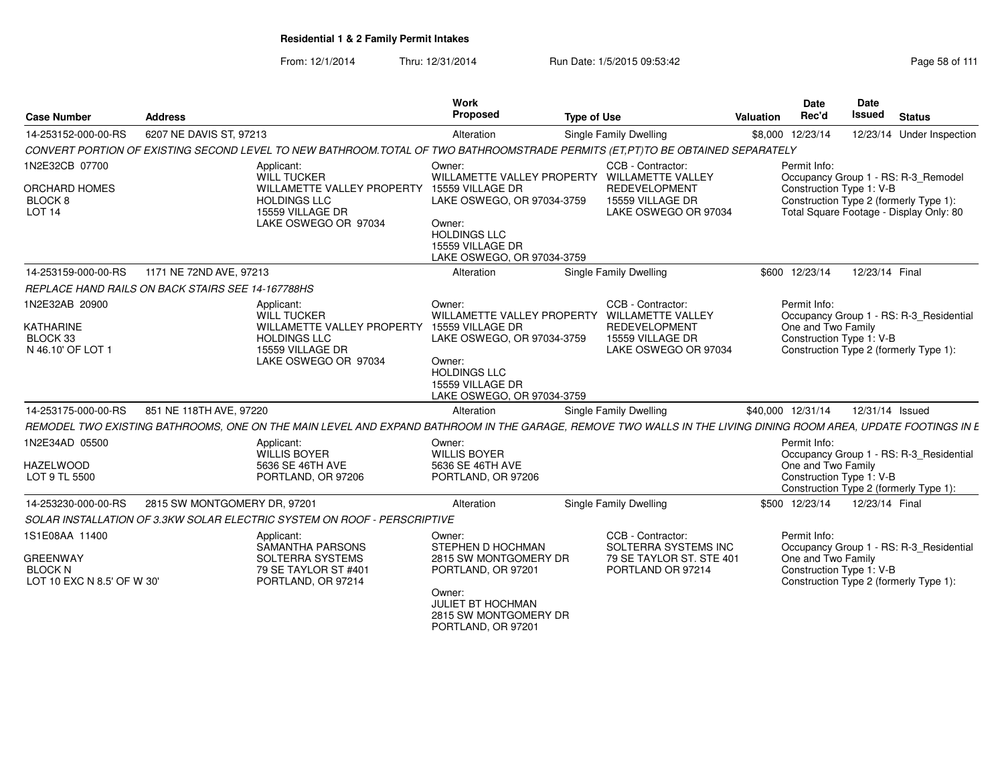From: 12/1/2014Thru: 12/31/2014 Run Date: 1/5/2015 09:53:42 Research 2010 12/31/2014 Page 58 of 111

| <b>Case Number</b>                                                                | <b>Address</b>                                                                                                                                                 | Work<br>Proposed                                                                                                                                                | <b>Type of Use</b>                                                                                                                    | Valuation | Date<br>Rec'd                      | Date<br>Issued<br><b>Status</b>                                                                                                                      |
|-----------------------------------------------------------------------------------|----------------------------------------------------------------------------------------------------------------------------------------------------------------|-----------------------------------------------------------------------------------------------------------------------------------------------------------------|---------------------------------------------------------------------------------------------------------------------------------------|-----------|------------------------------------|------------------------------------------------------------------------------------------------------------------------------------------------------|
| 14-253152-000-00-RS                                                               | 6207 NE DAVIS ST, 97213                                                                                                                                        | Alteration                                                                                                                                                      | Single Family Dwelling                                                                                                                |           | \$8,000 12/23/14                   | 12/23/14 Under Inspection                                                                                                                            |
|                                                                                   | CONVERT PORTION OF EXISTING SECOND LEVEL TO NEW BATHROOM.TOTAL OF TWO BATHROOMSTRADE PERMITS (ET,PT)TO BE OBTAINED SEPARATELY                                  |                                                                                                                                                                 |                                                                                                                                       |           |                                    |                                                                                                                                                      |
| 1N2E32CB 07700<br>ORCHARD HOMES<br>BLOCK <sub>8</sub><br><b>LOT 14</b>            | Applicant:<br>WILL TUCKER<br>WILLAMETTE VALLEY PROPERTY<br><b>HOLDINGS LLC</b><br>15559 VILLAGE DR<br>LAKE OSWEGO OR 97034                                     | Owner:<br>15559 VILLAGE DR<br>LAKE OSWEGO, OR 97034-3759<br>Owner:<br><b>HOLDINGS LLC</b><br>15559 VILLAGE DR<br>LAKE OSWEGO, OR 97034-3759                     | CCB - Contractor:<br>WILLAMETTE VALLEY PROPERTY WILLAMETTE VALLEY<br><b>REDEVELOPMENT</b><br>15559 VILLAGE DR<br>LAKE OSWEGO OR 97034 |           | Permit Info:                       | Occupancy Group 1 - RS: R-3_Remodel<br>Construction Type 1: V-B<br>Construction Type 2 (formerly Type 1):<br>Total Square Footage - Display Only: 80 |
| 14-253159-000-00-RS                                                               | 1171 NE 72ND AVE, 97213                                                                                                                                        | Alteration                                                                                                                                                      | Single Family Dwelling                                                                                                                |           | \$600 12/23/14                     | 12/23/14 Final                                                                                                                                       |
|                                                                                   | REPLACE HAND RAILS ON BACK STAIRS SEE 14-167788HS                                                                                                              |                                                                                                                                                                 |                                                                                                                                       |           |                                    |                                                                                                                                                      |
| 1N2E32AB 20900<br>KATHARINE<br>BLOCK 33<br>N 46.10' OF LOT 1                      | Applicant:<br>WILL TUCKER<br>WILLAMETTE VALLEY PROPERTY<br><b>HOLDINGS LLC</b><br>15559 VILLAGE DR<br>LAKE OSWEGO OR 97034                                     | Owner:<br>15559 VILLAGE DR<br>LAKE OSWEGO, OR 97034-3759<br>Owner:<br><b>HOLDINGS LLC</b><br>15559 VILLAGE DR<br>LAKE OSWEGO, OR 97034-3759                     | CCB - Contractor:<br>WILLAMETTE VALLEY PROPERTY WILLAMETTE VALLEY<br>REDEVELOPMENT<br>15559 VILLAGE DR<br>LAKE OSWEGO OR 97034        |           | Permit Info:<br>One and Two Family | Occupancy Group 1 - RS: R-3 Residential<br>Construction Type 1: V-B<br>Construction Type 2 (formerly Type 1):                                        |
| 14-253175-000-00-RS                                                               | 851 NE 118TH AVE, 97220                                                                                                                                        | Alteration                                                                                                                                                      | Single Family Dwelling                                                                                                                |           | \$40,000 12/31/14                  | 12/31/14 Issued                                                                                                                                      |
|                                                                                   | REMODEL TWO EXISTING BATHROOMS, ONE ON THE MAIN LEVEL AND EXPAND BATHROOM IN THE GARAGE, REMOVE TWO WALLS IN THE LIVING DINING ROOM AREA, UPDATE FOOTINGS IN E |                                                                                                                                                                 |                                                                                                                                       |           |                                    |                                                                                                                                                      |
| 1N2E34AD 05500<br><b>HAZELWOOD</b><br>LOT 9 TL 5500                               | Applicant:<br><b>WILLIS BOYER</b><br>5636 SE 46TH AVE<br>PORTLAND, OR 97206                                                                                    | Owner:<br><b>WILLIS BOYER</b><br>5636 SE 46TH AVE<br>PORTLAND, OR 97206                                                                                         |                                                                                                                                       |           | Permit Info:<br>One and Two Family | Occupancy Group 1 - RS: R-3_Residential<br>Construction Type 1: V-B<br>Construction Type 2 (formerly Type 1):                                        |
| 14-253230-000-00-RS                                                               | 2815 SW MONTGOMERY DR, 97201                                                                                                                                   | Alteration                                                                                                                                                      | Single Family Dwelling                                                                                                                |           | \$500 12/23/14                     | 12/23/14 Final                                                                                                                                       |
|                                                                                   | SOLAR INSTALLATION OF 3.3KW SOLAR ELECTRIC SYSTEM ON ROOF - PERSCRIPTIVE                                                                                       |                                                                                                                                                                 |                                                                                                                                       |           |                                    |                                                                                                                                                      |
| 1S1E08AA 11400<br><b>GREENWAY</b><br><b>BLOCK N</b><br>LOT 10 EXC N 8.5' OF W 30' | Applicant:<br><b>SAMANTHA PARSONS</b><br><b>SOLTERRA SYSTEMS</b><br>79 SE TAYLOR ST #401<br>PORTLAND, OR 97214                                                 | Owner:<br>STEPHEN D HOCHMAN<br>2815 SW MONTGOMERY DR<br>PORTLAND, OR 97201<br>Owner:<br><b>JULIET BT HOCHMAN</b><br>2815 SW MONTGOMERY DR<br>PORTLAND, OR 97201 | CCB - Contractor:<br>SOLTERRA SYSTEMS INC<br>79 SE TAYLOR ST. STE 401<br>PORTLAND OR 97214                                            |           | Permit Info:<br>One and Two Family | Occupancy Group 1 - RS: R-3_Residential<br>Construction Type 1: V-B<br>Construction Type 2 (formerly Type 1):                                        |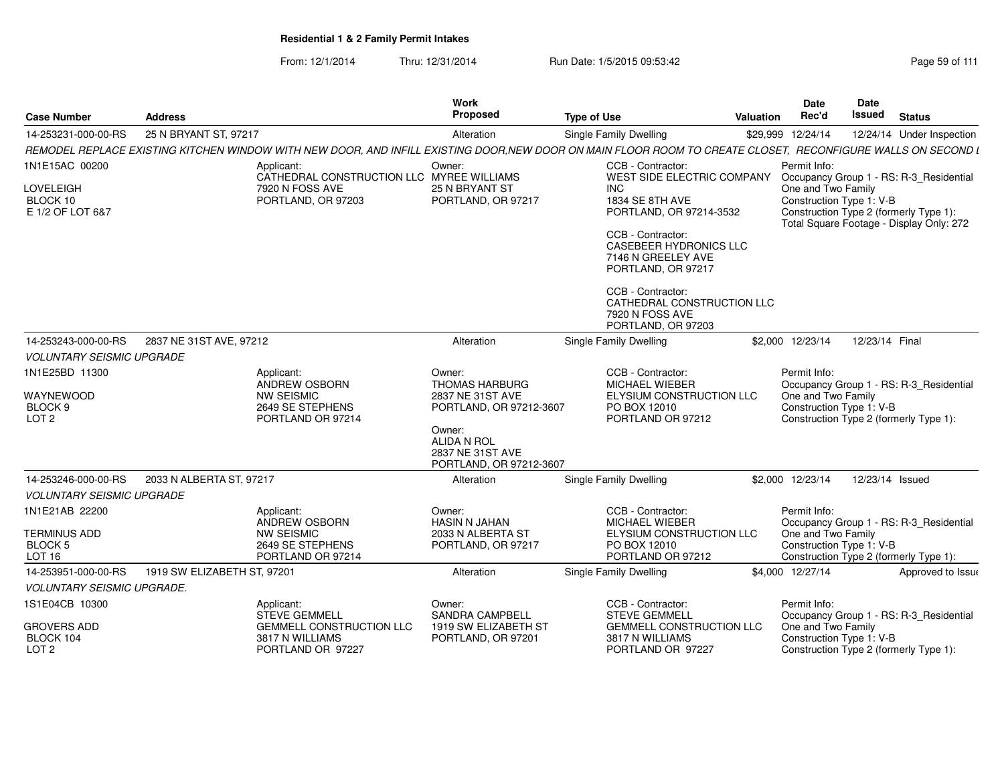From: 12/1/2014Thru: 12/31/2014 Run Date: 1/5/2015 09:53:42 Research 2010 12/31/2014 Page 59 of 111

| <b>Case Number</b>                                                    | <b>Address</b>              |                                                                                                                                                             | <b>Work</b><br>Proposed                                                        | <b>Type of Use</b>                                                                                          | <b>Valuation</b> | <b>Date</b><br>Rec'd                                           | <b>Date</b><br>Issued | <b>Status</b>                                                                                                                 |
|-----------------------------------------------------------------------|-----------------------------|-------------------------------------------------------------------------------------------------------------------------------------------------------------|--------------------------------------------------------------------------------|-------------------------------------------------------------------------------------------------------------|------------------|----------------------------------------------------------------|-----------------------|-------------------------------------------------------------------------------------------------------------------------------|
| 14-253231-000-00-RS                                                   | 25 N BRYANT ST, 97217       |                                                                                                                                                             | Alteration                                                                     | Single Family Dwelling                                                                                      |                  | \$29,999 12/24/14                                              |                       | 12/24/14 Under Inspection                                                                                                     |
|                                                                       |                             | REMODEL REPLACE EXISTING KITCHEN WINDOW WITH NEW DOOR, AND INFILL EXISTING DOOR,NEW DOOR ON MAIN FLOOR ROOM TO CREATE CLOSET, RECONFIGURE WALLS ON SECOND L |                                                                                |                                                                                                             |                  |                                                                |                       |                                                                                                                               |
| 1N1E15AC 00200                                                        |                             | Applicant:                                                                                                                                                  | Owner:                                                                         | CCB - Contractor:                                                                                           |                  | Permit Info:                                                   |                       |                                                                                                                               |
| LOVELEIGH<br>BLOCK 10<br>E 1/2 OF LOT 6&7                             |                             | CATHEDRAL CONSTRUCTION LLC MYREE WILLIAMS<br>7920 N FOSS AVE<br>PORTLAND, OR 97203                                                                          | 25 N BRYANT ST<br>PORTLAND, OR 97217                                           | WEST SIDE ELECTRIC COMPANY<br>INC<br>1834 SE 8TH AVE<br>PORTLAND, OR 97214-3532<br>CCB - Contractor:        |                  | One and Two Family<br>Construction Type 1: V-B                 |                       | Occupancy Group 1 - RS: R-3_Residential<br>Construction Type 2 (formerly Type 1):<br>Total Square Footage - Display Only: 272 |
|                                                                       |                             |                                                                                                                                                             |                                                                                | <b>CASEBEER HYDRONICS LLC</b><br>7146 N GREELEY AVE<br>PORTLAND, OR 97217                                   |                  |                                                                |                       |                                                                                                                               |
|                                                                       |                             |                                                                                                                                                             |                                                                                | CCB - Contractor:<br>CATHEDRAL CONSTRUCTION LLC<br>7920 N FOSS AVE<br>PORTLAND, OR 97203                    |                  |                                                                |                       |                                                                                                                               |
| 14-253243-000-00-RS                                                   | 2837 NE 31ST AVE, 97212     |                                                                                                                                                             | Alteration                                                                     | Single Family Dwelling                                                                                      |                  | \$2,000 12/23/14                                               | 12/23/14 Final        |                                                                                                                               |
| <b>VOLUNTARY SEISMIC UPGRADE</b>                                      |                             |                                                                                                                                                             |                                                                                |                                                                                                             |                  |                                                                |                       |                                                                                                                               |
| 1N1E25BD 11300<br>WAYNEWOOD<br>BLOCK <sub>9</sub><br>LOT <sub>2</sub> |                             | Applicant:<br>ANDREW OSBORN<br><b>NW SEISMIC</b><br>2649 SE STEPHENS<br>PORTLAND OR 97214                                                                   | Owner:<br><b>THOMAS HARBURG</b><br>2837 NE 31ST AVE<br>PORTLAND, OR 97212-3607 | CCB - Contractor:<br><b>MICHAEL WIEBER</b><br>ELYSIUM CONSTRUCTION LLC<br>PO BOX 12010<br>PORTLAND OR 97212 |                  | Permit Info:<br>One and Two Family<br>Construction Type 1: V-B |                       | Occupancy Group 1 - RS: R-3_Residential<br>Construction Type 2 (formerly Type 1):                                             |
|                                                                       |                             |                                                                                                                                                             | Owner:<br>ALIDA N ROL<br>2837 NE 31ST AVE<br>PORTLAND, OR 97212-3607           |                                                                                                             |                  |                                                                |                       |                                                                                                                               |
| 14-253246-000-00-RS                                                   | 2033 N ALBERTA ST, 97217    |                                                                                                                                                             | Alteration                                                                     | Single Family Dwelling                                                                                      |                  | \$2,000 12/23/14                                               | 12/23/14 Issued       |                                                                                                                               |
| <b>VOLUNTARY SEISMIC UPGRADE</b>                                      |                             |                                                                                                                                                             |                                                                                |                                                                                                             |                  |                                                                |                       |                                                                                                                               |
| 1N1E21AB 22200                                                        |                             | Applicant:                                                                                                                                                  | Owner:                                                                         | CCB - Contractor:                                                                                           |                  | Permit Info:                                                   |                       |                                                                                                                               |
| <b>TERMINUS ADD</b>                                                   |                             | <b>ANDREW OSBORN</b><br><b>NW SEISMIC</b>                                                                                                                   | <b>HASIN N JAHAN</b><br>2033 N ALBERTA ST                                      | MICHAEL WIEBER<br>ELYSIUM CONSTRUCTION LLC                                                                  |                  | One and Two Family                                             |                       | Occupancy Group 1 - RS: R-3 Residential                                                                                       |
| <b>BLOCK 5</b><br>LOT <sub>16</sub>                                   |                             | 2649 SE STEPHENS<br>PORTLAND OR 97214                                                                                                                       | PORTLAND, OR 97217                                                             | PO BOX 12010<br>PORTLAND OR 97212                                                                           |                  | Construction Type 1: V-B                                       |                       | Construction Type 2 (formerly Type 1):                                                                                        |
| 14-253951-000-00-RS                                                   | 1919 SW ELIZABETH ST, 97201 |                                                                                                                                                             | Alteration                                                                     | Single Family Dwelling                                                                                      |                  | \$4.000 12/27/14                                               |                       | Approved to Issue                                                                                                             |
| <b>VOLUNTARY SEISMIC UPGRADE.</b>                                     |                             |                                                                                                                                                             |                                                                                |                                                                                                             |                  |                                                                |                       |                                                                                                                               |
| 1S1E04CB 10300                                                        |                             | Applicant:                                                                                                                                                  | Owner:                                                                         | CCB - Contractor:                                                                                           |                  | Permit Info:                                                   |                       |                                                                                                                               |
| GROVERS ADD<br>BLOCK 104<br>LOT <sub>2</sub>                          |                             | <b>STEVE GEMMELL</b><br><b>GEMMELL CONSTRUCTION LLC</b><br>3817 N WILLIAMS<br>PORTLAND OR 97227                                                             | <b>SANDRA CAMPBELL</b><br>1919 SW ELIZABETH ST<br>PORTLAND, OR 97201           | <b>STEVE GEMMELL</b><br><b>GEMMELL CONSTRUCTION LLC</b><br>3817 N WILLIAMS<br>PORTLAND OR 97227             |                  | One and Two Family<br>Construction Type 1: V-B                 |                       | Occupancy Group 1 - RS: R-3_Residential<br>Construction Type 2 (formerly Type 1):                                             |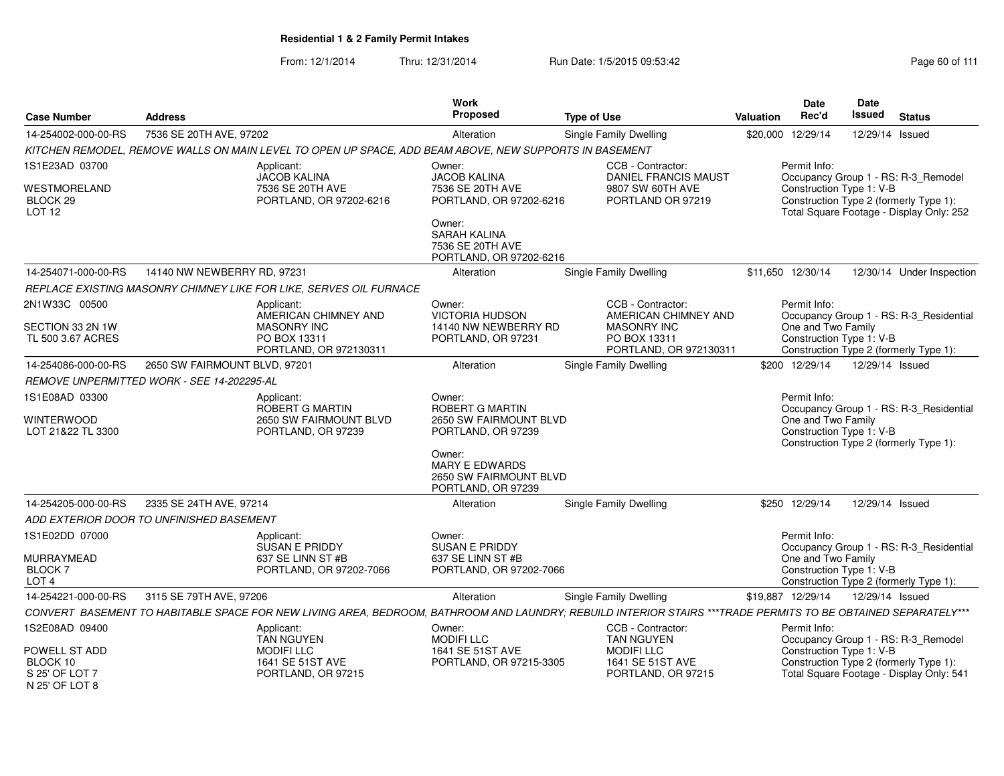| <b>Case Number</b>                                            | <b>Address</b>                             |                                                                                                                                                               | Work<br><b>Proposed</b>                                                                                                     | <b>Type of Use</b>                                                                                        | <b>Date</b><br>Rec'd<br><b>Valuation</b> | Date<br><b>Issued</b><br><b>Status</b>                                                                         |
|---------------------------------------------------------------|--------------------------------------------|---------------------------------------------------------------------------------------------------------------------------------------------------------------|-----------------------------------------------------------------------------------------------------------------------------|-----------------------------------------------------------------------------------------------------------|------------------------------------------|----------------------------------------------------------------------------------------------------------------|
| 14-254002-000-00-RS                                           | 7536 SE 20TH AVE, 97202                    |                                                                                                                                                               | Alteration                                                                                                                  | Single Family Dwelling                                                                                    | \$20,000 12/29/14                        | 12/29/14 Issued                                                                                                |
|                                                               |                                            | KITCHEN REMODEL, REMOVE WALLS ON MAIN LEVEL TO OPEN UP SPACE, ADD BEAM ABOVE, NEW SUPPORTS IN BASEMENT                                                        |                                                                                                                             |                                                                                                           |                                          |                                                                                                                |
| 1S1E23AD 03700                                                |                                            | Applicant:<br><b>JACOB KALINA</b>                                                                                                                             | Owner:<br><b>JACOB KALINA</b>                                                                                               | CCB - Contractor:<br><b>DANIEL FRANCIS MAUST</b>                                                          | Permit Info:                             | Occupancy Group 1 - RS: R-3_Remodel                                                                            |
| WESTMORELAND<br>BLOCK 29<br>LOT <sub>12</sub>                 |                                            | 7536 SE 20TH AVE<br>PORTLAND, OR 97202-6216                                                                                                                   | 7536 SE 20TH AVE<br>PORTLAND, OR 97202-6216<br>Owner:<br><b>SARAH KALINA</b><br>7536 SE 20TH AVE<br>PORTLAND, OR 97202-6216 | 9807 SW 60TH AVE<br>PORTLAND OR 97219                                                                     |                                          | Construction Type 1: V-B<br>Construction Type 2 (formerly Type 1):<br>Total Square Footage - Display Only: 252 |
| 14-254071-000-00-RS                                           | 14140 NW NEWBERRY RD, 97231                |                                                                                                                                                               | Alteration                                                                                                                  | <b>Single Family Dwelling</b>                                                                             | \$11,650 12/30/14                        | 12/30/14 Under Inspection                                                                                      |
|                                                               |                                            | REPLACE EXISTING MASONRY CHIMNEY LIKE FOR LIKE, SERVES OIL FURNACE                                                                                            |                                                                                                                             |                                                                                                           |                                          |                                                                                                                |
| 2N1W33C 00500<br>SECTION 33 2N 1W<br>TL 500 3.67 ACRES        |                                            | Applicant:<br>AMERICAN CHIMNEY AND<br><b>MASONRY INC</b><br>PO BOX 13311<br>PORTLAND, OR 972130311                                                            | Owner:<br><b>VICTORIA HUDSON</b><br>14140 NW NEWBERRY RD<br>PORTLAND, OR 97231                                              | CCB - Contractor:<br>AMERICAN CHIMNEY AND<br><b>MASONRY INC</b><br>PO BOX 13311<br>PORTLAND, OR 972130311 | Permit Info:<br>One and Two Family       | Occupancy Group 1 - RS: R-3_Residential<br>Construction Type 1: V-B<br>Construction Type 2 (formerly Type 1):  |
| 14-254086-000-00-RS                                           | 2650 SW FAIRMOUNT BLVD, 97201              |                                                                                                                                                               | Alteration                                                                                                                  | Single Family Dwelling                                                                                    | \$200 12/29/14                           | 12/29/14 Issued                                                                                                |
|                                                               | REMOVE UNPERMITTED WORK - SEE 14-202295-AL |                                                                                                                                                               |                                                                                                                             |                                                                                                           |                                          |                                                                                                                |
| 1S1E08AD 03300<br><b>WINTERWOOD</b><br>LOT 21&22 TL 3300      |                                            | Applicant:<br>ROBERT G MARTIN<br>2650 SW FAIRMOUNT BLVD<br>PORTLAND, OR 97239                                                                                 | Owner:<br><b>ROBERT G MARTIN</b><br>2650 SW FAIRMOUNT BLVD<br>PORTLAND, OR 97239                                            |                                                                                                           | Permit Info:<br>One and Two Family       | Occupancy Group 1 - RS: R-3_Residential<br>Construction Type 1: V-B<br>Construction Type 2 (formerly Type 1):  |
|                                                               |                                            |                                                                                                                                                               | Owner:<br><b>MARY E EDWARDS</b><br>2650 SW FAIRMOUNT BLVD<br>PORTLAND, OR 97239                                             |                                                                                                           |                                          |                                                                                                                |
| 14-254205-000-00-RS                                           | 2335 SE 24TH AVE, 97214                    |                                                                                                                                                               | Alteration                                                                                                                  | Single Family Dwelling                                                                                    | \$250 12/29/14                           | 12/29/14 Issued                                                                                                |
|                                                               | ADD EXTERIOR DOOR TO UNFINISHED BASEMENT   |                                                                                                                                                               |                                                                                                                             |                                                                                                           |                                          |                                                                                                                |
| 1S1E02DD 07000                                                |                                            | Applicant:<br>SUSAN E PRIDDY                                                                                                                                  | Owner:<br>SUSAN E PRIDDY                                                                                                    |                                                                                                           | Permit Info:                             | Occupancy Group 1 - RS: R-3_Residential                                                                        |
| MURRAYMEAD<br>BLOCK <sub>7</sub><br>LOT <sub>4</sub>          |                                            | 637 SE LINN ST #B<br>PORTLAND, OR 97202-7066                                                                                                                  | 637 SE LINN ST #B<br>PORTLAND, OR 97202-7066                                                                                |                                                                                                           | One and Two Family                       | Construction Type 1: V-B<br>Construction Type 2 (formerly Type 1):                                             |
| 14-254221-000-00-RS                                           | 3115 SE 79TH AVE, 97206                    |                                                                                                                                                               | Alteration                                                                                                                  | <b>Single Family Dwelling</b>                                                                             | \$19,887 12/29/14                        | 12/29/14 Issued                                                                                                |
|                                                               |                                            | CONVERT BASEMENT TO HABITABLE SPACE FOR NEW LIVING AREA, BEDROOM, BATHROOM AND LAUNDRY; REBUILD INTERIOR STAIRS ***TRADE PERMITS TO BE OBTAINED SEPARATELY*** |                                                                                                                             |                                                                                                           |                                          |                                                                                                                |
| 1S2E08AD 09400                                                |                                            | Applicant:<br><b>TAN NGUYEN</b>                                                                                                                               | Owner:<br><b>MODIFILLC</b>                                                                                                  | CCB - Contractor:<br><b>TAN NGUYEN</b>                                                                    | Permit Info:                             | Occupancy Group 1 - RS: R-3_Remodel                                                                            |
| POWELL ST ADD<br>BLOCK 10<br>S 25' OF LOT 7<br>N 25' OF LOT 8 |                                            | <b>MODIFILLC</b><br>1641 SE 51ST AVE<br>PORTLAND, OR 97215                                                                                                    | 1641 SE 51ST AVE<br>PORTLAND, OR 97215-3305                                                                                 | <b>MODIFILLC</b><br>1641 SE 51ST AVE<br>PORTLAND, OR 97215                                                |                                          | Construction Type 1: V-B<br>Construction Type 2 (formerly Type 1):<br>Total Square Footage - Display Only: 541 |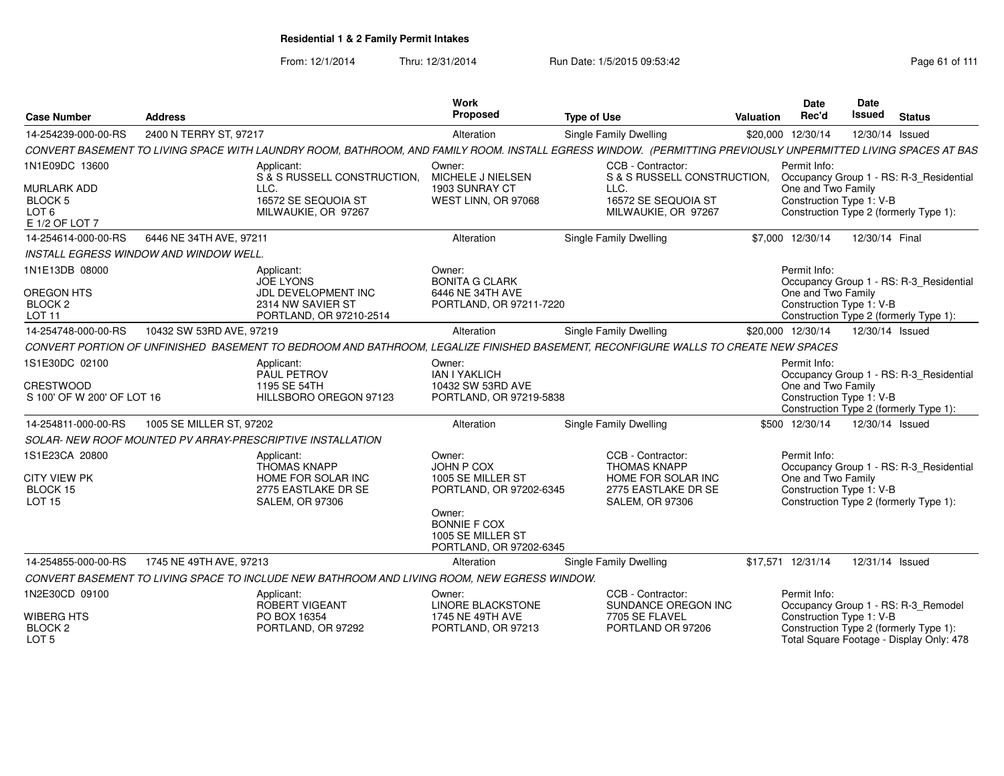| <b>Case Number</b><br><b>Address</b>                                       |                                               |                                                                                              | Work<br>Proposed                                                               | <b>Type of Use</b>                                                                                                                                            | Valuation | <b>Date</b><br>Rec'd                                           | <b>Date</b><br>Issued | <b>Status</b>                                                                      |
|----------------------------------------------------------------------------|-----------------------------------------------|----------------------------------------------------------------------------------------------|--------------------------------------------------------------------------------|---------------------------------------------------------------------------------------------------------------------------------------------------------------|-----------|----------------------------------------------------------------|-----------------------|------------------------------------------------------------------------------------|
| 2400 N TERRY ST, 97217<br>14-254239-000-00-RS                              |                                               | Alteration                                                                                   | Single Family Dwelling                                                         | \$20,000                                                                                                                                                      | 12/30/14  | 12/30/14 Issued                                                |                       |                                                                                    |
|                                                                            |                                               |                                                                                              |                                                                                | CONVERT BASEMENT TO LIVING SPACE WITH LAUNDRY ROOM, BATHROOM, AND FAMILY ROOM. INSTALL EGRESS WINDOW. (PERMITTING PREVIOUSLY UNPERMITTED LIVING SPACES AT BAS |           |                                                                |                       |                                                                                    |
| 1N1E09DC 13600                                                             |                                               | Applicant:<br>S & S RUSSELL CONSTRUCTION,                                                    | Owner:<br>MICHELE J NIELSEN                                                    | CCB - Contractor:<br>S & S RUSSELL CONSTRUCTION,                                                                                                              |           | Permit Info:                                                   |                       | Occupancy Group 1 - RS: R-3_Residential                                            |
| <b>MURLARK ADD</b><br><b>BLOCK 5</b><br>LOT <sub>6</sub><br>E 1/2 OF LOT 7 |                                               | LLC.<br>16572 SE SEQUOIA ST<br>MILWAUKIE, OR 97267                                           | 1903 SUNRAY CT<br>WEST LINN, OR 97068                                          | LLC.<br>16572 SE SEQUOIA ST<br>MILWAUKIE, OR 97267                                                                                                            |           | One and Two Family<br>Construction Type 1: V-B                 |                       | Construction Type 2 (formerly Type 1):                                             |
| 14-254614-000-00-RS                                                        | 6446 NE 34TH AVE, 97211                       |                                                                                              | Alteration                                                                     | Single Family Dwelling                                                                                                                                        |           | \$7,000 12/30/14                                               | 12/30/14 Final        |                                                                                    |
|                                                                            | <b>INSTALL EGRESS WINDOW AND WINDOW WELL.</b> |                                                                                              |                                                                                |                                                                                                                                                               |           |                                                                |                       |                                                                                    |
| 1N1E13DB 08000<br><b>OREGON HTS</b>                                        |                                               | Applicant:<br><b>JOE LYONS</b><br>JDL DEVELOPMENT INC                                        | Owner:<br><b>BONITA G CLARK</b><br>6446 NE 34TH AVE                            |                                                                                                                                                               |           | Permit Info:<br>One and Two Family                             |                       | Occupancy Group 1 - RS: R-3_Residential                                            |
| BLOCK <sub>2</sub><br>LOT 11                                               |                                               | 2314 NW SAVIER ST<br>PORTLAND, OR 97210-2514                                                 | PORTLAND, OR 97211-7220                                                        |                                                                                                                                                               |           | Construction Type 1: V-B                                       |                       | Construction Type 2 (formerly Type 1):                                             |
| 14-254748-000-00-RS                                                        | 10432 SW 53RD AVE, 97219                      |                                                                                              | Alteration                                                                     | Single Family Dwelling                                                                                                                                        |           | \$20,000 12/30/14                                              | 12/30/14 Issued       |                                                                                    |
|                                                                            |                                               |                                                                                              |                                                                                | CONVERT PORTION OF UNFINISHED BASEMENT TO BEDROOM AND BATHROOM, LEGALIZE FINISHED BASEMENT, RECONFIGURE WALLS TO CREATE NEW SPACES                            |           |                                                                |                       |                                                                                    |
| 1S1E30DC 02100<br><b>CRESTWOOD</b><br>S 100' OF W 200' OF LOT 16           |                                               | Applicant:<br>PAUL PETROV<br>1195 SE 54TH<br>HILLSBORO OREGON 97123                          | Owner:<br><b>IAN I YAKLICH</b><br>10432 SW 53RD AVE<br>PORTLAND, OR 97219-5838 |                                                                                                                                                               |           | Permit Info:<br>One and Two Family<br>Construction Type 1: V-B |                       | Occupancy Group 1 - RS: R-3_Residential                                            |
|                                                                            |                                               |                                                                                              |                                                                                |                                                                                                                                                               |           |                                                                |                       | Construction Type 2 (formerly Type 1):                                             |
| 14-254811-000-00-RS                                                        | 1005 SE MILLER ST, 97202                      |                                                                                              | Alteration                                                                     | Single Family Dwelling                                                                                                                                        |           | \$500 12/30/14                                                 | 12/30/14 Issued       |                                                                                    |
|                                                                            |                                               | SOLAR- NEW ROOF MOUNTED PV ARRAY-PRESCRIPTIVE INSTALLATION                                   |                                                                                |                                                                                                                                                               |           |                                                                |                       |                                                                                    |
| 1S1E23CA 20800<br><b>CITY VIEW PK</b>                                      |                                               | Applicant:<br><b>THOMAS KNAPP</b><br>HOME FOR SOLAR INC                                      | Owner:<br>JOHN P COX<br>1005 SE MILLER ST                                      | CCB - Contractor:<br><b>THOMAS KNAPP</b><br>HOME FOR SOLAR INC                                                                                                |           | Permit Info:<br>One and Two Family                             |                       | Occupancy Group 1 - RS: R-3_Residential                                            |
| BLOCK 15<br><b>LOT 15</b>                                                  |                                               | 2775 EASTLAKE DR SE<br><b>SALEM, OR 97306</b>                                                | PORTLAND, OR 97202-6345<br>Owner:<br><b>BONNIE F COX</b>                       | 2775 EASTLAKE DR SE<br><b>SALEM, OR 97306</b>                                                                                                                 |           | Construction Type 1: V-B                                       |                       | Construction Type 2 (formerly Type 1):                                             |
|                                                                            |                                               |                                                                                              | 1005 SE MILLER ST<br>PORTLAND, OR 97202-6345                                   |                                                                                                                                                               |           |                                                                |                       |                                                                                    |
| 14-254855-000-00-RS                                                        | 1745 NE 49TH AVE, 97213                       |                                                                                              | Alteration                                                                     | Single Family Dwelling                                                                                                                                        |           | \$17,571 12/31/14                                              | 12/31/14 Issued       |                                                                                    |
|                                                                            |                                               | CONVERT BASEMENT TO LIVING SPACE TO INCLUDE NEW BATHROOM AND LIVING ROOM, NEW EGRESS WINDOW. |                                                                                |                                                                                                                                                               |           |                                                                |                       |                                                                                    |
| 1N2E30CD 09100                                                             |                                               | Applicant:<br>ROBERT VIGEANT                                                                 | Owner:<br><b>LINORE BLACKSTONE</b>                                             | CCB - Contractor:<br>SUNDANCE OREGON INC                                                                                                                      |           | Permit Info:                                                   |                       | Occupancy Group 1 - RS: R-3_Remodel                                                |
| <b>WIBERG HTS</b><br>BLOCK <sub>2</sub><br>LOT <sub>5</sub>                |                                               | PO BOX 16354<br>PORTLAND, OR 97292                                                           | 1745 NE 49TH AVE<br>PORTLAND, OR 97213                                         | 7705 SE FLAVEL<br>PORTLAND OR 97206                                                                                                                           |           | Construction Type 1: V-B                                       |                       | Construction Type 2 (formerly Type 1):<br>Total Square Footage - Display Only: 478 |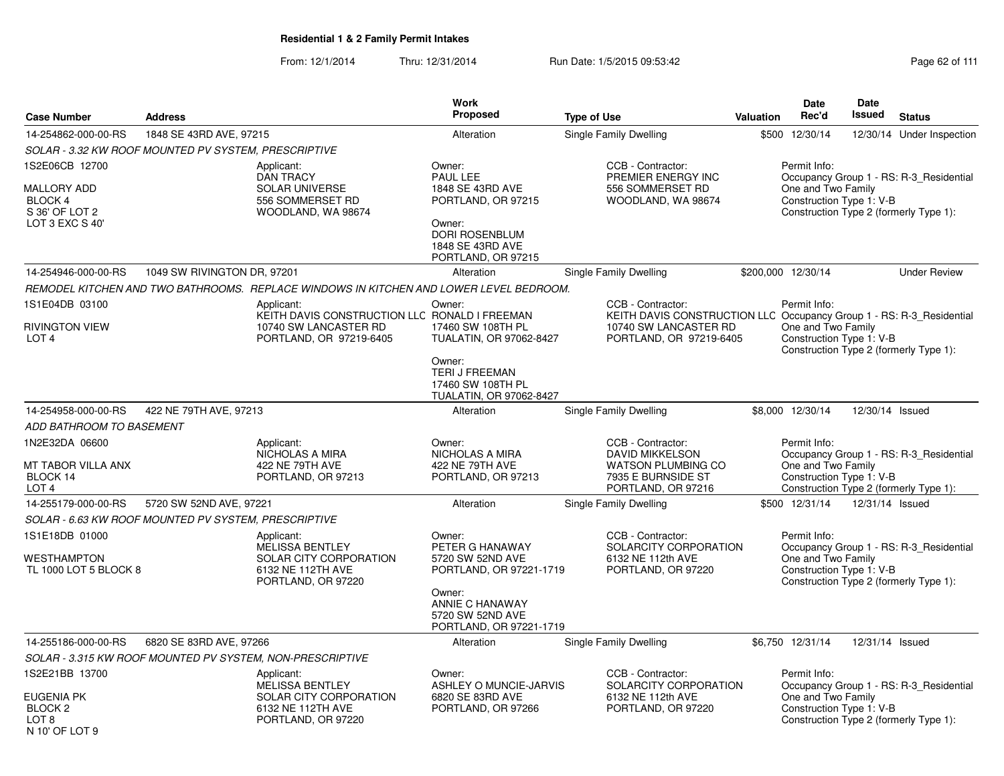|                                                                                                 |                             |                                                                                                           | <b>Work</b>                                                                                                                                          |                                                                                                                          |                  | <b>Date</b>                                                    | <b>Date</b>     |                                                                                   |
|-------------------------------------------------------------------------------------------------|-----------------------------|-----------------------------------------------------------------------------------------------------------|------------------------------------------------------------------------------------------------------------------------------------------------------|--------------------------------------------------------------------------------------------------------------------------|------------------|----------------------------------------------------------------|-----------------|-----------------------------------------------------------------------------------|
| <b>Case Number</b>                                                                              | <b>Address</b>              |                                                                                                           | Proposed                                                                                                                                             | <b>Type of Use</b>                                                                                                       | <b>Valuation</b> | Rec'd                                                          | <b>Issued</b>   | <b>Status</b>                                                                     |
| 14-254862-000-00-RS                                                                             | 1848 SE 43RD AVE, 97215     |                                                                                                           | Alteration                                                                                                                                           | Single Family Dwelling                                                                                                   |                  | \$500 12/30/14                                                 | 12/30/14        | Under Inspection                                                                  |
| SOLAR - 3.32 KW ROOF MOUNTED PV SYSTEM, PRESCRIPTIVE                                            |                             |                                                                                                           |                                                                                                                                                      |                                                                                                                          |                  |                                                                |                 |                                                                                   |
| 1S2E06CB 12700<br>MALLORY ADD<br>BLOCK 4<br>S 36' OF LOT 2<br>LOT 3 EXC S 40'                   |                             | Applicant:<br><b>DAN TRACY</b><br><b>SOLAR UNIVERSE</b><br>556 SOMMERSET RD<br>WOODLAND, WA 98674         | Owner:<br>PAUL LEE<br>1848 SE 43RD AVE<br>PORTLAND, OR 97215<br>Owner:<br>DORI ROSENBLUM<br>1848 SE 43RD AVE<br>PORTLAND, OR 97215                   | CCB - Contractor:<br>PREMIER ENERGY INC<br>556 SOMMERSET RD<br>WOODLAND, WA 98674                                        |                  | Permit Info:<br>One and Two Family<br>Construction Type 1: V-B |                 | Occupancy Group 1 - RS: R-3 Residential<br>Construction Type 2 (formerly Type 1): |
| 14-254946-000-00-RS                                                                             | 1049 SW RIVINGTON DR, 97201 |                                                                                                           | Alteration                                                                                                                                           | Single Family Dwelling                                                                                                   |                  | \$200,000 12/30/14                                             |                 | <b>Under Review</b>                                                               |
|                                                                                                 |                             | REMODEL KITCHEN AND TWO BATHROOMS.  REPLACE WINDOWS IN KITCHEN AND LOWER LEVEL BEDROOM.                   |                                                                                                                                                      |                                                                                                                          |                  |                                                                |                 |                                                                                   |
| 1S1E04DB 03100                                                                                  |                             | Applicant:                                                                                                | Owner:                                                                                                                                               | CCB - Contractor:                                                                                                        |                  | Permit Info:                                                   |                 |                                                                                   |
| <b>RIVINGTON VIEW</b><br>LOT <sub>4</sub>                                                       |                             | KEITH DAVIS CONSTRUCTION LLC RONALD I FREEMAN<br>10740 SW LANCASTER RD<br>PORTLAND, OR 97219-6405         | 17460 SW 108TH PL<br><b>TUALATIN, OR 97062-8427</b><br>Owner:<br>TERI J FREEMAN<br>17460 SW 108TH PL                                                 | KEITH DAVIS CONSTRUCTION LLC Occupancy Group 1 - RS: R-3 Residential<br>10740 SW LANCASTER RD<br>PORTLAND, OR 97219-6405 |                  | One and Two Family<br>Construction Type 1: V-B                 |                 | Construction Type 2 (formerly Type 1):                                            |
|                                                                                                 |                             |                                                                                                           | <b>TUALATIN, OR 97062-8427</b>                                                                                                                       |                                                                                                                          |                  |                                                                |                 |                                                                                   |
| 14-254958-000-00-RS                                                                             | 422 NE 79TH AVE, 97213      |                                                                                                           | Alteration                                                                                                                                           | <b>Single Family Dwelling</b>                                                                                            |                  | \$8,000 12/30/14                                               | 12/30/14 Issued |                                                                                   |
| ADD BATHROOM TO BASEMENT                                                                        |                             |                                                                                                           |                                                                                                                                                      |                                                                                                                          |                  |                                                                |                 |                                                                                   |
| 1N2E32DA 06600<br>MT TABOR VILLA ANX<br>BLOCK 14<br>LOT <sub>4</sub>                            |                             | Applicant:<br>NICHOLAS A MIRA<br>422 NE 79TH AVE<br>PORTLAND, OR 97213                                    | Owner:<br>NICHOLAS A MIRA<br>422 NE 79TH AVE<br>PORTLAND, OR 97213                                                                                   | CCB - Contractor:<br><b>DAVID MIKKELSON</b><br><b>WATSON PLUMBING CO</b><br>7935 E BURNSIDE ST<br>PORTLAND, OR 97216     |                  | Permit Info:<br>One and Two Family<br>Construction Type 1: V-B |                 | Occupancy Group 1 - RS: R-3 Residential<br>Construction Type 2 (formerly Type 1): |
| 14-255179-000-00-RS                                                                             | 5720 SW 52ND AVE, 97221     |                                                                                                           | Alteration                                                                                                                                           | Single Family Dwelling                                                                                                   |                  | \$500 12/31/14                                                 | 12/31/14 Issued |                                                                                   |
| SOLAR - 6.63 KW ROOF MOUNTED PV SYSTEM, PRESCRIPTIVE                                            |                             |                                                                                                           |                                                                                                                                                      |                                                                                                                          |                  |                                                                |                 |                                                                                   |
| 1S1E18DB 01000<br>WESTHAMPTON<br>TL 1000 LOT 5 BLOCK 8                                          |                             | Applicant:<br><b>MELISSA BENTLEY</b><br>SOLAR CITY CORPORATION<br>6132 NE 112TH AVE<br>PORTLAND, OR 97220 | Owner:<br>PETER G HANAWAY<br>5720 SW 52ND AVE<br>PORTLAND, OR 97221-1719<br>Owner:<br>ANNIE C HANAWAY<br>5720 SW 52ND AVE<br>PORTLAND, OR 97221-1719 | CCB - Contractor:<br>SOLARCITY CORPORATION<br>6132 NE 112th AVE<br>PORTLAND, OR 97220                                    |                  | Permit Info:<br>One and Two Family<br>Construction Type 1: V-B |                 | Occupancy Group 1 - RS: R-3_Residential<br>Construction Type 2 (formerly Type 1): |
| 14-255186-000-00-RS                                                                             | 6820 SE 83RD AVE, 97266     |                                                                                                           | Alteration                                                                                                                                           | Single Family Dwelling                                                                                                   |                  | \$6,750 12/31/14                                               | 12/31/14 Issued |                                                                                   |
|                                                                                                 |                             | SOLAR - 3.315 KW ROOF MOUNTED PV SYSTEM, NON-PRESCRIPTIVE                                                 |                                                                                                                                                      |                                                                                                                          |                  |                                                                |                 |                                                                                   |
| 1S2E21BB 13700<br><b>EUGENIA PK</b><br>BLOCK <sub>2</sub><br>LOT <sub>8</sub><br>N 10' OF LOT 9 |                             | Applicant:<br><b>MELISSA BENTLEY</b><br>SOLAR CITY CORPORATION<br>6132 NE 112TH AVE<br>PORTLAND, OR 97220 | Owner:<br>ASHLEY O MUNCIE-JARVIS<br>6820 SE 83RD AVE<br>PORTLAND, OR 97266                                                                           | CCB - Contractor:<br>SOLARCITY CORPORATION<br>6132 NE 112th AVE<br>PORTLAND, OR 97220                                    |                  | Permit Info:<br>One and Two Family<br>Construction Type 1: V-B |                 | Occupancy Group 1 - RS: R-3_Residential<br>Construction Type 2 (formerly Type 1): |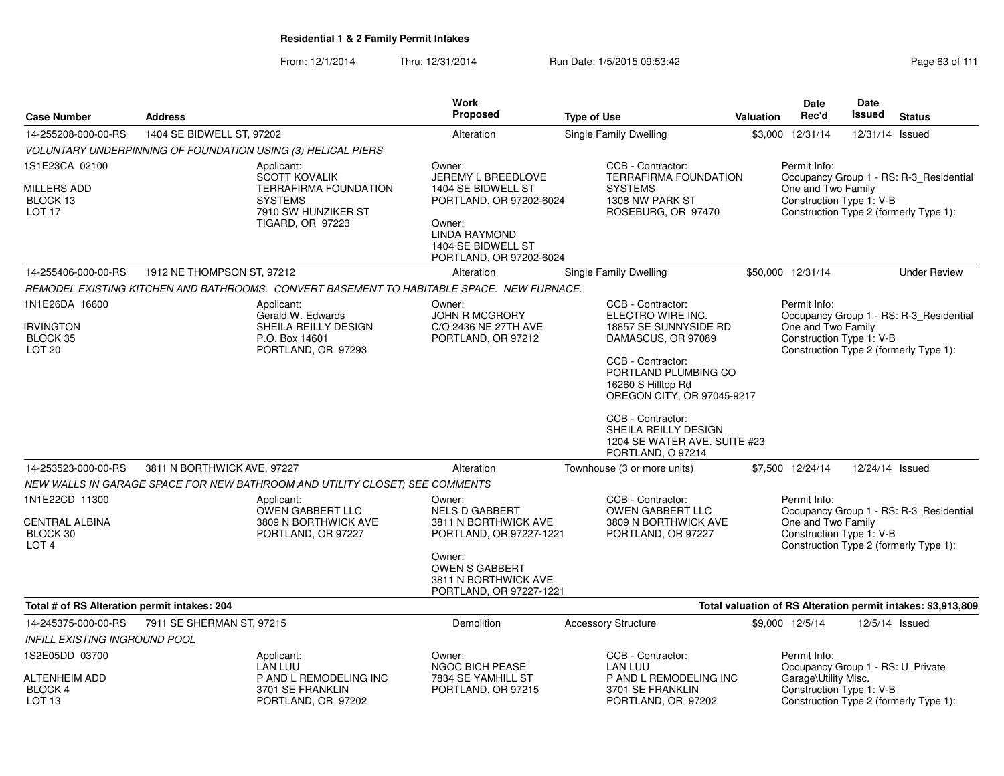From: 12/1/2014Thru: 12/31/2014 Run Date: 1/5/2015 09:53:42 Research 2010 12/31/2014 Page 63 of 111

| <b>Case Number</b>                                                            | <b>Address</b>              |                                                                                                                                        | <b>Work</b><br>Proposed                                                                                                                                                  | <b>Type of Use</b>                                                                                                                                                                                                                                                                       | Valuation | <b>Date</b><br>Rec'd                                                                                  | <b>Date</b><br>Issued | <b>Status</b>                                                                     |
|-------------------------------------------------------------------------------|-----------------------------|----------------------------------------------------------------------------------------------------------------------------------------|--------------------------------------------------------------------------------------------------------------------------------------------------------------------------|------------------------------------------------------------------------------------------------------------------------------------------------------------------------------------------------------------------------------------------------------------------------------------------|-----------|-------------------------------------------------------------------------------------------------------|-----------------------|-----------------------------------------------------------------------------------|
| 14-255208-000-00-RS                                                           | 1404 SE BIDWELL ST, 97202   |                                                                                                                                        | Alteration                                                                                                                                                               | Single Family Dwelling                                                                                                                                                                                                                                                                   |           | \$3,000 12/31/14                                                                                      | 12/31/14              | Issued                                                                            |
|                                                                               |                             | VOLUNTARY UNDERPINNING OF FOUNDATION USING (3) HELICAL PIERS                                                                           |                                                                                                                                                                          |                                                                                                                                                                                                                                                                                          |           |                                                                                                       |                       |                                                                                   |
| 1S1E23CA 02100<br><b>MILLERS ADD</b><br>BLOCK 13<br>LOT <sub>17</sub>         |                             | Applicant:<br><b>SCOTT KOVALIK</b><br><b>TERRAFIRMA FOUNDATION</b><br><b>SYSTEMS</b><br>7910 SW HUNZIKER ST<br><b>TIGARD, OR 97223</b> | Owner:<br>JEREMY L BREEDLOVE<br>1404 SE BIDWELL ST<br>PORTLAND, OR 97202-6024<br>Owner:<br><b>LINDA RAYMOND</b><br>1404 SE BIDWELL ST<br>PORTLAND, OR 97202-6024         | CCB - Contractor:<br><b>TERRAFIRMA FOUNDATION</b><br><b>SYSTEMS</b><br>1308 NW PARK ST<br>ROSEBURG, OR 97470                                                                                                                                                                             |           | Permit Info:<br>One and Two Family<br>Construction Type 1: V-B                                        |                       | Occupancy Group 1 - RS: R-3_Residential<br>Construction Type 2 (formerly Type 1): |
| 14-255406-000-00-RS                                                           | 1912 NE THOMPSON ST, 97212  |                                                                                                                                        | Alteration                                                                                                                                                               | <b>Single Family Dwelling</b>                                                                                                                                                                                                                                                            |           | \$50,000 12/31/14                                                                                     |                       | <b>Under Review</b>                                                               |
|                                                                               |                             | REMODEL EXISTING KITCHEN AND BATHROOMS. CONVERT BASEMENT TO HABITABLE SPACE. NEW FURNACE.                                              |                                                                                                                                                                          |                                                                                                                                                                                                                                                                                          |           |                                                                                                       |                       |                                                                                   |
| 1N1E26DA 16600<br><b>IRVINGTON</b><br>BLOCK 35<br>LOT <sub>20</sub>           |                             | Applicant:<br>Gerald W. Edwards<br>SHEILA REILLY DESIGN<br>P.O. Box 14601<br>PORTLAND, OR 97293                                        | Owner:<br><b>JOHN R MCGRORY</b><br>C/O 2436 NE 27TH AVE<br>PORTLAND, OR 97212                                                                                            | CCB - Contractor:<br>ELECTRO WIRE INC.<br>18857 SE SUNNYSIDE RD<br>DAMASCUS, OR 97089<br>CCB - Contractor:<br>PORTLAND PLUMBING CO<br>16260 S Hilltop Rd<br>OREGON CITY, OR 97045-9217<br>CCB - Contractor:<br>SHEILA REILLY DESIGN<br>1204 SE WATER AVE. SUITE #23<br>PORTLAND, O 97214 |           | Permit Info:<br>One and Two Family<br>Construction Type 1: V-B                                        |                       | Occupancy Group 1 - RS: R-3 Residential<br>Construction Type 2 (formerly Type 1): |
| 14-253523-000-00-RS                                                           | 3811 N BORTHWICK AVE, 97227 |                                                                                                                                        | Alteration                                                                                                                                                               | Townhouse (3 or more units)                                                                                                                                                                                                                                                              |           | \$7,500 12/24/14                                                                                      | 12/24/14 Issued       |                                                                                   |
|                                                                               |                             | NEW WALLS IN GARAGE SPACE FOR NEW BATHROOM AND UTILITY CLOSET: SEE COMMENTS                                                            |                                                                                                                                                                          |                                                                                                                                                                                                                                                                                          |           |                                                                                                       |                       |                                                                                   |
| 1N1E22CD 11300<br><b>CENTRAL ALBINA</b><br>BLOCK 30<br>LOT <sub>4</sub>       |                             | Applicant:<br>OWEN GABBERT LLC<br>3809 N BORTHWICK AVE<br>PORTLAND, OR 97227                                                           | Owner:<br><b>NELS D GABBERT</b><br>3811 N BORTHWICK AVE<br>PORTLAND, OR 97227-1221<br>Owner:<br><b>OWEN S GABBERT</b><br>3811 N BORTHWICK AVE<br>PORTLAND, OR 97227-1221 | CCB - Contractor:<br><b>OWEN GABBERT LLC</b><br>3809 N BORTHWICK AVE<br>PORTLAND, OR 97227                                                                                                                                                                                               |           | Permit Info:<br>One and Two Family<br>Construction Type 1: V-B                                        |                       | Occupancy Group 1 - RS: R-3 Residential<br>Construction Type 2 (formerly Type 1): |
| Total # of RS Alteration permit intakes: 204                                  |                             |                                                                                                                                        |                                                                                                                                                                          |                                                                                                                                                                                                                                                                                          |           |                                                                                                       |                       | Total valuation of RS Alteration permit intakes: \$3,913,809                      |
| 14-245375-000-00-RS                                                           | 7911 SE SHERMAN ST, 97215   |                                                                                                                                        | <b>Demolition</b>                                                                                                                                                        | <b>Accessory Structure</b>                                                                                                                                                                                                                                                               |           | \$9,000 12/5/14                                                                                       | 12/5/14 Issued        |                                                                                   |
| <b>INFILL EXISTING INGROUND POOL</b>                                          |                             |                                                                                                                                        |                                                                                                                                                                          |                                                                                                                                                                                                                                                                                          |           |                                                                                                       |                       |                                                                                   |
| 1S2E05DD 03700<br><b>ALTENHEIM ADD</b><br><b>BLOCK 4</b><br>LOT <sub>13</sub> |                             | Applicant:<br>LAN LUU<br>P AND L REMODELING INC<br>3701 SE FRANKLIN<br>PORTLAND, OR 97202                                              | Owner:<br>NGOC BICH PEASE<br>7834 SE YAMHILL ST<br>PORTLAND, OR 97215                                                                                                    | CCB - Contractor:<br><b>LAN LUU</b><br>P AND L REMODELING INC<br>3701 SE FRANKLIN<br>PORTLAND, OR 97202                                                                                                                                                                                  |           | Permit Info:<br>Occupancy Group 1 - RS: U_Private<br>Garage\Utility Misc.<br>Construction Type 1: V-B |                       | Construction Type 2 (formerly Type 1):                                            |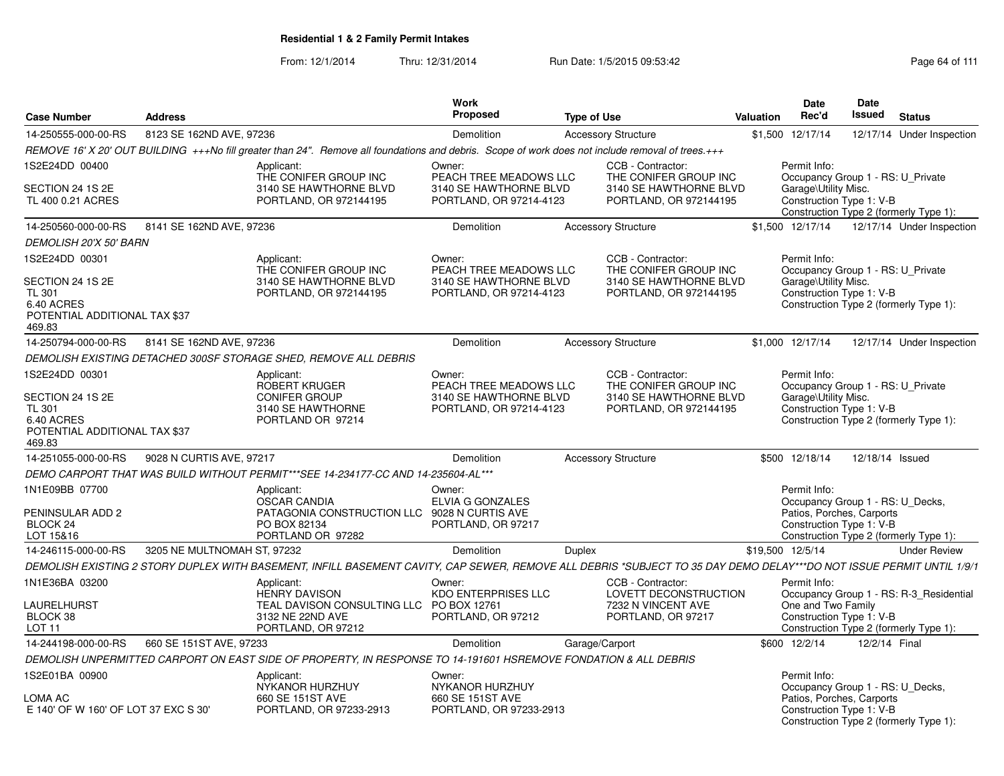| <b>Case Number</b>                                                                                           | <b>Address</b>              |                                                                                                                                                                      | <b>Work</b><br>Proposed                                                               | <b>Type of Use</b> |                                                                                                | <b>Valuation</b> | Date<br>Rec'd                                                                                                                                       | <b>Date</b><br>Issued | <b>Status</b>                           |
|--------------------------------------------------------------------------------------------------------------|-----------------------------|----------------------------------------------------------------------------------------------------------------------------------------------------------------------|---------------------------------------------------------------------------------------|--------------------|------------------------------------------------------------------------------------------------|------------------|-----------------------------------------------------------------------------------------------------------------------------------------------------|-----------------------|-----------------------------------------|
| 14-250555-000-00-RS                                                                                          | 8123 SE 162ND AVE, 97236    |                                                                                                                                                                      | Demolition                                                                            |                    | <b>Accessory Structure</b>                                                                     |                  | \$1,500 12/17/14                                                                                                                                    |                       | 12/17/14 Under Inspection               |
|                                                                                                              |                             | REMOVE 16' X 20' OUT BUILDING +++No fill greater than 24". Remove all foundations and debris. Scope of work does not include removal of trees.+++                    |                                                                                       |                    |                                                                                                |                  |                                                                                                                                                     |                       |                                         |
| 1S2E24DD 00400<br>SECTION 24 1S 2E<br>TL 400 0.21 ACRES                                                      |                             | Applicant:<br>THE CONIFER GROUP INC<br>3140 SE HAWTHORNE BLVD<br>PORTLAND, OR 972144195                                                                              | Owner:<br>PEACH TREE MEADOWS LLC<br>3140 SE HAWTHORNE BLVD<br>PORTLAND, OR 97214-4123 |                    | CCB - Contractor:<br>THE CONIFER GROUP INC<br>3140 SE HAWTHORNE BLVD<br>PORTLAND, OR 972144195 |                  | Permit Info:<br>Occupancy Group 1 - RS: U_Private<br>Garage\Utility Misc.<br>Construction Type 1: V-B<br>Construction Type 2 (formerly Type 1):     |                       |                                         |
| 14-250560-000-00-RS                                                                                          | 8141 SE 162ND AVE, 97236    |                                                                                                                                                                      | Demolition                                                                            |                    | <b>Accessory Structure</b>                                                                     |                  | \$1,500 12/17/14                                                                                                                                    |                       | 12/17/14 Under Inspection               |
| <b>DEMOLISH 20'X 50' BARN</b>                                                                                |                             |                                                                                                                                                                      |                                                                                       |                    |                                                                                                |                  |                                                                                                                                                     |                       |                                         |
| 1S2E24DD 00301<br>SECTION 24 1S 2E<br><b>TL 301</b><br>6.40 ACRES<br>POTENTIAL ADDITIONAL TAX \$37<br>469.83 |                             | Applicant:<br>THE CONIFER GROUP INC<br>3140 SE HAWTHORNE BLVD<br>PORTLAND, OR 972144195                                                                              | Owner:<br>PEACH TREE MEADOWS LLC<br>3140 SE HAWTHORNE BLVD<br>PORTLAND, OR 97214-4123 |                    | CCB - Contractor:<br>THE CONIFER GROUP INC<br>3140 SE HAWTHORNE BLVD<br>PORTLAND, OR 972144195 |                  | Permit Info:<br>Occupancy Group 1 - RS: U_Private<br>Garage\Utility Misc.<br>Construction Type 1: V-B<br>Construction Type 2 (formerly Type 1):     |                       |                                         |
| 14-250794-000-00-RS                                                                                          | 8141 SE 162ND AVE, 97236    |                                                                                                                                                                      | <b>Demolition</b>                                                                     |                    | <b>Accessory Structure</b>                                                                     |                  | \$1,000 12/17/14                                                                                                                                    |                       | 12/17/14 Under Inspection               |
|                                                                                                              |                             | DEMOLISH EXISTING DETACHED 300SF STORAGE SHED, REMOVE ALL DEBRIS                                                                                                     |                                                                                       |                    |                                                                                                |                  |                                                                                                                                                     |                       |                                         |
| 1S2E24DD 00301<br>SECTION 24 1S 2E<br><b>TL 301</b>                                                          |                             | Applicant:<br>ROBERT KRUGER<br><b>CONIFER GROUP</b><br>3140 SE HAWTHORNE                                                                                             | Owner:<br>PEACH TREE MEADOWS LLC<br>3140 SE HAWTHORNE BLVD<br>PORTLAND, OR 97214-4123 |                    | CCB - Contractor:<br>THE CONIFER GROUP INC<br>3140 SE HAWTHORNE BLVD<br>PORTLAND, OR 972144195 |                  | Permit Info:<br>Occupancy Group 1 - RS: U_Private<br>Garage\Utility Misc.<br>Construction Type 1: V-B                                               |                       |                                         |
| 6.40 ACRES<br>POTENTIAL ADDITIONAL TAX \$37<br>469.83                                                        |                             | PORTLAND OR 97214                                                                                                                                                    |                                                                                       |                    |                                                                                                |                  | Construction Type 2 (formerly Type 1):                                                                                                              |                       |                                         |
| 14-251055-000-00-RS                                                                                          | 9028 N CURTIS AVE, 97217    |                                                                                                                                                                      | Demolition                                                                            |                    | <b>Accessory Structure</b>                                                                     |                  | \$500 12/18/14                                                                                                                                      | 12/18/14 Issued       |                                         |
|                                                                                                              |                             | DEMO CARPORT THAT WAS BUILD WITHOUT PERMIT***SEE 14-234177-CC AND 14-235604-AL***                                                                                    |                                                                                       |                    |                                                                                                |                  |                                                                                                                                                     |                       |                                         |
| 1N1E09BB 07700<br>PENINSULAR ADD 2<br>BLOCK <sub>24</sub><br>LOT 15&16                                       |                             | Applicant:<br><b>OSCAR CANDIA</b><br>PATAGONIA CONSTRUCTION LLC<br>PO BOX 82134<br>PORTLAND OR 97282                                                                 | Owner:<br>ELVIA G GONZALES<br>9028 N CURTIS AVE<br>PORTLAND, OR 97217                 |                    |                                                                                                |                  | Permit Info:<br>Occupancy Group 1 - RS: U_Decks,<br>Patios, Porches, Carports<br>Construction Type 1: V-B<br>Construction Type 2 (formerly Type 1): |                       |                                         |
| 14-246115-000-00-RS                                                                                          | 3205 NE MULTNOMAH ST, 97232 |                                                                                                                                                                      | <b>Demolition</b>                                                                     | <b>Duplex</b>      |                                                                                                |                  | \$19,500 12/5/14                                                                                                                                    |                       | <b>Under Review</b>                     |
|                                                                                                              |                             | DEMOLISH EXISTING 2 STORY DUPLEX WITH BASEMENT, INFILL BASEMENT CAVITY, CAP SEWER, REMOVE ALL DEBRIS *SUBJECT TO 35 DAY DEMO DELAY***DO NOT ISSUE PERMIT UNTIL 1/9/1 |                                                                                       |                    |                                                                                                |                  |                                                                                                                                                     |                       |                                         |
| 1N1E36BA 03200                                                                                               |                             | Applicant:<br><b>HENRY DAVISON</b>                                                                                                                                   | Owner:<br><b>KDO ENTERPRISES LLC</b>                                                  |                    | CCB - Contractor:<br>LOVETT DECONSTRUCTION                                                     |                  | Permit Info:                                                                                                                                        |                       | Occupancy Group 1 - RS: R-3_Residential |
| LAURELHURST<br>BLOCK 38<br>LOT <sub>11</sub>                                                                 |                             | TEAL DAVISON CONSULTING LLC PO BOX 12761<br>3132 NE 22ND AVE<br>PORTLAND, OR 97212                                                                                   | PORTLAND, OR 97212                                                                    |                    | 7232 N VINCENT AVE<br>PORTLAND, OR 97217                                                       |                  | One and Two Family<br>Construction Type 1: V-B<br>Construction Type 2 (formerly Type 1):                                                            |                       |                                         |
| 14-244198-000-00-RS                                                                                          | 660 SE 151ST AVE, 97233     |                                                                                                                                                                      | Demolition                                                                            |                    | Garage/Carport                                                                                 |                  | \$600 12/2/14                                                                                                                                       | 12/2/14 Final         |                                         |
|                                                                                                              |                             | DEMOLISH UNPERMITTED CARPORT ON EAST SIDE OF PROPERTY, IN RESPONSE TO 14-191601 HSREMOVE FONDATION & ALL DEBRIS                                                      |                                                                                       |                    |                                                                                                |                  |                                                                                                                                                     |                       |                                         |
| 1S2E01BA 00900                                                                                               |                             | Applicant:<br>NYKANOR HURZHUY                                                                                                                                        | Owner:<br>NYKANOR HURZHUY                                                             |                    |                                                                                                |                  | Permit Info:<br>Occupancy Group 1 - RS: U_Decks,                                                                                                    |                       |                                         |
| LOMA AC<br>E 140' OF W 160' OF LOT 37 EXC S 30'                                                              |                             | 660 SE 151ST AVE<br>PORTLAND, OR 97233-2913                                                                                                                          | 660 SE 151ST AVE<br>PORTLAND, OR 97233-2913                                           |                    |                                                                                                |                  | Patios, Porches, Carports<br>Construction Type 1: V-B<br>Construction Type 2 (formerly Type 1):                                                     |                       |                                         |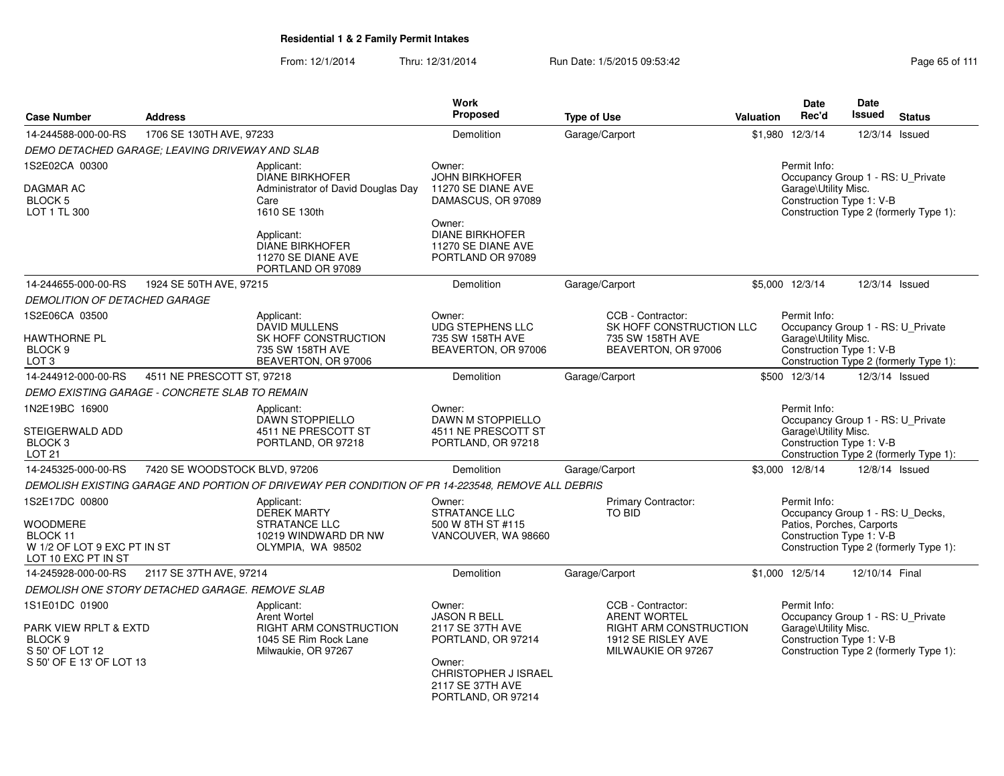From: 12/1/2014Thru: 12/31/2014 Run Date: 1/5/2015 09:53:42 Research 2010 12:43 Rage 65 of 111

|                                                                                                              |                                                 |                                                                                                             | <b>Work</b>                                                                                                                                                |                                                                                                                |                  | <b>Date</b>                                                                                               | Date           |                                        |
|--------------------------------------------------------------------------------------------------------------|-------------------------------------------------|-------------------------------------------------------------------------------------------------------------|------------------------------------------------------------------------------------------------------------------------------------------------------------|----------------------------------------------------------------------------------------------------------------|------------------|-----------------------------------------------------------------------------------------------------------|----------------|----------------------------------------|
| <b>Case Number</b>                                                                                           | <b>Address</b>                                  |                                                                                                             | <b>Proposed</b>                                                                                                                                            | <b>Type of Use</b>                                                                                             | <b>Valuation</b> | Rec'd                                                                                                     | <b>Issued</b>  | <b>Status</b>                          |
| 14-244588-000-00-RS                                                                                          | 1706 SE 130TH AVE, 97233                        |                                                                                                             | Demolition                                                                                                                                                 | Garage/Carport                                                                                                 | \$1,980          | 12/3/14                                                                                                   |                | 12/3/14 Issued                         |
|                                                                                                              | DEMO DETACHED GARAGE; LEAVING DRIVEWAY AND SLAB |                                                                                                             |                                                                                                                                                            |                                                                                                                |                  |                                                                                                           |                |                                        |
| 1S2E02CA 00300<br><b>DAGMAR AC</b><br><b>BLOCK 5</b><br>LOT 1 TL 300                                         |                                                 | Applicant:<br><b>DIANE BIRKHOFER</b><br>Administrator of David Douglas Day<br>Care<br>1610 SE 130th         | Owner:<br><b>JOHN BIRKHOFER</b><br>11270 SE DIANE AVE<br>DAMASCUS, OR 97089                                                                                |                                                                                                                |                  | Permit Info:<br>Occupancy Group 1 - RS: U_Private<br>Garage\Utility Misc.<br>Construction Type 1: V-B     |                | Construction Type 2 (formerly Type 1): |
|                                                                                                              |                                                 | Applicant:<br>DIANE BIRKHOFER<br>11270 SE DIANE AVE<br>PORTLAND OR 97089                                    | Owner:<br><b>DIANE BIRKHOFER</b><br>11270 SE DIANE AVE<br>PORTLAND OR 97089                                                                                |                                                                                                                |                  |                                                                                                           |                |                                        |
| 14-244655-000-00-RS                                                                                          | 1924 SE 50TH AVE, 97215                         |                                                                                                             | Demolition                                                                                                                                                 | Garage/Carport                                                                                                 |                  | \$5,000 12/3/14                                                                                           |                | 12/3/14 Issued                         |
| <b>DEMOLITION OF DETACHED GARAGE</b>                                                                         |                                                 |                                                                                                             |                                                                                                                                                            |                                                                                                                |                  |                                                                                                           |                |                                        |
| 1S2E06CA 03500<br><b>HAWTHORNE PL</b><br>BLOCK 9<br>LOT <sub>3</sub>                                         |                                                 | Applicant:<br>DAVID MULLENS<br>SK HOFF CONSTRUCTION<br>735 SW 158TH AVE<br>BEAVERTON, OR 97006              | Owner:<br><b>UDG STEPHENS LLC</b><br>735 SW 158TH AVE<br>BEAVERTON, OR 97006                                                                               | CCB - Contractor:<br>SK HOFF CONSTRUCTION LLC<br>735 SW 158TH AVE<br>BEAVERTON, OR 97006                       |                  | Permit Info:<br>Occupancy Group 1 - RS: U_Private<br>Garage\Utility Misc.<br>Construction Type 1: V-B     |                | Construction Type 2 (formerly Type 1): |
| 14-244912-000-00-RS                                                                                          | 4511 NE PRESCOTT ST, 97218                      |                                                                                                             | Demolition                                                                                                                                                 | Garage/Carport                                                                                                 |                  | \$500 12/3/14                                                                                             |                | 12/3/14 Issued                         |
|                                                                                                              | DEMO EXISTING GARAGE - CONCRETE SLAB TO REMAIN  |                                                                                                             |                                                                                                                                                            |                                                                                                                |                  |                                                                                                           |                |                                        |
| 1N2E19BC 16900<br>STEIGERWALD ADD<br>BLOCK <sub>3</sub><br>LOT 21                                            |                                                 | Applicant:<br><b>DAWN STOPPIELLO</b><br>4511 NE PRESCOTT ST<br>PORTLAND, OR 97218                           | Owner:<br>DAWN M STOPPIELLO<br>4511 NE PRESCOTT ST<br>PORTLAND, OR 97218                                                                                   |                                                                                                                |                  | Permit Info:<br>Occupancy Group 1 - RS: U_Private<br>Garage\Utility Misc.<br>Construction Type 1: V-B     |                | Construction Type 2 (formerly Type 1): |
| 14-245325-000-00-RS                                                                                          | 7420 SE WOODSTOCK BLVD, 97206                   |                                                                                                             | Demolition                                                                                                                                                 | Garage/Carport                                                                                                 |                  | \$3,000 12/8/14                                                                                           |                | 12/8/14 Issued                         |
|                                                                                                              |                                                 | DEMOLISH EXISTING GARAGE AND PORTION OF DRIVEWAY PER CONDITION OF PR 14-223548, REMOVE ALL DEBRIS           |                                                                                                                                                            |                                                                                                                |                  |                                                                                                           |                |                                        |
| 1S2E17DC 00800<br><b>WOODMERE</b><br>BLOCK 11<br>W 1/2 OF LOT 9 EXC PT IN ST<br>LOT 10 EXC PT IN ST          |                                                 | Applicant:<br><b>DEREK MARTY</b><br><b>STRATANCE LLC</b><br>10219 WINDWARD DR NW<br>OLYMPIA, WA 98502       | Owner:<br><b>STRATANCE LLC</b><br>500 W 8TH ST #115<br>VANCOUVER, WA 98660                                                                                 | Primary Contractor:<br><b>TO BID</b>                                                                           |                  | Permit Info:<br>Occupancy Group 1 - RS: U_Decks,<br>Patios, Porches, Carports<br>Construction Type 1: V-B |                | Construction Type 2 (formerly Type 1): |
| 14-245928-000-00-RS                                                                                          | 2117 SE 37TH AVE, 97214                         |                                                                                                             | Demolition                                                                                                                                                 | Garage/Carport                                                                                                 |                  | \$1,000 12/5/14                                                                                           | 12/10/14 Final |                                        |
|                                                                                                              | DEMOLISH ONE STORY DETACHED GARAGE. REMOVE SLAB |                                                                                                             |                                                                                                                                                            |                                                                                                                |                  |                                                                                                           |                |                                        |
| 1S1E01DC 01900<br>PARK VIEW RPLT & EXTD<br>BLOCK <sub>9</sub><br>S 50' OF LOT 12<br>S 50' OF E 13' OF LOT 13 |                                                 | Applicant:<br>Arent Wortel<br><b>RIGHT ARM CONSTRUCTION</b><br>1045 SE Rim Rock Lane<br>Milwaukie, OR 97267 | Owner:<br><b>JASON R BELL</b><br>2117 SE 37TH AVE<br>PORTLAND, OR 97214<br>Owner:<br><b>CHRISTOPHER J ISRAEL</b><br>2117 SE 37TH AVE<br>PORTLAND, OR 97214 | CCB - Contractor:<br><b>ARENT WORTEL</b><br>RIGHT ARM CONSTRUCTION<br>1912 SE RISLEY AVE<br>MILWAUKIE OR 97267 |                  | Permit Info:<br>Occupancy Group 1 - RS: U_Private<br>Garage\Utility Misc.<br>Construction Type 1: V-B     |                | Construction Type 2 (formerly Type 1): |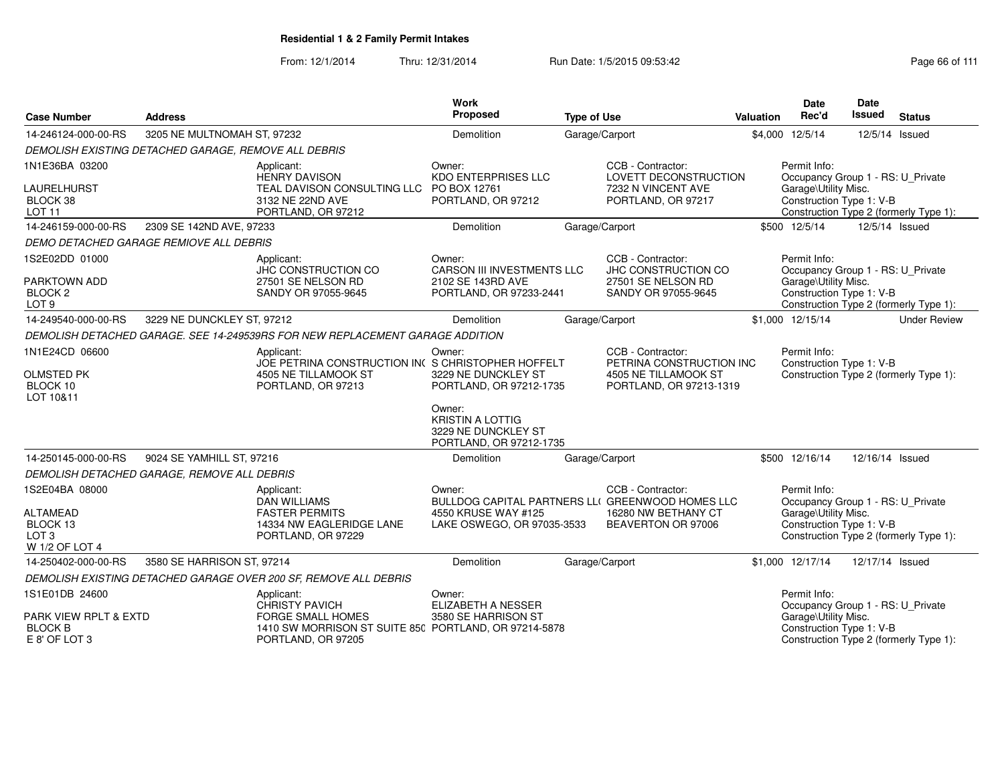| <b>Case Number</b>                                       | <b>Address</b>                                       |                                                                                                                           | <b>Work</b><br>Proposed                                                             | <b>Type of Use</b> |                                                                       | Valuation | <b>Date</b><br>Rec'd                                                                  | <b>Date</b><br><b>Issued</b> | <b>Status</b>                          |
|----------------------------------------------------------|------------------------------------------------------|---------------------------------------------------------------------------------------------------------------------------|-------------------------------------------------------------------------------------|--------------------|-----------------------------------------------------------------------|-----------|---------------------------------------------------------------------------------------|------------------------------|----------------------------------------|
| 14-246124-000-00-RS                                      | 3205 NE MULTNOMAH ST, 97232                          |                                                                                                                           | <b>Demolition</b>                                                                   |                    | Garage/Carport                                                        |           | \$4,000 12/5/14                                                                       |                              | 12/5/14 Issued                         |
|                                                          | DEMOLISH EXISTING DETACHED GARAGE, REMOVE ALL DEBRIS |                                                                                                                           |                                                                                     |                    |                                                                       |           |                                                                                       |                              |                                        |
| 1N1E36BA 03200                                           |                                                      | Applicant:<br><b>HENRY DAVISON</b>                                                                                        | Owner:<br><b>KDO ENTERPRISES LLC</b>                                                |                    | CCB - Contractor:<br>LOVETT DECONSTRUCTION                            |           | Permit Info:<br>Occupancy Group 1 - RS: U_Private                                     |                              |                                        |
| LAURELHURST<br>BLOCK 38<br><b>LOT 11</b>                 |                                                      | TEAL DAVISON CONSULTING LLC<br>3132 NE 22ND AVE<br>PORTLAND, OR 97212                                                     | PO BOX 12761<br>PORTLAND, OR 97212                                                  |                    | 7232 N VINCENT AVE<br>PORTLAND, OR 97217                              |           | Garage\Utility Misc.<br>Construction Type 1: V-B                                      |                              | Construction Type 2 (formerly Type 1): |
| 14-246159-000-00-RS                                      | 2309 SE 142ND AVE, 97233                             |                                                                                                                           | Demolition                                                                          |                    | Garage/Carport                                                        |           | \$500 12/5/14                                                                         |                              | 12/5/14 Issued                         |
|                                                          | DEMO DETACHED GARAGE REMIOVE ALL DEBRIS              |                                                                                                                           |                                                                                     |                    |                                                                       |           |                                                                                       |                              |                                        |
| 1S2E02DD 01000                                           |                                                      | Applicant:<br>JHC CONSTRUCTION CO                                                                                         | Owner:<br><b>CARSON III INVESTMENTS LLC</b>                                         |                    | CCB - Contractor:<br>JHC CONSTRUCTION CO                              |           | Permit Info:<br>Occupancy Group 1 - RS: U_Private                                     |                              |                                        |
| PARKTOWN ADD<br>BLOCK <sub>2</sub><br>LOT <sub>9</sub>   |                                                      | 27501 SE NELSON RD<br>SANDY OR 97055-9645                                                                                 | 2102 SE 143RD AVE<br>PORTLAND, OR 97233-2441                                        |                    | 27501 SE NELSON RD<br>SANDY OR 97055-9645                             |           | Garage\Utility Misc.<br>Construction Type 1: V-B                                      |                              | Construction Type 2 (formerly Type 1): |
| 14-249540-000-00-RS                                      | 3229 NE DUNCKLEY ST, 97212                           |                                                                                                                           | <b>Demolition</b>                                                                   |                    | Garage/Carport                                                        |           | \$1,000 12/15/14                                                                      |                              | <b>Under Review</b>                    |
|                                                          |                                                      | DEMOLISH DETACHED GARAGE. SEE 14-249539RS FOR NEW REPLACEMENT GARAGE ADDITION                                             |                                                                                     |                    |                                                                       |           |                                                                                       |                              |                                        |
| 1N1E24CD 06600                                           |                                                      | Applicant:<br>JOE PETRINA CONSTRUCTION INCS CHRISTOPHER HOFFELT                                                           | Owner:                                                                              |                    | CCB - Contractor:<br>PETRINA CONSTRUCTION INC                         |           | Permit Info:<br>Construction Type 1: V-B                                              |                              |                                        |
| <b>OLMSTED PK</b><br>BLOCK 10<br>LOT 10&11               |                                                      | 4505 NE TILLAMOOK ST<br>PORTLAND, OR 97213                                                                                | 3229 NE DUNCKLEY ST<br>PORTLAND, OR 97212-1735                                      |                    | 4505 NE TILLAMOOK ST<br>PORTLAND, OR 97213-1319                       |           |                                                                                       |                              | Construction Type 2 (formerly Type 1): |
|                                                          |                                                      |                                                                                                                           | Owner:<br><b>KRISTIN A LOTTIG</b><br>3229 NE DUNCKLEY ST<br>PORTLAND, OR 97212-1735 |                    |                                                                       |           |                                                                                       |                              |                                        |
| 14-250145-000-00-RS                                      | 9024 SE YAMHILL ST, 97216                            |                                                                                                                           | Demolition                                                                          |                    | Garage/Carport                                                        |           | \$500 12/16/14                                                                        | 12/16/14 Issued              |                                        |
|                                                          | DEMOLISH DETACHED GARAGE, REMOVE ALL DEBRIS          |                                                                                                                           |                                                                                     |                    |                                                                       |           |                                                                                       |                              |                                        |
| 1S2E04BA 08000                                           |                                                      | Applicant:<br><b>DAN WILLIAMS</b>                                                                                         | Owner:                                                                              |                    | CCB - Contractor:<br>BULLDOG CAPITAL PARTNERS LLI GREENWOOD HOMES LLC |           | Permit Info:<br>Occupancy Group 1 - RS: U_Private                                     |                              |                                        |
| <b>ALTAMEAD</b>                                          |                                                      | <b>FASTER PERMITS</b>                                                                                                     | 4550 KRUSE WAY #125                                                                 |                    | 16280 NW BETHANY CT                                                   |           | Garage\Utility Misc.                                                                  |                              |                                        |
| BLOCK 13<br>LOT <sub>3</sub><br>W 1/2 OF LOT 4           |                                                      | 14334 NW EAGLERIDGE LANE<br>PORTLAND, OR 97229                                                                            | LAKE OSWEGO, OR 97035-3533                                                          |                    | BEAVERTON OR 97006                                                    |           | Construction Type 1: V-B                                                              |                              | Construction Type 2 (formerly Type 1): |
| 14-250402-000-00-RS                                      | 3580 SE HARRISON ST, 97214                           |                                                                                                                           | <b>Demolition</b>                                                                   |                    | Garage/Carport                                                        |           | \$1,000 12/17/14                                                                      | 12/17/14 Issued              |                                        |
|                                                          |                                                      | DEMOLISH EXISTING DETACHED GARAGE OVER 200 SF, REMOVE ALL DEBRIS                                                          |                                                                                     |                    |                                                                       |           |                                                                                       |                              |                                        |
| 1S1E01DB 24600                                           |                                                      | Applicant:                                                                                                                | Owner:                                                                              |                    |                                                                       |           | Permit Info:                                                                          |                              |                                        |
| PARK VIEW RPLT & EXTD<br><b>BLOCK B</b><br>E 8' OF LOT 3 |                                                      | <b>CHRISTY PAVICH</b><br>FORGE SMALL HOMES<br>1410 SW MORRISON ST SUITE 850 PORTLAND, OR 97214-5878<br>PORTLAND, OR 97205 | <b>ELIZABETH A NESSER</b><br>3580 SE HARRISON ST                                    |                    |                                                                       |           | Occupancy Group 1 - RS: U_Private<br>Garage\Utility Misc.<br>Construction Type 1: V-B |                              | Construction Type 2 (formerly Type 1): |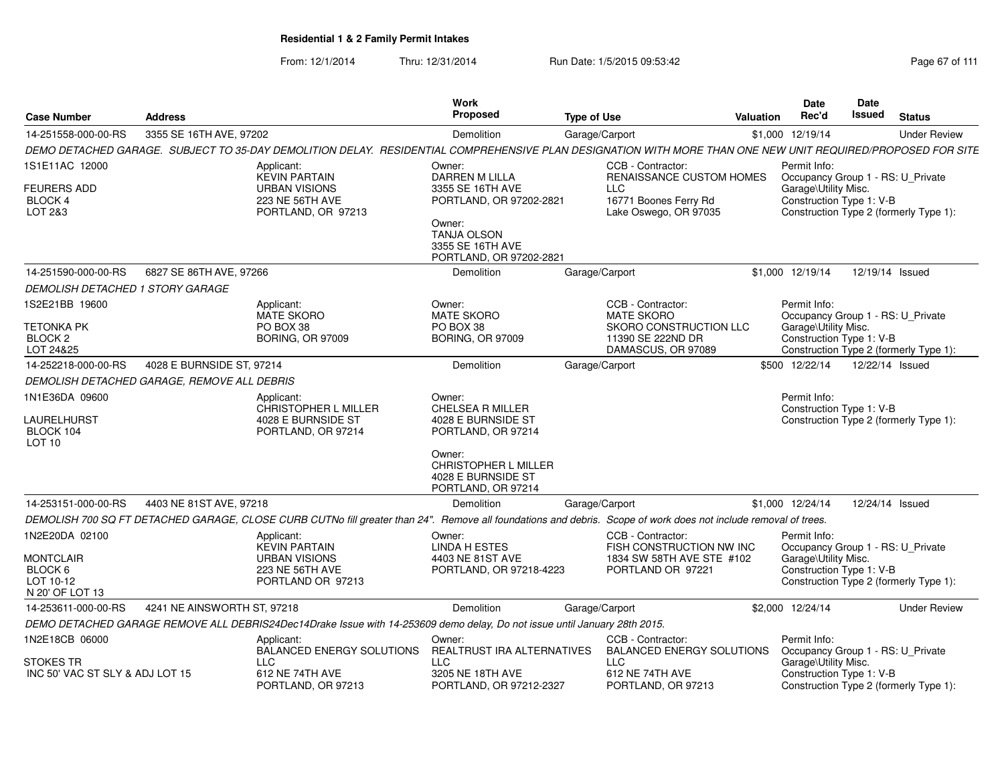From: 12/1/2014Thru: 12/31/2014 Run Date: 1/5/2015 09:53:42 Research 2010 12/31/2014 Page 67 of 111

| <b>Case Number</b>                                                            | <b>Address</b>                              |                                                                                                                                                                 | Work<br>Proposed                                                                                                                                            | <b>Type of Use</b> |                                                                                                               | Valuation | Date<br>Rec'd                                                                                         | Date<br><b>Issued</b> | <b>Status</b>                          |
|-------------------------------------------------------------------------------|---------------------------------------------|-----------------------------------------------------------------------------------------------------------------------------------------------------------------|-------------------------------------------------------------------------------------------------------------------------------------------------------------|--------------------|---------------------------------------------------------------------------------------------------------------|-----------|-------------------------------------------------------------------------------------------------------|-----------------------|----------------------------------------|
| 14-251558-000-00-RS                                                           | 3355 SE 16TH AVE, 97202                     |                                                                                                                                                                 | Demolition                                                                                                                                                  | Garage/Carport     |                                                                                                               |           | \$1,000 12/19/14                                                                                      |                       | <b>Under Review</b>                    |
|                                                                               |                                             | DEMO DETACHED GARAGE. SUBJECT TO 35-DAY DEMOLITION DELAY. RESIDENTIAL COMPREHENSIVE PLAN DESIGNATION WITH MORE THAN ONE NEW UNIT REQUIRED/PROPOSED FOR SITE     |                                                                                                                                                             |                    |                                                                                                               |           |                                                                                                       |                       |                                        |
| 1S1E11AC 12000<br><b>FEURERS ADD</b><br><b>BLOCK 4</b><br>LOT 2&3             |                                             | Applicant:<br><b>KEVIN PARTAIN</b><br><b>URBAN VISIONS</b><br>223 NE 56TH AVE<br>PORTLAND, OR 97213                                                             | Owner:<br>DARREN M LILLA<br>3355 SE 16TH AVE<br>PORTLAND, OR 97202-2821<br>Owner:<br><b>TANJA OLSON</b><br>3355 SE 16TH AVE                                 |                    | CCB - Contractor:<br>RENAISSANCE CUSTOM HOMES<br><b>LLC</b><br>16771 Boones Ferry Rd<br>Lake Oswego, OR 97035 |           | Permit Info:<br>Occupancy Group 1 - RS: U_Private<br>Garage\Utility Misc.<br>Construction Type 1: V-B |                       | Construction Type 2 (formerly Type 1): |
| 14-251590-000-00-RS                                                           | 6827 SE 86TH AVE, 97266                     |                                                                                                                                                                 | PORTLAND, OR 97202-2821<br>Demolition                                                                                                                       | Garage/Carport     |                                                                                                               |           | \$1,000 12/19/14                                                                                      |                       | 12/19/14 Issued                        |
| DEMOLISH DETACHED 1 STORY GARAGE                                              |                                             |                                                                                                                                                                 |                                                                                                                                                             |                    |                                                                                                               |           |                                                                                                       |                       |                                        |
| 1S2E21BB 19600<br>TETONKA PK<br>BLOCK <sub>2</sub><br>LOT 24&25               |                                             | Applicant:<br><b>MATE SKORO</b><br>PO BOX 38<br><b>BORING, OR 97009</b>                                                                                         | Owner:<br><b>MATE SKORO</b><br>PO BOX 38<br><b>BORING, OR 97009</b>                                                                                         |                    | CCB - Contractor:<br><b>MATE SKORO</b><br>SKORO CONSTRUCTION LLC<br>11390 SE 222ND DR<br>DAMASCUS, OR 97089   |           | Permit Info:<br>Occupancy Group 1 - RS: U_Private<br>Garage\Utility Misc.<br>Construction Type 1: V-B |                       | Construction Type 2 (formerly Type 1): |
| 14-252218-000-00-RS                                                           | 4028 E BURNSIDE ST, 97214                   |                                                                                                                                                                 | Demolition                                                                                                                                                  | Garage/Carport     |                                                                                                               |           | \$500 12/22/14                                                                                        |                       | 12/22/14 Issued                        |
|                                                                               | DEMOLISH DETACHED GARAGE, REMOVE ALL DEBRIS |                                                                                                                                                                 |                                                                                                                                                             |                    |                                                                                                               |           |                                                                                                       |                       |                                        |
| 1N1E36DA 09600<br>LAURELHURST<br>BLOCK 104<br>LOT <sub>10</sub>               |                                             | Applicant:<br>CHRISTOPHER L MILLER<br>4028 E BURNSIDE ST<br>PORTLAND, OR 97214                                                                                  | Owner:<br>CHELSEA R MILLER<br>4028 E BURNSIDE ST<br>PORTLAND, OR 97214<br>Owner:<br><b>CHRISTOPHER L MILLER</b><br>4028 E BURNSIDE ST<br>PORTLAND, OR 97214 |                    |                                                                                                               |           | Permit Info:<br>Construction Type 1: V-B                                                              |                       | Construction Type 2 (formerly Type 1): |
| 14-253151-000-00-RS                                                           | 4403 NE 81ST AVE, 97218                     |                                                                                                                                                                 | <b>Demolition</b>                                                                                                                                           | Garage/Carport     |                                                                                                               |           | \$1,000 12/24/14                                                                                      |                       | 12/24/14 Issued                        |
|                                                                               |                                             | DEMOLISH 700 SQ FT DETACHED GARAGE, CLOSE CURB CUTNo fill greater than 24". Remove all foundations and debris. Scope of work does not include removal of trees. |                                                                                                                                                             |                    |                                                                                                               |           |                                                                                                       |                       |                                        |
| 1N2E20DA 02100<br><b>MONTCLAIR</b><br>BLOCK 6<br>LOT 10-12<br>N 20' OF LOT 13 |                                             | Applicant:<br><b>KEVIN PARTAIN</b><br><b>URBAN VISIONS</b><br>223 NE 56TH AVE<br>PORTLAND OR 97213                                                              | Owner:<br><b>LINDA H ESTES</b><br>4403 NE 81ST AVE<br>PORTLAND, OR 97218-4223                                                                               |                    | CCB - Contractor:<br>FISH CONSTRUCTION NW INC<br>1834 SW 58TH AVE STE #102<br>PORTLAND OR 97221               |           | Permit Info:<br>Occupancy Group 1 - RS: U_Private<br>Garage\Utility Misc.<br>Construction Type 1: V-B |                       | Construction Type 2 (formerly Type 1): |
| 14-253611-000-00-RS                                                           | 4241 NE AINSWORTH ST, 97218                 |                                                                                                                                                                 | Demolition                                                                                                                                                  | Garage/Carport     |                                                                                                               |           | \$2,000 12/24/14                                                                                      |                       | <b>Under Review</b>                    |
|                                                                               |                                             | DEMO DETACHED GARAGE REMOVE ALL DEBRIS24Dec14Drake Issue with 14-253609 demo delay, Do not issue until January 28th 2015.                                       |                                                                                                                                                             |                    |                                                                                                               |           |                                                                                                       |                       |                                        |
| 1N2E18CB 06000                                                                |                                             | Applicant:<br>BALANCED ENERGY SOLUTIONS                                                                                                                         | Owner:<br>REALTRUST IRA ALTERNATIVES                                                                                                                        |                    | CCB - Contractor:<br><b>BALANCED ENERGY SOLUTIONS</b>                                                         |           | Permit Info:<br>Occupancy Group 1 - RS: U_Private                                                     |                       |                                        |
| <b>STOKES TR</b><br>INC 50' VAC ST SLY & ADJ LOT 15                           |                                             | <b>LLC</b><br>612 NE 74TH AVE<br>PORTLAND, OR 97213                                                                                                             | <b>LLC</b><br>3205 NE 18TH AVE<br>PORTLAND, OR 97212-2327                                                                                                   |                    | <b>LLC</b><br>612 NE 74TH AVE<br>PORTLAND, OR 97213                                                           |           | Garage\Utility Misc.<br>Construction Type 1: V-B                                                      |                       | Construction Type 2 (formerly Type 1): |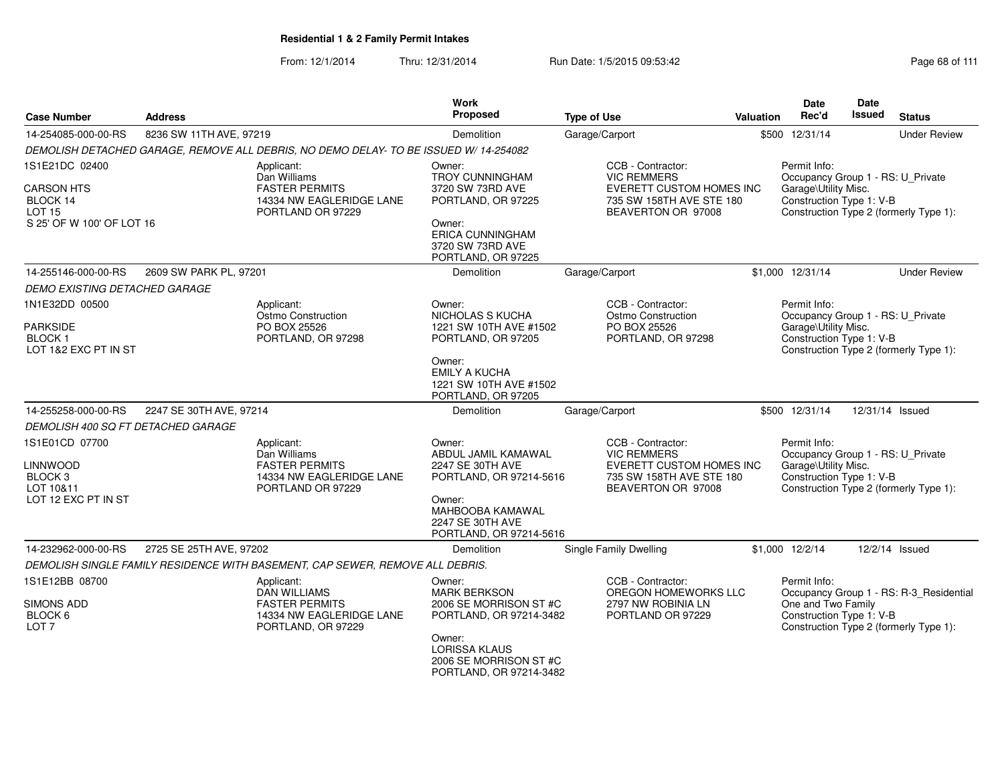| <b>Case Number</b>                                                                            | <b>Address</b>          |                                                                                                              | <b>Work</b><br>Proposed                                                                                                                                                   | <b>Type of Use</b>                                                                                                    | Valuation | <b>Date</b><br>Rec'd                                                                                  | Date<br><b>Issued</b> | <b>Status</b>                                                                     |
|-----------------------------------------------------------------------------------------------|-------------------------|--------------------------------------------------------------------------------------------------------------|---------------------------------------------------------------------------------------------------------------------------------------------------------------------------|-----------------------------------------------------------------------------------------------------------------------|-----------|-------------------------------------------------------------------------------------------------------|-----------------------|-----------------------------------------------------------------------------------|
| 14-254085-000-00-RS                                                                           | 8236 SW 11TH AVE, 97219 |                                                                                                              | Demolition                                                                                                                                                                | Garage/Carport                                                                                                        |           | \$500 12/31/14                                                                                        |                       | <b>Under Review</b>                                                               |
|                                                                                               |                         | DEMOLISH DETACHED GARAGE, REMOVE ALL DEBRIS, NO DEMO DELAY- TO BE ISSUED W/14-254082                         |                                                                                                                                                                           |                                                                                                                       |           |                                                                                                       |                       |                                                                                   |
| 1S1E21DC 02400<br><b>CARSON HTS</b><br>BLOCK 14<br><b>LOT 15</b><br>S 25' OF W 100' OF LOT 16 |                         | Applicant:<br>Dan Williams<br><b>FASTER PERMITS</b><br>14334 NW EAGLERIDGE LANE<br>PORTLAND OR 97229         | Owner:<br><b>TROY CUNNINGHAM</b><br>3720 SW 73RD AVE<br>PORTLAND, OR 97225<br>Owner:<br><b>ERICA CUNNINGHAM</b><br>3720 SW 73RD AVE<br>PORTLAND, OR 97225                 | CCB - Contractor:<br><b>VIC REMMERS</b><br>EVERETT CUSTOM HOMES INC<br>735 SW 158TH AVE STE 180<br>BEAVERTON OR 97008 |           | Permit Info:<br>Occupancy Group 1 - RS: U_Private<br>Garage\Utility Misc.<br>Construction Type 1: V-B |                       | Construction Type 2 (formerly Type 1):                                            |
| 14-255146-000-00-RS                                                                           | 2609 SW PARK PL, 97201  |                                                                                                              | Demolition                                                                                                                                                                | Garage/Carport                                                                                                        |           | \$1,000 12/31/14                                                                                      |                       | <b>Under Review</b>                                                               |
| <b>DEMO EXISTING DETACHED GARAGE</b>                                                          |                         |                                                                                                              |                                                                                                                                                                           |                                                                                                                       |           |                                                                                                       |                       |                                                                                   |
| 1N1E32DD 00500<br><b>PARKSIDE</b><br><b>BLOCK1</b><br>LOT 1&2 EXC PT IN ST                    |                         | Applicant:<br>Ostmo Construction<br>PO BOX 25526<br>PORTLAND, OR 97298                                       | Owner:<br>NICHOLAS S KUCHA<br>1221 SW 10TH AVE #1502<br>PORTLAND, OR 97205<br>Owner:<br><b>EMILY A KUCHA</b><br>1221 SW 10TH AVE #1502<br>PORTLAND, OR 97205              | CCB - Contractor:<br>Ostmo Construction<br>PO BOX 25526<br>PORTLAND, OR 97298                                         |           | Permit Info:<br>Occupancy Group 1 - RS: U_Private<br>Garage\Utility Misc.<br>Construction Type 1: V-B |                       | Construction Type 2 (formerly Type 1):                                            |
| 14-255258-000-00-RS                                                                           | 2247 SE 30TH AVE, 97214 |                                                                                                              | Demolition                                                                                                                                                                | Garage/Carport                                                                                                        |           | \$500 12/31/14                                                                                        |                       | 12/31/14 Issued                                                                   |
| DEMOLISH 400 SQ FT DETACHED GARAGE                                                            |                         |                                                                                                              |                                                                                                                                                                           |                                                                                                                       |           |                                                                                                       |                       |                                                                                   |
| 1S1E01CD 07700<br><b>LINNWOOD</b><br>BLOCK <sub>3</sub><br>LOT 10&11<br>LOT 12 EXC PT IN ST   |                         | Applicant:<br>Dan Williams<br><b>FASTER PERMITS</b><br>14334 NW EAGLERIDGE LANE<br>PORTLAND OR 97229         | Owner:<br>ABDUL JAMIL KAMAWAL<br>2247 SE 30TH AVE<br>PORTLAND, OR 97214-5616<br>Owner:<br>MAHBOOBA KAMAWAL<br>2247 SE 30TH AVE<br>PORTLAND, OR 97214-5616                 | CCB - Contractor:<br><b>VIC REMMERS</b><br>EVERETT CUSTOM HOMES INC<br>735 SW 158TH AVE STE 180<br>BEAVERTON OR 97008 |           | Permit Info:<br>Occupancy Group 1 - RS: U_Private<br>Garage\Utility Misc.<br>Construction Type 1: V-B |                       | Construction Type 2 (formerly Type 1):                                            |
| 14-232962-000-00-RS                                                                           | 2725 SE 25TH AVE, 97202 |                                                                                                              | Demolition                                                                                                                                                                | Single Family Dwelling                                                                                                |           | \$1,000 12/2/14                                                                                       |                       | 12/2/14 Issued                                                                    |
|                                                                                               |                         | DEMOLISH SINGLE FAMILY RESIDENCE WITH BASEMENT, CAP SEWER, REMOVE ALL DEBRIS.                                |                                                                                                                                                                           |                                                                                                                       |           |                                                                                                       |                       |                                                                                   |
| 1S1E12BB 08700<br><b>SIMONS ADD</b><br>BLOCK 6<br>LOT <sub>7</sub>                            |                         | Applicant:<br><b>DAN WILLIAMS</b><br><b>FASTER PERMITS</b><br>14334 NW EAGLERIDGE LANE<br>PORTLAND, OR 97229 | Owner:<br><b>MARK BERKSON</b><br>2006 SE MORRISON ST #C<br>PORTLAND, OR 97214-3482<br>Owner:<br><b>LORISSA KLAUS</b><br>2006 SE MORRISON ST #C<br>PORTLAND, OR 97214-3482 | CCB - Contractor:<br>OREGON HOMEWORKS LLC<br>2797 NW ROBINIA LN<br>PORTLAND OR 97229                                  |           | Permit Info:<br>One and Two Family<br>Construction Type 1: V-B                                        |                       | Occupancy Group 1 - RS: R-3_Residential<br>Construction Type 2 (formerly Type 1): |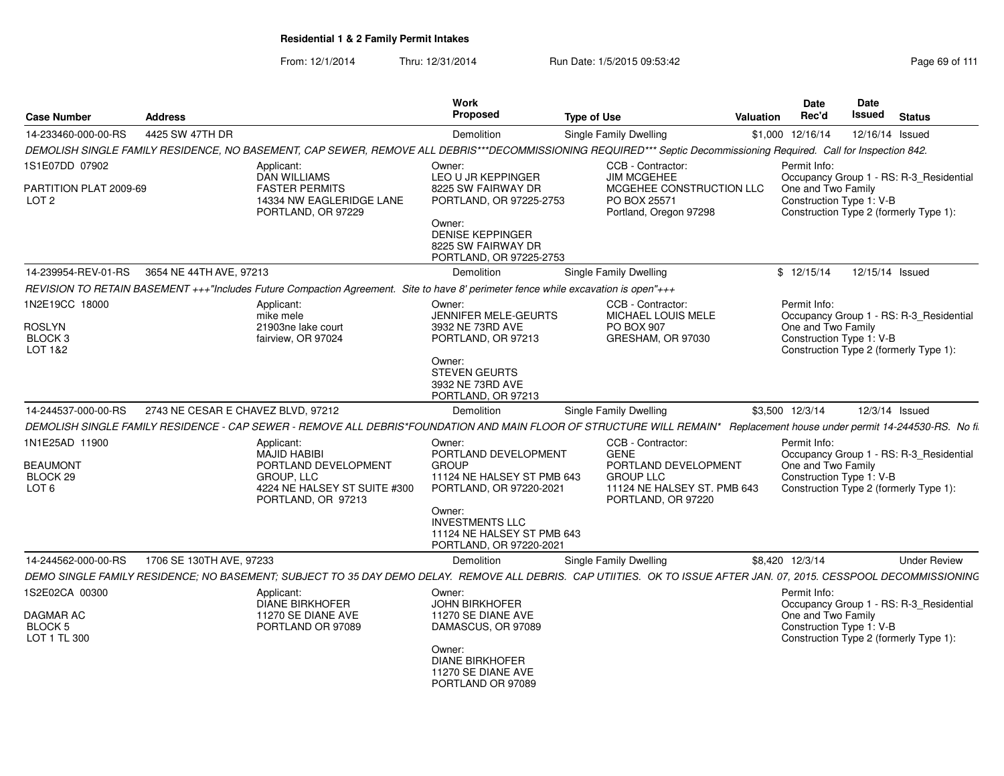| <b>Case Number</b>                                    | <b>Address</b>                     |                                                                                                                                                                                                           | Work<br>Proposed                                                                                                                                                 | <b>Type of Use</b>                 |                                                                           | Valuation | <b>Date</b><br>Rec'd                                           | <b>Date</b><br>Issued | <b>Status</b>                                                                     |
|-------------------------------------------------------|------------------------------------|-----------------------------------------------------------------------------------------------------------------------------------------------------------------------------------------------------------|------------------------------------------------------------------------------------------------------------------------------------------------------------------|------------------------------------|---------------------------------------------------------------------------|-----------|----------------------------------------------------------------|-----------------------|-----------------------------------------------------------------------------------|
| 14-233460-000-00-RS                                   | 4425 SW 47TH DR                    |                                                                                                                                                                                                           | Demolition                                                                                                                                                       | Single Family Dwelling             |                                                                           |           | \$1,000 12/16/14                                               |                       | 12/16/14 Issued                                                                   |
|                                                       |                                    | DEMOLISH SINGLE FAMILY RESIDENCE, NO BASEMENT, CAP SEWER, REMOVE ALL DEBRIS***DECOMMISSIONING REQUIRED*** Septic Decommissioning Required. Call for Inspection 842.                                       |                                                                                                                                                                  |                                    |                                                                           |           |                                                                |                       |                                                                                   |
| 1S1E07DD 07902                                        |                                    | Applicant:                                                                                                                                                                                                | Owner:                                                                                                                                                           | CCB - Contractor:                  |                                                                           |           | Permit Info:                                                   |                       |                                                                                   |
| PARTITION PLAT 2009-69<br>LOT <sub>2</sub>            |                                    | <b>DAN WILLIAMS</b><br><b>FASTER PERMITS</b><br>14334 NW EAGLERIDGE LANE<br>PORTLAND, OR 97229                                                                                                            | <b>LEO U JR KEPPINGER</b><br>8225 SW FAIRWAY DR<br>PORTLAND, OR 97225-2753<br>Owner:<br><b>DENISE KEPPINGER</b><br>8225 SW FAIRWAY DR<br>PORTLAND, OR 97225-2753 | <b>JIM MCGEHEE</b><br>PO BOX 25571 | MCGEHEE CONSTRUCTION LLC<br>Portland, Oregon 97298                        |           | One and Two Family<br>Construction Type 1: V-B                 |                       | Occupancy Group 1 - RS: R-3_Residential<br>Construction Type 2 (formerly Type 1): |
| 14-239954-REV-01-RS 3654 NE 44TH AVE, 97213           |                                    |                                                                                                                                                                                                           | Demolition                                                                                                                                                       | Single Family Dwelling             |                                                                           |           | \$12/15/14                                                     |                       | 12/15/14 Issued                                                                   |
|                                                       |                                    |                                                                                                                                                                                                           |                                                                                                                                                                  |                                    |                                                                           |           |                                                                |                       |                                                                                   |
| 1N2E19CC 18000<br><b>ROSLYN</b><br>BLOCK 3<br>LOT 1&2 |                                    | REVISION TO RETAIN BASEMENT +++"Includes Future Compaction Agreement. Site to have 8' perimeter fence while excavation is open"+++<br>Applicant:<br>mike mele<br>21903ne lake court<br>fairview. OR 97024 | Owner:<br>JENNIFER MELE-GEURTS<br>3932 NE 73RD AVE<br>PORTLAND, OR 97213                                                                                         | CCB - Contractor:<br>PO BOX 907    | MICHAEL LOUIS MELE<br>GRESHAM, OR 97030                                   |           | Permit Info:<br>One and Two Family<br>Construction Type 1: V-B |                       | Occupancy Group 1 - RS: R-3 Residential<br>Construction Type 2 (formerly Type 1): |
| 14-244537-000-00-RS                                   | 2743 NE CESAR E CHAVEZ BLVD. 97212 |                                                                                                                                                                                                           | Owner:<br><b>STEVEN GEURTS</b><br>3932 NE 73RD AVE<br>PORTLAND, OR 97213<br>Demolition                                                                           |                                    |                                                                           |           | \$3,500 12/3/14                                                |                       | 12/3/14 Issued                                                                    |
|                                                       |                                    |                                                                                                                                                                                                           |                                                                                                                                                                  | <b>Single Family Dwelling</b>      |                                                                           |           |                                                                |                       |                                                                                   |
| 1N1E25AD 11900                                        |                                    | DEMOLISH SINGLE FAMILY RESIDENCE - CAP SEWER - REMOVE ALL DEBRIS*FOUNDATION AND MAIN FLOOR OF STRUCTURE WILL REMAIN* Replacement house under permit 14-244530-RS. No fi.<br>Applicant:                    | Owner:                                                                                                                                                           | CCB - Contractor:                  |                                                                           |           | Permit Info:                                                   |                       |                                                                                   |
| <b>BEAUMONT</b><br>BLOCK 29<br>LOT <sub>6</sub>       |                                    | <b>MAJID HABIBI</b><br>PORTLAND DEVELOPMENT<br><b>GROUP, LLC</b><br>4224 NE HALSEY ST SUITE #300<br>PORTLAND, OR 97213                                                                                    | PORTLAND DEVELOPMENT<br><b>GROUP</b><br>11124 NE HALSEY ST PMB 643<br>PORTLAND, OR 97220-2021                                                                    | <b>GENE</b><br><b>GROUP LLC</b>    | PORTLAND DEVELOPMENT<br>11124 NE HALSEY ST. PMB 643<br>PORTLAND, OR 97220 |           | One and Two Family<br>Construction Type 1: V-B                 |                       | Occupancy Group 1 - RS: R-3_Residential<br>Construction Type 2 (formerly Type 1): |
|                                                       |                                    |                                                                                                                                                                                                           | Owner:<br><b>INVESTMENTS LLC</b><br>11124 NE HALSEY ST PMB 643<br>PORTLAND, OR 97220-2021                                                                        |                                    |                                                                           |           |                                                                |                       |                                                                                   |
| 14-244562-000-00-RS                                   | 1706 SE 130TH AVE, 97233           |                                                                                                                                                                                                           | Demolition                                                                                                                                                       | Single Family Dwelling             |                                                                           |           | \$8,420 12/3/14                                                |                       | <b>Under Review</b>                                                               |
|                                                       |                                    | DEMO SINGLE FAMILY RESIDENCE; NO BASEMENT; SUBJECT TO 35 DAY DEMO DELAY. REMOVE ALL DEBRIS. CAP UTIITIES. OK TO ISSUE AFTER JAN. 07, 2015. CESSPOOL DECOMMISSIONING                                       |                                                                                                                                                                  |                                    |                                                                           |           |                                                                |                       |                                                                                   |
| 1S2E02CA 00300                                        |                                    | Applicant:<br>DIANE BIRKHOFER                                                                                                                                                                             | Owner:                                                                                                                                                           |                                    |                                                                           |           | Permit Info:                                                   |                       |                                                                                   |
| DAGMAR AC<br>BLOCK 5<br>LOT 1 TL 300                  |                                    | 11270 SE DIANE AVE<br>PORTLAND OR 97089                                                                                                                                                                   | <b>JOHN BIRKHOFER</b><br>11270 SE DIANE AVE<br>DAMASCUS, OR 97089<br>Owner:                                                                                      |                                    |                                                                           |           | One and Two Family<br>Construction Type 1: V-B                 |                       | Occupancy Group 1 - RS: R-3_Residential<br>Construction Type 2 (formerly Type 1): |
|                                                       |                                    |                                                                                                                                                                                                           | <b>DIANE BIRKHOFER</b><br>11270 SE DIANE AVE<br>PORTLAND OR 97089                                                                                                |                                    |                                                                           |           |                                                                |                       |                                                                                   |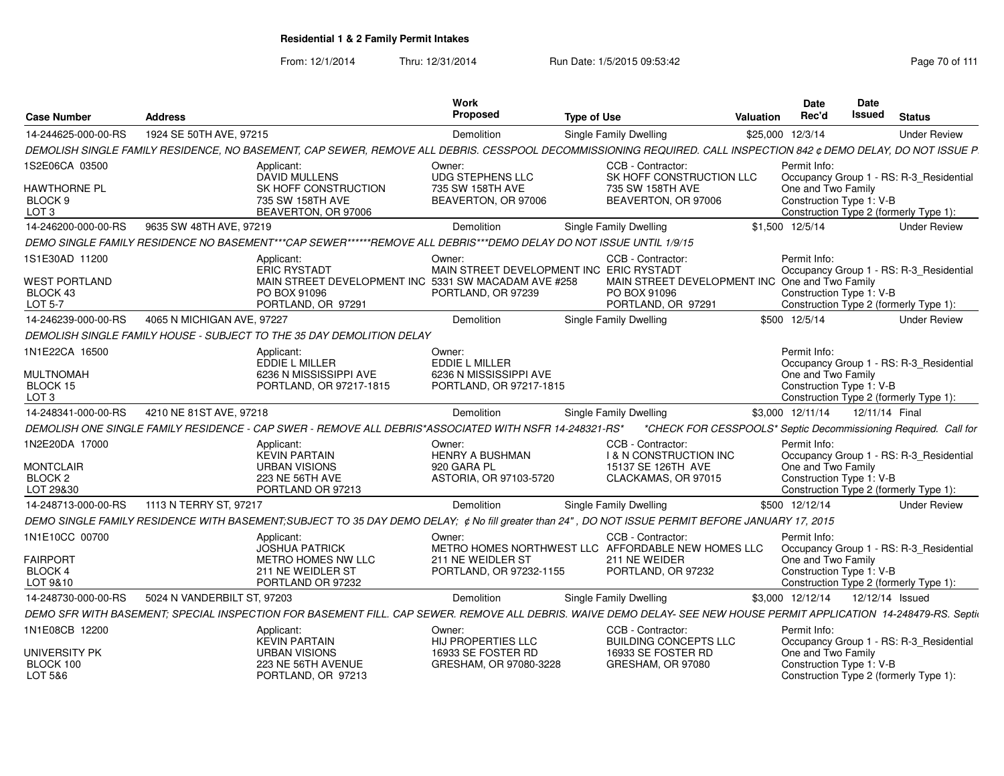| <b>Case Number</b>                     | <b>Address</b>                                                                                                                                                       | Work<br>Proposed                                     | <b>Type of Use</b>                                                      | Date<br>Rec'd<br><b>Valuation</b> | Date<br><b>Issued</b><br><b>Status</b>                             |
|----------------------------------------|----------------------------------------------------------------------------------------------------------------------------------------------------------------------|------------------------------------------------------|-------------------------------------------------------------------------|-----------------------------------|--------------------------------------------------------------------|
| 14-244625-000-00-RS                    | 1924 SE 50TH AVE, 97215                                                                                                                                              | Demolition                                           | <b>Single Family Dwelling</b>                                           | \$25,000 12/3/14                  | <b>Under Review</b>                                                |
|                                        | DEMOLISH SINGLE FAMILY RESIDENCE, NO BASEMENT, CAP SEWER, REMOVE ALL DEBRIS. CESSPOOL DECOMMISSIONING REQUIRED. CALL INSPECTION 842 ¢ DEMO DELAY, DO NOT ISSUE P.    |                                                      |                                                                         |                                   |                                                                    |
| 1S2E06CA 03500                         | Applicant:<br>DAVID MULLENS                                                                                                                                          | Owner:<br><b>UDG STEPHENS LLC</b>                    | CCB - Contractor:<br>SK HOFF CONSTRUCTION LLC                           | Permit Info:                      | Occupancy Group 1 - RS: R-3_Residential                            |
| <b>HAWTHORNE PL</b>                    | SK HOFF CONSTRUCTION                                                                                                                                                 | 735 SW 158TH AVE                                     | 735 SW 158TH AVE                                                        | One and Two Family                |                                                                    |
| BLOCK 9<br>LOT <sub>3</sub>            | 735 SW 158TH AVE<br>BEAVERTON, OR 97006                                                                                                                              | BEAVERTON, OR 97006                                  | BEAVERTON, OR 97006                                                     |                                   | Construction Type 1: V-B<br>Construction Type 2 (formerly Type 1): |
| 14-246200-000-00-RS                    | 9635 SW 48TH AVE, 97219                                                                                                                                              | Demolition                                           | Single Family Dwelling                                                  | \$1,500 12/5/14                   | <b>Under Review</b>                                                |
|                                        | DEMO SINGLE FAMILY RESIDENCE NO BASEMENT***CAP SEWER******REMOVE ALL DEBRIS***DEMO DELAY DO NOT ISSUE UNTIL 1/9/15                                                   |                                                      |                                                                         |                                   |                                                                    |
| 1S1E30AD 11200                         | Applicant:                                                                                                                                                           | Owner:                                               | CCB - Contractor:                                                       | Permit Info:                      |                                                                    |
|                                        | <b>ERIC RYSTADT</b>                                                                                                                                                  | MAIN STREET DEVELOPMENT INC ERIC RYSTADT             |                                                                         |                                   | Occupancy Group 1 - RS: R-3_Residential                            |
| <b>WEST PORTLAND</b>                   |                                                                                                                                                                      | MAIN STREET DEVELOPMENT INC 5331 SW MACADAM AVE #258 | MAIN STREET DEVELOPMENT INC One and Two Family                          |                                   |                                                                    |
| BLOCK 43<br><b>LOT 5-7</b>             | PO BOX 91096<br>PORTLAND, OR 97291                                                                                                                                   | PORTLAND, OR 97239                                   | PO BOX 91096<br>PORTLAND, OR 97291                                      |                                   | Construction Type 1: V-B<br>Construction Type 2 (formerly Type 1): |
| 14-246239-000-00-RS                    | 4065 N MICHIGAN AVE, 97227                                                                                                                                           | Demolition                                           | Single Family Dwelling                                                  | \$500 12/5/14                     | <b>Under Review</b>                                                |
|                                        | DEMOLISH SINGLE FAMILY HOUSE - SUBJECT TO THE 35 DAY DEMOLITION DELAY                                                                                                |                                                      |                                                                         |                                   |                                                                    |
| 1N1E22CA 16500                         | Applicant:                                                                                                                                                           | Owner:                                               |                                                                         | Permit Info:                      |                                                                    |
|                                        | <b>EDDIE L MILLER</b>                                                                                                                                                | <b>EDDIE L MILLER</b>                                |                                                                         |                                   | Occupancy Group 1 - RS: R-3 Residential                            |
| <b>MULTNOMAH</b><br>BLOCK 15           | 6236 N MISSISSIPPI AVE<br>PORTLAND, OR 97217-1815                                                                                                                    | 6236 N MISSISSIPPI AVE<br>PORTLAND, OR 97217-1815    |                                                                         | One and Two Family                | Construction Type 1: V-B                                           |
| LOT <sub>3</sub>                       |                                                                                                                                                                      |                                                      |                                                                         |                                   | Construction Type 2 (formerly Type 1):                             |
| 14-248341-000-00-RS                    | 4210 NE 81ST AVE, 97218                                                                                                                                              | <b>Demolition</b>                                    | Single Family Dwelling                                                  | \$3,000 12/11/14                  | 12/11/14 Final                                                     |
|                                        | DEMOLISH ONE SINGLE FAMILY RESIDENCE - CAP SWER - REMOVE ALL DEBRIS*ASSOCIATED WITH NSFR 14-248321-RS*                                                               |                                                      |                                                                         |                                   | *CHECK FOR CESSPOOLS* Septic Decommissioning Required. Call for    |
| 1N2E20DA 17000                         | Applicant:                                                                                                                                                           | Owner:                                               | CCB - Contractor:                                                       | Permit Info:                      |                                                                    |
|                                        | <b>KEVIN PARTAIN</b>                                                                                                                                                 | <b>HENRY A BUSHMAN</b>                               | <b>I &amp; N CONSTRUCTION INC</b>                                       |                                   | Occupancy Group 1 - RS: R-3 Residential                            |
| <b>MONTCLAIR</b><br>BLOCK <sub>2</sub> | <b>URBAN VISIONS</b><br>223 NE 56TH AVE                                                                                                                              | 920 GARA PL<br>ASTORIA, OR 97103-5720                | 15137 SE 126TH AVE<br>CLACKAMAS, OR 97015                               | One and Two Family                | Construction Type 1: V-B                                           |
| LOT 29&30                              | PORTLAND OR 97213                                                                                                                                                    |                                                      |                                                                         |                                   | Construction Type 2 (formerly Type 1):                             |
| 14-248713-000-00-RS                    | 1113 N TERRY ST, 97217                                                                                                                                               | <b>Demolition</b>                                    | Single Family Dwelling                                                  | \$500 12/12/14                    | <b>Under Review</b>                                                |
|                                        | DEMO SINGLE FAMILY RESIDENCE WITH BASEMENT; SUBJECT TO 35 DAY DEMO DELAY; ¢ No fill greater than 24", DO NOT ISSUE PERMIT BEFORE JANUARY 17, 2015                    |                                                      |                                                                         |                                   |                                                                    |
| 1N1E10CC 00700                         | Applicant:<br><b>JOSHUA PATRICK</b>                                                                                                                                  | Owner:                                               | CCB - Contractor:<br>METRO HOMES NORTHWEST LLC AFFORDABLE NEW HOMES LLC | Permit Info:                      | Occupancy Group 1 - RS: R-3_Residential                            |
| <b>FAIRPORT</b>                        | METRO HOMES NW LLC                                                                                                                                                   | 211 NE WEIDLER ST                                    | 211 NE WEIDER                                                           | One and Two Family                |                                                                    |
| <b>BLOCK 4</b>                         | 211 NE WEIDLER ST                                                                                                                                                    | PORTLAND, OR 97232-1155                              | PORTLAND, OR 97232                                                      |                                   | Construction Type 1: V-B                                           |
| LOT 9&10                               | PORTLAND OR 97232<br>5024 N VANDERBILT ST, 97203                                                                                                                     | <b>Demolition</b>                                    | <b>Single Family Dwelling</b>                                           | \$3,000 12/12/14                  | Construction Type 2 (formerly Type 1):                             |
| 14-248730-000-00-RS                    |                                                                                                                                                                      |                                                      |                                                                         |                                   | 12/12/14 Issued                                                    |
|                                        | DEMO SFR WITH BASEMENT; SPECIAL INSPECTION FOR BASEMENT FILL. CAP SEWER. REMOVE ALL DEBRIS. WAIVE DEMO DELAY- SEE NEW HOUSE PERMIT APPLICATION 14-248479-RS. Seption |                                                      |                                                                         |                                   |                                                                    |
| 1N1E08CB 12200                         | Applicant:<br><b>KEVIN PARTAIN</b>                                                                                                                                   | Owner:<br><b>HIJ PROPERTIES LLC</b>                  | CCB - Contractor:<br><b>BUILDING CONCEPTS LLC</b>                       | Permit Info:                      | Occupancy Group 1 - RS: R-3 Residential                            |
| UNIVERSITY PK                          | <b>URBAN VISIONS</b>                                                                                                                                                 | 16933 SE FOSTER RD                                   | 16933 SE FOSTER RD                                                      | One and Two Family                |                                                                    |
| BLOCK 100<br>LOT 5&6                   | 223 NE 56TH AVENUE<br>PORTLAND, OR 97213                                                                                                                             | GRESHAM, OR 97080-3228                               | GRESHAM, OR 97080                                                       |                                   | Construction Type 1: V-B<br>Construction Type 2 (formerly Type 1): |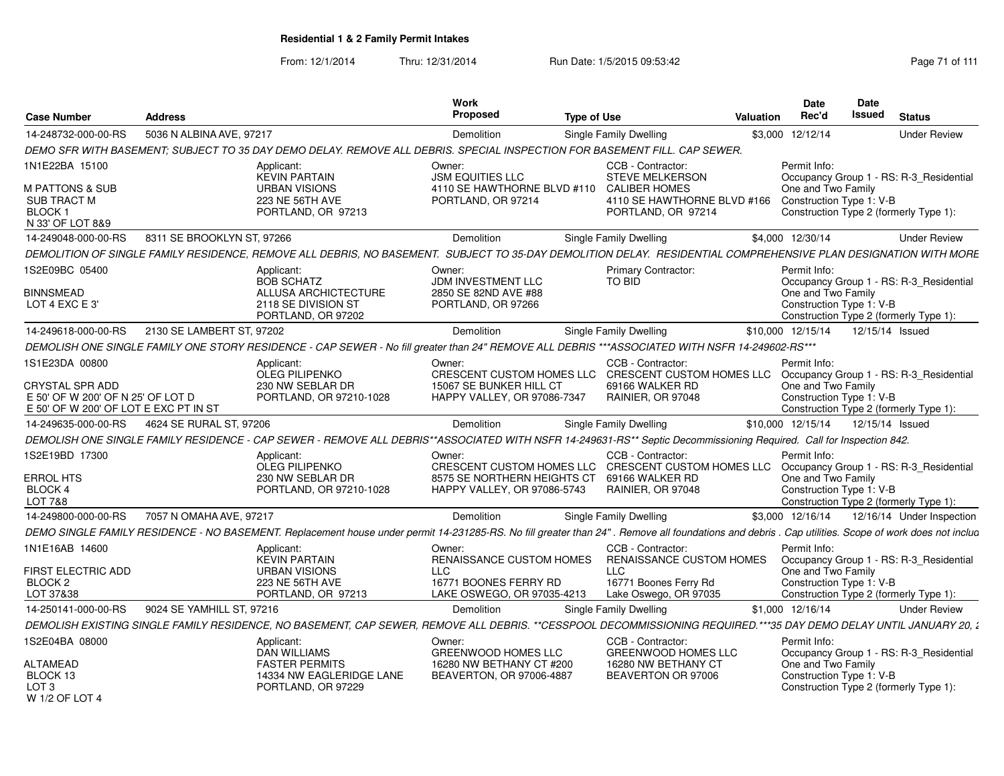|                                                                                                                        |                            |                                                                                                                                                                                                     | <b>Work</b>                                                                                                                                                         |                               |                                                                                                                          |                  | <b>Date</b>                                                    | Date            |                                                                                   |
|------------------------------------------------------------------------------------------------------------------------|----------------------------|-----------------------------------------------------------------------------------------------------------------------------------------------------------------------------------------------------|---------------------------------------------------------------------------------------------------------------------------------------------------------------------|-------------------------------|--------------------------------------------------------------------------------------------------------------------------|------------------|----------------------------------------------------------------|-----------------|-----------------------------------------------------------------------------------|
| <b>Case Number</b>                                                                                                     | <b>Address</b>             |                                                                                                                                                                                                     | <b>Proposed</b>                                                                                                                                                     | <b>Type of Use</b>            |                                                                                                                          | <b>Valuation</b> | Rec'd                                                          | <b>Issued</b>   | <b>Status</b>                                                                     |
| 14-248732-000-00-RS                                                                                                    | 5036 N ALBINA AVE, 97217   |                                                                                                                                                                                                     | Demolition                                                                                                                                                          | <b>Single Family Dwelling</b> |                                                                                                                          |                  | \$3,000 12/12/14                                               |                 | <b>Under Review</b>                                                               |
|                                                                                                                        |                            | DEMO SFR WITH BASEMENT; SUBJECT TO 35 DAY DEMO DELAY. REMOVE ALL DEBRIS. SPECIAL INSPECTION FOR BASEMENT FILL. CAP SEWER.                                                                           |                                                                                                                                                                     |                               |                                                                                                                          |                  |                                                                |                 |                                                                                   |
| 1N1E22BA 15100<br>M PATTONS & SUB<br><b>SUB TRACT M</b><br>BLOCK 1                                                     |                            | Applicant:<br><b>KEVIN PARTAIN</b><br><b>URBAN VISIONS</b><br>223 NE 56TH AVE<br>PORTLAND, OR 97213                                                                                                 | Owner:<br><b>JSM EQUITIES LLC</b><br>4110 SE HAWTHORNE BLVD #110<br>PORTLAND, OR 97214                                                                              |                               | CCB - Contractor:<br><b>STEVE MELKERSON</b><br><b>CALIBER HOMES</b><br>4110 SE HAWTHORNE BLVD #166<br>PORTLAND, OR 97214 |                  | Permit Info:<br>One and Two Family<br>Construction Type 1: V-B |                 | Occupancy Group 1 - RS: R-3_Residential<br>Construction Type 2 (formerly Type 1): |
| N 33' OF LOT 8&9<br>14-249048-000-00-RS                                                                                | 8311 SE BROOKLYN ST, 97266 |                                                                                                                                                                                                     | Demolition                                                                                                                                                          | Single Family Dwelling        |                                                                                                                          |                  | \$4,000 12/30/14                                               |                 | <b>Under Review</b>                                                               |
|                                                                                                                        |                            | DEMOLITION OF SINGLE FAMILY RESIDENCE, REMOVE ALL DEBRIS, NO BASEMENT. SUBJECT TO 35-DAY DEMOLITION DELAY. RESIDENTIAL COMPREHENSIVE PLAN DESIGNATION WITH MORE                                     |                                                                                                                                                                     |                               |                                                                                                                          |                  |                                                                |                 |                                                                                   |
| 1S2E09BC 05400                                                                                                         |                            |                                                                                                                                                                                                     | Owner:                                                                                                                                                              |                               | Primary Contractor:                                                                                                      |                  | Permit Info:                                                   |                 |                                                                                   |
| <b>BINNSMEAD</b><br>LOT 4 EXC E 3'                                                                                     |                            | Applicant:<br><b>BOB SCHATZ</b><br>ALLUSA ARCHICTECTURE<br>2118 SE DIVISION ST<br>PORTLAND, OR 97202                                                                                                | JDM INVESTMENT LLC<br>2850 SE 82ND AVE #88<br>PORTLAND, OR 97266                                                                                                    |                               | TO BID                                                                                                                   |                  | One and Two Family<br>Construction Type 1: V-B                 |                 | Occupancy Group 1 - RS: R-3 Residential<br>Construction Type 2 (formerly Type 1): |
| 14-249618-000-00-RS                                                                                                    | 2130 SE LAMBERT ST, 97202  |                                                                                                                                                                                                     | Demolition                                                                                                                                                          | <b>Single Family Dwelling</b> |                                                                                                                          |                  | \$10,000 12/15/14                                              | 12/15/14 Issued |                                                                                   |
|                                                                                                                        |                            | DEMOLISH ONE SINGLE FAMILY ONE STORY RESIDENCE - CAP SEWER - No fill greater than 24" REMOVE ALL DEBRIS ***ASSOCIATED WITH NSFR 14-249602-RS***                                                     |                                                                                                                                                                     |                               |                                                                                                                          |                  |                                                                |                 |                                                                                   |
| 1S1E23DA 00800<br><b>CRYSTAL SPR ADD</b><br>E 50' OF W 200' OF N 25' OF LOT D<br>E 50' OF W 200' OF LOT E EXC PT IN ST |                            | Applicant:<br><b>OLEG PILIPENKO</b><br>230 NW SEBLAR DR<br>PORTLAND, OR 97210-1028                                                                                                                  | Owner:<br>CRESCENT CUSTOM HOMES LLC CRESCENT CUSTOM HOMES LLC Occupancy Group 1 - RS: R-3_Residential<br>15067 SE BUNKER HILL CT<br>HAPPY VALLEY, OR 97086-7347     |                               | CCB - Contractor:<br>69166 WALKER RD<br>RAINIER, OR 97048                                                                |                  | Permit Info:<br>One and Two Family<br>Construction Type 1: V-B |                 | Construction Type 2 (formerly Type 1):                                            |
| 14-249635-000-00-RS                                                                                                    | 4624 SE RURAL ST, 97206    |                                                                                                                                                                                                     | Demolition                                                                                                                                                          | <b>Single Family Dwelling</b> |                                                                                                                          |                  | \$10,000 12/15/14                                              | 12/15/14 Issued |                                                                                   |
|                                                                                                                        |                            | DEMOLISH ONE SINGLE FAMILY RESIDENCE - CAP SEWER - REMOVE ALL DEBRIS**ASSOCIATED WITH NSFR 14-249631-RS** Septic Decommissioning Required. Call for Inspection 842.                                 |                                                                                                                                                                     |                               |                                                                                                                          |                  |                                                                |                 |                                                                                   |
| 1S2E19BD 17300<br><b>ERROL HTS</b><br>BLOCK 4<br>LOT 7&8                                                               |                            | Applicant:<br><b>OLEG PILIPENKO</b><br>230 NW SEBLAR DR<br>PORTLAND, OR 97210-1028                                                                                                                  | Owner:<br>CRESCENT CUSTOM HOMES LLC CRESCENT CUSTOM HOMES LLC Occupancy Group 1 - RS: R-3_Residential<br>8575 SE NORTHERN HEIGHTS CT<br>HAPPY VALLEY, OR 97086-5743 |                               | CCB - Contractor:<br>69166 WALKER RD<br>RAINIER, OR 97048                                                                |                  | Permit Info:<br>One and Two Family<br>Construction Type 1: V-B |                 | Construction Type 2 (formerly Type 1):                                            |
| 14-249800-000-00-RS                                                                                                    | 7057 N OMAHA AVE, 97217    |                                                                                                                                                                                                     | Demolition                                                                                                                                                          | <b>Single Family Dwelling</b> |                                                                                                                          |                  | \$3,000 12/16/14                                               |                 | 12/16/14 Under Inspection                                                         |
|                                                                                                                        |                            | DEMO SINGLE FAMILY RESIDENCE - NO BASEMENT. Replacement house under permit 14-231285-RS. No fill greater than 24". Remove all foundations and debris . Cap utilities. Scope of work does not includ |                                                                                                                                                                     |                               |                                                                                                                          |                  |                                                                |                 |                                                                                   |
| 1N1E16AB 14600<br>FIRST ELECTRIC ADD<br>BLOCK <sub>2</sub>                                                             |                            | Applicant:<br><b>KEVIN PARTAIN</b><br><b>URBAN VISIONS</b><br><b>223 NE 56TH AVE</b>                                                                                                                | Owner:<br>RENAISSANCE CUSTOM HOMES<br><b>LLC</b><br>16771 BOONES FERRY RD                                                                                           | <b>LLC</b>                    | CCB - Contractor:<br>RENAISSANCE CUSTOM HOMES<br>16771 Boones Ferry Rd                                                   |                  | Permit Info:<br>One and Two Family<br>Construction Type 1: V-B |                 | Occupancy Group 1 - RS: R-3_Residential                                           |
| LOT 37&38                                                                                                              |                            | PORTLAND, OR 97213                                                                                                                                                                                  | LAKE OSWEGO, OR 97035-4213                                                                                                                                          |                               | Lake Oswego, OR 97035                                                                                                    |                  |                                                                |                 | Construction Type 2 (formerly Type 1):                                            |
| 14-250141-000-00-RS                                                                                                    | 9024 SE YAMHILL ST, 97216  |                                                                                                                                                                                                     | Demolition                                                                                                                                                          | <b>Single Family Dwelling</b> |                                                                                                                          |                  | \$1,000 12/16/14                                               |                 | <b>Under Review</b>                                                               |
|                                                                                                                        |                            | DEMOLISH EXISTING SINGLE FAMILY RESIDENCE, NO BASEMENT, CAP SEWER, REMOVE ALL DEBRIS. **CESSPOOL DECOMMISSIONING REQUIRED.***35 DAY DEMO DELAY UNTIL JANUARY 20, 2                                  |                                                                                                                                                                     |                               |                                                                                                                          |                  |                                                                |                 |                                                                                   |
| 1S2E04BA 08000<br><b>ALTAMEAD</b><br>BLOCK 13<br>LOT 3<br>W 1/2 OF LOT 4                                               |                            | Applicant:<br><b>DAN WILLIAMS</b><br><b>FASTER PERMITS</b><br>14334 NW EAGLERIDGE LANE<br>PORTLAND, OR 97229                                                                                        | Owner:<br>GREENWOOD HOMES LLC<br>16280 NW BETHANY CT #200<br>BEAVERTON, OR 97006-4887                                                                               |                               | CCB - Contractor:<br>GREENWOOD HOMES LLC<br>16280 NW BETHANY CT<br>BEAVERTON OR 97006                                    |                  | Permit Info:<br>One and Two Family<br>Construction Type 1: V-B |                 | Occupancy Group 1 - RS: R-3_Residential<br>Construction Type 2 (formerly Type 1): |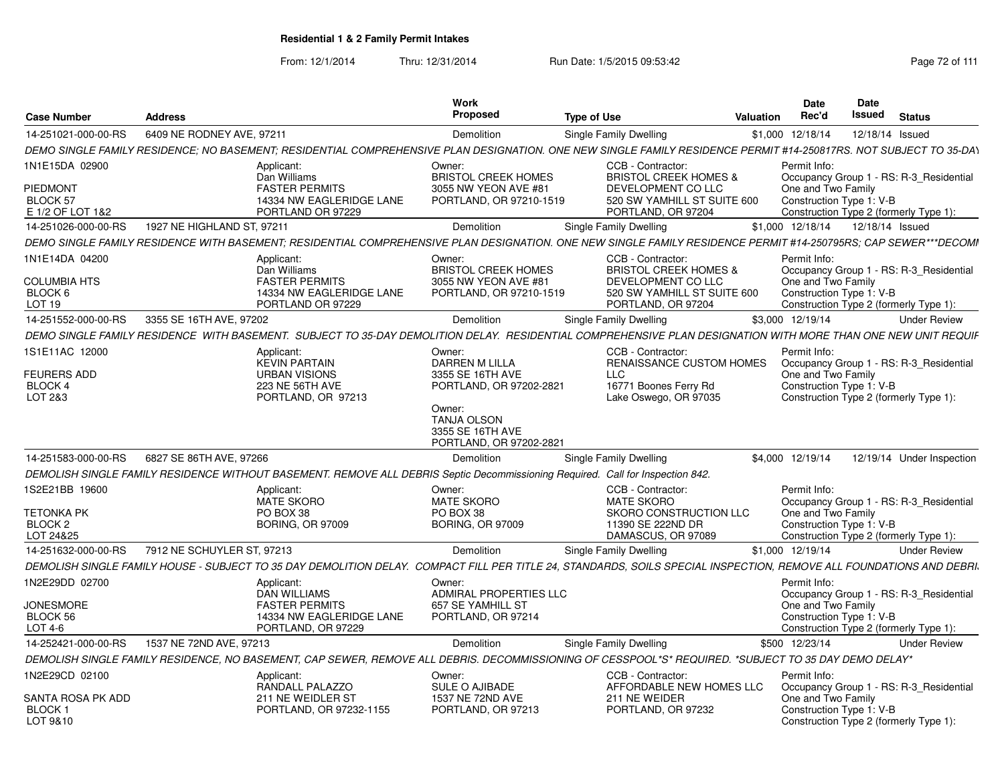| <b>Case Number</b>                              | <b>Address</b>                                                                                                                                                      | Work<br>Proposed                                                            | <b>Type of Use</b>                                                      | Valuation | Date<br>Rec'd                      | Date<br>Issued                                                     | <b>Status</b>                           |
|-------------------------------------------------|---------------------------------------------------------------------------------------------------------------------------------------------------------------------|-----------------------------------------------------------------------------|-------------------------------------------------------------------------|-----------|------------------------------------|--------------------------------------------------------------------|-----------------------------------------|
| 14-251021-000-00-RS                             | 6409 NE RODNEY AVE, 97211                                                                                                                                           | Demolition                                                                  | Single Family Dwelling                                                  |           | \$1,000 12/18/14                   | 12/18/14 Issued                                                    |                                         |
|                                                 | DEMO SINGLE FAMILY RESIDENCE: NO BASEMENT; RESIDENTIAL COMPREHENSIVE PLAN DESIGNATION. ONE NEW SINGLE FAMILY RESIDENCE PERMIT #14-250817RS. NOT SUBJECT TO 35-DAY   |                                                                             |                                                                         |           |                                    |                                                                    |                                         |
| 1N1E15DA 02900                                  | Applicant:<br>Dan Williams                                                                                                                                          | Owner:<br><b>BRISTOL CREEK HOMES</b>                                        | CCB - Contractor:<br><b>BRISTOL CREEK HOMES &amp;</b>                   |           | Permit Info:                       |                                                                    | Occupancy Group 1 - RS: R-3 Residential |
| PIEDMONT<br><b>BLOCK 57</b><br>E 1/2 OF LOT 1&2 | <b>FASTER PERMITS</b><br>14334 NW EAGLERIDGE LANE<br>PORTLAND OR 97229                                                                                              | 3055 NW YEON AVE #81<br>PORTLAND, OR 97210-1519                             | DEVELOPMENT CO LLC<br>520 SW YAMHILL ST SUITE 600<br>PORTLAND, OR 97204 |           | One and Two Family                 | Construction Type 1: V-B                                           | Construction Type 2 (formerly Type 1):  |
| 14-251026-000-00-RS                             | 1927 NE HIGHLAND ST, 97211                                                                                                                                          | Demolition                                                                  | <b>Single Family Dwelling</b>                                           |           | \$1,000 12/18/14                   | 12/18/14 Issued                                                    |                                         |
|                                                 | DEMO SINGLE FAMILY RESIDENCE WITH BASEMENT: RESIDENTIAL COMPREHENSIVE PLAN DESIGNATION. ONE NEW SINGLE FAMILY RESIDENCE PERMIT #14-250795RS: CAP SEWER***DECOMI     |                                                                             |                                                                         |           |                                    |                                                                    |                                         |
| 1N1E14DA 04200                                  | Applicant:<br>Dan Williams                                                                                                                                          | Owner:<br><b>BRISTOL CREEK HOMES</b>                                        | CCB - Contractor<br><b>BRISTOL CREEK HOMES &amp;</b>                    |           | Permit Info:                       |                                                                    | Occupancy Group 1 - RS: R-3 Residential |
| <b>COLUMBIA HTS</b><br>BLOCK 6<br>LOT 19        | <b>FASTER PERMITS</b><br>14334 NW EAGLERIDGE LANE<br>PORTLAND OR 97229                                                                                              | 3055 NW YEON AVE #81<br>PORTLAND, OR 97210-1519                             | DEVELOPMENT CO LLC<br>520 SW YAMHILL ST SUITE 600<br>PORTLAND, OR 97204 |           | One and Two Family                 | Construction Type 1: V-B<br>Construction Type 2 (formerly Type 1): |                                         |
| 14-251552-000-00-RS                             | 3355 SE 16TH AVE, 97202                                                                                                                                             | Demolition                                                                  | <b>Single Family Dwelling</b>                                           |           | \$3,000 12/19/14                   |                                                                    | <b>Under Review</b>                     |
|                                                 | DEMO SINGLE FAMILY RESIDENCE WITH BASEMENT. SUBJECT TO 35-DAY DEMOLITION DELAY. RESIDENTIAL COMPREHENSIVE PLAN DESIGNATION WITH MORE THAN ONE NEW UNIT REQUIF       |                                                                             |                                                                         |           |                                    |                                                                    |                                         |
| 1S1E11AC 12000                                  | Applicant:<br><b>KEVIN PARTAIN</b>                                                                                                                                  | Owner:<br><b>DARREN M LILLA</b>                                             | CCB - Contractor:<br>RENAISSANCE CUSTOM HOMES                           |           | Permit Info:                       |                                                                    | Occupancy Group 1 - RS: R-3_Residential |
| FEURERS ADD<br>BLOCK 4<br>LOT 2&3               | <b>URBAN VISIONS</b><br>223 NE 56TH AVE<br>PORTLAND, OR 97213                                                                                                       | 3355 SE 16TH AVE<br>PORTLAND, OR 97202-2821                                 | LLC<br>16771 Boones Ferry Rd<br>Lake Oswego, OR 97035                   |           | One and Two Family                 | Construction Type 1: V-B<br>Construction Type 2 (formerly Type 1): |                                         |
|                                                 |                                                                                                                                                                     | Owner:<br><b>TANJA OLSON</b><br>3355 SE 16TH AVE<br>PORTLAND, OR 97202-2821 |                                                                         |           |                                    |                                                                    |                                         |
| 14-251583-000-00-RS                             | 6827 SE 86TH AVE, 97266                                                                                                                                             | Demolition                                                                  | Single Family Dwelling                                                  |           | \$4,000 12/19/14                   |                                                                    | 12/19/14 Under Inspection               |
|                                                 | DEMOLISH SINGLE FAMILY RESIDENCE WITHOUT BASEMENT. REMOVE ALL DEBRIS Septic Decommissioning Required. Call for Inspection 842.                                      |                                                                             |                                                                         |           |                                    |                                                                    |                                         |
| 1S2E21BB 19600                                  | Applicant:<br><b>MATE SKORO</b>                                                                                                                                     | Owner:<br><b>MATE SKORO</b>                                                 | CCB - Contractor:<br><b>MATE SKORO</b>                                  |           | Permit Info:                       |                                                                    | Occupancy Group 1 - RS: R-3 Residential |
| <b>TETONKA PK</b><br>BLOCK 2<br>LOT 24&25       | PO BOX 38<br><b>BORING, OR 97009</b>                                                                                                                                | PO BOX 38<br><b>BORING, OR 97009</b>                                        | SKORO CONSTRUCTION LLC<br>11390 SE 222ND DR<br>DAMASCUS, OR 97089       |           | One and Two Family                 | Construction Type 1: V-B<br>Construction Type 2 (formerly Type 1): |                                         |
| 14-251632-000-00-RS                             | 7912 NE SCHUYLER ST, 97213                                                                                                                                          | Demolition                                                                  | Single Family Dwelling                                                  |           | \$1,000 12/19/14                   |                                                                    | <b>Under Review</b>                     |
|                                                 | DEMOLISH SINGLE FAMILY HOUSE - SUBJECT TO 35 DAY DEMOLITION DELAY. COMPACT FILL PER TITLE 24. STANDARDS. SOILS SPECIAL INSPECTION. REMOVE ALL FOUNDATIONS AND DEBRI |                                                                             |                                                                         |           |                                    |                                                                    |                                         |
| 1N2E29DD 02700                                  | Applicant:<br>DAN WILLIAMS                                                                                                                                          | Owner:<br>ADMIRAL PROPERTIES LLC                                            |                                                                         |           | Permit Info:                       |                                                                    | Occupancy Group 1 - RS: R-3 Residential |
| <b>JONESMORE</b><br>BLOCK 56<br>LOT 4-6         | <b>FASTER PERMITS</b><br>14334 NW EAGLERIDGE LANE<br>PORTLAND, OR 97229                                                                                             | 657 SE YAMHILL ST<br>PORTLAND, OR 97214                                     |                                                                         |           | One and Two Family                 | Construction Type 1: V-B<br>Construction Type 2 (formerly Type 1): |                                         |
| 14-252421-000-00-RS                             | 1537 NE 72ND AVE, 97213                                                                                                                                             | Demolition                                                                  | <b>Single Family Dwelling</b>                                           |           | \$500 12/23/14                     |                                                                    | <b>Under Review</b>                     |
|                                                 |                                                                                                                                                                     |                                                                             |                                                                         |           |                                    |                                                                    |                                         |
|                                                 | DEMOLISH SINGLE FAMILY RESIDENCE, NO BASEMENT, CAP SEWER, REMOVE ALL DEBRIS. DECOMMISSIONING OF CESSPOOL*S* REQUIRED. *SUBJECT TO 35 DAY DEMO DELAY*                |                                                                             |                                                                         |           |                                    |                                                                    |                                         |
| 1N2E29CD 02100<br>SANTA ROSA PK ADD             | Applicant:<br>RANDALL PALAZZO<br>211 NE WEIDLER ST                                                                                                                  | Owner:<br>SULE O AJIBADE<br>1537 NE 72ND AVE                                | CCB - Contractor:<br>AFFORDABLE NEW HOMES LLC<br>211 NE WEIDER          |           | Permit Info:<br>One and Two Family |                                                                    | Occupancy Group 1 - RS: R-3 Residential |
| <b>BLOCK1</b><br>LOT 9&10                       | PORTLAND, OR 97232-1155                                                                                                                                             | PORTLAND, OR 97213                                                          | PORTLAND, OR 97232                                                      |           |                                    | Construction Type 1: V-B<br>Construction Type 2 (formerly Type 1): |                                         |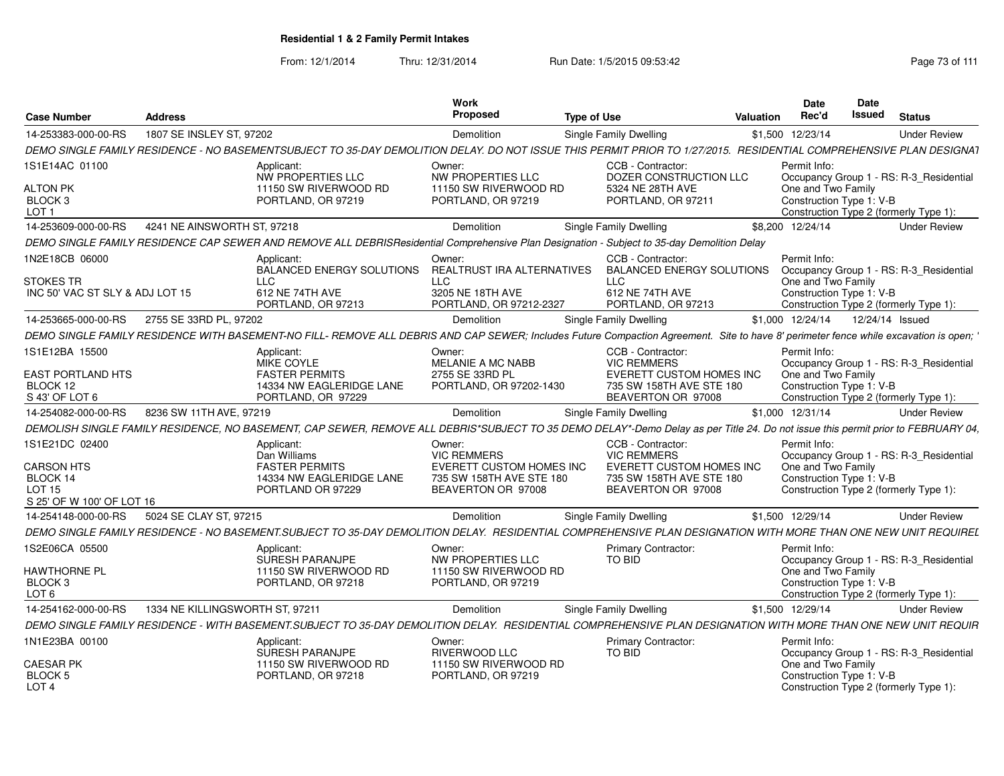From: 12/1/2014Thru: 12/31/2014 Run Date: 1/5/2015 09:53:42 Research 2010 12/31/2014 Page 73 of 111

| <b>Case Number</b>                                            | <b>Address</b>                  |                                                                                                                                                                                      | Work<br>Proposed                                                           | <b>Type of Use</b> |                                                                            | Valuation | <b>Date</b><br>Rec'd                           | <b>Date</b><br><b>Issued</b> | <b>Status</b>                           |
|---------------------------------------------------------------|---------------------------------|--------------------------------------------------------------------------------------------------------------------------------------------------------------------------------------|----------------------------------------------------------------------------|--------------------|----------------------------------------------------------------------------|-----------|------------------------------------------------|------------------------------|-----------------------------------------|
| 14-253383-000-00-RS                                           | 1807 SE INSLEY ST, 97202        |                                                                                                                                                                                      | Demolition                                                                 |                    | Single Family Dwelling                                                     |           | \$1,500 12/23/14                               |                              | <b>Under Review</b>                     |
|                                                               |                                 | DEMO SINGLE FAMILY RESIDENCE - NO BASEMENTSUBJECT TO 35-DAY DEMOLITION DELAY. DO NOT ISSUE THIS PERMIT PRIOR TO 1/27/2015. RESIDENTIAL COMPREHENSIVE PLAN DESIGNAT                   |                                                                            |                    |                                                                            |           |                                                |                              |                                         |
| 1S1E14AC 01100                                                |                                 | Applicant:<br>NW PROPERTIES LLC                                                                                                                                                      | Owner:<br><b>NW PROPERTIES LLC</b>                                         |                    | CCB - Contractor:<br>DOZER CONSTRUCTION LLC                                |           | Permit Info:                                   |                              | Occupancy Group 1 - RS: R-3_Residential |
| <b>ALTON PK</b><br>BLOCK <sub>3</sub><br>LOT <sub>1</sub>     |                                 | 11150 SW RIVERWOOD RD<br>PORTLAND, OR 97219                                                                                                                                          | 11150 SW RIVERWOOD RD<br>PORTLAND, OR 97219                                |                    | 5324 NE 28TH AVE<br>PORTLAND, OR 97211                                     |           | One and Two Family<br>Construction Type 1: V-B |                              | Construction Type 2 (formerly Type 1):  |
| 14-253609-000-00-RS                                           | 4241 NE AINSWORTH ST, 97218     |                                                                                                                                                                                      | Demolition                                                                 |                    | <b>Single Family Dwelling</b>                                              |           | \$8,200 12/24/14                               |                              | <b>Under Review</b>                     |
|                                                               |                                 | DEMO SINGLE FAMILY RESIDENCE CAP SEWER AND REMOVE ALL DEBRISResidential Comprehensive Plan Designation - Subject to 35-day Demolition Delay                                          |                                                                            |                    |                                                                            |           |                                                |                              |                                         |
| 1N2E18CB 06000                                                |                                 | Applicant:<br>BALANCED ENERGY SOLUTIONS                                                                                                                                              | Owner:<br><b>REALTRUST IRA ALTERNATIVES</b>                                |                    | CCB - Contractor:<br><b>BALANCED ENERGY SOLUTIONS</b>                      |           | Permit Info:                                   |                              | Occupancy Group 1 - RS: R-3 Residential |
| <b>STOKES TR</b><br>INC 50' VAC ST SLY & ADJ LOT 15           |                                 | <b>LLC</b><br>612 NE 74TH AVE<br>PORTLAND, OR 97213                                                                                                                                  | <b>LLC</b><br>3205 NE 18TH AVE<br>PORTLAND, OR 97212-2327                  |                    | <b>LLC</b><br>612 NE 74TH AVE<br>PORTLAND, OR 97213                        |           | One and Two Family<br>Construction Type 1: V-B |                              | Construction Type 2 (formerly Type 1):  |
| 14-253665-000-00-RS                                           | 2755 SE 33RD PL, 97202          |                                                                                                                                                                                      | Demolition                                                                 |                    | Single Family Dwelling                                                     |           | \$1,000 12/24/14                               |                              | 12/24/14 Issued                         |
|                                                               |                                 | DEMO SINGLE FAMILY RESIDENCE WITH BASEMENT-NO FILL- REMOVE ALL DEBRIS AND CAP SEWER; Includes Future Compaction Agreement. Site to have 8' perimeter fence while excavation is open; |                                                                            |                    |                                                                            |           |                                                |                              |                                         |
| 1S1E12BA 15500                                                |                                 | Applicant:<br><b>MIKE COYLE</b>                                                                                                                                                      | Owner:<br>MELANIE A MC NABB                                                |                    | CCB - Contractor:<br><b>VIC REMMERS</b>                                    |           | Permit Info:                                   |                              | Occupancy Group 1 - RS: R-3_Residential |
| <b>EAST PORTLAND HTS</b><br>BLOCK 12<br>S 43' OF LOT 6        |                                 | <b>FASTER PERMITS</b><br>14334 NW EAGLERIDGE LANE<br>PORTLAND, OR 97229                                                                                                              | 2755 SE 33RD PL<br>PORTLAND, OR 97202-1430                                 |                    | EVERETT CUSTOM HOMES INC<br>735 SW 158TH AVE STE 180<br>BEAVERTON OR 97008 |           | One and Two Family<br>Construction Type 1: V-B |                              | Construction Type 2 (formerly Type 1):  |
| 14-254082-000-00-RS                                           | 8236 SW 11TH AVE, 97219         |                                                                                                                                                                                      | Demolition                                                                 |                    | Single Family Dwelling                                                     |           | \$1,000 12/31/14                               |                              | <b>Under Review</b>                     |
|                                                               |                                 | DEMOLISH SINGLE FAMILY RESIDENCE, NO BASEMENT, CAP SEWER, REMOVE ALL DEBRIS*SUBJECT TO 35 DEMO DELAY*-Demo Delay as per Title 24. Do not issue this permit prior to FEBRUARY 04,     |                                                                            |                    |                                                                            |           |                                                |                              |                                         |
| 1S1E21DC 02400                                                |                                 | Applicant:<br>Dan Williams                                                                                                                                                           | Owner:<br><b>VIC REMMERS</b>                                               |                    | CCB - Contractor:<br><b>VIC REMMERS</b>                                    |           | Permit Info:                                   |                              | Occupancy Group 1 - RS: R-3_Residential |
| <b>CARSON HTS</b><br>BLOCK 14<br><b>LOT 15</b>                |                                 | <b>FASTER PERMITS</b><br>14334 NW EAGLERIDGE LANE<br>PORTLAND OR 97229                                                                                                               | EVERETT CUSTOM HOMES INC<br>735 SW 158TH AVE STE 180<br>BEAVERTON OR 97008 |                    | EVERETT CUSTOM HOMES INC<br>735 SW 158TH AVE STE 180<br>BEAVERTON OR 97008 |           | One and Two Family<br>Construction Type 1: V-B |                              | Construction Type 2 (formerly Type 1):  |
| S 25' OF W 100' OF LOT 16                                     |                                 |                                                                                                                                                                                      |                                                                            |                    |                                                                            |           |                                                |                              |                                         |
| 14-254148-000-00-RS                                           | 5024 SE CLAY ST, 97215          |                                                                                                                                                                                      | Demolition                                                                 |                    | Single Family Dwelling                                                     |           | \$1,500 12/29/14                               |                              | <b>Under Review</b>                     |
|                                                               |                                 | DEMO SINGLE FAMILY RESIDENCE - NO BASEMENT.SUBJECT TO 35-DAY DEMOLITION DELAY. RESIDENTIAL COMPREHENSIVE PLAN DESIGNATION WITH MORE THAN ONE NEW UNIT REQUIREL                       |                                                                            |                    |                                                                            |           |                                                |                              |                                         |
| 1S2E06CA 05500                                                |                                 | Applicant:<br>SURESH PARANJPE                                                                                                                                                        | Owner:<br><b>NW PROPERTIES LLC</b>                                         |                    | <b>Primary Contractor:</b><br><b>TO BID</b>                                |           | Permit Info:                                   |                              | Occupancy Group 1 - RS: R-3 Residential |
| <b>HAWTHORNE PL</b><br>BLOCK <sub>3</sub><br>LOT <sub>6</sub> |                                 | 11150 SW RIVERWOOD RD<br>PORTLAND, OR 97218                                                                                                                                          | 11150 SW RIVERWOOD RD<br>PORTLAND, OR 97219                                |                    |                                                                            |           | One and Two Family<br>Construction Type 1: V-B |                              | Construction Type 2 (formerly Type 1):  |
| 14-254162-000-00-RS                                           | 1334 NE KILLINGSWORTH ST, 97211 |                                                                                                                                                                                      | Demolition                                                                 |                    | Single Family Dwelling                                                     |           | \$1,500 12/29/14                               |                              | <b>Under Review</b>                     |
|                                                               |                                 | DEMO SINGLE FAMILY RESIDENCE - WITH BASEMENT.SUBJECT TO 35-DAY DEMOLITION DELAY. RESIDENTIAL COMPREHENSIVE PLAN DESIGNATION WITH MORE THAN ONE NEW UNIT REQUIR                       |                                                                            |                    |                                                                            |           |                                                |                              |                                         |
| 1N1E23BA 00100                                                |                                 | Applicant:<br>SURESH PARANJPE                                                                                                                                                        | Owner:<br><b>RIVERWOOD LLC</b>                                             |                    | <b>Primary Contractor:</b><br>TO BID                                       |           | Permit Info:                                   |                              | Occupancy Group 1 - RS: R-3_Residential |
| <b>CAESAR PK</b><br>BLOCK 5<br>LOT <sub>4</sub>               |                                 | 11150 SW RIVERWOOD RD<br>PORTLAND, OR 97218                                                                                                                                          | 11150 SW RIVERWOOD RD<br>PORTLAND, OR 97219                                |                    |                                                                            |           | One and Two Family<br>Construction Type 1: V-B |                              | Construction Type 2 (formerly Type 1):  |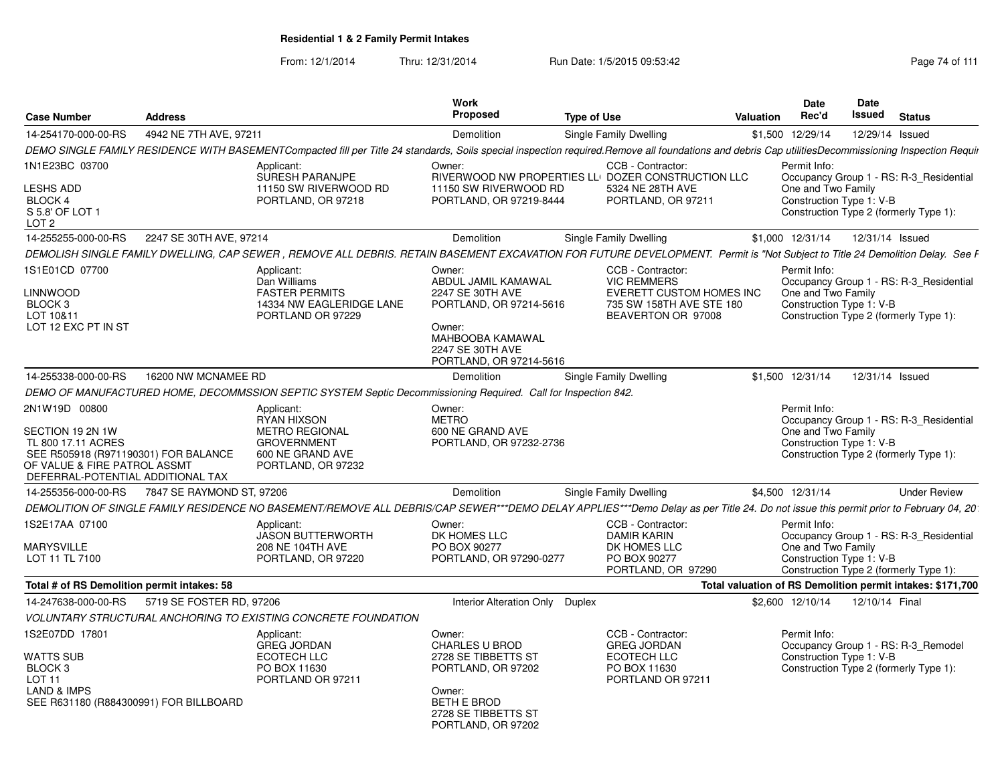From: 12/1/2014Thru: 12/31/2014 Run Date: 1/5/2015 09:53:42 Research 2010 111

| <b>Case Number</b>                                                                                                                                                   | <b>Address</b>            |                                                                                                                                                                                                     | Work<br><b>Proposed</b>                                                                                                                                   | <b>Type of Use</b> |                                                                                                                       | <b>Valuation</b> | <b>Date</b><br>Rec'd                                           | Date<br>Issued  | <b>Status</b>                                                                     |
|----------------------------------------------------------------------------------------------------------------------------------------------------------------------|---------------------------|-----------------------------------------------------------------------------------------------------------------------------------------------------------------------------------------------------|-----------------------------------------------------------------------------------------------------------------------------------------------------------|--------------------|-----------------------------------------------------------------------------------------------------------------------|------------------|----------------------------------------------------------------|-----------------|-----------------------------------------------------------------------------------|
| 14-254170-000-00-RS                                                                                                                                                  | 4942 NE 7TH AVE, 97211    |                                                                                                                                                                                                     | Demolition                                                                                                                                                |                    | Single Family Dwelling                                                                                                | \$1,500          | 12/29/14                                                       | 12/29/14 Issued |                                                                                   |
|                                                                                                                                                                      |                           | DEMO SINGLE FAMILY RESIDENCE WITH BASEMENTCompacted fill per Title 24 standards, Soils special inspection required.Remove all foundations and debris Cap utilitiesDecommissioning Inspection Requir |                                                                                                                                                           |                    |                                                                                                                       |                  |                                                                |                 |                                                                                   |
| 1N1E23BC 03700                                                                                                                                                       |                           | Applicant:                                                                                                                                                                                          | Owner:                                                                                                                                                    |                    | CCB - Contractor:                                                                                                     |                  | Permit Info:                                                   |                 |                                                                                   |
| <b>ESHS ADD</b><br><b>BLOCK 4</b><br>S 5.8' OF LOT 1<br>LOT 2                                                                                                        |                           | SURESH PARANJPE<br>11150 SW RIVERWOOD RD<br>PORTLAND, OR 97218                                                                                                                                      | 11150 SW RIVERWOOD RD<br>PORTLAND, OR 97219-8444                                                                                                          |                    | RIVERWOOD NW PROPERTIES LLI DOZER CONSTRUCTION LLC<br>5324 NE 28TH AVE<br>PORTLAND, OR 97211                          |                  | One and Two Family<br>Construction Type 1: V-B                 |                 | Occupancy Group 1 - RS: R-3 Residential<br>Construction Type 2 (formerly Type 1): |
| 14-255255-000-00-RS                                                                                                                                                  | 2247 SE 30TH AVE, 97214   |                                                                                                                                                                                                     | Demolition                                                                                                                                                |                    | Single Family Dwelling                                                                                                |                  | \$1,000 12/31/14                                               | 12/31/14 Issued |                                                                                   |
|                                                                                                                                                                      |                           | DEMOLISH SINGLE FAMILY DWELLING, CAP SEWER, REMOVE ALL DEBRIS. RETAIN BASEMENT EXCAVATION FOR FUTURE DEVELOPMENT. Permit is "Not Subject to Title 24 Demolition Delay. See F                        |                                                                                                                                                           |                    |                                                                                                                       |                  |                                                                |                 |                                                                                   |
| 1S1E01CD 07700<br>_INNWOOD<br>BLOCK 3<br>LOT 10&11<br>LOT 12 EXC PT IN ST                                                                                            |                           | Applicant:<br>Dan Williams<br><b>FASTER PERMITS</b><br>14334 NW EAGLERIDGE LANE<br>PORTLAND OR 97229                                                                                                | Owner:<br>ABDUL JAMIL KAMAWAL<br>2247 SE 30TH AVE<br>PORTLAND, OR 97214-5616<br>Owner:<br>MAHBOOBA KAMAWAL<br>2247 SE 30TH AVE<br>PORTLAND, OR 97214-5616 |                    | CCB - Contractor:<br><b>VIC REMMERS</b><br>EVERETT CUSTOM HOMES INC<br>735 SW 158TH AVE STE 180<br>BEAVERTON OR 97008 |                  | Permit Info:<br>One and Two Family<br>Construction Type 1: V-B |                 | Occupancy Group 1 - RS: R-3 Residential<br>Construction Type 2 (formerly Type 1): |
| 14-255338-000-00-RS                                                                                                                                                  | 16200 NW MCNAMEE RD       |                                                                                                                                                                                                     | Demolition                                                                                                                                                |                    | Single Family Dwelling                                                                                                |                  | \$1,500 12/31/14                                               | 12/31/14 Issued |                                                                                   |
|                                                                                                                                                                      |                           | DEMO OF MANUFACTURED HOME, DECOMMSSION SEPTIC SYSTEM Septic Decommissioning Required. Call for Inspection 842.                                                                                      |                                                                                                                                                           |                    |                                                                                                                       |                  |                                                                |                 |                                                                                   |
| 2N1W19D 00800<br>SECTION 19 2N 1W<br>TL 800 17.11 ACRES<br>SEE R505918 (R971190301) FOR BALANCE<br>OF VALUE & FIRE PATROL ASSMT<br>DEFERRAL-POTENTIAL ADDITIONAL TAX |                           | Applicant:<br><b>RYAN HIXSON</b><br><b>METRO REGIONAL</b><br><b>GROVERNMENT</b><br>600 NE GRAND AVE<br>PORTLAND, OR 97232                                                                           | Owner:<br><b>METRO</b><br>600 NE GRAND AVE<br>PORTLAND, OR 97232-2736                                                                                     |                    |                                                                                                                       |                  | Permit Info:<br>One and Two Family<br>Construction Type 1: V-B |                 | Occupancy Group 1 - RS: R-3 Residential<br>Construction Type 2 (formerly Type 1): |
| 14-255356-000-00-RS                                                                                                                                                  | 7847 SE RAYMOND ST, 97206 |                                                                                                                                                                                                     | Demolition                                                                                                                                                |                    | Single Family Dwelling                                                                                                |                  | \$4,500 12/31/14                                               |                 | <b>Under Review</b>                                                               |
|                                                                                                                                                                      |                           | DEMOLITION OF SINGLE FAMILY RESIDENCE NO BASEMENT/REMOVE ALL DEBRIS/CAP SEWER***DEMO DELAY APPLIES***Demo Delay as per Title 24. Do not issue this permit prior to February 04, 201                 |                                                                                                                                                           |                    |                                                                                                                       |                  |                                                                |                 |                                                                                   |
| 1S2E17AA 07100<br><b>MARYSVILLE</b><br>LOT 11 TL 7100                                                                                                                |                           | Applicant:<br><b>JASON BUTTERWORTH</b><br>208 NE 104TH AVE<br>PORTLAND, OR 97220                                                                                                                    | Owner:<br>DK HOMES LLC<br>PO BOX 90277<br>PORTLAND, OR 97290-0277                                                                                         |                    | CCB - Contractor:<br><b>DAMIR KARIN</b><br>DK HOMES LLC<br>PO BOX 90277<br>PORTLAND, OR 97290                         |                  | Permit Info:<br>One and Two Family<br>Construction Type 1: V-B |                 | Occupancy Group 1 - RS: R-3_Residential<br>Construction Type 2 (formerly Type 1): |
| Total # of RS Demolition permit intakes: 58                                                                                                                          |                           |                                                                                                                                                                                                     |                                                                                                                                                           |                    |                                                                                                                       |                  |                                                                |                 | Total valuation of RS Demolition permit intakes: \$171,700                        |
| 14-247638-000-00-RS                                                                                                                                                  | 5719 SE FOSTER RD, 97206  |                                                                                                                                                                                                     | Interior Alteration Only Duplex                                                                                                                           |                    |                                                                                                                       |                  | \$2,600 12/10/14                                               | 12/10/14 Final  |                                                                                   |
|                                                                                                                                                                      |                           | VOLUNTARY STRUCTURAL ANCHORING TO EXISTING CONCRETE FOUNDATION                                                                                                                                      |                                                                                                                                                           |                    |                                                                                                                       |                  |                                                                |                 |                                                                                   |
| 1S2E07DD 17801<br>WATTS SUB<br>BLOCK <sub>3</sub><br>LOT 11<br><b>LAND &amp; IMPS</b><br>SEE R631180 (R884300991) FOR BILLBOARD                                      |                           | Applicant:<br><b>GREG JORDAN</b><br><b>ECOTECH LLC</b><br>PO BOX 11630<br>PORTLAND OR 97211                                                                                                         | Owner:<br><b>CHARLES U BROD</b><br>2728 SE TIBBETTS ST<br>PORTLAND, OR 97202<br>Owner:<br><b>BETH E BROD</b><br>2728 SE TIBBETTS ST<br>PORTLAND, OR 97202 |                    | CCB - Contractor:<br><b>GREG JORDAN</b><br><b>ECOTECH LLC</b><br>PO BOX 11630<br>PORTLAND OR 97211                    |                  | Permit Info:<br>Construction Type 1: V-B                       |                 | Occupancy Group 1 - RS: R-3_Remodel<br>Construction Type 2 (formerly Type 1):     |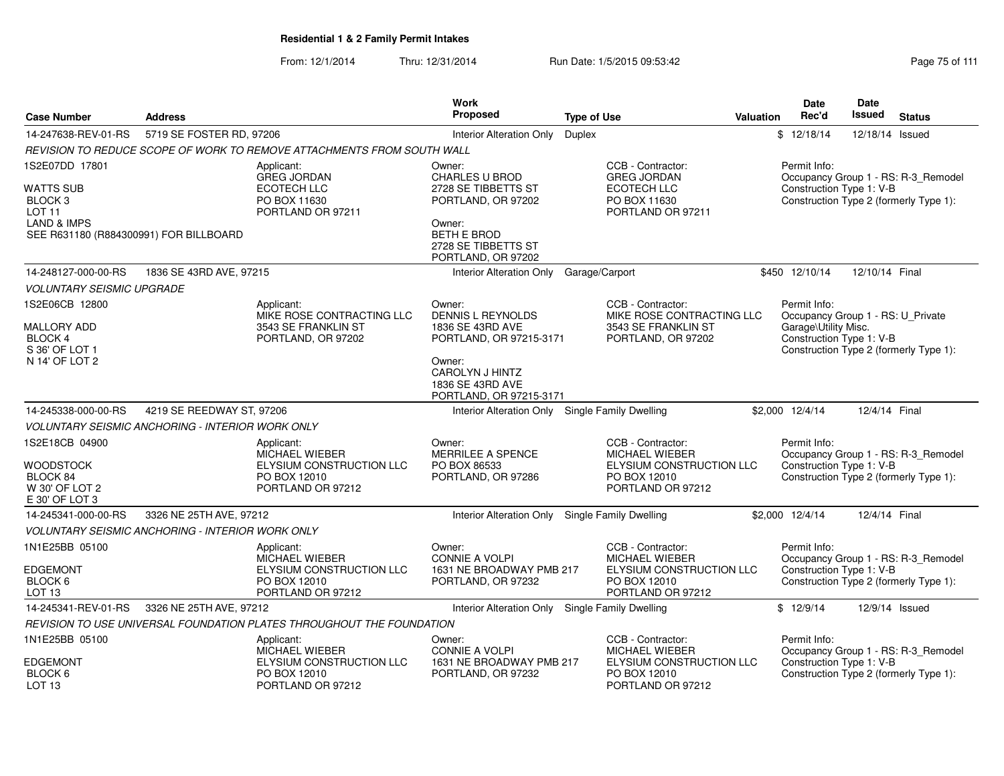From: 12/1/2014Thru: 12/31/2014 Run Date: 1/5/2015 09:53:42 Research 2010 12/31/2014 Page 75 of 111

|                                                       |                                                         |                                                                                      | Work                                                                              |                    |                                                                                             |                  | Date                                                                                                  | Date           |                                                                               |
|-------------------------------------------------------|---------------------------------------------------------|--------------------------------------------------------------------------------------|-----------------------------------------------------------------------------------|--------------------|---------------------------------------------------------------------------------------------|------------------|-------------------------------------------------------------------------------------------------------|----------------|-------------------------------------------------------------------------------|
| <b>Case Number</b>                                    | <b>Address</b>                                          |                                                                                      | Proposed                                                                          | <b>Type of Use</b> |                                                                                             | <b>Valuation</b> | Rec'd                                                                                                 | Issued         | <b>Status</b>                                                                 |
| 14-247638-REV-01-RS                                   | 5719 SE FOSTER RD, 97206                                |                                                                                      | Interior Alteration Only                                                          | <b>Duplex</b>      |                                                                                             |                  | \$12/18/14                                                                                            | 12/18/14       | Issued                                                                        |
|                                                       |                                                         | REVISION TO REDUCE SCOPE OF WORK TO REMOVE ATTACHMENTS FROM SOUTH WALL               |                                                                                   |                    |                                                                                             |                  |                                                                                                       |                |                                                                               |
| 1S2E07DD 17801                                        |                                                         | Applicant:<br><b>GREG JORDAN</b>                                                     | Owner:<br><b>CHARLES U BROD</b>                                                   |                    | CCB - Contractor:<br><b>GREG JORDAN</b>                                                     |                  | Permit Info:                                                                                          |                | Occupancy Group 1 - RS: R-3_Remodel                                           |
| WATTS SUB<br>BLOCK <sub>3</sub><br>LOT <sub>11</sub>  |                                                         | ECOTECH LLC<br>PO BOX 11630<br>PORTLAND OR 97211                                     | 2728 SE TIBBETTS ST<br>PORTLAND, OR 97202                                         |                    | ECOTECH LLC<br>PO BOX 11630<br>PORTLAND OR 97211                                            |                  | Construction Type 1: V-B                                                                              |                | Construction Type 2 (formerly Type 1):                                        |
| LAND & IMPS<br>SEE R631180 (R884300991) FOR BILLBOARD |                                                         |                                                                                      | Owner:<br><b>BETH E BROD</b><br>2728 SE TIBBETTS ST<br>PORTLAND, OR 97202         |                    |                                                                                             |                  |                                                                                                       |                |                                                                               |
| 14-248127-000-00-RS                                   | 1836 SE 43RD AVE, 97215                                 |                                                                                      | Interior Alteration Only                                                          | Garage/Carport     |                                                                                             |                  | \$450 12/10/14                                                                                        | 12/10/14 Final |                                                                               |
| <b>VOLUNTARY SEISMIC UPGRADE</b>                      |                                                         |                                                                                      |                                                                                   |                    |                                                                                             |                  |                                                                                                       |                |                                                                               |
| 1S2E06CB 12800<br><b>MALLORY ADD</b><br>BLOCK 4       |                                                         | Applicant:<br>MIKE ROSE CONTRACTING LLC<br>3543 SE FRANKLIN ST<br>PORTLAND, OR 97202 | Owner:<br><b>DENNIS L REYNOLDS</b><br>1836 SE 43RD AVE<br>PORTLAND, OR 97215-3171 |                    | CCB - Contractor:<br>MIKE ROSE CONTRACTING LLC<br>3543 SE FRANKLIN ST<br>PORTLAND, OR 97202 |                  | Permit Info:<br>Occupancy Group 1 - RS: U_Private<br>Garage\Utility Misc.<br>Construction Type 1: V-B |                |                                                                               |
| S 36' OF LOT 1<br>N 14' OF LOT 2                      |                                                         |                                                                                      | Owner:<br><b>CAROLYN J HINTZ</b><br>1836 SE 43RD AVE<br>PORTLAND, OR 97215-3171   |                    |                                                                                             |                  |                                                                                                       |                | Construction Type 2 (formerly Type 1):                                        |
| 14-245338-000-00-RS                                   | 4219 SE REEDWAY ST, 97206                               |                                                                                      | Interior Alteration Only Single Family Dwelling                                   |                    |                                                                                             |                  | \$2,000 12/4/14                                                                                       | 12/4/14 Final  |                                                                               |
|                                                       | VOLUNTARY SEISMIC ANCHORING - INTERIOR WORK ONLY        |                                                                                      |                                                                                   |                    |                                                                                             |                  |                                                                                                       |                |                                                                               |
| 1S2E18CB 04900<br>WOODSTOCK<br>BLOCK 84               |                                                         | Applicant:<br><b>MICHAEL WIEBER</b><br>ELYSIUM CONSTRUCTION LLC<br>PO BOX 12010      | Owner:<br><b>MERRILEE A SPENCE</b><br>PO BOX 86533<br>PORTLAND, OR 97286          |                    | CCB - Contractor:<br><b>MICHAEL WIEBER</b><br>ELYSIUM CONSTRUCTION LLC<br>PO BOX 12010      |                  | Permit Info:<br>Construction Type 1: V-B                                                              |                | Occupancy Group 1 - RS: R-3_Remodel<br>Construction Type 2 (formerly Type 1): |
| W 30' OF LOT 2<br>E 30' OF LOT 3                      |                                                         | PORTLAND OR 97212                                                                    |                                                                                   |                    | PORTLAND OR 97212                                                                           |                  |                                                                                                       |                |                                                                               |
| 14-245341-000-00-RS                                   | 3326 NE 25TH AVE, 97212                                 |                                                                                      | Interior Alteration Only Single Family Dwelling                                   |                    |                                                                                             |                  | \$2,000 12/4/14                                                                                       | 12/4/14 Final  |                                                                               |
|                                                       | <b>VOLUNTARY SEISMIC ANCHORING - INTERIOR WORK ONLY</b> |                                                                                      |                                                                                   |                    |                                                                                             |                  |                                                                                                       |                |                                                                               |
| 1N1E25BB 05100                                        |                                                         | Applicant:<br>MICHAEL WIEBER                                                         | Owner:<br><b>CONNIE A VOLPI</b>                                                   |                    | CCB - Contractor:<br><b>MICHAEL WIEBER</b>                                                  |                  | Permit Info:                                                                                          |                | Occupancy Group 1 - RS: R-3_Remodel                                           |
| <b>EDGEMONT</b><br>BLOCK 6<br>LOT <sub>13</sub>       |                                                         | <b>ELYSIUM CONSTRUCTION LLC</b><br>PO BOX 12010<br>PORTLAND OR 97212                 | 1631 NE BROADWAY PMB 217<br>PORTLAND, OR 97232                                    |                    | <b>ELYSIUM CONSTRUCTION LLC</b><br>PO BOX 12010<br>PORTLAND OR 97212                        |                  | Construction Type 1: V-B                                                                              |                | Construction Type 2 (formerly Type 1):                                        |
| 14-245341-REV-01-RS                                   | 3326 NE 25TH AVE, 97212                                 |                                                                                      | <b>Interior Alteration Only</b>                                                   |                    | <b>Single Family Dwelling</b>                                                               |                  | \$12/9/14                                                                                             |                | 12/9/14 Issued                                                                |
|                                                       |                                                         | REVISION TO USE UNIVERSAL FOUNDATION PLATES THROUGHOUT THE FOUNDATION                |                                                                                   |                    |                                                                                             |                  |                                                                                                       |                |                                                                               |
| 1N1E25BB 05100                                        |                                                         | Applicant:<br>MICHAEL WIEBER                                                         | Owner:<br><b>CONNIE A VOLPI</b>                                                   |                    | CCB - Contractor:<br><b>MICHAEL WIEBER</b>                                                  |                  | Permit Info:                                                                                          |                | Occupancy Group 1 - RS: R-3_Remodel                                           |
| <b>EDGEMONT</b><br>BLOCK 6<br>LOT <sub>13</sub>       |                                                         | ELYSIUM CONSTRUCTION LLC<br>PO BOX 12010<br>PORTLAND OR 97212                        | 1631 NE BROADWAY PMB 217<br>PORTLAND, OR 97232                                    |                    | ELYSIUM CONSTRUCTION LLC<br>PO BOX 12010<br>PORTLAND OR 97212                               |                  | Construction Type 1: V-B                                                                              |                | Construction Type 2 (formerly Type 1):                                        |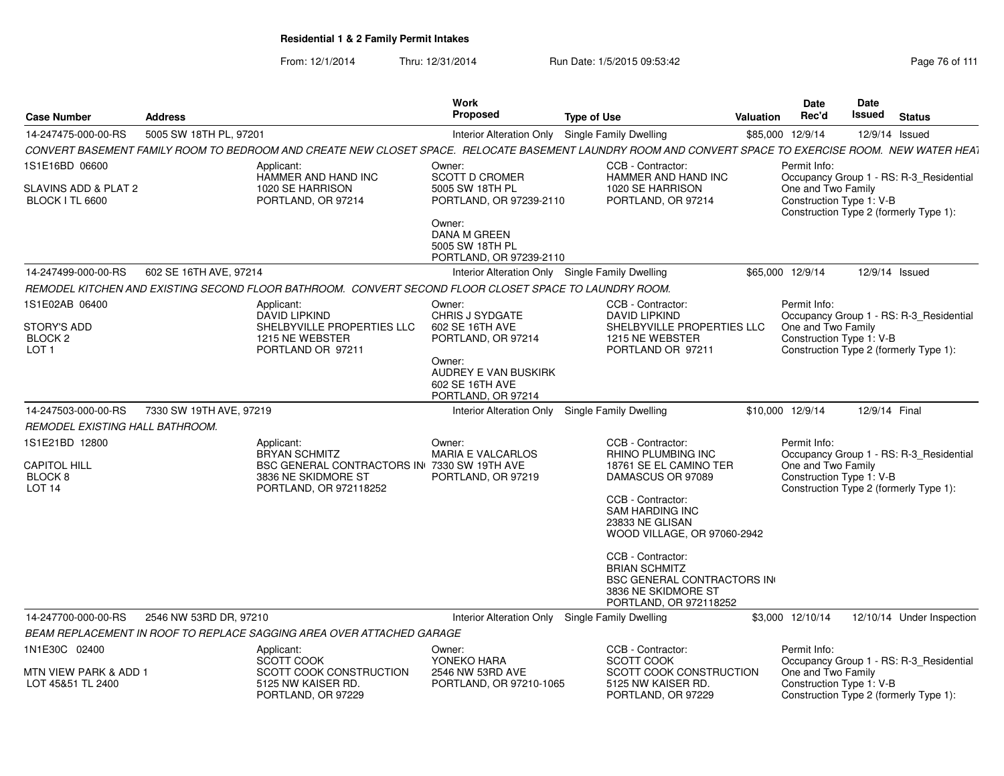From: 12/1/2014Thru: 12/31/2014 Run Date: 1/5/2015 09:53:42 Research 2010 12:43 Rage 76 of 111

| <b>Case Number</b>                                                      | <b>Address</b>          |                                                                                                                                                        | <b>Work</b><br><b>Proposed</b>                                                                                                                        | <b>Type of Use</b>                                                                                                                                                                                                                                                                                                                | Valuation        | Date<br>Rec'd                                                  | Date<br><b>Issued</b> | <b>Status</b>                                                                     |
|-------------------------------------------------------------------------|-------------------------|--------------------------------------------------------------------------------------------------------------------------------------------------------|-------------------------------------------------------------------------------------------------------------------------------------------------------|-----------------------------------------------------------------------------------------------------------------------------------------------------------------------------------------------------------------------------------------------------------------------------------------------------------------------------------|------------------|----------------------------------------------------------------|-----------------------|-----------------------------------------------------------------------------------|
| 14-247475-000-00-RS                                                     | 5005 SW 18TH PL, 97201  |                                                                                                                                                        | Interior Alteration Only                                                                                                                              | <b>Single Family Dwelling</b>                                                                                                                                                                                                                                                                                                     | \$85,000 12/9/14 |                                                                | 12/9/14 Issued        |                                                                                   |
|                                                                         |                         | CONVERT BASEMENT FAMILY ROOM TO BEDROOM AND CREATE NEW CLOSET SPACE. RELOCATE BASEMENT LAUNDRY ROOM AND CONVERT SPACE TO EXERCISE ROOM. NEW WATER HEAT |                                                                                                                                                       |                                                                                                                                                                                                                                                                                                                                   |                  |                                                                |                       |                                                                                   |
| 1S1E16BD 06600<br>SLAVINS ADD & PLAT 2<br>BLOCK I TL 6600               |                         | Applicant:<br>HAMMER AND HAND INC<br>1020 SE HARRISON<br>PORTLAND, OR 97214                                                                            | Owner:<br><b>SCOTT D CROMER</b><br>5005 SW 18TH PL<br>PORTLAND, OR 97239-2110<br>Owner:<br>DANA M GREEN<br>5005 SW 18TH PL<br>PORTLAND, OR 97239-2110 | CCB - Contractor:<br>HAMMER AND HAND INC<br>1020 SE HARRISON<br>PORTLAND, OR 97214                                                                                                                                                                                                                                                |                  | Permit Info:<br>One and Two Family<br>Construction Type 1: V-B |                       | Occupancy Group 1 - RS: R-3_Residential<br>Construction Type 2 (formerly Type 1): |
| 14-247499-000-00-RS                                                     | 602 SE 16TH AVE, 97214  |                                                                                                                                                        | Interior Alteration Only Single Family Dwelling                                                                                                       |                                                                                                                                                                                                                                                                                                                                   | \$65,000 12/9/14 |                                                                | 12/9/14 Issued        |                                                                                   |
|                                                                         |                         | REMODEL KITCHEN AND EXISTING SECOND FLOOR BATHROOM. CONVERT SECOND FLOOR CLOSET SPACE TO LAUNDRY ROOM.                                                 |                                                                                                                                                       |                                                                                                                                                                                                                                                                                                                                   |                  |                                                                |                       |                                                                                   |
| 1S1E02AB 06400<br>STORY'S ADD<br>BLOCK <sub>2</sub><br>LOT <sub>1</sub> |                         | Applicant:<br>DAVID LIPKIND<br>SHELBYVILLE PROPERTIES LLC<br>1215 NE WEBSTER<br>PORTLAND OR 97211                                                      | Owner:<br><b>CHRIS J SYDGATE</b><br>602 SE 16TH AVE<br>PORTLAND, OR 97214<br>Owner:<br>AUDREY E VAN BUSKIRK<br>602 SE 16TH AVE<br>PORTLAND, OR 97214  | CCB - Contractor:<br><b>DAVID LIPKIND</b><br>SHELBYVILLE PROPERTIES LLC<br>1215 NE WEBSTER<br>PORTLAND OR 97211                                                                                                                                                                                                                   |                  | Permit Info:<br>One and Two Family<br>Construction Type 1: V-B |                       | Occupancy Group 1 - RS: R-3 Residential<br>Construction Type 2 (formerly Type 1): |
| 14-247503-000-00-RS                                                     | 7330 SW 19TH AVE, 97219 |                                                                                                                                                        | Interior Alteration Only                                                                                                                              | <b>Single Family Dwelling</b>                                                                                                                                                                                                                                                                                                     | \$10,000 12/9/14 |                                                                | 12/9/14 Final         |                                                                                   |
| REMODEL EXISTING HALL BATHROOM.                                         |                         |                                                                                                                                                        |                                                                                                                                                       |                                                                                                                                                                                                                                                                                                                                   |                  |                                                                |                       |                                                                                   |
| 1S1E21BD 12800<br><b>CAPITOL HILL</b><br>BLOCK 8<br>LOT <sub>14</sub>   |                         | Applicant:<br><b>BRYAN SCHMITZ</b><br>BSC GENERAL CONTRACTORS IN 7330 SW 19TH AVE<br>3836 NE SKIDMORE ST<br>PORTLAND, OR 972118252                     | Owner:<br><b>MARIA E VALCARLOS</b><br>PORTLAND, OR 97219                                                                                              | CCB - Contractor:<br><b>RHINO PLUMBING INC</b><br>18761 SE EL CAMINO TER<br>DAMASCUS OR 97089<br>CCB - Contractor:<br><b>SAM HARDING INC</b><br>23833 NE GLISAN<br>WOOD VILLAGE, OR 97060-2942<br>CCB - Contractor:<br><b>BRIAN SCHMITZ</b><br><b>BSC GENERAL CONTRACTORS IN</b><br>3836 NE SKIDMORE ST<br>PORTLAND, OR 972118252 |                  | Permit Info:<br>One and Two Family<br>Construction Type 1: V-B |                       | Occupancy Group 1 - RS: R-3_Residential<br>Construction Type 2 (formerly Type 1): |
| 14-247700-000-00-RS                                                     | 2546 NW 53RD DR, 97210  |                                                                                                                                                        | Interior Alteration Only Single Family Dwelling                                                                                                       |                                                                                                                                                                                                                                                                                                                                   | \$3,000 12/10/14 |                                                                |                       | 12/10/14 Under Inspection                                                         |
|                                                                         |                         | BEAM REPLACEMENT IN ROOF TO REPLACE SAGGING AREA OVER ATTACHED GARAGE                                                                                  |                                                                                                                                                       |                                                                                                                                                                                                                                                                                                                                   |                  |                                                                |                       |                                                                                   |
| 1N1E30C 02400<br>MTN VIEW PARK & ADD 1<br>LOT 45&51 TL 2400             |                         | Applicant:<br>SCOTT COOK<br>SCOTT COOK CONSTRUCTION<br>5125 NW KAISER RD.<br>PORTLAND, OR 97229                                                        | Owner:<br>YONEKO HARA<br>2546 NW 53RD AVE<br>PORTLAND, OR 97210-1065                                                                                  | CCB - Contractor:<br><b>SCOTT COOK</b><br>SCOTT COOK CONSTRUCTION<br>5125 NW KAISER RD.<br>PORTLAND, OR 97229                                                                                                                                                                                                                     |                  | Permit Info:<br>One and Two Family<br>Construction Type 1: V-B |                       | Occupancy Group 1 - RS: R-3 Residential<br>Construction Type 2 (formerly Type 1): |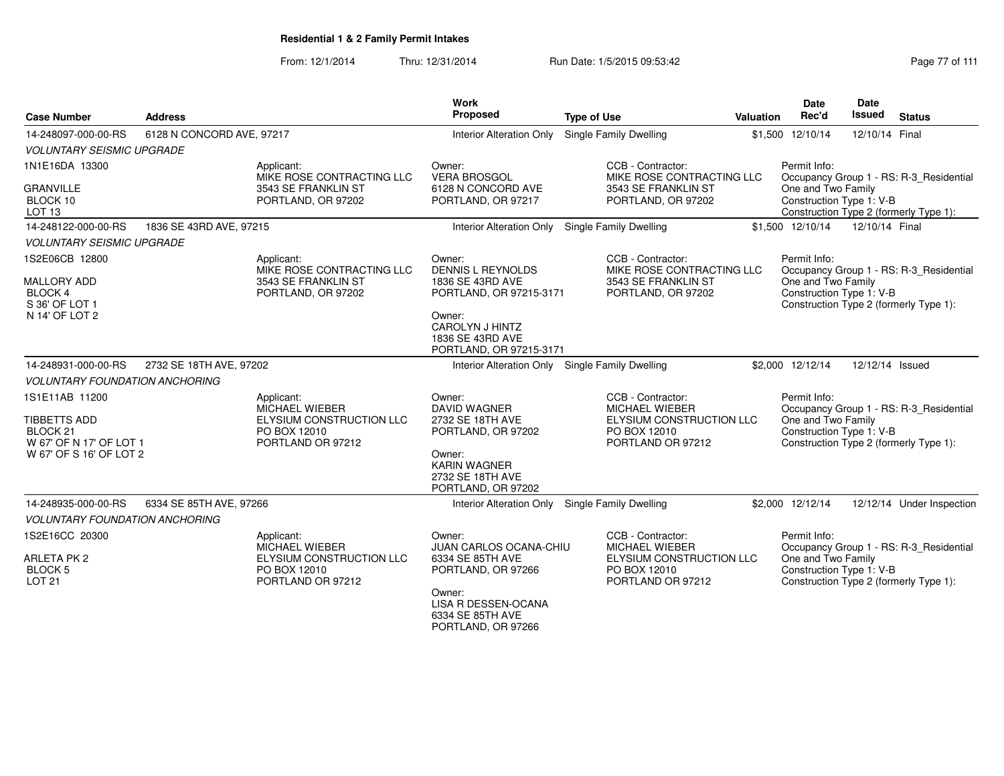| <b>Case Number</b>                                                                               | <b>Address</b>            |                                                                                                      | Work<br><b>Proposed</b>                                                                                                                            | <b>Type of Use</b>                                                                                   | Valuation | <b>Date</b><br>Rec'd                                                                     | <b>Date</b><br>Issued | <b>Status</b>                                                                     |  |  |
|--------------------------------------------------------------------------------------------------|---------------------------|------------------------------------------------------------------------------------------------------|----------------------------------------------------------------------------------------------------------------------------------------------------|------------------------------------------------------------------------------------------------------|-----------|------------------------------------------------------------------------------------------|-----------------------|-----------------------------------------------------------------------------------|--|--|
| 14-248097-000-00-RS                                                                              | 6128 N CONCORD AVE, 97217 |                                                                                                      | <b>Interior Alteration Only</b>                                                                                                                    | Single Family Dwelling                                                                               |           | \$1,500 12/10/14                                                                         | 12/10/14 Final        |                                                                                   |  |  |
| <b>VOLUNTARY SEISMIC UPGRADE</b>                                                                 |                           |                                                                                                      |                                                                                                                                                    |                                                                                                      |           |                                                                                          |                       |                                                                                   |  |  |
| 1N1E16DA 13300                                                                                   |                           | Applicant:<br>MIKE ROSE CONTRACTING LLC                                                              | Owner:<br><b>VERA BROSGOL</b>                                                                                                                      | CCB - Contractor:<br>MIKE ROSE CONTRACTING LLC                                                       |           | Permit Info:<br>Occupancy Group 1 - RS: R-3_Residential                                  |                       |                                                                                   |  |  |
| <b>GRANVILLE</b><br>BLOCK 10<br>LOT <sub>13</sub>                                                |                           | 3543 SE FRANKLIN ST<br>PORTLAND, OR 97202                                                            | 6128 N CONCORD AVE<br>PORTLAND, OR 97217                                                                                                           | 3543 SE FRANKLIN ST<br>PORTLAND, OR 97202                                                            |           | One and Two Family<br>Construction Type 1: V-B<br>Construction Type 2 (formerly Type 1): |                       |                                                                                   |  |  |
| 14-248122-000-00-RS                                                                              | 1836 SE 43RD AVE, 97215   |                                                                                                      | Interior Alteration Only Single Family Dwelling                                                                                                    |                                                                                                      |           | \$1,500 12/10/14                                                                         | 12/10/14 Final        |                                                                                   |  |  |
| <b>VOLUNTARY SEISMIC UPGRADE</b>                                                                 |                           |                                                                                                      |                                                                                                                                                    |                                                                                                      |           |                                                                                          |                       |                                                                                   |  |  |
| 1S2E06CB 12800<br><b>MALLORY ADD</b><br><b>BLOCK 4</b><br>S 36' OF LOT 1                         |                           | Applicant:<br>MIKE ROSE CONTRACTING LLC<br>3543 SE FRANKLIN ST<br>PORTLAND, OR 97202                 | Owner:<br><b>DENNIS L REYNOLDS</b><br>1836 SE 43RD AVE<br>PORTLAND, OR 97215-3171                                                                  | CCB - Contractor:<br>MIKE ROSE CONTRACTING LLC<br>3543 SE FRANKLIN ST<br>PORTLAND, OR 97202          |           | Permit Info:<br>One and Two Family<br>Construction Type 1: V-B                           |                       | Occupancy Group 1 - RS: R-3 Residential<br>Construction Type 2 (formerly Type 1): |  |  |
| N 14' OF LOT 2                                                                                   |                           |                                                                                                      | Owner:<br>CAROLYN J HINTZ<br>1836 SE 43RD AVE<br>PORTLAND, OR 97215-3171                                                                           |                                                                                                      |           |                                                                                          |                       |                                                                                   |  |  |
| 14-248931-000-00-RS                                                                              | 2732 SE 18TH AVE, 97202   |                                                                                                      | Interior Alteration Only Single Family Dwelling                                                                                                    |                                                                                                      |           | \$2,000 12/12/14                                                                         | 12/12/14 Issued       |                                                                                   |  |  |
| <b>VOLUNTARY FOUNDATION ANCHORING</b>                                                            |                           |                                                                                                      |                                                                                                                                                    |                                                                                                      |           |                                                                                          |                       |                                                                                   |  |  |
| 1S1E11AB 11200<br>TIBBETTS ADD<br>BLOCK 21<br>W 67' OF N 17' OF LOT 1<br>W 67' OF S 16' OF LOT 2 |                           | Applicant:<br><b>MICHAEL WIEBER</b><br>ELYSIUM CONSTRUCTION LLC<br>PO BOX 12010<br>PORTLAND OR 97212 | Owner:<br><b>DAVID WAGNER</b><br>2732 SE 18TH AVE<br>PORTLAND, OR 97202<br>Owner:<br><b>KARIN WAGNER</b><br>2732 SE 18TH AVE<br>PORTLAND, OR 97202 | CCB - Contractor:<br>MICHAEL WIEBER<br>ELYSIUM CONSTRUCTION LLC<br>PO BOX 12010<br>PORTLAND OR 97212 |           | Permit Info:<br>One and Two Family<br>Construction Type 1: V-B                           |                       | Occupancy Group 1 - RS: R-3_Residential<br>Construction Type 2 (formerly Type 1): |  |  |
| 14-248935-000-00-RS                                                                              | 6334 SE 85TH AVE, 97266   |                                                                                                      | Interior Alteration Only                                                                                                                           | Single Family Dwelling                                                                               |           | \$2,000 12/12/14                                                                         |                       | 12/12/14 Under Inspection                                                         |  |  |
| <b>VOLUNTARY FOUNDATION ANCHORING</b>                                                            |                           |                                                                                                      |                                                                                                                                                    |                                                                                                      |           |                                                                                          |                       |                                                                                   |  |  |
| 1S2E16CC 20300                                                                                   |                           | Applicant:<br><b>MICHAEL WIEBER</b>                                                                  | Owner:<br><b>JUAN CARLOS OCANA-CHIU</b>                                                                                                            | CCB - Contractor:<br><b>MICHAEL WIEBER</b>                                                           |           | Permit Info:                                                                             |                       | Occupancy Group 1 - RS: R-3_Residential                                           |  |  |
| ARLETA PK 2<br><b>BLOCK 5</b><br>LOT <sub>21</sub>                                               |                           | ELYSIUM CONSTRUCTION LLC<br>PO BOX 12010<br>PORTLAND OR 97212                                        | 6334 SE 85TH AVE<br>PORTLAND, OR 97266<br>Owner:<br><b>LISA R DESSEN-OCANA</b><br>6334 SE 85TH AVE                                                 | ELYSIUM CONSTRUCTION LLC<br>PO BOX 12010<br>PORTLAND OR 97212                                        |           | One and Two Family<br>Construction Type 1: V-B                                           |                       | Construction Type 2 (formerly Type 1):                                            |  |  |
|                                                                                                  |                           |                                                                                                      | PORTLAND, OR 97266                                                                                                                                 |                                                                                                      |           |                                                                                          |                       |                                                                                   |  |  |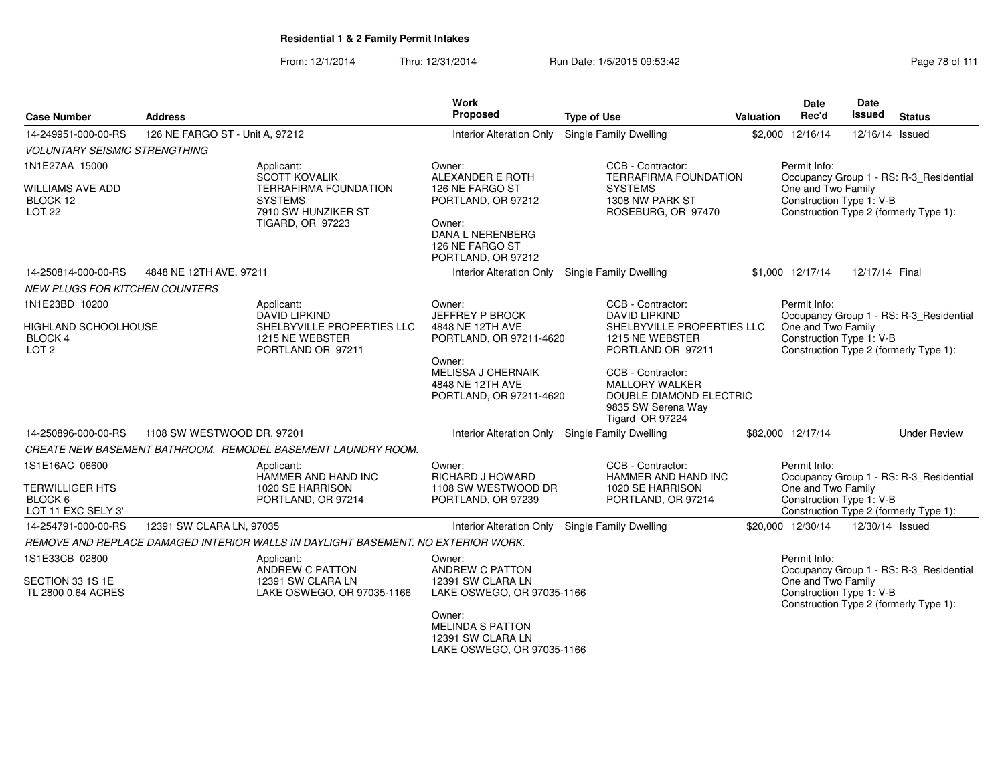| <b>Case Number</b>                                         | <b>Address</b>                  |                                                                                   | <b>Work</b><br>Proposed                                                              | <b>Type of Use</b>                                                                                             | Valuation | <b>Date</b><br>Rec'd                           | Date<br>Issued                         | <b>Status</b>                           |  |
|------------------------------------------------------------|---------------------------------|-----------------------------------------------------------------------------------|--------------------------------------------------------------------------------------|----------------------------------------------------------------------------------------------------------------|-----------|------------------------------------------------|----------------------------------------|-----------------------------------------|--|
| 14-249951-000-00-RS                                        | 126 NE FARGO ST - Unit A, 97212 |                                                                                   | <b>Interior Alteration Only</b>                                                      | <b>Single Family Dwelling</b>                                                                                  |           | \$2,000 12/16/14                               | 12/16/14 Issued                        |                                         |  |
| <b>VOLUNTARY SEISMIC STRENGTHING</b>                       |                                 |                                                                                   |                                                                                      |                                                                                                                |           |                                                |                                        |                                         |  |
| 1N1E27AA 15000                                             |                                 | Applicant:<br><b>SCOTT KOVALIK</b>                                                | Owner:<br>ALEXANDER E ROTH                                                           | CCB - Contractor:<br><b>TERRAFIRMA FOUNDATION</b>                                                              |           | Permit Info:                                   |                                        | Occupancy Group 1 - RS: R-3_Residential |  |
| WILLIAMS AVE ADD<br>BLOCK 12<br>LOT <sub>22</sub>          |                                 | <b>TERRAFIRMA FOUNDATION</b><br><b>SYSTEMS</b><br>7910 SW HUNZIKER ST             | 126 NE FARGO ST<br>PORTLAND, OR 97212                                                | <b>SYSTEMS</b><br>1308 NW PARK ST<br>ROSEBURG, OR 97470                                                        |           | One and Two Family<br>Construction Type 1: V-B | Construction Type 2 (formerly Type 1): |                                         |  |
|                                                            |                                 | <b>TIGARD, OR 97223</b>                                                           | Owner:<br>DANA L NERENBERG<br>126 NE FARGO ST<br>PORTLAND, OR 97212                  |                                                                                                                |           |                                                |                                        |                                         |  |
| 14-250814-000-00-RS                                        | 4848 NE 12TH AVE, 97211         |                                                                                   | Interior Alteration Only Single Family Dwelling                                      |                                                                                                                |           | \$1.000 12/17/14                               | 12/17/14 Final                         |                                         |  |
| <b>NEW PLUGS FOR KITCHEN COUNTERS</b>                      |                                 |                                                                                   |                                                                                      |                                                                                                                |           |                                                |                                        |                                         |  |
| 1N1E23BD 10200                                             |                                 | Applicant:<br><b>DAVID LIPKIND</b>                                                | Owner:<br><b>JEFFREY P BROCK</b>                                                     | CCB - Contractor:<br><b>DAVID LIPKIND</b>                                                                      |           | Permit Info:                                   |                                        | Occupancy Group 1 - RS: R-3 Residential |  |
| HIGHLAND SCHOOLHOUSE<br><b>BLOCK 4</b><br>LOT <sub>2</sub> |                                 | SHELBYVILLE PROPERTIES LLC<br>1215 NE WEBSTER<br>PORTLAND OR 97211                | 4848 NE 12TH AVE<br>PORTLAND, OR 97211-4620                                          | SHELBYVILLE PROPERTIES LLC<br>1215 NE WEBSTER<br>PORTLAND OR 97211                                             |           | One and Two Family<br>Construction Type 1: V-B |                                        | Construction Type 2 (formerly Type 1):  |  |
|                                                            |                                 |                                                                                   | Owner:<br><b>MELISSA J CHERNAIK</b><br>4848 NE 12TH AVE<br>PORTLAND, OR 97211-4620   | CCB - Contractor:<br><b>MALLORY WALKER</b><br>DOUBLE DIAMOND ELECTRIC<br>9835 SW Serena Way<br>Tigard OR 97224 |           |                                                |                                        |                                         |  |
| 14-250896-000-00-RS                                        | 1108 SW WESTWOOD DR, 97201      |                                                                                   | Interior Alteration Only Single Family Dwelling                                      |                                                                                                                |           | \$82,000 12/17/14                              |                                        | <b>Under Review</b>                     |  |
|                                                            |                                 | CREATE NEW BASEMENT BATHROOM. REMODEL BASEMENT LAUNDRY ROOM.                      |                                                                                      |                                                                                                                |           |                                                |                                        |                                         |  |
| 1S1E16AC 06600                                             |                                 | Applicant:<br>HAMMER AND HAND INC                                                 | Owner:<br><b>RICHARD J HOWARD</b>                                                    | CCB - Contractor:<br>HAMMER AND HAND INC                                                                       |           | Permit Info:                                   |                                        | Occupancy Group 1 - RS: R-3_Residential |  |
| <b>TERWILLIGER HTS</b><br>BLOCK 6<br>LOT 11 EXC SELY 3'    |                                 | 1020 SE HARRISON<br>PORTLAND, OR 97214                                            | 1108 SW WESTWOOD DR<br>PORTLAND, OR 97239                                            | 1020 SE HARRISON<br>PORTLAND, OR 97214                                                                         |           | One and Two Family<br>Construction Type 1: V-B |                                        | Construction Type 2 (formerly Type 1):  |  |
| 14-254791-000-00-RS                                        | 12391 SW CLARA LN, 97035        |                                                                                   | Interior Alteration Only Single Family Dwelling                                      |                                                                                                                |           | \$20,000 12/30/14                              | 12/30/14 Issued                        |                                         |  |
|                                                            |                                 | REMOVE AND REPLACE DAMAGED INTERIOR WALLS IN DAYLIGHT BASEMENT. NO EXTERIOR WORK. |                                                                                      |                                                                                                                |           |                                                |                                        |                                         |  |
| 1S1E33CB 02800                                             |                                 | Applicant:<br>ANDREW C PATTON                                                     | Owner:<br>ANDREW C PATTON                                                            |                                                                                                                |           | Permit Info:                                   |                                        | Occupancy Group 1 - RS: R-3 Residential |  |
| SECTION 33 1S 1E<br>TL 2800 0.64 ACRES                     |                                 | 12391 SW CLARA LN<br>LAKE OSWEGO, OR 97035-1166                                   | 12391 SW CLARA LN<br>LAKE OSWEGO, OR 97035-1166                                      |                                                                                                                |           | One and Two Family<br>Construction Type 1: V-B |                                        | Construction Type 2 (formerly Type 1):  |  |
|                                                            |                                 |                                                                                   | Owner:<br><b>MELINDA S PATTON</b><br>12391 SW CLARA LN<br>LAKE OSWEGO, OR 97035-1166 |                                                                                                                |           |                                                |                                        |                                         |  |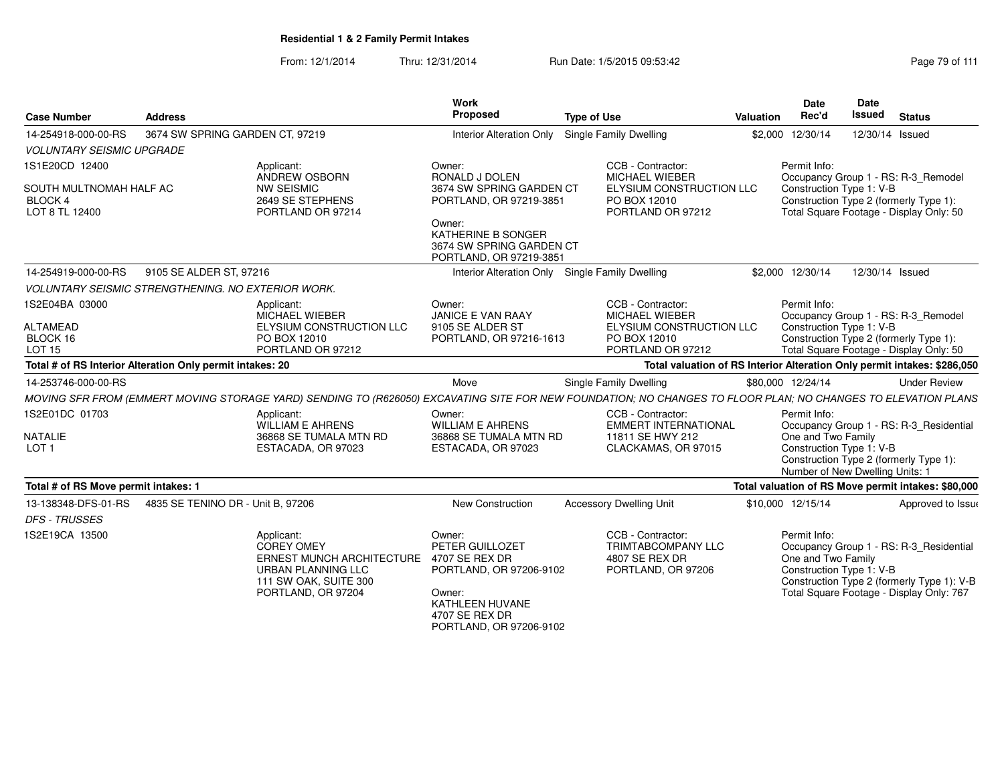From: 12/1/2014Thru: 12/31/2014 Run Date: 1/5/2015 09:53:42 Research 2010 111

| <b>Case Number</b>                                          | <b>Address</b>                                            |                                                                                                                                                               | Work<br>Proposed                                                                                                               | <b>Type of Use</b>                                                                     | Valuation                | <b>Date</b><br>Rec'd                                                              | <b>Date</b><br>Issued                                                                                                    | <b>Status</b>                                                                                                                     |
|-------------------------------------------------------------|-----------------------------------------------------------|---------------------------------------------------------------------------------------------------------------------------------------------------------------|--------------------------------------------------------------------------------------------------------------------------------|----------------------------------------------------------------------------------------|--------------------------|-----------------------------------------------------------------------------------|--------------------------------------------------------------------------------------------------------------------------|-----------------------------------------------------------------------------------------------------------------------------------|
| 14-254918-000-00-RS                                         | 3674 SW SPRING GARDEN CT, 97219                           |                                                                                                                                                               | <b>Interior Alteration Only</b>                                                                                                | <b>Single Family Dwelling</b>                                                          |                          | \$2,000 12/30/14                                                                  | 12/30/14 Issued                                                                                                          |                                                                                                                                   |
| <b>VOLUNTARY SEISMIC UPGRADE</b>                            |                                                           |                                                                                                                                                               |                                                                                                                                |                                                                                        |                          |                                                                                   |                                                                                                                          |                                                                                                                                   |
| 1S1E20CD 12400                                              |                                                           | Applicant:                                                                                                                                                    | Owner:                                                                                                                         | CCB - Contractor:                                                                      |                          | Permit Info:                                                                      |                                                                                                                          |                                                                                                                                   |
| SOUTH MULTNOMAH HALF AC<br><b>BLOCK 4</b><br>LOT 8 TL 12400 |                                                           | ANDREW OSBORN<br><b>NW SEISMIC</b><br>2649 SE STEPHENS<br>PORTLAND OR 97214                                                                                   | RONALD J DOLEN<br>3674 SW SPRING GARDEN CT<br>PORTLAND, OR 97219-3851<br>Owner:                                                | MICHAEL WIEBER<br>ELYSIUM CONSTRUCTION LLC<br>PO BOX 12010<br>PORTLAND OR 97212        |                          | Construction Type 1: V-B                                                          | Occupancy Group 1 - RS: R-3_Remodel<br>Construction Type 2 (formerly Type 1):<br>Total Square Footage - Display Only: 50 |                                                                                                                                   |
|                                                             |                                                           |                                                                                                                                                               | KATHERINE B SONGER<br>3674 SW SPRING GARDEN CT<br>PORTLAND, OR 97219-3851                                                      |                                                                                        |                          |                                                                                   |                                                                                                                          |                                                                                                                                   |
| 14-254919-000-00-RS                                         | 9105 SE ALDER ST, 97216                                   |                                                                                                                                                               |                                                                                                                                | Interior Alteration Only Single Family Dwelling                                        |                          | \$2,000 12/30/14                                                                  | 12/30/14 Issued                                                                                                          |                                                                                                                                   |
|                                                             | <b>VOLUNTARY SEISMIC STRENGTHENING. NO EXTERIOR WORK.</b> |                                                                                                                                                               |                                                                                                                                |                                                                                        |                          |                                                                                   |                                                                                                                          |                                                                                                                                   |
| 1S2E04BA 03000                                              |                                                           | Applicant:<br>MICHAEL WIEBER                                                                                                                                  | Owner:<br><b>JANICE E VAN RAAY</b><br>9105 SE ALDER ST                                                                         | CCB - Contractor:<br><b>MICHAEL WIEBER</b>                                             |                          | Permit Info:                                                                      |                                                                                                                          | Occupancy Group 1 - RS: R-3_Remodel                                                                                               |
| <b>ALTAMEAD</b><br>BLOCK 16<br><b>LOT 15</b>                |                                                           | ELYSIUM CONSTRUCTION LLC<br>PO BOX 12010<br>PORTLAND OR 97212                                                                                                 | ELYSIUM CONSTRUCTION LLC<br>PORTLAND, OR 97216-1613<br>PO BOX 12010<br>PORTLAND OR 97212                                       |                                                                                        | Construction Type 1: V-B | Construction Type 2 (formerly Type 1):<br>Total Square Footage - Display Only: 50 |                                                                                                                          |                                                                                                                                   |
|                                                             | Total # of RS Interior Alteration Only permit intakes: 20 |                                                                                                                                                               |                                                                                                                                | Total valuation of RS Interior Alteration Only permit intakes: \$286,050               |                          |                                                                                   |                                                                                                                          |                                                                                                                                   |
| 14-253746-000-00-RS                                         |                                                           |                                                                                                                                                               | Move                                                                                                                           | Single Family Dwelling                                                                 |                          | \$80,000 12/24/14                                                                 |                                                                                                                          | <b>Under Review</b>                                                                                                               |
|                                                             |                                                           | MOVING SFR FROM (EMMERT MOVING STORAGE YARD) SENDING TO (R626050) EXCAVATING SITE FOR NEW FOUNDATION; NO CHANGES TO FLOOR PLAN; NO CHANGES TO ELEVATION PLANS |                                                                                                                                |                                                                                        |                          |                                                                                   |                                                                                                                          |                                                                                                                                   |
| 1S2E01DC 01703                                              |                                                           | Applicant:<br><b>WILLIAM E AHRENS</b>                                                                                                                         | Owner:<br><b>WILLIAM E AHRENS</b>                                                                                              | CCB - Contractor:<br><b>EMMERT INTERNATIONAL</b>                                       |                          | Permit Info:                                                                      |                                                                                                                          | Occupancy Group 1 - RS: R-3_Residential                                                                                           |
| <b>NATALIE</b><br>LOT <sub>1</sub>                          |                                                           | 36868 SE TUMALA MTN RD<br>ESTACADA, OR 97023                                                                                                                  | 36868 SE TUMALA MTN RD<br>ESTACADA, OR 97023                                                                                   | 11811 SE HWY 212<br>CLACKAMAS, OR 97015                                                |                          | One and Two Family<br>Construction Type 1: V-B<br>Number of New Dwelling Units: 1 |                                                                                                                          | Construction Type 2 (formerly Type 1):                                                                                            |
| Total # of RS Move permit intakes: 1                        |                                                           |                                                                                                                                                               |                                                                                                                                |                                                                                        |                          |                                                                                   |                                                                                                                          | Total valuation of RS Move permit intakes: \$80,000                                                                               |
| 13-138348-DFS-01-RS<br><b>DFS - TRUSSES</b>                 | 4835 SE TENINO DR - Unit B, 97206                         |                                                                                                                                                               | New Construction                                                                                                               | <b>Accessory Dwelling Unit</b>                                                         |                          | \$10,000 12/15/14                                                                 |                                                                                                                          | Approved to Issue                                                                                                                 |
| 1S2E19CA 13500                                              |                                                           | Applicant:<br><b>COREY OMEY</b><br>ERNEST MUNCH ARCHITECTURE 4707 SE REX DR<br>URBAN PLANNING LLC<br>111 SW OAK, SUITE 300<br>PORTLAND, OR 97204              | Owner:<br>PETER GUILLOZET<br>PORTLAND, OR 97206-9102<br>Owner:<br>KATHLEEN HUVANE<br>4707 SE REX DR<br>PORTLAND, OR 97206-9102 | CCB - Contractor:<br><b>TRIMTABCOMPANY LLC</b><br>4807 SE REX DR<br>PORTLAND, OR 97206 |                          | Permit Info:<br>One and Two Family<br>Construction Type 1: V-B                    |                                                                                                                          | Occupancy Group 1 - RS: R-3_Residential<br>Construction Type 2 (formerly Type 1): V-B<br>Total Square Footage - Display Only: 767 |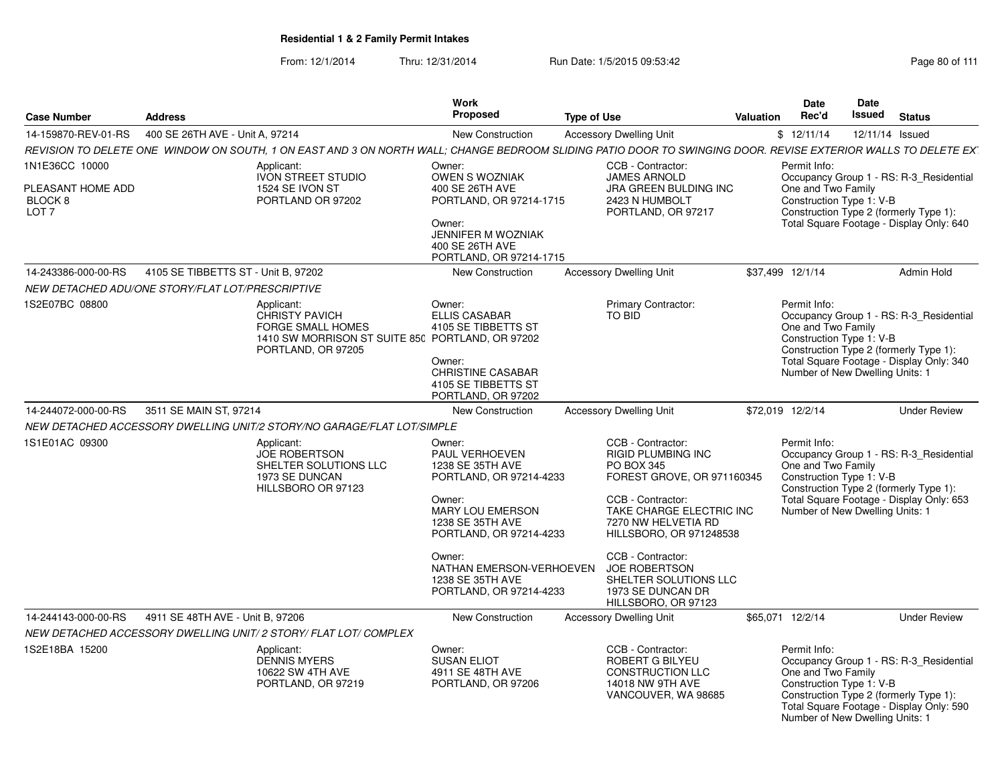| <b>Case Number</b>                                                 | <b>Address</b>                                          |                                                                                                                                                                | Work<br>Proposed                                                                                                                                                                                                                                               | <b>Type of Use</b>                                                                                                                                                                                                                                                                      | Valuation | Date<br>Rec'd                                                                                     | Date<br><b>Issued</b> | <b>Status</b>                                                                                                                 |
|--------------------------------------------------------------------|---------------------------------------------------------|----------------------------------------------------------------------------------------------------------------------------------------------------------------|----------------------------------------------------------------------------------------------------------------------------------------------------------------------------------------------------------------------------------------------------------------|-----------------------------------------------------------------------------------------------------------------------------------------------------------------------------------------------------------------------------------------------------------------------------------------|-----------|---------------------------------------------------------------------------------------------------|-----------------------|-------------------------------------------------------------------------------------------------------------------------------|
|                                                                    | 14-159870-REV-01-RS  400 SE 26TH AVE - Unit A. 97214    |                                                                                                                                                                | <b>New Construction</b>                                                                                                                                                                                                                                        | <b>Accessory Dwelling Unit</b>                                                                                                                                                                                                                                                          |           | \$12/11/14                                                                                        | 12/11/14 Issued       |                                                                                                                               |
|                                                                    |                                                         | REVISION TO DELETE ONE WINDOW ON SOUTH, 1 ON EAST AND 3 ON NORTH WALL; CHANGE BEDROOM SLIDING PATIO DOOR TO SWINGING DOOR. REVISE EXTERIOR WALLS TO DELETE EX" |                                                                                                                                                                                                                                                                |                                                                                                                                                                                                                                                                                         |           |                                                                                                   |                       |                                                                                                                               |
| 1N1E36CC 10000<br>PLEASANT HOME ADD<br>BLOCK 8<br>LOT <sub>7</sub> |                                                         | Applicant:<br><b>IVON STREET STUDIO</b><br>1524 SE IVON ST<br>PORTLAND OR 97202                                                                                | Owner:<br><b>OWEN S WOZNIAK</b><br>400 SE 26TH AVE<br>PORTLAND, OR 97214-1715<br>Owner:<br>JENNIFER M WOZNIAK<br>400 SE 26TH AVE<br>PORTLAND, OR 97214-1715                                                                                                    | CCB - Contractor:<br><b>JAMES ARNOLD</b><br>JRA GREEN BULDING INC<br>2423 N HUMBOLT<br>PORTLAND, OR 97217                                                                                                                                                                               |           | Permit Info:<br>One and Two Family<br>Construction Type 1: V-B                                    |                       | Occupancy Group 1 - RS: R-3_Residential<br>Construction Type 2 (formerly Type 1):<br>Total Square Footage - Display Only: 640 |
|                                                                    | 14-243386-000-00-RS 4105 SE TIBBETTS ST - Unit B, 97202 |                                                                                                                                                                | New Construction                                                                                                                                                                                                                                               | <b>Accessory Dwelling Unit</b>                                                                                                                                                                                                                                                          |           | \$37,499 12/1/14                                                                                  |                       | Admin Hold                                                                                                                    |
|                                                                    | NEW DETACHED ADU/ONE STORY/FLAT LOT/PRESCRIPTIVE        |                                                                                                                                                                |                                                                                                                                                                                                                                                                |                                                                                                                                                                                                                                                                                         |           |                                                                                                   |                       |                                                                                                                               |
| 1S2E07BC 08800                                                     |                                                         | Applicant:<br>CHRISTY PAVICH<br>FORGE SMALL HOMES<br>1410 SW MORRISON ST SUITE 850 PORTLAND, OR 97202<br>PORTLAND, OR 97205                                    | Owner:<br><b>ELLIS CASABAR</b><br>4105 SE TIBBETTS ST<br>Owner:<br><b>CHRISTINE CASABAR</b><br>4105 SE TIBBETTS ST<br>PORTLAND, OR 97202                                                                                                                       | <b>Primary Contractor:</b><br>TO BID                                                                                                                                                                                                                                                    |           | Permit Info:<br>One and Two Family<br>Construction Type 1: V-B<br>Number of New Dwelling Units: 1 |                       | Occupancy Group 1 - RS: R-3_Residential<br>Construction Type 2 (formerly Type 1):<br>Total Square Footage - Display Only: 340 |
|                                                                    | 14-244072-000-00-RS 3511 SE MAIN ST. 97214              |                                                                                                                                                                | New Construction                                                                                                                                                                                                                                               | <b>Accessory Dwelling Unit</b>                                                                                                                                                                                                                                                          |           | \$72,019 12/2/14                                                                                  |                       | <b>Under Review</b>                                                                                                           |
|                                                                    |                                                         | NEW DETACHED ACCESSORY DWELLING UNIT/2 STORY/NO GARAGE/FLAT LOT/SIMPLE                                                                                         |                                                                                                                                                                                                                                                                |                                                                                                                                                                                                                                                                                         |           |                                                                                                   |                       |                                                                                                                               |
| 1S1E01AC 09300                                                     |                                                         | Applicant:<br><b>JOE ROBERTSON</b><br>SHELTER SOLUTIONS LLC<br>1973 SE DUNCAN<br>HILLSBORO OR 97123                                                            | Owner:<br>PAUL VERHOEVEN<br>1238 SE 35TH AVE<br>PORTLAND, OR 97214-4233<br>Owner:<br><b>MARY LOU EMERSON</b><br>1238 SE 35TH AVE<br>PORTLAND, OR 97214-4233<br>Owner:<br>NATHAN EMERSON-VERHOEVEN JOE ROBERTSON<br>1238 SE 35TH AVE<br>PORTLAND, OR 97214-4233 | CCB - Contractor:<br><b>RIGID PLUMBING INC</b><br>PO BOX 345<br>FOREST GROVE, OR 971160345<br>CCB - Contractor:<br>TAKE CHARGE ELECTRIC INC<br>7270 NW HELVETIA RD<br>HILLSBORO, OR 971248538<br>CCB - Contractor:<br>SHELTER SOLUTIONS LLC<br>1973 SE DUNCAN DR<br>HILLSBORO, OR 97123 |           | Permit Info:<br>One and Two Family<br>Construction Type 1: V-B<br>Number of New Dwelling Units: 1 |                       | Occupancy Group 1 - RS: R-3_Residential<br>Construction Type 2 (formerly Type 1):<br>Total Square Footage - Display Only: 653 |
|                                                                    | 14-244143-000-00-RS 4911 SE 48TH AVE - Unit B, 97206    |                                                                                                                                                                | <b>New Construction</b>                                                                                                                                                                                                                                        | <b>Accessory Dwelling Unit</b>                                                                                                                                                                                                                                                          |           | \$65,071 12/2/14                                                                                  |                       | <b>Under Review</b>                                                                                                           |
|                                                                    |                                                         | NEW DETACHED ACCESSORY DWELLING UNIT/ 2 STORY/ FLAT LOT/COMPLEX                                                                                                |                                                                                                                                                                                                                                                                |                                                                                                                                                                                                                                                                                         |           |                                                                                                   |                       |                                                                                                                               |
| 1S2E18BA 15200                                                     |                                                         | Applicant:<br>DENNIS MYERS<br>10622 SW 4TH AVE<br>PORTLAND, OR 97219                                                                                           | Owner:<br><b>SUSAN ELIOT</b><br>4911 SE 48TH AVE<br>PORTLAND, OR 97206                                                                                                                                                                                         | CCB - Contractor:<br>ROBERT G BILYEU<br>CONSTRUCTION LLC<br>14018 NW 9TH AVE<br>VANCOUVER, WA 98685                                                                                                                                                                                     |           | Permit Info:<br>One and Two Family<br>Construction Type 1: V-B<br>Number of New Dwelling Units: 1 |                       | Occupancy Group 1 - RS: R-3_Residential<br>Construction Type 2 (formerly Type 1):<br>Total Square Footage - Display Only: 590 |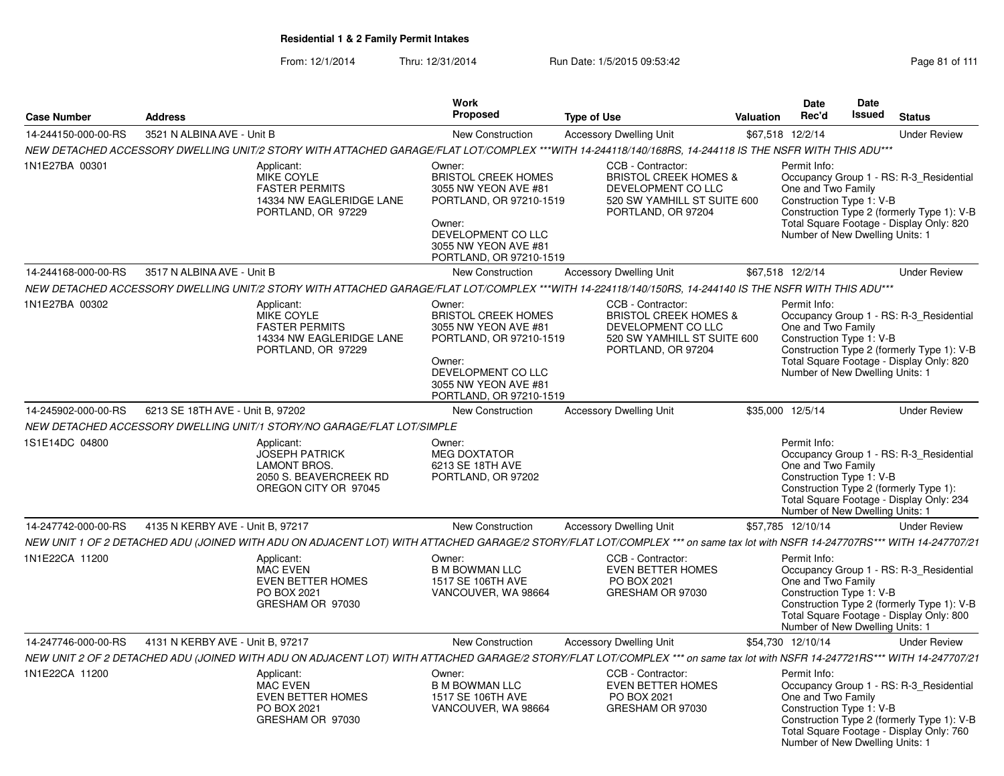| <b>Case Number</b>  | <b>Address</b>                                                         | Work<br>Proposed                                                                                                                                                            | <b>Type of Use</b>                                 |                                                                                                                                  | <b>Valuation</b> | <b>Date</b><br>Rec'd                                                                              | Date<br>Issued | <b>Status</b>                                                                                                                     |
|---------------------|------------------------------------------------------------------------|-----------------------------------------------------------------------------------------------------------------------------------------------------------------------------|----------------------------------------------------|----------------------------------------------------------------------------------------------------------------------------------|------------------|---------------------------------------------------------------------------------------------------|----------------|-----------------------------------------------------------------------------------------------------------------------------------|
| 14-244150-000-00-RS | 3521 N ALBINA AVE - Unit B                                             | New Construction                                                                                                                                                            |                                                    | <b>Accessory Dwelling Unit</b>                                                                                                   |                  | \$67,518 12/2/14                                                                                  |                | <b>Under Review</b>                                                                                                               |
|                     |                                                                        | NEW DETACHED ACCESSORY DWELLING UNIT/2 STORY WITH ATTACHED GARAGE/FLAT LOT/COMPLEX ***WITH 14-244118/140/168RS, 14-244118 IS THE NSFR WITH THIS ADU***                      |                                                    |                                                                                                                                  |                  |                                                                                                   |                |                                                                                                                                   |
| 1N1E27BA 00301      | Applicant:<br>MIKE COYLE<br><b>FASTER PERMITS</b>                      | Owner:<br><b>BRISTOL CREEK HOMES</b><br>3055 NW YEON AVE #81<br>14334 NW EAGLERIDGE LANE<br>PORTLAND, OR 97229<br>Owner:<br>DEVELOPMENT CO LLC<br>3055 NW YEON AVE #81      | PORTLAND, OR 97210-1519<br>PORTLAND, OR 97210-1519 | CCB - Contractor:<br><b>BRISTOL CREEK HOMES &amp;</b><br>DEVELOPMENT CO LLC<br>520 SW YAMHILL ST SUITE 600<br>PORTLAND, OR 97204 |                  | Permit Info:<br>One and Two Family<br>Construction Type 1: V-B<br>Number of New Dwelling Units: 1 |                | Occupancy Group 1 - RS: R-3_Residential<br>Construction Type 2 (formerly Type 1): V-B<br>Total Square Footage - Display Only: 820 |
| 14-244168-000-00-RS | 3517 N ALBINA AVE - Unit B                                             | <b>New Construction</b>                                                                                                                                                     |                                                    | <b>Accessory Dwelling Unit</b>                                                                                                   |                  | \$67,518 12/2/14                                                                                  |                | <b>Under Review</b>                                                                                                               |
|                     |                                                                        | NEW DETACHED ACCESSORY DWELLING UNIT/2 STORY WITH ATTACHED GARAGE/FLAT LOT/COMPLEX ***WITH 14-224118/140/150RS, 14-244140 IS THE NSFR WITH THIS ADU***                      |                                                    |                                                                                                                                  |                  |                                                                                                   |                |                                                                                                                                   |
| 1N1E27BA 00302      | Applicant:<br>MIKE COYLE<br><b>FASTER PERMITS</b>                      | Owner:<br><b>BRISTOL CREEK HOMES</b><br>3055 NW YEON AVE #81<br>14334 NW EAGLERIDGE LANE<br>PORTLAND, OR 97229<br>Owner:<br>DEVELOPMENT CO LLC<br>3055 NW YEON AVE #81      | PORTLAND, OR 97210-1519<br>PORTLAND, OR 97210-1519 | CCB - Contractor:<br><b>BRISTOL CREEK HOMES &amp;</b><br>DEVELOPMENT CO LLC<br>520 SW YAMHILL ST SUITE 600<br>PORTLAND, OR 97204 |                  | Permit Info:<br>One and Two Family<br>Construction Type 1: V-B<br>Number of New Dwelling Units: 1 |                | Occupancy Group 1 - RS: R-3_Residential<br>Construction Type 2 (formerly Type 1): V-B<br>Total Square Footage - Display Only: 820 |
| 14-245902-000-00-RS | 6213 SE 18TH AVE - Unit B, 97202                                       | New Construction                                                                                                                                                            |                                                    | <b>Accessory Dwelling Unit</b>                                                                                                   |                  | \$35,000 12/5/14                                                                                  |                | <b>Under Review</b>                                                                                                               |
|                     | NEW DETACHED ACCESSORY DWELLING UNIT/1 STORY/NO GARAGE/FLAT LOT/SIMPLE |                                                                                                                                                                             |                                                    |                                                                                                                                  |                  |                                                                                                   |                |                                                                                                                                   |
| 1S1E14DC 04800      | Applicant:<br><b>JOSEPH PATRICK</b><br><b>LAMONT BROS.</b>             | Owner:<br><b>MEG DOXTATOR</b><br>6213 SE 18TH AVE<br>2050 S. BEAVERCREEK RD<br>PORTLAND, OR 97202<br>OREGON CITY OR 97045                                                   |                                                    |                                                                                                                                  |                  | Permit Info:<br>One and Two Family<br>Construction Type 1: V-B<br>Number of New Dwelling Units: 1 |                | Occupancy Group 1 - RS: R-3_Residential<br>Construction Type 2 (formerly Type 1):<br>Total Square Footage - Display Only: 234     |
| 14-247742-000-00-RS | 4135 N KERBY AVE - Unit B, 97217                                       | New Construction                                                                                                                                                            |                                                    | <b>Accessory Dwelling Unit</b>                                                                                                   |                  | \$57,785 12/10/14                                                                                 |                | <b>Under Review</b>                                                                                                               |
|                     |                                                                        | NEW UNIT 1 OF 2 DETACHED ADU (JOINED WITH ADU ON ADJACENT LOT) WITH ATTACHED GARAGE/2 STORY/FLAT LOT/COMPLEX *** on same tax lot with NSFR 14-247707RS*** WITH 14-247707/21 |                                                    |                                                                                                                                  |                  |                                                                                                   |                |                                                                                                                                   |
| 1N1E22CA 11200      | Applicant:<br><b>MAC EVEN</b><br>PO BOX 2021<br>GRESHAM OR 97030       | Owner:<br><b>B M BOWMAN LLC</b><br><b>EVEN BETTER HOMES</b><br>1517 SE 106TH AVE<br>VANCOUVER, WA 98664                                                                     |                                                    | CCB - Contractor:<br><b>EVEN BETTER HOMES</b><br>PO BOX 2021<br>GRESHAM OR 97030                                                 |                  | Permit Info:<br>One and Two Family<br>Construction Type 1: V-B<br>Number of New Dwelling Units: 1 |                | Occupancy Group 1 - RS: R-3_Residential<br>Construction Type 2 (formerly Type 1): V-B<br>Total Square Footage - Display Only: 800 |
| 14-247746-000-00-RS | 4131 N KERBY AVE - Unit B, 97217                                       | New Construction                                                                                                                                                            |                                                    | Accessory Dwelling Unit                                                                                                          |                  | \$54,730 12/10/14                                                                                 |                | <b>Under Review</b>                                                                                                               |
|                     |                                                                        | NEW UNIT 2 OF 2 DETACHED ADU (JOINED WITH ADU ON ADJACENT LOT) WITH ATTACHED GARAGE/2 STORY/FLAT LOT/COMPLEX *** on same tax lot with NSFR 14-247721RS*** WITH 14-247707/21 |                                                    |                                                                                                                                  |                  |                                                                                                   |                |                                                                                                                                   |
| 1N1E22CA 11200      | Applicant:<br><b>MAC EVEN</b><br>PO BOX 2021<br>GRESHAM OR 97030       | Owner:<br><b>B M BOWMAN LLC</b><br><b>EVEN BETTER HOMES</b><br>1517 SE 106TH AVE<br>VANCOUVER, WA 98664                                                                     |                                                    | CCB - Contractor:<br><b>EVEN BETTER HOMES</b><br>PO BOX 2021<br>GRESHAM OR 97030                                                 |                  | Permit Info:<br>One and Two Family<br>Construction Type 1: V-B<br>Number of New Dwelling Units: 1 |                | Occupancy Group 1 - RS: R-3_Residential<br>Construction Type 2 (formerly Type 1): V-B<br>Total Square Footage - Display Only: 760 |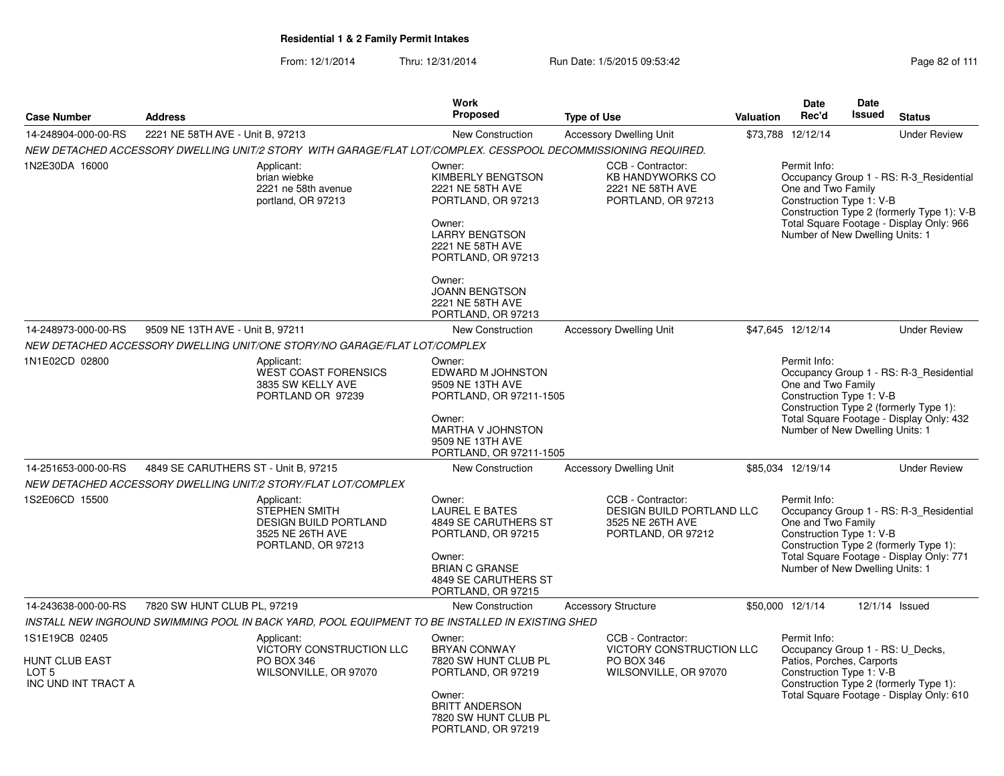From: 12/1/2014Thru: 12/31/2014 Run Date: 1/5/2015 09:53:42 Research 2010 12/31/2014 Page 82 of 111

|                                                                  |                                                                                                                                                                                                                                                                           |                                                                                                               | <b>Work</b>                                                                                                                                                    |                                                                                          |                                 | <b>Date</b>                                                                                                                                                                                     | Date   |                                                                                                                                   |
|------------------------------------------------------------------|---------------------------------------------------------------------------------------------------------------------------------------------------------------------------------------------------------------------------------------------------------------------------|---------------------------------------------------------------------------------------------------------------|----------------------------------------------------------------------------------------------------------------------------------------------------------------|------------------------------------------------------------------------------------------|---------------------------------|-------------------------------------------------------------------------------------------------------------------------------------------------------------------------------------------------|--------|-----------------------------------------------------------------------------------------------------------------------------------|
| <b>Case Number</b>                                               | <b>Address</b>                                                                                                                                                                                                                                                            |                                                                                                               | <b>Proposed</b>                                                                                                                                                | <b>Type of Use</b>                                                                       | <b>Valuation</b>                | Rec'd                                                                                                                                                                                           | Issued | <b>Status</b>                                                                                                                     |
| 14-248904-000-00-RS                                              | 2221 NE 58TH AVE - Unit B, 97213                                                                                                                                                                                                                                          |                                                                                                               | <b>New Construction</b>                                                                                                                                        | <b>Accessory Dwelling Unit</b>                                                           |                                 | \$73,788 12/12/14                                                                                                                                                                               |        | <b>Under Review</b>                                                                                                               |
|                                                                  |                                                                                                                                                                                                                                                                           | NEW DETACHED ACCESSORY DWELLING UNIT/2 STORY WITH GARAGE/FLAT LOT/COMPLEX. CESSPOOL DECOMMISSIONING REQUIRED. |                                                                                                                                                                |                                                                                          |                                 |                                                                                                                                                                                                 |        |                                                                                                                                   |
| 1N2E30DA 16000                                                   |                                                                                                                                                                                                                                                                           | Applicant:<br>brian wiebke<br>2221 ne 58th avenue<br>portland, OR 97213                                       | Owner:<br>KIMBERLY BENGTSON<br>2221 NE 58TH AVE<br>PORTLAND, OR 97213<br>Owner:<br><b>LARRY BENGTSON</b><br>2221 NE 58TH AVE<br>PORTLAND, OR 97213             | CCB - Contractor:<br><b>KB HANDYWORKS CO</b><br>2221 NE 58TH AVE<br>PORTLAND, OR 97213   |                                 | Permit Info:<br>One and Two Family<br>Construction Type 1: V-B<br>Number of New Dwelling Units: 1                                                                                               |        | Occupancy Group 1 - RS: R-3_Residential<br>Construction Type 2 (formerly Type 1): V-B<br>Total Square Footage - Display Only: 966 |
|                                                                  |                                                                                                                                                                                                                                                                           |                                                                                                               | Owner:<br><b>JOANN BENGTSON</b><br>2221 NE 58TH AVE<br>PORTLAND, OR 97213                                                                                      |                                                                                          |                                 |                                                                                                                                                                                                 |        |                                                                                                                                   |
| 14-248973-000-00-RS                                              | 9509 NE 13TH AVE - Unit B, 97211                                                                                                                                                                                                                                          |                                                                                                               | New Construction                                                                                                                                               | <b>Accessory Dwelling Unit</b>                                                           |                                 | \$47,645 12/12/14                                                                                                                                                                               |        | <b>Under Review</b>                                                                                                               |
|                                                                  |                                                                                                                                                                                                                                                                           | NEW DETACHED ACCESSORY DWELLING UNIT/ONE STORY/NO GARAGE/FLAT LOT/COMPLEX                                     |                                                                                                                                                                |                                                                                          |                                 |                                                                                                                                                                                                 |        |                                                                                                                                   |
| 1N1E02CD 02800                                                   | Applicant:<br><b>WEST COAST FORENSICS</b><br>3835 SW KELLY AVE<br>PORTLAND OR 97239                                                                                                                                                                                       |                                                                                                               | Owner:<br>EDWARD M JOHNSTON<br>9509 NE 13TH AVE<br>PORTLAND, OR 97211-1505<br>Owner:                                                                           |                                                                                          |                                 | Permit Info:<br>Occupancy Group 1 - RS: R-3_Residential<br>One and Two Family<br>Construction Type 1: V-B<br>Construction Type 2 (formerly Type 1):<br>Total Square Footage - Display Only: 432 |        |                                                                                                                                   |
|                                                                  |                                                                                                                                                                                                                                                                           |                                                                                                               | MARTHA V JOHNSTON<br>9509 NE 13TH AVE<br>PORTLAND, OR 97211-1505                                                                                               |                                                                                          | Number of New Dwelling Units: 1 |                                                                                                                                                                                                 |        |                                                                                                                                   |
| 14-251653-000-00-RS                                              | 4849 SE CARUTHERS ST - Unit B, 97215                                                                                                                                                                                                                                      |                                                                                                               | <b>New Construction</b>                                                                                                                                        | <b>Accessory Dwelling Unit</b>                                                           |                                 | \$85,034 12/19/14                                                                                                                                                                               |        | <b>Under Review</b>                                                                                                               |
|                                                                  |                                                                                                                                                                                                                                                                           | NEW DETACHED ACCESSORY DWELLING UNIT/2 STORY/FLAT LOT/COMPLEX                                                 |                                                                                                                                                                |                                                                                          |                                 |                                                                                                                                                                                                 |        |                                                                                                                                   |
| 1S2E06CD 15500                                                   |                                                                                                                                                                                                                                                                           | Applicant:<br><b>STEPHEN SMITH</b><br><b>DESIGN BUILD PORTLAND</b><br>3525 NE 26TH AVE<br>PORTLAND, OR 97213  | Owner:<br><b>LAUREL E BATES</b><br>4849 SE CARUTHERS ST<br>PORTLAND, OR 97215<br>Owner:<br><b>BRIAN C GRANSE</b><br>4849 SE CARUTHERS ST<br>PORTLAND, OR 97215 | CCB - Contractor:<br>DESIGN BUILD PORTLAND LLC<br>3525 NE 26TH AVE<br>PORTLAND, OR 97212 |                                 | Permit Info:<br>One and Two Family<br>Construction Type 1: V-B<br>Number of New Dwelling Units: 1                                                                                               |        | Occupancy Group 1 - RS: R-3_Residential<br>Construction Type 2 (formerly Type 1):<br>Total Square Footage - Display Only: 771     |
| 14-243638-000-00-RS                                              | 7820 SW HUNT CLUB PL, 97219                                                                                                                                                                                                                                               |                                                                                                               | <b>New Construction</b>                                                                                                                                        | <b>Accessory Structure</b>                                                               |                                 | \$50,000 12/1/14                                                                                                                                                                                |        | 12/1/14 Issued                                                                                                                    |
|                                                                  |                                                                                                                                                                                                                                                                           | INSTALL NEW INGROUND SWIMMING POOL IN BACK YARD, POOL EQUIPMENT TO BE INSTALLED IN EXISTING SHED              |                                                                                                                                                                |                                                                                          |                                 |                                                                                                                                                                                                 |        |                                                                                                                                   |
| 1S1E19CB 02405<br>HUNT CLUB EAST<br>LOT 5<br>INC UND INT TRACT A | Applicant:<br>Owner:<br><b>VICTORY CONSTRUCTION LLC</b><br><b>BRYAN CONWAY</b><br><b>PO BOX 346</b><br>PO BOX 346<br>7820 SW HUNT CLUB PL<br>WILSONVILLE, OR 97070<br>PORTLAND, OR 97219<br>Owner:<br><b>BRITT ANDERSON</b><br>7820 SW HUNT CLUB PL<br>PORTLAND, OR 97219 |                                                                                                               | CCB - Contractor:<br><b>VICTORY CONSTRUCTION LLC</b><br>WILSONVILLE, OR 97070                                                                                  |                                                                                          |                                 | Permit Info:<br>Occupancy Group 1 - RS: U_Decks,<br>Patios, Porches, Carports<br>Construction Type 1: V-B<br>Construction Type 2 (formerly Type 1):<br>Total Square Footage - Display Only: 610 |        |                                                                                                                                   |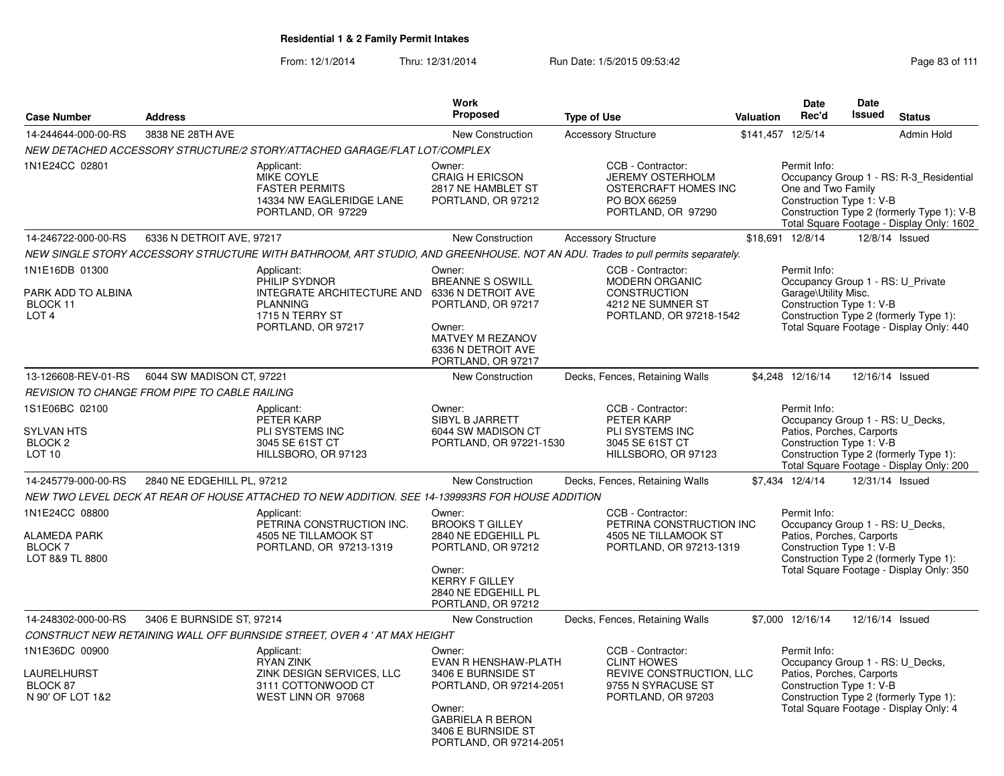| <b>Case Number</b>                                                             | <b>Address</b>                                       |                                                                                                                                | Work<br>Proposed                                                                                                                                                      | <b>Type of Use</b>                                                                                                | <b>Valuation</b> | Date<br>Rec'd                                                                                                                                                                                   | Date<br><b>Issued</b>                                                                                                                                                           | <b>Status</b>                                                                                                                      |
|--------------------------------------------------------------------------------|------------------------------------------------------|--------------------------------------------------------------------------------------------------------------------------------|-----------------------------------------------------------------------------------------------------------------------------------------------------------------------|-------------------------------------------------------------------------------------------------------------------|------------------|-------------------------------------------------------------------------------------------------------------------------------------------------------------------------------------------------|---------------------------------------------------------------------------------------------------------------------------------------------------------------------------------|------------------------------------------------------------------------------------------------------------------------------------|
| 14-244644-000-00-RS                                                            | 3838 NE 28TH AVE                                     |                                                                                                                                | New Construction                                                                                                                                                      | <b>Accessory Structure</b>                                                                                        |                  | \$141,457 12/5/14                                                                                                                                                                               |                                                                                                                                                                                 | <b>Admin Hold</b>                                                                                                                  |
|                                                                                |                                                      | NEW DETACHED ACCESSORY STRUCTURE/2 STORY/ATTACHED GARAGE/FLAT LOT/COMPLEX                                                      |                                                                                                                                                                       |                                                                                                                   |                  |                                                                                                                                                                                                 |                                                                                                                                                                                 |                                                                                                                                    |
| 1N1E24CC 02801                                                                 |                                                      | Applicant:<br>MIKE COYLE<br><b>FASTER PERMITS</b><br>14334 NW EAGLERIDGE LANE<br>PORTLAND, OR 97229                            | Owner:<br><b>CRAIG H ERICSON</b><br>2817 NE HAMBLET ST<br>PORTLAND, OR 97212                                                                                          | CCB - Contractor:<br><b>JEREMY OSTERHOLM</b><br><b>OSTERCRAFT HOMES INC</b><br>PO BOX 66259<br>PORTLAND, OR 97290 |                  | Permit Info:<br>One and Two Family<br>Construction Type 1: V-B                                                                                                                                  |                                                                                                                                                                                 | Occupancy Group 1 - RS: R-3_Residential<br>Construction Type 2 (formerly Type 1): V-B<br>Total Square Footage - Display Only: 1602 |
| 14-246722-000-00-RS                                                            | 6336 N DETROIT AVE, 97217                            |                                                                                                                                | New Construction                                                                                                                                                      | <b>Accessory Structure</b>                                                                                        |                  | \$18,691 12/8/14                                                                                                                                                                                |                                                                                                                                                                                 | 12/8/14 Issued                                                                                                                     |
|                                                                                |                                                      | NEW SINGLE STORY ACCESSORY STRUCTURE WITH BATHROOM, ART STUDIO, AND GREENHOUSE. NOT AN ADU. Trades to pull permits separately. |                                                                                                                                                                       |                                                                                                                   |                  |                                                                                                                                                                                                 |                                                                                                                                                                                 |                                                                                                                                    |
| 1N1E16DB 01300<br>PARK ADD TO ALBINA<br>BLOCK 11<br>LOT <sub>4</sub>           |                                                      | Applicant:<br>PHILIP SYDNOR<br>INTEGRATE ARCHITECTURE AND<br><b>PLANNING</b><br>1715 N TERRY ST<br>PORTLAND, OR 97217          | Owner:<br>BREANNE S OSWILL<br>6336 N DETROIT AVE<br>PORTLAND, OR 97217<br>Owner:<br>MATVEY M REZANOV<br>6336 N DETROIT AVE<br>PORTLAND, OR 97217                      | CCB - Contractor:<br><b>MODERN ORGANIC</b><br><b>CONSTRUCTION</b><br>4212 NE SUMNER ST<br>PORTLAND, OR 97218-1542 |                  | Permit Info:<br>Garage\Utility Misc.<br>Construction Type 1: V-B                                                                                                                                |                                                                                                                                                                                 | Occupancy Group 1 - RS: U_Private<br>Construction Type 2 (formerly Type 1):<br>Total Square Footage - Display Only: 440            |
| 13-126608-REV-01-RS                                                            | 6044 SW MADISON CT, 97221                            |                                                                                                                                | New Construction                                                                                                                                                      | Decks, Fences, Retaining Walls                                                                                    |                  | \$4,248 12/16/14                                                                                                                                                                                |                                                                                                                                                                                 | 12/16/14 Issued                                                                                                                    |
|                                                                                | <b>REVISION TO CHANGE FROM PIPE TO CABLE RAILING</b> |                                                                                                                                |                                                                                                                                                                       |                                                                                                                   |                  |                                                                                                                                                                                                 |                                                                                                                                                                                 |                                                                                                                                    |
| 1S1E06BC 02100<br><b>SYLVAN HTS</b><br>BLOCK <sub>2</sub><br>LOT <sub>10</sub> |                                                      | Applicant:<br>PETER KARP<br>PLI SYSTEMS INC<br>3045 SE 61ST CT<br>HILLSBORO, OR 97123                                          | Owner:<br>SIBYL B JARRETT<br>6044 SW MADISON CT<br>PORTLAND, OR 97221-1530                                                                                            | CCB - Contractor:<br>PETER KARP<br>PLI SYSTEMS INC<br>3045 SE 61ST CT<br>HILLSBORO, OR 97123                      |                  | Permit Info:                                                                                                                                                                                    | Occupancy Group 1 - RS: U Decks,<br>Patios, Porches, Carports<br>Construction Type 1: V-B<br>Construction Type 2 (formerly Type 1):<br>Total Square Footage - Display Only: 200 |                                                                                                                                    |
| 14-245779-000-00-RS                                                            | 2840 NE EDGEHILL PL, 97212                           |                                                                                                                                | New Construction                                                                                                                                                      | Decks, Fences, Retaining Walls                                                                                    |                  | \$7,434 12/4/14                                                                                                                                                                                 |                                                                                                                                                                                 | 12/31/14 Issued                                                                                                                    |
|                                                                                |                                                      | NEW TWO LEVEL DECK AT REAR OF HOUSE ATTACHED TO NEW ADDITION. SEE 14-139993RS FOR HOUSE ADDITION                               |                                                                                                                                                                       |                                                                                                                   |                  |                                                                                                                                                                                                 |                                                                                                                                                                                 |                                                                                                                                    |
| 1N1E24CC 08800<br><b>ALAMEDA PARK</b><br>BLOCK 7<br>LOT 8&9 TL 8800            |                                                      | Applicant:<br>PETRINA CONSTRUCTION INC.<br>4505 NE TILLAMOOK ST<br>PORTLAND, OR 97213-1319                                     | Owner:<br><b>BROOKS T GILLEY</b><br>2840 NE EDGEHILL PL<br>PORTLAND, OR 97212<br>Owner:<br><b>KERRY F GILLEY</b><br>2840 NE EDGEHILL PL<br>PORTLAND, OR 97212         | CCB - Contractor:<br>PETRINA CONSTRUCTION INC<br>4505 NE TILLAMOOK ST<br>PORTLAND, OR 97213-1319                  |                  | Permit Info:<br>Occupancy Group 1 - RS: U_Decks,<br>Patios, Porches, Carports<br>Construction Type 1: V-B<br>Construction Type 2 (formerly Type 1):<br>Total Square Footage - Display Only: 350 |                                                                                                                                                                                 |                                                                                                                                    |
| 14-248302-000-00-RS                                                            | 3406 E BURNSIDE ST, 97214                            |                                                                                                                                | New Construction                                                                                                                                                      | Decks, Fences, Retaining Walls                                                                                    |                  | \$7,000 12/16/14                                                                                                                                                                                |                                                                                                                                                                                 | 12/16/14 Issued                                                                                                                    |
|                                                                                |                                                      | CONSTRUCT NEW RETAINING WALL OFF BURNSIDE STREET, OVER 4 ' AT MAX HEIGHT                                                       |                                                                                                                                                                       |                                                                                                                   |                  |                                                                                                                                                                                                 |                                                                                                                                                                                 |                                                                                                                                    |
| 1N1E36DC 00900<br>LAURELHURST<br>BLOCK 87<br>N 90' OF LOT 1&2                  |                                                      | Applicant:<br><b>RYAN ZINK</b><br>ZINK DESIGN SERVICES, LLC<br>3111 COTTONWOOD CT<br>WEST LINN OR 97068                        | Owner:<br>EVAN R HENSHAW-PLATH<br>3406 E BURNSIDE ST<br>PORTLAND, OR 97214-2051<br>Owner:<br><b>GABRIELA R BERON</b><br>3406 E BURNSIDE ST<br>PORTLAND, OR 97214-2051 | CCB - Contractor:<br><b>CLINT HOWES</b><br>REVIVE CONSTRUCTION, LLC<br>9755 N SYRACUSE ST<br>PORTLAND, OR 97203   |                  | Permit Info:<br>Patios, Porches, Carports<br>Construction Type 1: V-B                                                                                                                           |                                                                                                                                                                                 | Occupancy Group 1 - RS: U_Decks,<br>Construction Type 2 (formerly Type 1):<br>Total Square Footage - Display Only: 4               |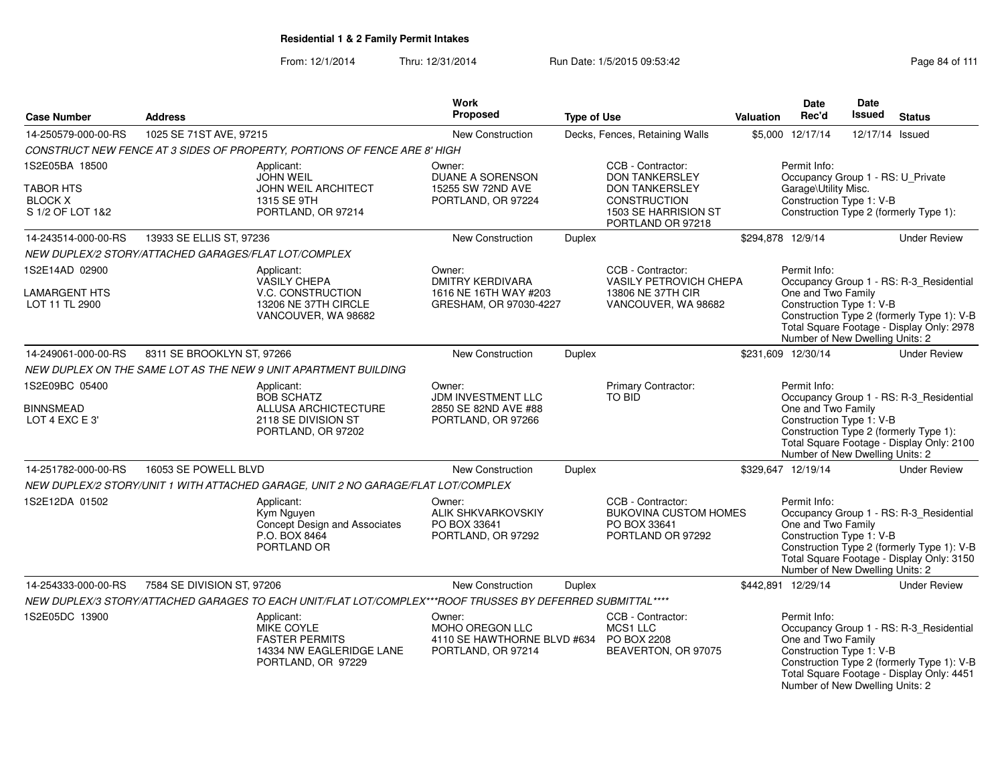From: 12/1/2014Thru: 12/31/2014 Run Date: 1/5/2015 09:53:42 Research 2010 12:43 Rage 84 of 111

| <b>Case Number</b>                                     | <b>Address</b>                                       |                                                                                                            | <b>Work</b><br><b>Proposed</b>                                                 | <b>Type of Use</b> |                                                                                        | Valuation         | <b>Date</b><br>Rec'd                                                                              | Date<br><b>Issued</b> | <b>Status</b>                                                                                                                      |
|--------------------------------------------------------|------------------------------------------------------|------------------------------------------------------------------------------------------------------------|--------------------------------------------------------------------------------|--------------------|----------------------------------------------------------------------------------------|-------------------|---------------------------------------------------------------------------------------------------|-----------------------|------------------------------------------------------------------------------------------------------------------------------------|
| 14-250579-000-00-RS                                    | 1025 SE 71ST AVE, 97215                              |                                                                                                            | <b>New Construction</b>                                                        |                    | Decks, Fences, Retaining Walls                                                         |                   | \$5,000 12/17/14                                                                                  | 12/17/14 Issued       |                                                                                                                                    |
|                                                        |                                                      | CONSTRUCT NEW FENCE AT 3 SIDES OF PROPERTY, PORTIONS OF FENCE ARE 8' HIGH                                  |                                                                                |                    |                                                                                        |                   |                                                                                                   |                       |                                                                                                                                    |
| 1S2E05BA 18500                                         |                                                      | Applicant:<br><b>JOHN WEIL</b>                                                                             | Owner:<br>DUANE A SORENSON                                                     |                    | CCB - Contractor:<br><b>DON TANKERSLEY</b>                                             |                   | Permit Info:<br>Occupancy Group 1 - RS: U_Private                                                 |                       |                                                                                                                                    |
| <b>TABOR HTS</b><br><b>BLOCK X</b><br>S 1/2 OF LOT 1&2 |                                                      | <b>JOHN WEIL ARCHITECT</b><br>1315 SE 9TH<br>PORTLAND, OR 97214                                            | 15255 SW 72ND AVE<br>PORTLAND, OR 97224                                        |                    | <b>DON TANKERSLEY</b><br>CONSTRUCTION<br>1503 SE HARRISION ST<br>PORTLAND OR 97218     |                   | Garage\Utility Misc.<br>Construction Type 1: V-B                                                  |                       | Construction Type 2 (formerly Type 1):                                                                                             |
| 14-243514-000-00-RS                                    | 13933 SE ELLIS ST, 97236                             |                                                                                                            | New Construction                                                               | Duplex             |                                                                                        | \$294,878 12/9/14 |                                                                                                   |                       | <b>Under Review</b>                                                                                                                |
|                                                        | NEW DUPLEX/2 STORY/ATTACHED GARAGES/FLAT LOT/COMPLEX |                                                                                                            |                                                                                |                    |                                                                                        |                   |                                                                                                   |                       |                                                                                                                                    |
| 1S2E14AD 02900                                         |                                                      | Applicant:<br><b>VASILY CHEPA</b>                                                                          | Owner:<br><b>DMITRY KERDIVARA</b>                                              |                    | CCB - Contractor:<br>VASILY PETROVICH CHEPA                                            |                   | Permit Info:                                                                                      |                       | Occupancy Group 1 - RS: R-3 Residential                                                                                            |
| LAMARGENT HTS<br>LOT 11 TL 2900                        |                                                      | V.C. CONSTRUCTION<br>13206 NE 37TH CIRCLE<br>VANCOUVER, WA 98682                                           | 1616 NE 16TH WAY #203<br>GRESHAM, OR 97030-4227                                |                    | 13806 NE 37TH CIR<br>VANCOUVER, WA 98682                                               |                   | One and Two Family<br>Construction Type 1: V-B<br>Number of New Dwelling Units: 2                 |                       | Construction Type 2 (formerly Type 1): V-B<br>Total Square Footage - Display Only: 2978                                            |
| 14-249061-000-00-RS                                    | 8311 SE BROOKLYN ST, 97266                           |                                                                                                            | New Construction                                                               | Duplex             |                                                                                        |                   | \$231,609 12/30/14                                                                                |                       | <b>Under Review</b>                                                                                                                |
|                                                        |                                                      | NEW DUPLEX ON THE SAME LOT AS THE NEW 9 UNIT APARTMENT BUILDING                                            |                                                                                |                    |                                                                                        |                   |                                                                                                   |                       |                                                                                                                                    |
| 1S2E09BC 05400<br><b>BINNSMEAD</b><br>LOT 4 EXC E 3'   |                                                      | Applicant:<br><b>BOB SCHATZ</b><br>ALLUSA ARCHICTECTURE<br>2118 SE DIVISION ST<br>PORTLAND, OR 97202       | Owner:<br>JDM INVESTMENT LLC<br>2850 SE 82ND AVE #88<br>PORTLAND, OR 97266     |                    | Primary Contractor:<br><b>TO BID</b>                                                   |                   | Permit Info:<br>One and Two Family<br>Construction Type 1: V-B<br>Number of New Dwelling Units: 2 |                       | Occupancy Group 1 - RS: R-3_Residential<br>Construction Type 2 (formerly Type 1):<br>Total Square Footage - Display Only: 2100     |
| 14-251782-000-00-RS                                    | 16053 SE POWELL BLVD                                 |                                                                                                            | New Construction                                                               | Duplex             |                                                                                        |                   | \$329,647 12/19/14                                                                                |                       | <b>Under Review</b>                                                                                                                |
|                                                        |                                                      | NEW DUPLEX/2 STORY/UNIT 1 WITH ATTACHED GARAGE, UNIT 2 NO GARAGE/FLAT LOT/COMPLEX                          |                                                                                |                    |                                                                                        |                   |                                                                                                   |                       |                                                                                                                                    |
| 1S2E12DA 01502                                         |                                                      | Applicant:<br>Kym Nauyen<br>Concept Design and Associates<br>P.O. BOX 8464<br>PORTLAND OR                  | Owner:<br><b>ALIK SHKVARKOVSKIY</b><br>PO BOX 33641<br>PORTLAND, OR 97292      |                    | CCB - Contractor:<br><b>BUKOVINA CUSTOM HOMES</b><br>PO BOX 33641<br>PORTLAND OR 97292 |                   | Permit Info:<br>One and Two Family<br>Construction Type 1: V-B<br>Number of New Dwelling Units: 2 |                       | Occupancy Group 1 - RS: R-3 Residential<br>Construction Type 2 (formerly Type 1): V-B<br>Total Square Footage - Display Only: 3150 |
| 14-254333-000-00-RS                                    | 7584 SE DIVISION ST, 97206                           |                                                                                                            | <b>New Construction</b>                                                        | <b>Duplex</b>      |                                                                                        |                   | \$442,891 12/29/14                                                                                |                       | <b>Under Review</b>                                                                                                                |
|                                                        |                                                      | NEW DUPLEX/3 STORY/ATTACHED GARAGES TO EACH UNIT/FLAT LOT/COMPLEX***ROOF TRUSSES BY DEFERRED SUBMITTAL**** |                                                                                |                    |                                                                                        |                   |                                                                                                   |                       |                                                                                                                                    |
| 1S2E05DC 13900                                         |                                                      | Applicant:<br>MIKE COYLE<br><b>FASTER PERMITS</b><br>14334 NW EAGLERIDGE LANE<br>PORTLAND, OR 97229        | Owner:<br>MOHO OREGON LLC<br>4110 SE HAWTHORNE BLVD #634<br>PORTLAND, OR 97214 |                    | CCB - Contractor:<br>MCS1 LLC<br>PO BOX 2208<br>BEAVERTON, OR 97075                    |                   | Permit Info:<br>One and Two Family<br>Construction Type 1: V-B<br>Number of New Dwelling Units: 2 |                       | Occupancy Group 1 - RS: R-3 Residential<br>Construction Type 2 (formerly Type 1): V-B<br>Total Square Footage - Display Only: 4451 |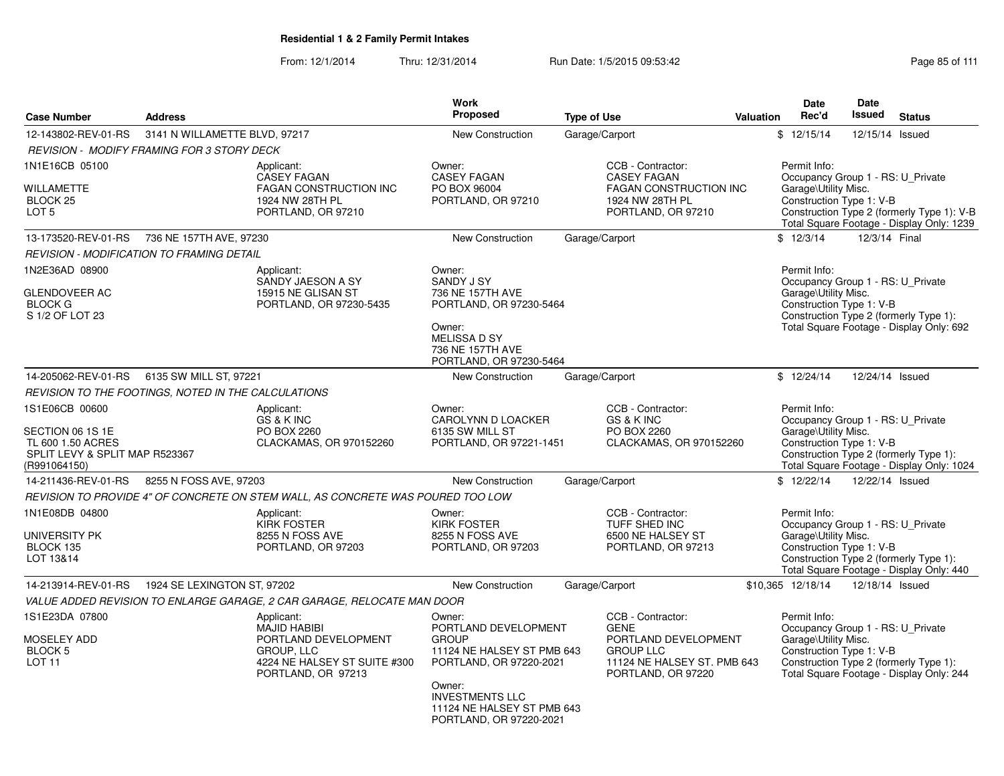From: 12/1/2014Thru: 12/31/2014 Run Date: 1/5/2015 09:53:42 Research 2010 12/31/2014 Page 85 of 111

|                                                                                                           |                                                     |                                                                                                                               | Work                                                                                                                                                                                                 |                                                                                                                                   |                  | Date                                                                                                                                                                                             | <b>Date</b>     |                                                                                     |  |  |
|-----------------------------------------------------------------------------------------------------------|-----------------------------------------------------|-------------------------------------------------------------------------------------------------------------------------------|------------------------------------------------------------------------------------------------------------------------------------------------------------------------------------------------------|-----------------------------------------------------------------------------------------------------------------------------------|------------------|--------------------------------------------------------------------------------------------------------------------------------------------------------------------------------------------------|-----------------|-------------------------------------------------------------------------------------|--|--|
| <b>Case Number</b>                                                                                        | <b>Address</b>                                      |                                                                                                                               | Proposed                                                                                                                                                                                             | <b>Type of Use</b>                                                                                                                | <b>Valuation</b> | Rec'd                                                                                                                                                                                            | <b>Issued</b>   | <b>Status</b>                                                                       |  |  |
| 12-143802-REV-01-RS                                                                                       | 3141 N WILLAMETTE BLVD, 97217                       |                                                                                                                               | <b>New Construction</b>                                                                                                                                                                              | Garage/Carport                                                                                                                    |                  | \$12/15/14                                                                                                                                                                                       | 12/15/14 Issued |                                                                                     |  |  |
|                                                                                                           | <b>REVISION - MODIFY FRAMING FOR 3 STORY DECK</b>   |                                                                                                                               |                                                                                                                                                                                                      |                                                                                                                                   |                  |                                                                                                                                                                                                  |                 |                                                                                     |  |  |
| 1N1E16CB 05100<br>WILLAMETTE<br>BLOCK <sub>25</sub><br>LOT <sub>5</sub>                                   |                                                     | Applicant:<br><b>CASEY FAGAN</b><br><b>FAGAN CONSTRUCTION INC</b><br>1924 NW 28TH PL<br>PORTLAND, OR 97210                    | Owner:<br><b>CASEY FAGAN</b><br>PO BOX 96004<br>PORTLAND, OR 97210                                                                                                                                   | CCB - Contractor:<br><b>CASEY FAGAN</b><br><b>FAGAN CONSTRUCTION INC</b><br>1924 NW 28TH PL<br>PORTLAND, OR 97210                 |                  | Permit Info:<br>Occupancy Group 1 - RS: U_Private<br>Garage\Utility Misc.<br>Construction Type 1: V-B<br>Construction Type 2 (formerly Type 1): V-B<br>Total Square Footage - Display Only: 1239 |                 |                                                                                     |  |  |
|                                                                                                           | 13-173520-REV-01-RS 736 NE 157TH AVE, 97230         |                                                                                                                               | <b>New Construction</b>                                                                                                                                                                              | Garage/Carport                                                                                                                    |                  | \$12/3/14                                                                                                                                                                                        | 12/3/14 Final   |                                                                                     |  |  |
|                                                                                                           | <b>REVISION - MODIFICATION TO FRAMING DETAIL</b>    |                                                                                                                               |                                                                                                                                                                                                      |                                                                                                                                   |                  |                                                                                                                                                                                                  |                 |                                                                                     |  |  |
| 1N2E36AD 08900<br><b>GLENDOVEER AC</b><br><b>BLOCK G</b><br>S 1/2 OF LOT 23                               |                                                     | Applicant:<br>SANDY JAESON A SY<br>15915 NE GLISAN ST<br>PORTLAND, OR 97230-5435                                              | Owner:<br><b>SANDY J SY</b><br>736 NE 157TH AVE<br>PORTLAND, OR 97230-5464<br>Owner:<br><b>MELISSA D SY</b><br>736 NE 157TH AVE<br>PORTLAND, OR 97230-5464                                           |                                                                                                                                   |                  | Permit Info:<br>Occupancy Group 1 - RS: U_Private<br>Garage\Utility Misc.<br>Construction Type 1: V-B                                                                                            |                 | Construction Type 2 (formerly Type 1):<br>Total Square Footage - Display Only: 692  |  |  |
|                                                                                                           | 14-205062-REV-01-RS   6135 SW MILL ST, 97221        |                                                                                                                               | New Construction                                                                                                                                                                                     | Garage/Carport                                                                                                                    |                  | \$12/24/14                                                                                                                                                                                       | 12/24/14 Issued |                                                                                     |  |  |
|                                                                                                           | REVISION TO THE FOOTINGS, NOTED IN THE CALCULATIONS |                                                                                                                               |                                                                                                                                                                                                      |                                                                                                                                   |                  |                                                                                                                                                                                                  |                 |                                                                                     |  |  |
| 1S1E06CB 00600<br>SECTION 06 1S 1E<br>TL 600 1.50 ACRES<br>SPLIT LEVY & SPLIT MAP R523367<br>(R991064150) |                                                     | Applicant:<br>GS & K INC<br>PO BOX 2260<br>CLACKAMAS, OR 970152260                                                            | Owner:<br>CAROLYNN D LOACKER<br>6135 SW MILL ST<br>PORTLAND, OR 97221-1451                                                                                                                           | CCB - Contractor:<br>GS & K INC<br>PO BOX 2260<br>CLACKAMAS, OR 970152260                                                         |                  | Permit Info:<br>Occupancy Group 1 - RS: U_Private<br>Garage\Utility Misc.<br>Construction Type 1: V-B                                                                                            |                 | Construction Type 2 (formerly Type 1):<br>Total Square Footage - Display Only: 1024 |  |  |
| 14-211436-REV-01-RS                                                                                       | 8255 N FOSS AVE, 97203                              |                                                                                                                               | New Construction                                                                                                                                                                                     | Garage/Carport                                                                                                                    |                  | \$12/22/14                                                                                                                                                                                       | 12/22/14 Issued |                                                                                     |  |  |
|                                                                                                           |                                                     | REVISION TO PROVIDE 4" OF CONCRETE ON STEM WALL, AS CONCRETE WAS POURED TOO LOW                                               |                                                                                                                                                                                                      |                                                                                                                                   |                  |                                                                                                                                                                                                  |                 |                                                                                     |  |  |
| 1N1E08DB 04800<br>UNIVERSITY PK<br>BLOCK 135<br>LOT 13&14                                                 |                                                     | Applicant:<br><b>KIRK FOSTER</b><br>8255 N FOSS AVE<br>PORTLAND, OR 97203                                                     | Owner:<br><b>KIRK FOSTER</b><br>8255 N FOSS AVE<br>PORTLAND, OR 97203                                                                                                                                | CCB - Contractor:<br>TUFF SHED INC<br>6500 NE HALSEY ST<br>PORTLAND, OR 97213                                                     |                  | Permit Info:<br>Occupancy Group 1 - RS: U_Private<br>Garage\Utility Misc.<br>Construction Type 1: V-B                                                                                            |                 | Construction Type 2 (formerly Type 1):<br>Total Square Footage - Display Only: 440  |  |  |
| 14-213914-REV-01-RS                                                                                       | 1924 SE LEXINGTON ST, 97202                         |                                                                                                                               | New Construction                                                                                                                                                                                     | Garage/Carport                                                                                                                    |                  | \$10.365 12/18/14                                                                                                                                                                                | 12/18/14 Issued |                                                                                     |  |  |
|                                                                                                           |                                                     | VALUE ADDED REVISION TO ENLARGE GARAGE, 2 CAR GARAGE, RELOCATE MAN DOOR                                                       |                                                                                                                                                                                                      |                                                                                                                                   |                  |                                                                                                                                                                                                  |                 |                                                                                     |  |  |
| 1S1E23DA 07800<br><b>MOSELEY ADD</b><br>BLOCK 5<br><b>LOT 11</b>                                          |                                                     | Applicant:<br><b>MAJID HABIBI</b><br>PORTLAND DEVELOPMENT<br>GROUP, LLC<br>4224 NE HALSEY ST SUITE #300<br>PORTLAND, OR 97213 | Owner:<br>PORTLAND DEVELOPMENT<br><b>GROUP</b><br>11124 NE HALSEY ST PMB 643<br>PORTLAND, OR 97220-2021<br>Owner:<br><b>INVESTMENTS LLC</b><br>11124 NE HALSEY ST PMB 643<br>PORTLAND, OR 97220-2021 | CCB - Contractor:<br><b>GENE</b><br>PORTLAND DEVELOPMENT<br><b>GROUP LLC</b><br>11124 NE HALSEY ST. PMB 643<br>PORTLAND, OR 97220 |                  | Permit Info:<br>Occupancy Group 1 - RS: U_Private<br>Garage\Utility Misc.<br>Construction Type 1: V-B                                                                                            |                 | Construction Type 2 (formerly Type 1):<br>Total Square Footage - Display Only: 244  |  |  |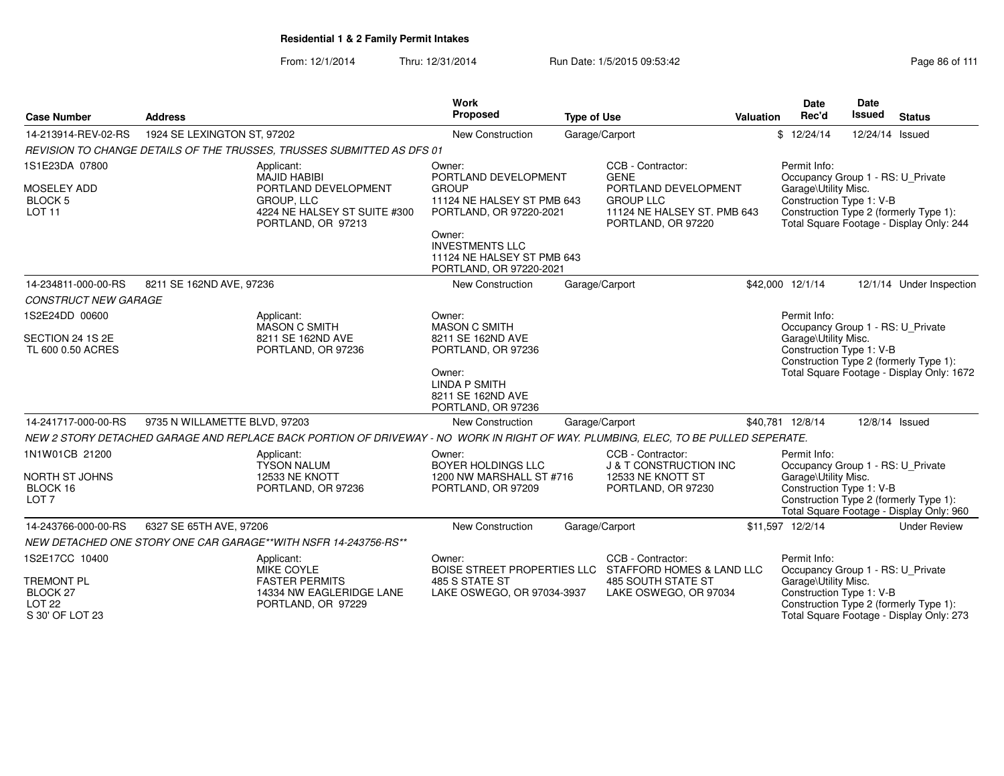|                                                                          |                               |                                                                                                                                    | Work                                                                                                                                                                   |                    |                                                                                       |                                                                                     | <b>Date</b>                                                                                                                            | Date            |                                                                                    |  |
|--------------------------------------------------------------------------|-------------------------------|------------------------------------------------------------------------------------------------------------------------------------|------------------------------------------------------------------------------------------------------------------------------------------------------------------------|--------------------|---------------------------------------------------------------------------------------|-------------------------------------------------------------------------------------|----------------------------------------------------------------------------------------------------------------------------------------|-----------------|------------------------------------------------------------------------------------|--|
| <b>Case Number</b>                                                       | <b>Address</b>                |                                                                                                                                    | <b>Proposed</b>                                                                                                                                                        | <b>Type of Use</b> |                                                                                       | Valuation                                                                           | Rec'd                                                                                                                                  | <b>Issued</b>   | <b>Status</b>                                                                      |  |
| 14-213914-REV-02-RS                                                      | 1924 SE LEXINGTON ST, 97202   |                                                                                                                                    | <b>New Construction</b>                                                                                                                                                |                    | Garage/Carport                                                                        |                                                                                     | \$12/24/14                                                                                                                             | 12/24/14 Issued |                                                                                    |  |
|                                                                          |                               | REVISION TO CHANGE DETAILS OF THE TRUSSES. TRUSSES SUBMITTED AS DFS 01                                                             |                                                                                                                                                                        |                    |                                                                                       |                                                                                     |                                                                                                                                        |                 |                                                                                    |  |
| 1S1E23DA 07800                                                           |                               | Applicant:<br><b>MAJID HABIBI</b>                                                                                                  | Owner:<br>PORTLAND DEVELOPMENT                                                                                                                                         |                    | CCB - Contractor:<br>Permit Info:<br><b>GENE</b><br>Occupancy Group 1 - RS: U Private |                                                                                     |                                                                                                                                        |                 |                                                                                    |  |
| MOSELEY ADD<br><b>BLOCK 5</b><br><b>LOT 11</b>                           |                               | PORTLAND DEVELOPMENT<br><b>GROUP, LLC</b><br>4224 NE HALSEY ST SUITE #300<br>PORTLAND, OR 97213                                    | PORTLAND DEVELOPMENT<br><b>GROUP</b><br>11124 NE HALSEY ST PMB 643<br><b>GROUP LLC</b><br>11124 NE HALSEY ST. PMB 643<br>PORTLAND, OR 97220-2021<br>PORTLAND, OR 97220 |                    |                                                                                       |                                                                                     | Garage\Utility Misc.<br>Construction Type 1: V-B<br>Construction Type 2 (formerly Type 1):<br>Total Square Footage - Display Only: 244 |                 |                                                                                    |  |
|                                                                          |                               |                                                                                                                                    | Owner:<br><b>INVESTMENTS LLC</b><br>11124 NE HALSEY ST PMB 643<br>PORTLAND, OR 97220-2021                                                                              |                    |                                                                                       |                                                                                     |                                                                                                                                        |                 |                                                                                    |  |
| 14-234811-000-00-RS                                                      | 8211 SE 162ND AVE, 97236      |                                                                                                                                    | New Construction                                                                                                                                                       |                    | Garage/Carport                                                                        |                                                                                     | \$42,000 12/1/14                                                                                                                       |                 | 12/1/14 Under Inspection                                                           |  |
| <b>CONSTRUCT NEW GARAGE</b>                                              |                               |                                                                                                                                    |                                                                                                                                                                        |                    |                                                                                       |                                                                                     |                                                                                                                                        |                 |                                                                                    |  |
| 1S2E24DD 00600                                                           |                               | Applicant:<br><b>MASON C SMITH</b>                                                                                                 | Owner:<br><b>MASON C SMITH</b>                                                                                                                                         |                    |                                                                                       |                                                                                     | Permit Info:<br>Occupancy Group 1 - RS: U_Private                                                                                      |                 |                                                                                    |  |
| SECTION 24 1S 2E<br>TL 600 0.50 ACRES                                    |                               | 8211 SE 162ND AVE<br>PORTLAND, OR 97236                                                                                            | 8211 SE 162ND AVE<br>PORTLAND, OR 97236                                                                                                                                |                    |                                                                                       |                                                                                     | Garage\Utility Misc.<br>Construction Type 1: V-B                                                                                       |                 |                                                                                    |  |
|                                                                          |                               |                                                                                                                                    | Owner:<br><b>LINDA P SMITH</b><br>8211 SE 162ND AVE<br>PORTLAND, OR 97236                                                                                              |                    |                                                                                       | Construction Type 2 (formerly Type 1):<br>Total Square Footage - Display Only: 1672 |                                                                                                                                        |                 |                                                                                    |  |
| 14-241717-000-00-RS                                                      | 9735 N WILLAMETTE BLVD, 97203 |                                                                                                                                    | New Construction                                                                                                                                                       |                    | Garage/Carport                                                                        |                                                                                     | \$40,781 12/8/14                                                                                                                       |                 | 12/8/14 Issued                                                                     |  |
|                                                                          |                               | NEW 2 STORY DETACHED GARAGE AND REPLACE BACK PORTION OF DRIVEWAY - NO WORK IN RIGHT OF WAY. PLUMBING, ELEC, TO BE PULLED SEPERATE. |                                                                                                                                                                        |                    |                                                                                       |                                                                                     |                                                                                                                                        |                 |                                                                                    |  |
| 1N1W01CB 21200                                                           |                               | Applicant:<br><b>TYSON NALUM</b><br><b>12533 NE KNOTT</b>                                                                          | Owner:<br><b>BOYER HOLDINGS LLC</b>                                                                                                                                    |                    | CCB - Contractor:<br><b>J &amp; T CONSTRUCTION INC</b>                                |                                                                                     | Permit Info:<br>Occupancy Group 1 - RS: U_Private                                                                                      |                 |                                                                                    |  |
| NORTH ST JOHNS<br>BLOCK 16<br>LOT <sub>7</sub>                           |                               | PORTLAND, OR 97236                                                                                                                 | 1200 NW MARSHALL ST #716<br>PORTLAND, OR 97209                                                                                                                         |                    | 12533 NE KNOTT ST<br>PORTLAND, OR 97230                                               |                                                                                     | Garage\Utility Misc.<br>Construction Type 1: V-B                                                                                       |                 | Construction Type 2 (formerly Type 1):<br>Total Square Footage - Display Only: 960 |  |
| 14-243766-000-00-RS                                                      | 6327 SE 65TH AVE, 97206       |                                                                                                                                    | New Construction                                                                                                                                                       |                    | Garage/Carport                                                                        |                                                                                     | \$11,597 12/2/14                                                                                                                       |                 | <b>Under Review</b>                                                                |  |
|                                                                          |                               | NEW DETACHED ONE STORY ONE CAR GARAGE**WITH NSFR 14-243756-RS**                                                                    |                                                                                                                                                                        |                    |                                                                                       |                                                                                     |                                                                                                                                        |                 |                                                                                    |  |
| 1S2E17CC 10400<br>Applicant:<br><b>MIKE COYLE</b>                        |                               |                                                                                                                                    | Owner:                                                                                                                                                                 |                    | CCB - Contractor:<br>BOISE STREET PROPERTIES LLC STAFFORD HOMES & LAND LLC            |                                                                                     | Permit Info:<br>Occupancy Group 1 - RS: U_Private                                                                                      |                 |                                                                                    |  |
| <b>TREMONT PL</b><br><b>BLOCK 27</b><br><b>LOT 22</b><br>S 30' OF LOT 23 |                               | <b>FASTER PERMITS</b><br>14334 NW EAGLERIDGE LANE<br>PORTLAND, OR 97229                                                            | 485 S STATE ST<br>LAKE OSWEGO, OR 97034-3937                                                                                                                           |                    | <b>485 SOUTH STATE ST</b><br>LAKE OSWEGO, OR 97034                                    |                                                                                     | Garage\Utility Misc.<br>Construction Type 1: V-B                                                                                       |                 | Construction Type 2 (formerly Type 1):<br>Total Square Footage - Display Only: 273 |  |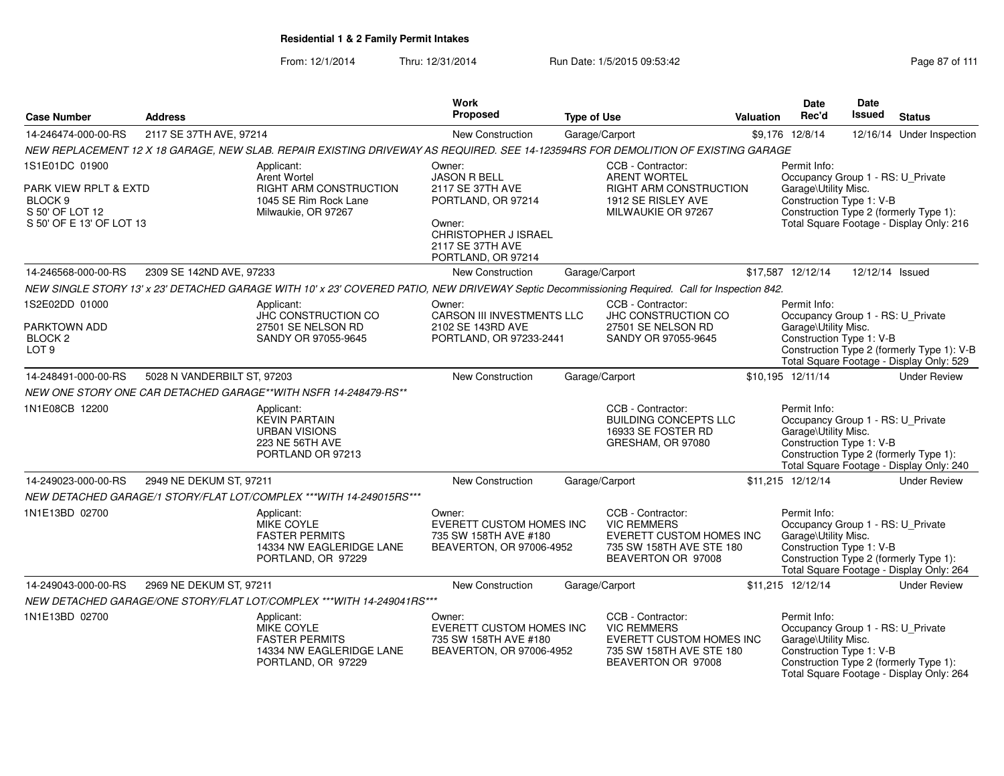From: 12/1/2014Thru: 12/31/2014 Run Date: 1/5/2015 09:53:42 Research 2010 12/31/2014 Page 87 of 111

| <b>Case Number</b>                                                       | <b>Address</b>              |                                                                                                                                                 | Work<br><b>Proposed</b>                                                                        | <b>Type of Use</b>                       | Valuation                                                                  | Date<br>Rec'd                                                                                                                   | Date<br><b>Issued</b> | <b>Status</b>                                                                          |
|--------------------------------------------------------------------------|-----------------------------|-------------------------------------------------------------------------------------------------------------------------------------------------|------------------------------------------------------------------------------------------------|------------------------------------------|----------------------------------------------------------------------------|---------------------------------------------------------------------------------------------------------------------------------|-----------------------|----------------------------------------------------------------------------------------|
| 14-246474-000-00-RS                                                      | 2117 SE 37TH AVE, 97214     |                                                                                                                                                 | <b>New Construction</b>                                                                        | Garage/Carport                           |                                                                            | \$9,176 12/8/14                                                                                                                 | 12/16/14              | Under Inspection                                                                       |
|                                                                          |                             | NEW REPLACEMENT 12 X 18 GARAGE, NEW SLAB. REPAIR EXISTING DRIVEWAY AS REQUIRED. SEE 14-123594RS FOR DEMOLITION OF EXISTING GARAGE               |                                                                                                |                                          |                                                                            |                                                                                                                                 |                       |                                                                                        |
| 1S1E01DC 01900                                                           |                             | Applicant:<br><b>Arent Wortel</b>                                                                                                               | Owner:<br><b>JASON R BELL</b>                                                                  | CCB - Contractor:<br><b>ARENT WORTEL</b> |                                                                            | Permit Info:                                                                                                                    |                       |                                                                                        |
| PARK VIEW RPLT & EXTD<br>BLOCK <sub>9</sub><br>S 50' OF LOT 12           |                             | RIGHT ARM CONSTRUCTION<br>1045 SE Rim Rock Lane<br>Milwaukie, OR 97267                                                                          | 2117 SE 37TH AVE<br>PORTLAND, OR 97214                                                         |                                          | RIGHT ARM CONSTRUCTION<br>1912 SE RISLEY AVE<br>MILWAUKIE OR 97267         | Occupancy Group 1 - RS: U_Private<br>Garage\Utility Misc.<br>Construction Type 1: V-B<br>Construction Type 2 (formerly Type 1): |                       |                                                                                        |
| S 50' OF E 13' OF LOT 13                                                 |                             |                                                                                                                                                 | Owner:<br>CHRISTOPHER J ISRAEL<br>2117 SE 37TH AVE<br>PORTLAND, OR 97214                       |                                          |                                                                            |                                                                                                                                 |                       | Total Square Footage - Display Only: 216                                               |
| 14-246568-000-00-RS                                                      | 2309 SE 142ND AVE, 97233    |                                                                                                                                                 | <b>New Construction</b>                                                                        | Garage/Carport                           |                                                                            | \$17,587 12/12/14                                                                                                               | 12/12/14 Issued       |                                                                                        |
|                                                                          |                             | NEW SINGLE STORY 13' x 23' DETACHED GARAGE WITH 10' x 23' COVERED PATIO, NEW DRIVEWAY Septic Decommissioning Required. Call for Inspection 842. |                                                                                                |                                          |                                                                            |                                                                                                                                 |                       |                                                                                        |
| 1S2E02DD 01000<br>PARKTOWN ADD<br>BLOCK <sub>2</sub><br>LOT <sub>9</sub> |                             | Applicant:<br><b>JHC CONSTRUCTION CO</b><br>27501 SE NELSON RD<br>SANDY OR 97055-9645                                                           | Owner:<br><b>CARSON III INVESTMENTS LLC</b><br>2102 SE 143RD AVE<br>PORTLAND, OR 97233-2441    | CCB - Contractor:                        | <b>JHC CONSTRUCTION CO</b><br>27501 SE NELSON RD<br>SANDY OR 97055-9645    | Permit Info:<br>Occupancy Group 1 - RS: U_Private<br>Garage\Utility Misc.<br>Construction Type 1: V-B                           |                       | Construction Type 2 (formerly Type 1): V-B<br>Total Square Footage - Display Only: 529 |
| 14-248491-000-00-RS                                                      | 5028 N VANDERBILT ST, 97203 |                                                                                                                                                 | New Construction                                                                               | Garage/Carport                           |                                                                            | \$10,195 12/11/14                                                                                                               |                       | <b>Under Review</b>                                                                    |
|                                                                          |                             | NEW ONE STORY ONE CAR DETACHED GARAGE**WITH NSFR 14-248479-RS**                                                                                 |                                                                                                |                                          |                                                                            |                                                                                                                                 |                       |                                                                                        |
| 1N1E08CB 12200                                                           |                             | Applicant:<br><b>KEVIN PARTAIN</b><br><b>URBAN VISIONS</b><br>223 NE 56TH AVE<br>PORTLAND OR 97213                                              |                                                                                                | CCB - Contractor:                        | <b>BUILDING CONCEPTS LLC</b><br>16933 SE FOSTER RD<br>GRESHAM, OR 97080    | Permit Info:<br>Occupancy Group 1 - RS: U_Private<br>Garage\Utility Misc.<br>Construction Type 1: V-B                           |                       | Construction Type 2 (formerly Type 1):<br>Total Square Footage - Display Only: 240     |
| 14-249023-000-00-RS                                                      | 2949 NE DEKUM ST, 97211     |                                                                                                                                                 | New Construction                                                                               | Garage/Carport                           |                                                                            | \$11,215 12/12/14                                                                                                               |                       | <b>Under Review</b>                                                                    |
|                                                                          |                             | NEW DETACHED GARAGE/1 STORY/FLAT LOT/COMPLEX *** WITH 14-249015RS ***                                                                           |                                                                                                |                                          |                                                                            |                                                                                                                                 |                       |                                                                                        |
| 1N1E13BD 02700                                                           |                             | Applicant:<br>MIKE COYLE<br><b>FASTER PERMITS</b><br>14334 NW EAGLERIDGE LANE<br>PORTLAND, OR 97229                                             | Owner:<br><b>EVERETT CUSTOM HOMES INC</b><br>735 SW 158TH AVE #180<br>BEAVERTON, OR 97006-4952 | CCB - Contractor:<br><b>VIC REMMERS</b>  | EVERETT CUSTOM HOMES INC<br>735 SW 158TH AVE STE 180<br>BEAVERTON OR 97008 | Permit Info:<br>Occupancy Group 1 - RS: U_Private<br>Garage\Utility Misc.<br>Construction Type 1: V-B                           |                       | Construction Type 2 (formerly Type 1):<br>Total Square Footage - Display Only: 264     |
| 14-249043-000-00-RS                                                      | 2969 NE DEKUM ST, 97211     |                                                                                                                                                 | New Construction                                                                               | Garage/Carport                           |                                                                            | \$11,215 12/12/14                                                                                                               |                       | <b>Under Review</b>                                                                    |
|                                                                          |                             | NEW DETACHED GARAGE/ONE STORY/FLAT LOT/COMPLEX *** WITH 14-249041RS ***                                                                         |                                                                                                |                                          |                                                                            |                                                                                                                                 |                       |                                                                                        |
| 1N1E13BD 02700                                                           |                             | Applicant:<br>MIKE COYLE<br><b>FASTER PERMITS</b><br>14334 NW EAGLERIDGE LANE<br>PORTLAND, OR 97229                                             | Owner:<br>EVERETT CUSTOM HOMES INC<br>735 SW 158TH AVE #180<br>BEAVERTON, OR 97006-4952        | CCB - Contractor:<br><b>VIC REMMERS</b>  | EVERETT CUSTOM HOMES INC<br>735 SW 158TH AVE STE 180<br>BEAVERTON OR 97008 | Permit Info:<br>Occupancy Group 1 - RS: U Private<br>Garage\Utility Misc.<br>Construction Type 1: V-B                           |                       | Construction Type 2 (formerly Type 1):<br>Total Square Footage - Display Only: 264     |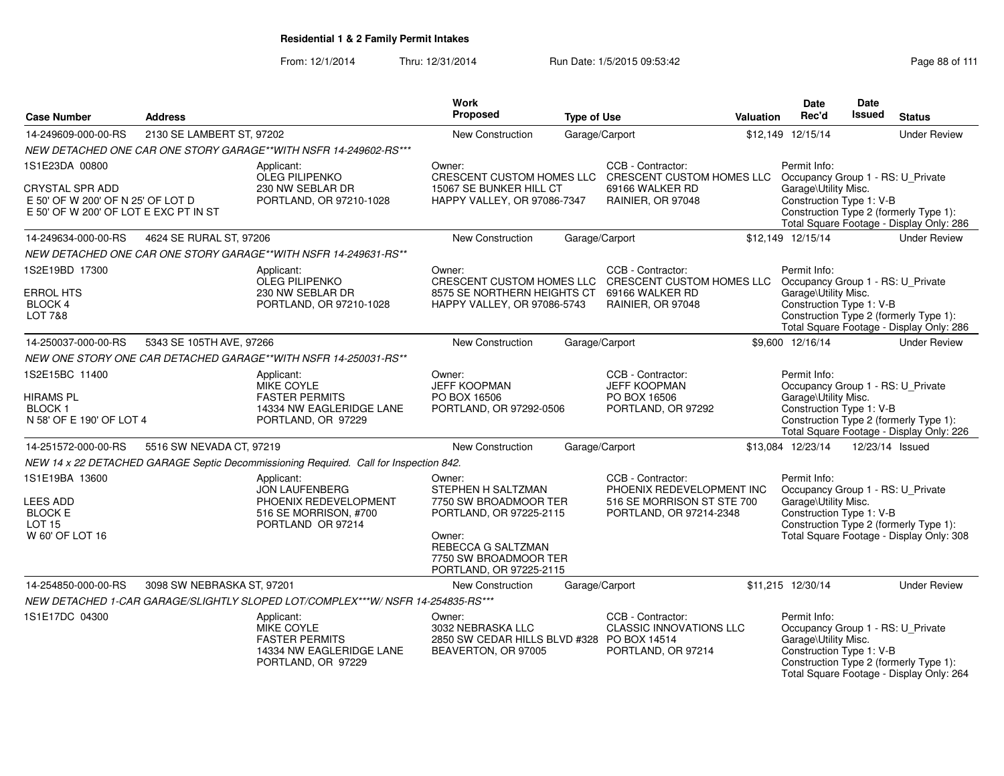|                                                                            |                            |                                                                                       | Work                                                                                    |                    |                                                         |                                                                             | <b>Date</b>                                               | <b>Date</b>                                      |                                                                                    |  |
|----------------------------------------------------------------------------|----------------------------|---------------------------------------------------------------------------------------|-----------------------------------------------------------------------------------------|--------------------|---------------------------------------------------------|-----------------------------------------------------------------------------|-----------------------------------------------------------|--------------------------------------------------|------------------------------------------------------------------------------------|--|
| <b>Case Number</b>                                                         | <b>Address</b>             |                                                                                       | <b>Proposed</b>                                                                         | <b>Type of Use</b> |                                                         | <b>Valuation</b>                                                            | Rec'd                                                     | <b>Issued</b>                                    | <b>Status</b>                                                                      |  |
| 14-249609-000-00-RS                                                        | 2130 SE LAMBERT ST, 97202  |                                                                                       | New Construction                                                                        |                    | Garage/Carport                                          |                                                                             | \$12,149 12/15/14                                         |                                                  | <b>Under Review</b>                                                                |  |
|                                                                            |                            | NEW DETACHED ONE CAR ONE STORY GARAGE**WITH NSFR 14-249602-RS***                      |                                                                                         |                    |                                                         |                                                                             |                                                           |                                                  |                                                                                    |  |
| 1S1E23DA 00800                                                             |                            | Applicant:<br><b>OLEG PILIPENKO</b>                                                   | Owner:<br>CRESCENT CUSTOM HOMES LLC                                                     |                    | CCB - Contractor:                                       | Permit Info:<br>CRESCENT CUSTOM HOMES LLC Occupancy Group 1 - RS: U_Private |                                                           |                                                  |                                                                                    |  |
| <b>CRYSTAL SPR ADD</b>                                                     |                            | 230 NW SEBLAR DR                                                                      | 15067 SE BUNKER HILL CT                                                                 |                    | 69166 WALKER RD                                         |                                                                             | Garage\Utility Misc.                                      |                                                  |                                                                                    |  |
| E 50' OF W 200' OF N 25' OF LOT D<br>E 50' OF W 200' OF LOT E EXC PT IN ST |                            | PORTLAND, OR 97210-1028                                                               | HAPPY VALLEY, OR 97086-7347                                                             |                    | RAINIER, OR 97048                                       |                                                                             | Construction Type 1: V-B                                  |                                                  | Construction Type 2 (formerly Type 1):                                             |  |
|                                                                            |                            |                                                                                       |                                                                                         |                    |                                                         |                                                                             |                                                           |                                                  | Total Square Footage - Display Only: 286                                           |  |
| 14-249634-000-00-RS                                                        | 4624 SE RURAL ST, 97206    |                                                                                       | New Construction                                                                        |                    | Garage/Carport                                          |                                                                             | \$12,149 12/15/14                                         |                                                  | <b>Under Review</b>                                                                |  |
|                                                                            |                            | NEW DETACHED ONE CAR ONE STORY GARAGE**WITH NSFR 14-249631-RS**                       |                                                                                         |                    |                                                         |                                                                             |                                                           |                                                  |                                                                                    |  |
| 1S2E19BD 17300                                                             |                            | Applicant:<br><b>OLEG PILIPENKO</b>                                                   | Owner:<br>CRESCENT CUSTOM HOMES LLC                                                     |                    | CCB - Contractor:<br>CRESCENT CUSTOM HOMES LLC          |                                                                             | Permit Info:<br>Occupancy Group 1 - RS: U_Private         |                                                  |                                                                                    |  |
| <b>ERROL HTS</b>                                                           |                            | 230 NW SEBLAR DR                                                                      | 8575 SE NORTHERN HEIGHTS CT                                                             |                    | 69166 WALKER RD                                         |                                                                             | Garage\Utility Misc.                                      |                                                  |                                                                                    |  |
| <b>BLOCK 4</b>                                                             |                            | PORTLAND, OR 97210-1028                                                               | HAPPY VALLEY, OR 97086-5743                                                             |                    | <b>RAINIER, OR 97048</b>                                |                                                                             | Construction Type 1: V-B                                  |                                                  |                                                                                    |  |
| <b>LOT 7&amp;8</b>                                                         |                            |                                                                                       |                                                                                         |                    |                                                         |                                                                             |                                                           |                                                  | Construction Type 2 (formerly Type 1):<br>Total Square Footage - Display Only: 286 |  |
| 14-250037-000-00-RS                                                        | 5343 SE 105TH AVE, 97266   |                                                                                       | New Construction                                                                        |                    | Garage/Carport                                          |                                                                             | \$9,600 12/16/14                                          |                                                  | <b>Under Review</b>                                                                |  |
|                                                                            |                            | NEW ONE STORY ONE CAR DETACHED GARAGE**WITH NSFR 14-250031-RS**                       |                                                                                         |                    |                                                         |                                                                             |                                                           |                                                  |                                                                                    |  |
| 1S2E15BC 11400                                                             |                            | Applicant:                                                                            | Owner:                                                                                  |                    | CCB - Contractor:                                       |                                                                             | Permit Info:                                              |                                                  |                                                                                    |  |
|                                                                            |                            | <b>MIKE COYLE</b>                                                                     | <b>JEFF KOOPMAN</b>                                                                     |                    | <b>JEFF KOOPMAN</b>                                     |                                                                             | Occupancy Group 1 - RS: U_Private                         |                                                  |                                                                                    |  |
| <b>HIRAMS PL</b><br><b>BLOCK1</b>                                          |                            | <b>FASTER PERMITS</b><br>14334 NW EAGLERIDGE LANE                                     | PO BOX 16506<br>PORTLAND, OR 97292-0506                                                 |                    | PO BOX 16506<br>PORTLAND, OR 97292                      |                                                                             | Garage\Utility Misc.<br>Construction Type 1: V-B          |                                                  |                                                                                    |  |
| N 58' OF E 190' OF LOT 4                                                   |                            | PORTLAND, OR 97229                                                                    |                                                                                         |                    |                                                         |                                                                             |                                                           |                                                  | Construction Type 2 (formerly Type 1):                                             |  |
|                                                                            |                            |                                                                                       |                                                                                         |                    |                                                         |                                                                             |                                                           |                                                  | Total Square Footage - Display Only: 226                                           |  |
| 14-251572-000-00-RS                                                        | 5516 SW NEVADA CT, 97219   |                                                                                       | <b>New Construction</b>                                                                 |                    | Garage/Carport                                          |                                                                             | \$13,084 12/23/14                                         |                                                  | 12/23/14 Issued                                                                    |  |
|                                                                            |                            | NEW 14 x 22 DETACHED GARAGE Septic Decommissioning Required. Call for Inspection 842. |                                                                                         |                    |                                                         |                                                                             |                                                           |                                                  |                                                                                    |  |
| 1S1E19BA 13600                                                             |                            | Applicant:                                                                            | Owner:                                                                                  |                    | CCB - Contractor:                                       |                                                                             | Permit Info:                                              |                                                  |                                                                                    |  |
| <b>LEES ADD</b>                                                            |                            | <b>JON LAUFENBERG</b><br>PHOENIX REDEVELOPMENT                                        | STEPHEN H SALTZMAN<br>7750 SW BROADMOOR TER                                             |                    | PHOENIX REDEVELOPMENT INC<br>516 SE MORRISON ST STE 700 |                                                                             | Occupancy Group 1 - RS: U_Private<br>Garage\Utility Misc. |                                                  |                                                                                    |  |
| <b>BLOCK E</b>                                                             |                            | 516 SE MORRISON, #700                                                                 | PORTLAND, OR 97225-2115                                                                 |                    | PORTLAND, OR 97214-2348                                 |                                                                             | Construction Type 1: V-B                                  |                                                  |                                                                                    |  |
| <b>LOT 15</b>                                                              |                            | PORTLAND OR 97214                                                                     |                                                                                         |                    |                                                         |                                                                             |                                                           |                                                  | Construction Type 2 (formerly Type 1):                                             |  |
| W 60' OF LOT 16                                                            |                            |                                                                                       | Owner:<br>REBECCA G SALTZMAN                                                            |                    |                                                         |                                                                             |                                                           |                                                  | Total Square Footage - Display Only: 308                                           |  |
|                                                                            |                            |                                                                                       | 7750 SW BROADMOOR TER                                                                   |                    |                                                         |                                                                             |                                                           |                                                  |                                                                                    |  |
|                                                                            |                            |                                                                                       | PORTLAND, OR 97225-2115                                                                 |                    |                                                         |                                                                             |                                                           |                                                  |                                                                                    |  |
| 14-254850-000-00-RS                                                        | 3098 SW NEBRASKA ST, 97201 |                                                                                       | New Construction                                                                        |                    | Garage/Carport                                          |                                                                             | \$11,215 12/30/14                                         |                                                  | <b>Under Review</b>                                                                |  |
|                                                                            |                            | NEW DETACHED 1-CAR GARAGE/SLIGHTLY SLOPED LOT/COMPLEX***W/ NSFR 14-254835-RS***       |                                                                                         |                    |                                                         |                                                                             |                                                           |                                                  |                                                                                    |  |
| 1S1E17DC 04300                                                             |                            | Applicant:                                                                            | Owner:                                                                                  |                    | CCB - Contractor:                                       |                                                                             | Permit Info:                                              |                                                  |                                                                                    |  |
|                                                                            |                            | <b>MIKE COYLE</b><br><b>FASTER PERMITS</b>                                            | 3032 NEBRASKA LLC                                                                       |                    | <b>CLASSIC INNOVATIONS LLC</b>                          |                                                                             | Occupancy Group 1 - RS: U_Private                         |                                                  |                                                                                    |  |
|                                                                            |                            | 14334 NW EAGLERIDGE LANE                                                              | 2850 SW CEDAR HILLS BLVD #328 PO BOX 14514<br>PORTLAND, OR 97214<br>BEAVERTON, OR 97005 |                    |                                                         |                                                                             |                                                           | Garage\Utility Misc.<br>Construction Type 1: V-B |                                                                                    |  |
|                                                                            |                            | PORTLAND, OR 97229                                                                    |                                                                                         |                    |                                                         |                                                                             |                                                           |                                                  | Construction Type 2 (formerly Type 1):                                             |  |
|                                                                            |                            |                                                                                       |                                                                                         |                    |                                                         |                                                                             |                                                           |                                                  | Total Square Footage - Display Only: 264                                           |  |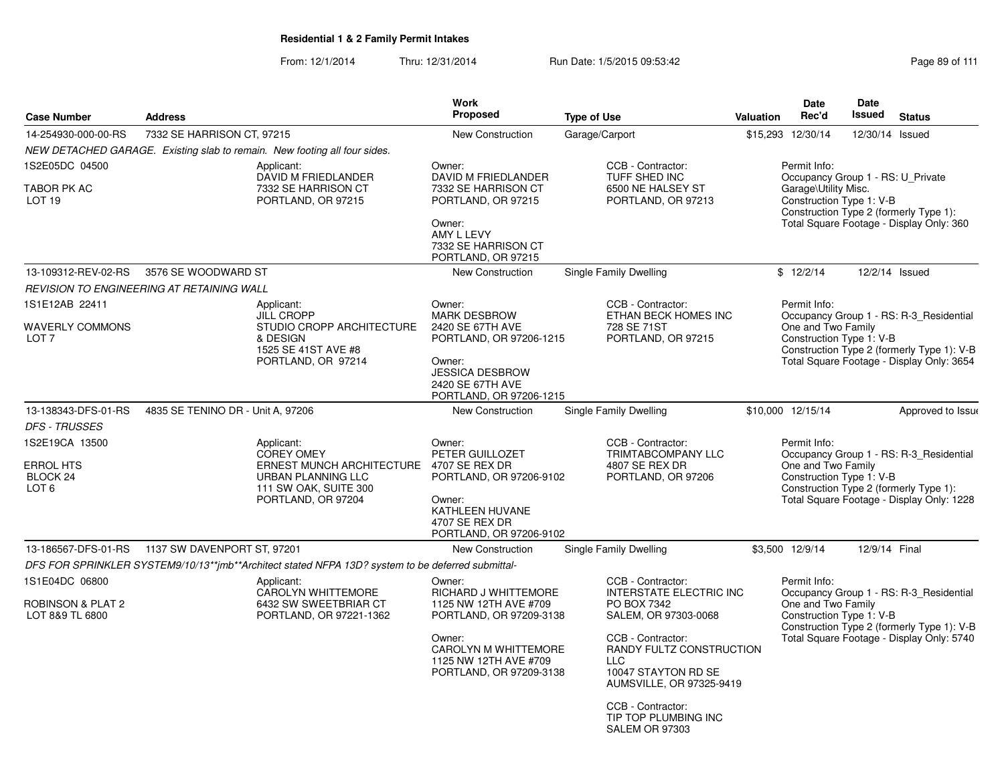|                                                                    |                                                                                |                                                                                                                                                  | <b>Work</b>                                                                               |                                                                                                          |                                           | <b>Date</b>                                                                                                                                                                                      | Date                                                                                                              |                                                                                       |  |
|--------------------------------------------------------------------|--------------------------------------------------------------------------------|--------------------------------------------------------------------------------------------------------------------------------------------------|-------------------------------------------------------------------------------------------|----------------------------------------------------------------------------------------------------------|-------------------------------------------|--------------------------------------------------------------------------------------------------------------------------------------------------------------------------------------------------|-------------------------------------------------------------------------------------------------------------------|---------------------------------------------------------------------------------------|--|
| <b>Case Number</b>                                                 | <b>Address</b>                                                                 |                                                                                                                                                  | <b>Proposed</b>                                                                           | <b>Type of Use</b>                                                                                       | Valuation                                 | Rec'd                                                                                                                                                                                            | Issued                                                                                                            | <b>Status</b>                                                                         |  |
| 14-254930-000-00-RS                                                | 7332 SE HARRISON CT, 97215                                                     |                                                                                                                                                  | <b>New Construction</b>                                                                   | Garage/Carport                                                                                           |                                           | \$15,293 12/30/14                                                                                                                                                                                | 12/30/14 Issued                                                                                                   |                                                                                       |  |
|                                                                    |                                                                                | NEW DETACHED GARAGE. Existing slab to remain. New footing all four sides.                                                                        |                                                                                           |                                                                                                          |                                           |                                                                                                                                                                                                  |                                                                                                                   |                                                                                       |  |
| 1S2E05DC 04500<br>TABOR PK AC<br>LOT 19                            | Applicant:<br>DAVID M FRIEDLANDER<br>7332 SE HARRISON CT<br>PORTLAND, OR 97215 |                                                                                                                                                  | Owner:<br>DAVID M FRIEDLANDER<br>7332 SE HARRISON CT<br>PORTLAND, OR 97215                | CCB - Contractor:<br>TUFF SHED INC<br>6500 NE HALSEY ST<br>PORTLAND, OR 97213                            |                                           | Permit Info:<br>Garage\Utility Misc.<br>Construction Type 1: V-B                                                                                                                                 | Occupancy Group 1 - RS: U Private<br>Construction Type 2 (formerly Type 1):                                       |                                                                                       |  |
|                                                                    |                                                                                | Owner:<br>AMY L LEVY<br>7332 SE HARRISON CT<br>PORTLAND, OR 97215                                                                                |                                                                                           |                                                                                                          |                                           | Total Square Footage - Display Only: 360                                                                                                                                                         |                                                                                                                   |                                                                                       |  |
| 13-109312-REV-02-RS                                                | 3576 SE WOODWARD ST                                                            |                                                                                                                                                  | <b>New Construction</b>                                                                   | Single Family Dwelling                                                                                   |                                           | \$12/2/14                                                                                                                                                                                        |                                                                                                                   | 12/2/14 Issued                                                                        |  |
| <b>REVISION TO ENGINEERING AT RETAINING WALL</b>                   |                                                                                |                                                                                                                                                  |                                                                                           |                                                                                                          |                                           |                                                                                                                                                                                                  |                                                                                                                   |                                                                                       |  |
| 1S1E12AB 22411<br><b>WAVERLY COMMONS</b><br>LOT <sub>7</sub>       |                                                                                | Applicant:<br><b>JILL CROPP</b><br>STUDIO CROPP ARCHITECTURE<br>& DESIGN<br>1525 SE 41ST AVE #8                                                  | Owner:<br><b>MARK DESBROW</b><br>2420 SE 67TH AVE<br>PORTLAND, OR 97206-1215              | CCB - Contractor:<br>ETHAN BECK HOMES INC<br>728 SE 71ST<br>PORTLAND, OR 97215                           |                                           | Permit Info:<br>One and Two Family                                                                                                                                                               | Occupancy Group 1 - RS: R-3 Residential<br>Construction Type 1: V-B<br>Construction Type 2 (formerly Type 1): V-B |                                                                                       |  |
|                                                                    |                                                                                | PORTLAND, OR 97214                                                                                                                               | Owner:<br><b>JESSICA DESBROW</b><br>2420 SE 67TH AVE<br>PORTLAND, OR 97206-1215           |                                                                                                          |                                           | Total Square Footage - Display Only: 3654                                                                                                                                                        |                                                                                                                   |                                                                                       |  |
| 13-138343-DFS-01-RS                                                | 4835 SE TENINO DR - Unit A, 97206                                              |                                                                                                                                                  | New Construction                                                                          | Single Family Dwelling                                                                                   |                                           | \$10,000 12/15/14                                                                                                                                                                                |                                                                                                                   | Approved to Issue                                                                     |  |
| <b>DFS - TRUSSES</b>                                               |                                                                                |                                                                                                                                                  |                                                                                           |                                                                                                          |                                           |                                                                                                                                                                                                  |                                                                                                                   |                                                                                       |  |
| 1S2E19CA 13500<br><b>ERROL HTS</b><br>BLOCK 24<br>LOT <sub>6</sub> |                                                                                | Applicant:<br><b>COREY OMEY</b><br>ERNEST MUNCH ARCHITECTURE 4707 SE REX DR<br>URBAN PLANNING LLC<br>111 SW OAK, SUITE 300<br>PORTLAND, OR 97204 | Owner:<br>PETER GUILLOZET<br>PORTLAND, OR 97206-9102<br>Owner:<br>KATHLEEN HUVANE         | CCB - Contractor:<br><b>TRIMTABCOMPANY LLC</b><br>4807 SE REX DR<br>PORTLAND, OR 97206                   |                                           | Permit Info:<br>Occupancy Group 1 - RS: R-3_Residential<br>One and Two Family<br>Construction Type 1: V-B<br>Construction Type 2 (formerly Type 1):<br>Total Square Footage - Display Only: 1228 |                                                                                                                   |                                                                                       |  |
|                                                                    |                                                                                |                                                                                                                                                  | 4707 SE REX DR<br>PORTLAND, OR 97206-9102                                                 |                                                                                                          |                                           |                                                                                                                                                                                                  |                                                                                                                   |                                                                                       |  |
| 13-186567-DFS-01-RS                                                | 1137 SW DAVENPORT ST, 97201                                                    |                                                                                                                                                  | New Construction                                                                          | Single Family Dwelling                                                                                   |                                           | \$3,500 12/9/14                                                                                                                                                                                  | 12/9/14 Final                                                                                                     |                                                                                       |  |
|                                                                    |                                                                                | DFS FOR SPRINKLER SYSTEM9/10/13**jmb**Architect stated NFPA 13D? system to be deferred submittal-                                                |                                                                                           |                                                                                                          |                                           |                                                                                                                                                                                                  |                                                                                                                   |                                                                                       |  |
| 1S1E04DC 06800                                                     |                                                                                | Applicant:                                                                                                                                       | Owner:                                                                                    | CCB - Contractor:                                                                                        |                                           | Permit Info:                                                                                                                                                                                     |                                                                                                                   |                                                                                       |  |
| ROBINSON & PLAT 2<br>LOT 8&9 TL 6800                               |                                                                                | <b>CAROLYN WHITTEMORE</b><br>6432 SW SWEETBRIAR CT<br>PORTLAND, OR 97221-1362                                                                    | RICHARD J WHITTEMORE<br>1125 NW 12TH AVE #709<br>PORTLAND, OR 97209-3138                  | <b>INTERSTATE ELECTRIC INC</b><br>PO BOX 7342<br>SALEM, OR 97303-0068                                    |                                           | One and Two Family<br>Construction Type 1: V-B                                                                                                                                                   |                                                                                                                   | Occupancy Group 1 - RS: R-3_Residential<br>Construction Type 2 (formerly Type 1): V-B |  |
|                                                                    |                                                                                |                                                                                                                                                  | Owner:<br><b>CAROLYN M WHITTEMORE</b><br>1125 NW 12TH AVE #709<br>PORTLAND, OR 97209-3138 | CCB - Contractor:<br>RANDY FULTZ CONSTRUCTION<br>LLC.<br>10047 STAYTON RD SE<br>AUMSVILLE, OR 97325-9419 | Total Square Footage - Display Only: 5740 |                                                                                                                                                                                                  |                                                                                                                   |                                                                                       |  |
|                                                                    |                                                                                |                                                                                                                                                  |                                                                                           | CCB - Contractor:<br>TIP TOP PLUMBING INC<br>SALEM OR 97303                                              |                                           |                                                                                                                                                                                                  |                                                                                                                   |                                                                                       |  |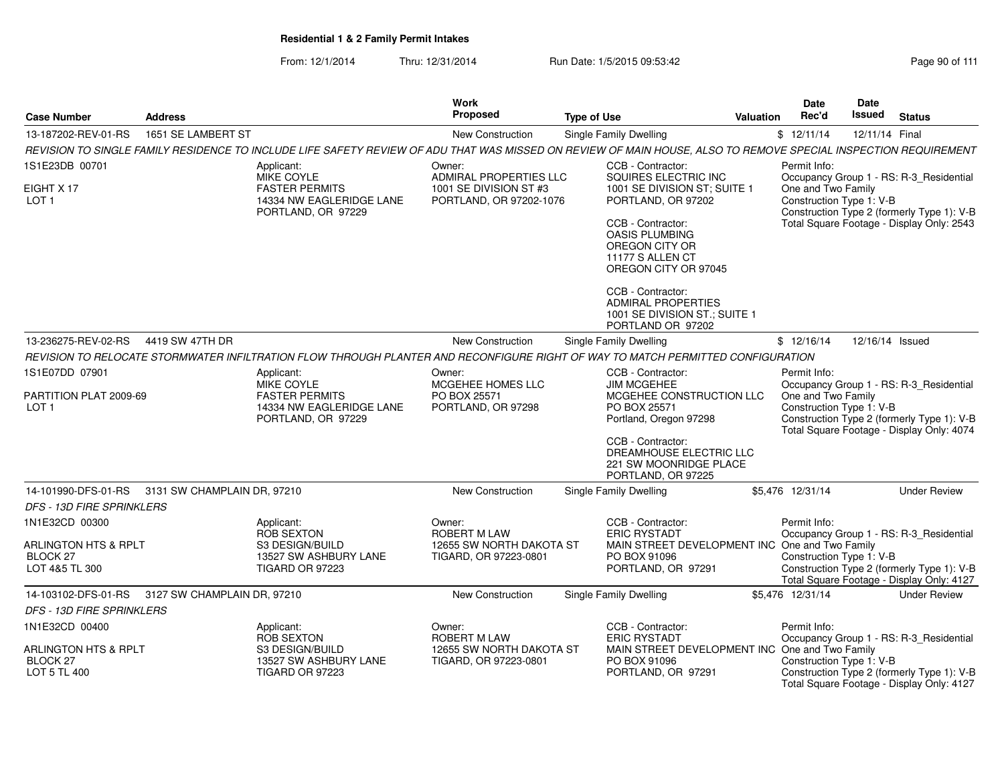| <b>Case Number</b>                                          | <b>Address</b>              |                                                                                                                                                                 | Work<br>Proposed                                        | <b>Type of Use</b>                                                                                       | <b>Valuation</b> | <b>Date</b><br>Rec'd                           | Date<br>Issued<br><b>Status</b>                                                                                                    |
|-------------------------------------------------------------|-----------------------------|-----------------------------------------------------------------------------------------------------------------------------------------------------------------|---------------------------------------------------------|----------------------------------------------------------------------------------------------------------|------------------|------------------------------------------------|------------------------------------------------------------------------------------------------------------------------------------|
| 13-187202-REV-01-RS                                         | 1651 SE LAMBERT ST          |                                                                                                                                                                 | New Construction                                        | <b>Single Family Dwelling</b>                                                                            |                  | \$12/11/14                                     | 12/11/14 Final                                                                                                                     |
|                                                             |                             | REVISION TO SINGLE FAMILY RESIDENCE TO INCLUDE LIFE SAFETY REVIEW OF ADU THAT WAS MISSED ON REVIEW OF MAIN HOUSE, ALSO TO REMOVE SPECIAL INSPECTION REQUIREMENT |                                                         |                                                                                                          |                  |                                                |                                                                                                                                    |
| 1S1E23DB 00701                                              |                             | Applicant:<br>MIKE COYLE                                                                                                                                        | Owner:<br>ADMIRAL PROPERTIES LLC                        | CCB - Contractor:<br>SQUIRES ELECTRIC INC                                                                |                  | Permit Info:                                   | Occupancy Group 1 - RS: R-3_Residential                                                                                            |
| EIGHT X 17<br>LOT <sub>1</sub>                              |                             | <b>FASTER PERMITS</b><br>14334 NW EAGLERIDGE LANE<br>PORTLAND, OR 97229                                                                                         | 1001 SE DIVISION ST #3<br>PORTLAND, OR 97202-1076       | 1001 SE DIVISION ST; SUITE 1<br>PORTLAND, OR 97202                                                       |                  | One and Two Family<br>Construction Type 1: V-B | Construction Type 2 (formerly Type 1): V-B                                                                                         |
|                                                             |                             |                                                                                                                                                                 |                                                         | CCB - Contractor:<br><b>OASIS PLUMBING</b><br>OREGON CITY OR<br>11177 S ALLEN CT<br>OREGON CITY OR 97045 |                  |                                                | Total Square Footage - Display Only: 2543                                                                                          |
|                                                             |                             |                                                                                                                                                                 |                                                         | CCB - Contractor:<br><b>ADMIRAL PROPERTIES</b><br>1001 SE DIVISION ST.; SUITE 1<br>PORTLAND OR 97202     |                  |                                                |                                                                                                                                    |
| 13-236275-REV-02-RS                                         | 4419 SW 47TH DR             |                                                                                                                                                                 | <b>New Construction</b>                                 | Single Family Dwelling                                                                                   |                  | \$12/16/14                                     | 12/16/14 Issued                                                                                                                    |
|                                                             |                             | REVISION TO RELOCATE STORMWATER INFILTRATION FLOW THROUGH PLANTER AND RECONFIGURE RIGHT OF WAY TO MATCH PERMITTED CONFIGURATION                                 |                                                         |                                                                                                          |                  |                                                |                                                                                                                                    |
| 1S1E07DD 07901                                              |                             | Applicant:                                                                                                                                                      | Owner:                                                  | CCB - Contractor:                                                                                        |                  | Permit Info:                                   |                                                                                                                                    |
| PARTITION PLAT 2009-69<br>LOT <sub>1</sub>                  |                             | <b>MIKE COYLE</b><br><b>FASTER PERMITS</b><br>14334 NW EAGLERIDGE LANE<br>PORTLAND, OR 97229                                                                    | MCGEHEE HOMES LLC<br>PO BOX 25571<br>PORTLAND, OR 97298 | <b>JIM MCGEHEE</b><br>MCGEHEE CONSTRUCTION LLC<br>PO BOX 25571<br>Portland, Oregon 97298                 |                  | One and Two Family<br>Construction Type 1: V-B | Occupancy Group 1 - RS: R-3 Residential<br>Construction Type 2 (formerly Type 1): V-B<br>Total Square Footage - Display Only: 4074 |
|                                                             |                             |                                                                                                                                                                 |                                                         | CCB - Contractor:<br>DREAMHOUSE ELECTRIC LLC<br>221 SW MOONRIDGE PLACE<br>PORTLAND, OR 97225             |                  |                                                |                                                                                                                                    |
| 14-101990-DFS-01-RS 3131 SW CHAMPLAIN DR. 97210             |                             |                                                                                                                                                                 | <b>New Construction</b>                                 | <b>Single Family Dwelling</b>                                                                            |                  | \$5.476 12/31/14                               | <b>Under Review</b>                                                                                                                |
| <b>DFS - 13D FIRE SPRINKLERS</b>                            |                             |                                                                                                                                                                 |                                                         |                                                                                                          |                  |                                                |                                                                                                                                    |
| 1N1E32CD 00300                                              |                             | Applicant:<br>ROB SEXTON                                                                                                                                        | Owner:<br><b>ROBERT M LAW</b>                           | CCB - Contractor:<br><b>ERIC RYSTADT</b>                                                                 |                  | Permit Info:                                   | Occupancy Group 1 - RS: R-3 Residential                                                                                            |
| ARLINGTON HTS & RPLT<br>BLOCK 27<br>LOT 4&5 TL 300          |                             | S3 DESIGN/BUILD<br>13527 SW ASHBURY LANE<br><b>TIGARD OR 97223</b>                                                                                              | 12655 SW NORTH DAKOTA ST<br>TIGARD, OR 97223-0801       | MAIN STREET DEVELOPMENT INC One and Two Family<br>PO BOX 91096<br>PORTLAND, OR 97291                     |                  | Construction Type 1: V-B                       | Construction Type 2 (formerly Type 1): V-B<br>Total Square Footage - Display Only: 4127                                            |
| 14-103102-DFS-01-RS                                         | 3127 SW CHAMPLAIN DR, 97210 |                                                                                                                                                                 | New Construction                                        | <b>Single Family Dwelling</b>                                                                            |                  | \$5,476 12/31/14                               | <b>Under Review</b>                                                                                                                |
| <b>DFS - 13D FIRE SPRINKLERS</b>                            |                             |                                                                                                                                                                 |                                                         |                                                                                                          |                  |                                                |                                                                                                                                    |
| 1N1E32CD 00400                                              |                             | Applicant:<br><b>ROB SEXTON</b>                                                                                                                                 | Owner:<br><b>ROBERT M LAW</b>                           | CCB - Contractor:<br><b>ERIC RYSTADT</b>                                                                 |                  | Permit Info:                                   | Occupancy Group 1 - RS: R-3 Residential                                                                                            |
| <b>ARLINGTON HTS &amp; RPLT</b><br>BLOCK 27<br>LOT 5 TL 400 |                             | S3 DESIGN/BUILD<br>13527 SW ASHBURY LANE<br><b>TIGARD OR 97223</b>                                                                                              | 12655 SW NORTH DAKOTA ST<br>TIGARD, OR 97223-0801       | MAIN STREET DEVELOPMENT INC One and Two Family<br>PO BOX 91096<br>PORTLAND, OR 97291                     |                  | Construction Type 1: V-B                       | Construction Type 2 (formerly Type 1): V-B<br>Total Square Footage - Display Only: 4127                                            |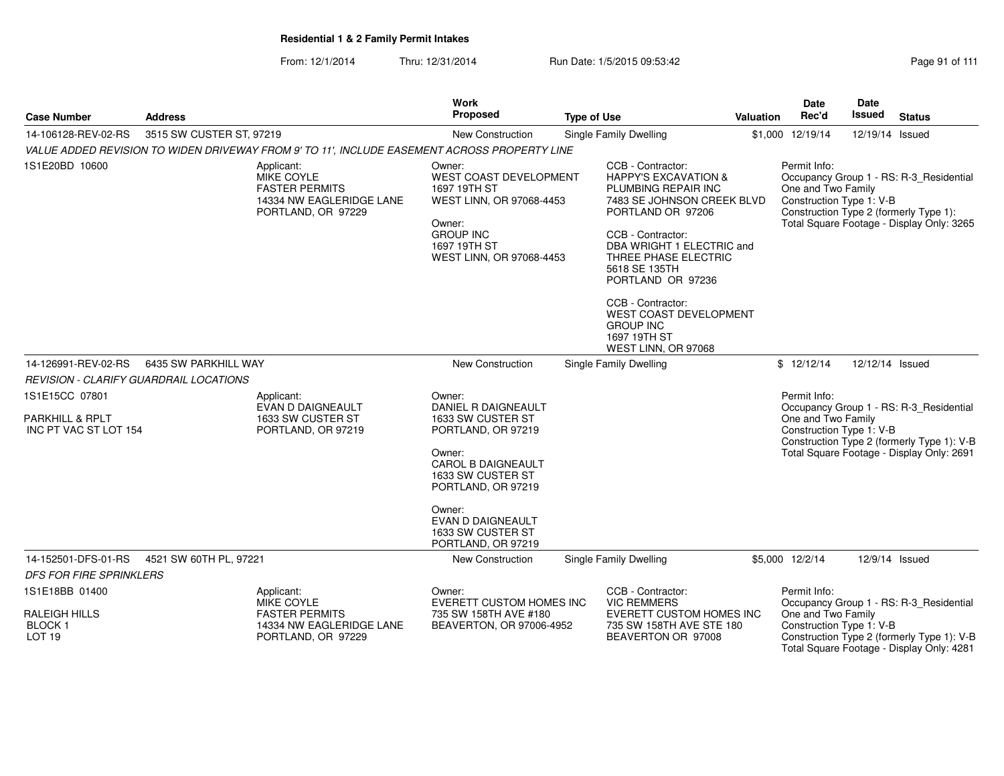| <b>Case Number</b>                                         | <b>Address</b>                                |                                                                                                            | Work<br>Proposed                                                                                                                                              | <b>Type of Use</b> |                                                                                                                                                                                                                                                                                                                                                                 | Valuation | <b>Date</b><br>Rec'd                                                                                                                                                                             | Date<br>Issued  | <b>Status</b>                                                                           |  |
|------------------------------------------------------------|-----------------------------------------------|------------------------------------------------------------------------------------------------------------|---------------------------------------------------------------------------------------------------------------------------------------------------------------|--------------------|-----------------------------------------------------------------------------------------------------------------------------------------------------------------------------------------------------------------------------------------------------------------------------------------------------------------------------------------------------------------|-----------|--------------------------------------------------------------------------------------------------------------------------------------------------------------------------------------------------|-----------------|-----------------------------------------------------------------------------------------|--|
| 14-106128-REV-02-RS                                        | 3515 SW CUSTER ST, 97219                      |                                                                                                            | <b>New Construction</b>                                                                                                                                       |                    | Single Family Dwelling                                                                                                                                                                                                                                                                                                                                          |           | \$1,000 12/19/14                                                                                                                                                                                 | 12/19/14 Issued |                                                                                         |  |
|                                                            |                                               | VALUE ADDED REVISION TO WIDEN DRIVEWAY FROM 9' TO 11', INCLUDE EASEMENT ACROSS PROPERTY LINE               |                                                                                                                                                               |                    |                                                                                                                                                                                                                                                                                                                                                                 |           |                                                                                                                                                                                                  |                 |                                                                                         |  |
| 1S1E20BD 10600                                             |                                               | Applicant:<br><b>MIKE COYLE</b><br><b>FASTER PERMITS</b><br>14334 NW EAGLERIDGE LANE<br>PORTLAND, OR 97229 | Owner:<br><b>WEST COAST DEVELOPMENT</b><br>1697 19TH ST<br>WEST LINN, OR 97068-4453<br>Owner:<br><b>GROUP INC</b><br>1697 19TH ST<br>WEST LINN, OR 97068-4453 |                    | CCB - Contractor:<br><b>HAPPY'S EXCAVATION &amp;</b><br>PLUMBING REPAIR INC<br>7483 SE JOHNSON CREEK BLVD<br>PORTLAND OR 97206<br>CCB - Contractor:<br>DBA WRIGHT 1 ELECTRIC and<br>THREE PHASE ELECTRIC<br>5618 SE 135TH<br>PORTLAND OR 97236<br>CCB - Contractor:<br><b>WEST COAST DEVELOPMENT</b><br><b>GROUP INC</b><br>1697 19TH ST<br>WEST LINN, OR 97068 |           | Permit Info:<br>Occupancy Group 1 - RS: R-3_Residential<br>One and Two Family<br>Construction Type 1: V-B<br>Construction Type 2 (formerly Type 1):<br>Total Square Footage - Display Only: 3265 |                 |                                                                                         |  |
| 14-126991-REV-02-RS                                        | 6435 SW PARKHILL WAY                          |                                                                                                            | New Construction                                                                                                                                              |                    | Single Family Dwelling                                                                                                                                                                                                                                                                                                                                          |           | \$12/12/14                                                                                                                                                                                       | 12/12/14 Issued |                                                                                         |  |
|                                                            | <b>REVISION - CLARIFY GUARDRAIL LOCATIONS</b> |                                                                                                            |                                                                                                                                                               |                    |                                                                                                                                                                                                                                                                                                                                                                 |           |                                                                                                                                                                                                  |                 |                                                                                         |  |
| 1S1E15CC 07801<br>PARKHILL & RPLT<br>INC PT VAC ST LOT 154 |                                               | Applicant:<br>EVAN D DAIGNEAULT<br>1633 SW CUSTER ST<br>PORTLAND, OR 97219                                 | Owner:<br>DANIEL R DAIGNEAULT<br>1633 SW CUSTER ST<br>PORTLAND, OR 97219                                                                                      |                    |                                                                                                                                                                                                                                                                                                                                                                 |           | Permit Info:<br>Occupancy Group 1 - RS: R-3_Residential<br>One and Two Family<br>Construction Type 1: V-B<br>Construction Type 2 (formerly Type 1): V-B                                          |                 |                                                                                         |  |
|                                                            |                                               |                                                                                                            | Owner:<br>CAROL B DAIGNEAULT<br>1633 SW CUSTER ST<br>PORTLAND, OR 97219                                                                                       |                    |                                                                                                                                                                                                                                                                                                                                                                 |           |                                                                                                                                                                                                  |                 | Total Square Footage - Display Only: 2691                                               |  |
|                                                            |                                               |                                                                                                            | Owner:<br><b>EVAN D DAIGNEAULT</b><br>1633 SW CUSTER ST<br>PORTLAND, OR 97219                                                                                 |                    |                                                                                                                                                                                                                                                                                                                                                                 |           |                                                                                                                                                                                                  |                 |                                                                                         |  |
| 14-152501-DFS-01-RS                                        | 4521 SW 60TH PL, 97221                        |                                                                                                            | New Construction                                                                                                                                              |                    | <b>Single Family Dwelling</b>                                                                                                                                                                                                                                                                                                                                   |           | \$5,000 12/2/14                                                                                                                                                                                  |                 | 12/9/14 Issued                                                                          |  |
| <b>DFS FOR FIRE SPRINKLERS</b>                             |                                               |                                                                                                            |                                                                                                                                                               |                    |                                                                                                                                                                                                                                                                                                                                                                 |           |                                                                                                                                                                                                  |                 |                                                                                         |  |
| 1S1E18BB 01400                                             |                                               | Applicant:<br><b>MIKE COYLE</b>                                                                            | Owner:<br>EVERETT CUSTOM HOMES INC                                                                                                                            |                    | CCB - Contractor:<br><b>VIC REMMERS</b>                                                                                                                                                                                                                                                                                                                         |           | Permit Info:                                                                                                                                                                                     |                 | Occupancy Group 1 - RS: R-3_Residential                                                 |  |
| RALEIGH HILLS                                              |                                               | <b>FASTER PERMITS</b>                                                                                      | 735 SW 158TH AVE #180                                                                                                                                         |                    | <b>EVERETT CUSTOM HOMES INC</b>                                                                                                                                                                                                                                                                                                                                 |           | One and Two Family                                                                                                                                                                               |                 |                                                                                         |  |
| BLOCK 1<br>LOT <sub>19</sub>                               |                                               | 14334 NW EAGLERIDGE LANE<br>PORTLAND, OR 97229                                                             | BEAVERTON, OR 97006-4952                                                                                                                                      |                    | 735 SW 158TH AVE STE 180<br>BEAVERTON OR 97008                                                                                                                                                                                                                                                                                                                  |           | Construction Type 1: V-B                                                                                                                                                                         |                 | Construction Type 2 (formerly Type 1): V-B<br>Total Square Footage - Display Only: 4281 |  |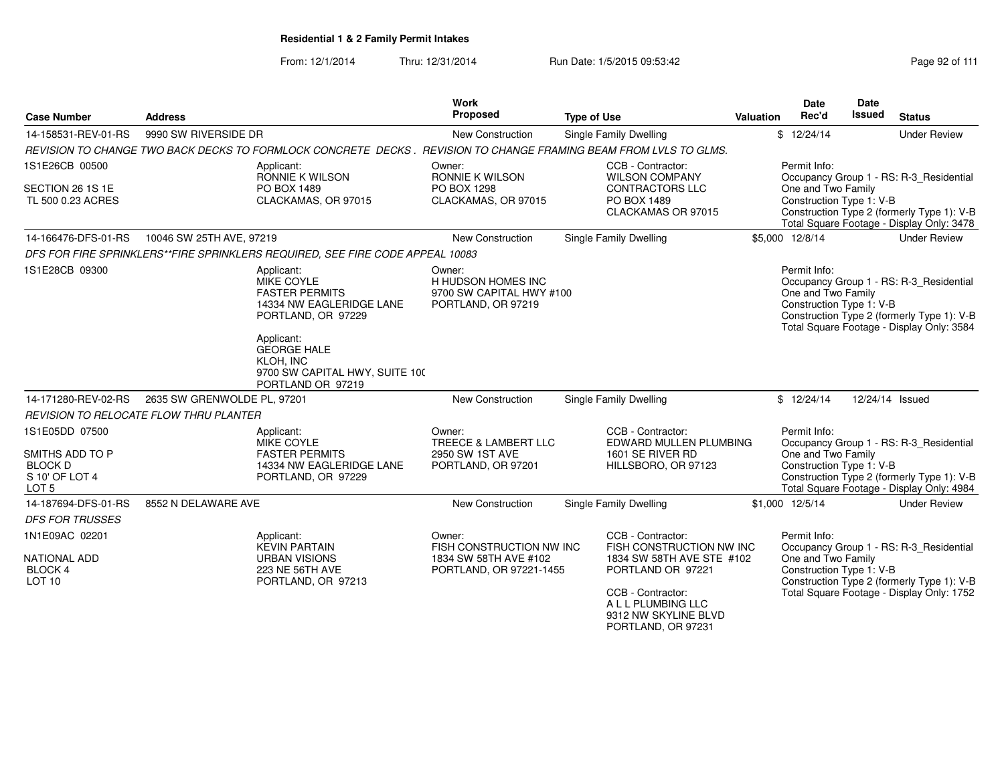From: 12/1/2014Thru: 12/31/2014 Run Date: 1/5/2015 09:53:42 Research 2010 12/31/2014 Page 92 of 111

| <b>Case Number</b>                                                      | <b>Address</b>                                                |                                                                                                                                                                                                                    | Work<br>Proposed                                                               | <b>Type of Use</b>                                                                                                | <b>Valuation</b>                                                                                                                          | Date<br>Rec'd                                                  | <b>Date</b><br><b>Issued</b> | <b>Status</b>                                                                                                                      |
|-------------------------------------------------------------------------|---------------------------------------------------------------|--------------------------------------------------------------------------------------------------------------------------------------------------------------------------------------------------------------------|--------------------------------------------------------------------------------|-------------------------------------------------------------------------------------------------------------------|-------------------------------------------------------------------------------------------------------------------------------------------|----------------------------------------------------------------|------------------------------|------------------------------------------------------------------------------------------------------------------------------------|
| 14-158531-REV-01-RS                                                     | 9990 SW RIVERSIDE DR                                          |                                                                                                                                                                                                                    | New Construction                                                               | Single Family Dwelling                                                                                            |                                                                                                                                           | \$12/24/14                                                     |                              | <b>Under Review</b>                                                                                                                |
|                                                                         |                                                               |                                                                                                                                                                                                                    |                                                                                | REVISION TO CHANGE TWO BACK DECKS TO FORMLOCK CONCRETE DECKS . REVISION TO CHANGE FRAMING BEAM FROM LVLS TO GLMS. |                                                                                                                                           |                                                                |                              |                                                                                                                                    |
| 1S1E26CB 00500                                                          |                                                               | Applicant:<br>RONNIE K WILSON                                                                                                                                                                                      | Owner:<br>RONNIE K WILSON                                                      | CCB - Contractor:<br><b>WILSON COMPANY</b>                                                                        |                                                                                                                                           | Permit Info:                                                   |                              | Occupancy Group 1 - RS: R-3_Residential                                                                                            |
| SECTION 26 1S 1E<br>TL 500 0.23 ACRES                                   |                                                               | PO BOX 1489<br>CLACKAMAS, OR 97015                                                                                                                                                                                 | PO BOX 1298<br>CLACKAMAS, OR 97015                                             | <b>CONTRACTORS LLC</b><br>PO BOX 1489<br>CLACKAMAS OR 97015                                                       | One and Two Family<br>Construction Type 1: V-B<br>Construction Type 2 (formerly Type 1): V-B<br>Total Square Footage - Display Only: 3478 |                                                                |                              |                                                                                                                                    |
| 14-166476-DFS-01-RS                                                     | 10046 SW 25TH AVE, 97219                                      |                                                                                                                                                                                                                    | New Construction                                                               | Single Family Dwelling                                                                                            |                                                                                                                                           | \$5,000 12/8/14                                                |                              | <b>Under Review</b>                                                                                                                |
|                                                                         |                                                               | DFS FOR FIRE SPRINKLERS**FIRE SPRINKLERS REQUIRED, SEE FIRE CODE APPEAL 10083                                                                                                                                      |                                                                                |                                                                                                                   |                                                                                                                                           |                                                                |                              |                                                                                                                                    |
| 1S1E28CB 09300                                                          |                                                               | Applicant:<br>MIKE COYLE<br><b>FASTER PERMITS</b><br>14334 NW EAGLERIDGE LANE<br>PORTLAND, OR 97229<br>Applicant:<br><b>GEORGE HALE</b><br><b>KLOH, INC</b><br>9700 SW CAPITAL HWY, SUITE 100<br>PORTLAND OR 97219 | Owner:<br>H HUDSON HOMES INC<br>9700 SW CAPITAL HWY #100<br>PORTLAND, OR 97219 |                                                                                                                   |                                                                                                                                           | Permit Info:<br>One and Two Family<br>Construction Type 1: V-B |                              | Occupancy Group 1 - RS: R-3_Residential<br>Construction Type 2 (formerly Type 1): V-B<br>Total Square Footage - Display Only: 3584 |
| 14-171280-REV-02-RS                                                     | 2635 SW GRENWOLDE PL, 97201                                   |                                                                                                                                                                                                                    | <b>New Construction</b>                                                        | Single Family Dwelling                                                                                            |                                                                                                                                           | \$12/24/14                                                     |                              | 12/24/14 Issued                                                                                                                    |
|                                                                         | <b>REVISION TO RELOCATE FLOW THRU PLANTER</b>                 |                                                                                                                                                                                                                    |                                                                                |                                                                                                                   |                                                                                                                                           |                                                                |                              |                                                                                                                                    |
| 1S1E05DD 07500                                                          |                                                               | Applicant:<br>MIKE COYLE                                                                                                                                                                                           | Owner:<br><b>TREECE &amp; LAMBERT LLC</b>                                      | CCB - Contractor:<br>EDWARD MULLEN PLUMBING                                                                       |                                                                                                                                           | Permit Info:                                                   |                              | Occupancy Group 1 - RS: R-3 Residential                                                                                            |
| SMITHS ADD TO P<br><b>BLOCK D</b><br>S 10' OF LOT 4<br>LOT <sub>5</sub> |                                                               | <b>FASTER PERMITS</b><br>14334 NW EAGLERIDGE LANE<br>PORTLAND, OR 97229                                                                                                                                            | 2950 SW 1ST AVE<br>PORTLAND, OR 97201                                          | 1601 SE RIVER RD<br>HILLSBORO, OR 97123                                                                           |                                                                                                                                           | One and Two Family<br>Construction Type 1: V-B                 |                              | Construction Type 2 (formerly Type 1): V-B<br>Total Square Footage - Display Only: 4984                                            |
| 14-187694-DFS-01-RS                                                     | 8552 N DELAWARE AVE                                           |                                                                                                                                                                                                                    | New Construction                                                               | Single Family Dwelling                                                                                            |                                                                                                                                           | \$1,000 12/5/14                                                |                              | <b>Under Review</b>                                                                                                                |
| <b>DFS FOR TRUSSES</b>                                                  |                                                               |                                                                                                                                                                                                                    |                                                                                |                                                                                                                   |                                                                                                                                           |                                                                |                              |                                                                                                                                    |
| 1N1E09AC 02201                                                          |                                                               | Applicant:<br><b>KEVIN PARTAIN</b>                                                                                                                                                                                 | Owner:<br>FISH CONSTRUCTION NW INC                                             | CCB - Contractor:<br>FISH CONSTRUCTION NW INC                                                                     |                                                                                                                                           | Permit Info:                                                   |                              | Occupancy Group 1 - RS: R-3_Residential                                                                                            |
| <b>NATIONAL ADD</b><br><b>BLOCK 4</b><br>LOT <sub>10</sub>              | <b>URBAN VISIONS</b><br>223 NE 56TH AVE<br>PORTLAND, OR 97213 |                                                                                                                                                                                                                    | 1834 SW 58TH AVE #102<br>PORTLAND, OR 97221-1455                               | 1834 SW 58TH AVE STE #102<br>PORTLAND OR 97221                                                                    |                                                                                                                                           | One and Two Family<br>Construction Type 1: V-B                 |                              | Construction Type 2 (formerly Type 1): V-B                                                                                         |
|                                                                         |                                                               |                                                                                                                                                                                                                    |                                                                                | CCB - Contractor:<br>A L L PLUMBING LLC<br>9312 NW SKYLINE BLVD<br>PORTLAND, OR 97231                             |                                                                                                                                           |                                                                |                              | Total Square Footage - Display Only: 1752                                                                                          |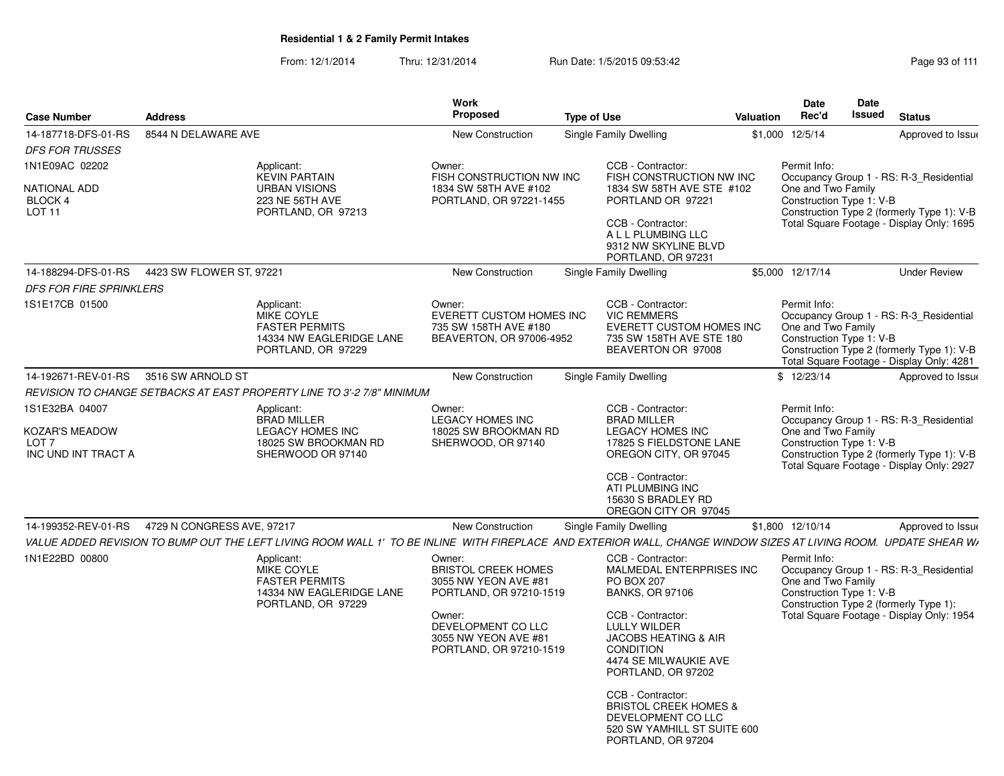From: 12/1/2014Thru: 12/31/2014 Run Date: 1/5/2015 09:53:42 Research 2010 12/31/2014 Page 93 of 111

| <b>Case Number</b>                                                          | <b>Address</b>             |                                                                                                                                                                  | <b>Work</b><br>Proposed                                                                                                                                                    | <b>Type of Use</b>                                                                                                                                                                                                                                                                                                                                                          | <b>Valuation</b> | <b>Date</b><br>Rec'd                                           | Date<br>Issued | <b>Status</b>                                                                                                                      |
|-----------------------------------------------------------------------------|----------------------------|------------------------------------------------------------------------------------------------------------------------------------------------------------------|----------------------------------------------------------------------------------------------------------------------------------------------------------------------------|-----------------------------------------------------------------------------------------------------------------------------------------------------------------------------------------------------------------------------------------------------------------------------------------------------------------------------------------------------------------------------|------------------|----------------------------------------------------------------|----------------|------------------------------------------------------------------------------------------------------------------------------------|
| 14-187718-DFS-01-RS                                                         | 8544 N DELAWARE AVE        |                                                                                                                                                                  | <b>New Construction</b>                                                                                                                                                    | Single Family Dwelling                                                                                                                                                                                                                                                                                                                                                      |                  | \$1,000 12/5/14                                                |                | Approved to Issue                                                                                                                  |
| <b>DFS FOR TRUSSES</b>                                                      |                            |                                                                                                                                                                  |                                                                                                                                                                            |                                                                                                                                                                                                                                                                                                                                                                             |                  |                                                                |                |                                                                                                                                    |
| 1N1E09AC 02202                                                              |                            | Applicant:                                                                                                                                                       | Owner:                                                                                                                                                                     | CCB - Contractor:                                                                                                                                                                                                                                                                                                                                                           |                  | Permit Info:                                                   |                |                                                                                                                                    |
| <b>NATIONAL ADD</b><br>BLOCK 4<br>LOT <sub>11</sub>                         |                            | <b>KEVIN PARTAIN</b><br><b>URBAN VISIONS</b><br>223 NE 56TH AVE<br>PORTLAND, OR 97213                                                                            | FISH CONSTRUCTION NW INC<br>1834 SW 58TH AVE #102<br>PORTLAND, OR 97221-1455                                                                                               | FISH CONSTRUCTION NW INC<br>1834 SW 58TH AVE STE #102<br>PORTLAND OR 97221<br>CCB - Contractor:<br>A L L PLUMBING LLC<br>9312 NW SKYLINE BLVD<br>PORTLAND, OR 97231                                                                                                                                                                                                         |                  | One and Two Family<br>Construction Type 1: V-B                 |                | Occupancy Group 1 - RS: R-3_Residential<br>Construction Type 2 (formerly Type 1): V-B<br>Total Square Footage - Display Only: 1695 |
| 14-188294-DFS-01-RS                                                         | 4423 SW FLOWER ST, 97221   |                                                                                                                                                                  | <b>New Construction</b>                                                                                                                                                    | Single Family Dwelling                                                                                                                                                                                                                                                                                                                                                      |                  | \$5,000 12/17/14                                               |                | <b>Under Review</b>                                                                                                                |
| <b>DFS FOR FIRE SPRINKLERS</b>                                              |                            |                                                                                                                                                                  |                                                                                                                                                                            |                                                                                                                                                                                                                                                                                                                                                                             |                  |                                                                |                |                                                                                                                                    |
| 1S1E17CB 01500                                                              |                            | Applicant:<br>MIKE COYLE<br><b>FASTER PERMITS</b><br>14334 NW EAGLERIDGE LANE<br>PORTLAND, OR 97229                                                              | Owner:<br>EVERETT CUSTOM HOMES INC<br>735 SW 158TH AVE #180<br>BEAVERTON, OR 97006-4952                                                                                    | CCB - Contractor:<br><b>VIC REMMERS</b><br>EVERETT CUSTOM HOMES INC<br>735 SW 158TH AVE STE 180<br>BEAVERTON OR 97008                                                                                                                                                                                                                                                       |                  | Permit Info:<br>One and Two Family<br>Construction Type 1: V-B |                | Occupancy Group 1 - RS: R-3 Residential<br>Construction Type 2 (formerly Type 1): V-B<br>Total Square Footage - Display Only: 4281 |
| 14-192671-REV-01-RS                                                         | 3516 SW ARNOLD ST          |                                                                                                                                                                  | New Construction                                                                                                                                                           | Single Family Dwelling                                                                                                                                                                                                                                                                                                                                                      |                  | \$12/23/14                                                     |                | Approved to Issue                                                                                                                  |
|                                                                             |                            | REVISION TO CHANGE SETBACKS AT EAST PROPERTY LINE TO 3'-2 7/8" MINIMUM                                                                                           |                                                                                                                                                                            |                                                                                                                                                                                                                                                                                                                                                                             |                  |                                                                |                |                                                                                                                                    |
| 1S1E32BA 04007<br>KOZAR'S MEADOW<br>LOT <sub>7</sub><br>INC UND INT TRACT A |                            | Applicant:<br><b>BRAD MILLER</b><br><b>LEGACY HOMES INC</b><br>18025 SW BROOKMAN RD<br>SHERWOOD OR 97140                                                         | Owner:<br><b>LEGACY HOMES INC</b><br>18025 SW BROOKMAN RD<br>SHERWOOD, OR 97140                                                                                            | CCB - Contractor:<br><b>BRAD MILLER</b><br><b>LEGACY HOMES INC</b><br>17825 S FIELDSTONE LANE<br>OREGON CITY, OR 97045                                                                                                                                                                                                                                                      |                  | Permit Info:<br>One and Two Family<br>Construction Type 1: V-B |                | Occupancy Group 1 - RS: R-3 Residential<br>Construction Type 2 (formerly Type 1): V-B<br>Total Square Footage - Display Only: 2927 |
|                                                                             |                            |                                                                                                                                                                  |                                                                                                                                                                            | CCB - Contractor:<br>ATI PLUMBING INC<br>15630 S BRADLEY RD<br>OREGON CITY OR 97045                                                                                                                                                                                                                                                                                         |                  |                                                                |                |                                                                                                                                    |
| 14-199352-REV-01-RS                                                         | 4729 N CONGRESS AVE, 97217 |                                                                                                                                                                  | <b>New Construction</b>                                                                                                                                                    | Single Family Dwelling                                                                                                                                                                                                                                                                                                                                                      |                  | \$1,800 12/10/14                                               |                | Approved to Issue                                                                                                                  |
|                                                                             |                            | VALUE ADDED REVISION TO BUMP OUT THE LEFT LIVING ROOM WALL 1' TO BE INLINE WITH FIREPLACE AND EXTERIOR WALL, CHANGE WINDOW SIZES AT LIVING ROOM. UPDATE SHEAR W, |                                                                                                                                                                            |                                                                                                                                                                                                                                                                                                                                                                             |                  |                                                                |                |                                                                                                                                    |
| 1N1E22BD 00800                                                              |                            | Applicant:<br><b>MIKE COYLE</b><br><b>FASTER PERMITS</b><br>14334 NW EAGLERIDGE LANE<br>PORTLAND, OR 97229                                                       | Owner:<br><b>BRISTOL CREEK HOMES</b><br>3055 NW YEON AVE #81<br>PORTLAND, OR 97210-1519<br>Owner:<br>DEVELOPMENT CO LLC<br>3055 NW YEON AVE #81<br>PORTLAND, OR 97210-1519 | CCB - Contractor:<br>MALMEDAL ENTERPRISES INC<br>PO BOX 207<br><b>BANKS, OR 97106</b><br>CCB - Contractor:<br><b>LULLY WILDER</b><br><b>JACOBS HEATING &amp; AIR</b><br><b>CONDITION</b><br>4474 SE MILWAUKIE AVE<br>PORTLAND, OR 97202<br>CCB - Contractor:<br><b>BRISTOL CREEK HOMES &amp;</b><br>DEVELOPMENT CO LLC<br>520 SW YAMHILL ST SUITE 600<br>PORTLAND, OR 97204 |                  | Permit Info:<br>One and Two Family<br>Construction Type 1: V-B |                | Occupancy Group 1 - RS: R-3_Residential<br>Construction Type 2 (formerly Type 1):<br>Total Square Footage - Display Only: 1954     |
|                                                                             |                            |                                                                                                                                                                  |                                                                                                                                                                            |                                                                                                                                                                                                                                                                                                                                                                             |                  |                                                                |                |                                                                                                                                    |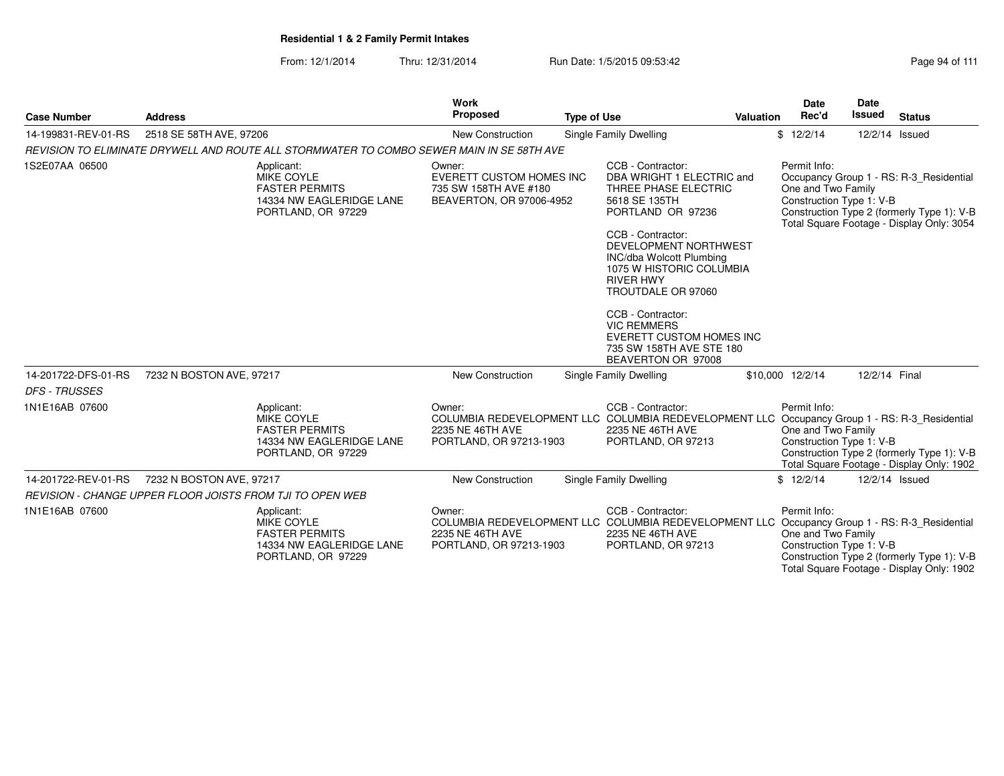| <b>Case Number</b>                          | <b>Address</b>           |                                                                                                            | <b>Work</b><br>Proposed                                                                        | <b>Type of Use</b> |                                                                                                                                                                                                                                                                                                                                                                                       | Valuation | <b>Date</b><br>Rec'd                                           | Date<br>Issued | <b>Status</b>                                                                                                                      |
|---------------------------------------------|--------------------------|------------------------------------------------------------------------------------------------------------|------------------------------------------------------------------------------------------------|--------------------|---------------------------------------------------------------------------------------------------------------------------------------------------------------------------------------------------------------------------------------------------------------------------------------------------------------------------------------------------------------------------------------|-----------|----------------------------------------------------------------|----------------|------------------------------------------------------------------------------------------------------------------------------------|
| 14-199831-REV-01-RS                         | 2518 SE 58TH AVE, 97206  |                                                                                                            | New Construction                                                                               |                    | Single Family Dwelling                                                                                                                                                                                                                                                                                                                                                                |           | \$12/2/14                                                      |                | 12/2/14 Issued                                                                                                                     |
|                                             |                          | REVISION TO ELIMINATE DRYWELL AND ROUTE ALL STORMWATER TO COMBO SEWER MAIN IN SE 58TH AVE                  |                                                                                                |                    |                                                                                                                                                                                                                                                                                                                                                                                       |           |                                                                |                |                                                                                                                                    |
| 1S2E07AA 06500                              |                          | Applicant:<br><b>MIKE COYLE</b><br><b>FASTER PERMITS</b><br>14334 NW EAGLERIDGE LANE<br>PORTLAND, OR 97229 | Owner:<br><b>EVERETT CUSTOM HOMES INC</b><br>735 SW 158TH AVE #180<br>BEAVERTON, OR 97006-4952 |                    | CCB - Contractor:<br>DBA WRIGHT 1 ELECTRIC and<br>THREE PHASE ELECTRIC<br>5618 SE 135TH<br>PORTLAND OR 97236<br>CCB - Contractor:<br>DEVELOPMENT NORTHWEST<br>INC/dba Wolcott Plumbing<br>1075 W HISTORIC COLUMBIA<br><b>RIVER HWY</b><br>TROUTDALE OR 97060<br>CCB - Contractor:<br><b>VIC REMMERS</b><br>EVERETT CUSTOM HOMES INC<br>735 SW 158TH AVE STE 180<br>BEAVERTON OR 97008 |           | Permit Info:<br>One and Two Family<br>Construction Type 1: V-B |                | Occupancy Group 1 - RS: R-3 Residential<br>Construction Type 2 (formerly Type 1): V-B<br>Total Square Footage - Display Only: 3054 |
| 14-201722-DFS-01-RS<br><b>DFS - TRUSSES</b> | 7232 N BOSTON AVE, 97217 |                                                                                                            | <b>New Construction</b>                                                                        |                    | Single Family Dwelling                                                                                                                                                                                                                                                                                                                                                                |           | \$10,000 12/2/14                                               | 12/2/14 Final  |                                                                                                                                    |
| 1N1E16AB 07600                              |                          | Applicant:<br>MIKE COYLE<br><b>FASTER PERMITS</b><br>14334 NW EAGLERIDGE LANE<br>PORTLAND, OR 97229        | Owner:<br>2235 NE 46TH AVE<br>PORTLAND, OR 97213-1903                                          |                    | CCB - Contractor:<br>COLUMBIA REDEVELOPMENT LLC COLUMBIA REDEVELOPMENT LLC Occupancy Group 1 - RS: R-3_Residential<br>2235 NE 46TH AVE<br>PORTLAND, OR 97213                                                                                                                                                                                                                          |           | Permit Info:<br>One and Two Family<br>Construction Type 1: V-B |                | Construction Type 2 (formerly Type 1): V-B<br>Total Square Footage - Display Only: 1902                                            |
| 14-201722-REV-01-RS                         | 7232 N BOSTON AVE, 97217 |                                                                                                            | New Construction                                                                               |                    | Single Family Dwelling                                                                                                                                                                                                                                                                                                                                                                |           | \$12/2/14                                                      |                | 12/2/14 Issued                                                                                                                     |
|                                             |                          | REVISION - CHANGE UPPER FLOOR JOISTS FROM TJI TO OPEN WEB                                                  |                                                                                                |                    |                                                                                                                                                                                                                                                                                                                                                                                       |           |                                                                |                |                                                                                                                                    |
| 1N1E16AB 07600                              |                          | Applicant:<br>MIKE COYLE<br><b>FASTER PERMITS</b><br>14334 NW EAGLERIDGE LANE<br>PORTLAND, OR 97229        | Owner:<br>2235 NE 46TH AVE<br>PORTLAND, OR 97213-1903                                          |                    | CCB - Contractor:<br>COLUMBIA REDEVELOPMENT LLC COLUMBIA REDEVELOPMENT LLC Occupancy Group 1 - RS: R-3_Residential<br>2235 NE 46TH AVE<br>PORTLAND, OR 97213                                                                                                                                                                                                                          |           | Permit Info:<br>One and Two Family<br>Construction Type 1: V-B |                | Construction Type 2 (formerly Type 1): V-B<br>Total Square Footage - Display Only: 1902                                            |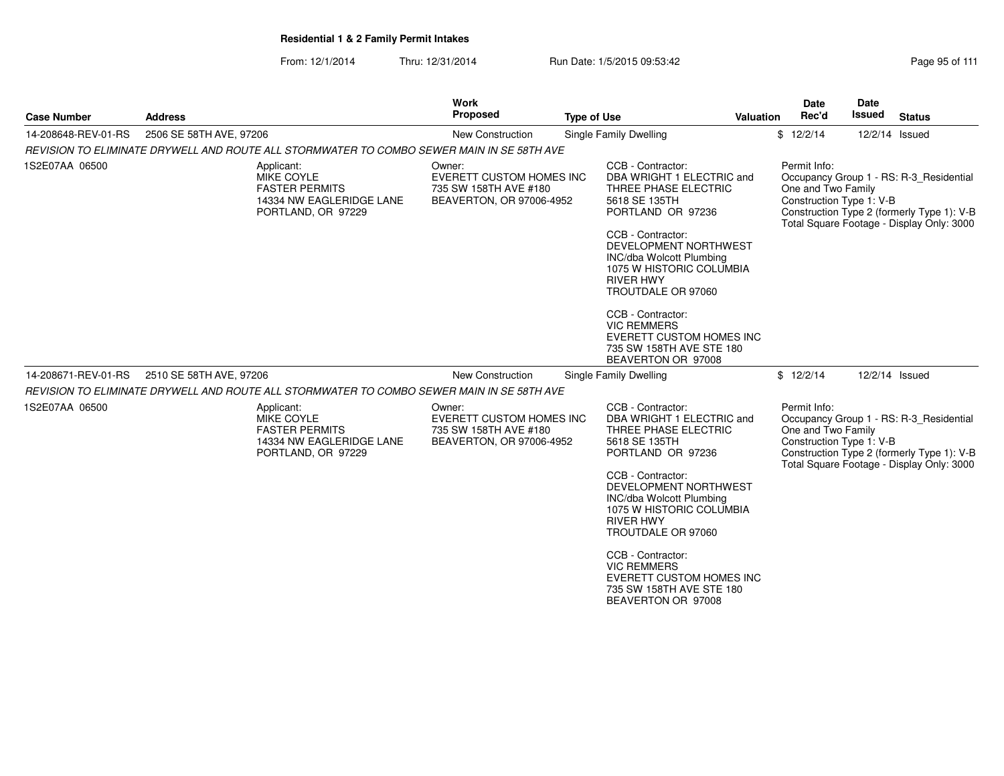From: 12/1/2014Thru: 12/31/2014 Run Date: 1/5/2015 09:53:42 Research 2010 12/31/2014 Page 95 of 111

| <b>Case Number</b>  | <b>Address</b>                                                                                      | <b>Work</b><br>Proposed                                                                        | <b>Type of Use</b>                                                                                                                                                                                                                                                                                                                                                     | Valuation | <b>Date</b><br>Rec'd                                           | Date<br>Issued | <b>Status</b>                                                                                                                      |
|---------------------|-----------------------------------------------------------------------------------------------------|------------------------------------------------------------------------------------------------|------------------------------------------------------------------------------------------------------------------------------------------------------------------------------------------------------------------------------------------------------------------------------------------------------------------------------------------------------------------------|-----------|----------------------------------------------------------------|----------------|------------------------------------------------------------------------------------------------------------------------------------|
| 14-208648-REV-01-RS | 2506 SE 58TH AVE, 97206                                                                             | <b>New Construction</b>                                                                        | Single Family Dwelling                                                                                                                                                                                                                                                                                                                                                 |           | \$12/2/14                                                      | 12/2/14 Issued |                                                                                                                                    |
|                     | REVISION TO ELIMINATE DRYWELL AND ROUTE ALL STORMWATER TO COMBO SEWER MAIN IN SE 58TH AVE           |                                                                                                |                                                                                                                                                                                                                                                                                                                                                                        |           |                                                                |                |                                                                                                                                    |
| 1S2E07AA 06500      | Applicant:<br>MIKE COYLE<br><b>FASTER PERMITS</b><br>14334 NW EAGLERIDGE LANE<br>PORTLAND, OR 97229 | Owner:<br><b>EVERETT CUSTOM HOMES INC</b><br>735 SW 158TH AVE #180<br>BEAVERTON, OR 97006-4952 | CCB - Contractor:<br>DBA WRIGHT 1 ELECTRIC and<br>THREE PHASE ELECTRIC<br>5618 SE 135TH<br>PORTLAND OR 97236<br>CCB - Contractor:<br>DEVELOPMENT NORTHWEST<br>INC/dba Wolcott Plumbing<br>1075 W HISTORIC COLUMBIA<br><b>RIVER HWY</b><br>TROUTDALE OR 97060<br>CCB - Contractor:<br><b>VIC REMMERS</b><br><b>EVERETT CUSTOM HOMES INC</b><br>735 SW 158TH AVE STE 180 |           | Permit Info:<br>One and Two Family<br>Construction Type 1: V-B |                | Occupancy Group 1 - RS: R-3 Residential<br>Construction Type 2 (formerly Type 1): V-B<br>Total Square Footage - Display Only: 3000 |
|                     |                                                                                                     |                                                                                                | BEAVERTON OR 97008                                                                                                                                                                                                                                                                                                                                                     |           |                                                                |                |                                                                                                                                    |
| 14-208671-REV-01-RS | 2510 SE 58TH AVE, 97206                                                                             | <b>New Construction</b>                                                                        | Single Family Dwelling                                                                                                                                                                                                                                                                                                                                                 |           | \$12/2/14                                                      | 12/2/14 Issued |                                                                                                                                    |
|                     | REVISION TO ELIMINATE DRYWELL AND ROUTE ALL STORMWATER TO COMBO SEWER MAIN IN SE 58TH AVE           |                                                                                                |                                                                                                                                                                                                                                                                                                                                                                        |           |                                                                |                |                                                                                                                                    |
| 1S2E07AA 06500      | Applicant:<br>MIKE COYLE<br><b>FASTER PERMITS</b><br>14334 NW EAGLERIDGE LANE<br>PORTLAND, OR 97229 | Owner:<br><b>EVERETT CUSTOM HOMES INC</b><br>735 SW 158TH AVE #180<br>BEAVERTON, OR 97006-4952 | CCB - Contractor:<br>DBA WRIGHT 1 ELECTRIC and<br>THREE PHASE ELECTRIC<br>5618 SE 135TH<br>PORTLAND OR 97236<br>CCB - Contractor:                                                                                                                                                                                                                                      |           | Permit Info:<br>One and Two Family<br>Construction Type 1: V-B |                | Occupancy Group 1 - RS: R-3 Residential<br>Construction Type 2 (formerly Type 1): V-B<br>Total Square Footage - Display Only: 3000 |
|                     |                                                                                                     |                                                                                                | DEVELOPMENT NORTHWEST<br><b>INC/dba Wolcott Plumbing</b><br>1075 W HISTORIC COLUMBIA<br><b>RIVER HWY</b><br>TROUTDALE OR 97060                                                                                                                                                                                                                                         |           |                                                                |                |                                                                                                                                    |
|                     |                                                                                                     |                                                                                                | CCB - Contractor:<br><b>VIC REMMERS</b><br>EVERETT CUSTOM HOMES INC<br>735 SW 158TH AVE STE 180<br>BEAVERTON OR 97008                                                                                                                                                                                                                                                  |           |                                                                |                |                                                                                                                                    |
|                     |                                                                                                     |                                                                                                |                                                                                                                                                                                                                                                                                                                                                                        |           |                                                                |                |                                                                                                                                    |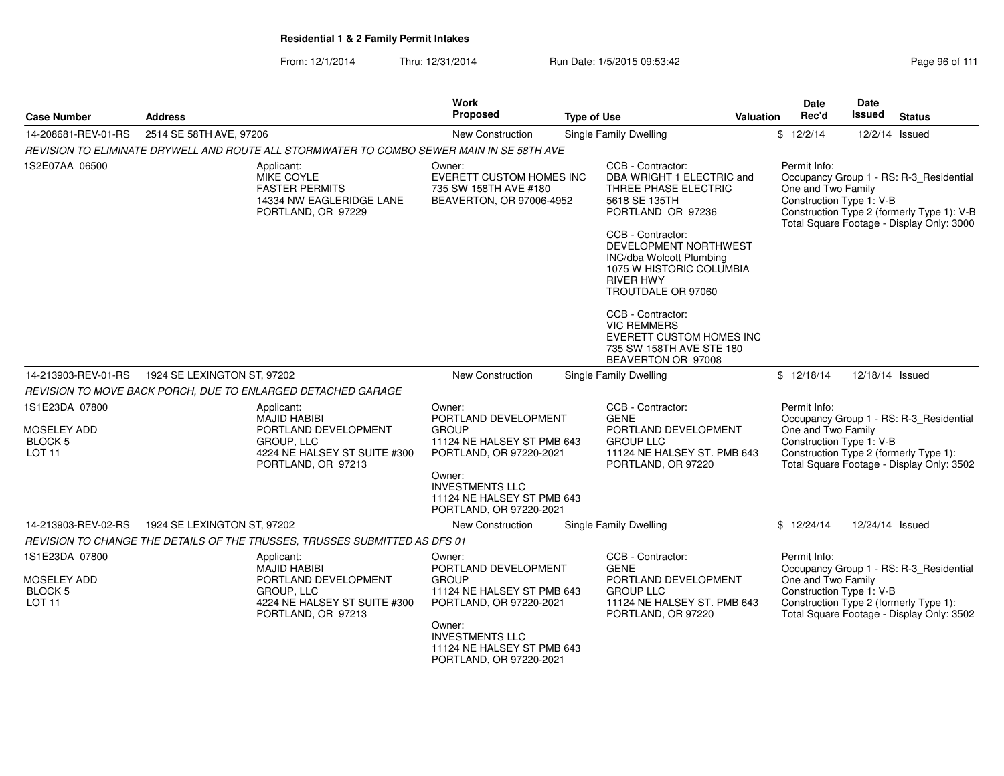| <b>Case Number</b>                                                   | <b>Address</b>                                                                                                         | <b>Work</b><br><b>Proposed</b>                                                                          | <b>Type of Use</b>                                                                                                                | Valuation | <b>Date</b><br>Date<br>Rec'd<br><b>Issued</b>                                                            | <b>Status</b>                                                                                                                      |
|----------------------------------------------------------------------|------------------------------------------------------------------------------------------------------------------------|---------------------------------------------------------------------------------------------------------|-----------------------------------------------------------------------------------------------------------------------------------|-----------|----------------------------------------------------------------------------------------------------------|------------------------------------------------------------------------------------------------------------------------------------|
| 14-208681-REV-01-RS                                                  | 2514 SE 58TH AVE, 97206                                                                                                | New Construction                                                                                        | Single Family Dwelling                                                                                                            | \$12/2/14 |                                                                                                          | 12/2/14 Issued                                                                                                                     |
|                                                                      | REVISION TO ELIMINATE DRYWELL AND ROUTE ALL STORMWATER TO COMBO SEWER MAIN IN SE 58TH AVE                              |                                                                                                         |                                                                                                                                   |           |                                                                                                          |                                                                                                                                    |
| 1S2E07AA 06500                                                       | Applicant:<br>MIKE COYLE<br><b>FASTER PERMITS</b><br>14334 NW EAGLERIDGE LANE<br>PORTLAND, OR 97229                    | Owner:<br><b>EVERETT CUSTOM HOMES INC</b><br>735 SW 158TH AVE #180<br>BEAVERTON, OR 97006-4952          | CCB - Contractor:<br>DBA WRIGHT 1 ELECTRIC and<br>THREE PHASE ELECTRIC<br>5618 SE 135TH<br>PORTLAND OR 97236<br>CCB - Contractor: |           | Permit Info:<br>One and Two Family<br>Construction Type 1: V-B                                           | Occupancy Group 1 - RS: R-3_Residential<br>Construction Type 2 (formerly Type 1): V-B<br>Total Square Footage - Display Only: 3000 |
|                                                                      |                                                                                                                        |                                                                                                         | DEVELOPMENT NORTHWEST<br>INC/dba Wolcott Plumbing<br>1075 W HISTORIC COLUMBIA<br><b>RIVER HWY</b><br>TROUTDALE OR 97060           |           |                                                                                                          |                                                                                                                                    |
|                                                                      |                                                                                                                        |                                                                                                         | CCB - Contractor:<br><b>VIC REMMERS</b><br><b>EVERETT CUSTOM HOMES INC</b><br>735 SW 158TH AVE STE 180<br>BEAVERTON OR 97008      |           |                                                                                                          |                                                                                                                                    |
| 14-213903-REV-01-RS                                                  | 1924 SE LEXINGTON ST, 97202                                                                                            | New Construction                                                                                        | Single Family Dwelling                                                                                                            |           | \$12/18/14                                                                                               | 12/18/14 Issued                                                                                                                    |
|                                                                      | REVISION TO MOVE BACK PORCH, DUE TO ENLARGED DETACHED GARAGE                                                           |                                                                                                         |                                                                                                                                   |           |                                                                                                          |                                                                                                                                    |
| 1S1E23DA 07800<br>MOSELEY ADD<br><b>BLOCK 5</b><br>LOT <sub>11</sub> | Applicant:<br><b>MAJID HABIBI</b><br>PORTLAND DEVELOPMENT<br>GROUP, LLC<br>4224 NE HALSEY ST SUITE #300                | Owner:<br>PORTLAND DEVELOPMENT<br><b>GROUP</b><br>11124 NE HALSEY ST PMB 643<br>PORTLAND, OR 97220-2021 | CCB - Contractor:<br><b>GENE</b><br>PORTLAND DEVELOPMENT<br><b>GROUP LLC</b><br>11124 NE HALSEY ST. PMB 643                       |           | Permit Info:<br>One and Two Family<br>Construction Type 1: V-B<br>Construction Type 2 (formerly Type 1): | Occupancy Group 1 - RS: R-3 Residential                                                                                            |
|                                                                      | PORTLAND, OR 97213                                                                                                     | Owner:<br><b>INVESTMENTS LLC</b><br>11124 NE HALSEY ST PMB 643<br>PORTLAND, OR 97220-2021               | PORTLAND, OR 97220                                                                                                                |           |                                                                                                          | Total Square Footage - Display Only: 3502                                                                                          |
| 14-213903-REV-02-RS                                                  | 1924 SE LEXINGTON ST, 97202                                                                                            | New Construction                                                                                        | Single Family Dwelling                                                                                                            |           | \$12/24/14                                                                                               | 12/24/14 Issued                                                                                                                    |
|                                                                      | REVISION TO CHANGE THE DETAILS OF THE TRUSSES, TRUSSES SUBMITTED AS DFS 01                                             |                                                                                                         |                                                                                                                                   |           |                                                                                                          |                                                                                                                                    |
| 1S1E23DA 07800                                                       | Applicant:                                                                                                             | Owner:                                                                                                  | CCB - Contractor:                                                                                                                 |           | Permit Info:                                                                                             |                                                                                                                                    |
| <b>MOSELEY ADD</b><br><b>BLOCK 5</b><br>LOT <sub>11</sub>            | <b>MAJID HABIBI</b><br>PORTLAND DEVELOPMENT<br><b>GROUP, LLC</b><br>4224 NE HALSEY ST SUITE #300<br>PORTLAND, OR 97213 | PORTLAND DEVELOPMENT<br><b>GROUP</b><br>11124 NE HALSEY ST PMB 643<br>PORTLAND, OR 97220-2021<br>Owner: | <b>GENE</b><br>PORTLAND DEVELOPMENT<br><b>GROUP LLC</b><br>11124 NE HALSEY ST. PMB 643<br>PORTLAND, OR 97220                      |           | One and Two Family<br>Construction Type 1: V-B<br>Construction Type 2 (formerly Type 1):                 | Occupancy Group 1 - RS: R-3_Residential<br>Total Square Footage - Display Only: 3502                                               |
|                                                                      |                                                                                                                        | <b>INVESTMENTS LLC</b><br>11124 NE HALSEY ST PMB 643<br>PORTLAND, OR 97220-2021                         |                                                                                                                                   |           |                                                                                                          |                                                                                                                                    |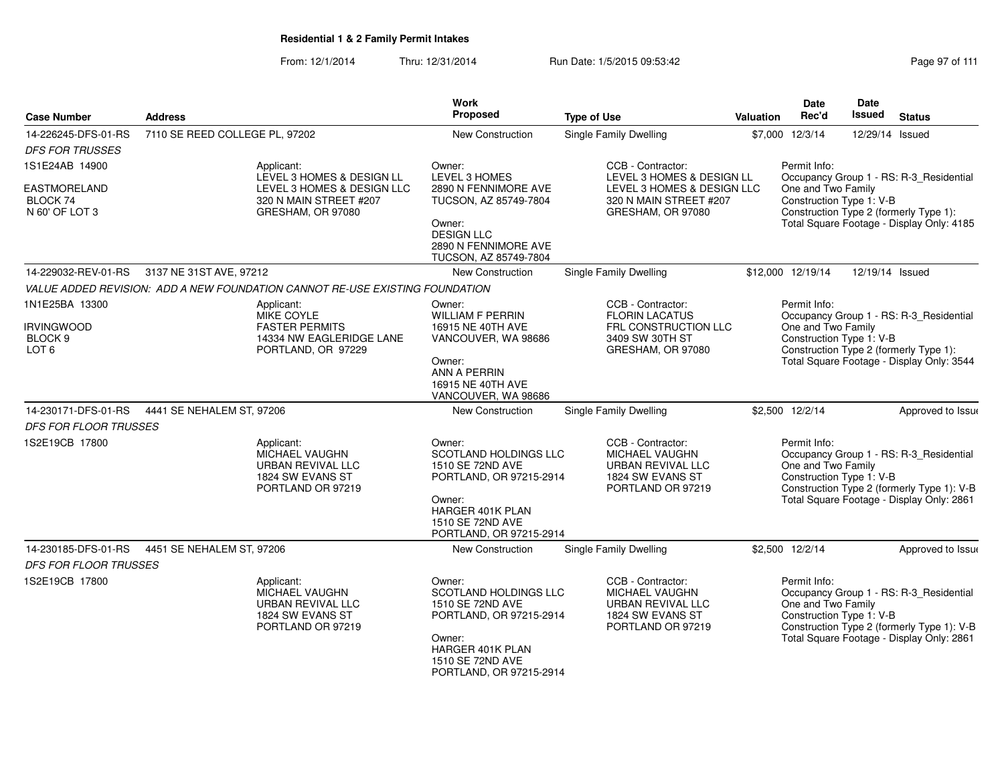From: 12/1/2014Thru: 12/31/2014 Run Date: 1/5/2015 09:53:42 Research 2010 111

| <b>Case Number</b>                                          | <b>Address</b>                 |                                                                                            | <b>Work</b><br>Proposed                                                                                                                                            | <b>Type of Use</b>                                                                                       | Valuation | Date<br>Rec'd                                                  | Date<br><b>Issued</b> | <b>Status</b>                                                                                                                      |
|-------------------------------------------------------------|--------------------------------|--------------------------------------------------------------------------------------------|--------------------------------------------------------------------------------------------------------------------------------------------------------------------|----------------------------------------------------------------------------------------------------------|-----------|----------------------------------------------------------------|-----------------------|------------------------------------------------------------------------------------------------------------------------------------|
| 14-226245-DFS-01-RS<br><b>DFS FOR TRUSSES</b>               | 7110 SE REED COLLEGE PL, 97202 |                                                                                            | <b>New Construction</b>                                                                                                                                            | <b>Single Family Dwelling</b>                                                                            |           | \$7,000 12/3/14                                                | 12/29/14 Issued       |                                                                                                                                    |
| 1S1E24AB 14900                                              |                                | Applicant:<br>LEVEL 3 HOMES & DESIGN LL                                                    | Owner:<br>LEVEL 3 HOMES                                                                                                                                            | CCB - Contractor:<br>LEVEL 3 HOMES & DESIGN LL                                                           |           | Permit Info:                                                   |                       | Occupancy Group 1 - RS: R-3_Residential                                                                                            |
| EASTMORELAND<br>BLOCK 74<br>N 60' OF LOT 3                  |                                | LEVEL 3 HOMES & DESIGN LLC<br>320 N MAIN STREET #207<br>GRESHAM, OR 97080                  | 2890 N FENNIMORE AVE<br>TUCSON, AZ 85749-7804                                                                                                                      | LEVEL 3 HOMES & DESIGN LLC<br>320 N MAIN STREET #207<br>GRESHAM, OR 97080                                |           | One and Two Family<br>Construction Type 1: V-B                 |                       | Construction Type 2 (formerly Type 1):                                                                                             |
|                                                             |                                |                                                                                            | Owner:<br><b>DESIGN LLC</b><br>2890 N FENNIMORE AVE<br>TUCSON, AZ 85749-7804                                                                                       |                                                                                                          |           |                                                                |                       | Total Square Footage - Display Only: 4185                                                                                          |
| 14-229032-REV-01-RS                                         | 3137 NE 31ST AVE, 97212        |                                                                                            | New Construction                                                                                                                                                   | Single Family Dwelling                                                                                   |           | \$12,000 12/19/14                                              | 12/19/14 Issued       |                                                                                                                                    |
|                                                             |                                | VALUE ADDED REVISION: ADD A NEW FOUNDATION CANNOT RE-USE EXISTING FOUNDATION               |                                                                                                                                                                    |                                                                                                          |           |                                                                |                       |                                                                                                                                    |
| 1N1E25BA 13300                                              |                                | Applicant:<br>MIKE COYLE                                                                   | Owner:<br><b>WILLIAM F PERRIN</b>                                                                                                                                  | CCB - Contractor:<br><b>FLORIN LACATUS</b>                                                               |           | Permit Info:                                                   |                       | Occupancy Group 1 - RS: R-3_Residential                                                                                            |
| <b>IRVINGWOOD</b><br>BLOCK <sub>9</sub><br>LOT <sub>6</sub> |                                | <b>FASTER PERMITS</b><br>14334 NW EAGLERIDGE LANE<br>PORTLAND, OR 97229                    | 16915 NE 40TH AVE<br>VANCOUVER, WA 98686                                                                                                                           | FRL CONSTRUCTION LLC<br>3409 SW 30TH ST<br>GRESHAM, OR 97080                                             |           | One and Two Family<br>Construction Type 1: V-B                 |                       | Construction Type 2 (formerly Type 1):                                                                                             |
|                                                             |                                |                                                                                            | Owner:<br>ANN A PERRIN<br>16915 NE 40TH AVE<br>VANCOUVER, WA 98686                                                                                                 |                                                                                                          |           |                                                                |                       | Total Square Footage - Display Only: 3544                                                                                          |
| 14-230171-DFS-01-RS                                         | 4441 SE NEHALEM ST, 97206      |                                                                                            | <b>New Construction</b>                                                                                                                                            | <b>Single Family Dwelling</b>                                                                            |           | \$2,500 12/2/14                                                |                       | Approved to Issue                                                                                                                  |
| <b>DFS FOR FLOOR TRUSSES</b>                                |                                |                                                                                            |                                                                                                                                                                    |                                                                                                          |           |                                                                |                       |                                                                                                                                    |
| 1S2E19CB 17800                                              |                                | Applicant:<br>MICHAEL VAUGHN<br>URBAN REVIVAL LLC<br>1824 SW EVANS ST<br>PORTLAND OR 97219 | Owner:<br><b>SCOTLAND HOLDINGS LLC</b><br>1510 SE 72ND AVE<br>PORTLAND, OR 97215-2914<br>Owner:<br>HARGER 401K PLAN<br>1510 SE 72ND AVE<br>PORTLAND, OR 97215-2914 | CCB - Contractor:<br><b>MICHAEL VAUGHN</b><br>URBAN REVIVAL LLC<br>1824 SW EVANS ST<br>PORTLAND OR 97219 |           | Permit Info:<br>One and Two Family<br>Construction Type 1: V-B |                       | Occupancy Group 1 - RS: R-3_Residential<br>Construction Type 2 (formerly Type 1): V-B<br>Total Square Footage - Display Only: 2861 |
| 14-230185-DFS-01-RS                                         | 4451 SE NEHALEM ST, 97206      |                                                                                            | New Construction                                                                                                                                                   | Single Family Dwelling                                                                                   |           | \$2,500 12/2/14                                                |                       | Approved to Issue                                                                                                                  |
| DFS FOR FLOOR TRUSSES                                       |                                |                                                                                            |                                                                                                                                                                    |                                                                                                          |           |                                                                |                       |                                                                                                                                    |
| 1S2E19CB 17800                                              |                                | Applicant:<br>MICHAEL VAUGHN<br>URBAN REVIVAL LLC<br>1824 SW EVANS ST<br>PORTLAND OR 97219 | Owner:<br><b>SCOTLAND HOLDINGS LLC</b><br>1510 SE 72ND AVE<br>PORTLAND, OR 97215-2914<br>Owner:<br>HARGER 401K PLAN<br>1510 SE 72ND AVE<br>PORTLAND, OR 97215-2914 | CCB - Contractor:<br>MICHAEL VAUGHN<br>URBAN REVIVAL LLC<br>1824 SW EVANS ST<br>PORTLAND OR 97219        |           | Permit Info:<br>One and Two Family<br>Construction Type 1: V-B |                       | Occupancy Group 1 - RS: R-3_Residential<br>Construction Type 2 (formerly Type 1): V-B<br>Total Square Footage - Display Only: 2861 |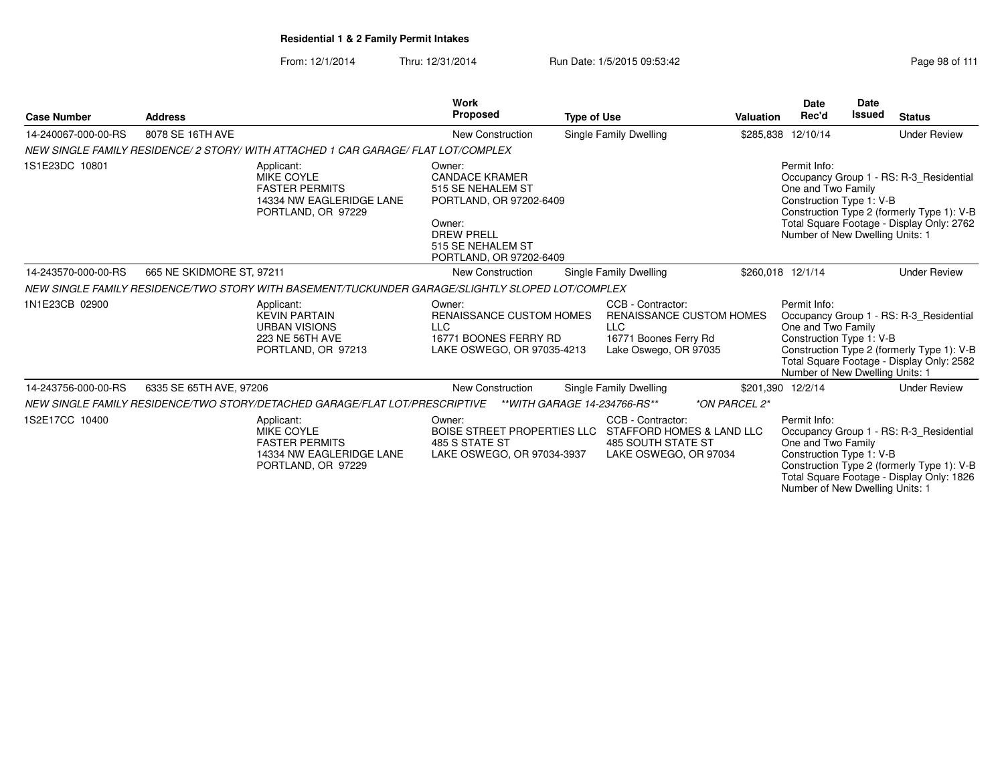|                     |                           |                                                                                                            | <b>Work</b>                                                                                                                                                    |                    |                                                                                                                      |                   | <b>Date</b>                                                                                       | <b>Date</b>   |                                                                                                                                    |
|---------------------|---------------------------|------------------------------------------------------------------------------------------------------------|----------------------------------------------------------------------------------------------------------------------------------------------------------------|--------------------|----------------------------------------------------------------------------------------------------------------------|-------------------|---------------------------------------------------------------------------------------------------|---------------|------------------------------------------------------------------------------------------------------------------------------------|
| <b>Case Number</b>  | <b>Address</b>            |                                                                                                            | <b>Proposed</b>                                                                                                                                                | <b>Type of Use</b> |                                                                                                                      | <b>Valuation</b>  | Rec'd                                                                                             | <b>Issued</b> | <b>Status</b>                                                                                                                      |
| 14-240067-000-00-RS | 8078 SE 16TH AVE          |                                                                                                            | <b>New Construction</b>                                                                                                                                        |                    | Single Family Dwelling                                                                                               |                   | \$285,838 12/10/14                                                                                |               | <b>Under Review</b>                                                                                                                |
|                     |                           | NEW SINGLE FAMILY RESIDENCE/ 2 STORY/ WITH ATTACHED 1 CAR GARAGE/ FLAT LOT/COMPLEX                         |                                                                                                                                                                |                    |                                                                                                                      |                   |                                                                                                   |               |                                                                                                                                    |
| 1S1E23DC 10801      |                           | Applicant:<br><b>MIKE COYLE</b><br><b>FASTER PERMITS</b><br>14334 NW EAGLERIDGE LANE<br>PORTLAND, OR 97229 | Owner:<br><b>CANDACE KRAMER</b><br>515 SE NEHALEM ST<br>PORTLAND, OR 97202-6409<br>Owner:<br><b>DREW PRELL</b><br>515 SE NEHALEM ST<br>PORTLAND, OR 97202-6409 |                    |                                                                                                                      |                   | Permit Info:<br>One and Two Family<br>Construction Type 1: V-B<br>Number of New Dwelling Units: 1 |               | Occupancy Group 1 - RS: R-3 Residential<br>Construction Type 2 (formerly Type 1): V-B<br>Total Square Footage - Display Only: 2762 |
| 14-243570-000-00-RS | 665 NE SKIDMORE ST, 97211 |                                                                                                            | <b>New Construction</b>                                                                                                                                        |                    | Single Family Dwelling                                                                                               | \$260.018 12/1/14 |                                                                                                   |               | <b>Under Review</b>                                                                                                                |
|                     |                           | NEW SINGLE FAMILY RESIDENCE/TWO STORY WITH BASEMENT/TUCKUNDER GARAGE/SLIGHTLY SLOPED LOT/COMPLEX           |                                                                                                                                                                |                    |                                                                                                                      |                   |                                                                                                   |               |                                                                                                                                    |
| 1N1E23CB 02900      |                           | Applicant:<br><b>KEVIN PARTAIN</b><br><b>URBAN VISIONS</b><br><b>223 NE 56TH AVE</b><br>PORTLAND, OR 97213 | Owner:<br><b>RENAISSANCE CUSTOM HOMES</b><br><b>LLC</b><br>16771 BOONES FERRY RD<br>LAKE OSWEGO, OR 97035-4213                                                 |                    | CCB - Contractor:<br><b>RENAISSANCE CUSTOM HOMES</b><br><b>LLC</b><br>16771 Boones Ferry Rd<br>Lake Oswego, OR 97035 |                   | Permit Info:<br>One and Two Family<br>Construction Type 1: V-B<br>Number of New Dwelling Units: 1 |               | Occupancy Group 1 - RS: R-3 Residential<br>Construction Type 2 (formerly Type 1): V-B<br>Total Square Footage - Display Only: 2582 |
| 14-243756-000-00-RS | 6335 SE 65TH AVE, 97206   |                                                                                                            | New Construction                                                                                                                                               |                    | Single Family Dwelling                                                                                               | \$201,390 12/2/14 |                                                                                                   |               | <b>Under Review</b>                                                                                                                |
|                     |                           | NEW SINGLE FAMILY RESIDENCE/TWO STORY/DETACHED GARAGE/FLAT LOT/PRESCRIPTIVE                                |                                                                                                                                                                |                    | **WITH GARAGE 14-234766-RS**                                                                                         | *ON PARCEL 2*     |                                                                                                   |               |                                                                                                                                    |
| 1S2E17CC 10400      |                           | Applicant:<br><b>MIKE COYLE</b><br><b>FASTER PERMITS</b><br>14334 NW EAGLERIDGE LANE<br>PORTLAND, OR 97229 | Owner:<br>BOISE STREET PROPERTIES LLC STAFFORD HOMES & LAND LLC<br>485 S STATE ST<br>LAKE OSWEGO, OR 97034-3937                                                |                    | CCB - Contractor:<br><b>485 SOUTH STATE ST</b><br>LAKE OSWEGO, OR 97034                                              |                   | Permit Info:<br>One and Two Family<br>Construction Type 1: V-B<br>Number of New Dwelling Units: 1 |               | Occupancy Group 1 - RS: R-3 Residential<br>Construction Type 2 (formerly Type 1): V-B<br>Total Square Footage - Display Only: 1826 |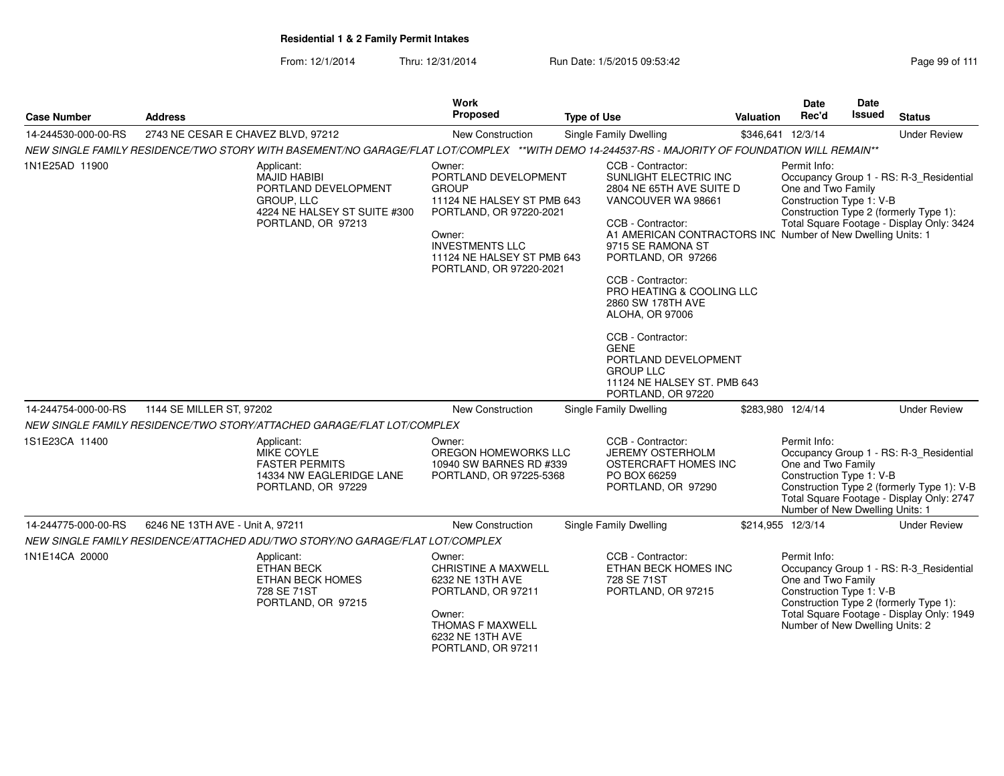**Work Proposed**

**Case Number**14-244530-000-00-RS **Address**

From: 12/1/2014Thru: 12/31/2014 Run Date: 1/5/2015 09:53:42 Page 99 of 111

2743 NE CESAR E CHAVEZ BLVD, 97212 New Construction Single Family Dwelling \$346,641 12/3/14 Under Review

**Type of Use**

**Type of Use**<br>
Single Family Dwelling<br>
S346,641

|                     | NEW SINGLE FAMILY RESIDENCE/TWO STORY WITH BASEMENT/NO GARAGE/FLAT LOT/COMPLEX **WITH DEMO 14-244537-RS - MAJORITY OF FOUNDATION WILL REMAIN** |                                                                                                                                                                                                      |                                                                                                                                                                                                                                                                                                                                                                                             |                                                                                                                                                                                                                                                                 |
|---------------------|------------------------------------------------------------------------------------------------------------------------------------------------|------------------------------------------------------------------------------------------------------------------------------------------------------------------------------------------------------|---------------------------------------------------------------------------------------------------------------------------------------------------------------------------------------------------------------------------------------------------------------------------------------------------------------------------------------------------------------------------------------------|-----------------------------------------------------------------------------------------------------------------------------------------------------------------------------------------------------------------------------------------------------------------|
| 1N1E25AD 11900      | Applicant:<br><b>MAJID HABIBI</b><br>PORTLAND DEVELOPMENT<br>GROUP, LLC<br>4224 NE HALSEY ST SUITE #300<br>PORTLAND, OR 97213                  | Owner:<br>PORTLAND DEVELOPMENT<br><b>GROUP</b><br>11124 NE HALSEY ST PMB 643<br>PORTLAND, OR 97220-2021<br>Owner:<br><b>INVESTMENTS LLC</b><br>11124 NE HALSEY ST PMB 643<br>PORTLAND, OR 97220-2021 | CCB - Contractor:<br>SUNLIGHT ELECTRIC INC<br>2804 NE 65TH AVE SUITE D<br>VANCOUVER WA 98661<br>CCB - Contractor:<br>9715 SE RAMONA ST<br>PORTLAND, OR 97266<br>CCB - Contractor:<br>PRO HEATING & COOLING LLC<br>2860 SW 178TH AVE<br>ALOHA, OR 97006<br>CCB - Contractor:<br><b>GENE</b><br>PORTLAND DEVELOPMENT<br><b>GROUP LLC</b><br>11124 NE HALSEY ST. PMB 643<br>PORTLAND, OR 97220 | Permit Info:<br>Occupancy Group 1 - RS: R-3 Residential<br>One and Two Family<br>Construction Type 1: V-B<br>Construction Type 2 (formerly Type 1):<br>Total Square Footage - Display Only: 3424<br>A1 AMERICAN CONTRACTORS INC Number of New Dwelling Units: 1 |
| 14-244754-000-00-RS | 1144 SE MILLER ST, 97202                                                                                                                       | <b>New Construction</b>                                                                                                                                                                              | Single Family Dwelling                                                                                                                                                                                                                                                                                                                                                                      | <b>Under Review</b><br>\$283,980 12/4/14                                                                                                                                                                                                                        |
|                     | NEW SINGLE FAMILY RESIDENCE/TWO STORY/ATTACHED GARAGE/FLAT LOT/COMPLEX                                                                         |                                                                                                                                                                                                      |                                                                                                                                                                                                                                                                                                                                                                                             |                                                                                                                                                                                                                                                                 |
| 1S1E23CA 11400      | Applicant:<br>MIKE COYLE<br><b>FASTER PERMITS</b><br>14334 NW EAGLERIDGE LANE<br>PORTLAND, OR 97229                                            | Owner:<br>OREGON HOMEWORKS LLC<br>10940 SW BARNES RD #339<br>PORTLAND, OR 97225-5368                                                                                                                 | CCB - Contractor:<br><b>JEREMY OSTERHOLM</b><br>OSTERCRAFT HOMES INC<br>PO BOX 66259<br>PORTLAND, OR 97290                                                                                                                                                                                                                                                                                  | Permit Info:<br>Occupancy Group 1 - RS: R-3_Residential<br>One and Two Family<br>Construction Type 1: V-B<br>Construction Type 2 (formerly Type 1): V-B<br>Total Square Footage - Display Only: 2747<br>Number of New Dwelling Units: 1                         |
| 14-244775-000-00-RS | 6246 NE 13TH AVE - Unit A, 97211                                                                                                               | New Construction                                                                                                                                                                                     | Single Family Dwelling                                                                                                                                                                                                                                                                                                                                                                      | \$214,955 12/3/14<br><b>Under Review</b>                                                                                                                                                                                                                        |
|                     | NEW SINGLE FAMILY RESIDENCE/ATTACHED ADU/TWO STORY/NO GARAGE/FLAT LOT/COMPLEX                                                                  |                                                                                                                                                                                                      |                                                                                                                                                                                                                                                                                                                                                                                             |                                                                                                                                                                                                                                                                 |
| 1N1E14CA 20000      | Applicant:<br><b>ETHAN BECK</b><br><b>ETHAN BECK HOMES</b><br>728 SE 71ST<br>PORTLAND, OR 97215                                                | Owner:<br><b>CHRISTINE A MAXWELL</b><br>6232 NE 13TH AVE<br>PORTLAND, OR 97211<br>Owner:<br>THOMAS F MAXWELL<br>6232 NE 13TH AVE<br>PORTLAND, OR 97211                                               | CCB - Contractor:<br>ETHAN BECK HOMES INC<br>728 SE 71ST<br>PORTLAND, OR 97215                                                                                                                                                                                                                                                                                                              | Permit Info:<br>Occupancy Group 1 - RS: R-3_Residential<br>One and Two Family<br>Construction Type 1: V-B<br>Construction Type 2 (formerly Type 1):<br>Total Square Footage - Display Only: 1949<br>Number of New Dwelling Units: 2                             |

**Status**

**Date**Issued

**DateRec'd Issued**

\$346,641 12/3/14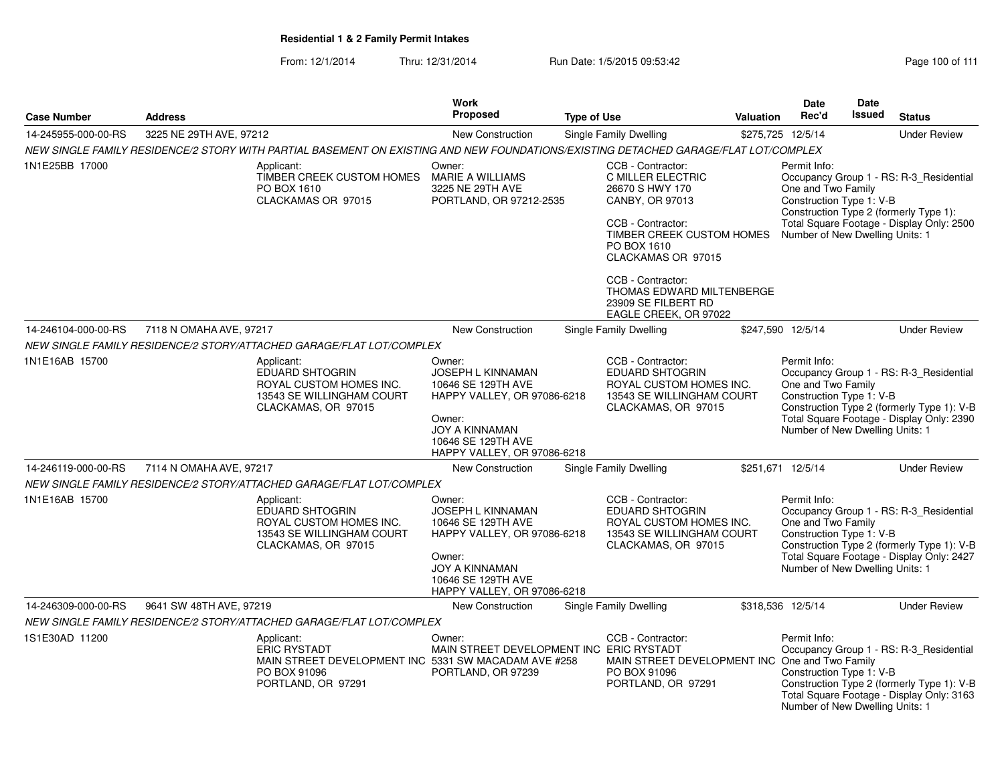|                     |                                                                                                                                     | <b>Work</b><br><b>Proposed</b>                                                                                                                                                  |                                                                                                                                                                     |                   | Date                                                                                              | <b>Date</b><br><b>Issued</b> |                                                                                                                                    |
|---------------------|-------------------------------------------------------------------------------------------------------------------------------------|---------------------------------------------------------------------------------------------------------------------------------------------------------------------------------|---------------------------------------------------------------------------------------------------------------------------------------------------------------------|-------------------|---------------------------------------------------------------------------------------------------|------------------------------|------------------------------------------------------------------------------------------------------------------------------------|
| <b>Case Number</b>  | <b>Address</b>                                                                                                                      |                                                                                                                                                                                 | <b>Type of Use</b>                                                                                                                                                  | Valuation         | Rec'd                                                                                             |                              | <b>Status</b>                                                                                                                      |
| 14-245955-000-00-RS | 3225 NE 29TH AVE, 97212                                                                                                             | <b>New Construction</b>                                                                                                                                                         | <b>Single Family Dwelling</b>                                                                                                                                       |                   | \$275,725 12/5/14                                                                                 |                              | <b>Under Review</b>                                                                                                                |
|                     | NEW SINGLE FAMILY RESIDENCE/2 STORY WITH PARTIAL BASEMENT ON EXISTING AND NEW FOUNDATIONS/EXISTING DETACHED GARAGE/FLAT LOT/COMPLEX |                                                                                                                                                                                 |                                                                                                                                                                     |                   |                                                                                                   |                              |                                                                                                                                    |
| 1N1E25BB 17000      | Applicant:<br>TIMBER CREEK CUSTOM HOMES<br>PO BOX 1610<br>CLACKAMAS OR 97015                                                        | Owner:<br>MARIE A WILLIAMS<br>3225 NE 29TH AVE<br>PORTLAND, OR 97212-2535                                                                                                       | CCB - Contractor:<br>C MILLER ELECTRIC<br>26670 S HWY 170<br>CANBY, OR 97013<br>CCB - Contractor:<br>TIMBER CREEK CUSTOM HOMES<br>PO BOX 1610<br>CLACKAMAS OR 97015 |                   | Permit Info:<br>One and Two Family<br>Construction Type 1: V-B<br>Number of New Dwelling Units: 1 |                              | Occupancy Group 1 - RS: R-3_Residential<br>Construction Type 2 (formerly Type 1):<br>Total Square Footage - Display Only: 2500     |
|                     |                                                                                                                                     |                                                                                                                                                                                 | CCB - Contractor:<br>THOMAS EDWARD MILTENBERGE<br>23909 SE FILBERT RD<br>EAGLE CREEK, OR 97022                                                                      |                   |                                                                                                   |                              |                                                                                                                                    |
| 14-246104-000-00-RS | 7118 N OMAHA AVE, 97217                                                                                                             | <b>New Construction</b>                                                                                                                                                         | Single Family Dwelling                                                                                                                                              |                   | \$247,590 12/5/14                                                                                 |                              | <b>Under Review</b>                                                                                                                |
|                     | NEW SINGLE FAMILY RESIDENCE/2 STORY/ATTACHED GARAGE/FLAT LOT/COMPLEX                                                                |                                                                                                                                                                                 |                                                                                                                                                                     |                   |                                                                                                   |                              |                                                                                                                                    |
| 1N1E16AB 15700      | Applicant:<br><b>EDUARD SHTOGRIN</b><br>ROYAL CUSTOM HOMES INC.<br>13543 SE WILLINGHAM COURT<br>CLACKAMAS, OR 97015                 | Owner:<br><b>JOSEPH L KINNAMAN</b><br>10646 SE 129TH AVE<br>HAPPY VALLEY, OR 97086-6218<br>Owner:<br><b>JOY A KINNAMAN</b><br>10646 SE 129TH AVE<br>HAPPY VALLEY, OR 97086-6218 | CCB - Contractor:<br>EDUARD SHTOGRIN<br>ROYAL CUSTOM HOMES INC.<br>13543 SE WILLINGHAM COURT<br>CLACKAMAS, OR 97015                                                 |                   | Permit Info:<br>One and Two Family<br>Construction Type 1: V-B<br>Number of New Dwelling Units: 1 |                              | Occupancy Group 1 - RS: R-3_Residential<br>Construction Type 2 (formerly Type 1): V-B<br>Total Square Footage - Display Only: 2390 |
| 14-246119-000-00-RS | 7114 N OMAHA AVE, 97217                                                                                                             | New Construction                                                                                                                                                                | <b>Single Family Dwelling</b>                                                                                                                                       |                   | \$251,671 12/5/14                                                                                 |                              | <b>Under Review</b>                                                                                                                |
|                     | NEW SINGLE FAMILY RESIDENCE/2 STORY/ATTACHED GARAGE/FLAT LOT/COMPLEX                                                                |                                                                                                                                                                                 |                                                                                                                                                                     |                   |                                                                                                   |                              |                                                                                                                                    |
| 1N1E16AB 15700      | Applicant:<br>EDUARD SHTOGRIN<br>ROYAL CUSTOM HOMES INC.<br>13543 SE WILLINGHAM COURT<br>CLACKAMAS, OR 97015                        | Owner:<br>JOSEPH L KINNAMAN<br>10646 SE 129TH AVE<br>HAPPY VALLEY, OR 97086-6218<br>Owner:<br><b>JOY A KINNAMAN</b><br>10646 SE 129TH AVE<br>HAPPY VALLEY, OR 97086-6218        | CCB - Contractor:<br>EDUARD SHTOGRIN<br>ROYAL CUSTOM HOMES INC.<br>13543 SE WILLINGHAM COURT<br>CLACKAMAS, OR 97015                                                 |                   | Permit Info:<br>One and Two Family<br>Construction Type 1: V-B<br>Number of New Dwelling Units: 1 |                              | Occupancy Group 1 - RS: R-3_Residential<br>Construction Type 2 (formerly Type 1): V-B<br>Total Square Footage - Display Only: 2427 |
| 14-246309-000-00-RS | 9641 SW 48TH AVE, 97219                                                                                                             | <b>New Construction</b>                                                                                                                                                         | Single Family Dwelling                                                                                                                                              | \$318,536 12/5/14 |                                                                                                   |                              | <b>Under Review</b>                                                                                                                |
|                     | NEW SINGLE FAMILY RESIDENCE/2 STORY/ATTACHED GARAGE/FLAT LOT/COMPLEX                                                                |                                                                                                                                                                                 |                                                                                                                                                                     |                   |                                                                                                   |                              |                                                                                                                                    |
| 1S1E30AD 11200      | Applicant:<br><b>ERIC RYSTADT</b><br>PO BOX 91096<br>PORTLAND, OR 97291                                                             | Owner:<br>MAIN STREET DEVELOPMENT INC 5331 SW MACADAM AVE #258<br>PORTLAND, OR 97239                                                                                            | CCB - Contractor:<br>MAIN STREET DEVELOPMENT INC ERIC RYSTADT<br>MAIN STREET DEVELOPMENT INC One and Two Family<br>PO BOX 91096<br>PORTLAND, OR 97291               |                   | Permit Info:<br>Construction Type 1: V-B<br>Number of New Dwelling Units: 1                       |                              | Occupancy Group 1 - RS: R-3_Residential<br>Construction Type 2 (formerly Type 1): V-B<br>Total Square Footage - Display Only: 3163 |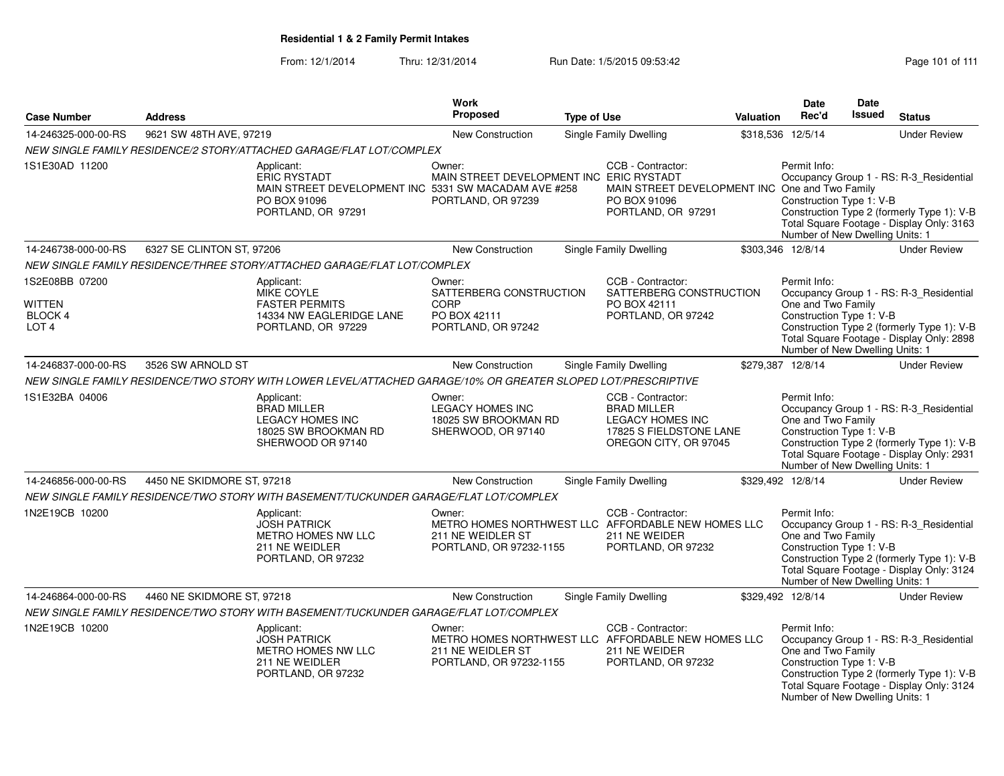From: 12/1/2014Thru: 12/31/2014 Run Date: 1/5/2015 09:53:42 Research 2010 111

|                                                                      |                            |                                                                                                                                 | Work                                                                            |                    |                                                                                                                        |           | Date                                                                                              | Date          |                                                                                                                                    |
|----------------------------------------------------------------------|----------------------------|---------------------------------------------------------------------------------------------------------------------------------|---------------------------------------------------------------------------------|--------------------|------------------------------------------------------------------------------------------------------------------------|-----------|---------------------------------------------------------------------------------------------------|---------------|------------------------------------------------------------------------------------------------------------------------------------|
| <b>Case Number</b>                                                   | <b>Address</b>             |                                                                                                                                 | <b>Proposed</b>                                                                 | <b>Type of Use</b> |                                                                                                                        | Valuation | Rec'd                                                                                             | <b>Issued</b> | <b>Status</b>                                                                                                                      |
| 14-246325-000-00-RS                                                  | 9621 SW 48TH AVE, 97219    |                                                                                                                                 | New Construction                                                                |                    | Single Family Dwelling                                                                                                 |           | \$318,536 12/5/14                                                                                 |               | <b>Under Review</b>                                                                                                                |
|                                                                      |                            | NEW SINGLE FAMILY RESIDENCE/2 STORY/ATTACHED GARAGE/FLAT LOT/COMPLEX                                                            |                                                                                 |                    |                                                                                                                        |           |                                                                                                   |               |                                                                                                                                    |
| 1S1E30AD 11200                                                       |                            | Applicant:<br><b>ERIC RYSTADT</b><br>MAIN STREET DEVELOPMENT INC 5331 SW MACADAM AVE #258<br>PO BOX 91096<br>PORTLAND, OR 97291 | Owner:<br>MAIN STREET DEVELOPMENT INC ERIC RYSTADT<br>PORTLAND, OR 97239        |                    | CCB - Contractor:<br>MAIN STREET DEVELOPMENT INC One and Two Family<br>PO BOX 91096<br>PORTLAND, OR 97291              |           | Permit Info:<br>Construction Type 1: V-B<br>Number of New Dwelling Units: 1                       |               | Occupancy Group 1 - RS: R-3 Residential<br>Construction Type 2 (formerly Type 1): V-B<br>Total Square Footage - Display Only: 3163 |
| 14-246738-000-00-RS                                                  | 6327 SE CLINTON ST, 97206  |                                                                                                                                 | New Construction                                                                |                    | Single Family Dwelling                                                                                                 |           | \$303,346 12/8/14                                                                                 |               | <b>Under Review</b>                                                                                                                |
|                                                                      |                            | NEW SINGLE FAMILY RESIDENCE/THREE STORY/ATTACHED GARAGE/FLAT LOT/COMPLEX                                                        |                                                                                 |                    |                                                                                                                        |           |                                                                                                   |               |                                                                                                                                    |
| 1S2E08BB 07200<br><b>WITTEN</b><br><b>BLOCK4</b><br>LOT <sub>4</sub> |                            | Applicant:<br>MIKE COYLE<br><b>FASTER PERMITS</b><br>14334 NW EAGLERIDGE LANE<br>PORTLAND, OR 97229                             | Owner:<br>SATTERBERG CONSTRUCTION<br>CORP<br>PO BOX 42111<br>PORTLAND, OR 97242 |                    | CCB - Contractor:<br>SATTERBERG CONSTRUCTION<br>PO BOX 42111<br>PORTLAND, OR 97242                                     |           | Permit Info:<br>One and Two Family<br>Construction Type 1: V-B<br>Number of New Dwelling Units: 1 |               | Occupancy Group 1 - RS: R-3_Residential<br>Construction Type 2 (formerly Type 1): V-B<br>Total Square Footage - Display Only: 2898 |
| 14-246837-000-00-RS                                                  | 3526 SW ARNOLD ST          |                                                                                                                                 | New Construction                                                                |                    | <b>Single Family Dwelling</b>                                                                                          |           | \$279,387 12/8/14                                                                                 |               | <b>Under Review</b>                                                                                                                |
|                                                                      |                            | NEW SINGLE FAMILY RESIDENCE/TWO STORY WITH LOWER LEVEL/ATTACHED GARAGE/10% OR GREATER SLOPED LOT/PRESCRIPTIVE                   |                                                                                 |                    |                                                                                                                        |           |                                                                                                   |               |                                                                                                                                    |
| 1S1E32BA 04006                                                       |                            | Applicant:<br><b>BRAD MILLER</b><br><b>LEGACY HOMES INC</b><br>18025 SW BROOKMAN RD<br>SHERWOOD OR 97140                        | Owner:<br><b>LEGACY HOMES INC</b><br>18025 SW BROOKMAN RD<br>SHERWOOD, OR 97140 |                    | CCB - Contractor:<br><b>BRAD MILLER</b><br><b>LEGACY HOMES INC</b><br>17825 S FIELDSTONE LANE<br>OREGON CITY, OR 97045 |           | Permit Info:<br>One and Two Family<br>Construction Type 1: V-B<br>Number of New Dwelling Units: 1 |               | Occupancy Group 1 - RS: R-3_Residential<br>Construction Type 2 (formerly Type 1): V-B<br>Total Square Footage - Display Only: 2931 |
| 14-246856-000-00-RS                                                  | 4450 NE SKIDMORE ST, 97218 |                                                                                                                                 | New Construction                                                                |                    | Single Family Dwelling                                                                                                 |           | \$329,492 12/8/14                                                                                 |               | <b>Under Review</b>                                                                                                                |
|                                                                      |                            | NEW SINGLE FAMILY RESIDENCE/TWO STORY WITH BASEMENT/TUCKUNDER GARAGE/FLAT LOT/COMPLEX                                           |                                                                                 |                    |                                                                                                                        |           |                                                                                                   |               |                                                                                                                                    |
| 1N2E19CB 10200                                                       |                            | Applicant:<br><b>JOSH PATRICK</b><br>METRO HOMES NW LLC<br>211 NE WEIDLER<br>PORTLAND, OR 97232                                 | Owner:<br>211 NE WEIDLER ST<br>PORTLAND, OR 97232-1155                          |                    | CCB - Contractor:<br>METRO HOMES NORTHWEST LLC AFFORDABLE NEW HOMES LLC<br>211 NE WEIDER<br>PORTLAND, OR 97232         |           | Permit Info:<br>One and Two Family<br>Construction Type 1: V-B<br>Number of New Dwelling Units: 1 |               | Occupancy Group 1 - RS: R-3_Residential<br>Construction Type 2 (formerly Type 1): V-B<br>Total Square Footage - Display Only: 3124 |
| 14-246864-000-00-RS                                                  | 4460 NE SKIDMORE ST, 97218 |                                                                                                                                 | New Construction                                                                |                    | <b>Single Family Dwelling</b>                                                                                          |           | \$329,492 12/8/14                                                                                 |               | <b>Under Review</b>                                                                                                                |
|                                                                      |                            | NEW SINGLE FAMILY RESIDENCE/TWO STORY WITH BASEMENT/TUCKUNDER GARAGE/FLAT LOT/COMPLEX                                           |                                                                                 |                    |                                                                                                                        |           |                                                                                                   |               |                                                                                                                                    |
| 1N2E19CB 10200                                                       |                            | Applicant:<br><b>JOSH PATRICK</b><br><b>METRO HOMES NW LLC</b><br>211 NE WEIDLER<br>PORTLAND, OR 97232                          | Owner:<br>211 NE WEIDLER ST<br>PORTLAND, OR 97232-1155                          |                    | CCB - Contractor:<br>METRO HOMES NORTHWEST LLC AFFORDABLE NEW HOMES LLC<br>211 NE WEIDER<br>PORTLAND, OR 97232         |           | Permit Info:<br>One and Two Family<br>Construction Type 1: V-B<br>Number of New Dwelling Units: 1 |               | Occupancy Group 1 - RS: R-3_Residential<br>Construction Type 2 (formerly Type 1): V-B<br>Total Square Footage - Display Only: 3124 |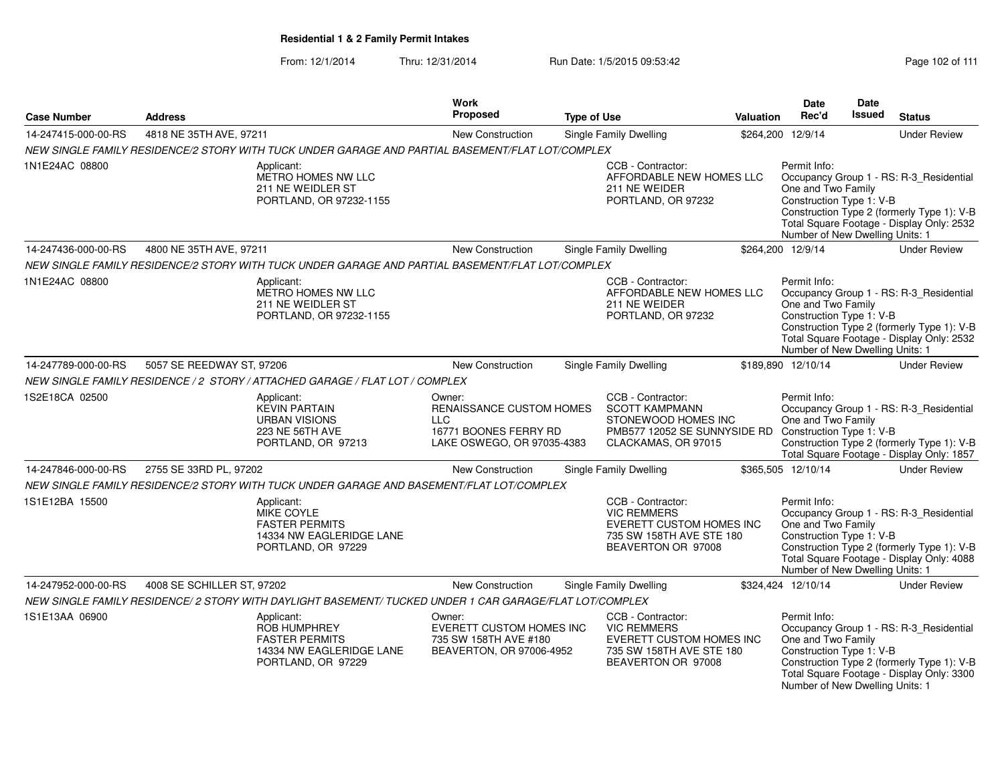### From: 12/1/2014Thru: 12/31/2014 Run Date: 1/5/2015 09:53:42 Rege 102 of 111

| <b>Case Number</b>  | <b>Address</b>             |                                                                                                              | <b>Work</b><br><b>Proposed</b>                                                                          | <b>Type of Use</b> |                                                                                                                                                   | Valuation | Date<br>Rec'd                                                                                     | <b>Date</b><br><b>Issued</b> | <b>Status</b>                                                                                                                      |
|---------------------|----------------------------|--------------------------------------------------------------------------------------------------------------|---------------------------------------------------------------------------------------------------------|--------------------|---------------------------------------------------------------------------------------------------------------------------------------------------|-----------|---------------------------------------------------------------------------------------------------|------------------------------|------------------------------------------------------------------------------------------------------------------------------------|
| 14-247415-000-00-RS | 4818 NE 35TH AVE, 97211    |                                                                                                              | New Construction                                                                                        |                    | <b>Single Family Dwelling</b>                                                                                                                     |           | \$264,200 12/9/14                                                                                 |                              | <b>Under Review</b>                                                                                                                |
|                     |                            | NEW SINGLE FAMILY RESIDENCE/2 STORY WITH TUCK UNDER GARAGE AND PARTIAL BASEMENT/FLAT LOT/COMPLEX             |                                                                                                         |                    |                                                                                                                                                   |           |                                                                                                   |                              |                                                                                                                                    |
| 1N1E24AC 08800      |                            | Applicant:<br><b>METRO HOMES NW LLC</b><br>211 NE WEIDLER ST<br>PORTLAND, OR 97232-1155                      |                                                                                                         |                    | CCB - Contractor:<br>AFFORDABLE NEW HOMES LLC<br>211 NE WEIDER<br>PORTLAND, OR 97232                                                              |           | Permit Info:<br>One and Two Family<br>Construction Type 1: V-B<br>Number of New Dwelling Units: 1 |                              | Occupancy Group 1 - RS: R-3_Residential<br>Construction Type 2 (formerly Type 1): V-B<br>Total Square Footage - Display Only: 2532 |
| 14-247436-000-00-RS | 4800 NE 35TH AVE, 97211    |                                                                                                              | New Construction                                                                                        |                    | <b>Single Family Dwelling</b>                                                                                                                     |           | \$264,200 12/9/14                                                                                 |                              | <b>Under Review</b>                                                                                                                |
|                     |                            | NEW SINGLE FAMILY RESIDENCE/2 STORY WITH TUCK UNDER GARAGE AND PARTIAL BASEMENT/FLAT LOT/COMPLEX             |                                                                                                         |                    |                                                                                                                                                   |           |                                                                                                   |                              |                                                                                                                                    |
| 1N1E24AC 08800      |                            | Applicant:<br>METRO HOMES NW LLC<br>211 NE WEIDLER ST<br>PORTLAND, OR 97232-1155                             |                                                                                                         |                    | CCB - Contractor:<br>AFFORDABLE NEW HOMES LLC<br>211 NE WEIDER<br>PORTLAND, OR 97232                                                              |           | Permit Info:<br>One and Two Family<br>Construction Type 1: V-B<br>Number of New Dwelling Units: 1 |                              | Occupancy Group 1 - RS: R-3 Residential<br>Construction Type 2 (formerly Type 1): V-B<br>Total Square Footage - Display Only: 2532 |
| 14-247789-000-00-RS | 5057 SE REEDWAY ST, 97206  |                                                                                                              | New Construction                                                                                        |                    | <b>Single Family Dwelling</b>                                                                                                                     |           | \$189,890 12/10/14                                                                                |                              | <b>Under Review</b>                                                                                                                |
|                     |                            | NEW SINGLE FAMILY RESIDENCE / 2 STORY / ATTACHED GARAGE / FLAT LOT / COMPLEX                                 |                                                                                                         |                    |                                                                                                                                                   |           |                                                                                                   |                              |                                                                                                                                    |
| 1S2E18CA 02500      |                            | Applicant:<br><b>KEVIN PARTAIN</b><br><b>URBAN VISIONS</b><br>223 NE 56TH AVE<br>PORTLAND, OR 97213          | Owner:<br>RENAISSANCE CUSTOM HOMES<br><b>LLC</b><br>16771 BOONES FERRY RD<br>LAKE OSWEGO, OR 97035-4383 |                    | CCB - Contractor:<br><b>SCOTT KAMPMANN</b><br>STONEWOOD HOMES INC<br>PMB577 12052 SE SUNNYSIDE RD Construction Type 1: V-B<br>CLACKAMAS, OR 97015 |           | Permit Info:<br>One and Two Family                                                                |                              | Occupancy Group 1 - RS: R-3 Residential<br>Construction Type 2 (formerly Type 1): V-B<br>Total Square Footage - Display Only: 1857 |
| 14-247846-000-00-RS | 2755 SE 33RD PL, 97202     |                                                                                                              | <b>New Construction</b>                                                                                 |                    | Single Family Dwelling                                                                                                                            |           | \$365,505 12/10/14                                                                                |                              | <b>Under Review</b>                                                                                                                |
|                     |                            | NEW SINGLE FAMILY RESIDENCE/2 STORY WITH TUCK UNDER GARAGE AND BASEMENT/FLAT LOT/COMPLEX                     |                                                                                                         |                    |                                                                                                                                                   |           |                                                                                                   |                              |                                                                                                                                    |
| 1S1E12BA 15500      |                            | Applicant:<br>MIKE COYLE<br><b>FASTER PERMITS</b><br>14334 NW EAGLERIDGE LANE<br>PORTLAND, OR 97229          |                                                                                                         |                    | CCB - Contractor:<br><b>VIC REMMERS</b><br>EVERETT CUSTOM HOMES INC<br>735 SW 158TH AVE STE 180<br>BEAVERTON OR 97008                             |           | Permit Info:<br>One and Two Family<br>Construction Type 1: V-B<br>Number of New Dwelling Units: 1 |                              | Occupancy Group 1 - RS: R-3_Residential<br>Construction Type 2 (formerly Type 1): V-B<br>Total Square Footage - Display Only: 4088 |
| 14-247952-000-00-RS | 4008 SE SCHILLER ST, 97202 |                                                                                                              | <b>New Construction</b>                                                                                 |                    | Single Family Dwelling                                                                                                                            |           | \$324,424 12/10/14                                                                                |                              | <b>Under Review</b>                                                                                                                |
|                     |                            | NEW SINGLE FAMILY RESIDENCE/ 2 STORY WITH DAYLIGHT BASEMENT/ TUCKED UNDER 1 CAR GARAGE/FLAT LOT/COMPLEX      |                                                                                                         |                    |                                                                                                                                                   |           |                                                                                                   |                              |                                                                                                                                    |
| 1S1E13AA 06900      |                            | Applicant:<br><b>ROB HUMPHREY</b><br><b>FASTER PERMITS</b><br>14334 NW EAGLERIDGE LANE<br>PORTLAND, OR 97229 | Owner:<br><b>EVERETT CUSTOM HOMES INC</b><br>735 SW 158TH AVE #180<br>BEAVERTON, OR 97006-4952          |                    | CCB - Contractor:<br><b>VIC REMMERS</b><br>EVERETT CUSTOM HOMES INC<br>735 SW 158TH AVE STE 180<br>BEAVERTON OR 97008                             |           | Permit Info:<br>One and Two Family<br>Construction Type 1: V-B<br>Number of New Dwelling Units: 1 |                              | Occupancy Group 1 - RS: R-3 Residential<br>Construction Type 2 (formerly Type 1): V-B<br>Total Square Footage - Display Only: 3300 |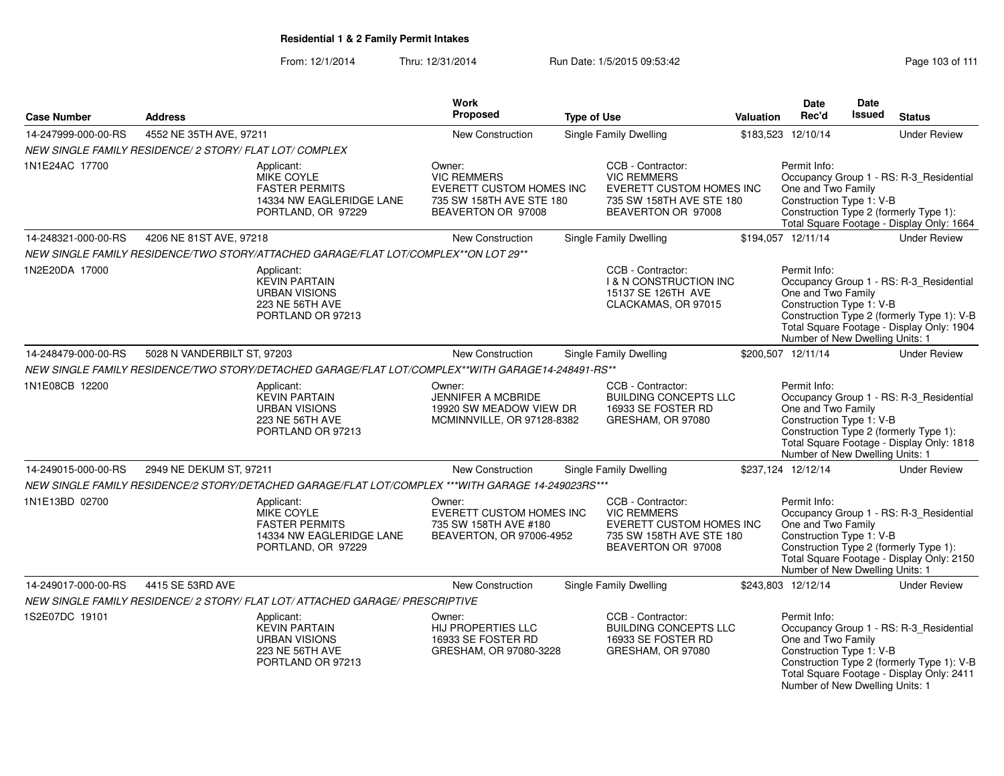| <b>Case Number</b>                                      | <b>Address</b>              |                                                                                                     | <b>Work</b><br>Proposed                                                                                           | <b>Type of Use</b> |                                                                                                                              | <b>Valuation</b> | <b>Date</b><br>Rec'd                                                                              | <b>Date</b><br><b>Issued</b> | <b>Status</b>                                                                                                                      |
|---------------------------------------------------------|-----------------------------|-----------------------------------------------------------------------------------------------------|-------------------------------------------------------------------------------------------------------------------|--------------------|------------------------------------------------------------------------------------------------------------------------------|------------------|---------------------------------------------------------------------------------------------------|------------------------------|------------------------------------------------------------------------------------------------------------------------------------|
| 14-247999-000-00-RS                                     | 4552 NE 35TH AVE, 97211     |                                                                                                     | <b>New Construction</b>                                                                                           |                    | <b>Single Family Dwelling</b>                                                                                                |                  | \$183,523 12/10/14                                                                                |                              | <b>Under Review</b>                                                                                                                |
| NEW SINGLE FAMILY RESIDENCE/ 2 STORY/ FLAT LOT/ COMPLEX |                             |                                                                                                     |                                                                                                                   |                    |                                                                                                                              |                  |                                                                                                   |                              |                                                                                                                                    |
| 1N1E24AC 17700                                          |                             | Applicant:<br>MIKE COYLE<br><b>FASTER PERMITS</b><br>14334 NW EAGLERIDGE LANE<br>PORTLAND, OR 97229 | Owner:<br><b>VIC REMMERS</b><br><b>EVERETT CUSTOM HOMES INC</b><br>735 SW 158TH AVE STE 180<br>BEAVERTON OR 97008 |                    | CCB - Contractor:<br><b>VIC REMMERS</b><br><b>EVERETT CUSTOM HOMES INC</b><br>735 SW 158TH AVE STE 180<br>BEAVERTON OR 97008 |                  | Permit Info:<br>One and Two Family<br>Construction Type 1: V-B                                    |                              | Occupancy Group 1 - RS: R-3_Residential<br>Construction Type 2 (formerly Type 1):<br>Total Square Footage - Display Only: 1664     |
| 14-248321-000-00-RS                                     | 4206 NE 81ST AVE, 97218     |                                                                                                     | New Construction                                                                                                  |                    | <b>Single Family Dwelling</b>                                                                                                |                  | \$194,057 12/11/14                                                                                |                              | <b>Under Review</b>                                                                                                                |
|                                                         |                             | NEW SINGLE FAMILY RESIDENCE/TWO STORY/ATTACHED GARAGE/FLAT LOT/COMPLEX**ON LOT 29**                 |                                                                                                                   |                    |                                                                                                                              |                  |                                                                                                   |                              |                                                                                                                                    |
| 1N2E20DA 17000                                          |                             | Applicant:<br><b>KEVIN PARTAIN</b><br><b>URBAN VISIONS</b><br>223 NE 56TH AVE<br>PORTLAND OR 97213  |                                                                                                                   |                    | CCB - Contractor:<br><b>1 &amp; N CONSTRUCTION INC</b><br>15137 SE 126TH AVE<br>CLACKAMAS, OR 97015                          |                  | Permit Info:<br>One and Two Family<br>Construction Type 1: V-B<br>Number of New Dwelling Units: 1 |                              | Occupancy Group 1 - RS: R-3_Residential<br>Construction Type 2 (formerly Type 1): V-B<br>Total Square Footage - Display Only: 1904 |
| 14-248479-000-00-RS                                     | 5028 N VANDERBILT ST, 97203 |                                                                                                     | New Construction                                                                                                  |                    | Single Family Dwelling                                                                                                       |                  | \$200,507 12/11/14                                                                                |                              | <b>Under Review</b>                                                                                                                |
|                                                         |                             | NEW SINGLE FAMILY RESIDENCE/TWO STORY/DETACHED GARAGE/FLAT LOT/COMPLEX**WITH GARAGE14-248491-RS**   |                                                                                                                   |                    |                                                                                                                              |                  |                                                                                                   |                              |                                                                                                                                    |
| 1N1E08CB 12200                                          |                             | Applicant:<br><b>KEVIN PARTAIN</b><br><b>URBAN VISIONS</b><br>223 NE 56TH AVE<br>PORTLAND OR 97213  | Owner:<br><b>JENNIFER A MCBRIDE</b><br>19920 SW MEADOW VIEW DR<br>MCMINNVILLE, OR 97128-8382                      |                    | CCB - Contractor:<br><b>BUILDING CONCEPTS LLC</b><br>16933 SE FOSTER RD<br>GRESHAM, OR 97080                                 |                  | Permit Info:<br>One and Two Family<br>Construction Type 1: V-B<br>Number of New Dwelling Units: 1 |                              | Occupancy Group 1 - RS: R-3_Residential<br>Construction Type 2 (formerly Type 1):<br>Total Square Footage - Display Only: 1818     |
| 14-249015-000-00-RS                                     | 2949 NE DEKUM ST, 97211     |                                                                                                     | New Construction                                                                                                  |                    | Single Family Dwelling                                                                                                       |                  | \$237,124 12/12/14                                                                                |                              | <b>Under Review</b>                                                                                                                |
|                                                         |                             | NEW SINGLE FAMILY RESIDENCE/2 STORY/DETACHED GARAGE/FLAT LOT/COMPLEX ***WITH GARAGE 14-249023RS***  |                                                                                                                   |                    |                                                                                                                              |                  |                                                                                                   |                              |                                                                                                                                    |
| 1N1E13BD 02700                                          |                             | Applicant:<br>MIKE COYLE<br><b>FASTER PERMITS</b><br>14334 NW EAGLERIDGE LANE<br>PORTLAND, OR 97229 | Owner:<br>EVERETT CUSTOM HOMES INC<br>735 SW 158TH AVE #180<br>BEAVERTON, OR 97006-4952                           |                    | CCB - Contractor:<br><b>VIC REMMERS</b><br>EVERETT CUSTOM HOMES INC<br>735 SW 158TH AVE STE 180<br>BEAVERTON OR 97008        |                  | Permit Info:<br>One and Two Family<br>Construction Type 1: V-B<br>Number of New Dwelling Units: 1 |                              | Occupancy Group 1 - RS: R-3 Residential<br>Construction Type 2 (formerly Type 1):<br>Total Square Footage - Display Only: 2150     |
| 14-249017-000-00-RS                                     | 4415 SE 53RD AVE            |                                                                                                     | New Construction                                                                                                  |                    | <b>Single Family Dwelling</b>                                                                                                |                  | \$243,803 12/12/14                                                                                |                              | <b>Under Review</b>                                                                                                                |
|                                                         |                             | NEW SINGLE FAMILY RESIDENCE/ 2 STORY/ FLAT LOT/ ATTACHED GARAGE/ PRESCRIPTIVE                       |                                                                                                                   |                    |                                                                                                                              |                  |                                                                                                   |                              |                                                                                                                                    |
| 1S2E07DC 19101                                          |                             | Applicant:<br><b>KEVIN PARTAIN</b><br><b>URBAN VISIONS</b><br>223 NE 56TH AVE<br>PORTLAND OR 97213  | Owner:<br>HIJ PROPERTIES LLC<br>16933 SE FOSTER RD<br>GRESHAM, OR 97080-3228                                      |                    | CCB - Contractor:<br><b>BUILDING CONCEPTS LLC</b><br>16933 SE FOSTER RD<br>GRESHAM, OR 97080                                 |                  | Permit Info:<br>One and Two Family<br>Construction Type 1: V-B<br>Number of New Dwelling Units: 1 |                              | Occupancy Group 1 - RS: R-3_Residential<br>Construction Type 2 (formerly Type 1): V-B<br>Total Square Footage - Display Only: 2411 |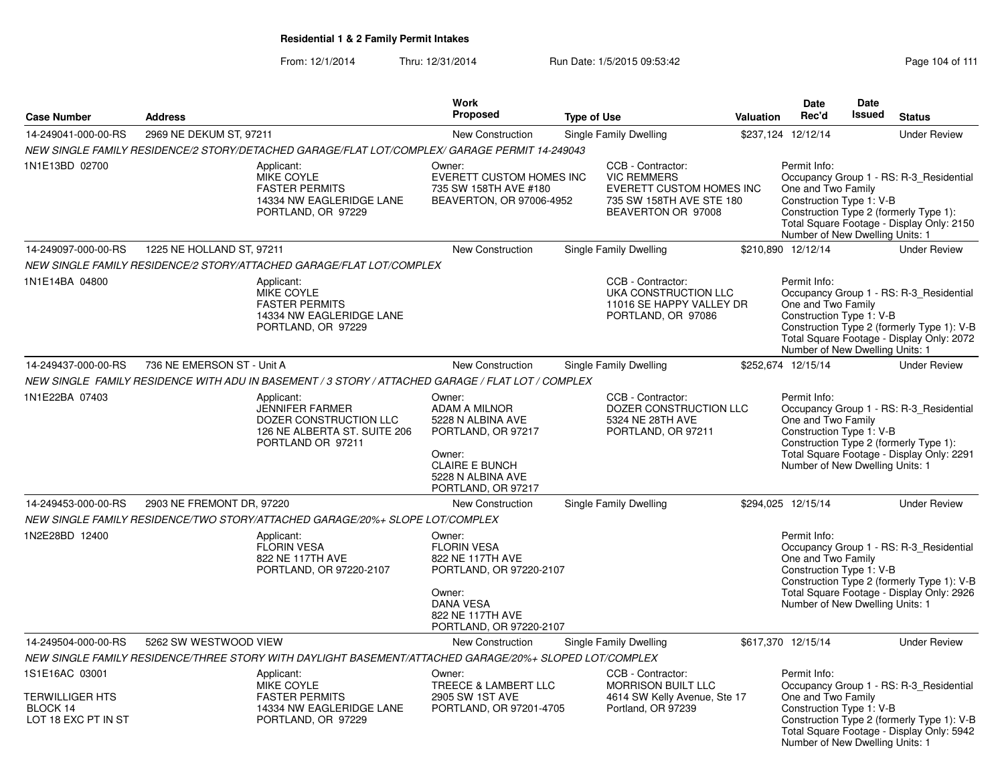|                                                                             |                                                                                                        |                                                                                                | Work                                                                                                                                              |                    |                                                                                                                       |                  | Date                                                                                              | Date          |                                                                                                                                    |
|-----------------------------------------------------------------------------|--------------------------------------------------------------------------------------------------------|------------------------------------------------------------------------------------------------|---------------------------------------------------------------------------------------------------------------------------------------------------|--------------------|-----------------------------------------------------------------------------------------------------------------------|------------------|---------------------------------------------------------------------------------------------------|---------------|------------------------------------------------------------------------------------------------------------------------------------|
| <b>Case Number</b>                                                          | <b>Address</b>                                                                                         |                                                                                                | <b>Proposed</b>                                                                                                                                   | <b>Type of Use</b> |                                                                                                                       | <b>Valuation</b> | Rec'd                                                                                             | <b>Issued</b> | <b>Status</b>                                                                                                                      |
| 14-249041-000-00-RS                                                         | 2969 NE DEKUM ST, 97211                                                                                |                                                                                                | New Construction                                                                                                                                  |                    | Single Family Dwelling                                                                                                |                  | \$237,124 12/12/14                                                                                |               | <b>Under Review</b>                                                                                                                |
|                                                                             | NEW SINGLE FAMILY RESIDENCE/2 STORY/DETACHED GARAGE/FLAT LOT/COMPLEX/ GARAGE PERMIT 14-249043          |                                                                                                |                                                                                                                                                   |                    |                                                                                                                       |                  |                                                                                                   |               |                                                                                                                                    |
| 1N1E13BD 02700                                                              | Applicant:                                                                                             | MIKE COYLE<br><b>FASTER PERMITS</b><br>14334 NW EAGLERIDGE LANE<br>PORTLAND, OR 97229          | Owner:<br>EVERETT CUSTOM HOMES INC<br>735 SW 158TH AVE #180<br>BEAVERTON, OR 97006-4952                                                           |                    | CCB - Contractor:<br><b>VIC REMMERS</b><br>EVERETT CUSTOM HOMES INC<br>735 SW 158TH AVE STE 180<br>BEAVERTON OR 97008 |                  | Permit Info:<br>One and Two Family<br>Construction Type 1: V-B<br>Number of New Dwelling Units: 1 |               | Occupancy Group 1 - RS: R-3 Residential<br>Construction Type 2 (formerly Type 1):<br>Total Square Footage - Display Only: 2150     |
| 14-249097-000-00-RS                                                         | 1225 NE HOLLAND ST, 97211                                                                              |                                                                                                | New Construction                                                                                                                                  |                    | Single Family Dwelling                                                                                                |                  | \$210,890 12/12/14                                                                                |               | <b>Under Review</b>                                                                                                                |
|                                                                             | NEW SINGLE FAMILY RESIDENCE/2 STORY/ATTACHED GARAGE/FLAT LOT/COMPLEX                                   |                                                                                                |                                                                                                                                                   |                    |                                                                                                                       |                  |                                                                                                   |               |                                                                                                                                    |
| 1N1E14BA 04800                                                              | Applicant:                                                                                             | <b>MIKE COYLE</b><br><b>FASTER PERMITS</b><br>14334 NW EAGLERIDGE LANE<br>PORTLAND, OR 97229   |                                                                                                                                                   |                    | CCB - Contractor:<br>UKA CONSTRUCTION LLC<br>11016 SE HAPPY VALLEY DR<br>PORTLAND, OR 97086                           |                  | Permit Info:<br>One and Two Family<br>Construction Type 1: V-B<br>Number of New Dwelling Units: 1 |               | Occupancy Group 1 - RS: R-3 Residential<br>Construction Type 2 (formerly Type 1): V-B<br>Total Square Footage - Display Only: 2072 |
| 14-249437-000-00-RS                                                         | 736 NE EMERSON ST - Unit A                                                                             |                                                                                                | <b>New Construction</b>                                                                                                                           |                    | Single Family Dwelling                                                                                                |                  | \$252.674 12/15/14                                                                                |               | <b>Under Review</b>                                                                                                                |
|                                                                             | NEW SINGLE FAMILY RESIDENCE WITH ADU IN BASEMENT / 3 STORY / ATTACHED GARAGE / FLAT LOT / COMPLEX      |                                                                                                |                                                                                                                                                   |                    |                                                                                                                       |                  |                                                                                                   |               |                                                                                                                                    |
| 1N1E22BA 07403                                                              | Applicant:                                                                                             | JENNIFER FARMER<br>DOZER CONSTRUCTION LLC<br>126 NE ALBERTA ST. SUITE 206<br>PORTLAND OR 97211 | Owner:<br><b>ADAM A MILNOR</b><br>5228 N ALBINA AVE<br>PORTLAND, OR 97217<br>Owner:<br><b>CLAIRE E BUNCH</b><br>5228 N ALBINA AVE                 |                    | CCB - Contractor:<br>DOZER CONSTRUCTION LLC<br>5324 NE 28TH AVE<br>PORTLAND, OR 97211                                 |                  | Permit Info:<br>One and Two Family<br>Construction Type 1: V-B<br>Number of New Dwelling Units: 1 |               | Occupancy Group 1 - RS: R-3 Residential<br>Construction Type 2 (formerly Type 1):<br>Total Square Footage - Display Only: 2291     |
|                                                                             |                                                                                                        |                                                                                                | PORTLAND, OR 97217                                                                                                                                |                    |                                                                                                                       |                  |                                                                                                   |               |                                                                                                                                    |
| 14-249453-000-00-RS                                                         | 2903 NE FREMONT DR, 97220                                                                              |                                                                                                | <b>New Construction</b>                                                                                                                           |                    | Single Family Dwelling                                                                                                |                  | \$294,025 12/15/14                                                                                |               | <b>Under Review</b>                                                                                                                |
|                                                                             | NEW SINGLE FAMILY RESIDENCE/TWO STORY/ATTACHED GARAGE/20%+ SLOPE LOT/COMPLEX                           |                                                                                                |                                                                                                                                                   |                    |                                                                                                                       |                  |                                                                                                   |               |                                                                                                                                    |
| 1N2E28BD 12400                                                              | Applicant:                                                                                             | <b>FLORIN VESA</b><br>822 NE 117TH AVE<br>PORTLAND, OR 97220-2107                              | Owner:<br><b>FLORIN VESA</b><br>822 NE 117TH AVE<br>PORTLAND, OR 97220-2107<br>Owner:<br>DANA VESA<br>822 NE 117TH AVE<br>PORTLAND, OR 97220-2107 |                    |                                                                                                                       |                  | Permit Info:<br>One and Two Family<br>Construction Type 1: V-B<br>Number of New Dwelling Units: 1 |               | Occupancy Group 1 - RS: R-3 Residential<br>Construction Type 2 (formerly Type 1): V-B<br>Total Square Footage - Display Only: 2926 |
| 14-249504-000-00-RS                                                         | 5262 SW WESTWOOD VIEW                                                                                  |                                                                                                | New Construction                                                                                                                                  |                    | Single Family Dwelling                                                                                                |                  | \$617,370 12/15/14                                                                                |               | <b>Under Review</b>                                                                                                                |
|                                                                             | NEW SINGLE FAMILY RESIDENCE/THREE STORY WITH DAYLIGHT BASEMENT/ATTACHED GARAGE/20%+ SLOPED LOT/COMPLEX |                                                                                                |                                                                                                                                                   |                    |                                                                                                                       |                  |                                                                                                   |               |                                                                                                                                    |
| 1S1E16AC 03001<br><b>TERWILLIGER HTS</b><br>BLOCK 14<br>LOT 18 EXC PT IN ST | Applicant:                                                                                             | MIKE COYLE<br><b>FASTER PERMITS</b><br>14334 NW EAGLERIDGE LANE<br>PORTLAND, OR 97229          | Owner:<br>TREECE & LAMBERT LLC<br>2905 SW 1ST AVE<br>PORTLAND, OR 97201-4705                                                                      |                    | CCB - Contractor:<br><b>MORRISON BUILT LLC</b><br>4614 SW Kelly Avenue, Ste 17<br>Portland, OR 97239                  |                  | Permit Info:<br>One and Two Family<br>Construction Type 1: V-B<br>Number of New Dwelling Units: 1 |               | Occupancy Group 1 - RS: R-3_Residential<br>Construction Type 2 (formerly Type 1): V-B<br>Total Square Footage - Display Only: 5942 |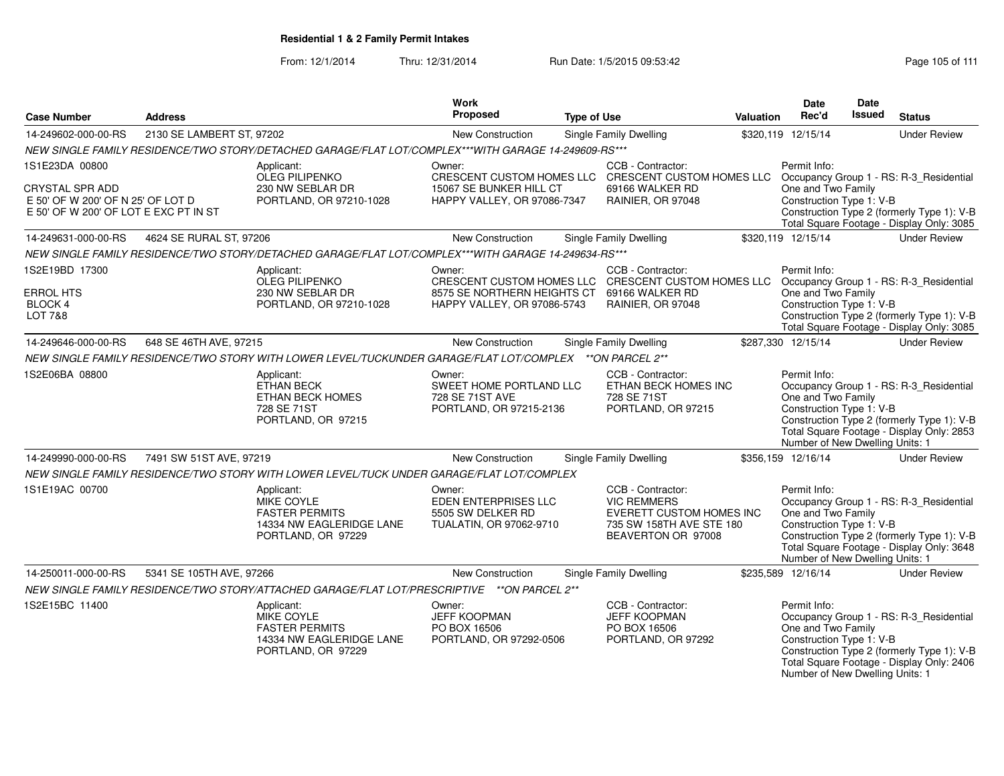From: 12/1/2014Thru: 12/31/2014 Run Date: 1/5/2015 09:53:42 Research 2010 111

|                                                                            |                           |                                                                                                          | Work                                                                            |                    |                                                                                                                       |                  | <b>Date</b>                                                                                       | <b>Date</b>   |                                                                                                                                    |
|----------------------------------------------------------------------------|---------------------------|----------------------------------------------------------------------------------------------------------|---------------------------------------------------------------------------------|--------------------|-----------------------------------------------------------------------------------------------------------------------|------------------|---------------------------------------------------------------------------------------------------|---------------|------------------------------------------------------------------------------------------------------------------------------------|
| <b>Case Number</b>                                                         | <b>Address</b>            |                                                                                                          | <b>Proposed</b>                                                                 | <b>Type of Use</b> |                                                                                                                       | <b>Valuation</b> | Rec'd                                                                                             | <b>Issued</b> | <b>Status</b>                                                                                                                      |
| 14-249602-000-00-RS                                                        | 2130 SE LAMBERT ST, 97202 |                                                                                                          | New Construction                                                                |                    | Single Family Dwelling                                                                                                |                  | \$320,119 12/15/14                                                                                |               | <b>Under Review</b>                                                                                                                |
|                                                                            |                           | NEW SINGLE FAMILY RESIDENCE/TWO STORY/DETACHED GARAGE/FLAT LOT/COMPLEX***WITH GARAGE 14-249609-RS***     |                                                                                 |                    |                                                                                                                       |                  |                                                                                                   |               |                                                                                                                                    |
| 1S1E23DA 00800                                                             |                           | Applicant:<br><b>OLEG PILIPENKO</b>                                                                      | Owner:                                                                          |                    | CCB - Contractor:<br>CRESCENT CUSTOM HOMES LLC CRESCENT CUSTOM HOMES LLC                                              |                  | Permit Info:                                                                                      |               | Occupancy Group 1 - RS: R-3_Residential                                                                                            |
| <b>CRYSTAL SPR ADD</b>                                                     |                           | 230 NW SEBLAR DR                                                                                         | 15067 SE BUNKER HILL CT                                                         |                    | 69166 WALKER RD                                                                                                       |                  | One and Two Family                                                                                |               |                                                                                                                                    |
| E 50' OF W 200' OF N 25' OF LOT D<br>E 50' OF W 200' OF LOT E EXC PT IN ST |                           | PORTLAND, OR 97210-1028                                                                                  | HAPPY VALLEY, OR 97086-7347                                                     |                    | RAINIER, OR 97048                                                                                                     |                  | Construction Type 1: V-B                                                                          |               | Construction Type 2 (formerly Type 1): V-B                                                                                         |
|                                                                            |                           |                                                                                                          |                                                                                 |                    |                                                                                                                       |                  |                                                                                                   |               | Total Square Footage - Display Only: 3085                                                                                          |
| 14-249631-000-00-RS                                                        | 4624 SE RURAL ST, 97206   |                                                                                                          | New Construction                                                                |                    | Single Family Dwelling                                                                                                |                  | \$320,119 12/15/14                                                                                |               | <b>Under Review</b>                                                                                                                |
|                                                                            |                           | NEW SINGLE FAMILY RESIDENCE/TWO STORY/DETACHED GARAGE/FLAT LOT/COMPLEX***WITH GARAGE 14-249634-RS***     |                                                                                 |                    |                                                                                                                       |                  |                                                                                                   |               |                                                                                                                                    |
| 1S2E19BD 17300                                                             |                           | Applicant:                                                                                               | Owner:                                                                          |                    | CCB - Contractor:                                                                                                     |                  | Permit Info:                                                                                      |               |                                                                                                                                    |
|                                                                            |                           | <b>OLEG PILIPENKO</b>                                                                                    |                                                                                 |                    | CRESCENT CUSTOM HOMES LLC CRESCENT CUSTOM HOMES LLC                                                                   |                  |                                                                                                   |               | Occupancy Group 1 - RS: R-3 Residential                                                                                            |
| <b>ERROL HTS</b><br><b>BLOCK 4</b>                                         |                           | 230 NW SEBLAR DR<br>PORTLAND, OR 97210-1028                                                              | 8575 SE NORTHERN HEIGHTS CT<br>HAPPY VALLEY, OR 97086-5743                      |                    | 69166 WALKER RD<br>RAINIER, OR 97048                                                                                  |                  | One and Two Family<br>Construction Type 1: V-B                                                    |               |                                                                                                                                    |
| <b>LOT 7&amp;8</b>                                                         |                           |                                                                                                          |                                                                                 |                    |                                                                                                                       |                  |                                                                                                   |               | Construction Type 2 (formerly Type 1): V-B                                                                                         |
|                                                                            |                           |                                                                                                          |                                                                                 |                    |                                                                                                                       |                  |                                                                                                   |               | Total Square Footage - Display Only: 3085                                                                                          |
| 14-249646-000-00-RS                                                        | 648 SE 46TH AVE, 97215    |                                                                                                          | <b>New Construction</b>                                                         |                    | Single Family Dwelling                                                                                                |                  | \$287,330 12/15/14                                                                                |               | <b>Under Review</b>                                                                                                                |
|                                                                            |                           | NEW SINGLE FAMILY RESIDENCE/TWO STORY WITH LOWER LEVEL/TUCKUNDER GARAGE/FLAT LOT/COMPLEX **ON PARCEL 2** |                                                                                 |                    |                                                                                                                       |                  |                                                                                                   |               |                                                                                                                                    |
| 1S2E06BA 08800                                                             |                           | Applicant:<br><b>ETHAN BECK</b><br>ETHAN BECK HOMES<br>728 SE 71ST<br>PORTLAND, OR 97215                 | Owner:<br>SWEET HOME PORTLAND LLC<br>728 SE 71ST AVE<br>PORTLAND, OR 97215-2136 |                    | CCB - Contractor:<br>ETHAN BECK HOMES INC<br>728 SE 71ST<br>PORTLAND, OR 97215                                        |                  | Permit Info:<br>One and Two Family<br>Construction Type 1: V-B<br>Number of New Dwelling Units: 1 |               | Occupancy Group 1 - RS: R-3_Residential<br>Construction Type 2 (formerly Type 1): V-B<br>Total Square Footage - Display Only: 2853 |
| 14-249990-000-00-RS                                                        | 7491 SW 51ST AVE, 97219   |                                                                                                          | New Construction                                                                |                    | Single Family Dwelling                                                                                                |                  | \$356,159 12/16/14                                                                                |               | <b>Under Review</b>                                                                                                                |
|                                                                            |                           | NEW SINGLE FAMILY RESIDENCE/TWO STORY WITH LOWER LEVEL/TUCK UNDER GARAGE/FLAT LOT/COMPLEX                |                                                                                 |                    |                                                                                                                       |                  |                                                                                                   |               |                                                                                                                                    |
| 1S1E19AC 00700                                                             |                           | Applicant:<br>MIKE COYLE<br><b>FASTER PERMITS</b><br>14334 NW EAGLERIDGE LANE<br>PORTLAND, OR 97229      | Owner:<br>EDEN ENTERPRISES LLC<br>5505 SW DELKER RD<br>TUALATIN, OR 97062-9710  |                    | CCB - Contractor:<br><b>VIC REMMERS</b><br>EVERETT CUSTOM HOMES INC<br>735 SW 158TH AVE STE 180<br>BEAVERTON OR 97008 |                  | Permit Info:<br>One and Two Family<br>Construction Type 1: V-B<br>Number of New Dwelling Units: 1 |               | Occupancy Group 1 - RS: R-3 Residential<br>Construction Type 2 (formerly Type 1): V-B<br>Total Square Footage - Display Only: 3648 |
| 14-250011-000-00-RS                                                        | 5341 SE 105TH AVE, 97266  |                                                                                                          | New Construction                                                                |                    | Single Family Dwelling                                                                                                |                  | \$235,589 12/16/14                                                                                |               | <b>Under Review</b>                                                                                                                |
|                                                                            |                           | NEW SINGLE FAMILY RESIDENCE/TWO STORY/ATTACHED GARAGE/FLAT LOT/PRESCRIPTIVE ** ON PARCEL 2**             |                                                                                 |                    |                                                                                                                       |                  |                                                                                                   |               |                                                                                                                                    |
| 1S2E15BC 11400                                                             |                           | Applicant:<br>MIKE COYLE<br><b>FASTER PERMITS</b><br>14334 NW EAGLERIDGE LANE<br>PORTLAND, OR 97229      | Owner:<br><b>JEFF KOOPMAN</b><br>PO BOX 16506<br>PORTLAND, OR 97292-0506        |                    | CCB - Contractor:<br><b>JEFF KOOPMAN</b><br>PO BOX 16506<br>PORTLAND, OR 97292                                        |                  | Permit Info:<br>One and Two Family<br>Construction Type 1: V-B<br>Number of New Dwelling Units: 1 |               | Occupancy Group 1 - RS: R-3 Residential<br>Construction Type 2 (formerly Type 1): V-B<br>Total Square Footage - Display Only: 2406 |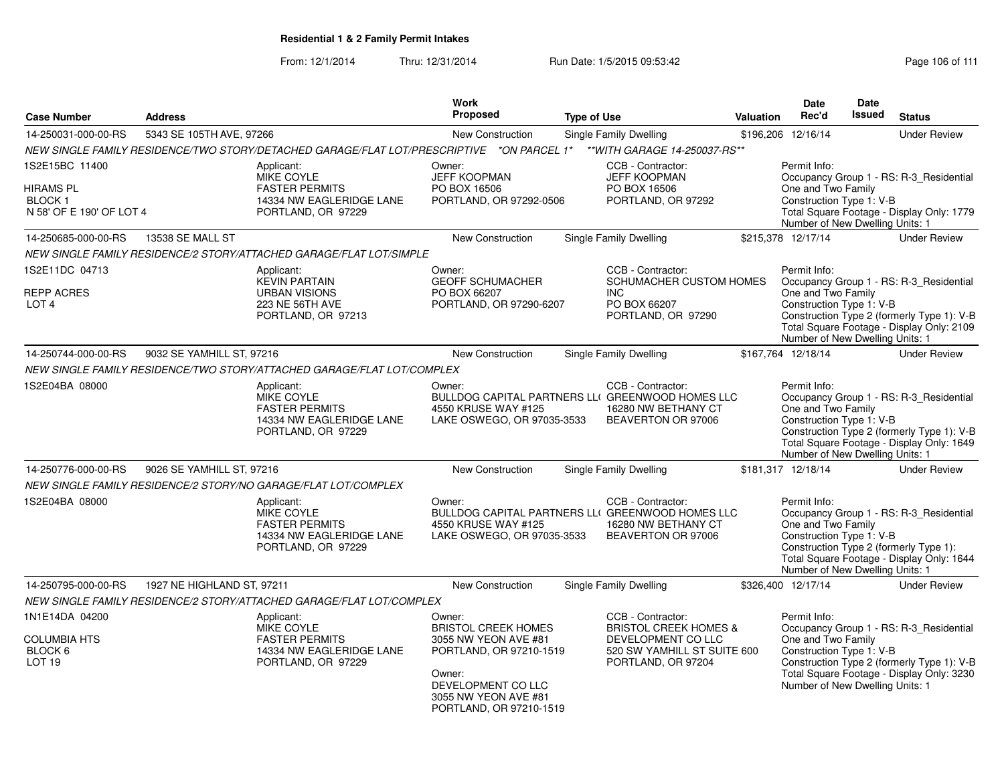|                                                                          |                            |                                                                                                            | <b>Work</b><br><b>Proposed</b>                                                                                                                                             |                    |                                                                                                                                  |                  | <b>Date</b><br>Rec'd                                                                              | Date<br><b>Issued</b> |                                                                                                                                    |
|--------------------------------------------------------------------------|----------------------------|------------------------------------------------------------------------------------------------------------|----------------------------------------------------------------------------------------------------------------------------------------------------------------------------|--------------------|----------------------------------------------------------------------------------------------------------------------------------|------------------|---------------------------------------------------------------------------------------------------|-----------------------|------------------------------------------------------------------------------------------------------------------------------------|
| <b>Case Number</b>                                                       | <b>Address</b>             |                                                                                                            |                                                                                                                                                                            | <b>Type of Use</b> |                                                                                                                                  | <b>Valuation</b> |                                                                                                   |                       | <b>Status</b>                                                                                                                      |
| 14-250031-000-00-RS                                                      | 5343 SE 105TH AVE, 97266   |                                                                                                            | <b>New Construction</b>                                                                                                                                                    |                    | <b>Single Family Dwelling</b>                                                                                                    |                  | \$196,206 12/16/14                                                                                |                       | <b>Under Review</b>                                                                                                                |
|                                                                          |                            | NEW SINGLE FAMILY RESIDENCE/TWO STORY/DETACHED GARAGE/FLAT LOT/PRESCRIPTIVE *ON PARCEL 1*                  |                                                                                                                                                                            |                    | ** WITH GARAGE 14-250037-RS**                                                                                                    |                  |                                                                                                   |                       |                                                                                                                                    |
| 1S2E15BC 11400<br>HIRAMS PL<br><b>BLOCK1</b><br>N 58' OF E 190' OF LOT 4 |                            | Applicant:<br>MIKE COYLE<br><b>FASTER PERMITS</b><br>14334 NW EAGLERIDGE LANE<br>PORTLAND, OR 97229        | Owner:<br><b>JEFF KOOPMAN</b><br>PO BOX 16506<br>PORTLAND, OR 97292-0506                                                                                                   |                    | CCB - Contractor:<br><b>JEFF KOOPMAN</b><br>PO BOX 16506<br>PORTLAND, OR 97292                                                   |                  | Permit Info:<br>One and Two Family<br>Construction Type 1: V-B<br>Number of New Dwelling Units: 1 |                       | Occupancy Group 1 - RS: R-3 Residential<br>Total Square Footage - Display Only: 1779                                               |
| 14-250685-000-00-RS                                                      | 13538 SE MALL ST           |                                                                                                            | New Construction                                                                                                                                                           |                    | <b>Single Family Dwelling</b>                                                                                                    |                  | \$215,378 12/17/14                                                                                |                       | <b>Under Review</b>                                                                                                                |
|                                                                          |                            | NEW SINGLE FAMILY RESIDENCE/2 STORY/ATTACHED GARAGE/FLAT LOT/SIMPLE                                        |                                                                                                                                                                            |                    |                                                                                                                                  |                  |                                                                                                   |                       |                                                                                                                                    |
| 1S2E11DC 04713<br><b>REPP ACRES</b><br>LOT <sub>4</sub>                  |                            | Applicant:<br><b>KEVIN PARTAIN</b><br><b>URBAN VISIONS</b><br>223 NE 56TH AVE<br>PORTLAND, OR 97213        | Owner:<br><b>GEOFF SCHUMACHER</b><br>PO BOX 66207<br>PORTLAND, OR 97290-6207                                                                                               |                    | CCB - Contractor:<br>SCHUMACHER CUSTOM HOMES<br>INC.<br>PO BOX 66207<br>PORTLAND, OR 97290                                       |                  | Permit Info:<br>One and Two Family<br>Construction Type 1: V-B<br>Number of New Dwelling Units: 1 |                       | Occupancy Group 1 - RS: R-3_Residential<br>Construction Type 2 (formerly Type 1): V-B<br>Total Square Footage - Display Only: 2109 |
| 14-250744-000-00-RS                                                      | 9032 SE YAMHILL ST, 97216  |                                                                                                            | New Construction                                                                                                                                                           |                    | Single Family Dwelling                                                                                                           |                  | \$167,764 12/18/14                                                                                |                       | <b>Under Review</b>                                                                                                                |
|                                                                          |                            | NEW SINGLE FAMILY RESIDENCE/TWO STORY/ATTACHED GARAGE/FLAT LOT/COMPLEX                                     |                                                                                                                                                                            |                    |                                                                                                                                  |                  |                                                                                                   |                       |                                                                                                                                    |
| 1S2E04BA 08000                                                           |                            | Applicant:<br>MIKE COYLE<br><b>FASTER PERMITS</b><br>14334 NW EAGLERIDGE LANE<br>PORTLAND, OR 97229        | Owner:<br>4550 KRUSE WAY #125<br>LAKE OSWEGO, OR 97035-3533                                                                                                                |                    | CCB - Contractor:<br>BULLDOG CAPITAL PARTNERS LLI GREENWOOD HOMES LLC<br>16280 NW BETHANY CT<br>BEAVERTON OR 97006               |                  | Permit Info:<br>One and Two Family<br>Construction Type 1: V-B<br>Number of New Dwelling Units: 1 |                       | Occupancy Group 1 - RS: R-3_Residential<br>Construction Type 2 (formerly Type 1): V-B<br>Total Square Footage - Display Only: 1649 |
| 14-250776-000-00-RS                                                      | 9026 SE YAMHILL ST, 97216  |                                                                                                            | New Construction                                                                                                                                                           |                    | <b>Single Family Dwelling</b>                                                                                                    |                  | \$181,317 12/18/14                                                                                |                       | <b>Under Review</b>                                                                                                                |
|                                                                          |                            | NEW SINGLE FAMILY RESIDENCE/2 STORY/NO GARAGE/FLAT LOT/COMPLEX                                             |                                                                                                                                                                            |                    |                                                                                                                                  |                  |                                                                                                   |                       |                                                                                                                                    |
| 1S2E04BA 08000                                                           |                            | Applicant:<br><b>MIKE COYLE</b><br><b>FASTER PERMITS</b><br>14334 NW EAGLERIDGE LANE<br>PORTLAND, OR 97229 | Owner:<br>4550 KRUSE WAY #125<br>LAKE OSWEGO, OR 97035-3533                                                                                                                |                    | CCB - Contractor:<br>BULLDOG CAPITAL PARTNERS LLI GREENWOOD HOMES LLC<br>16280 NW BETHANY CT<br>BEAVERTON OR 97006               |                  | Permit Info:<br>One and Two Family<br>Construction Type 1: V-B<br>Number of New Dwelling Units: 1 |                       | Occupancy Group 1 - RS: R-3 Residential<br>Construction Type 2 (formerly Type 1):<br>Total Square Footage - Display Only: 1644     |
| 14-250795-000-00-RS                                                      | 1927 NE HIGHLAND ST, 97211 |                                                                                                            | New Construction                                                                                                                                                           |                    | Single Family Dwelling                                                                                                           |                  | \$326,400 12/17/14                                                                                |                       | <b>Under Review</b>                                                                                                                |
|                                                                          |                            | NEW SINGLE FAMILY RESIDENCE/2 STORY/ATTACHED GARAGE/FLAT LOT/COMPLEX                                       |                                                                                                                                                                            |                    |                                                                                                                                  |                  |                                                                                                   |                       |                                                                                                                                    |
| 1N1E14DA 04200<br>COLUMBIA HTS<br>BLOCK 6<br>LOT <sub>19</sub>           |                            | Applicant:<br>MIKE COYLE<br><b>FASTER PERMITS</b><br>14334 NW EAGLERIDGE LANE<br>PORTLAND, OR 97229        | Owner:<br><b>BRISTOL CREEK HOMES</b><br>3055 NW YEON AVE #81<br>PORTLAND, OR 97210-1519<br>Owner:<br>DEVELOPMENT CO LLC<br>3055 NW YEON AVE #81<br>PORTLAND, OR 97210-1519 |                    | CCB - Contractor:<br><b>BRISTOL CREEK HOMES &amp;</b><br>DEVELOPMENT CO LLC<br>520 SW YAMHILL ST SUITE 600<br>PORTLAND, OR 97204 |                  | Permit Info:<br>One and Two Family<br>Construction Type 1: V-B<br>Number of New Dwelling Units: 1 |                       | Occupancy Group 1 - RS: R-3_Residential<br>Construction Type 2 (formerly Type 1): V-B<br>Total Square Footage - Display Only: 3230 |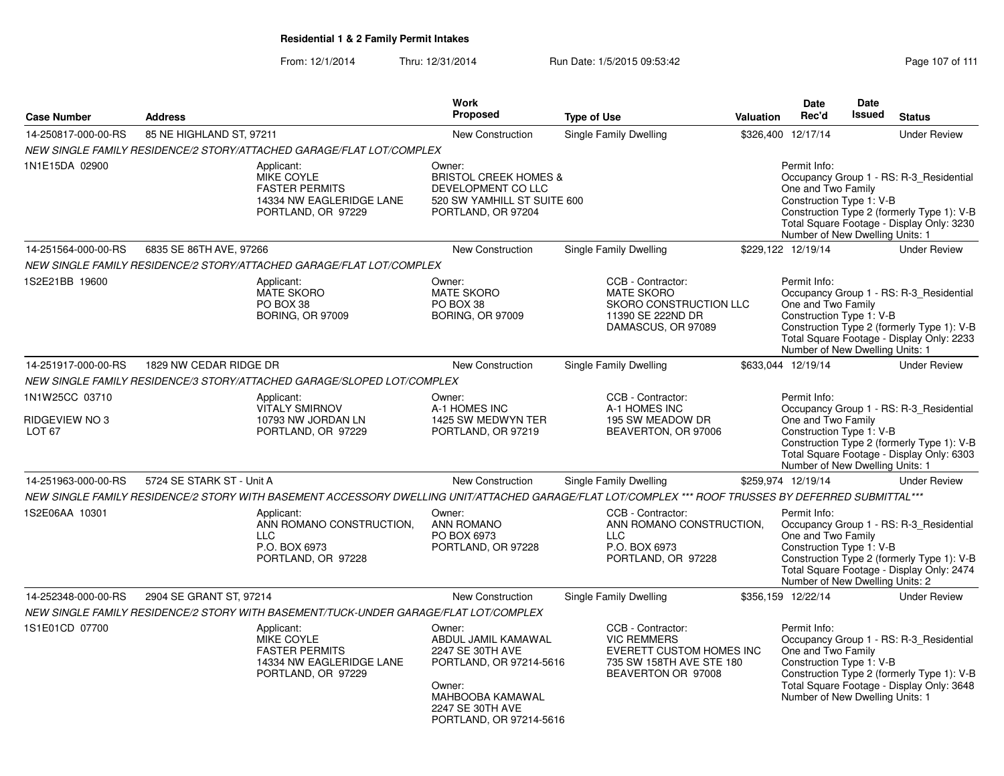From: 12/1/2014Thru: 12/31/2014 Run Date: 1/5/2015 09:53:42 Research 2010 111

|                                     |                           |                                                                                                                                                      | <b>Work</b>                                                                                                                                               |                    |                                                                                                                       |                  | Date                                                                                              | Date          |                                                                                                                                    |
|-------------------------------------|---------------------------|------------------------------------------------------------------------------------------------------------------------------------------------------|-----------------------------------------------------------------------------------------------------------------------------------------------------------|--------------------|-----------------------------------------------------------------------------------------------------------------------|------------------|---------------------------------------------------------------------------------------------------|---------------|------------------------------------------------------------------------------------------------------------------------------------|
| <b>Case Number</b>                  | <b>Address</b>            |                                                                                                                                                      | Proposed                                                                                                                                                  | <b>Type of Use</b> |                                                                                                                       | <b>Valuation</b> | Rec'd                                                                                             | <b>Issued</b> | <b>Status</b>                                                                                                                      |
| 14-250817-000-00-RS                 | 85 NE HIGHLAND ST, 97211  |                                                                                                                                                      | New Construction                                                                                                                                          |                    | <b>Single Family Dwelling</b>                                                                                         |                  | \$326,400 12/17/14                                                                                |               | <b>Under Review</b>                                                                                                                |
|                                     |                           | NEW SINGLE FAMILY RESIDENCE/2 STORY/ATTACHED GARAGE/FLAT LOT/COMPLEX                                                                                 |                                                                                                                                                           |                    |                                                                                                                       |                  |                                                                                                   |               |                                                                                                                                    |
| 1N1E15DA 02900                      |                           | Applicant:<br><b>MIKE COYLE</b><br><b>FASTER PERMITS</b><br>14334 NW EAGLERIDGE LANE<br>PORTLAND, OR 97229                                           | Owner:<br><b>BRISTOL CREEK HOMES &amp;</b><br>DEVELOPMENT CO LLC<br>520 SW YAMHILL ST SUITE 600<br>PORTLAND, OR 97204                                     |                    |                                                                                                                       |                  | Permit Info:<br>One and Two Family<br>Construction Type 1: V-B<br>Number of New Dwelling Units: 1 |               | Occupancy Group 1 - RS: R-3 Residential<br>Construction Type 2 (formerly Type 1): V-B<br>Total Square Footage - Display Only: 3230 |
| 14-251564-000-00-RS                 | 6835 SE 86TH AVE, 97266   |                                                                                                                                                      | <b>New Construction</b>                                                                                                                                   |                    | <b>Single Family Dwelling</b>                                                                                         |                  | \$229,122 12/19/14                                                                                |               | <b>Under Review</b>                                                                                                                |
|                                     |                           | NEW SINGLE FAMILY RESIDENCE/2 STORY/ATTACHED GARAGE/FLAT LOT/COMPLEX                                                                                 |                                                                                                                                                           |                    |                                                                                                                       |                  |                                                                                                   |               |                                                                                                                                    |
| 1S2E21BB 19600                      |                           | Applicant:<br><b>MATE SKORO</b><br>PO BOX 38<br><b>BORING, OR 97009</b>                                                                              | Owner:<br><b>MATE SKORO</b><br>PO BOX 38<br>BORING, OR 97009                                                                                              |                    | CCB - Contractor:<br><b>MATE SKORO</b><br>SKORO CONSTRUCTION LLC<br>11390 SE 222ND DR<br>DAMASCUS, OR 97089           |                  | Permit Info:<br>One and Two Family<br>Construction Type 1: V-B<br>Number of New Dwelling Units: 1 |               | Occupancy Group 1 - RS: R-3 Residential<br>Construction Type 2 (formerly Type 1): V-B<br>Total Square Footage - Display Only: 2233 |
| 14-251917-000-00-RS                 | 1829 NW CEDAR RIDGE DR    |                                                                                                                                                      | New Construction                                                                                                                                          |                    | <b>Single Family Dwelling</b>                                                                                         |                  | \$633,044 12/19/14                                                                                |               | <b>Under Review</b>                                                                                                                |
|                                     |                           | NEW SINGLE FAMILY RESIDENCE/3 STORY/ATTACHED GARAGE/SLOPED LOT/COMPLEX                                                                               |                                                                                                                                                           |                    |                                                                                                                       |                  |                                                                                                   |               |                                                                                                                                    |
| 1N1W25CC 03710                      |                           | Applicant:<br><b>VITALY SMIRNOV</b>                                                                                                                  | Owner:<br>A-1 HOMES INC                                                                                                                                   |                    | CCB - Contractor:<br>A-1 HOMES INC                                                                                    |                  | Permit Info:                                                                                      |               | Occupancy Group 1 - RS: R-3_Residential                                                                                            |
| RIDGEVIEW NO 3<br>LOT <sub>67</sub> |                           | 10793 NW JORDAN LN<br>PORTLAND, OR 97229                                                                                                             | 1425 SW MEDWYN TER<br>PORTLAND, OR 97219                                                                                                                  |                    | 195 SW MEADOW DR<br>BEAVERTON, OR 97006                                                                               |                  | One and Two Family<br>Construction Type 1: V-B<br>Number of New Dwelling Units: 1                 |               | Construction Type 2 (formerly Type 1): V-B<br>Total Square Footage - Display Only: 6303                                            |
| 14-251963-000-00-RS                 | 5724 SE STARK ST - Unit A |                                                                                                                                                      | <b>New Construction</b>                                                                                                                                   |                    | Single Family Dwelling                                                                                                |                  | \$259,974 12/19/14                                                                                |               | <b>Under Review</b>                                                                                                                |
|                                     |                           | NEW SINGLE FAMILY RESIDENCE/2 STORY WITH BASEMENT ACCESSORY DWELLING UNIT/ATTACHED GARAGE/FLAT LOT/COMPLEX *** ROOF TRUSSES BY DEFERRED SUBMITTAL*** |                                                                                                                                                           |                    |                                                                                                                       |                  |                                                                                                   |               |                                                                                                                                    |
| 1S2E06AA 10301                      |                           | Applicant:<br>ANN ROMANO CONSTRUCTION,<br><b>LLC</b><br>P.O. BOX 6973<br>PORTLAND, OR 97228                                                          | Owner:<br><b>ANN ROMANO</b><br>PO BOX 6973<br>PORTLAND, OR 97228                                                                                          |                    | CCB - Contractor:<br>ANN ROMANO CONSTRUCTION,<br><b>LLC</b><br>P.O. BOX 6973<br>PORTLAND, OR 97228                    |                  | Permit Info:<br>One and Two Family<br>Construction Type 1: V-B<br>Number of New Dwelling Units: 2 |               | Occupancy Group 1 - RS: R-3_Residential<br>Construction Type 2 (formerly Type 1): V-B<br>Total Square Footage - Display Only: 2474 |
| 14-252348-000-00-RS                 | 2904 SE GRANT ST, 97214   |                                                                                                                                                      | <b>New Construction</b>                                                                                                                                   |                    | Single Family Dwelling                                                                                                |                  | \$356,159 12/22/14                                                                                |               | <b>Under Review</b>                                                                                                                |
|                                     |                           | NEW SINGLE FAMILY RESIDENCE/2 STORY WITH BASEMENT/TUCK-UNDER GARAGE/FLAT LOT/COMPLEX                                                                 |                                                                                                                                                           |                    |                                                                                                                       |                  |                                                                                                   |               |                                                                                                                                    |
| 1S1E01CD 07700                      |                           | Applicant:<br>MIKE COYLE<br><b>FASTER PERMITS</b><br>14334 NW EAGLERIDGE LANE<br>PORTLAND, OR 97229                                                  | Owner:<br>ABDUL JAMIL KAMAWAL<br>2247 SE 30TH AVE<br>PORTLAND, OR 97214-5616<br>Owner:<br>MAHBOOBA KAMAWAL<br>2247 SE 30TH AVE<br>PORTLAND, OR 97214-5616 |                    | CCB - Contractor:<br><b>VIC REMMERS</b><br>EVERETT CUSTOM HOMES INC<br>735 SW 158TH AVE STE 180<br>BEAVERTON OR 97008 |                  | Permit Info:<br>One and Two Family<br>Construction Type 1: V-B<br>Number of New Dwelling Units: 1 |               | Occupancy Group 1 - RS: R-3_Residential<br>Construction Type 2 (formerly Type 1): V-B<br>Total Square Footage - Display Only: 3648 |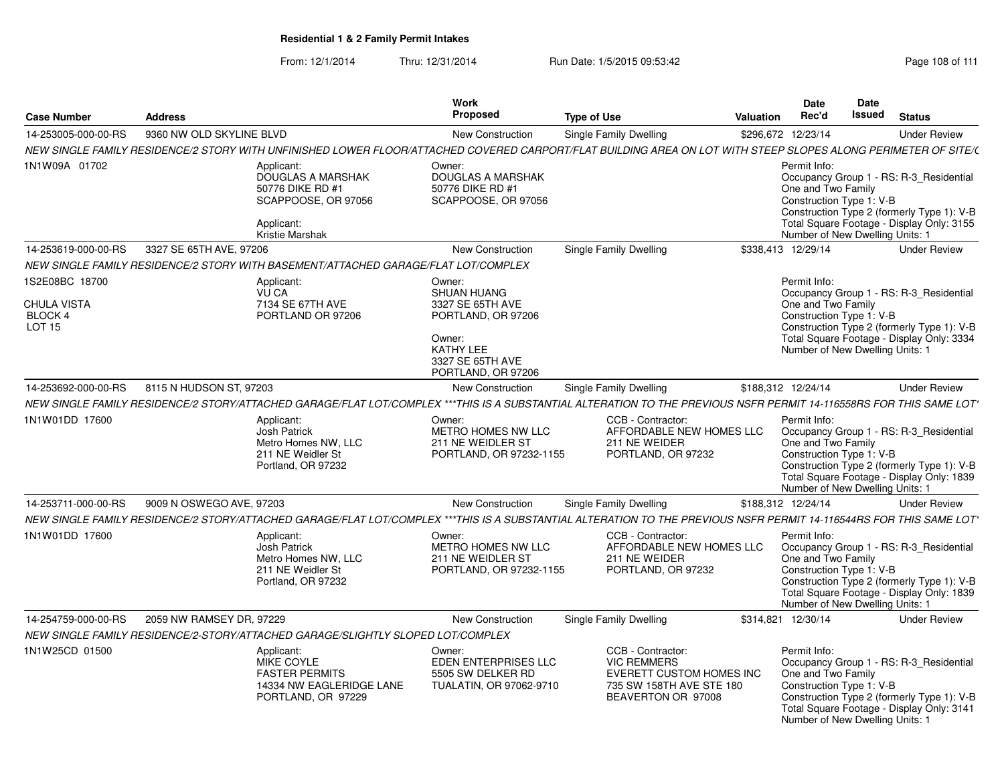| <b>Case Number</b>                                               | <b>Address</b>           |                                                                                                                                                                     | Work<br>Proposed                                                                                                                        | <b>Type of Use</b>                      | Valuation                                                                         | <b>Date</b><br>Rec'd                                                                              | Date<br>Issued | <b>Status</b>                                                                                                                      |
|------------------------------------------------------------------|--------------------------|---------------------------------------------------------------------------------------------------------------------------------------------------------------------|-----------------------------------------------------------------------------------------------------------------------------------------|-----------------------------------------|-----------------------------------------------------------------------------------|---------------------------------------------------------------------------------------------------|----------------|------------------------------------------------------------------------------------------------------------------------------------|
| 14-253005-000-00-RS                                              | 9360 NW OLD SKYLINE BLVD |                                                                                                                                                                     | New Construction                                                                                                                        | Single Family Dwelling                  |                                                                                   | \$296,672 12/23/14                                                                                |                | <b>Under Review</b>                                                                                                                |
|                                                                  |                          | NEW SINGLE FAMILY RESIDENCE/2 STORY WITH UNFINISHED LOWER FLOOR/ATTACHED COVERED CARPORT/FLAT BUILDING AREA ON LOT WITH STEEP SLOPES ALONG PERIMETER OF SITE/(      |                                                                                                                                         |                                         |                                                                                   |                                                                                                   |                |                                                                                                                                    |
| 1N1W09A 01702                                                    |                          | Applicant:<br><b>DOUGLAS A MARSHAK</b><br>50776 DIKE RD #1<br>SCAPPOOSE, OR 97056<br>Applicant:<br>Kristie Marshak                                                  | Owner:<br><b>DOUGLAS A MARSHAK</b><br>50776 DIKE RD #1<br>SCAPPOOSE, OR 97056                                                           |                                         |                                                                                   | Permit Info:<br>One and Two Family<br>Construction Type 1: V-B<br>Number of New Dwelling Units: 1 |                | Occupancy Group 1 - RS: R-3_Residential<br>Construction Type 2 (formerly Type 1): V-B<br>Total Square Footage - Display Only: 3155 |
| 14-253619-000-00-RS                                              | 3327 SE 65TH AVE, 97206  |                                                                                                                                                                     | New Construction                                                                                                                        | Single Family Dwelling                  |                                                                                   | \$338,413 12/29/14                                                                                |                | <b>Under Review</b>                                                                                                                |
|                                                                  |                          | NEW SINGLE FAMILY RESIDENCE/2 STORY WITH BASEMENT/ATTACHED GARAGE/FLAT LOT/COMPLEX                                                                                  |                                                                                                                                         |                                         |                                                                                   |                                                                                                   |                |                                                                                                                                    |
| 1S2E08BC 18700<br><b>CHULA VISTA</b><br>BLOCK 4<br><b>LOT 15</b> |                          | Applicant:<br><b>VU CA</b><br>7134 SE 67TH AVE<br>PORTLAND OR 97206                                                                                                 | Owner:<br><b>SHUAN HUANG</b><br>3327 SE 65TH AVE<br>PORTLAND, OR 97206<br>Owner:<br>KATHY LEE<br>3327 SE 65TH AVE<br>PORTLAND, OR 97206 |                                         |                                                                                   | Permit Info:<br>One and Two Family<br>Construction Type 1: V-B<br>Number of New Dwelling Units: 1 |                | Occupancy Group 1 - RS: R-3 Residential<br>Construction Type 2 (formerly Type 1): V-B<br>Total Square Footage - Display Only: 3334 |
| 14-253692-000-00-RS                                              | 8115 N HUDSON ST, 97203  |                                                                                                                                                                     | <b>New Construction</b>                                                                                                                 | Single Family Dwelling                  |                                                                                   | \$188.312 12/24/14                                                                                |                | <b>Under Review</b>                                                                                                                |
|                                                                  |                          | NEW SINGLE FAMILY RESIDENCE/2 STORY/ATTACHED GARAGE/FLAT LOT/COMPLEX ***THIS IS A SUBSTANTIAL ALTERATION TO THE PREVIOUS NSFR PERMIT 14-116558RS FOR THIS SAME LOT' |                                                                                                                                         |                                         |                                                                                   |                                                                                                   |                |                                                                                                                                    |
| 1N1W01DD 17600                                                   |                          | Applicant:<br><b>Josh Patrick</b><br>Metro Homes NW, LLC<br>211 NE Weidler St<br>Portland, OR 97232                                                                 | Owner:<br>METRO HOMES NW LLC<br>211 NE WEIDLER ST<br>PORTLAND, OR 97232-1155                                                            | CCB - Contractor:<br>211 NE WEIDER      | AFFORDABLE NEW HOMES LLC<br>PORTLAND, OR 97232                                    | Permit Info:<br>One and Two Family<br>Construction Type 1: V-B<br>Number of New Dwelling Units: 1 |                | Occupancy Group 1 - RS: R-3 Residential<br>Construction Type 2 (formerly Type 1): V-B<br>Total Square Footage - Display Only: 1839 |
| 14-253711-000-00-RS                                              | 9009 N OSWEGO AVE, 97203 |                                                                                                                                                                     | <b>New Construction</b>                                                                                                                 | Single Family Dwelling                  |                                                                                   | \$188,312 12/24/14                                                                                |                | <b>Under Review</b>                                                                                                                |
|                                                                  |                          | NEW SINGLE FAMILY RESIDENCE/2 STORY/ATTACHED GARAGE/FLAT LOT/COMPLEX ***THIS IS A SUBSTANTIAL ALTERATION TO THE PREVIOUS NSFR PERMIT 14-116544RS FOR THIS SAME LOT' |                                                                                                                                         |                                         |                                                                                   |                                                                                                   |                |                                                                                                                                    |
| 1N1W01DD 17600                                                   |                          | Applicant:<br><b>Josh Patrick</b><br>Metro Homes NW, LLC<br>211 NE Weidler St<br>Portland, OR 97232                                                                 | Owner:<br>METRO HOMES NW LLC<br>211 NE WEIDLER ST<br>PORTLAND, OR 97232-1155                                                            | CCB - Contractor:<br>211 NE WEIDER      | AFFORDABLE NEW HOMES LLC<br>PORTLAND, OR 97232                                    | Permit Info:<br>One and Two Family<br>Construction Type 1: V-B<br>Number of New Dwelling Units: 1 |                | Occupancy Group 1 - RS: R-3_Residential<br>Construction Type 2 (formerly Type 1): V-B<br>Total Square Footage - Display Only: 1839 |
| 14-254759-000-00-RS                                              | 2059 NW RAMSEY DR, 97229 |                                                                                                                                                                     | New Construction                                                                                                                        | Single Family Dwelling                  |                                                                                   | \$314,821 12/30/14                                                                                |                | <b>Under Review</b>                                                                                                                |
|                                                                  |                          | NEW SINGLE FAMILY RESIDENCE/2-STORY/ATTACHED GARAGE/SLIGHTLY SLOPED LOT/COMPLEX                                                                                     |                                                                                                                                         |                                         |                                                                                   |                                                                                                   |                |                                                                                                                                    |
| 1N1W25CD 01500                                                   |                          | Applicant:<br><b>MIKE COYLE</b><br><b>FASTER PERMITS</b><br>14334 NW EAGLERIDGE LANE<br>PORTLAND, OR 97229                                                          | Owner:<br>EDEN ENTERPRISES LLC<br>5505 SW DELKER RD<br>TUALATIN, OR 97062-9710                                                          | CCB - Contractor:<br><b>VIC REMMERS</b> | <b>EVERETT CUSTOM HOMES INC</b><br>735 SW 158TH AVE STE 180<br>BEAVERTON OR 97008 | Permit Info:<br>One and Two Family<br>Construction Type 1: V-B<br>Number of New Dwelling Units: 1 |                | Occupancy Group 1 - RS: R-3_Residential<br>Construction Type 2 (formerly Type 1): V-B<br>Total Square Footage - Display Only: 3141 |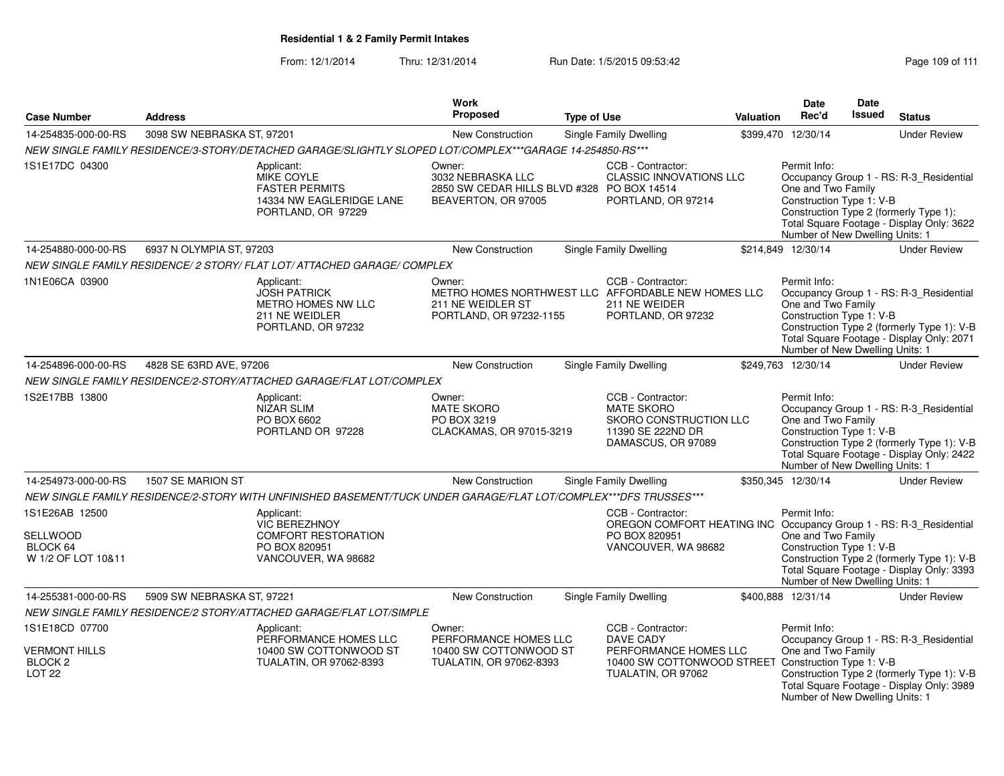## **Residential 1 & 2 Family Permit Intakes**

From: 12/1/2014Thru: 12/31/2014 Run Date: 1/5/2015 09:53:42 Run Date: 1/5/2015 09:53:42

|                                                                        |                            |                                                                                                                  | <b>Work</b>                                                                                      |                    |                                                                                                                                             |                  | Date                                                                                              | Date          |                                                                                                                                    |
|------------------------------------------------------------------------|----------------------------|------------------------------------------------------------------------------------------------------------------|--------------------------------------------------------------------------------------------------|--------------------|---------------------------------------------------------------------------------------------------------------------------------------------|------------------|---------------------------------------------------------------------------------------------------|---------------|------------------------------------------------------------------------------------------------------------------------------------|
| <b>Case Number</b>                                                     | <b>Address</b>             |                                                                                                                  | <b>Proposed</b>                                                                                  | <b>Type of Use</b> |                                                                                                                                             | <b>Valuation</b> | Rec'd                                                                                             | <b>Issued</b> | <b>Status</b>                                                                                                                      |
| 14-254835-000-00-RS                                                    | 3098 SW NEBRASKA ST, 97201 |                                                                                                                  | <b>New Construction</b>                                                                          |                    | Single Family Dwelling                                                                                                                      |                  | \$399,470 12/30/14                                                                                |               | <b>Under Review</b>                                                                                                                |
|                                                                        |                            | NEW SINGLE FAMILY RESIDENCE/3-STORY/DETACHED GARAGE/SLIGHTLY SLOPED LOT/COMPLEX***GARAGE 14-254850-RS***         |                                                                                                  |                    |                                                                                                                                             |                  |                                                                                                   |               |                                                                                                                                    |
| 1S1E17DC 04300                                                         |                            | Applicant:<br>MIKE COYLE<br><b>FASTER PERMITS</b><br>14334 NW EAGLERIDGE LANE<br>PORTLAND, OR 97229              | Owner:<br>3032 NEBRASKA LLC<br>2850 SW CEDAR HILLS BLVD #328 PO BOX 14514<br>BEAVERTON, OR 97005 |                    | CCB - Contractor:<br><b>CLASSIC INNOVATIONS LLC</b><br>PORTLAND, OR 97214                                                                   |                  | Permit Info:<br>One and Two Family<br>Construction Type 1: V-B<br>Number of New Dwelling Units: 1 |               | Occupancy Group 1 - RS: R-3_Residential<br>Construction Type 2 (formerly Type 1):<br>Total Square Footage - Display Only: 3622     |
| 14-254880-000-00-RS                                                    | 6937 N OLYMPIA ST, 97203   |                                                                                                                  | New Construction                                                                                 |                    | Single Family Dwelling                                                                                                                      |                  | \$214,849 12/30/14                                                                                |               | <b>Under Review</b>                                                                                                                |
|                                                                        |                            | NEW SINGLE FAMILY RESIDENCE/ 2 STORY/ FLAT LOT/ ATTACHED GARAGE/ COMPLEX                                         |                                                                                                  |                    |                                                                                                                                             |                  |                                                                                                   |               |                                                                                                                                    |
| 1N1E06CA 03900                                                         |                            | Applicant:<br><b>JOSH PATRICK</b><br>METRO HOMES NW LLC<br>211 NE WEIDLER<br>PORTLAND, OR 97232                  | Owner:<br>211 NE WEIDLER ST<br>PORTLAND, OR 97232-1155                                           |                    | CCB - Contractor:<br>METRO HOMES NORTHWEST LLC AFFORDABLE NEW HOMES LLC<br>211 NE WEIDER<br>PORTLAND, OR 97232                              |                  | Permit Info:<br>One and Two Family<br>Construction Type 1: V-B<br>Number of New Dwelling Units: 1 |               | Occupancy Group 1 - RS: R-3_Residential<br>Construction Type 2 (formerly Type 1): V-B<br>Total Square Footage - Display Only: 2071 |
| 14-254896-000-00-RS                                                    | 4828 SE 63RD AVE, 97206    |                                                                                                                  | <b>New Construction</b>                                                                          |                    | Single Family Dwelling                                                                                                                      |                  | \$249,763 12/30/14                                                                                |               | <b>Under Review</b>                                                                                                                |
|                                                                        |                            | NEW SINGLE FAMILY RESIDENCE/2-STORY/ATTACHED GARAGE/FLAT LOT/COMPLEX                                             |                                                                                                  |                    |                                                                                                                                             |                  |                                                                                                   |               |                                                                                                                                    |
| 1S2E17BB 13800                                                         |                            | Applicant:<br><b>NIZAR SLIM</b><br>PO BOX 6602<br>PORTLAND OR 97228                                              | Owner:<br><b>MATE SKORO</b><br>PO BOX 3219<br>CLACKAMAS, OR 97015-3219                           |                    | CCB - Contractor:<br><b>MATE SKORO</b><br>SKORO CONSTRUCTION LLC<br>11390 SE 222ND DR<br>DAMASCUS, OR 97089                                 |                  | Permit Info:<br>One and Two Family<br>Construction Type 1: V-B<br>Number of New Dwelling Units: 1 |               | Occupancy Group 1 - RS: R-3 Residential<br>Construction Type 2 (formerly Type 1): V-B<br>Total Square Footage - Display Only: 2422 |
| 14-254973-000-00-RS                                                    | 1507 SE MARION ST          |                                                                                                                  | New Construction                                                                                 |                    | Single Family Dwelling                                                                                                                      |                  | \$350,345 12/30/14                                                                                |               | <b>Under Review</b>                                                                                                                |
|                                                                        |                            | NEW SINGLE FAMILY RESIDENCE/2-STORY WITH UNFINISHED BASEMENT/TUCK UNDER GARAGE/FLAT LOT/COMPLEX***DFS TRUSSES*** |                                                                                                  |                    |                                                                                                                                             |                  |                                                                                                   |               |                                                                                                                                    |
| 1S1E26AB 12500<br>SELLWOOD<br>BLOCK 64<br>W 1/2 OF LOT 10&11           |                            | Applicant:<br><b>VIC BEREZHNOY</b><br><b>COMFORT RESTORATION</b><br>PO BOX 820951<br>VANCOUVER, WA 98682         |                                                                                                  |                    | CCB - Contractor:<br>OREGON COMFORT HEATING INC Occupancy Group 1 - RS: R-3_Residential<br>PO BOX 820951<br>VANCOUVER, WA 98682             |                  | Permit Info:<br>One and Two Family<br>Construction Type 1: V-B<br>Number of New Dwelling Units: 1 |               | Construction Type 2 (formerly Type 1): V-B<br>Total Square Footage - Display Only: 3393                                            |
| 14-255381-000-00-RS                                                    | 5909 SW NEBRASKA ST, 97221 |                                                                                                                  | <b>New Construction</b>                                                                          |                    | <b>Single Family Dwelling</b>                                                                                                               |                  | \$400,888 12/31/14                                                                                |               | <b>Under Review</b>                                                                                                                |
|                                                                        |                            | NEW SINGLE FAMILY RESIDENCE/2 STORY/ATTACHED GARAGE/FLAT LOT/SIMPLE                                              |                                                                                                  |                    |                                                                                                                                             |                  |                                                                                                   |               |                                                                                                                                    |
| 1S1E18CD 07700<br>VERMONT HILLS<br>BLOCK <sub>2</sub><br><b>LOT 22</b> |                            | Applicant:<br>PERFORMANCE HOMES LLC<br>10400 SW COTTONWOOD ST<br>TUALATIN, OR 97062-8393                         | Owner:<br>PERFORMANCE HOMES LLC<br>10400 SW COTTONWOOD ST<br>TUALATIN, OR 97062-8393             |                    | CCB - Contractor:<br><b>DAVE CADY</b><br>PERFORMANCE HOMES LLC<br>10400 SW COTTONWOOD STREET Construction Type 1: V-B<br>TUALATIN, OR 97062 |                  | Permit Info:<br>One and Two Family<br>Number of New Dwelling Units: 1                             |               | Occupancy Group 1 - RS: R-3_Residential<br>Construction Type 2 (formerly Type 1): V-B<br>Total Square Footage - Display Only: 3989 |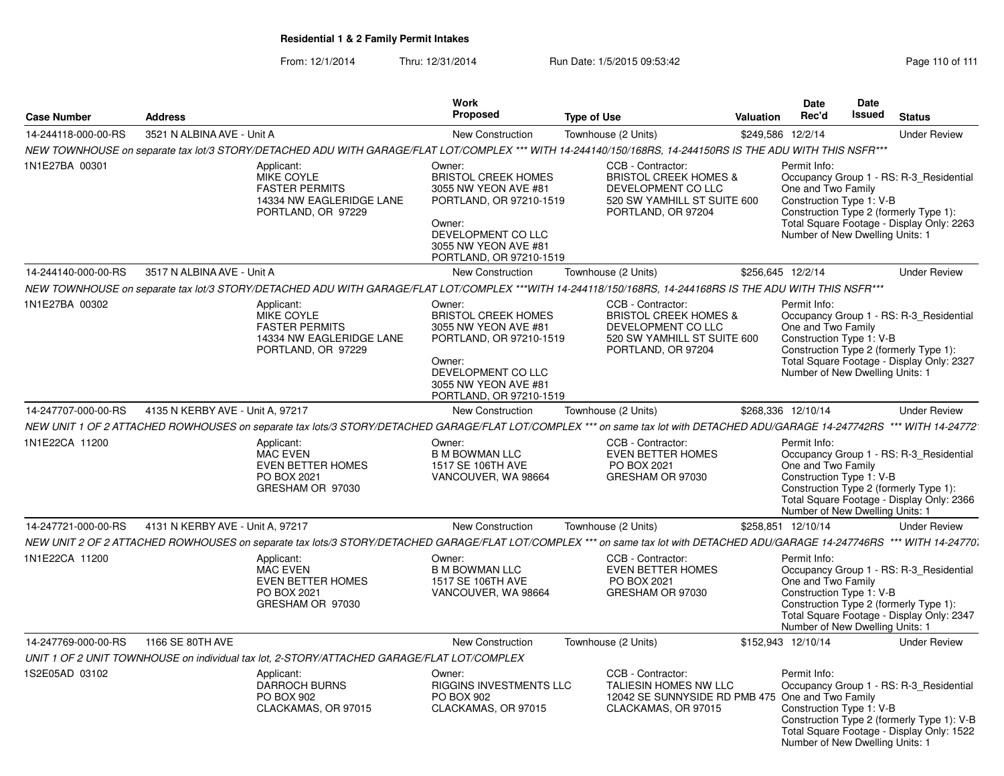## **Residential 1 & 2 Family Permit Intakes**

From: 12/1/2014Thru: 12/31/2014 Run Date: 1/5/2015 09:53:42 Page 110 of 111

| <b>Case Number</b>  | <b>Address</b>                   |                                                                                                                                                                              | Work<br><b>Proposed</b>                                                                                                                                                    | <b>Type of Use</b>                                                                                                               | <b>Valuation</b>  | Date<br>Rec'd                                                                                     | Date<br><b>Issued</b> | <b>Status</b>                                                                                                                      |
|---------------------|----------------------------------|------------------------------------------------------------------------------------------------------------------------------------------------------------------------------|----------------------------------------------------------------------------------------------------------------------------------------------------------------------------|----------------------------------------------------------------------------------------------------------------------------------|-------------------|---------------------------------------------------------------------------------------------------|-----------------------|------------------------------------------------------------------------------------------------------------------------------------|
| 14-244118-000-00-RS | 3521 N ALBINA AVE - Unit A       |                                                                                                                                                                              | New Construction                                                                                                                                                           | Townhouse (2 Units)                                                                                                              | \$249,586 12/2/14 |                                                                                                   |                       | <b>Under Review</b>                                                                                                                |
|                     |                                  | NEW TOWNHOUSE on separate tax lot/3 STORY/DETACHED ADU WITH GARAGE/FLAT LOT/COMPLEX *** WITH 14-244140/150/168RS, 14-244150RS IS THE ADU WITH THIS NSFR***                   |                                                                                                                                                                            |                                                                                                                                  |                   |                                                                                                   |                       |                                                                                                                                    |
| 1N1E27BA 00301      |                                  | Applicant:<br>MIKE COYLE<br><b>FASTER PERMITS</b><br>14334 NW EAGLERIDGE LANE<br>PORTLAND, OR 97229                                                                          | Owner:<br><b>BRISTOL CREEK HOMES</b><br>3055 NW YEON AVE #81<br>PORTLAND, OR 97210-1519<br>Owner:<br>DEVELOPMENT CO LLC<br>3055 NW YEON AVE #81<br>PORTLAND, OR 97210-1519 | CCB - Contractor:<br><b>BRISTOL CREEK HOMES &amp;</b><br>DEVELOPMENT CO LLC<br>520 SW YAMHILL ST SUITE 600<br>PORTLAND, OR 97204 |                   | Permit Info:<br>One and Two Family<br>Construction Type 1: V-B<br>Number of New Dwelling Units: 1 |                       | Occupancy Group 1 - RS: R-3_Residential<br>Construction Type 2 (formerly Type 1):<br>Total Square Footage - Display Only: 2263     |
| 14-244140-000-00-RS | 3517 N ALBINA AVE - Unit A       |                                                                                                                                                                              | <b>New Construction</b>                                                                                                                                                    | Townhouse (2 Units)                                                                                                              |                   | \$256,645 12/2/14                                                                                 |                       | <b>Under Review</b>                                                                                                                |
|                     |                                  | NEW TOWNHOUSE on separate tax lot/3 STORY/DETACHED ADU WITH GARAGE/FLAT LOT/COMPLEX ***WITH 14-244118/150/168RS, 14-244168RS IS THE ADU WITH THIS NSFR***                    |                                                                                                                                                                            |                                                                                                                                  |                   |                                                                                                   |                       |                                                                                                                                    |
| 1N1E27BA 00302      |                                  | Applicant:<br><b>MIKE COYLE</b><br><b>FASTER PERMITS</b><br>14334 NW EAGLERIDGE LANE<br>PORTLAND, OR 97229                                                                   | Owner:<br><b>BRISTOL CREEK HOMES</b><br>3055 NW YEON AVE #81<br>PORTLAND, OR 97210-1519<br>Owner:<br>DEVELOPMENT CO LLC<br>3055 NW YEON AVE #81<br>PORTLAND, OR 97210-1519 | CCB - Contractor:<br><b>BRISTOL CREEK HOMES &amp;</b><br>DEVELOPMENT CO LLC<br>520 SW YAMHILL ST SUITE 600<br>PORTLAND, OR 97204 |                   | Permit Info:<br>One and Two Family<br>Construction Type 1: V-B<br>Number of New Dwelling Units: 1 |                       | Occupancy Group 1 - RS: R-3 Residential<br>Construction Type 2 (formerly Type 1):<br>Total Square Footage - Display Only: 2327     |
| 14-247707-000-00-RS | 4135 N KERBY AVE - Unit A, 97217 |                                                                                                                                                                              | New Construction                                                                                                                                                           | Townhouse (2 Units)                                                                                                              |                   | \$268,336 12/10/14                                                                                |                       | <b>Under Review</b>                                                                                                                |
|                     |                                  | NEW UNIT 1 OF 2 ATTACHED ROWHOUSES on separate tax lots/3 STORY/DETACHED GARAGE/FLAT LOT/COMPLEX *** on same tax lot with DETACHED ADU/GARAGE 14-247742RS                    |                                                                                                                                                                            |                                                                                                                                  |                   |                                                                                                   |                       | *** WITH 14-24772                                                                                                                  |
| 1N1E22CA 11200      |                                  | Applicant:<br><b>MAC EVEN</b><br><b>EVEN BETTER HOMES</b><br>PO BOX 2021<br>GRESHAM OR 97030                                                                                 | Owner:<br><b>B M BOWMAN LLC</b><br>1517 SE 106TH AVE<br>VANCOUVER, WA 98664                                                                                                | CCB - Contractor:<br>EVEN BETTER HOMES<br>PO BOX 2021<br>GRESHAM OR 97030                                                        |                   | Permit Info:<br>One and Two Family<br>Construction Type 1: V-B<br>Number of New Dwelling Units: 1 |                       | Occupancy Group 1 - RS: R-3_Residential<br>Construction Type 2 (formerly Type 1):<br>Total Square Footage - Display Only: 2366     |
| 14-247721-000-00-RS | 4131 N KERBY AVE - Unit A, 97217 |                                                                                                                                                                              | New Construction                                                                                                                                                           | Townhouse (2 Units)                                                                                                              |                   | \$258,851 12/10/14                                                                                |                       | <b>Under Review</b>                                                                                                                |
|                     |                                  | NEW UNIT 2 OF 2 ATTACHED ROWHOUSES on separate tax lots/3 STORY/DETACHED GARAGE/FLAT LOT/COMPLEX *** on same tax lot with DETACHED ADU/GARAGE 14-247746RS *** WITH 14-24770. |                                                                                                                                                                            |                                                                                                                                  |                   |                                                                                                   |                       |                                                                                                                                    |
| 1N1E22CA 11200      |                                  | Applicant:<br><b>MAC EVEN</b><br><b>EVEN BETTER HOMES</b><br>PO BOX 2021<br>GRESHAM OR 97030                                                                                 | Owner:<br><b>B M BOWMAN LLC</b><br>1517 SE 106TH AVE<br>VANCOUVER, WA 98664                                                                                                | CCB - Contractor:<br><b>EVEN BETTER HOMES</b><br>PO BOX 2021<br>GRESHAM OR 97030                                                 |                   | Permit Info:<br>One and Two Family<br>Construction Type 1: V-B<br>Number of New Dwelling Units: 1 |                       | Occupancy Group 1 - RS: R-3 Residential<br>Construction Type 2 (formerly Type 1):<br>Total Square Footage - Display Only: 2347     |
| 14-247769-000-00-RS | 1166 SE 80TH AVE                 |                                                                                                                                                                              | <b>New Construction</b>                                                                                                                                                    | Townhouse (2 Units)                                                                                                              |                   | \$152,943 12/10/14                                                                                |                       | <b>Under Review</b>                                                                                                                |
|                     |                                  | UNIT 1 OF 2 UNIT TOWNHOUSE on individual tax lot. 2-STORY/ATTACHED GARAGE/FLAT LOT/COMPLEX                                                                                   |                                                                                                                                                                            |                                                                                                                                  |                   |                                                                                                   |                       |                                                                                                                                    |
| 1S2E05AD 03102      |                                  | Applicant:<br><b>DARROCH BURNS</b><br>PO BOX 902<br>CLACKAMAS, OR 97015                                                                                                      | Owner:<br><b>RIGGINS INVESTMENTS LLC</b><br>PO BOX 902<br>CLACKAMAS, OR 97015                                                                                              | CCB - Contractor:<br><b>TALIESIN HOMES NW LLC</b><br>12042 SE SUNNYSIDE RD PMB 475<br>CLACKAMAS, OR 97015                        |                   | Permit Info:<br>One and Two Family<br>Construction Type 1: V-B<br>Number of New Dwelling Units: 1 |                       | Occupancy Group 1 - RS: R-3 Residential<br>Construction Type 2 (formerly Type 1): V-B<br>Total Square Footage - Display Only: 1522 |